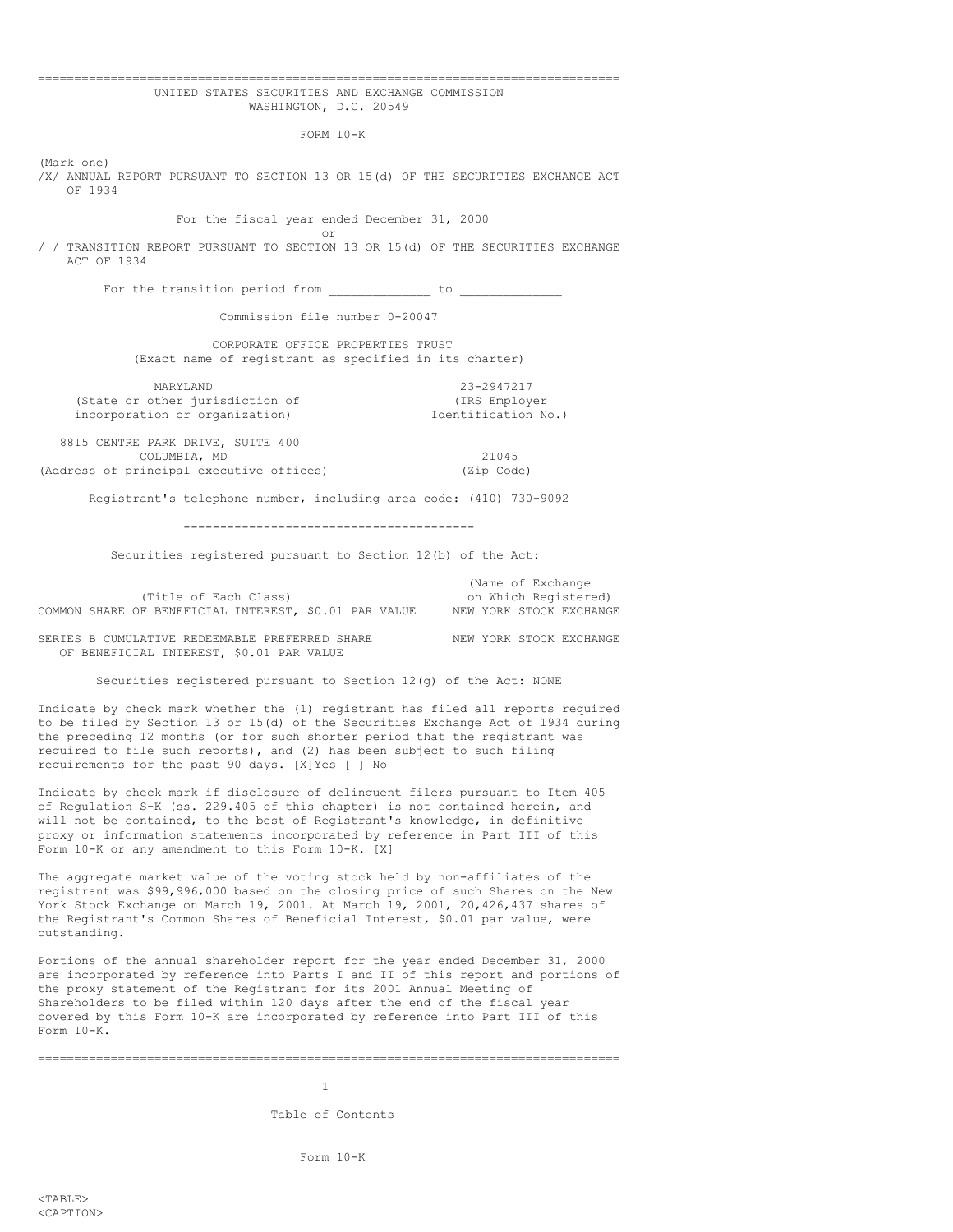## UNITED STATES SECURITIES AND EXCHANGE COMMISSION WASHINGTON, D.C. 20549

FORM 10-K

================================================================================

(Mark one)

/X/ ANNUAL REPORT PURSUANT TO SECTION 13 OR 15(d) OF THE SECURITIES EXCHANGE ACT OF 1934

> For the fiscal year ended December 31, 2000 or

/ / TRANSITION REPORT PURSUANT TO SECTION 13 OR 15(d) OF THE SECURITIES EXCHANGE ACT OF 1934

For the transition period from \_\_\_\_\_\_\_\_\_\_\_\_\_\_ to \_\_\_\_\_\_\_\_\_\_\_\_\_\_

Commission file number 0-20047

CORPORATE OFFICE PROPERTIES TRUST (Exact name of registrant as specified in its charter)

MARYLAND 23-2947217 (State or other jurisdiction of  $(IRS\ Employer\ incorporation or organization)$ incorporation or organization)

8815 CENTRE PARK DRIVE, SUITE 400 COLUMBIA, MD 21045 (Address of principal executive offices) (Zip Code)

Registrant's telephone number, including area code: (410) 730-9092

----------------------------------------

Securities registered pursuant to Section 12(b) of the Act:

|                       |  |  |                                                       |  |  |  |                      | (Name of Exchange |                         |
|-----------------------|--|--|-------------------------------------------------------|--|--|--|----------------------|-------------------|-------------------------|
| (Title of Each Class) |  |  |                                                       |  |  |  | on Which Registered) |                   |                         |
|                       |  |  | COMMON SHARE OF BENEFICIAL INTEREST, \$0.01 PAR VALUE |  |  |  |                      |                   | NEW YORK STOCK EXCHANGE |

SERIES B CUMULATIVE REDEEMABLE PREFERRED SHARE NEW YORK STOCK EXCHANGE OF BENEFICIAL INTEREST, \$0.01 PAR VALUE

Securities registered pursuant to Section 12(g) of the Act: NONE

Indicate by check mark whether the (1) registrant has filed all reports required to be filed by Section 13 or 15(d) of the Securities Exchange Act of 1934 during the preceding 12 months (or for such shorter period that the registrant was required to file such reports), and (2) has been subject to such filing requirements for the past 90 days. [X]Yes [ ] No

Indicate by check mark if disclosure of delinquent filers pursuant to Item 405 of Regulation S-K (ss. 229.405 of this chapter) is not contained herein, and will not be contained, to the best of Registrant's knowledge, in definitive proxy or information statements incorporated by reference in Part III of this Form 10-K or any amendment to this Form 10-K. [X]

The aggregate market value of the voting stock held by non-affiliates of the registrant was \$99,996,000 based on the closing price of such Shares on the New York Stock Exchange on March 19, 2001. At March 19, 2001, 20,426,437 shares of the Registrant's Common Shares of Beneficial Interest, \$0.01 par value, were outstanding.

Portions of the annual shareholder report for the year ended December 31, 2000 are incorporated by reference into Parts I and II of this report and portions of the proxy statement of the Registrant for its 2001 Annual Meeting of Shareholders to be filed within 120 days after the end of the fiscal year covered by this Form 10-K are incorporated by reference into Part III of this Form 10-K.

1

Table of Contents

================================================================================

Form 10-K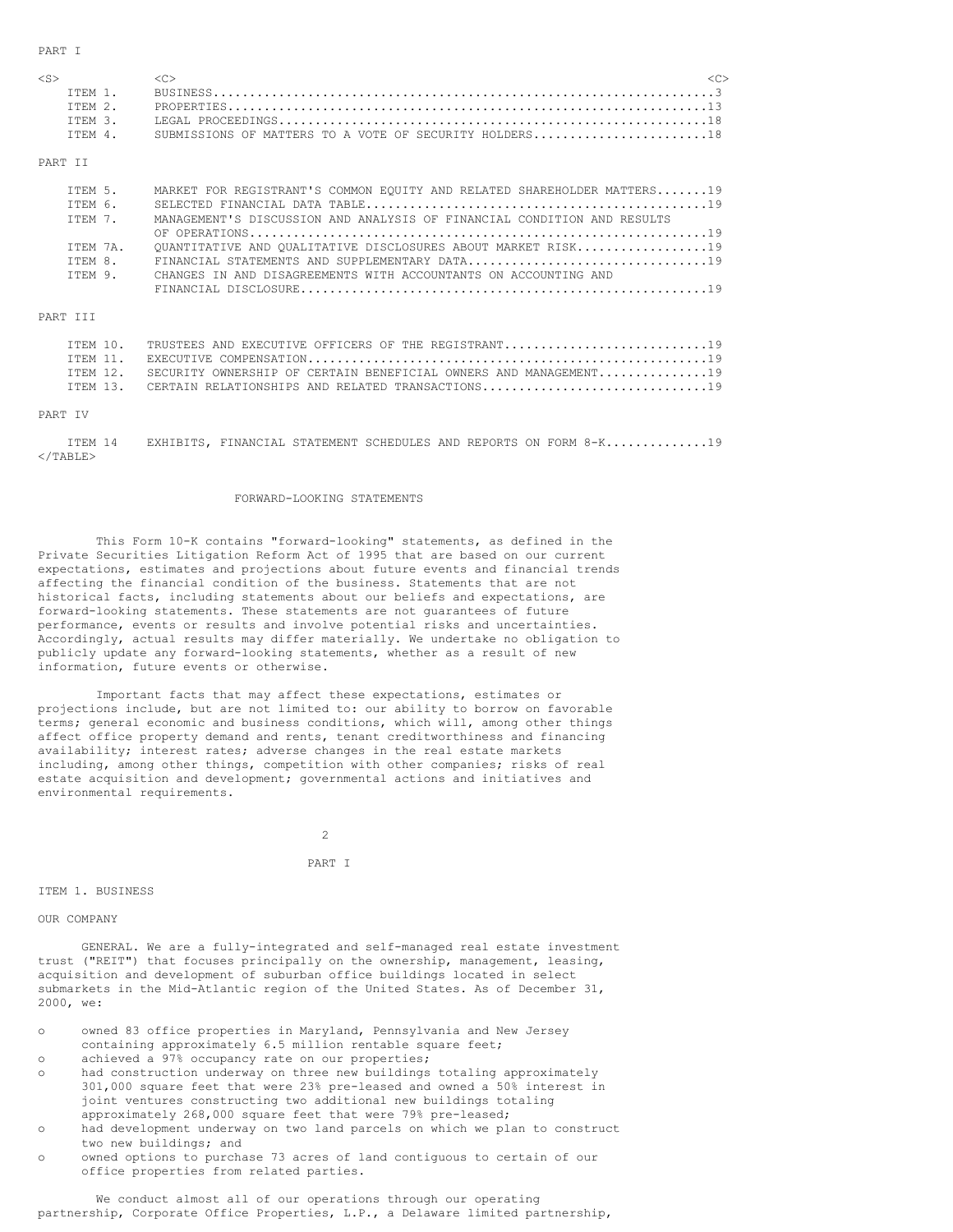PART I

| $<$ S $>$ | $\langle C \rangle$ |                                                                |  |
|-----------|---------------------|----------------------------------------------------------------|--|
|           |                     |                                                                |  |
|           |                     |                                                                |  |
|           |                     |                                                                |  |
|           |                     | TTEM 4. SUBMISSIONS OF MATTERS TO A VOTE OF SECURITY HOLDERS18 |  |

PART II

| TTEM 5.  | MARKET FOR REGISTRANT'S COMMON EOUITY AND RELATED SHAREHOLDER MATTERS19 |
|----------|-------------------------------------------------------------------------|
| TTEM 6.  |                                                                         |
| TTEM 7.  | MANAGEMENT'S DISCUSSION AND ANALYSIS OF FINANCIAL CONDITION AND RESULTS |
|          |                                                                         |
| TTEM 7A. | OUANTITATIVE AND OUALITATIVE DISCLOSURES ABOUT MARKET RISK19            |
| TTEM 8.  | FINANCIAL STATEMENTS AND SUPPLEMENTARY DATA19                           |
| TTEM 9.  | CHANGES IN AND DISAGREEMENTS WITH ACCOUNTANTS ON ACCOUNTING AND         |
|          |                                                                         |

PART III

| TTEM 10. TRUSTEES AND EXECUTIVE OFFICERS OF THE REGISTRANT19              |
|---------------------------------------------------------------------------|
|                                                                           |
| TTEM 12. SECURITY OWNERSHIP OF CERTAIN BENEFICIAL OWNERS AND MANAGEMENT19 |
| ITEM 13. CERTAIN RELATIONSHIPS AND RELATED TRANSACTIONS19                 |

PART IV

ITEM 14 EXHIBITS, FINANCIAL STATEMENT SCHEDULES AND REPORTS ON FORM 8-K..............19  $<$ /TABLE $>$ 

#### FORWARD-LOOKING STATEMENTS

This Form 10-K contains "forward-looking" statements, as defined in the Private Securities Litigation Reform Act of 1995 that are based on our current expectations, estimates and projections about future events and financial trends affecting the financial condition of the business. Statements that are not historical facts, including statements about our beliefs and expectations, are forward-looking statements. These statements are not guarantees of future performance, events or results and involve potential risks and uncertainties. Accordingly, actual results may differ materially. We undertake no obligation to publicly update any forward-looking statements, whether as a result of new information, future events or otherwise.

Important facts that may affect these expectations, estimates or projections include, but are not limited to: our ability to borrow on favorable terms; general economic and business conditions, which will, among other things affect office property demand and rents, tenant creditworthiness and financing availability; interest rates; adverse changes in the real estate markets including, among other things, competition with other companies; risks of real estate acquisition and development; governmental actions and initiatives and environmental requirements.

 $\overline{2}$ 

PART I

ITEM 1. BUSINESS

OUR COMPANY

GENERAL. We are a fully-integrated and self-managed real estate investment trust ("REIT") that focuses principally on the ownership, management, leasing, acquisition and development of suburban office buildings located in select submarkets in the Mid-Atlantic region of the United States. As of December 31, 2000, we:

|  | owned 83 office properties in Maryland, Pennsylvania and New Jersey |  |  |  |  |
|--|---------------------------------------------------------------------|--|--|--|--|
|  |                                                                     |  |  |  |  |
|  | containing approximately 6.5 million rentable square feet;          |  |  |  |  |

o achieved a 97% occupancy rate on our properties;

- o had construction underway on three new buildings totaling approximately 301,000 square feet that were 23% pre-leased and owned a 50% interest in joint ventures constructing two additional new buildings totaling approximately 268,000 square feet that were 79% pre-leased;
- o had development underway on two land parcels on which we plan to construct two new buildings; and
- o owned options to purchase 73 acres of land contiguous to certain of our office properties from related parties.

We conduct almost all of our operations through our operating partnership, Corporate Office Properties, L.P., a Delaware limited partnership,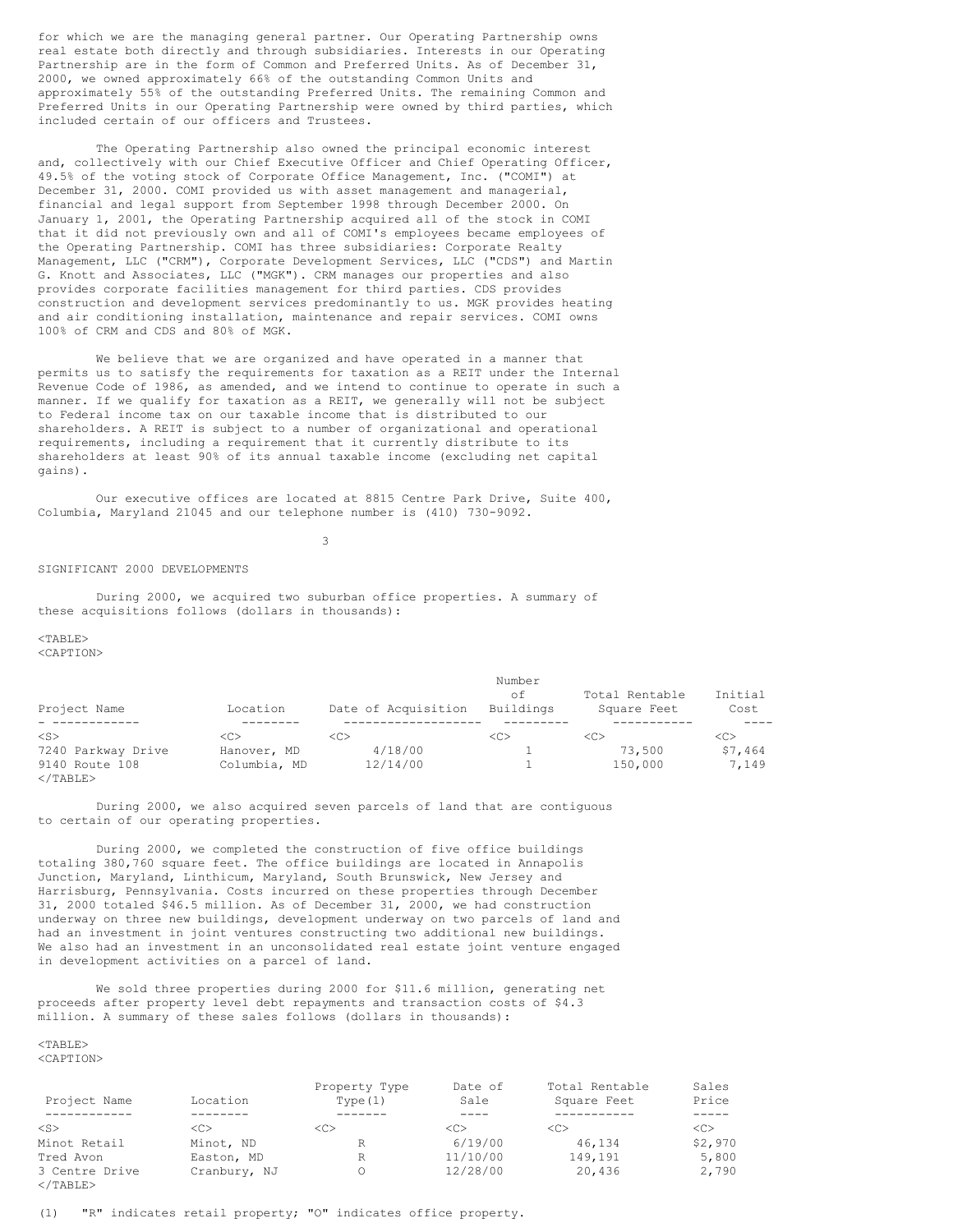for which we are the managing general partner. Our Operating Partnership owns real estate both directly and through subsidiaries. Interests in our Operating Partnership are in the form of Common and Preferred Units. As of December 31, 2000, we owned approximately 66% of the outstanding Common Units and approximately 55% of the outstanding Preferred Units. The remaining Common and Preferred Units in our Operating Partnership were owned by third parties, which included certain of our officers and Trustees.

The Operating Partnership also owned the principal economic interest and, collectively with our Chief Executive Officer and Chief Operating Officer, 49.5% of the voting stock of Corporate Office Management, Inc. ("COMI") at December 31, 2000. COMI provided us with asset management and managerial, financial and legal support from September 1998 through December 2000. On January 1, 2001, the Operating Partnership acquired all of the stock in COMI that it did not previously own and all of COMI's employees became employees of the Operating Partnership. COMI has three subsidiaries: Corporate Realty Management, LLC ("CRM"), Corporate Development Services, LLC ("CDS") and Martin G. Knott and Associates, LLC ("MGK"). CRM manages our properties and also provides corporate facilities management for third parties. CDS provides construction and development services predominantly to us. MGK provides heating and air conditioning installation, maintenance and repair services. COMI owns 100% of CRM and CDS and 80% of MGK.

We believe that we are organized and have operated in a manner that permits us to satisfy the requirements for taxation as a REIT under the Internal Revenue Code of 1986, as amended, and we intend to continue to operate in such a manner. If we qualify for taxation as a REIT, we generally will not be subject to Federal income tax on our taxable income that is distributed to our shareholders. A REIT is subject to a number of organizational and operational requirements, including a requirement that it currently distribute to its shareholders at least 90% of its annual taxable income (excluding net capital gains).

Our executive offices are located at 8815 Centre Park Drive, Suite 400, Columbia, Maryland 21045 and our telephone number is (410) 730-9092.

3

### SIGNIFICANT 2000 DEVELOPMENTS

During 2000, we acquired two suburban office properties. A summary of these acquisitions follows (dollars in thousands):

 $<$ TABLE $>$ <CAPTION>

|                    |              |                     | Number        |                |         |  |
|--------------------|--------------|---------------------|---------------|----------------|---------|--|
|                    |              |                     | οf            | Total Rentable | Initial |  |
| Project Name       | Location     | Date of Acquisition | Buildings     | Square Feet    | Cost    |  |
|                    |              |                     |               |                |         |  |
| $<$ S $>$          | <c></c>      | < <sub></sub>       | < <sub></sub> | < <sub></sub>  | <<>     |  |
| 7240 Parkway Drive | Hanover, MD  | 4/18/00             |               | 73,500         | \$7,464 |  |
| 9140 Route 108     | Columbia, MD | 12/14/00            |               | 150,000        | 7,149   |  |
| $\langle$ /TABLE>  |              |                     |               |                |         |  |

During 2000, we also acquired seven parcels of land that are contiguous to certain of our operating properties.

During 2000, we completed the construction of five office buildings totaling 380,760 square feet. The office buildings are located in Annapolis Junction, Maryland, Linthicum, Maryland, South Brunswick, New Jersey and Harrisburg, Pennsylvania. Costs incurred on these properties through December 31, 2000 totaled \$46.5 million. As of December 31, 2000, we had construction underway on three new buildings, development underway on two parcels of land and had an investment in joint ventures constructing two additional new buildings. We also had an investment in an unconsolidated real estate joint venture engaged in development activities on a parcel of land.

We sold three properties during 2000 for \$11.6 million, generating net proceeds after property level debt repayments and transaction costs of \$4.3 million. A summary of these sales follows (dollars in thousands):

 $<$ TABLE> <CAPTION>

|                                     |                     | Property Type | Date of       | Total Rentable | Sales         |
|-------------------------------------|---------------------|---------------|---------------|----------------|---------------|
| Project Name                        | Location            | Type(1)       | Sale          | Square Feet    | Price         |
|                                     |                     |               | ----          |                | -----         |
| $<$ S $>$                           | $\langle C \rangle$ | < <sub></sub> | < <sub></sub> | <c></c>        | < <sub></sub> |
| Minot Retail                        | Minot, ND           | R             | 6/19/00       | 46.134         | \$2,970       |
| Tred Avon                           | Easton, MD          | R             | 11/10/00      | 149.191        | 5,800         |
| 3 Centre Drive<br>$\langle$ /TABLE> | Cranbury, NJ        |               | 12/28/00      | 20,436         | 2,790         |

(1) "R" indicates retail property; "O" indicates office property.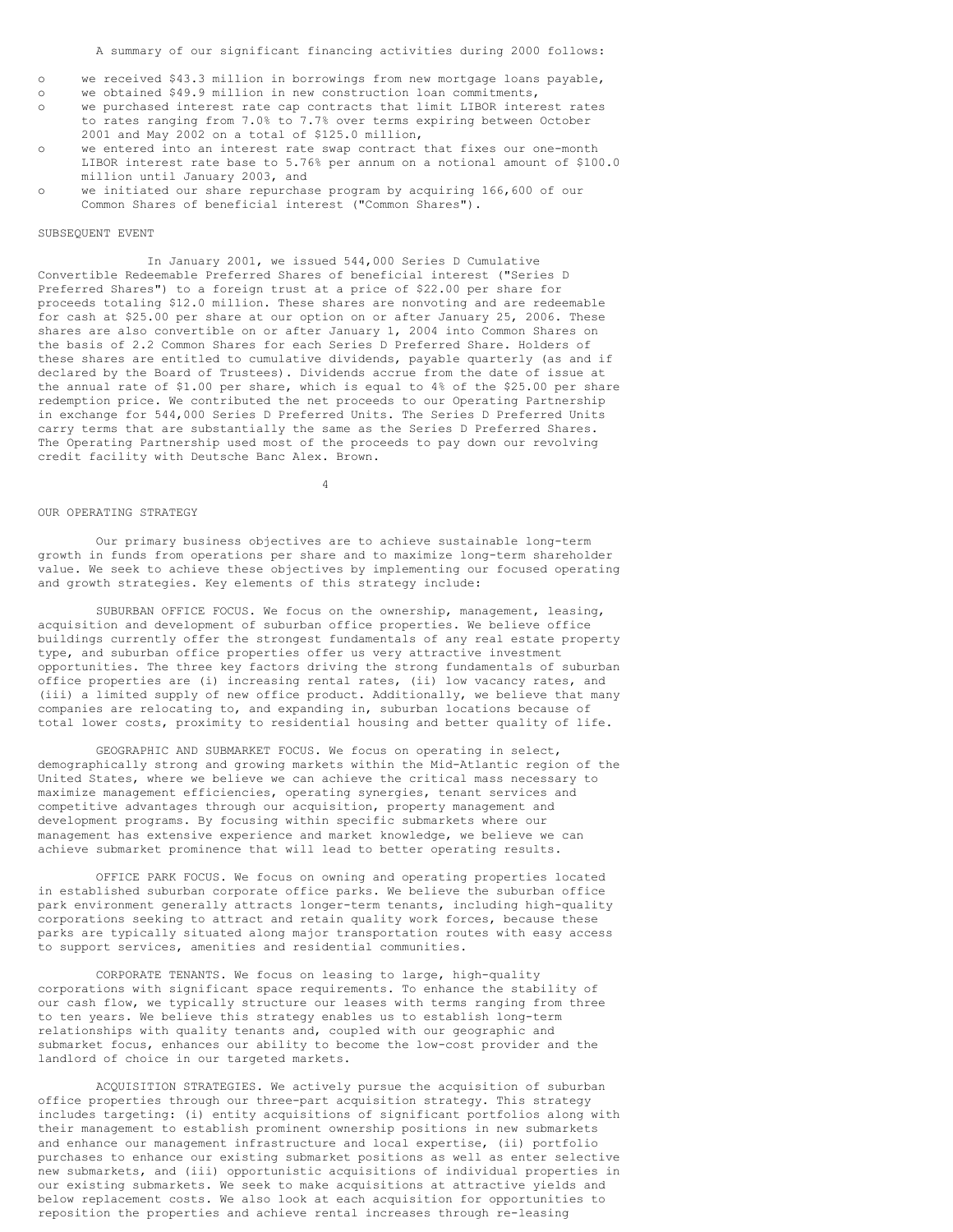A summary of our significant financing activities during 2000 follows:

- o we received \$43.3 million in borrowings from new mortgage loans payable,
- o we obtained \$49.9 million in new construction loan commitments,
- o we purchased interest rate cap contracts that limit LIBOR interest rates to rates ranging from 7.0% to 7.7% over terms expiring between October 2001 and May 2002 on a total of \$125.0 million,
- o we entered into an interest rate swap contract that fixes our one-month LIBOR interest rate base to 5.76% per annum on a notional amount of \$100.0 million until January 2003, and
- o we initiated our share repurchase program by acquiring 166,600 of our Common Shares of beneficial interest ("Common Shares").

#### SUBSEQUENT EVENT

In January 2001, we issued 544,000 Series D Cumulative Convertible Redeemable Preferred Shares of beneficial interest ("Series D Preferred Shares") to a foreign trust at a price of \$22.00 per share for proceeds totaling \$12.0 million. These shares are nonvoting and are redeemable for cash at \$25.00 per share at our option on or after January 25, 2006. These shares are also convertible on or after January 1, 2004 into Common Shares on the basis of 2.2 Common Shares for each Series D Preferred Share. Holders of these shares are entitled to cumulative dividends, payable quarterly (as and if declared by the Board of Trustees). Dividends accrue from the date of issue at the annual rate of \$1.00 per share, which is equal to 4% of the \$25.00 per share redemption price. We contributed the net proceeds to our Operating Partnership in exchange for 544,000 Series D Preferred Units. The Series D Preferred Units carry terms that are substantially the same as the Series D Preferred Shares. The Operating Partnership used most of the proceeds to pay down our revolving credit facility with Deutsche Banc Alex. Brown.

## OUR OPERATING STRATEGY

Our primary business objectives are to achieve sustainable long-term growth in funds from operations per share and to maximize long-term shareholder value. We seek to achieve these objectives by implementing our focused operating and growth strategies. Key elements of this strategy include:

4

SUBURBAN OFFICE FOCUS. We focus on the ownership, management, leasing, acquisition and development of suburban office properties. We believe office buildings currently offer the strongest fundamentals of any real estate property type, and suburban office properties offer us very attractive investment opportunities. The three key factors driving the strong fundamentals of suburban office properties are (i) increasing rental rates, (ii) low vacancy rates, and (iii) a limited supply of new office product. Additionally, we believe that many companies are relocating to, and expanding in, suburban locations because of total lower costs, proximity to residential housing and better quality of life.

GEOGRAPHIC AND SUBMARKET FOCUS. We focus on operating in select, demographically strong and growing markets within the Mid-Atlantic region of the United States, where we believe we can achieve the critical mass necessary to maximize management efficiencies, operating synergies, tenant services and competitive advantages through our acquisition, property management and development programs. By focusing within specific submarkets where our management has extensive experience and market knowledge, we believe we can achieve submarket prominence that will lead to better operating results.

OFFICE PARK FOCUS. We focus on owning and operating properties located in established suburban corporate office parks. We believe the suburban office park environment generally attracts longer-term tenants, including high-quality corporations seeking to attract and retain quality work forces, because these parks are typically situated along major transportation routes with easy access to support services, amenities and residential communities.

CORPORATE TENANTS. We focus on leasing to large, high-quality corporations with significant space requirements. To enhance the stability of our cash flow, we typically structure our leases with terms ranging from three to ten years. We believe this strategy enables us to establish long-term relationships with quality tenants and, coupled with our geographic and submarket focus, enhances our ability to become the low-cost provider and the landlord of choice in our targeted markets.

ACQUISITION STRATEGIES. We actively pursue the acquisition of suburban office properties through our three-part acquisition strategy. This strategy includes targeting: (i) entity acquisitions of significant portfolios along with their management to establish prominent ownership positions in new submarkets and enhance our management infrastructure and local expertise, (ii) portfolio purchases to enhance our existing submarket positions as well as enter selective new submarkets, and (iii) opportunistic acquisitions of individual properties in our existing submarkets. We seek to make acquisitions at attractive yields and below replacement costs. We also look at each acquisition for opportunities to reposition the properties and achieve rental increases through re-leasing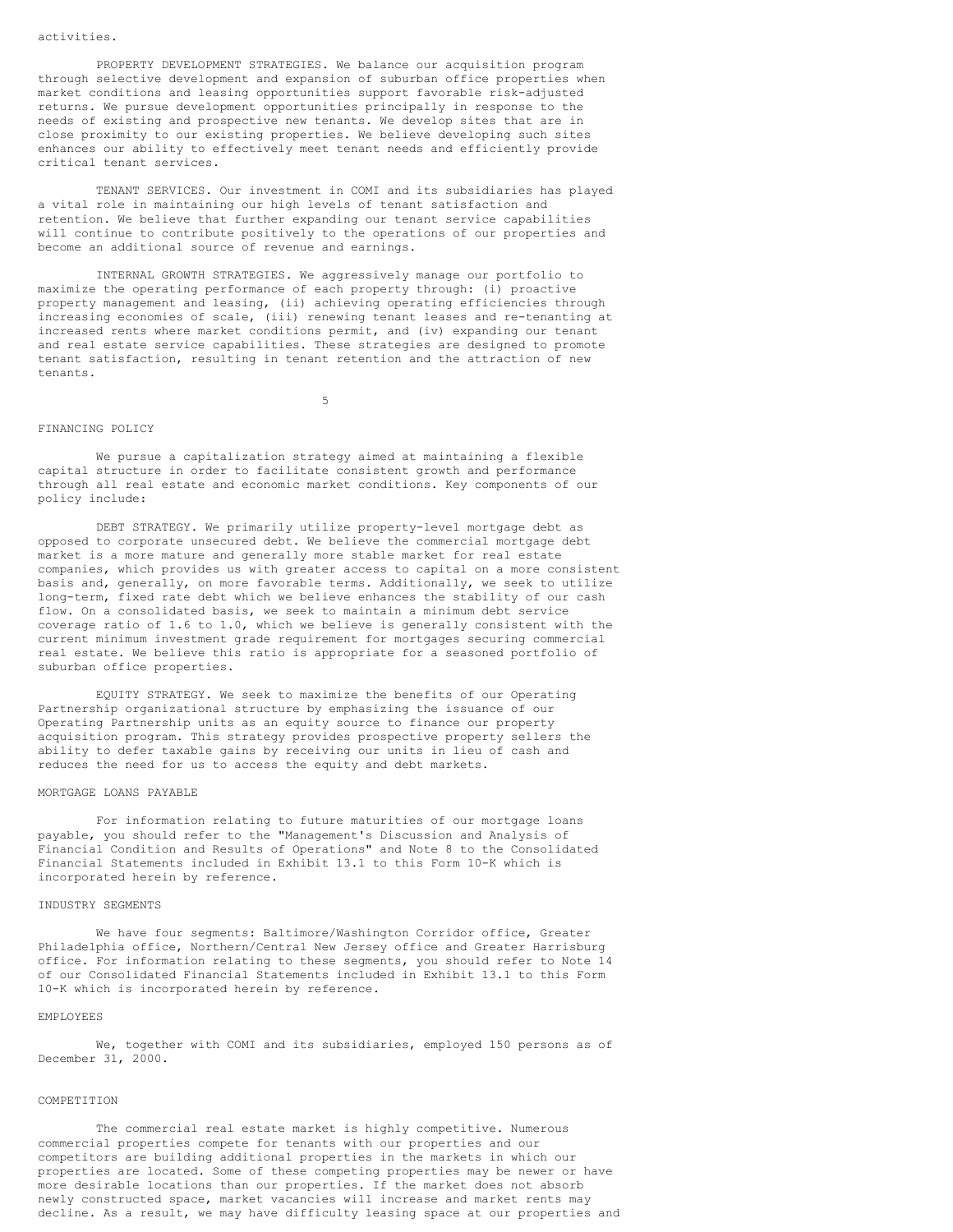PROPERTY DEVELOPMENT STRATEGIES. We balance our acquisition program through selective development and expansion of suburban office properties when market conditions and leasing opportunities support favorable risk-adjusted returns. We pursue development opportunities principally in response to the needs of existing and prospective new tenants. We develop sites that are in close proximity to our existing properties. We believe developing such sites enhances our ability to effectively meet tenant needs and efficiently provide critical tenant services.

TENANT SERVICES. Our investment in COMI and its subsidiaries has played a vital role in maintaining our high levels of tenant satisfaction and retention. We believe that further expanding our tenant service capabilities will continue to contribute positively to the operations of our properties and become an additional source of revenue and earnings.

INTERNAL GROWTH STRATEGIES. We aggressively manage our portfolio to maximize the operating performance of each property through: (i) proactive property management and leasing, (ii) achieving operating efficiencies through increasing economies of scale, (iii) renewing tenant leases and re-tenanting at increased rents where market conditions permit, and (iv) expanding our tenant and real estate service capabilities. These strategies are designed to promote tenant satisfaction, resulting in tenant retention and the attraction of new tenants.

5

## FINANCING POLICY

We pursue a capitalization strategy aimed at maintaining a flexible capital structure in order to facilitate consistent growth and performance through all real estate and economic market conditions. Key components of our policy include:

DEBT STRATEGY. We primarily utilize property-level mortgage debt as opposed to corporate unsecured debt. We believe the commercial mortgage debt market is a more mature and generally more stable market for real estate companies, which provides us with greater access to capital on a more consistent basis and, generally, on more favorable terms. Additionally, we seek to utilize long-term, fixed rate debt which we believe enhances the stability of our cash flow. On a consolidated basis, we seek to maintain a minimum debt service coverage ratio of 1.6 to 1.0, which we believe is generally consistent with the current minimum investment grade requirement for mortgages securing commercial real estate. We believe this ratio is appropriate for a seasoned portfolio of suburban office properties.

EQUITY STRATEGY. We seek to maximize the benefits of our Operating Partnership organizational structure by emphasizing the issuance of our Operating Partnership units as an equity source to finance our property acquisition program. This strategy provides prospective property sellers the ability to defer taxable gains by receiving our units in lieu of cash and reduces the need for us to access the equity and debt markets.

## MORTGAGE LOANS PAYABLE

For information relating to future maturities of our mortgage loans payable, you should refer to the "Management's Discussion and Analysis of Financial Condition and Results of Operations" and Note 8 to the Consolidated Financial Statements included in Exhibit 13.1 to this Form 10-K which is incorporated herein by reference.

# INDUSTRY SEGMENTS

We have four segments: Baltimore/Washington Corridor office, Greater Philadelphia office, Northern/Central New Jersey office and Greater Harrisburg office. For information relating to these segments, you should refer to Note 14 of our Consolidated Financial Statements included in Exhibit 13.1 to this Form 10-K which is incorporated herein by reference.

#### EMPLOYEES

We, together with COMI and its subsidiaries, employed 150 persons as of December 31, 2000.

## **COMPETITION**

The commercial real estate market is highly competitive. Numerous commercial properties compete for tenants with our properties and our competitors are building additional properties in the markets in which our properties are located. Some of these competing properties may be newer or have more desirable locations than our properties. If the market does not absorb newly constructed space, market vacancies will increase and market rents may decline. As a result, we may have difficulty leasing space at our properties and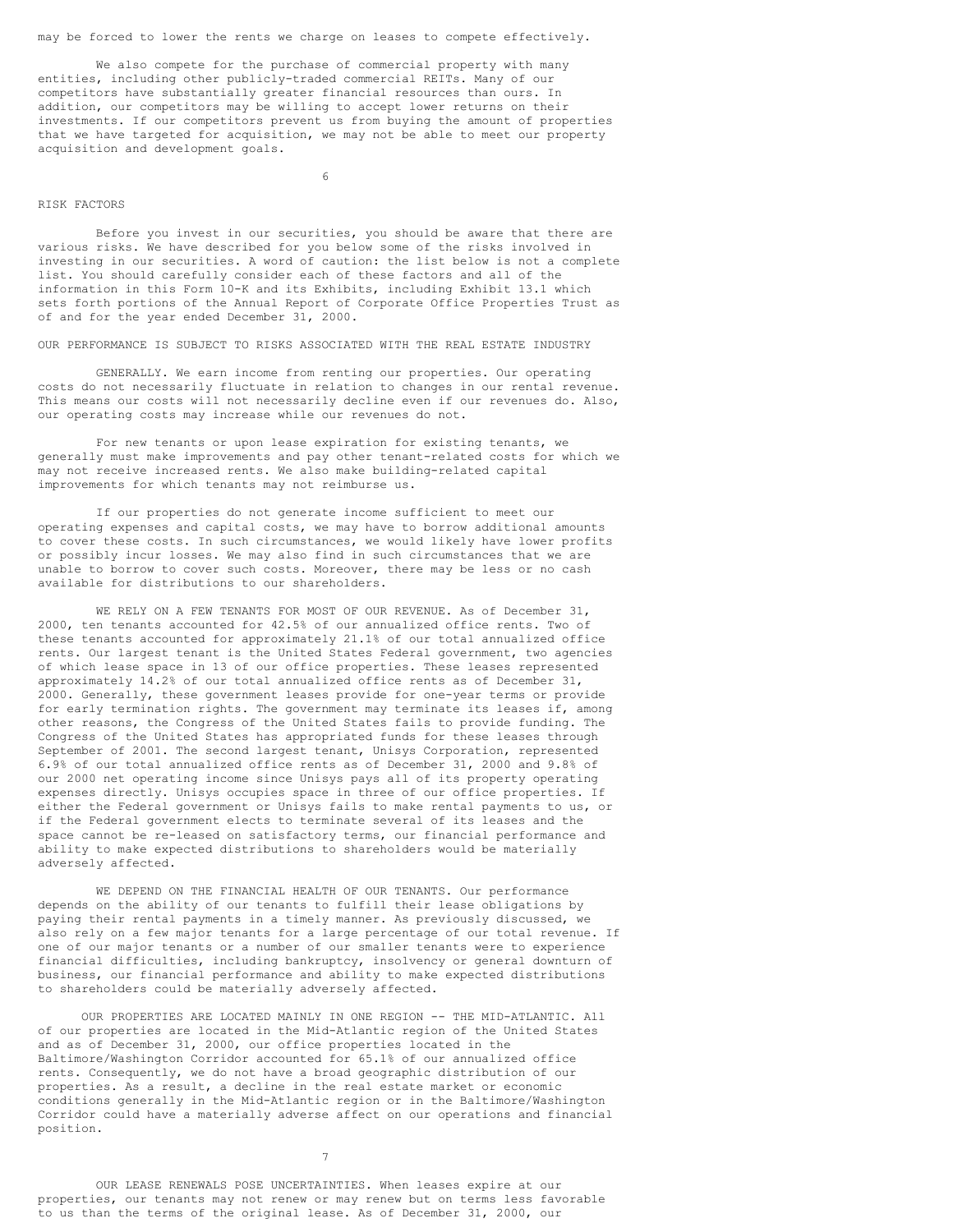may be forced to lower the rents we charge on leases to compete effectively.

We also compete for the purchase of commercial property with many entities, including other publicly-traded commercial REITs. Many of our competitors have substantially greater financial resources than ours. In addition, our competitors may be willing to accept lower returns on their investments. If our competitors prevent us from buying the amount of properties that we have targeted for acquisition, we may not be able to meet our property acquisition and development goals.

6

# RISK FACTORS

Before you invest in our securities, you should be aware that there are various risks. We have described for you below some of the risks involved in investing in our securities. A word of caution: the list below is not a complete list. You should carefully consider each of these factors and all of the information in this Form 10-K and its Exhibits, including Exhibit 13.1 which sets forth portions of the Annual Report of Corporate Office Properties Trust as of and for the year ended December 31, 2000.

OUR PERFORMANCE IS SUBJECT TO RISKS ASSOCIATED WITH THE REAL ESTATE INDUSTRY

GENERALLY. We earn income from renting our properties. Our operating costs do not necessarily fluctuate in relation to changes in our rental revenue. This means our costs will not necessarily decline even if our revenues do. Also, our operating costs may increase while our revenues do not.

For new tenants or upon lease expiration for existing tenants, we generally must make improvements and pay other tenant-related costs for which we may not receive increased rents. We also make building-related capital improvements for which tenants may not reimburse us.

If our properties do not generate income sufficient to meet our operating expenses and capital costs, we may have to borrow additional amounts to cover these costs. In such circumstances, we would likely have lower profits or possibly incur losses. We may also find in such circumstances that we are unable to borrow to cover such costs. Moreover, there may be less or no cash available for distributions to our shareholders.

WE RELY ON A FEW TENANTS FOR MOST OF OUR REVENUE. As of December 31, 2000, ten tenants accounted for 42.5% of our annualized office rents. Two of these tenants accounted for approximately 21.1% of our total annualized office rents. Our largest tenant is the United States Federal government, two agencies of which lease space in 13 of our office properties. These leases represented approximately 14.2% of our total annualized office rents as of December 31, 2000. Generally, these government leases provide for one-year terms or provide for early termination rights. The government may terminate its leases if, among other reasons, the Congress of the United States fails to provide funding. The Congress of the United States has appropriated funds for these leases through September of 2001. The second largest tenant, Unisys Corporation, represented 6.9% of our total annualized office rents as of December 31, 2000 and 9.8% of our 2000 net operating income since Unisys pays all of its property operating expenses directly. Unisys occupies space in three of our office properties. If either the Federal government or Unisys fails to make rental payments to us, or if the Federal government elects to terminate several of its leases and the space cannot be re-leased on satisfactory terms, our financial performance and ability to make expected distributions to shareholders would be materially adversely affected.

WE DEPEND ON THE FINANCIAL HEALTH OF OUR TENANTS. Our performance depends on the ability of our tenants to fulfill their lease obligations by paying their rental payments in a timely manner. As previously discussed, we also rely on a few major tenants for a large percentage of our total revenue. If one of our major tenants or a number of our smaller tenants were to experience financial difficulties, including bankruptcy, insolvency or general downturn of business, our financial performance and ability to make expected distributions to shareholders could be materially adversely affected.

OUR PROPERTIES ARE LOCATED MAINLY IN ONE REGION -- THE MID-ATLANTIC. All of our properties are located in the Mid-Atlantic region of the United States and as of December 31, 2000, our office properties located in the Baltimore/Washington Corridor accounted for 65.1% of our annualized office rents. Consequently, we do not have a broad geographic distribution of our properties. As a result, a decline in the real estate market or economic conditions generally in the Mid-Atlantic region or in the Baltimore/Washington Corridor could have a materially adverse affect on our operations and financial position.

7

OUR LEASE RENEWALS POSE UNCERTAINTIES. When leases expire at our properties, our tenants may not renew or may renew but on terms less favorable to us than the terms of the original lease. As of December 31, 2000, our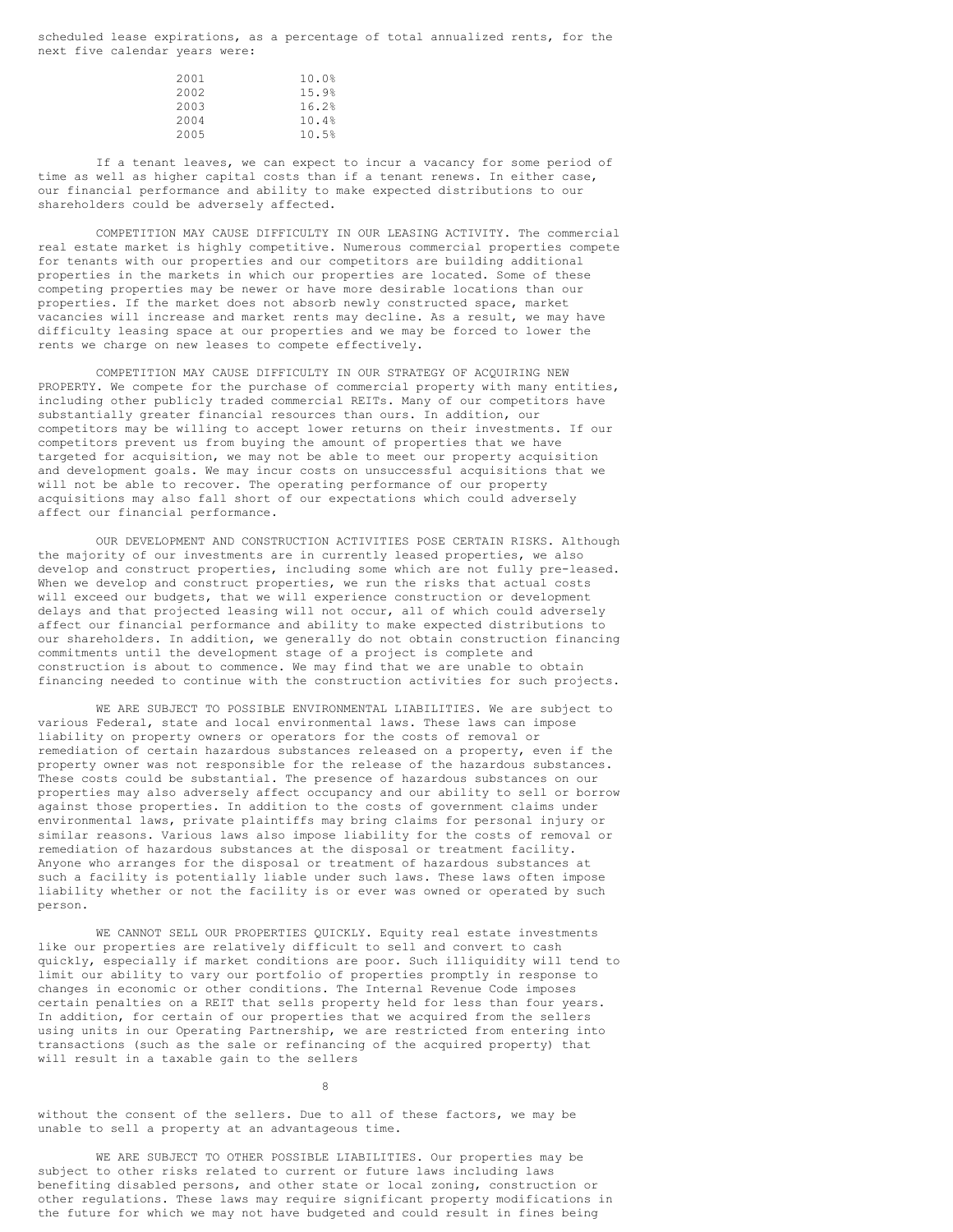scheduled lease expirations, as a percentage of total annualized rents, for the next five calendar years were:

| 2001 | 10.0% |
|------|-------|
| 2002 | 15.9% |
| 2003 | 16.2% |
| 2004 | 10.4% |
| 2005 | 10.5% |

If a tenant leaves, we can expect to incur a vacancy for some period of time as well as higher capital costs than if a tenant renews. In either case, our financial performance and ability to make expected distributions to our shareholders could be adversely affected.

COMPETITION MAY CAUSE DIFFICULTY IN OUR LEASING ACTIVITY. The commercial real estate market is highly competitive. Numerous commercial properties compete for tenants with our properties and our competitors are building additional properties in the markets in which our properties are located. Some of these competing properties may be newer or have more desirable locations than our properties. If the market does not absorb newly constructed space, market vacancies will increase and market rents may decline. As a result, we may have difficulty leasing space at our properties and we may be forced to lower the rents we charge on new leases to compete effectively.

COMPETITION MAY CAUSE DIFFICULTY IN OUR STRATEGY OF ACQUIRING NEW PROPERTY. We compete for the purchase of commercial property with many entities, including other publicly traded commercial REITs. Many of our competitors have substantially greater financial resources than ours. In addition, our competitors may be willing to accept lower returns on their investments. If our competitors prevent us from buying the amount of properties that we have targeted for acquisition, we may not be able to meet our property acquisition and development goals. We may incur costs on unsuccessful acquisitions that we will not be able to recover. The operating performance of our property acquisitions may also fall short of our expectations which could adversely affect our financial performance.

OUR DEVELOPMENT AND CONSTRUCTION ACTIVITIES POSE CERTAIN RISKS. Although the majority of our investments are in currently leased properties, we also develop and construct properties, including some which are not fully pre-leased. When we develop and construct properties, we run the risks that actual costs will exceed our budgets, that we will experience construction or development delays and that projected leasing will not occur, all of which could adversely affect our financial performance and ability to make expected distributions to our shareholders. In addition, we generally do not obtain construction financing commitments until the development stage of a project is complete and construction is about to commence. We may find that we are unable to obtain financing needed to continue with the construction activities for such projects.

WE ARE SUBJECT TO POSSIBLE ENVIRONMENTAL LIABILITIES. We are subject to various Federal, state and local environmental laws. These laws can impose liability on property owners or operators for the costs of removal or remediation of certain hazardous substances released on a property, even if the property owner was not responsible for the release of the hazardous substances. These costs could be substantial. The presence of hazardous substances on our properties may also adversely affect occupancy and our ability to sell or borrow against those properties. In addition to the costs of government claims under environmental laws, private plaintiffs may bring claims for personal injury or similar reasons. Various laws also impose liability for the costs of removal or remediation of hazardous substances at the disposal or treatment facility. Anyone who arranges for the disposal or treatment of hazardous substances at such a facility is potentially liable under such laws. These laws often impose liability whether or not the facility is or ever was owned or operated by such person.

WE CANNOT SELL OUR PROPERTIES QUICKLY. Equity real estate investments like our properties are relatively difficult to sell and convert to cash quickly, especially if market conditions are poor. Such illiquidity will tend to limit our ability to vary our portfolio of properties promptly in response to changes in economic or other conditions. The Internal Revenue Code imposes certain penalties on a REIT that sells property held for less than four years. In addition, for certain of our properties that we acquired from the sellers using units in our Operating Partnership, we are restricted from entering into transactions (such as the sale or refinancing of the acquired property) that will result in a taxable gain to the sellers

8

without the consent of the sellers. Due to all of these factors, we may be unable to sell a property at an advantageous time.

WE ARE SUBJECT TO OTHER POSSIBLE LIABILITIES. Our properties may be subject to other risks related to current or future laws including laws benefiting disabled persons, and other state or local zoning, construction or other regulations. These laws may require significant property modifications in the future for which we may not have budgeted and could result in fines being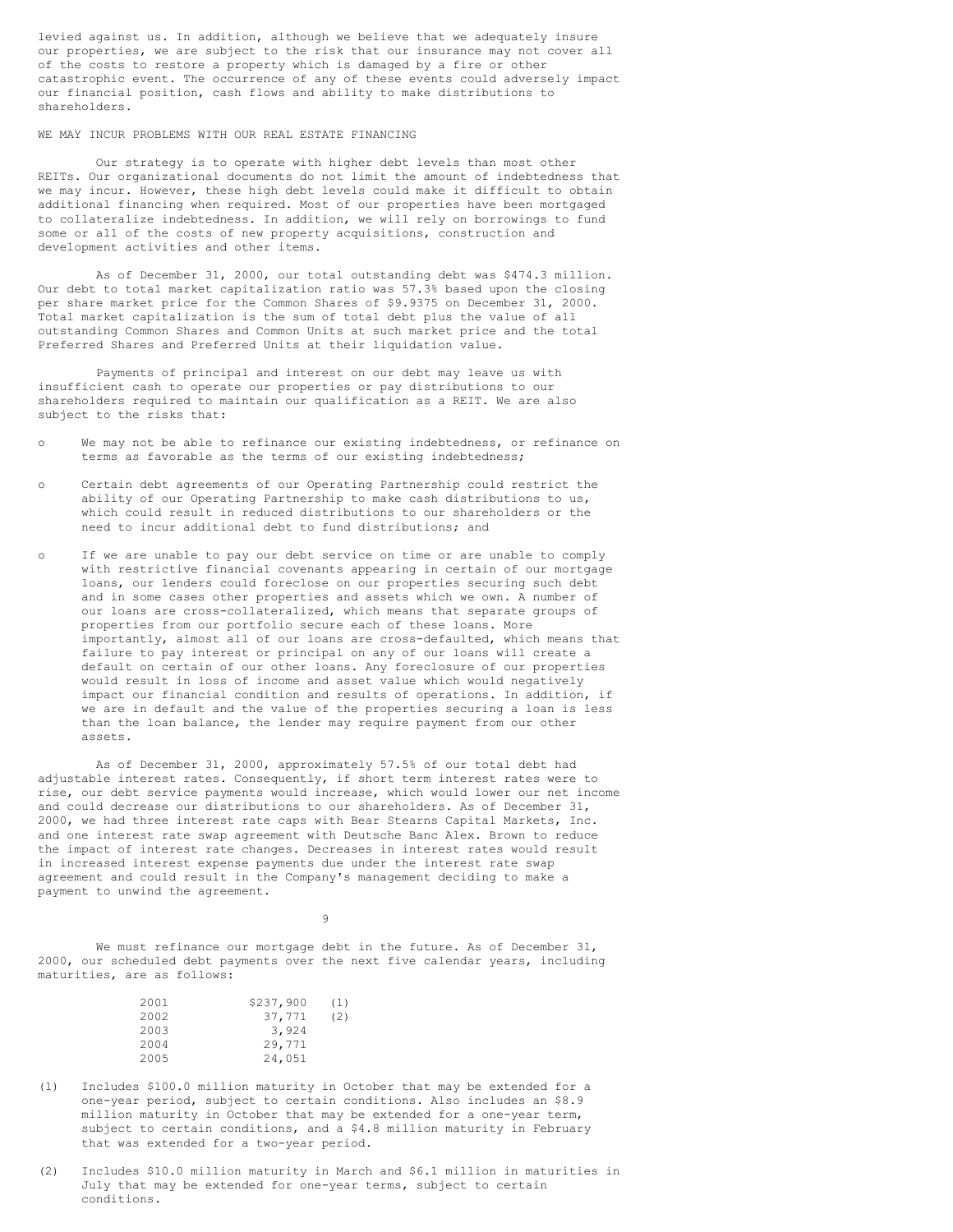levied against us. In addition, although we believe that we adequately insure our properties, we are subject to the risk that our insurance may not cover all of the costs to restore a property which is damaged by a fire or other catastrophic event. The occurrence of any of these events could adversely impact our financial position, cash flows and ability to make distributions to shareholders.

WE MAY INCUR PROBLEMS WITH OUR REAL ESTATE FINANCING

Our strategy is to operate with higher debt levels than most other REITs. Our organizational documents do not limit the amount of indebtedness that we may incur. However, these high debt levels could make it difficult to obtain additional financing when required. Most of our properties have been mortgaged to collateralize indebtedness. In addition, we will rely on borrowings to fund some or all of the costs of new property acquisitions, construction and development activities and other items.

As of December 31, 2000, our total outstanding debt was \$474.3 million. Our debt to total market capitalization ratio was 57.3% based upon the closing per share market price for the Common Shares of \$9.9375 on December 31, 2000. Total market capitalization is the sum of total debt plus the value of all outstanding Common Shares and Common Units at such market price and the total Preferred Shares and Preferred Units at their liquidation value.

Payments of principal and interest on our debt may leave us with insufficient cash to operate our properties or pay distributions to our shareholders required to maintain our qualification as a REIT. We are also subject to the risks that:

- o We may not be able to refinance our existing indebtedness, or refinance on terms as favorable as the terms of our existing indebtedness;
- o Certain debt agreements of our Operating Partnership could restrict the ability of our Operating Partnership to make cash distributions to us, which could result in reduced distributions to our shareholders or the need to incur additional debt to fund distributions; and
- o If we are unable to pay our debt service on time or are unable to comply with restrictive financial covenants appearing in certain of our mortgage loans, our lenders could foreclose on our properties securing such debt and in some cases other properties and assets which we own. A number of our loans are cross-collateralized, which means that separate groups of properties from our portfolio secure each of these loans. More importantly, almost all of our loans are cross-defaulted, which means that failure to pay interest or principal on any of our loans will create a default on certain of our other loans. Any foreclosure of our properties would result in loss of income and asset value which would negatively impact our financial condition and results of operations. In addition, if we are in default and the value of the properties securing a loan is less than the loan balance, the lender may require payment from our other assets.

As of December 31, 2000, approximately 57.5% of our total debt had adjustable interest rates. Consequently, if short term interest rates were to rise, our debt service payments would increase, which would lower our net income and could decrease our distributions to our shareholders. As of December 31, 2000, we had three interest rate caps with Bear Stearns Capital Markets, Inc. and one interest rate swap agreement with Deutsche Banc Alex. Brown to reduce the impact of interest rate changes. Decreases in interest rates would result in increased interest expense payments due under the interest rate swap agreement and could result in the Company's management deciding to make a payment to unwind the agreement.

9

We must refinance our mortgage debt in the future. As of December 31, 2000, our scheduled debt payments over the next five calendar years, including maturities, are as follows:

| 2001 | \$237,900 | (1) |
|------|-----------|-----|
| 2002 | 37,771    | (2) |
| 2003 | 3,924     |     |
| 2004 | 29,771    |     |
| 2005 | 24,051    |     |

- (1) Includes \$100.0 million maturity in October that may be extended for a one-year period, subject to certain conditions. Also includes an \$8.9 million maturity in October that may be extended for a one-year term, subject to certain conditions, and a \$4.8 million maturity in February that was extended for a two-year period.
- (2) Includes \$10.0 million maturity in March and \$6.1 million in maturities in July that may be extended for one-year terms, subject to certain conditions.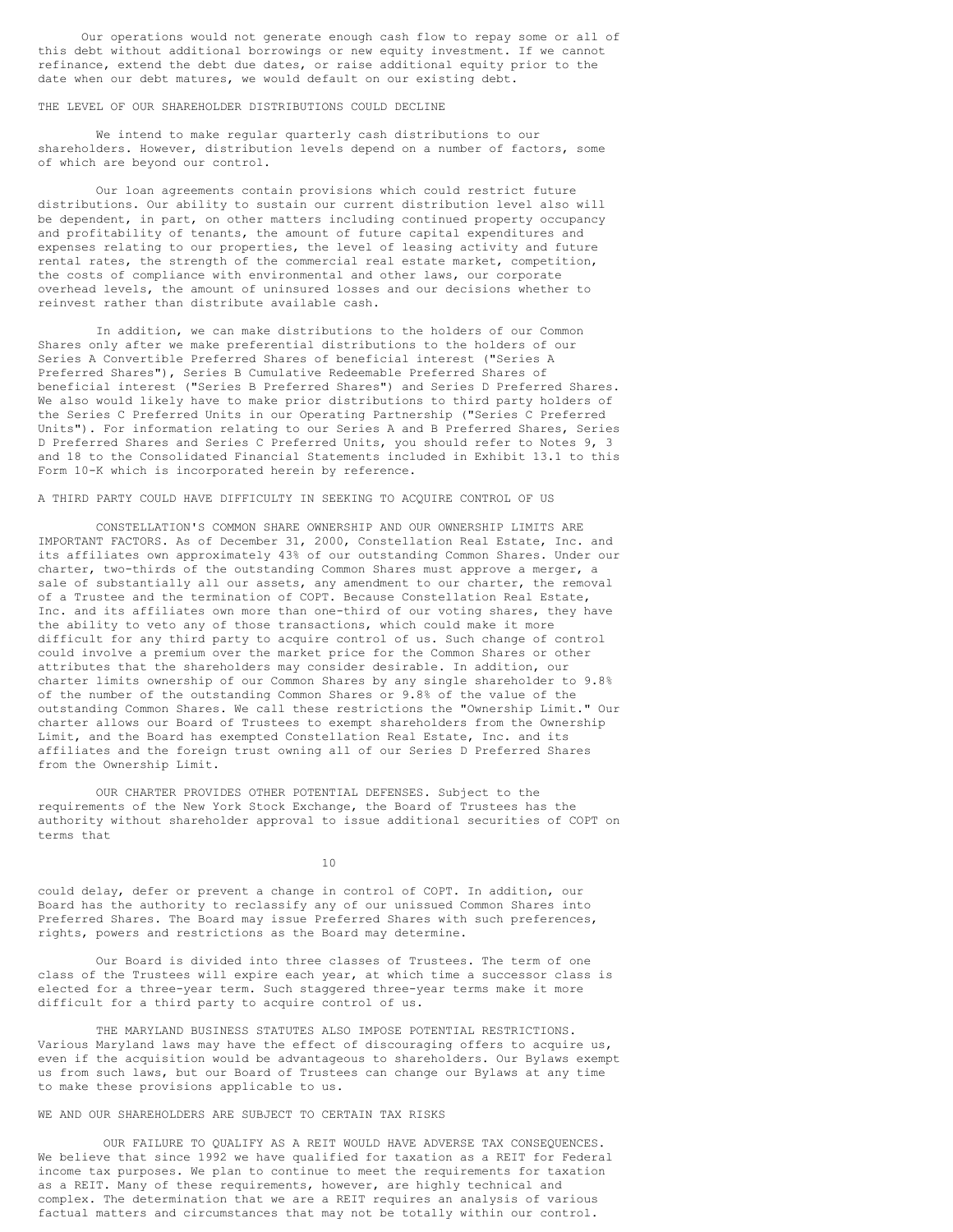Our operations would not generate enough cash flow to repay some or all of this debt without additional borrowings or new equity investment. If we cannot refinance, extend the debt due dates, or raise additional equity prior to the date when our debt matures, we would default on our existing debt.

THE LEVEL OF OUR SHAREHOLDER DISTRIBUTIONS COULD DECLINE

We intend to make regular quarterly cash distributions to our shareholders. However, distribution levels depend on a number of factors, some of which are beyond our control.

Our loan agreements contain provisions which could restrict future distributions. Our ability to sustain our current distribution level also will be dependent, in part, on other matters including continued property occupancy and profitability of tenants, the amount of future capital expenditures and expenses relating to our properties, the level of leasing activity and future rental rates, the strength of the commercial real estate market, competition, the costs of compliance with environmental and other laws, our corporate overhead levels, the amount of uninsured losses and our decisions whether to reinvest rather than distribute available cash.

In addition, we can make distributions to the holders of our Common Shares only after we make preferential distributions to the holders of our Series A Convertible Preferred Shares of beneficial interest ("Series A Preferred Shares"), Series B Cumulative Redeemable Preferred Shares of beneficial interest ("Series B Preferred Shares") and Series D Preferred Shares. We also would likely have to make prior distributions to third party holders of the Series C Preferred Units in our Operating Partnership ("Series C Preferred Units"). For information relating to our Series A and B Preferred Shares, Series D Preferred Shares and Series C Preferred Units, you should refer to Notes 9, 3 and 18 to the Consolidated Financial Statements included in Exhibit 13.1 to this Form 10-K which is incorporated herein by reference.

#### A THIRD PARTY COULD HAVE DIFFICULTY IN SEEKING TO ACQUIRE CONTROL OF US

CONSTELLATION'S COMMON SHARE OWNERSHIP AND OUR OWNERSHIP LIMITS ARE IMPORTANT FACTORS. As of December 31, 2000, Constellation Real Estate, Inc. and its affiliates own approximately 43% of our outstanding Common Shares. Under our charter, two-thirds of the outstanding Common Shares must approve a merger, a sale of substantially all our assets, any amendment to our charter, the removal of a Trustee and the termination of COPT. Because Constellation Real Estate, Inc. and its affiliates own more than one-third of our voting shares, they have the ability to veto any of those transactions, which could make it more difficult for any third party to acquire control of us. Such change of control could involve a premium over the market price for the Common Shares or other attributes that the shareholders may consider desirable. In addition, our charter limits ownership of our Common Shares by any single shareholder to 9.8% of the number of the outstanding Common Shares or 9.8% of the value of the outstanding Common Shares. We call these restrictions the "Ownership Limit." Our charter allows our Board of Trustees to exempt shareholders from the Ownership Limit, and the Board has exempted Constellation Real Estate, Inc. and its affiliates and the foreign trust owning all of our Series D Preferred Shares from the Ownership Limit.

OUR CHARTER PROVIDES OTHER POTENTIAL DEFENSES. Subject to the requirements of the New York Stock Exchange, the Board of Trustees has the authority without shareholder approval to issue additional securities of COPT on terms that

10

could delay, defer or prevent a change in control of COPT. In addition, our Board has the authority to reclassify any of our unissued Common Shares into Preferred Shares. The Board may issue Preferred Shares with such preferences, rights, powers and restrictions as the Board may determine.

Our Board is divided into three classes of Trustees. The term of one class of the Trustees will expire each year, at which time a successor class is elected for a three-year term. Such staggered three-year terms make it more difficult for a third party to acquire control of us.

THE MARYLAND BUSINESS STATUTES ALSO IMPOSE POTENTIAL RESTRICTIONS. Various Maryland laws may have the effect of discouraging offers to acquire us, even if the acquisition would be advantageous to shareholders. Our Bylaws exempt us from such laws, but our Board of Trustees can change our Bylaws at any time to make these provisions applicable to us.

# WE AND OUR SHAREHOLDERS ARE SUBJECT TO CERTAIN TAX RISKS

OUR FAILURE TO QUALIFY AS A REIT WOULD HAVE ADVERSE TAX CONSEQUENCES. We believe that since 1992 we have qualified for taxation as a REIT for Federal income tax purposes. We plan to continue to meet the requirements for taxation as a REIT. Many of these requirements, however, are highly technical and complex. The determination that we are a REIT requires an analysis of various factual matters and circumstances that may not be totally within our control.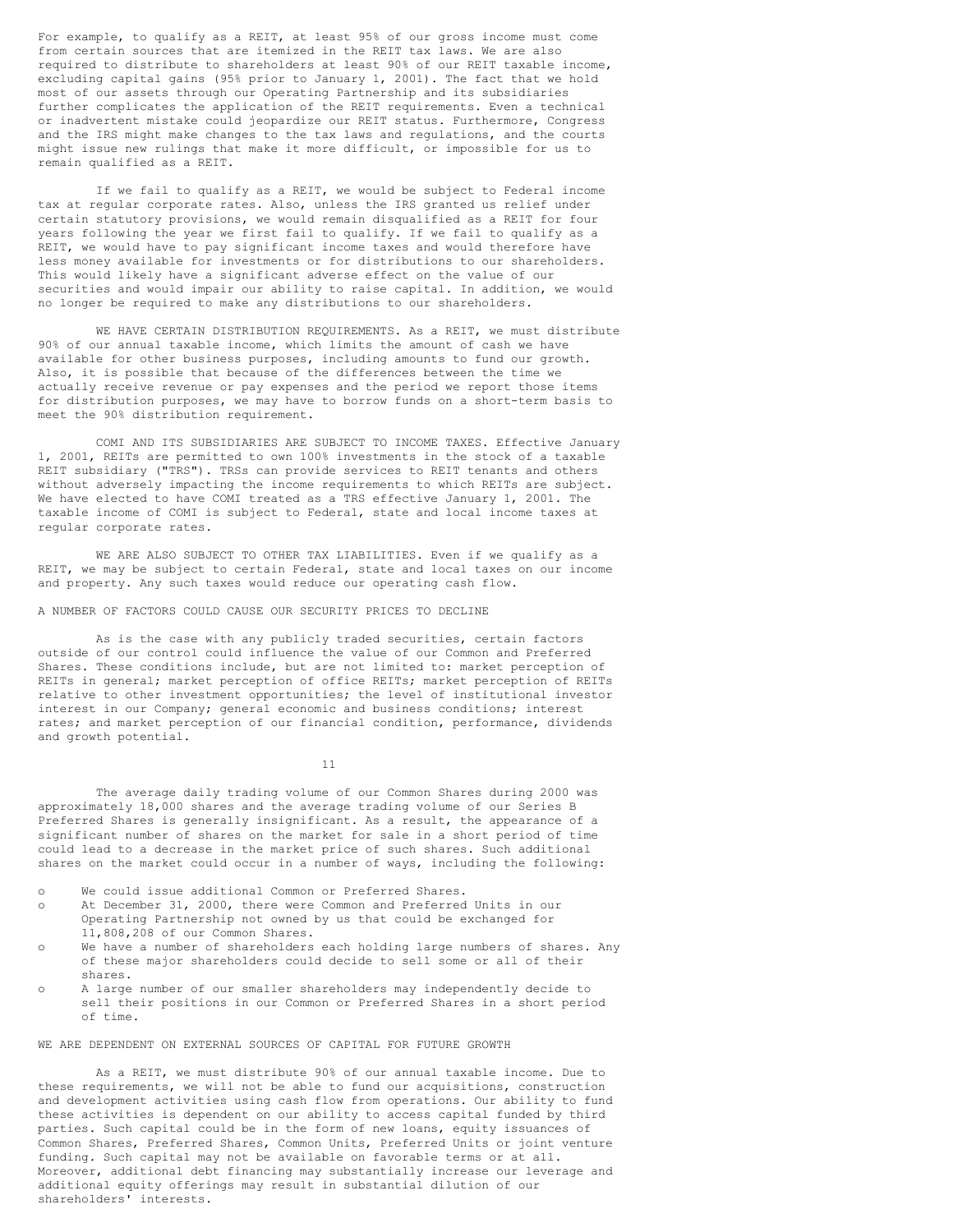For example, to qualify as a REIT, at least 95% of our gross income must come from certain sources that are itemized in the REIT tax laws. We are also required to distribute to shareholders at least 90% of our REIT taxable income, excluding capital gains (95% prior to January 1, 2001). The fact that we hold most of our assets through our Operating Partnership and its subsidiaries further complicates the application of the REIT requirements. Even a technical or inadvertent mistake could jeopardize our REIT status. Furthermore, Congress and the IRS might make changes to the tax laws and regulations, and the courts might issue new rulings that make it more difficult, or impossible for us to remain qualified as a REIT.

If we fail to qualify as a REIT, we would be subject to Federal income tax at regular corporate rates. Also, unless the IRS granted us relief under certain statutory provisions, we would remain disqualified as a REIT for four years following the year we first fail to qualify. If we fail to qualify as a REIT, we would have to pay significant income taxes and would therefore have less money available for investments or for distributions to our shareholders. This would likely have a significant adverse effect on the value of our securities and would impair our ability to raise capital. In addition, we would no longer be required to make any distributions to our shareholders.

WE HAVE CERTAIN DISTRIBUTION REQUIREMENTS. As a REIT, we must distribute 90% of our annual taxable income, which limits the amount of cash we have available for other business purposes, including amounts to fund our growth. Also, it is possible that because of the differences between the time we actually receive revenue or pay expenses and the period we report those items for distribution purposes, we may have to borrow funds on a short-term basis to meet the 90% distribution requirement.

COMI AND ITS SUBSIDIARIES ARE SUBJECT TO INCOME TAXES. Effective January 1, 2001, REITs are permitted to own 100% investments in the stock of a taxable REIT subsidiary ("TRS"). TRSs can provide services to REIT tenants and others without adversely impacting the income requirements to which REITs are subject. We have elected to have COMI treated as a TRS effective January 1, 2001. The taxable income of COMI is subject to Federal, state and local income taxes at regular corporate rates.

WE ARE ALSO SUBJECT TO OTHER TAX LIABILITIES. Even if we qualify as a REIT, we may be subject to certain Federal, state and local taxes on our income and property. Any such taxes would reduce our operating cash flow.

A NUMBER OF FACTORS COULD CAUSE OUR SECURITY PRICES TO DECLINE

As is the case with any publicly traded securities, certain factors outside of our control could influence the value of our Common and Preferred Shares. These conditions include, but are not limited to: market perception of REITs in general; market perception of office REITs; market perception of REITs relative to other investment opportunities; the level of institutional investor interest in our Company; general economic and business conditions; interest rates; and market perception of our financial condition, performance, dividends and growth potential.

11

The average daily trading volume of our Common Shares during 2000 was approximately 18,000 shares and the average trading volume of our Series B Preferred Shares is generally insignificant. As a result, the appearance of a significant number of shares on the market for sale in a short period of time could lead to a decrease in the market price of such shares. Such additional shares on the market could occur in a number of ways, including the following:

- o We could issue additional Common or Preferred Shares.
- o At December 31, 2000, there were Common and Preferred Units in our Operating Partnership not owned by us that could be exchanged for 11,808,208 of our Common Shares.
- o We have a number of shareholders each holding large numbers of shares. Any of these major shareholders could decide to sell some or all of their shares.
- o A large number of our smaller shareholders may independently decide to sell their positions in our Common or Preferred Shares in a short period of time.

# WE ARE DEPENDENT ON EXTERNAL SOURCES OF CAPITAL FOR FUTURE GROWTH

As a REIT, we must distribute 90% of our annual taxable income. Due to these requirements, we will not be able to fund our acquisitions, construction and development activities using cash flow from operations. Our ability to fund these activities is dependent on our ability to access capital funded by third parties. Such capital could be in the form of new loans, equity issuances of Common Shares, Preferred Shares, Common Units, Preferred Units or joint venture funding. Such capital may not be available on favorable terms or at all. Moreover, additional debt financing may substantially increase our leverage and additional equity offerings may result in substantial dilution of our shareholders' interests.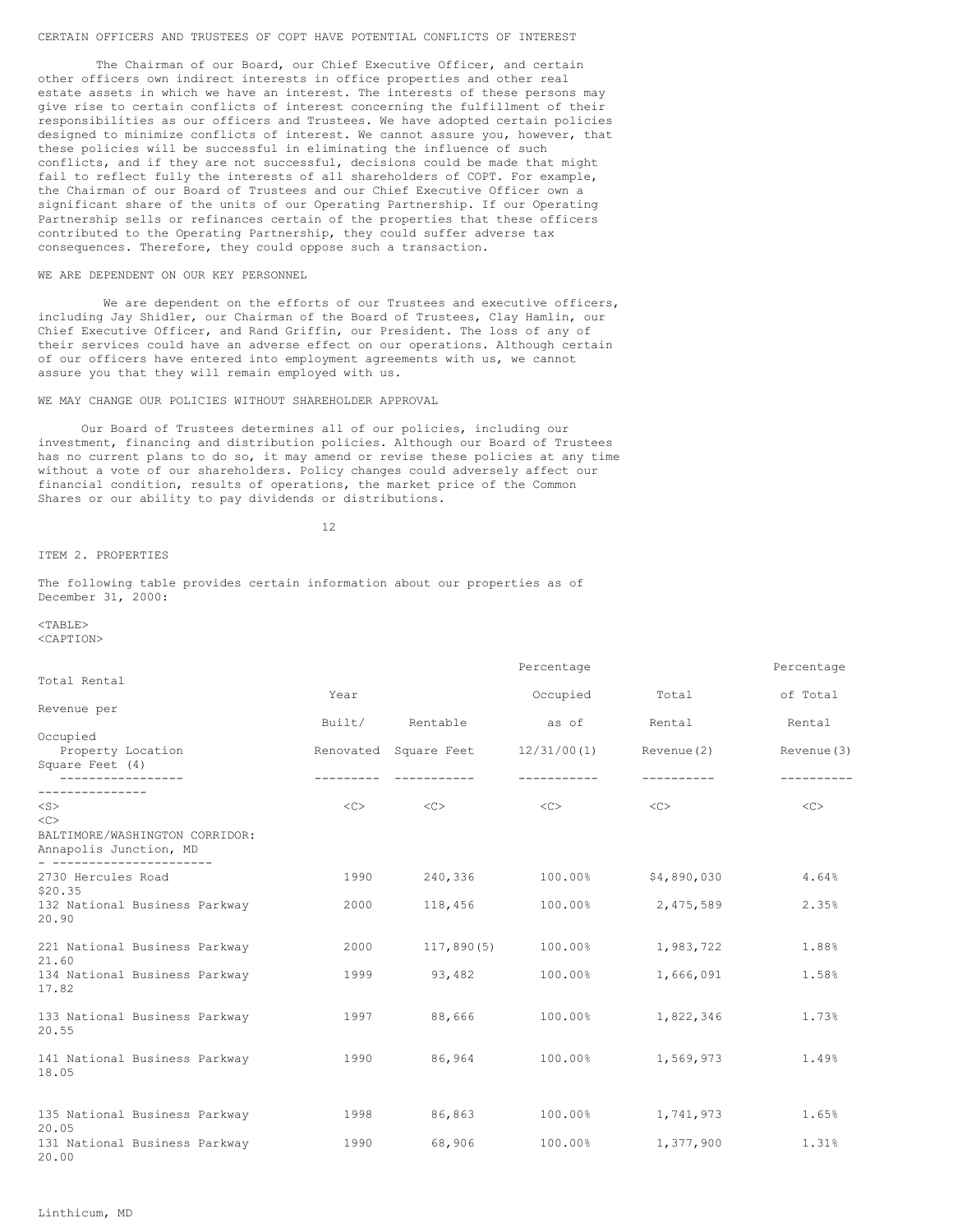#### CERTAIN OFFICERS AND TRUSTEES OF COPT HAVE POTENTIAL CONFLICTS OF INTEREST

The Chairman of our Board, our Chief Executive Officer, and certain other officers own indirect interests in office properties and other real estate assets in which we have an interest. The interests of these persons may give rise to certain conflicts of interest concerning the fulfillment of their responsibilities as our officers and Trustees. We have adopted certain policies designed to minimize conflicts of interest. We cannot assure you, however, that these policies will be successful in eliminating the influence of such conflicts, and if they are not successful, decisions could be made that might fail to reflect fully the interests of all shareholders of COPT. For example, the Chairman of our Board of Trustees and our Chief Executive Officer own a significant share of the units of our Operating Partnership. If our Operating Partnership sells or refinances certain of the properties that these officers contributed to the Operating Partnership, they could suffer adverse tax consequences. Therefore, they could oppose such a transaction.

# WE ARE DEPENDENT ON OUR KEY PERSONNEL

We are dependent on the efforts of our Trustees and executive officers, including Jay Shidler, our Chairman of the Board of Trustees, Clay Hamlin, our Chief Executive Officer, and Rand Griffin, our President. The loss of any of their services could have an adverse effect on our operations. Although certain of our officers have entered into employment agreements with us, we cannot assure you that they will remain employed with us.

# WE MAY CHANGE OUR POLICIES WITHOUT SHAREHOLDER APPROVAL

Our Board of Trustees determines all of our policies, including our investment, financing and distribution policies. Although our Board of Trustees has no current plans to do so, it may amend or revise these policies at any time without a vote of our shareholders. Policy changes could adversely affect our financial condition, results of operations, the market price of the Common Shares or our ability to pay dividends or distributions.

12

## ITEM 2. PROPERTIES

The following table provides certain information about our properties as of December 31, 2000:

# <TABLE>

<CAPTION>

|                                                                                                        |                     |                       | Percentage      |                     | Percentage  |
|--------------------------------------------------------------------------------------------------------|---------------------|-----------------------|-----------------|---------------------|-------------|
| Total Rental                                                                                           |                     |                       |                 |                     |             |
|                                                                                                        | Year                |                       | Occupied        | Total               | of Total    |
| Revenue per                                                                                            | Built/              | Rentable              | as of           | Rental              | Rental      |
| Occupied<br>Property Location<br>Square Feet (4)                                                       |                     | Renovated Square Feet | 12/31/00(1)     | Revenue (2)         | Revenue (3) |
|                                                                                                        |                     |                       |                 |                     |             |
| $<$ S $>$<br>$<\infty$<br>BALTIMORE/WASHINGTON CORRIDOR:<br>Annapolis Junction, MD<br>- -------------- | $\langle C \rangle$ | $<<$ $C>$             | $\langle$ C $>$ | $\langle C \rangle$ | <<          |
| 2730 Hercules Road<br>\$20.35                                                                          | 1990                | 240,336               | 100.00%         | \$4,890,030         | 4.64%       |
| 132 National Business Parkway<br>20.90                                                                 | 2000                | 118,456               | 100.00%         | 2,475,589           | 2.35%       |
| 221 National Business Parkway<br>21.60                                                                 | 2000                | 117,890(5)            | 100.00%         | 1,983,722           | 1.88%       |
| 134 National Business Parkway<br>17.82                                                                 | 1999                | 93,482                | 100.00%         | 1,666,091           | 1.58%       |
| 133 National Business Parkway<br>20.55                                                                 | 1997                | 88,666                | 100.00%         | 1,822,346           | 1.73%       |
| 141 National Business Parkway<br>18.05                                                                 | 1990                | 86,964                | 100.00%         | 1,569,973           | 1.49%       |
| 135 National Business Parkway<br>20.05                                                                 | 1998                | 86,863                | 100.00%         | 1,741,973           | 1.65%       |
| 131 National Business Parkway<br>20.00                                                                 | 1990                | 68,906                | 100.00%         | 1,377,900           | 1.31%       |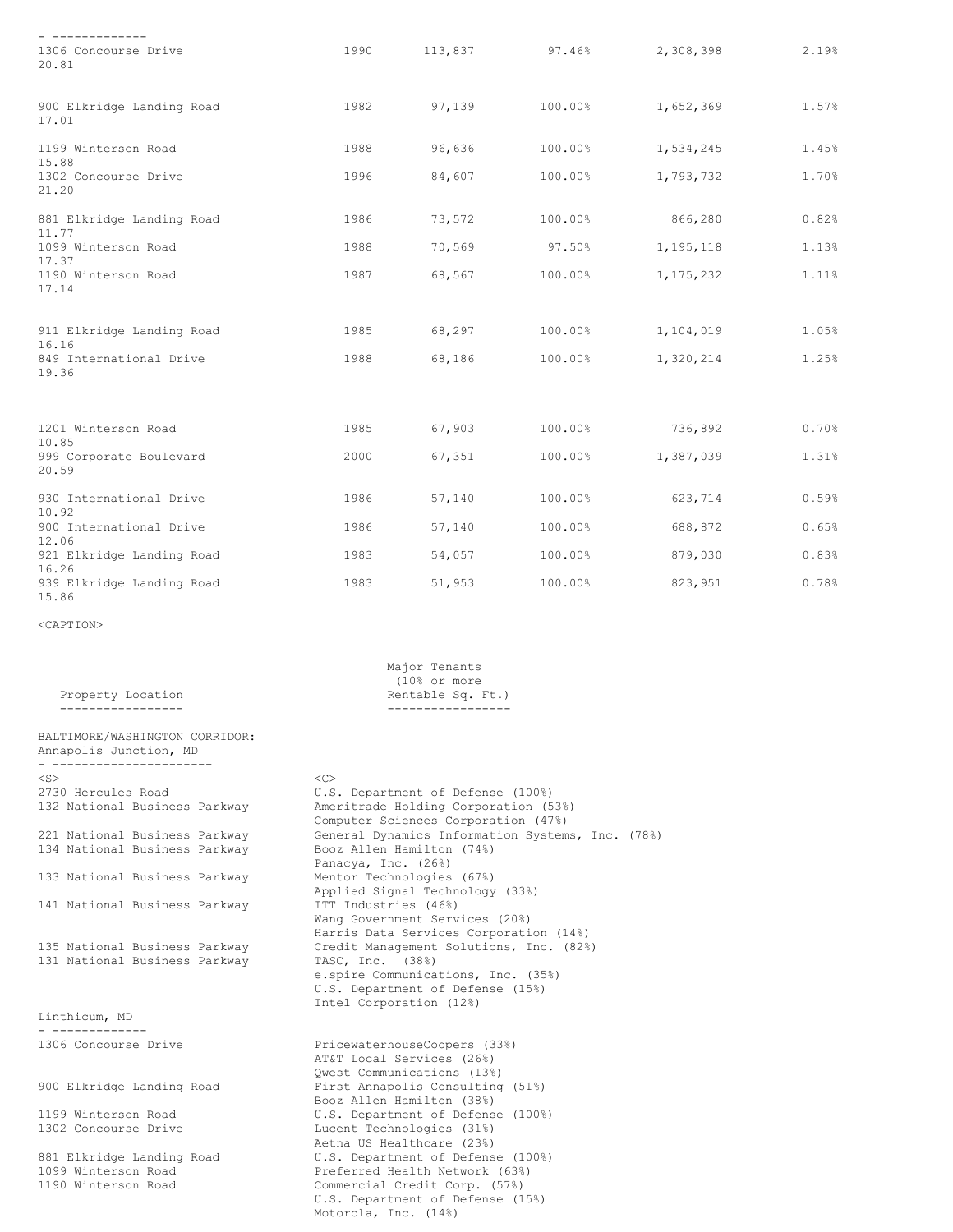| 1306 Concourse Drive<br>20.81               | 1990 | 113,837 | 97.46%  | 2,308,398   | 2.19% |
|---------------------------------------------|------|---------|---------|-------------|-------|
| 900 Elkridge Landing Road<br>17.01          | 1982 | 97,139  | 100.00% | 1,652,369   | 1.57% |
| 1199 Winterson Road                         | 1988 | 96,636  | 100.00% | 1,534,245   | 1.45% |
| 15.88<br>1302 Concourse Drive<br>21.20      | 1996 | 84,607  | 100.00% | 1,793,732   | 1.70% |
| 881 Elkridge Landing Road<br>11.77          | 1986 | 73,572  | 100.00% | 866,280     | 0.82% |
| 1099 Winterson Road<br>17.37                | 1988 | 70,569  | 97.50%  | 1,195,118   | 1.13% |
| 1190 Winterson Road<br>17.14                | 1987 | 68,567  | 100.00% | 1, 175, 232 | 1.11% |
| 911 Elkridge Landing Road                   | 1985 | 68,297  | 100.00% | 1,104,019   | 1.05% |
| 16.16<br>849 International Drive<br>19.36   | 1988 | 68,186  | 100.00% | 1,320,214   | 1.25% |
| 1201 Winterson Road                         | 1985 | 67,903  | 100.00% | 736,892     | 0.70% |
| 10.85<br>999 Corporate Boulevard<br>20.59   | 2000 | 67,351  | 100.00% | 1,387,039   | 1.31% |
| 930 International Drive                     | 1986 | 57,140  | 100.00% | 623,714     | 0.59% |
| 10.92<br>900 International Drive            | 1986 | 57,140  | 100.00% | 688,872     | 0.65% |
| 12.06<br>921 Elkridge Landing Road          | 1983 | 54,057  | 100.00% | 879,030     | 0.83% |
| 16.26<br>939 Elkridge Landing Road<br>15.86 | 1983 | 51,953  | 100.00% | 823,951     | 0.78% |
|                                             |      |         |         |             |       |

<CAPTION>

- -------------

Major Tenants (10% or more Property Location **Rentable Sq. Ft.)** ----------------- -----------------

Annapolis Junction, MD - ----------------------  $\langle$ S>  $\langle$ C> 134 National Business Parkway Booz Allen Hamilton (74%) 133 National Business Parkway Mentor Technologies (67%) 141 National Business Parkway 131 National Business Parkway

BALTIMORE/WASHINGTON CORRIDOR:

Linthicum, MD - -------------<br>1306 Concourse Drive

2730 Hercules Road U.S. Department of Defense (100%) Ameritrade Holding Corporation (53%) Computer Sciences Corporation (47%) 221 National Business Parkway General Dynamics Information Systems, Inc. (78%) Panacya, Inc. (26%) Applied Signal Technology (33%)<br>ITT Industries (46%) Wang Government Services (20%) Harris Data Services Corporation (14%) 135 National Business Parkway Credit Management Solutions, Inc. (82%)<br>131 National Business Parkway TASC, Inc. (38%) e.spire Communications, Inc. (35%) U.S. Department of Defense (15%) Intel Corporation (12%)

PricewaterhouseCoopers (33%) AT&T Local Services (26%) Qwest Communications (13%) 900 Elkridge Landing Road First Annapolis Consulting (51%) Booz Allen Hamilton (38%) 1199 Winterson Road U.S. Department of Defense (100%)<br>1302 Concourse Drive Lucent Technologies (31%) Lucent Technologies (31%) Aetna US Healthcare (23%) 881 Elkridge Landing Road U.S. Department of Defense (100%)<br>1099 Winterson Road Preferred Health Network (63%) 1099 Winterson Road Preferred Health Network (63%) Commercial Credit Corp. (57%) U.S. Department of Defense (15%) Motorola, Inc. (14%)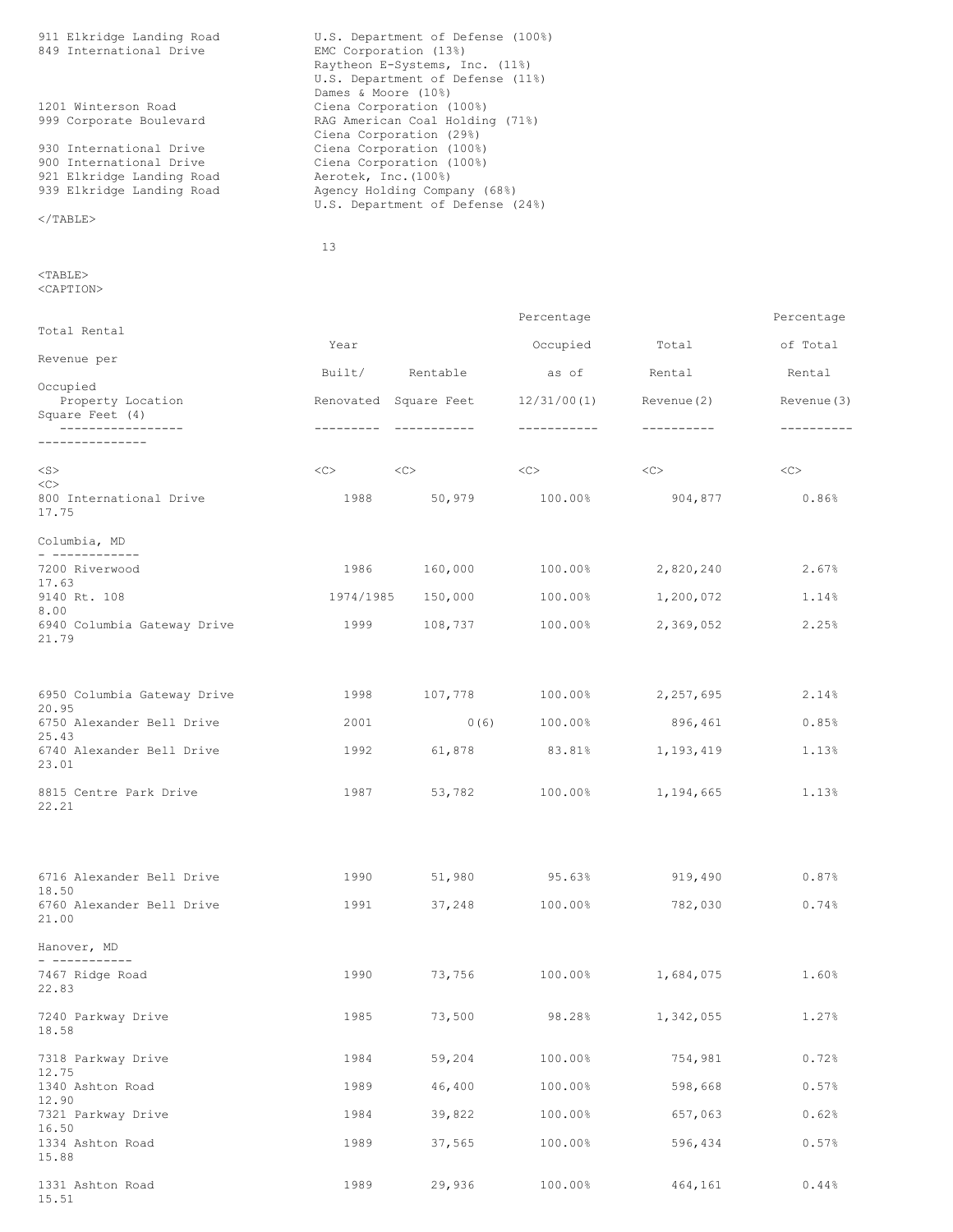849 International Drive 1201 Winterson Road Ciena Corporation (100%)<br>999 Corporate Boulevard RAG American Coal Holdin 930 International Drive Ciena Corporation (100%) 900 International Drive Ciena Corporation (100%) 921 Elkridge Landing Road Aerotek, Inc. (100%)<br>939 Elkridge Landing Road Agency Holding Compa 939 Elkridge Landing Road and Agency Holding Company (68%)

</TABLE>

13

<TABLE> <CAPTION>

|                                                  |           |                       | Percentage  |             | Percentage  |
|--------------------------------------------------|-----------|-----------------------|-------------|-------------|-------------|
| Total Rental                                     | Year      |                       | Occupied    | Total       | of Total    |
| Revenue per                                      |           | Built/ Rentable       | as of       | Rental      | Rental      |
| Occupied<br>Property Location<br>Square Feet (4) |           | Renovated Square Feet | 12/31/00(1) | Revenue (2) | Revenue (3) |
| -----------------<br>---------------             | --------- | -----------           | ----------- | ----------  | ----------  |
| $<$ S $>$<br><<                                  | <<        | <<                    | <<          | <<          | <<          |
| 800 International Drive<br>17.75                 | 1988      | 50,979                | 100.00%     | 904,877     | 0.86%       |
| Columbia, MD<br>- ------------                   |           |                       |             |             |             |
| 7200 Riverwood<br>17.63                          | 1986      | 160,000               | 100.00%     | 2,820,240   | 2.67%       |
| 9140 Rt. 108<br>8.00                             | 1974/1985 | 150,000               | 100.00%     | 1,200,072   | 1.14%       |
| 6940 Columbia Gateway Drive<br>21.79             | 1999      | 108,737               | 100.00%     | 2,369,052   | 2.25%       |
| 6950 Columbia Gateway Drive<br>20.95             | 1998      | 107,778               | 100.00%     | 2,257,695   | 2.14%       |
| 6750 Alexander Bell Drive<br>25.43               | 2001      | 0(6)                  | 100.00%     | 896,461     | 0.85%       |
| 6740 Alexander Bell Drive<br>23.01               | 1992      | 61,878                | 83.81%      | 1,193,419   | 1.13%       |
| 8815 Centre Park Drive<br>22.21                  | 1987      | 53,782                | 100.00%     | 1,194,665   | 1.13%       |
| 6716 Alexander Bell Drive<br>18.50               | 1990      | 51,980                | 95.63%      | 919,490     | 0.87%       |
| 6760 Alexander Bell Drive<br>21.00               | 1991      | 37,248                | 100.00%     | 782,030     | 0.74%       |
| Hanover, MD<br>------------                      |           |                       |             |             |             |
| 7467 Ridge Road<br>22.83                         | 1990      | 73,756                | 100.00%     | 1,684,075   | 1.60%       |
| 7240 Parkway Drive<br>18.58                      | 1985      | 73,500                | 98.28%      | 1,342,055   | 1.27%       |
| 7318 Parkway Drive<br>12.75                      | 1984      | 59,204                | 100.00%     | 754,981     | 0.72%       |
| 1340 Ashton Road<br>12.90                        | 1989      | 46,400                | 100.00%     | 598,668     | 0.57%       |
| 7321 Parkway Drive<br>16.50                      | 1984      | 39,822                | 100.00%     | 657,063     | 0.62%       |
| 1334 Ashton Road<br>15.88                        | 1989      | 37,565                | 100.00%     | 596,434     | 0.57%       |
| 1331 Ashton Road<br>15.51                        | 1989      | 29,936                | 100.00%     | 464,161     | 0.44%       |

911 Elkridge Landing Road U.S. Department of Defense (100%)<br>849 International Drive EMC Corporation (13%) Raytheon E-Systems, Inc. (11%) U.S. Department of Defense (11%) Dames & Moore (10%) 999 Corporate Boulevard RAG American Coal Holding (71%) Ciena Corporation (29%) U.S. Department of Defense (24%)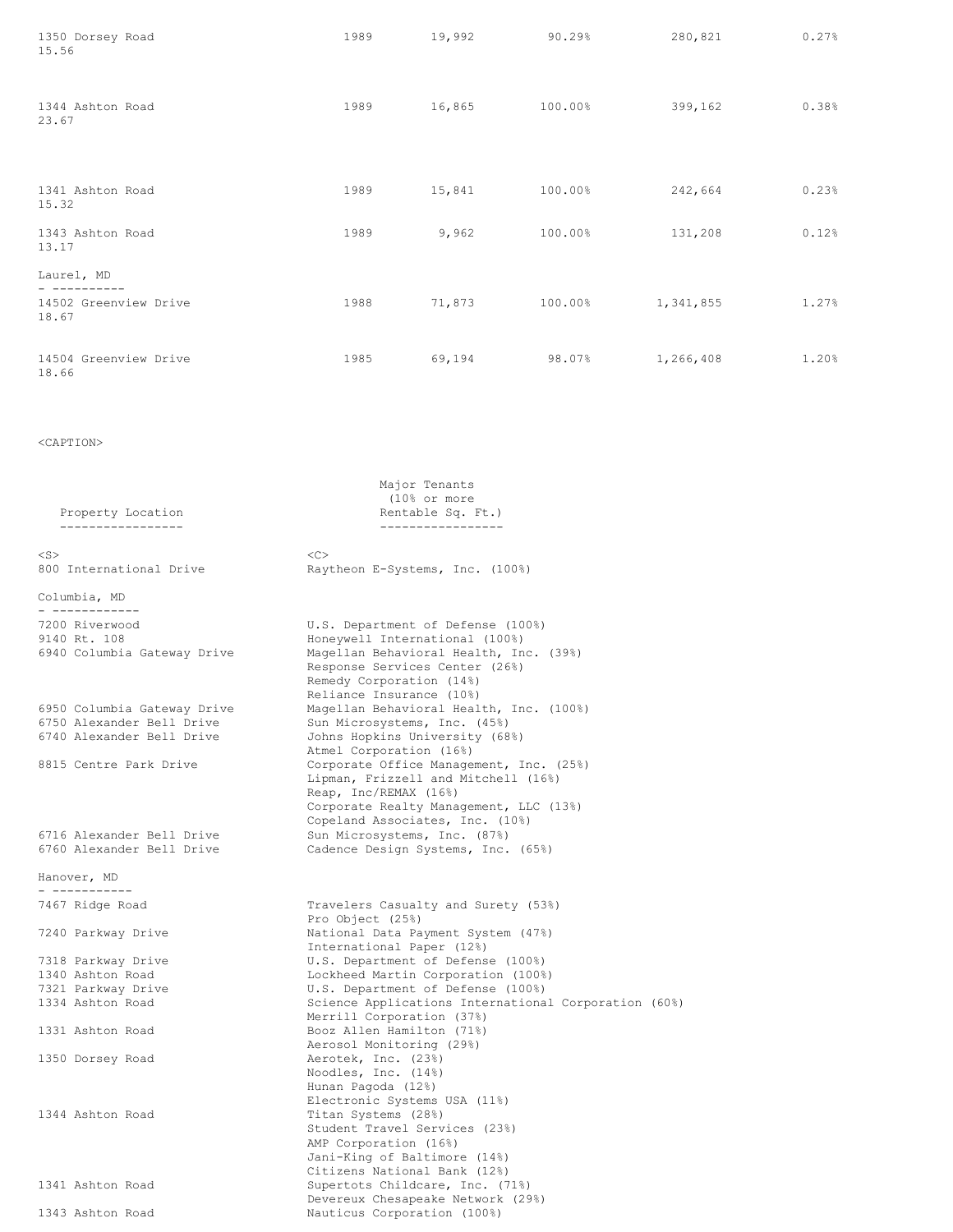| 1350 Dorsey Road<br>15.56      | 1989 | 19,992 | 90.29%  | 280,821   | 0.27% |
|--------------------------------|------|--------|---------|-----------|-------|
| 1344 Ashton Road<br>23.67      | 1989 | 16,865 | 100.00% | 399,162   | 0.38% |
| 1341 Ashton Road<br>15.32      | 1989 | 15,841 | 100.00% | 242,664   | 0.23% |
| 1343 Ashton Road<br>13.17      | 1989 | 9,962  | 100.00% | 131,208   | 0.12% |
| Laurel, MD                     |      |        |         |           |       |
| 14502 Greenview Drive<br>18.67 | 1988 | 71,873 | 100.00% | 1,341,855 | 1.27% |
| 14504 Greenview Drive<br>18.66 | 1985 | 69,194 | 98.07%  | 1,266,408 | 1.20% |

<CAPTION>

| Property Location<br>. <u>.</u> .                        | Major Tenants<br>$(108$ or more<br>Rentable Sq. Ft.)<br>. <u>.</u> .                                                                                                                 |
|----------------------------------------------------------|--------------------------------------------------------------------------------------------------------------------------------------------------------------------------------------|
| <s></s>                                                  | <<                                                                                                                                                                                   |
| 800 International Drive                                  | Raytheon E-Systems, Inc. (100%)                                                                                                                                                      |
| Columbia, MD<br>- ------------                           |                                                                                                                                                                                      |
| 7200 Riverwood                                           | U.S. Department of Defense (100%)                                                                                                                                                    |
| 9140 Rt. 108                                             | Honeywell International (100%)                                                                                                                                                       |
| 6940 Columbia Gateway Drive                              | Magellan Behavioral Health, Inc. (39%)<br>Response Services Center (26%)<br>Remedy Corporation (14%)                                                                                 |
|                                                          | Reliance Insurance (10%)                                                                                                                                                             |
| 6950 Columbia Gateway Drive<br>6750 Alexander Bell Drive | Magellan Behavioral Health, Inc. (100%)                                                                                                                                              |
| 6740 Alexander Bell Drive                                | Sun Microsystems, Inc. (45%)<br>Johns Hopkins University (68%)                                                                                                                       |
|                                                          | Atmel Corporation (16%)                                                                                                                                                              |
| 8815 Centre Park Drive                                   | Corporate Office Management, Inc. (25%)<br>Lipman, Frizzell and Mitchell (16%)<br>Reap, Inc/REMAX (16%)<br>Corporate Realty Management, LLC (13%)<br>Copeland Associates, Inc. (10%) |
| 6716 Alexander Bell Drive                                | Sun Microsystems, Inc. (87%)                                                                                                                                                         |
| 6760 Alexander Bell Drive                                | Cadence Design Systems, Inc. (65%)                                                                                                                                                   |
| Hanover, MD                                              |                                                                                                                                                                                      |
| - -----------                                            |                                                                                                                                                                                      |
| 7467 Ridge Road                                          | Travelers Casualty and Surety (53%)                                                                                                                                                  |
| 7240 Parkway Drive                                       | Pro Object (25%)<br>National Data Payment System (47%)                                                                                                                               |
|                                                          | International Paper (12%)                                                                                                                                                            |
| 7318 Parkway Drive                                       | U.S. Department of Defense (100%)                                                                                                                                                    |
| 1340 Ashton Road                                         | Lockheed Martin Corporation (100%)                                                                                                                                                   |
| 7321 Parkway Drive                                       | U.S. Department of Defense (100%)                                                                                                                                                    |
| 1334 Ashton Road                                         | Science Applications International Corporation (60%)                                                                                                                                 |
|                                                          | Merrill Corporation (37%)                                                                                                                                                            |
| 1331 Ashton Road                                         | Booz Allen Hamilton (71%)                                                                                                                                                            |
| 1350 Dorsey Road                                         | Aerosol Monitoring (29%)                                                                                                                                                             |
|                                                          | Aerotek, Inc. (23%)<br>Noodles, Inc. (14%)                                                                                                                                           |
|                                                          | Hunan Pagoda (12%)                                                                                                                                                                   |
|                                                          | Electronic Systems USA (11%)                                                                                                                                                         |
| 1344 Ashton Road                                         | Titan Systems (28%)                                                                                                                                                                  |
|                                                          | Student Travel Services (23%)                                                                                                                                                        |
|                                                          | AMP Corporation (16%)                                                                                                                                                                |
|                                                          | Jani-King of Baltimore (14%)                                                                                                                                                         |
|                                                          | Citizens National Bank (12%)                                                                                                                                                         |
| 1341 Ashton Road                                         | Supertots Childcare, Inc. (71%)                                                                                                                                                      |
|                                                          | Devereux Chesapeake Network (29%)                                                                                                                                                    |
| 1343 Ashton Road                                         | Nauticus Corporation (100%)                                                                                                                                                          |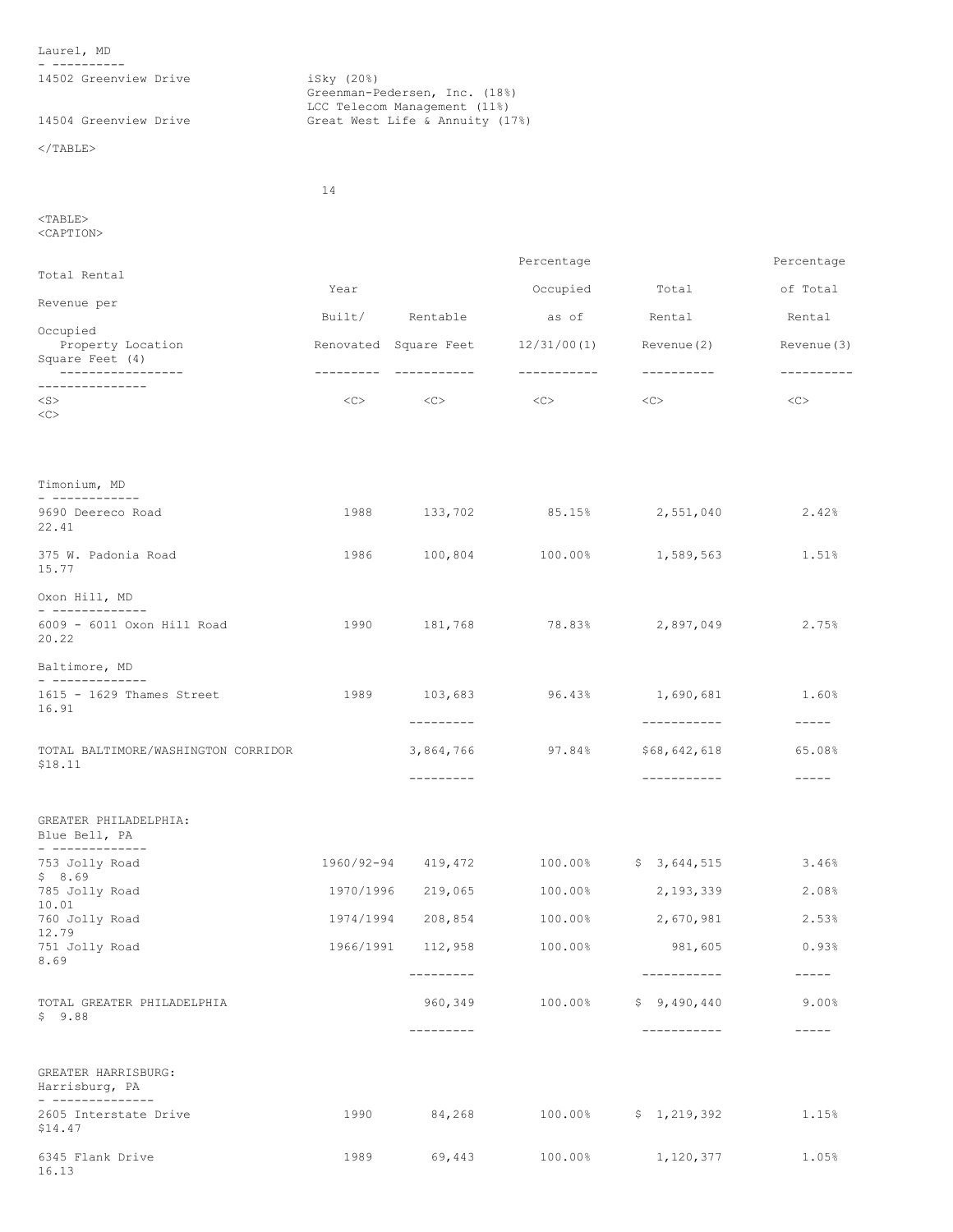Laurel, MD - ----------

14502 Greenview Drive iSky (20%)

Greenman-Pedersen, Inc. (18%) LCC Telecom Management (11%) 14504 Greenview Drive Charles Great West Life & Annuity (17%)

# </TABLE>

14

# <TABLE> <CAPTION>

| -<br>۰.<br>× | ٠ | 71 -<br>x<br>۰.<br>۰.<br>× |  |
|--------------|---|----------------------------|--|
|              |   |                            |  |

|                                                           |            |                                    | Percentage  |                                    | Percentage        |
|-----------------------------------------------------------|------------|------------------------------------|-------------|------------------------------------|-------------------|
| Total Rental                                              | Year       |                                    | Occupied    | Total                              | of Total          |
| Revenue per                                               | Built/     | Rentable                           | as of       | Rental                             | Rental            |
| Occupied<br>Property Location<br>Square Feet (4)          |            | Renovated Square Feet              |             | 12/31/00(1) Revenue(2)             | Revenue (3)       |
| -----------------<br>---------------                      | ---------- | ------------                       | ----------- | $-- - - - - - - - -$               | ----------        |
| $<$ S $>$<br><<                                           | <<>        | $<<$ $<$ $>$                       | <<>         | $<<$ $<$ $>$                       | <<                |
| Timonium, MD                                              |            |                                    |             |                                    |                   |
| - ------------<br>9690 Deereco Road<br>22.41              | 1988       | 133,702                            | 85.15%      | 2,551,040                          | 2.42%             |
| 375 W. Padonia Road<br>15.77                              | 1986       | 100,804                            |             | 100.00% 1,589,563                  | 1.51%             |
| Oxon Hill, MD<br>- -------------                          |            |                                    |             |                                    |                   |
| 6009 - 6011 Oxon Hill Road<br>20.22                       | 1990       | 181,768                            | 78.83%      | 2,897,049                          | 2.75%             |
| Baltimore, MD<br>- -------------                          |            |                                    |             |                                    |                   |
| $1615 - 1629$ Thames Street<br>16.91                      |            | 1989 103,683<br>$-- - - - - - - -$ |             | $96.43\%$ 1,690,681<br>----------- | 1.60%<br>$------$ |
| TOTAL BALTIMORE/WASHINGTON CORRIDOR                       |            | 3,864,766                          | 97.84%      | \$68,642,618                       | 65.08%            |
| \$18.11                                                   |            | ----------                         |             | -----------                        | $- - - - - -$     |
| GREATER PHILADELPHIA:<br>Blue Bell, PA<br>- ------------- |            |                                    |             |                                    |                   |
| 753 Jolly Road                                            |            | 1960/92-94 419,472                 |             | $100.00\%$ \$ 3,644,515            | 3.46%             |
| \$8.69<br>785 Jolly Road                                  | 1970/1996  | 219,065                            | 100.00%     | 2,193,339                          | 2.08%             |
| 10.01<br>760 Jolly Road                                   | 1974/1994  | 208,854                            | 100.00%     | 2,670,981                          | 2.53%             |
| 12.79<br>751 Jolly Road                                   | 1966/1991  | 112,958                            | 100.00%     | 981,605                            | 0.93%             |
| 8.69                                                      |            | ---------                          |             | -----------                        | $- - - - -$       |
| TOTAL GREATER PHILADELPHIA<br>\$9.88                      |            | 960,349                            | 100.00%     | \$9,490,440                        | 9.00%             |
|                                                           |            | ---------                          |             | -----------                        | $- - - - -$       |
| GREATER HARRISBURG:<br>Harrisburg, PA                     |            |                                    |             |                                    |                   |
| _ ______________<br>2605 Interstate Drive<br>\$14.47      | 1990       | 84,268                             | 100.00%     | \$1,219,392                        | 1.15%             |
| 6345 Flank Drive<br>16.13                                 | 1989       | 69,443                             | 100.00%     | 1,120,377                          | 1.05%             |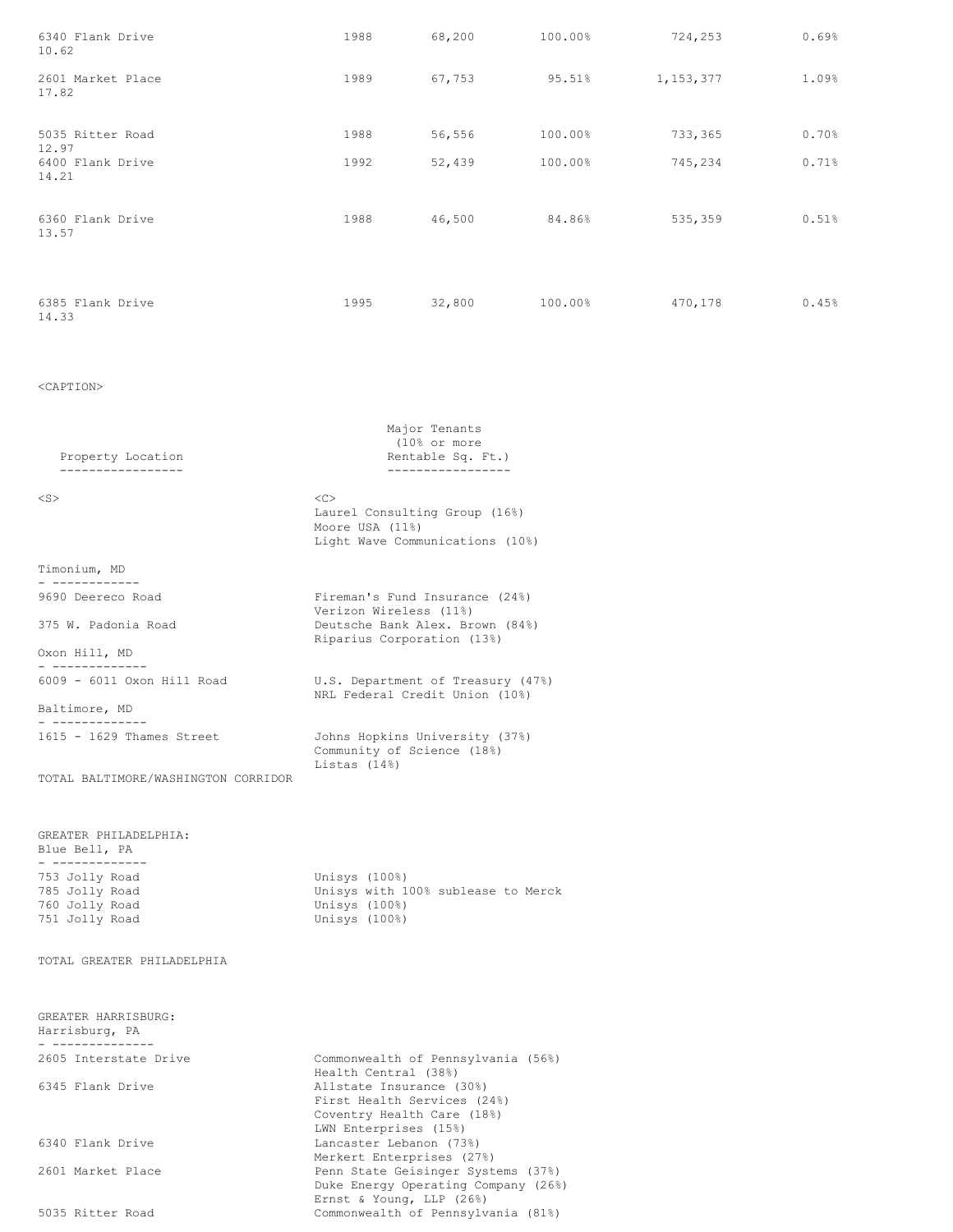| 6340 Flank Drive<br>10.62  | 1988 | 68,200 | 100.00% | 724,253     | 0.69% |
|----------------------------|------|--------|---------|-------------|-------|
| 2601 Market Place<br>17.82 | 1989 | 67,753 | 95.51%  | 1, 153, 377 | 1.09% |
| 5035 Ritter Road<br>12.97  | 1988 | 56,556 | 100.00% | 733,365     | 0.70% |
| 6400 Flank Drive<br>14.21  | 1992 | 52,439 | 100.00% | 745,234     | 0.71% |
| 6360 Flank Drive<br>13.57  | 1988 | 46,500 | 84.86%  | 535,359     | 0.51% |
| 6385 Flank Drive<br>14.33  | 1995 | 32,800 | 100.00% | 470,178     | 0.45% |

<CAPTION>

| Property Location<br>-----------------                               | Major Tenants<br>(10% or more<br>Rentable Sq. Ft.)<br>-----------------                   |
|----------------------------------------------------------------------|-------------------------------------------------------------------------------------------|
| $<$ S $>$                                                            | <<<br>Laurel Consulting Group (16%)<br>Moore USA (11%)<br>Light Wave Communications (10%) |
| Timonium, MD<br>-------------                                        |                                                                                           |
| 9690 Deereco Road                                                    | Fireman's Fund Insurance (24%)<br>Verizon Wireless (11%)                                  |
| 375 W. Padonia Road                                                  | Deutsche Bank Alex. Brown (84%)<br>Riparius Corporation (13%)                             |
| Oxon Hill, MD<br>. <i></i>                                           |                                                                                           |
| 6009 - 6011 Oxon Hill Road                                           | U.S. Department of Treasury (47%)<br>NRL Federal Credit Union (10%)                       |
| Baltimore, MD                                                        |                                                                                           |
| 1615 - 1629 Thames Street                                            | Johns Hopkins University (37%)<br>Community of Science (18%)                              |
| TOTAL BALTIMORE/WASHINGTON CORRIDOR                                  | Listas $(14)$                                                                             |
| GREATER PHILADELPHIA:<br>Blue Bell, PA                               |                                                                                           |
| 753 Jolly Road<br>785 Jolly Road<br>760 Jolly Road<br>751 Jolly Road | Unisys $(1008)$<br>Unisys with 100% sublease to Merck<br>Unisys (100%)<br>Unisys $(100)$  |

TOTAL GREATER PHILADELPHIA

GREATER HARRISBURG: Harrisburg, PA - --------------<br>2605 Interstate Drive Commonwealth of Pennsylvania (56%) Health Central (38%) 6345 Flank Drive Allstate Insurance (30%) First Health Services (24%) Coventry Health Care (18%) LWN Enterprises (15%) 6340 Flank Drive Lancaster Lebanon (73%) Merkert Enterprises (27%) 2601 Market Place Penn State Geisinger Systems (37%) Duke Energy Operating Company (26%) Ernst & Young, LLP (26%) 5035 Ritter Road Commonwealth of Pennsylvania (81%)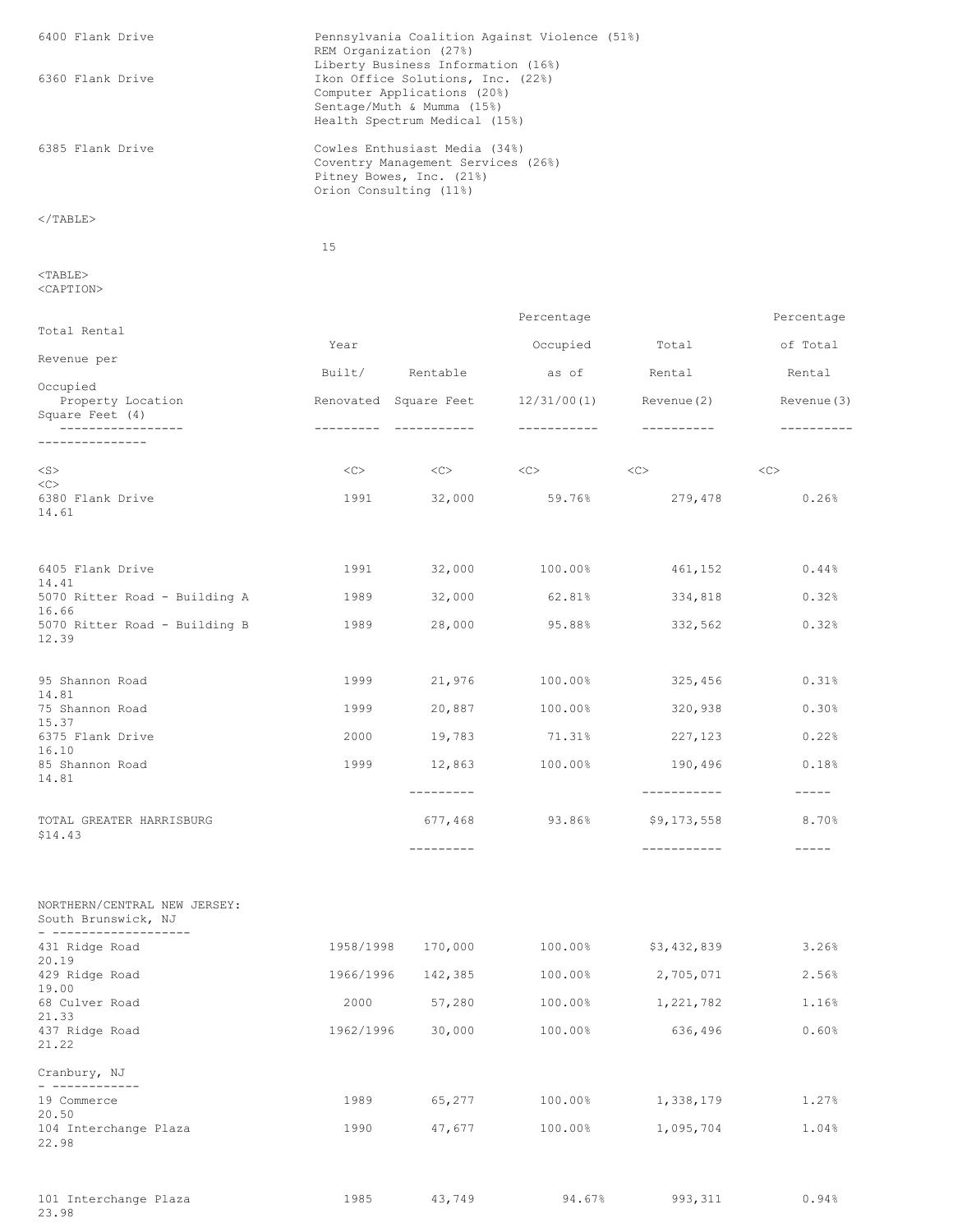6400 Flank Drive Pennsylvania Coalition Against Violence (51%) REM Organization (27%) Liberty Business Information (16%) 6360 Flank Drive Ikon Office Solutions, Inc. (22%) Computer Applications (20%) Sentage/Muth & Mumma (15%) Health Spectrum Medical (15%)

6385 Flank Drive Cowles Enthusiast Media (34%) Coventry Management Services (26%) Pitney Bowes, Inc. (21%) Orion Consulting (11%)

</TABLE>

15

## <TABLE> <CAPTION>

19.00

21.33

21.22

Cranbury, NJ

| Total Rental                                        |           |                           | Percentage  |                            | Percentage                |
|-----------------------------------------------------|-----------|---------------------------|-------------|----------------------------|---------------------------|
|                                                     | Year      |                           | Occupied    | Total                      | of Total                  |
| Revenue per                                         | Built/    | Rentable                  | as of       | Rental                     | Rental                    |
| Occupied<br>Property Location<br>Square Feet (4)    |           | Renovated Square Feet     | 12/31/00(1) | Revenue (2)<br>----------- | Revenue (3)<br>---------- |
| -----------------<br>---------------                |           | _________________________ | ----------- |                            |                           |
| $<$ S $>$<br><<                                     | $<\infty$ | $<\infty$                 | $<<$ $>$    | $<\infty$                  | <<                        |
| 6380 Flank Drive<br>14.61                           | 1991      | 32,000                    | 59.76%      | 279,478                    | 0.26%                     |
| 6405 Flank Drive                                    | 1991      | 32,000                    | 100.00%     | 461,152                    | 0.44%                     |
| 14.41<br>5070 Ritter Road - Building A              | 1989      | 32,000                    | 62.81%      | 334,818                    | 0.32%                     |
| 16.66<br>5070 Ritter Road - Building B<br>12.39     | 1989      | 28,000                    | 95.88%      | 332,562                    | 0.32%                     |
| 95 Shannon Road<br>14.81                            | 1999      | 21,976                    | 100.00%     | 325,456                    | 0.31%                     |
| 75 Shannon Road                                     | 1999      | 20,887                    | 100.00%     | 320,938                    | 0.30%                     |
| 15.37<br>6375 Flank Drive<br>16.10                  | 2000      | 19,783                    | 71.31%      | 227,123                    | 0.22%                     |
| 85 Shannon Road<br>14.81                            | 1999      | 12,863                    | 100.00%     | 190,496                    | 0.18%                     |
|                                                     |           | _________                 |             | -----------                | $- - - - -$               |
| TOTAL GREATER HARRISBURG<br>\$14.43                 |           | 677,468                   | 93.86%      | \$9,173,558                | 8.70%                     |
| NORTHERN/CENTRAL NEW JERSEY:<br>South Brunswick, NJ |           | ---------                 |             | -----------                | $- - - - -$               |
| 431 Ridge Road                                      |           | 1958/1998 170,000         | 100.00%     | \$3,432,839                | 3.26%                     |
| 20.19<br>429 Ridge Road                             | 1966/1996 | 142,385                   | 100.00%     | 2,705,071                  | 2.56%                     |

| 19 Commerce                    | 1989 | 65,277 | 100.00% | 1,338,179 | 1.27% |
|--------------------------------|------|--------|---------|-----------|-------|
| 20.50                          |      |        |         |           |       |
| 104 Interchange Plaza          | 1990 | 47.677 | 100.00% | 1,095,704 | 1.04% |
| 22.98                          |      |        |         |           |       |
|                                |      |        |         |           |       |
|                                |      |        |         |           |       |
| 101 Interchange Plaza<br>23.98 | 1985 | 43,749 | 94.67%  | 993, 311  | 0.94% |

68 Culver Road 2000 57,280 100.00% 1,221,782 1.16%

437 Ridge Road 1962/1996 30,000 100.00% 636,496 0.60%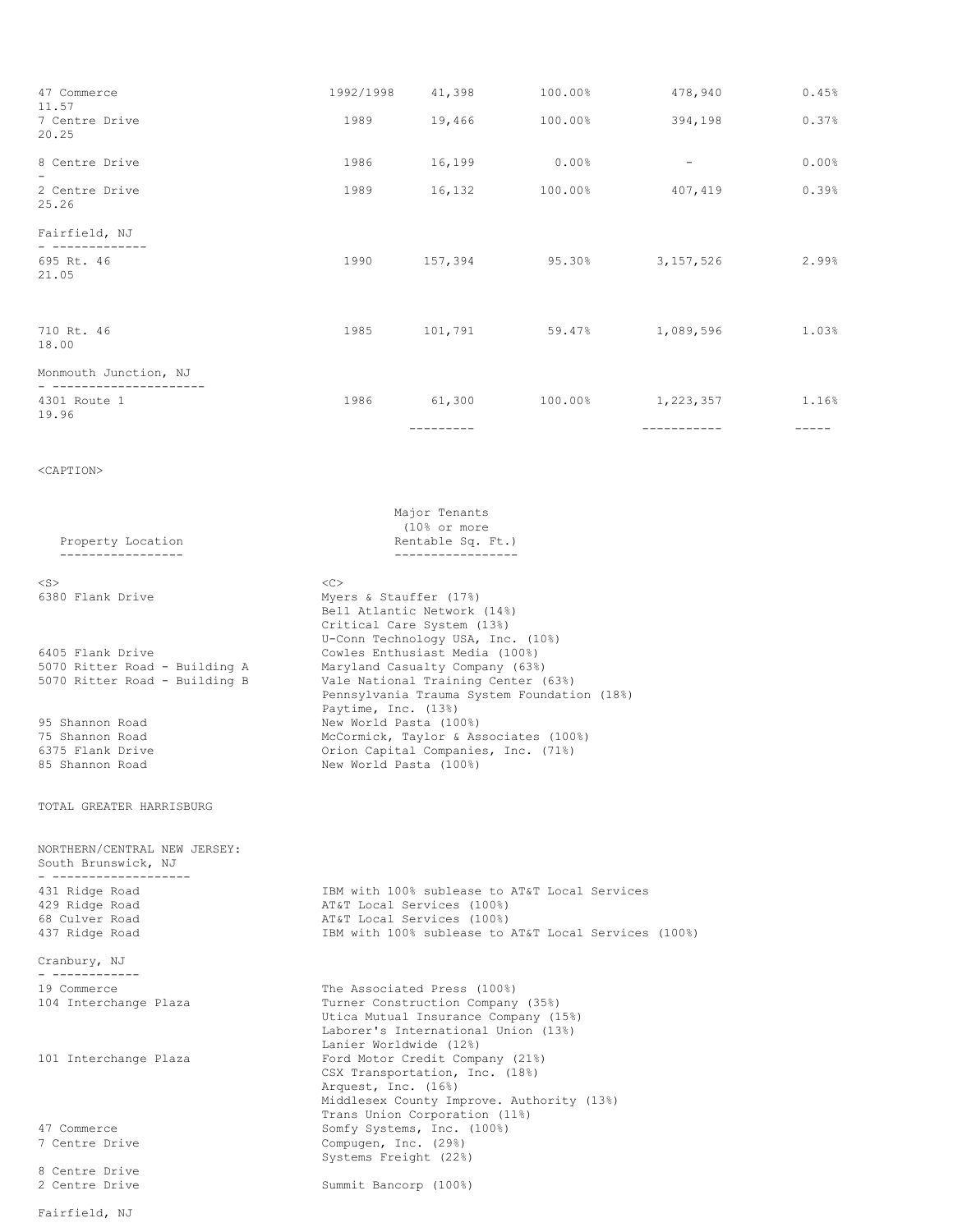| 47 Commerce                                                                        | 1992/1998 41,398                                                                                                                                                                             |                                                                                                                                                         | 100.00%                                                                                               | 478,940                  | 0.45%                |  |  |
|------------------------------------------------------------------------------------|----------------------------------------------------------------------------------------------------------------------------------------------------------------------------------------------|---------------------------------------------------------------------------------------------------------------------------------------------------------|-------------------------------------------------------------------------------------------------------|--------------------------|----------------------|--|--|
| 11.57<br>7 Centre Drive<br>20.25                                                   | 1989                                                                                                                                                                                         | 19,466                                                                                                                                                  | 100.00%                                                                                               | 394,198                  | 0.37%                |  |  |
| 8 Centre Drive                                                                     | 1986                                                                                                                                                                                         | 16,199                                                                                                                                                  | $0.00$ %                                                                                              | $\overline{\phantom{a}}$ | $0.00$ %             |  |  |
| 2 Centre Drive<br>25.26                                                            | 1989                                                                                                                                                                                         | 16,132                                                                                                                                                  | $100.00\%$                                                                                            | 407,419                  | 0.39%                |  |  |
| Fairfield, NJ<br>- -------------                                                   |                                                                                                                                                                                              |                                                                                                                                                         |                                                                                                       |                          |                      |  |  |
| 695 Rt. 46<br>21.05                                                                | 1990                                                                                                                                                                                         | 157,394                                                                                                                                                 | 95.30%                                                                                                | 3, 157, 526              | 2.99%                |  |  |
| 710 Rt. 46<br>18.00                                                                | 1985                                                                                                                                                                                         | 101,791                                                                                                                                                 | 59.47%                                                                                                | 1,089,596                | 1.03%                |  |  |
| Monmouth Junction, NJ                                                              |                                                                                                                                                                                              |                                                                                                                                                         |                                                                                                       |                          |                      |  |  |
| - ---------------------<br>4301 Route 1<br>19.96                                   | 1986                                                                                                                                                                                         | 61,300<br>---------                                                                                                                                     | $100.00\%$ 1,223,357                                                                                  | ------------             | 1.16%<br>$- - - - -$ |  |  |
| <caption></caption>                                                                |                                                                                                                                                                                              |                                                                                                                                                         |                                                                                                       |                          |                      |  |  |
|                                                                                    |                                                                                                                                                                                              |                                                                                                                                                         |                                                                                                       |                          |                      |  |  |
| Property Location<br>-----------------                                             |                                                                                                                                                                                              | Major Tenants<br>(10% or more<br>Rentable Sq. Ft.)<br>-----------------                                                                                 |                                                                                                       |                          |                      |  |  |
| $<$ S $>$<br>6380 Flank Drive                                                      | $<<$ $<$ $>$<br>Myers & Stauffer (17%)                                                                                                                                                       | Bell Atlantic Network (14%)<br>Critical Care System (13%)                                                                                               |                                                                                                       |                          |                      |  |  |
| 6405 Flank Drive<br>5070 Ritter Road - Building A<br>5070 Ritter Road - Building B | U-Conn Technology USA, Inc. (10%)<br>Cowles Enthusiast Media (100%)<br>Maryland Casualty Company (63%)<br>Vale National Training Center (63%)<br>Pennsylvania Trauma System Foundation (18%) |                                                                                                                                                         |                                                                                                       |                          |                      |  |  |
| 95 Shannon Road<br>75 Shannon Road<br>6375 Flank Drive<br>85 Shannon Road          |                                                                                                                                                                                              | Paytime, Inc. (13%)<br>New World Pasta (100%)<br>McCormick, Taylor & Associates (100%)<br>Orion Capital Companies, Inc. (71%)<br>New World Pasta (100%) |                                                                                                       |                          |                      |  |  |
| TOTAL GREATER HARRISBURG                                                           |                                                                                                                                                                                              |                                                                                                                                                         |                                                                                                       |                          |                      |  |  |
| NORTHERN/CENTRAL NEW JERSEY:<br>South Brunswick, NJ<br>- -------------------       |                                                                                                                                                                                              |                                                                                                                                                         |                                                                                                       |                          |                      |  |  |
| 431 Ridge Road<br>429 Ridge Road<br>68 Culver Road<br>437 Ridge Road               |                                                                                                                                                                                              | AT&T Local Services (100%)<br>AT&T Local Services (100%)                                                                                                | IBM with 100% sublease to AT&T Local Services<br>IBM with 100% sublease to AT&T Local Services (100%) |                          |                      |  |  |
| Cranbury, NJ<br>- -------------                                                    |                                                                                                                                                                                              |                                                                                                                                                         |                                                                                                       |                          |                      |  |  |
| 19 Commerce<br>104 Interchange Plaza                                               | The Associated Press (100%)<br>Turner Construction Company (35%)<br>Utica Mutual Insurance Company (15%)<br>Laborer's International Union (13%)                                              |                                                                                                                                                         |                                                                                                       |                          |                      |  |  |
| 101 Interchange Plaza                                                              | Lanier Worldwide (12%)<br>Arquest, Inc. (16%)                                                                                                                                                | Ford Motor Credit Company (21%)<br>CSX Transportation, Inc. (18%)                                                                                       | Middlesex County Improve. Authority (13%)                                                             |                          |                      |  |  |
| 47 Commerce<br>7 Centre Drive                                                      | Trans Union Corporation (11%)<br>Somfy Systems, Inc. (100%)<br>Compugen, Inc. (29%)                                                                                                          |                                                                                                                                                         |                                                                                                       |                          |                      |  |  |
| 8 Centre Drive<br>2 Centre Drive                                                   | Systems Freight (22%)<br>Summit Bancorp (100%)                                                                                                                                               |                                                                                                                                                         |                                                                                                       |                          |                      |  |  |

Fairfield, NJ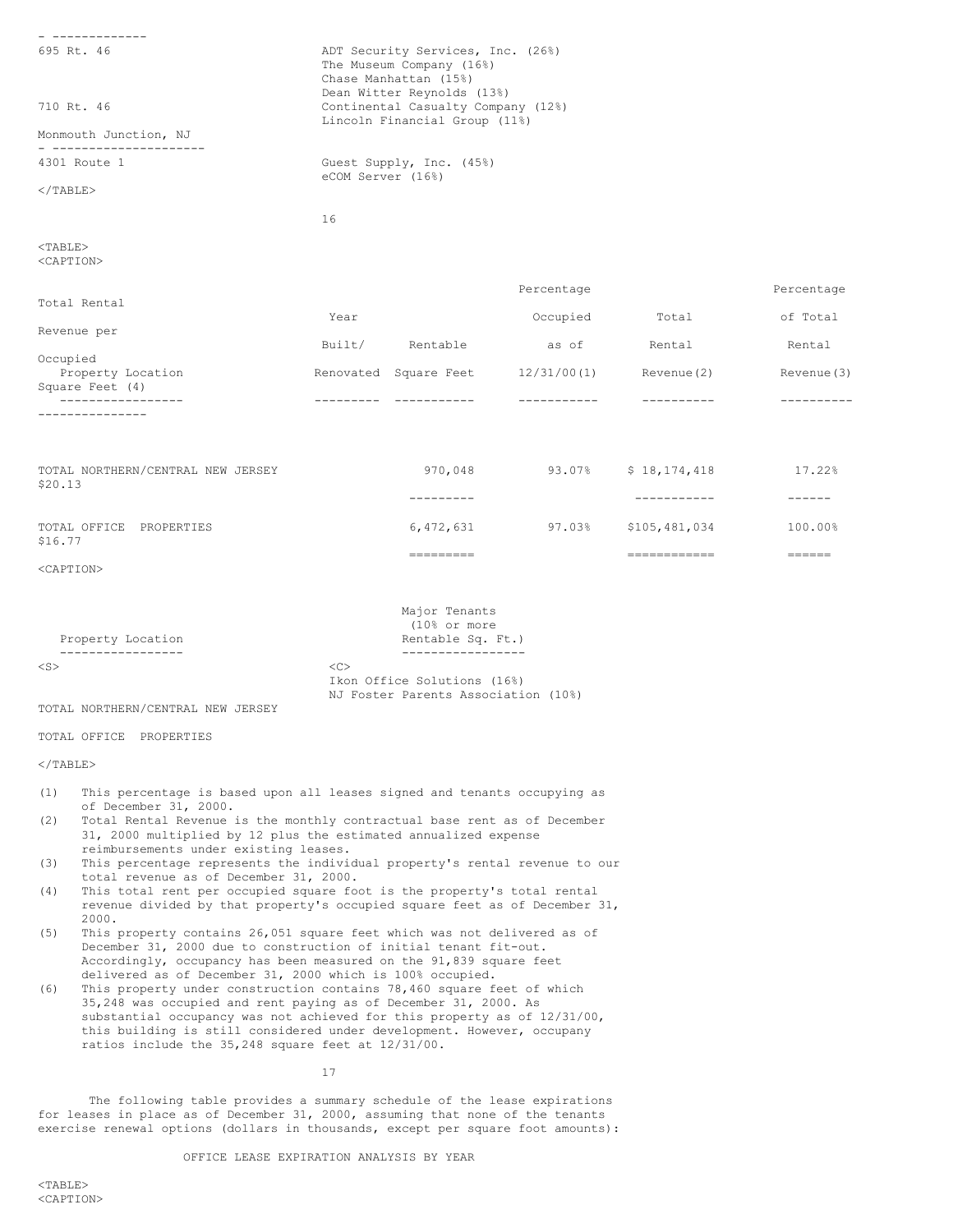- ------------- 695 Rt. 46 ADT Security Services, Inc. (26%) The Museum Company (16%) Chase Manhattan (15%) Dean Witter Reynolds (13%) 710 Rt. 46 Continental Casualty Company (12%) Lincoln Financial Group (11%) Monmouth Junction, NJ - --------------------- 4301 Route 1 Guest Supply, Inc. (45%) eCOM Server (16%)  $\langle$ /TABLE> 16

<TABLE> <CAPTION>

|                                   |           |             | Percentage  |               | Percentage  |
|-----------------------------------|-----------|-------------|-------------|---------------|-------------|
| Total Rental                      |           |             |             |               |             |
|                                   | Year      |             | Occupied    | Total         | of Total    |
| Revenue per                       |           |             |             |               |             |
|                                   | Built/    | Rentable    | as of       | Rental        | Rental      |
| Occupied                          |           |             |             |               |             |
| Property Location                 | Renovated | Square Feet | 12/31/00(1) | Revenue (2)   | Revenue (3) |
| Square Feet (4)                   |           |             |             |               |             |
| ------------                      |           |             |             |               |             |
|                                   |           |             |             |               |             |
|                                   |           |             |             |               |             |
|                                   |           |             |             |               |             |
|                                   |           |             |             |               |             |
| TOTAL NORTHERN/CENTRAL NEW JERSEY |           | 970,048     | 93.07%      | \$18,174,418  | 17.22%      |
| \$20.13                           |           |             |             |               |             |
|                                   |           | -------     |             |               |             |
|                                   |           |             |             |               |             |
| TOTAL OFFICE<br>PROPERTIES        |           | 6,472,631   | 97.03%      | \$105,481,034 | 100.00%     |
| \$16.77                           |           |             |             |               |             |
|                                   |           | ========    |             | ============  | =====       |

<CAPTION>

Major Tenants (10% or more Property Location **Rentable Sq. Ft.)** ----------------- -----------------

 $\langle$ S>  $\langle$ C>

Ikon Office Solutions (16%)

NJ Foster Parents Association (10%) TOTAL NORTHERN/CENTRAL NEW JERSEY

TOTAL OFFICE PROPERTIES

 $<$ /TABLE>

- (1) This percentage is based upon all leases signed and tenants occupying as of December 31, 2000.
- (2) Total Rental Revenue is the monthly contractual base rent as of December 31, 2000 multiplied by 12 plus the estimated annualized expense reimbursements under existing leases.
- (3) This percentage represents the individual property's rental revenue to our total revenue as of December 31, 2000.
- (4) This total rent per occupied square foot is the property's total rental revenue divided by that property's occupied square feet as of December 31, 2000.
- (5) This property contains 26,051 square feet which was not delivered as of December 31, 2000 due to construction of initial tenant fit-out. Accordingly, occupancy has been measured on the 91,839 square feet delivered as of December 31, 2000 which is 100% occupied.
- (6) This property under construction contains 78,460 square feet of which 35,248 was occupied and rent paying as of December 31, 2000. As substantial occupancy was not achieved for this property as of 12/31/00, this building is still considered under development. However, occupany ratios include the 35,248 square feet at 12/31/00.

17

The following table provides a summary schedule of the lease expirations for leases in place as of December 31, 2000, assuming that none of the tenants exercise renewal options (dollars in thousands, except per square foot amounts):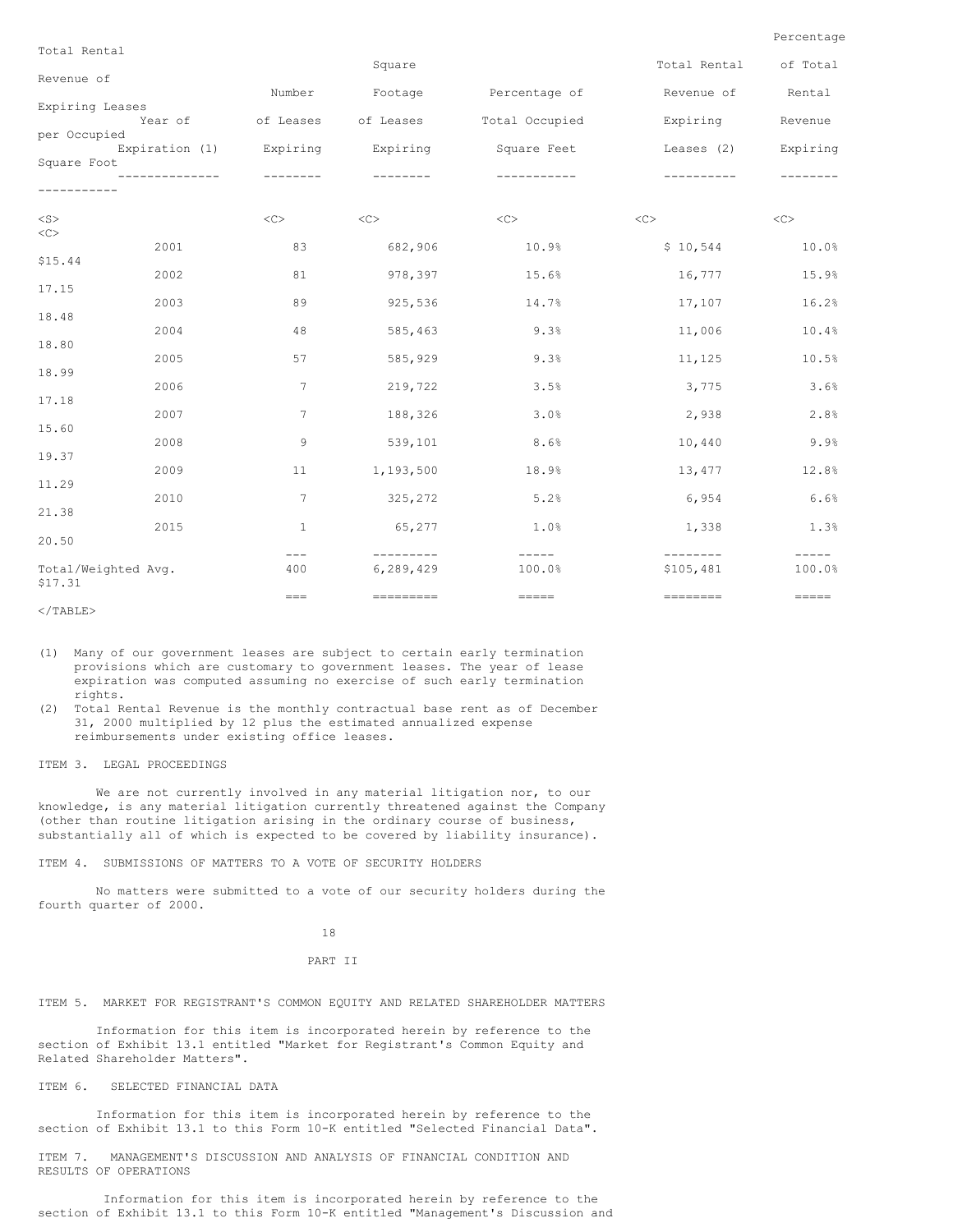Total Rental

Percentage

| TALL TATTAT                    |                |              | Square            |                | Total Rental                                                                                                                                                                                                                                                                                                                                                                                                                                                                                                                                               | of Total        |
|--------------------------------|----------------|--------------|-------------------|----------------|------------------------------------------------------------------------------------------------------------------------------------------------------------------------------------------------------------------------------------------------------------------------------------------------------------------------------------------------------------------------------------------------------------------------------------------------------------------------------------------------------------------------------------------------------------|-----------------|
| Revenue of                     |                |              |                   |                |                                                                                                                                                                                                                                                                                                                                                                                                                                                                                                                                                            |                 |
|                                |                | Number       | Footage           | Percentage of  | Revenue of                                                                                                                                                                                                                                                                                                                                                                                                                                                                                                                                                 | Rental          |
| Expiring Leases                | Year of        | of Leases    | of Leases         | Total Occupied | Expiring                                                                                                                                                                                                                                                                                                                                                                                                                                                                                                                                                   | Revenue         |
| per Occupied                   |                |              |                   |                |                                                                                                                                                                                                                                                                                                                                                                                                                                                                                                                                                            |                 |
| Square Foot                    | Expiration (1) | Expiring     | Expiring          | Square Feet    | Leases (2)                                                                                                                                                                                                                                                                                                                                                                                                                                                                                                                                                 | Expiring        |
|                                | ------------   |              |                   | -----------    |                                                                                                                                                                                                                                                                                                                                                                                                                                                                                                                                                            | -------         |
|                                |                |              |                   |                |                                                                                                                                                                                                                                                                                                                                                                                                                                                                                                                                                            |                 |
| $<$ S $>$<br><<                |                | <<           | $<\!\!\rm C\!\!>$ | <<             | $<\!\!\rm C\!\!>$                                                                                                                                                                                                                                                                                                                                                                                                                                                                                                                                          | $<\infty$       |
|                                | 2001           | 83           | 682,906           | 10.9%          | \$10,544                                                                                                                                                                                                                                                                                                                                                                                                                                                                                                                                                   | 10.0%           |
| \$15.44                        | 2002           | 81           | 978,397           | 15.6%          | 16,777                                                                                                                                                                                                                                                                                                                                                                                                                                                                                                                                                     | 15.9%           |
| 17.15                          |                |              |                   |                |                                                                                                                                                                                                                                                                                                                                                                                                                                                                                                                                                            |                 |
| 18.48                          | 2003           | 89           | 925,536           | 14.7%          | 17,107                                                                                                                                                                                                                                                                                                                                                                                                                                                                                                                                                     | 16.2%           |
|                                | 2004           | 48           | 585,463           | 9.3%           | 11,006                                                                                                                                                                                                                                                                                                                                                                                                                                                                                                                                                     | 10.4%           |
| 18.80                          | 2005           | 57           | 585,929           | 9.3%           | 11,125                                                                                                                                                                                                                                                                                                                                                                                                                                                                                                                                                     | 10.5%           |
| 18.99                          | 2006           | 7            |                   |                |                                                                                                                                                                                                                                                                                                                                                                                                                                                                                                                                                            |                 |
| 17.18                          |                |              | 219,722           | 3.5%           | 3,775                                                                                                                                                                                                                                                                                                                                                                                                                                                                                                                                                      | 3.6%            |
| 15.60                          | 2007           | 7            | 188,326           | 3.0%           | 2,938                                                                                                                                                                                                                                                                                                                                                                                                                                                                                                                                                      | 2.8%            |
|                                | 2008           | 9            | 539,101           | 8.6%           | 10,440                                                                                                                                                                                                                                                                                                                                                                                                                                                                                                                                                     | 9.9%            |
| 19.37                          | 2009           | 11           | 1,193,500         | 18.9%          | 13,477                                                                                                                                                                                                                                                                                                                                                                                                                                                                                                                                                     | 12.8%           |
| 11.29                          |                |              |                   |                |                                                                                                                                                                                                                                                                                                                                                                                                                                                                                                                                                            |                 |
| 21.38                          | 2010           | 7            | 325,272           | 5.2%           | 6,954                                                                                                                                                                                                                                                                                                                                                                                                                                                                                                                                                      | 6.6%            |
|                                | 2015           | $\mathbf{1}$ | 65,277            | 1.0%           | 1,338                                                                                                                                                                                                                                                                                                                                                                                                                                                                                                                                                      | 1.3%            |
| 20.50                          |                | $---$        |                   | $- - - - - -$  | --------                                                                                                                                                                                                                                                                                                                                                                                                                                                                                                                                                   | -----           |
| Total/Weighted Avg.<br>\$17.31 |                | 400          | 6,289,429         | 100.0%         | \$105,481                                                                                                                                                                                                                                                                                                                                                                                                                                                                                                                                                  | 100.0%          |
| $\ell$ /TARLES                 |                | $==$         |                   | $==-=-=$       | $\begin{tabular}{ll} \multicolumn{3}{l}{{\color{red}\boldsymbol{=}}} & \multicolumn{3}{l}{\color{blue}\boldsymbol{=}} & \multicolumn{3}{l}{\color{blue}\boldsymbol{=}} & \multicolumn{3}{l}{\color{blue}\boldsymbol{=}} & \multicolumn{3}{l}{\color{blue}\boldsymbol{=}} & \multicolumn{3}{l}{\color{blue}\boldsymbol{=}} & \multicolumn{3}{l}{\color{blue}\boldsymbol{=}} & \multicolumn{3}{l}{\color{blue}\boldsymbol{=}} & \multicolumn{3}{l}{\color{blue}\boldsymbol{=}} & \multicolumn{3}{l}{\color{blue}\boldsymbol{=}} & \multicolumn{3}{l}{\color$ | $=$ $=$ $=$ $=$ |

</TABLE>

(1) Many of our government leases are subject to certain early termination provisions which are customary to government leases. The year of lease expiration was computed assuming no exercise of such early termination rights.

(2) Total Rental Revenue is the monthly contractual base rent as of December 31, 2000 multiplied by 12 plus the estimated annualized expense reimbursements under existing office leases.

ITEM 3. LEGAL PROCEEDINGS

We are not currently involved in any material litigation nor, to our knowledge, is any material litigation currently threatened against the Company (other than routine litigation arising in the ordinary course of business, substantially all of which is expected to be covered by liability insurance).

ITEM 4. SUBMISSIONS OF MATTERS TO A VOTE OF SECURITY HOLDERS

No matters were submitted to a vote of our security holders during the fourth quarter of 2000.

18

PART II

ITEM 5. MARKET FOR REGISTRANT'S COMMON EQUITY AND RELATED SHAREHOLDER MATTERS

Information for this item is incorporated herein by reference to the section of Exhibit 13.1 entitled "Market for Registrant's Common Equity and Related Shareholder Matters".

ITEM 6. SELECTED FINANCIAL DATA

Information for this item is incorporated herein by reference to the section of Exhibit 13.1 to this Form 10-K entitled "Selected Financial Data".

ITEM 7. MANAGEMENT'S DISCUSSION AND ANALYSIS OF FINANCIAL CONDITION AND RESULTS OF OPERATIONS

Information for this item is incorporated herein by reference to the section of Exhibit 13.1 to this Form 10-K entitled "Management's Discussion and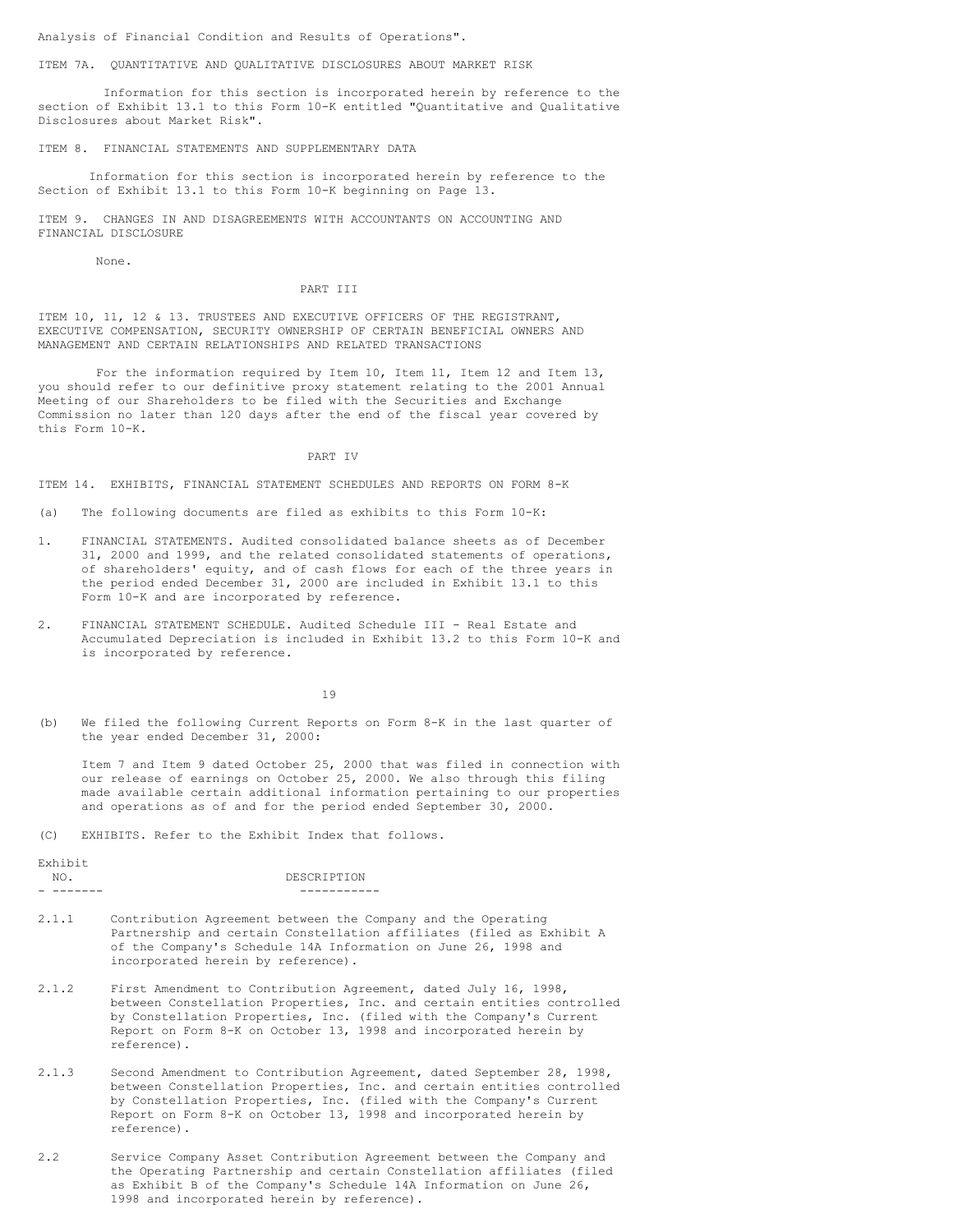Analysis of Financial Condition and Results of Operations".

#### ITEM 7A. QUANTITATIVE AND QUALITATIVE DISCLOSURES ABOUT MARKET RISK

Information for this section is incorporated herein by reference to the section of Exhibit 13.1 to this Form 10-K entitled "Quantitative and Qualitative Disclosures about Market Risk".

### ITEM 8. FINANCIAL STATEMENTS AND SUPPLEMENTARY DATA

Information for this section is incorporated herein by reference to the Section of Exhibit 13.1 to this Form 10-K beginning on Page 13.

ITEM 9. CHANGES IN AND DISAGREEMENTS WITH ACCOUNTANTS ON ACCOUNTING AND FINANCIAL DISCLOSURE

None.

# PART TIT

ITEM 10, 11, 12 & 13. TRUSTEES AND EXECUTIVE OFFICERS OF THE REGISTRANT, EXECUTIVE COMPENSATION, SECURITY OWNERSHIP OF CERTAIN BENEFICIAL OWNERS AND MANAGEMENT AND CERTAIN RELATIONSHIPS AND RELATED TRANSACTIONS

For the information required by Item 10, Item 11, Item 12 and Item 13, you should refer to our definitive proxy statement relating to the 2001 Annual Meeting of our Shareholders to be filed with the Securities and Exchange Commission no later than 120 days after the end of the fiscal year covered by this Form 10-K.

# PART IV

ITEM 14. EXHIBITS, FINANCIAL STATEMENT SCHEDULES AND REPORTS ON FORM 8-K

- (a) The following documents are filed as exhibits to this Form 10-K:
- 1. FINANCIAL STATEMENTS. Audited consolidated balance sheets as of December 31, 2000 and 1999, and the related consolidated statements of operations, of shareholders' equity, and of cash flows for each of the three years in the period ended December 31, 2000 are included in Exhibit 13.1 to this Form 10-K and are incorporated by reference.
- 2. FINANCIAL STATEMENT SCHEDULE. Audited Schedule III Real Estate and Accumulated Depreciation is included in Exhibit 13.2 to this Form 10-K and is incorporated by reference.

19

(b) We filed the following Current Reports on Form 8-K in the last quarter of the year ended December 31, 2000:

Item 7 and Item 9 dated October 25, 2000 that was filed in connection with our release of earnings on October 25, 2000. We also through this filing made available certain additional information pertaining to our properties and operations as of and for the period ended September 30, 2000.

(C) EXHIBITS. Refer to the Exhibit Index that follows.

#### Exhibit

|   | Νſ | ז אריחת דפי<br>7 D L |
|---|----|----------------------|
| - |    | ____<br>--           |

- 2.1.1 Contribution Agreement between the Company and the Operating Partnership and certain Constellation affiliates (filed as Exhibit A of the Company's Schedule 14A Information on June 26, 1998 and incorporated herein by reference).
- 2.1.2 First Amendment to Contribution Agreement, dated July 16, 1998, between Constellation Properties, Inc. and certain entities controlled by Constellation Properties, Inc. (filed with the Company's Current Report on Form 8-K on October 13, 1998 and incorporated herein by reference).
- 2.1.3 Second Amendment to Contribution Agreement, dated September 28, 1998, between Constellation Properties, Inc. and certain entities controlled by Constellation Properties, Inc. (filed with the Company's Current Report on Form 8-K on October 13, 1998 and incorporated herein by reference).
- 2.2 Service Company Asset Contribution Agreement between the Company and the Operating Partnership and certain Constellation affiliates (filed as Exhibit B of the Company's Schedule 14A Information on June 26, 1998 and incorporated herein by reference).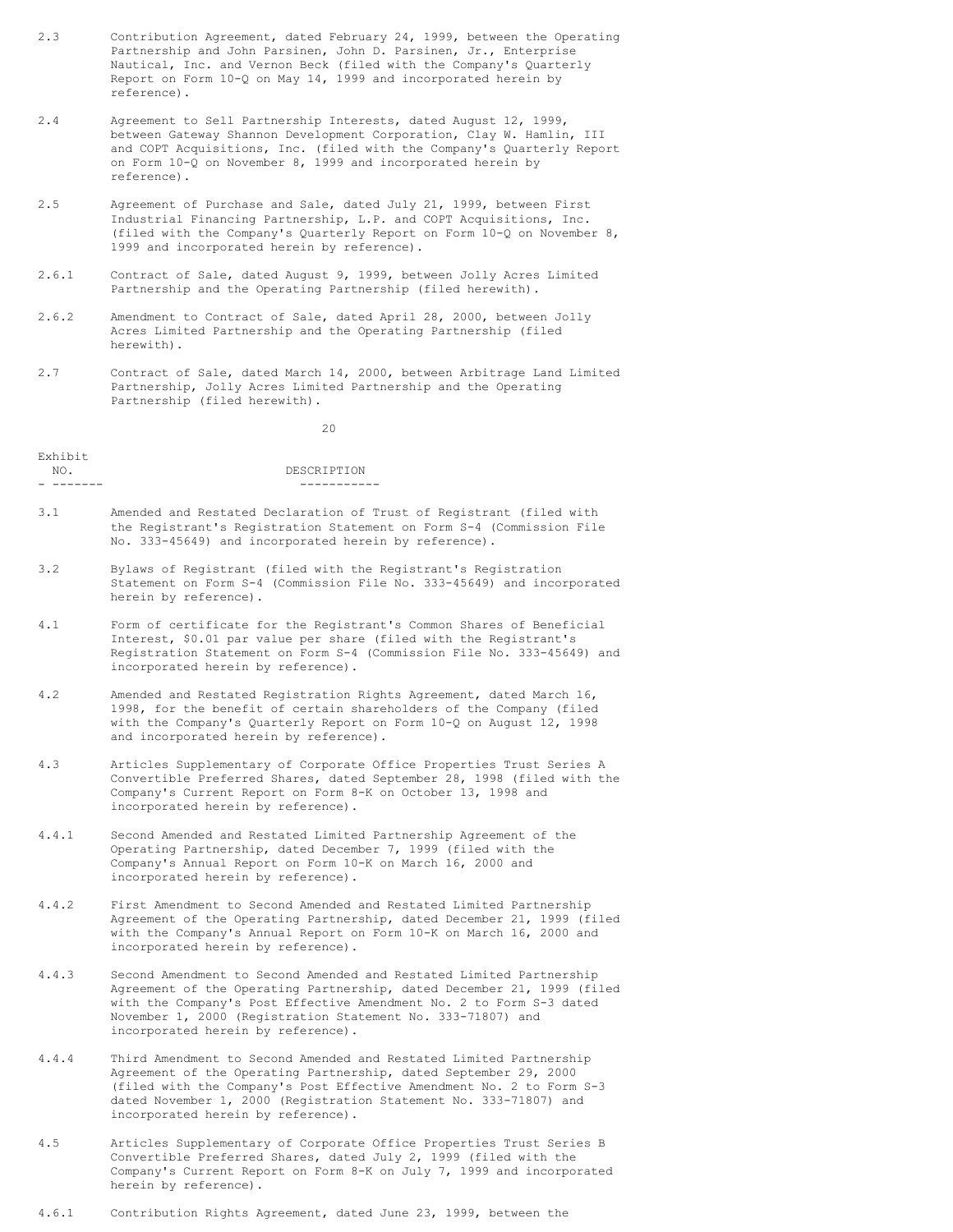- 2.3 Contribution Agreement, dated February 24, 1999, between the Operating Partnership and John Parsinen, John D. Parsinen, Jr., Enterprise Nautical, Inc. and Vernon Beck (filed with the Company's Quarterly Report on Form 10-Q on May 14, 1999 and incorporated herein by reference).
- 2.4 Agreement to Sell Partnership Interests, dated August 12, 1999, between Gateway Shannon Development Corporation, Clay W. Hamlin, III and COPT Acquisitions, Inc. (filed with the Company's Quarterly Report on Form 10-Q on November 8, 1999 and incorporated herein by reference).
- 2.5 Agreement of Purchase and Sale, dated July 21, 1999, between First Industrial Financing Partnership, L.P. and COPT Acquisitions, Inc. (filed with the Company's Quarterly Report on Form 10-Q on November 8, 1999 and incorporated herein by reference).
- 2.6.1 Contract of Sale, dated August 9, 1999, between Jolly Acres Limited Partnership and the Operating Partnership (filed herewith).
- 2.6.2 Amendment to Contract of Sale, dated April 28, 2000, between Jolly Acres Limited Partnership and the Operating Partnership (filed herewith).
- 2.7 Contract of Sale, dated March 14, 2000, between Arbitrage Land Limited Partnership, Jolly Acres Limited Partnership and the Operating Partnership (filed herewith).

 $20$ 

| Exhibit |             |
|---------|-------------|
| NO.     | DESCRIPTION |
|         |             |

- 3.1 Amended and Restated Declaration of Trust of Registrant (filed with the Registrant's Registration Statement on Form S-4 (Commission File No. 333-45649) and incorporated herein by reference).
- 3.2 Bylaws of Registrant (filed with the Registrant's Registration Statement on Form S-4 (Commission File No. 333-45649) and incorporated herein by reference).
- 4.1 Form of certificate for the Registrant's Common Shares of Beneficial Interest, \$0.01 par value per share (filed with the Registrant's Registration Statement on Form S-4 (Commission File No. 333-45649) and incorporated herein by reference).
- 4.2 Amended and Restated Registration Rights Agreement, dated March 16, 1998, for the benefit of certain shareholders of the Company (filed with the Company's Quarterly Report on Form 10-Q on August 12, 1998 and incorporated herein by reference).
- 4.3 Articles Supplementary of Corporate Office Properties Trust Series A Convertible Preferred Shares, dated September 28, 1998 (filed with the Company's Current Report on Form 8-K on October 13, 1998 and incorporated herein by reference).
- 4.4.1 Second Amended and Restated Limited Partnership Agreement of the Operating Partnership, dated December 7, 1999 (filed with the Company's Annual Report on Form 10-K on March 16, 2000 and incorporated herein by reference).
- 4.4.2 First Amendment to Second Amended and Restated Limited Partnership Agreement of the Operating Partnership, dated December 21, 1999 (filed with the Company's Annual Report on Form 10-K on March 16, 2000 and incorporated herein by reference).
- 4.4.3 Second Amendment to Second Amended and Restated Limited Partnership Agreement of the Operating Partnership, dated December 21, 1999 (filed with the Company's Post Effective Amendment No. 2 to Form S-3 dated November 1, 2000 (Registration Statement No. 333-71807) and incorporated herein by reference).
- 4.4.4 Third Amendment to Second Amended and Restated Limited Partnership Agreement of the Operating Partnership, dated September 29, 2000 (filed with the Company's Post Effective Amendment No. 2 to Form S-3 dated November 1, 2000 (Registration Statement No. 333-71807) and incorporated herein by reference).
- 4.5 Articles Supplementary of Corporate Office Properties Trust Series B Convertible Preferred Shares, dated July 2, 1999 (filed with the Company's Current Report on Form 8-K on July 7, 1999 and incorporated herein by reference).
- 4.6.1 Contribution Rights Agreement, dated June 23, 1999, between the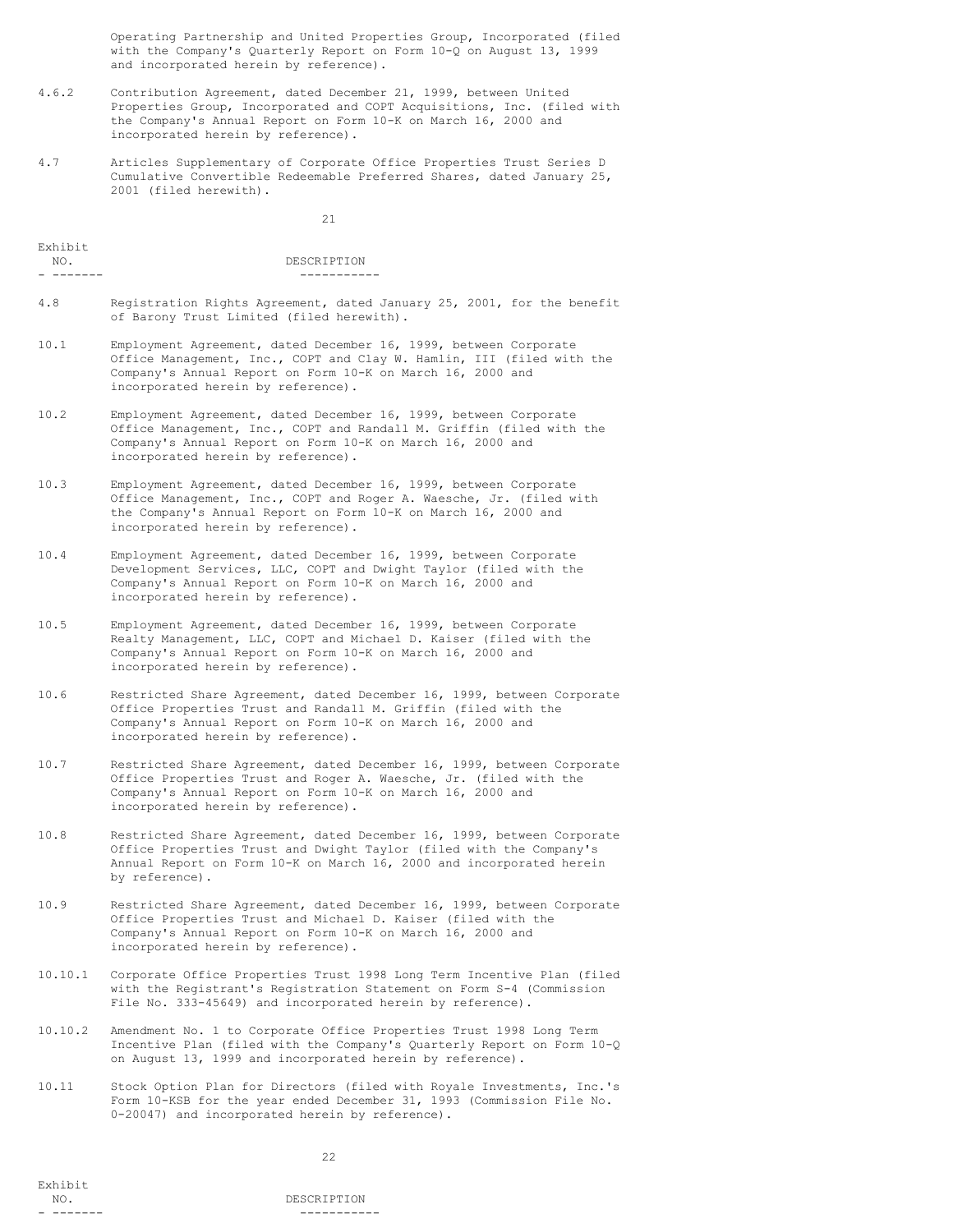Operating Partnership and United Properties Group, Incorporated (filed with the Company's Quarterly Report on Form 10-Q on August 13, 1999 and incorporated herein by reference).

- 4.6.2 Contribution Agreement, dated December 21, 1999, between United Properties Group, Incorporated and COPT Acquisitions, Inc. (filed with the Company's Annual Report on Form 10-K on March 16, 2000 and incorporated herein by reference).
- 4.7 Articles Supplementary of Corporate Office Properties Trust Series D Cumulative Convertible Redeemable Preferred Shares, dated January 25, 2001 (filed herewith).

21

| - |         |             |
|---|---------|-------------|
|   | NO.     | DESCRIPTION |
|   | Exhibit |             |

- 4.8 Registration Rights Agreement, dated January 25, 2001, for the benefit of Barony Trust Limited (filed herewith).
- 10.1 Employment Agreement, dated December 16, 1999, between Corporate Office Management, Inc., COPT and Clay W. Hamlin, III (filed with the Company's Annual Report on Form 10-K on March 16, 2000 and incorporated herein by reference).
- 10.2 Employment Agreement, dated December 16, 1999, between Corporate Office Management, Inc., COPT and Randall M. Griffin (filed with the Company's Annual Report on Form 10-K on March 16, 2000 and incorporated herein by reference).
- 10.3 Employment Agreement, dated December 16, 1999, between Corporate Office Management, Inc., COPT and Roger A. Waesche, Jr. (filed with the Company's Annual Report on Form 10-K on March 16, 2000 and incorporated herein by reference).
- 10.4 Employment Agreement, dated December 16, 1999, between Corporate Development Services, LLC, COPT and Dwight Taylor (filed with the Company's Annual Report on Form 10-K on March 16, 2000 and incorporated herein by reference).
- 10.5 Employment Agreement, dated December 16, 1999, between Corporate Realty Management, LLC, COPT and Michael D. Kaiser (filed with the Company's Annual Report on Form 10-K on March 16, 2000 and incorporated herein by reference).
- 10.6 Restricted Share Agreement, dated December 16, 1999, between Corporate Office Properties Trust and Randall M. Griffin (filed with the Company's Annual Report on Form 10-K on March 16, 2000 and incorporated herein by reference).
- 10.7 Restricted Share Agreement, dated December 16, 1999, between Corporate Office Properties Trust and Roger A. Waesche, Jr. (filed with the Company's Annual Report on Form 10-K on March 16, 2000 and incorporated herein by reference).
- 10.8 Restricted Share Agreement, dated December 16, 1999, between Corporate Office Properties Trust and Dwight Taylor (filed with the Company's Annual Report on Form 10-K on March 16, 2000 and incorporated herein by reference).
- 10.9 Restricted Share Agreement, dated December 16, 1999, between Corporate Office Properties Trust and Michael D. Kaiser (filed with the Company's Annual Report on Form 10-K on March 16, 2000 and incorporated herein by reference).
- 10.10.1 Corporate Office Properties Trust 1998 Long Term Incentive Plan (filed with the Registrant's Registration Statement on Form S-4 (Commission File No. 333-45649) and incorporated herein by reference).
- 10.10.2 Amendment No. 1 to Corporate Office Properties Trust 1998 Long Term Incentive Plan (filed with the Company's Quarterly Report on Form 10-Q on August 13, 1999 and incorporated herein by reference).
- 10.11 Stock Option Plan for Directors (filed with Royale Investments, Inc.'s Form 10-KSB for the year ended December 31, 1993 (Commission File No. 0-20047) and incorporated herein by reference).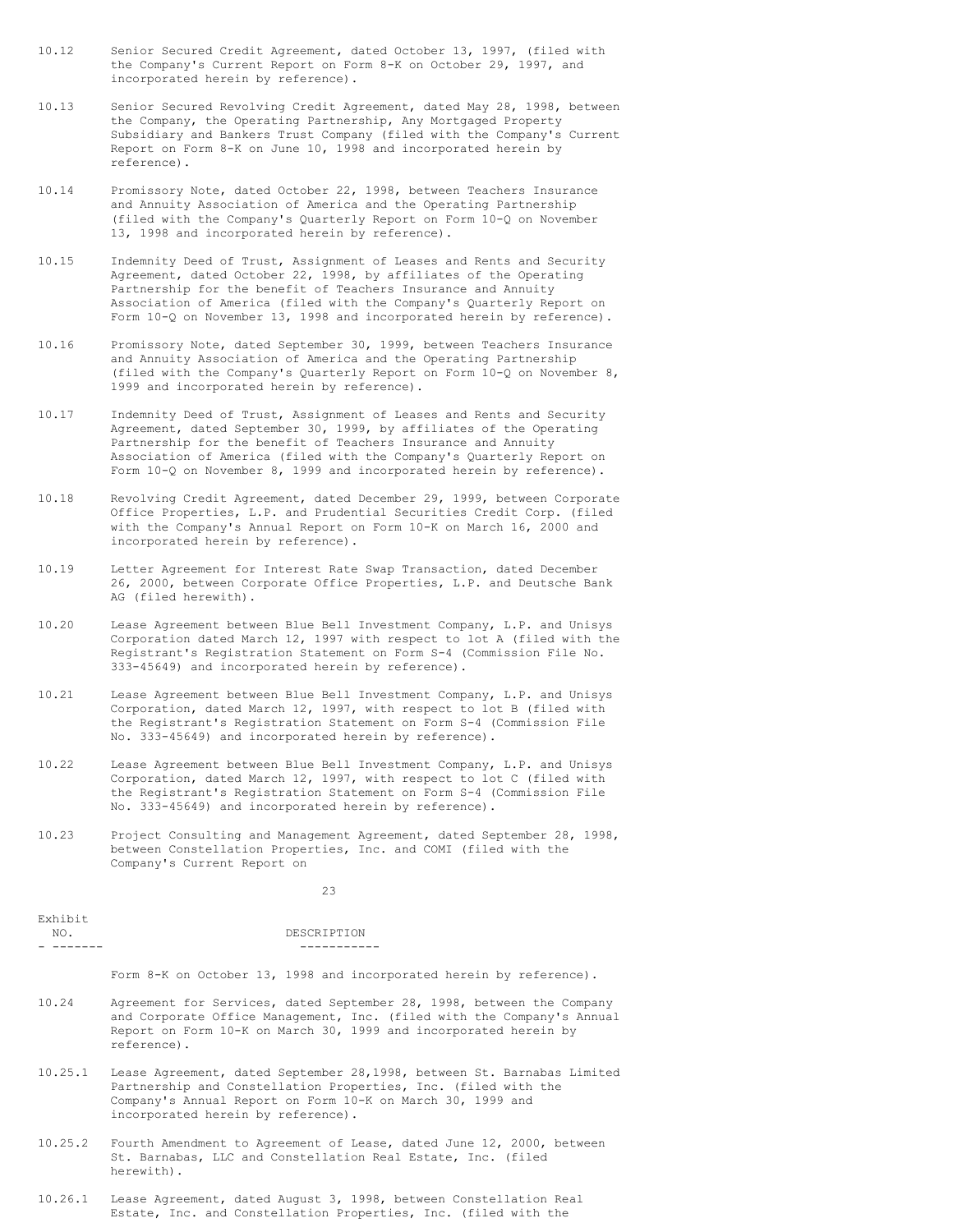- 10.12 Senior Secured Credit Agreement, dated October 13, 1997, (filed with the Company's Current Report on Form 8-K on October 29, 1997, and incorporated herein by reference).
- 10.13 Senior Secured Revolving Credit Agreement, dated May 28, 1998, between the Company, the Operating Partnership, Any Mortgaged Property Subsidiary and Bankers Trust Company (filed with the Company's Current Report on Form 8-K on June 10, 1998 and incorporated herein by reference).
- 10.14 Promissory Note, dated October 22, 1998, between Teachers Insurance and Annuity Association of America and the Operating Partnership (filed with the Company's Quarterly Report on Form 10-Q on November 13, 1998 and incorporated herein by reference).
- 10.15 Indemnity Deed of Trust, Assignment of Leases and Rents and Security Agreement, dated October 22, 1998, by affiliates of the Operating Partnership for the benefit of Teachers Insurance and Annuity Association of America (filed with the Company's Quarterly Report on Form 10-Q on November 13, 1998 and incorporated herein by reference).
- 10.16 Promissory Note, dated September 30, 1999, between Teachers Insurance and Annuity Association of America and the Operating Partnership (filed with the Company's Quarterly Report on Form 10-Q on November 8, 1999 and incorporated herein by reference).
- 10.17 Indemnity Deed of Trust, Assignment of Leases and Rents and Security Agreement, dated September 30, 1999, by affiliates of the Operating Partnership for the benefit of Teachers Insurance and Annuity Association of America (filed with the Company's Quarterly Report on Form 10-Q on November 8, 1999 and incorporated herein by reference).
- 10.18 Revolving Credit Agreement, dated December 29, 1999, between Corporate Office Properties, L.P. and Prudential Securities Credit Corp. (filed with the Company's Annual Report on Form 10-K on March 16, 2000 and incorporated herein by reference).
- 10.19 Letter Agreement for Interest Rate Swap Transaction, dated December 26, 2000, between Corporate Office Properties, L.P. and Deutsche Bank AG (filed herewith).
- 10.20 Lease Agreement between Blue Bell Investment Company, L.P. and Unisys Corporation dated March 12, 1997 with respect to lot A (filed with the Registrant's Registration Statement on Form S-4 (Commission File No. 333-45649) and incorporated herein by reference).
- 10.21 Lease Agreement between Blue Bell Investment Company, L.P. and Unisys Corporation, dated March 12, 1997, with respect to lot B (filed with the Registrant's Registration Statement on Form S-4 (Commission File No. 333-45649) and incorporated herein by reference).
- 10.22 Lease Agreement between Blue Bell Investment Company, L.P. and Unisys Corporation, dated March 12, 1997, with respect to lot C (filed with the Registrant's Registration Statement on Form S-4 (Commission File No. 333-45649) and incorporated herein by reference).
- 10.23 Project Consulting and Management Agreement, dated September 28, 1998, between Constellation Properties, Inc. and COMI (filed with the Company's Current Report on

23

| بالتاليلات |  |  |
|------------|--|--|
| NO.        |  |  |

Exhibit

#### DESCRIPTION - ------- -----------

Form 8-K on October 13, 1998 and incorporated herein by reference).

- 10.24 Agreement for Services, dated September 28, 1998, between the Company and Corporate Office Management, Inc. (filed with the Company's Annual Report on Form 10-K on March 30, 1999 and incorporated herein by reference).
- 10.25.1 Lease Agreement, dated September 28,1998, between St. Barnabas Limited Partnership and Constellation Properties, Inc. (filed with the Company's Annual Report on Form 10-K on March 30, 1999 and incorporated herein by reference).
- 10.25.2 Fourth Amendment to Agreement of Lease, dated June 12, 2000, between St. Barnabas, LLC and Constellation Real Estate, Inc. (filed herewith).
- 10.26.1 Lease Agreement, dated August 3, 1998, between Constellation Real Estate, Inc. and Constellation Properties, Inc. (filed with the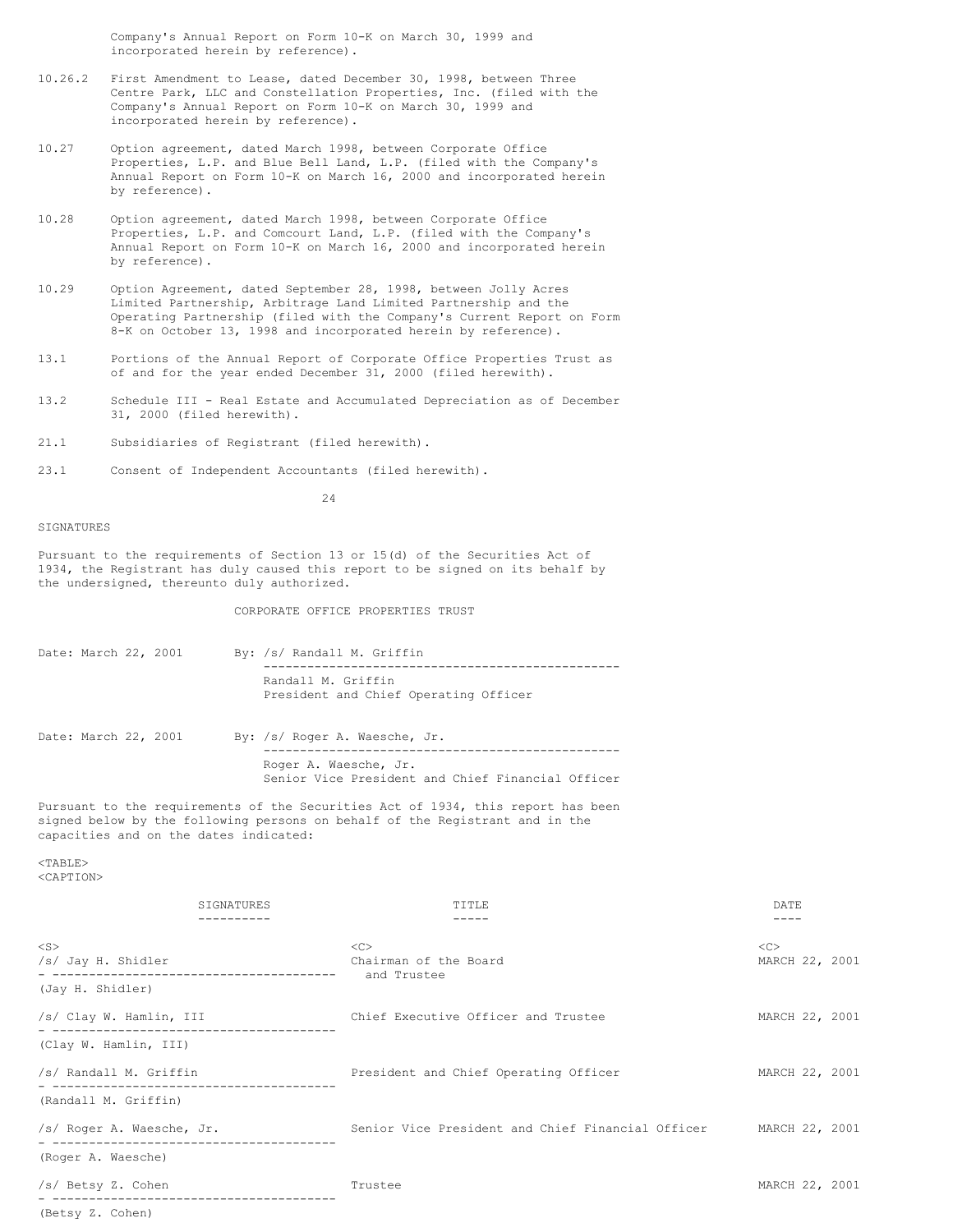Company's Annual Report on Form 10-K on March 30, 1999 and incorporated herein by reference).

- 10.26.2 First Amendment to Lease, dated December 30, 1998, between Three Centre Park, LLC and Constellation Properties, Inc. (filed with the Company's Annual Report on Form 10-K on March 30, 1999 and incorporated herein by reference).
- 10.27 Option agreement, dated March 1998, between Corporate Office Properties, L.P. and Blue Bell Land, L.P. (filed with the Company's Annual Report on Form 10-K on March 16, 2000 and incorporated herein by reference).
- 10.28 Option agreement, dated March 1998, between Corporate Office Properties, L.P. and Comcourt Land, L.P. (filed with the Company's Annual Report on Form 10-K on March 16, 2000 and incorporated herein by reference).
- 10.29 Option Agreement, dated September 28, 1998, between Jolly Acres Limited Partnership, Arbitrage Land Limited Partnership and the Operating Partnership (filed with the Company's Current Report on Form 8-K on October 13, 1998 and incorporated herein by reference).
- 13.1 Portions of the Annual Report of Corporate Office Properties Trust as of and for the year ended December 31, 2000 (filed herewith).
- 13.2 Schedule III Real Estate and Accumulated Depreciation as of December 31, 2000 (filed herewith).
- 21.1 Subsidiaries of Registrant (filed herewith).
- 23.1 Consent of Independent Accountants (filed herewith).

24

# SIGNATURES

Pursuant to the requirements of Section 13 or 15(d) of the Securities Act of 1934, the Registrant has duly caused this report to be signed on its behalf by the undersigned, thereunto duly authorized.

#### CORPORATE OFFICE PROPERTIES TRUST

| Date: March 22, 2001 |  | By: /s/ Randall M. Griffin                                                 |
|----------------------|--|----------------------------------------------------------------------------|
|                      |  | Randall M. Griffin<br>President and Chief Operating Officer                |
| Date: March 22, 2001 |  | By: /s/ Roger A. Waesche, Jr.                                              |
|                      |  | Roger A. Waesche, Jr.<br>Senior Vice President and Chief Financial Officer |

Pursuant to the requirements of the Securities Act of 1934, this report has been signed below by the following persons on behalf of the Registrant and in the capacities and on the dates indicated:

<TABLE> <CAPTION>

|                                 | SIGNATURES | TITLE                                             | DATE                 |  |
|---------------------------------|------------|---------------------------------------------------|----------------------|--|
|                                 |            |                                                   |                      |  |
| $<$ S $>$<br>/s/ Jay H. Shidler |            | $\langle C \rangle$<br>Chairman of the Board      | <<<br>MARCH 22, 2001 |  |
| (Jay H. Shidler)                |            | and Trustee                                       |                      |  |
| /s/ Clay W. Hamlin, III         |            | Chief Executive Officer and Trustee               | MARCH 22, 2001       |  |
| (Clay W. Hamlin, III)           |            |                                                   |                      |  |
| /s/ Randall M. Griffin          |            | President and Chief Operating Officer             | MARCH 22, 2001       |  |
| (Randall M. Griffin)            |            |                                                   |                      |  |
| /s/ Roger A. Waesche, Jr.       |            | Senior Vice President and Chief Financial Officer | MARCH 22, 2001       |  |
| (Roger A. Waesche)              |            |                                                   |                      |  |
| /s/ Betsy Z. Cohen              |            | Trustee                                           | MARCH 22, 2001       |  |
| (Betsy Z. Cohen)                |            |                                                   |                      |  |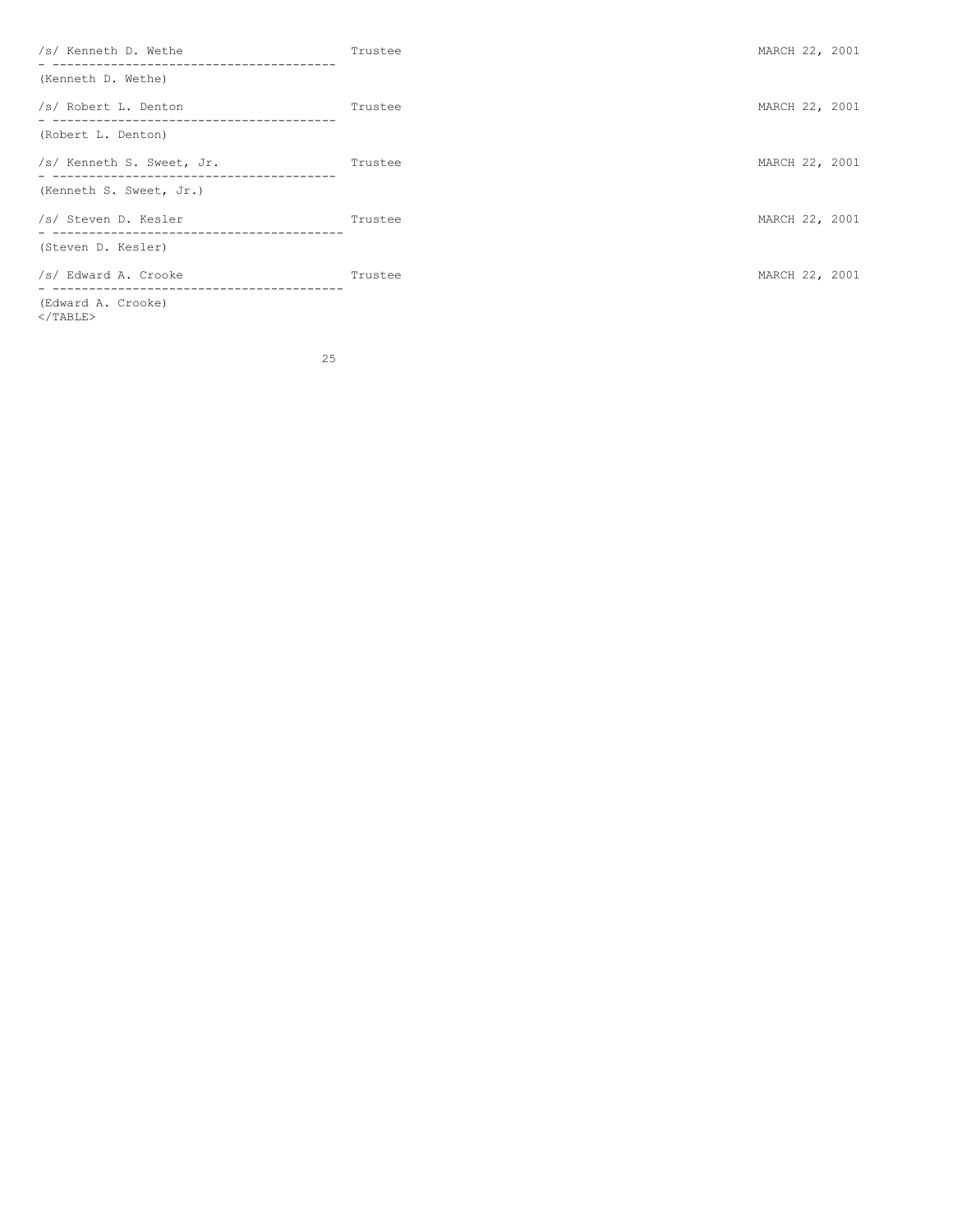| /s/ Kenneth D. Wethe                          | Trustee | MARCH 22, 2001 |  |
|-----------------------------------------------|---------|----------------|--|
| (Kenneth D. Wethe)                            |         |                |  |
| /s/ Robert L. Denton                          | Trustee | MARCH 22, 2001 |  |
| (Robert L. Denton)                            |         |                |  |
| /s/ Kenneth S. Sweet, Jr.                     | Trustee | MARCH 22, 2001 |  |
| (Kenneth S. Sweet, Jr.)                       |         |                |  |
| /s/ Steven D. Kesler<br>--------------------- | Trustee | MARCH 22, 2001 |  |
| (Steven D. Kesler)                            |         |                |  |
| /s/ Edward A. Crooke                          | Trustee | MARCH 22, 2001 |  |
| (Edward A. Crooke)<br>$\langle$ /TABLE>       |         |                |  |

25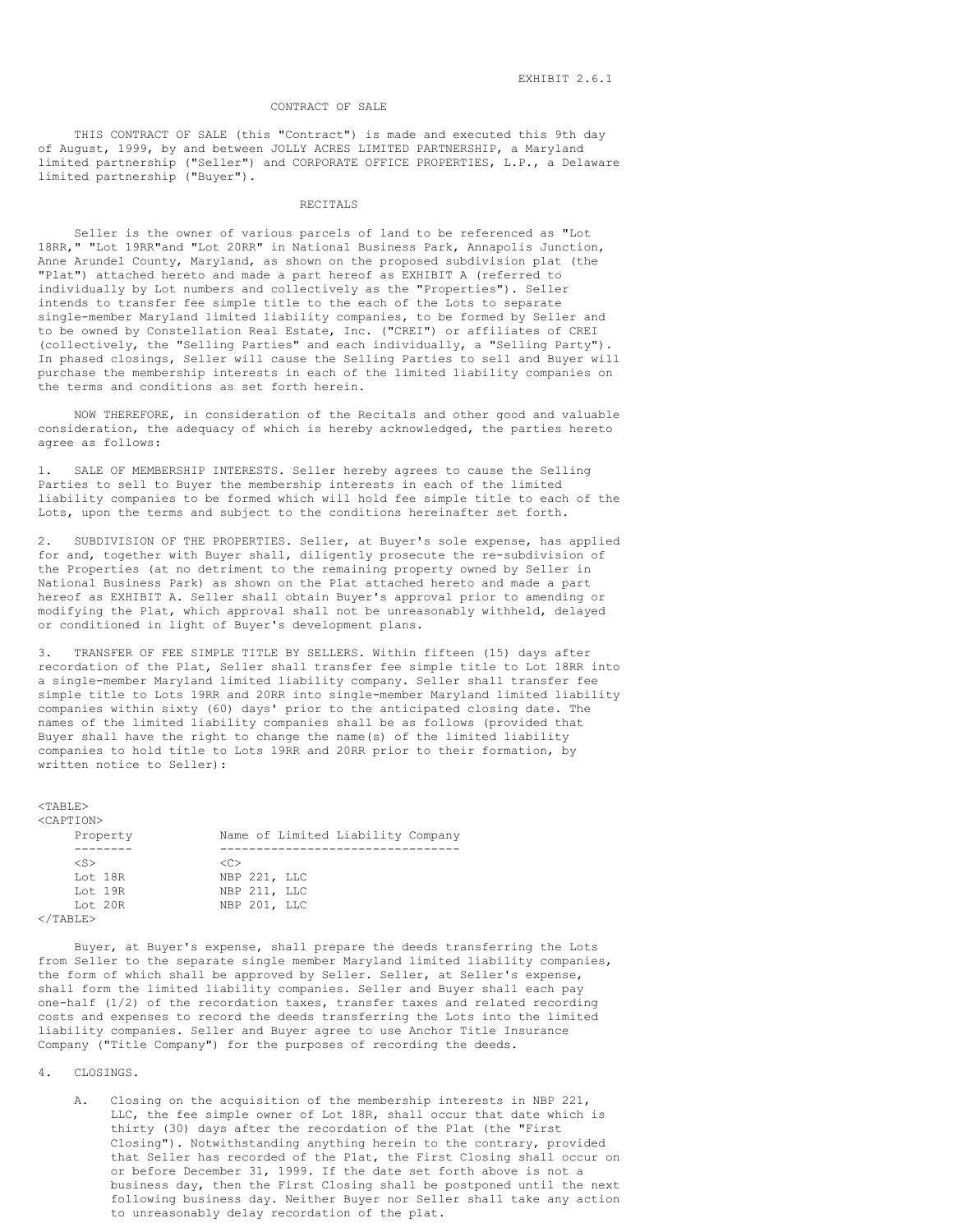#### CONTRACT OF SALE

THIS CONTRACT OF SALE (this "Contract") is made and executed this 9th day of August, 1999, by and between JOLLY ACRES LIMITED PARTNERSHIP, a Maryland limited partnership ("Seller") and CORPORATE OFFICE PROPERTIES, L.P., a Delaware limited partnership ("Buyer").

# RECITALS

Seller is the owner of various parcels of land to be referenced as "Lot 18RR," "Lot 19RR"and "Lot 20RR" in National Business Park, Annapolis Junction, Anne Arundel County, Maryland, as shown on the proposed subdivision plat (the "Plat") attached hereto and made a part hereof as EXHIBIT A (referred to individually by Lot numbers and collectively as the "Properties"). Seller intends to transfer fee simple title to the each of the Lots to separate single-member Maryland limited liability companies, to be formed by Seller and to be owned by Constellation Real Estate, Inc. ("CREI") or affiliates of CREI (collectively, the "Selling Parties" and each individually, a "Selling Party"). In phased closings, Seller will cause the Selling Parties to sell and Buyer will purchase the membership interests in each of the limited liability companies on the terms and conditions as set forth herein.

NOW THEREFORE, in consideration of the Recitals and other good and valuable consideration, the adequacy of which is hereby acknowledged, the parties hereto agree as follows:

1. SALE OF MEMBERSHIP INTERESTS. Seller hereby agrees to cause the Selling Parties to sell to Buyer the membership interests in each of the limited liability companies to be formed which will hold fee simple title to each of the Lots, upon the terms and subject to the conditions hereinafter set forth.

2. SUBDIVISION OF THE PROPERTIES. Seller, at Buyer's sole expense, has applied for and, together with Buyer shall, diligently prosecute the re-subdivision of the Properties (at no detriment to the remaining property owned by Seller in National Business Park) as shown on the Plat attached hereto and made a part hereof as EXHIBIT A. Seller shall obtain Buyer's approval prior to amending or modifying the Plat, which approval shall not be unreasonably withheld, delayed or conditioned in light of Buyer's development plans.

3. TRANSFER OF FEE SIMPLE TITLE BY SELLERS. Within fifteen (15) days after recordation of the Plat, Seller shall transfer fee simple title to Lot 18RR into a single-member Maryland limited liability company. Seller shall transfer fee simple title to Lots 19RR and 20RR into single-member Maryland limited liability companies within sixty (60) days' prior to the anticipated closing date. The names of the limited liability companies shall be as follows (provided that Buyer shall have the right to change the name(s) of the limited liability companies to hold title to Lots 19RR and 20RR prior to their formation, by written notice to Seller):

#### <TABLE>

| <caption></caption> |          |    |              |                                   |  |
|---------------------|----------|----|--------------|-----------------------------------|--|
|                     | Property |    |              | Name of Limited Liability Company |  |
|                     |          |    |              |                                   |  |
| $<$ S $>$           |          | << |              |                                   |  |
| Lot 18R             |          |    | NBP 221, LLC |                                   |  |
| Tot. 19R            |          |    | NBP 211, LLC |                                   |  |
| Lot 20R             |          |    | NBP 201, LLC |                                   |  |
| 'TABLE>             |          |    |              |                                   |  |

Buyer, at Buyer's expense, shall prepare the deeds transferring the Lots from Seller to the separate single member Maryland limited liability companies, the form of which shall be approved by Seller. Seller, at Seller's expense, shall form the limited liability companies. Seller and Buyer shall each pay one-half (1/2) of the recordation taxes, transfer taxes and related recording costs and expenses to record the deeds transferring the Lots into the limited liability companies. Seller and Buyer agree to use Anchor Title Insurance Company ("Title Company") for the purposes of recording the deeds.

## 4. CLOSINGS.

A. Closing on the acquisition of the membership interests in NBP 221, LLC, the fee simple owner of Lot 18R, shall occur that date which is thirty (30) days after the recordation of the Plat (the "First Closing"). Notwithstanding anything herein to the contrary, provided that Seller has recorded of the Plat, the First Closing shall occur on or before December 31, 1999. If the date set forth above is not a business day, then the First Closing shall be postponed until the next following business day. Neither Buyer nor Seller shall take any action to unreasonably delay recordation of the plat.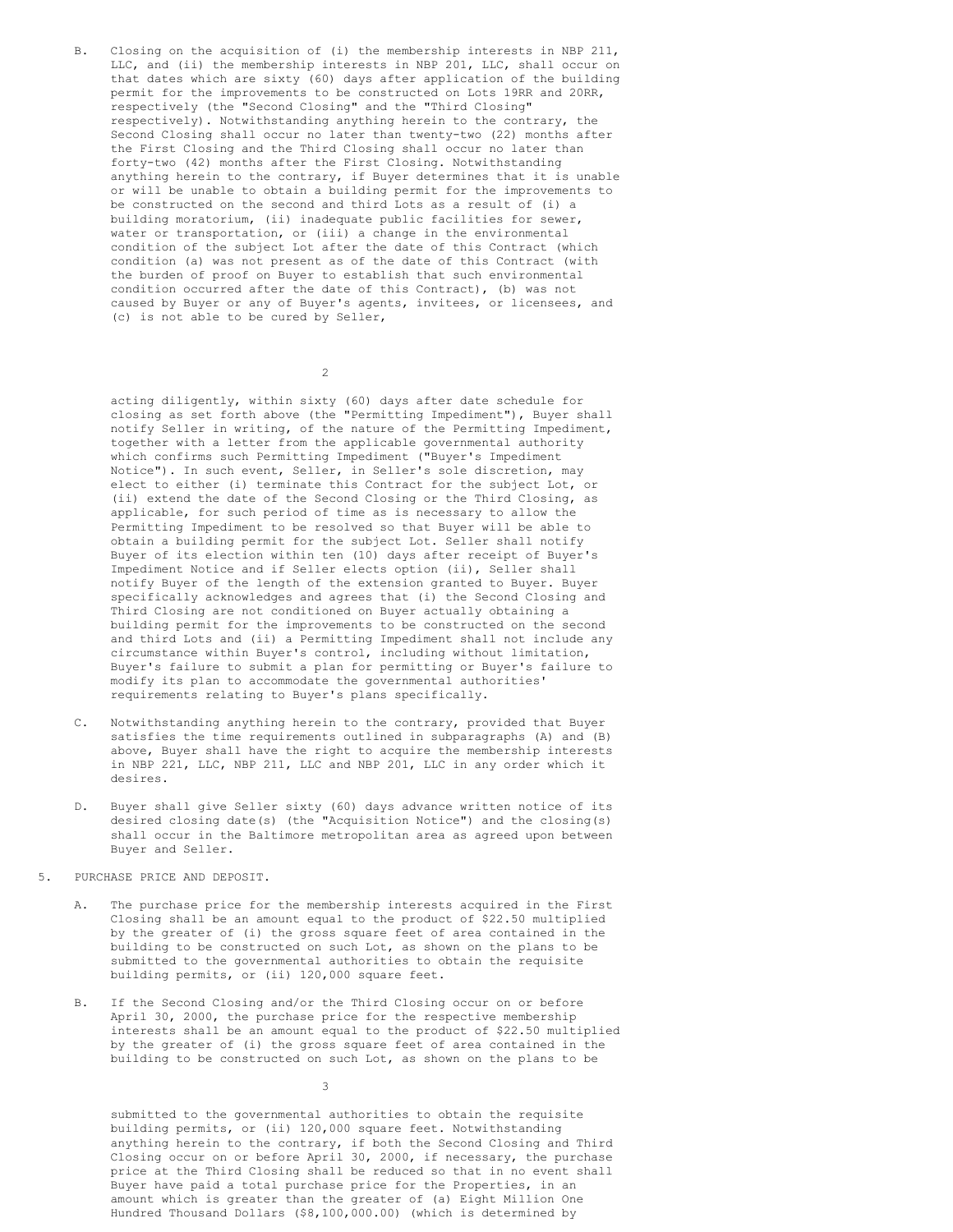B. Closing on the acquisition of (i) the membership interests in NBP 211, LLC, and (ii) the membership interests in NBP 201, LLC, shall occur on that dates which are sixty (60) days after application of the building permit for the improvements to be constructed on Lots 19RR and 20RR, respectively (the "Second Closing" and the "Third Closing" respectively). Notwithstanding anything herein to the contrary, the Second Closing shall occur no later than twenty-two (22) months after the First Closing and the Third Closing shall occur no later than forty-two (42) months after the First Closing. Notwithstanding anything herein to the contrary, if Buyer determines that it is unable or will be unable to obtain a building permit for the improvements to be constructed on the second and third Lots as a result of (i) a building moratorium, (ii) inadequate public facilities for sewer, water or transportation, or (iii) a change in the environmental condition of the subject Lot after the date of this Contract (which condition (a) was not present as of the date of this Contract (with the burden of proof on Buyer to establish that such environmental condition occurred after the date of this Contract), (b) was not caused by Buyer or any of Buyer's agents, invitees, or licensees, and (c) is not able to be cured by Seller,

 $\mathfrak{D}$ 

acting diligently, within sixty (60) days after date schedule for closing as set forth above (the "Permitting Impediment"), Buyer shall notify Seller in writing, of the nature of the Permitting Impediment, together with a letter from the applicable governmental authority which confirms such Permitting Impediment ("Buyer's Impediment Notice"). In such event, Seller, in Seller's sole discretion, may elect to either (i) terminate this Contract for the subject Lot, or (ii) extend the date of the Second Closing or the Third Closing, as applicable, for such period of time as is necessary to allow the Permitting Impediment to be resolved so that Buyer will be able to obtain a building permit for the subject Lot. Seller shall notify Buyer of its election within ten (10) days after receipt of Buyer's Impediment Notice and if Seller elects option (ii), Seller shall notify Buyer of the length of the extension granted to Buyer. Buyer specifically acknowledges and agrees that (i) the Second Closing and Third Closing are not conditioned on Buyer actually obtaining a building permit for the improvements to be constructed on the second and third Lots and (ii) a Permitting Impediment shall not include any circumstance within Buyer's control, including without limitation, Buyer's failure to submit a plan for permitting or Buyer's failure to modify its plan to accommodate the governmental authorities' requirements relating to Buyer's plans specifically.

- C. Notwithstanding anything herein to the contrary, provided that Buyer satisfies the time requirements outlined in subparagraphs (A) and (B) above, Buyer shall have the right to acquire the membership interests in NBP 221, LLC, NBP 211, LLC and NBP 201, LLC in any order which it desires.
- D. Buyer shall give Seller sixty (60) days advance written notice of its desired closing date(s) (the "Acquisition Notice") and the closing(s) shall occur in the Baltimore metropolitan area as agreed upon between Buyer and Seller.
- 5. PURCHASE PRICE AND DEPOSIT.
	- A. The purchase price for the membership interests acquired in the First Closing shall be an amount equal to the product of \$22.50 multiplied by the greater of (i) the gross square feet of area contained in the building to be constructed on such Lot, as shown on the plans to be submitted to the governmental authorities to obtain the requisite building permits, or (ii) 120,000 square feet.
	- B. If the Second Closing and/or the Third Closing occur on or before April 30, 2000, the purchase price for the respective membership interests shall be an amount equal to the product of \$22.50 multiplied by the greater of (i) the gross square feet of area contained in the building to be constructed on such Lot, as shown on the plans to be

3

submitted to the governmental authorities to obtain the requisite building permits, or (ii) 120,000 square feet. Notwithstanding anything herein to the contrary, if both the Second Closing and Third Closing occur on or before April 30, 2000, if necessary, the purchase price at the Third Closing shall be reduced so that in no event shall Buyer have paid a total purchase price for the Properties, in an amount which is greater than the greater of (a) Eight Million One Hundred Thousand Dollars (\$8,100,000.00) (which is determined by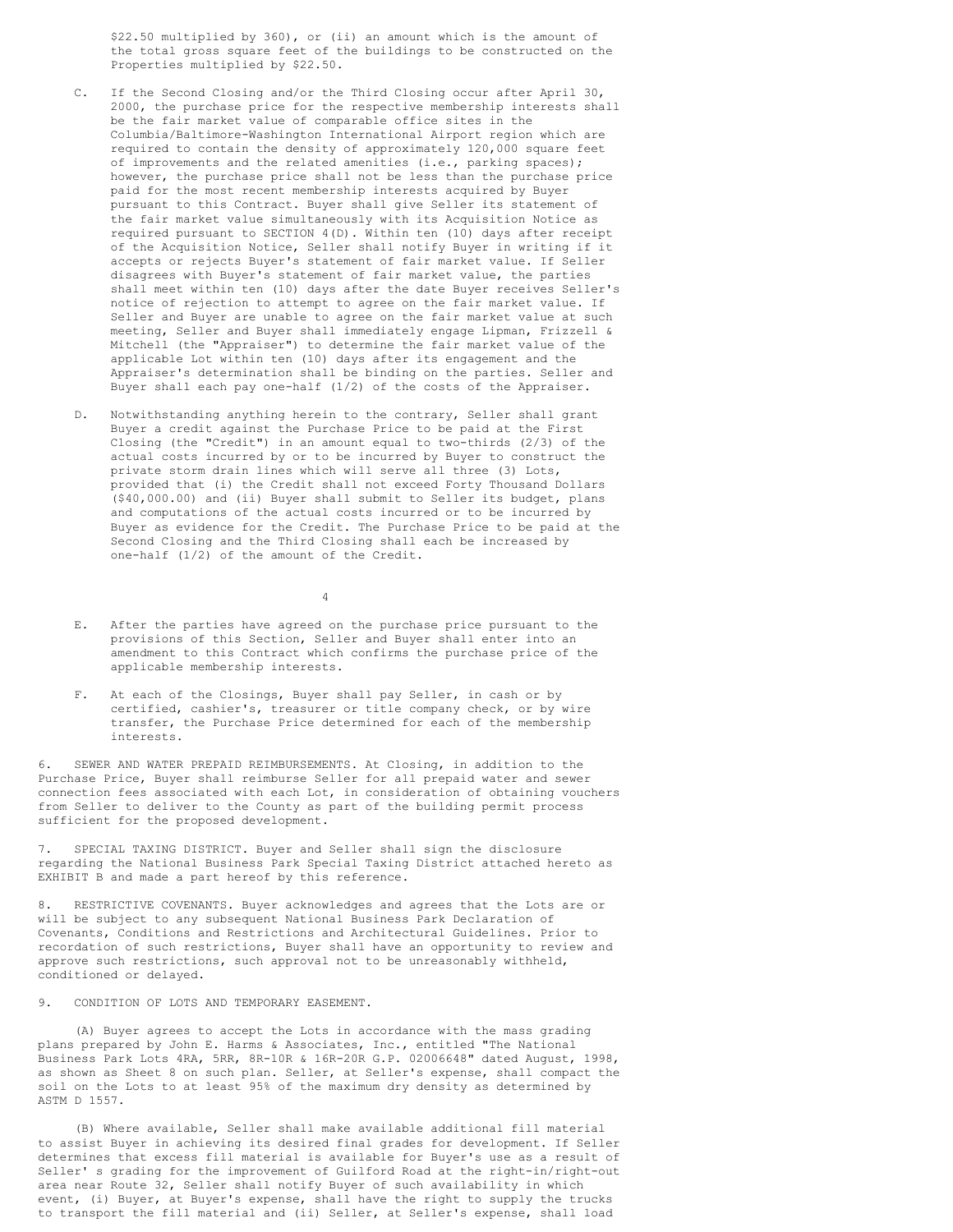\$22.50 multiplied by 360), or (ii) an amount which is the amount of the total gross square feet of the buildings to be constructed on the Properties multiplied by \$22.50.

- C. If the Second Closing and/or the Third Closing occur after April 30, 2000, the purchase price for the respective membership interests shall be the fair market value of comparable office sites in the Columbia/Baltimore-Washington International Airport region which are required to contain the density of approximately 120,000 square feet of improvements and the related amenities (i.e., parking spaces); however, the purchase price shall not be less than the purchase price paid for the most recent membership interests acquired by Buyer pursuant to this Contract. Buyer shall give Seller its statement of the fair market value simultaneously with its Acquisition Notice as required pursuant to SECTION 4(D). Within ten (10) days after receipt of the Acquisition Notice, Seller shall notify Buyer in writing if it accepts or rejects Buyer's statement of fair market value. If Seller disagrees with Buyer's statement of fair market value, the parties shall meet within ten (10) days after the date Buyer receives Seller's notice of rejection to attempt to agree on the fair market value. If Seller and Buyer are unable to agree on the fair market value at such meeting, Seller and Buyer shall immediately engage Lipman, Frizzell & Mitchell (the "Appraiser") to determine the fair market value of the applicable Lot within ten (10) days after its engagement and the Appraiser's determination shall be binding on the parties. Seller and Buyer shall each pay one-half (1/2) of the costs of the Appraiser.
- D. Notwithstanding anything herein to the contrary, Seller shall grant Buyer a credit against the Purchase Price to be paid at the First Closing (the "Credit") in an amount equal to two-thirds (2/3) of the actual costs incurred by or to be incurred by Buyer to construct the private storm drain lines which will serve all three (3) Lots, provided that (i) the Credit shall not exceed Forty Thousand Dollars (\$40,000.00) and (ii) Buyer shall submit to Seller its budget, plans and computations of the actual costs incurred or to be incurred by Buyer as evidence for the Credit. The Purchase Price to be paid at the Second Closing and the Third Closing shall each be increased by one-half (1/2) of the amount of the Credit.

4

- E. After the parties have agreed on the purchase price pursuant to the provisions of this Section, Seller and Buyer shall enter into an amendment to this Contract which confirms the purchase price of the applicable membership interests.
- F. At each of the Closings, Buyer shall pay Seller, in cash or by certified, cashier's, treasurer or title company check, or by wire transfer, the Purchase Price determined for each of the membership interests.

6. SEWER AND WATER PREPAID REIMBURSEMENTS. At Closing, in addition to the Purchase Price, Buyer shall reimburse Seller for all prepaid water and sewer connection fees associated with each Lot, in consideration of obtaining vouchers from Seller to deliver to the County as part of the building permit process sufficient for the proposed development.

7. SPECIAL TAXING DISTRICT. Buyer and Seller shall sign the disclosure regarding the National Business Park Special Taxing District attached hereto as EXHIBIT B and made a part hereof by this reference.

8. RESTRICTIVE COVENANTS. Buyer acknowledges and agrees that the Lots are or will be subject to any subsequent National Business Park Declaration of Covenants, Conditions and Restrictions and Architectural Guidelines. Prior to recordation of such restrictions, Buyer shall have an opportunity to review and approve such restrictions, such approval not to be unreasonably withheld, conditioned or delayed.

# 9. CONDITION OF LOTS AND TEMPORARY EASEMENT.

(A) Buyer agrees to accept the Lots in accordance with the mass grading plans prepared by John E. Harms & Associates, Inc., entitled "The National Business Park Lots 4RA, 5RR, 8R-10R & 16R-20R G.P. 02006648" dated August, 1998, as shown as Sheet 8 on such plan. Seller, at Seller's expense, shall compact the soil on the Lots to at least 95% of the maximum dry density as determined by ASTM D 1557.

(B) Where available, Seller shall make available additional fill material to assist Buyer in achieving its desired final grades for development. If Seller determines that excess fill material is available for Buyer's use as a result of Seller' s grading for the improvement of Guilford Road at the right-in/right-out area near Route 32, Seller shall notify Buyer of such availability in which event, (i) Buyer, at Buyer's expense, shall have the right to supply the trucks to transport the fill material and (ii) Seller, at Seller's expense, shall load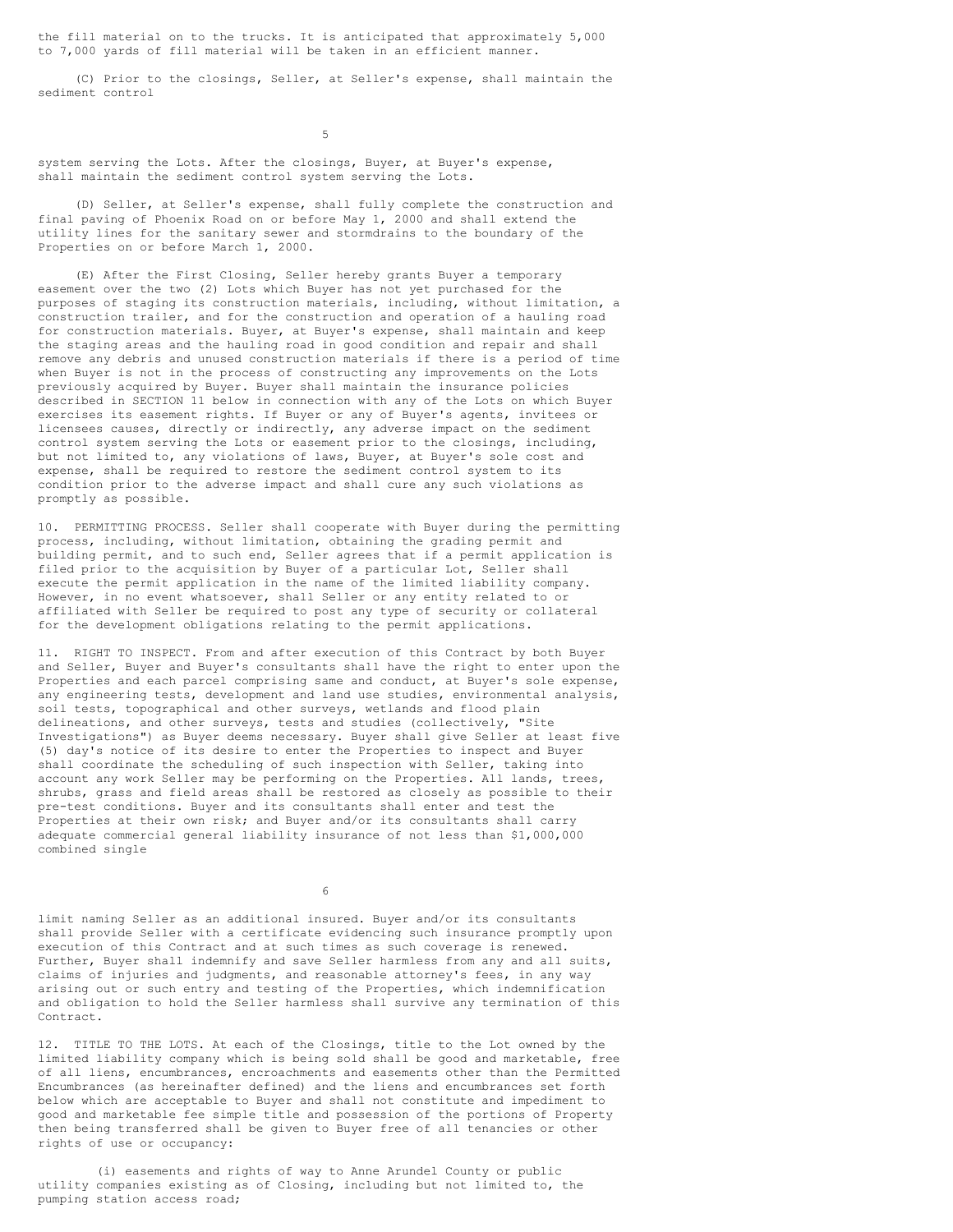the fill material on to the trucks. It is anticipated that approximately 5,000 to 7,000 yards of fill material will be taken in an efficient manner.

(C) Prior to the closings, Seller, at Seller's expense, shall maintain the sediment control

5

system serving the Lots. After the closings, Buyer, at Buyer's expense, shall maintain the sediment control system serving the Lots.

(D) Seller, at Seller's expense, shall fully complete the construction and final paving of Phoenix Road on or before May 1, 2000 and shall extend the utility lines for the sanitary sewer and stormdrains to the boundary of the Properties on or before March 1, 2000.

(E) After the First Closing, Seller hereby grants Buyer a temporary easement over the two (2) Lots which Buyer has not yet purchased for the purposes of staging its construction materials, including, without limitation, a construction trailer, and for the construction and operation of a hauling road for construction materials. Buyer, at Buyer's expense, shall maintain and keep the staging areas and the hauling road in good condition and repair and shall remove any debris and unused construction materials if there is a period of time when Buyer is not in the process of constructing any improvements on the Lots previously acquired by Buyer. Buyer shall maintain the insurance policies described in SECTION 11 below in connection with any of the Lots on which Buyer exercises its easement rights. If Buyer or any of Buyer's agents, invitees or licensees causes, directly or indirectly, any adverse impact on the sediment control system serving the Lots or easement prior to the closings, including, but not limited to, any violations of laws, Buyer, at Buyer's sole cost and expense, shall be required to restore the sediment control system to its condition prior to the adverse impact and shall cure any such violations as promptly as possible.

10. PERMITTING PROCESS. Seller shall cooperate with Buyer during the permitting process, including, without limitation, obtaining the grading permit and building permit, and to such end, Seller agrees that if a permit application is filed prior to the acquisition by Buyer of a particular Lot, Seller shall execute the permit application in the name of the limited liability company. However, in no event whatsoever, shall Seller or any entity related to or affiliated with Seller be required to post any type of security or collateral for the development obligations relating to the permit applications.

11. RIGHT TO INSPECT. From and after execution of this Contract by both Buyer and Seller, Buyer and Buyer's consultants shall have the right to enter upon the Properties and each parcel comprising same and conduct, at Buyer's sole expense, any engineering tests, development and land use studies, environmental analysis, soil tests, topographical and other surveys, wetlands and flood plain delineations, and other surveys, tests and studies (collectively, "Site Investigations") as Buyer deems necessary. Buyer shall give Seller at least five (5) day's notice of its desire to enter the Properties to inspect and Buyer shall coordinate the scheduling of such inspection with Seller, taking into account any work Seller may be performing on the Properties. All lands, trees, shrubs, grass and field areas shall be restored as closely as possible to their pre-test conditions. Buyer and its consultants shall enter and test the Properties at their own risk; and Buyer and/or its consultants shall carry adequate commercial general liability insurance of not less than \$1,000,000 combined single

6

limit naming Seller as an additional insured. Buyer and/or its consultants shall provide Seller with a certificate evidencing such insurance promptly upon execution of this Contract and at such times as such coverage is renewed. Further, Buyer shall indemnify and save Seller harmless from any and all suits, claims of injuries and judgments, and reasonable attorney's fees, in any way arising out or such entry and testing of the Properties, which indemnification and obligation to hold the Seller harmless shall survive any termination of this Contract.

12. TITLE TO THE LOTS. At each of the Closings, title to the Lot owned by the limited liability company which is being sold shall be good and marketable, free of all liens, encumbrances, encroachments and easements other than the Permitted Encumbrances (as hereinafter defined) and the liens and encumbrances set forth below which are acceptable to Buyer and shall not constitute and impediment to good and marketable fee simple title and possession of the portions of Property then being transferred shall be given to Buyer free of all tenancies or other rights of use or occupancy:

(i) easements and rights of way to Anne Arundel County or public utility companies existing as of Closing, including but not limited to, the pumping station access road;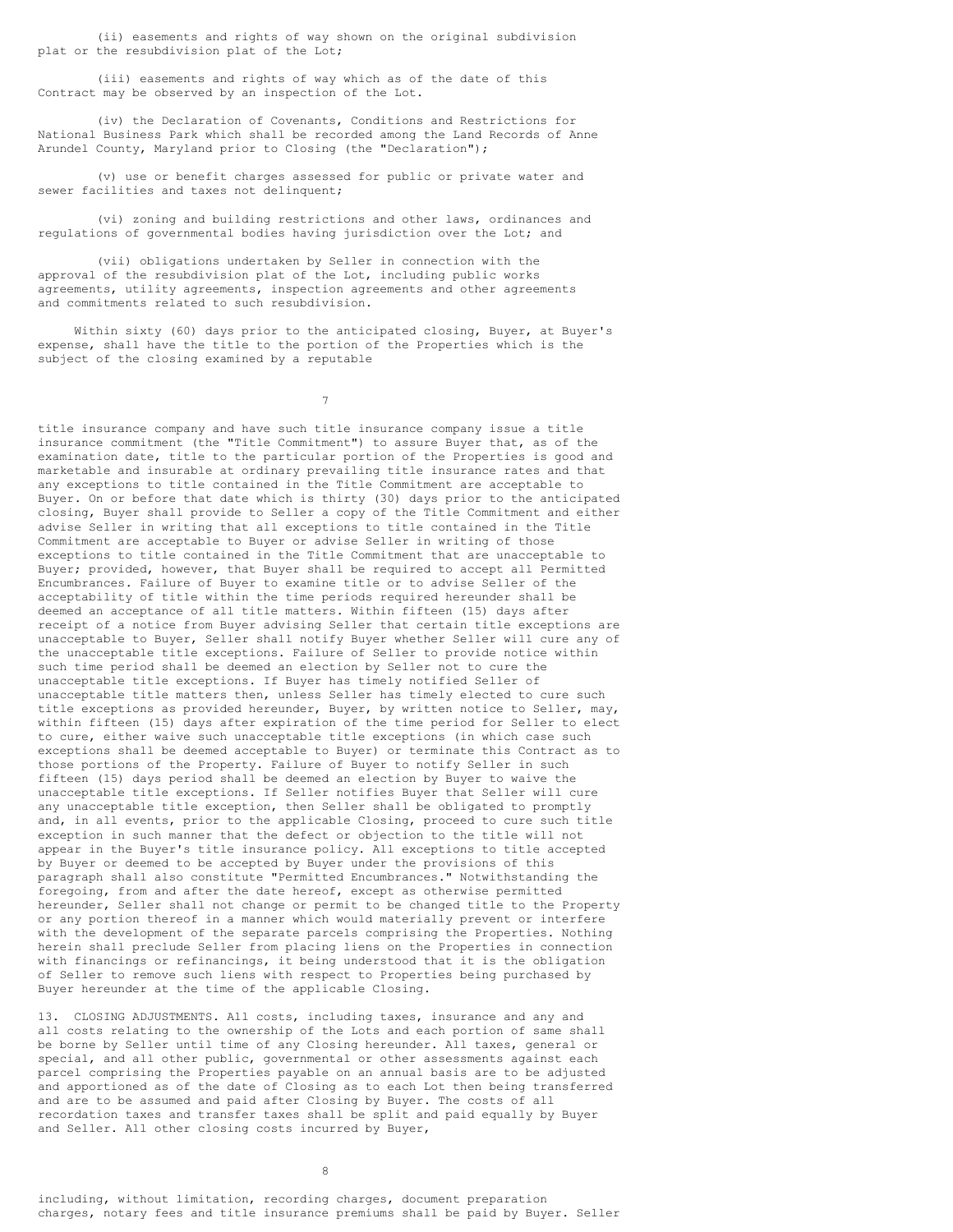(ii) easements and rights of way shown on the original subdivision plat or the resubdivision plat of the Lot;

(iii) easements and rights of way which as of the date of this Contract may be observed by an inspection of the Lot.

(iv) the Declaration of Covenants, Conditions and Restrictions for National Business Park which shall be recorded among the Land Records of Anne Arundel County, Maryland prior to Closing (the "Declaration");

(v) use or benefit charges assessed for public or private water and sewer facilities and taxes not delinquent;

(vi) zoning and building restrictions and other laws, ordinances and regulations of governmental bodies having jurisdiction over the Lot; and

(vii) obligations undertaken by Seller in connection with the approval of the resubdivision plat of the Lot, including public works agreements, utility agreements, inspection agreements and other agreements and commitments related to such resubdivision.

Within sixty (60) days prior to the anticipated closing, Buyer, at Buyer's expense, shall have the title to the portion of the Properties which is the subject of the closing examined by a reputable

7

title insurance company and have such title insurance company issue a title insurance commitment (the "Title Commitment") to assure Buyer that, as of the examination date, title to the particular portion of the Properties is good and marketable and insurable at ordinary prevailing title insurance rates and that any exceptions to title contained in the Title Commitment are acceptable to Buyer. On or before that date which is thirty (30) days prior to the anticipated closing, Buyer shall provide to Seller a copy of the Title Commitment and either advise Seller in writing that all exceptions to title contained in the Title Commitment are acceptable to Buyer or advise Seller in writing of those exceptions to title contained in the Title Commitment that are unacceptable to Buyer; provided, however, that Buyer shall be required to accept all Permitted Encumbrances. Failure of Buyer to examine title or to advise Seller of the acceptability of title within the time periods required hereunder shall be deemed an acceptance of all title matters. Within fifteen (15) days after receipt of a notice from Buyer advising Seller that certain title exceptions are unacceptable to Buyer, Seller shall notify Buyer whether Seller will cure any of the unacceptable title exceptions. Failure of Seller to provide notice within such time period shall be deemed an election by Seller not to cure the unacceptable title exceptions. If Buyer has timely notified Seller of unacceptable title matters then, unless Seller has timely elected to cure such title exceptions as provided hereunder, Buyer, by written notice to Seller, may, within fifteen (15) days after expiration of the time period for Seller to elect to cure, either waive such unacceptable title exceptions (in which case such exceptions shall be deemed acceptable to Buyer) or terminate this Contract as to those portions of the Property. Failure of Buyer to notify Seller in such fifteen (15) days period shall be deemed an election by Buyer to waive the unacceptable title exceptions. If Seller notifies Buyer that Seller will cure any unacceptable title exception, then Seller shall be obligated to promptly and, in all events, prior to the applicable Closing, proceed to cure such title exception in such manner that the defect or objection to the title will not appear in the Buyer's title insurance policy. All exceptions to title accepted by Buyer or deemed to be accepted by Buyer under the provisions of this paragraph shall also constitute "Permitted Encumbrances." Notwithstanding the foregoing, from and after the date hereof, except as otherwise permitted hereunder, Seller shall not change or permit to be changed title to the Property or any portion thereof in a manner which would materially prevent or interfere with the development of the separate parcels comprising the Properties. Nothing herein shall preclude Seller from placing liens on the Properties in connection with financings or refinancings, it being understood that it is the obligation of Seller to remove such liens with respect to Properties being purchased by Buyer hereunder at the time of the applicable Closing.

13. CLOSING ADJUSTMENTS. All costs, including taxes, insurance and any and all costs relating to the ownership of the Lots and each portion of same shall be borne by Seller until time of any Closing hereunder. All taxes, general or special, and all other public, governmental or other assessments against each parcel comprising the Properties payable on an annual basis are to be adjusted and apportioned as of the date of Closing as to each Lot then being transferred and are to be assumed and paid after Closing by Buyer. The costs of all recordation taxes and transfer taxes shall be split and paid equally by Buyer and Seller. All other closing costs incurred by Buyer,

8

including, without limitation, recording charges, document preparation charges, notary fees and title insurance premiums shall be paid by Buyer. Seller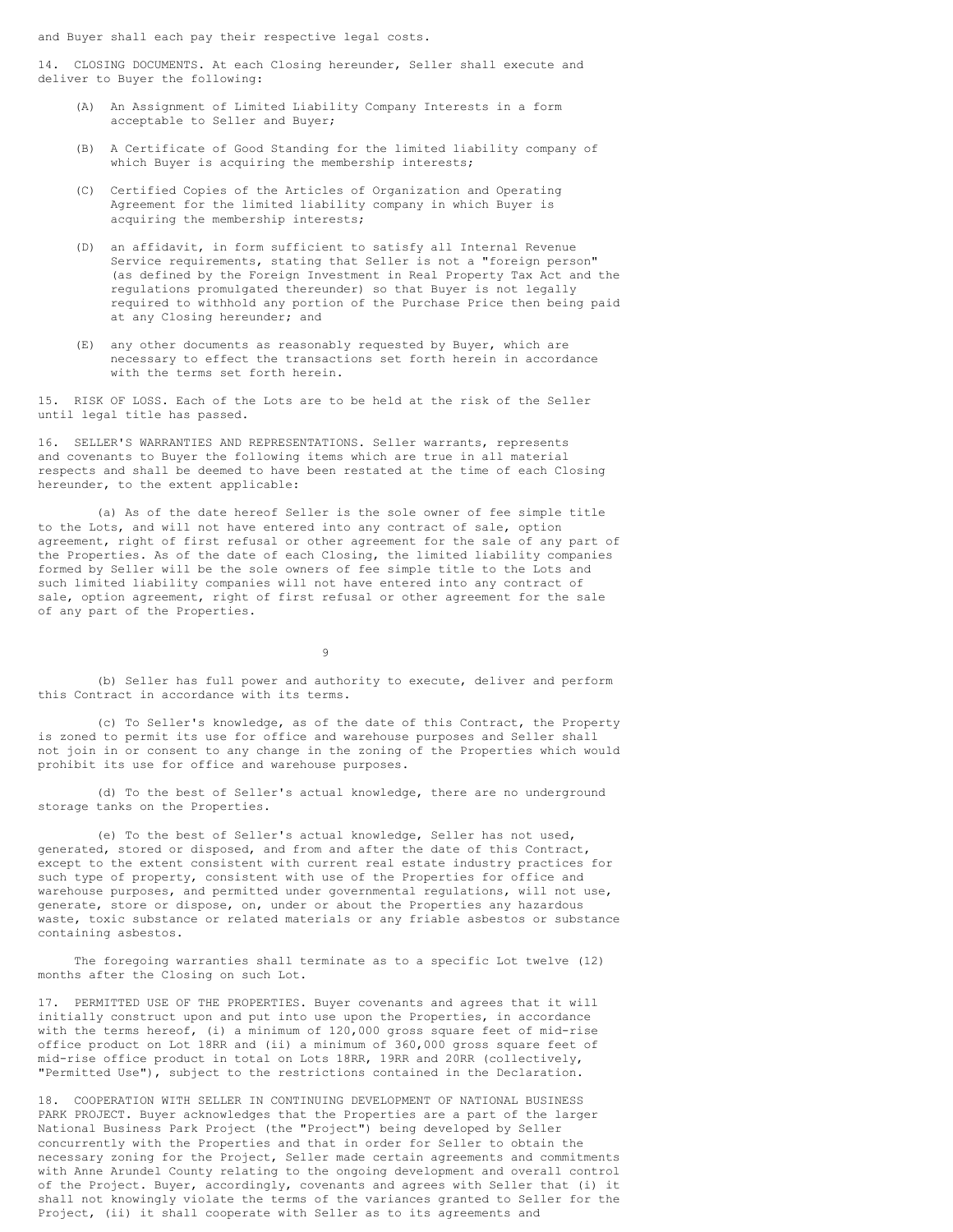and Buyer shall each pay their respective legal costs.

14. CLOSING DOCUMENTS. At each Closing hereunder, Seller shall execute and deliver to Buyer the following:

- (A) An Assignment of Limited Liability Company Interests in a form acceptable to Seller and Buyer;
- (B) A Certificate of Good Standing for the limited liability company of which Buyer is acquiring the membership interests;
- (C) Certified Copies of the Articles of Organization and Operating Agreement for the limited liability company in which Buyer is acquiring the membership interests;
- (D) an affidavit, in form sufficient to satisfy all Internal Revenue Service requirements, stating that Seller is not a "foreign person" (as defined by the Foreign Investment in Real Property Tax Act and the regulations promulgated thereunder) so that Buyer is not legally required to withhold any portion of the Purchase Price then being paid at any Closing hereunder; and
- (E) any other documents as reasonably requested by Buyer, which are necessary to effect the transactions set forth herein in accordance with the terms set forth herein.

15. RISK OF LOSS. Each of the Lots are to be held at the risk of the Seller until legal title has passed.

16. SELLER'S WARRANTIES AND REPRESENTATIONS. Seller warrants, represents and covenants to Buyer the following items which are true in all material respects and shall be deemed to have been restated at the time of each Closing hereunder, to the extent applicable:

(a) As of the date hereof Seller is the sole owner of fee simple title to the Lots, and will not have entered into any contract of sale, option agreement, right of first refusal or other agreement for the sale of any part of the Properties. As of the date of each Closing, the limited liability companies formed by Seller will be the sole owners of fee simple title to the Lots and such limited liability companies will not have entered into any contract of sale, option agreement, right of first refusal or other agreement for the sale of any part of the Properties.

9

(b) Seller has full power and authority to execute, deliver and perform this Contract in accordance with its terms.

(c) To Seller's knowledge, as of the date of this Contract, the Property is zoned to permit its use for office and warehouse purposes and Seller shall not join in or consent to any change in the zoning of the Properties which would prohibit its use for office and warehouse purposes.

(d) To the best of Seller's actual knowledge, there are no underground storage tanks on the Properties.

(e) To the best of Seller's actual knowledge, Seller has not used, generated, stored or disposed, and from and after the date of this Contract, except to the extent consistent with current real estate industry practices for such type of property, consistent with use of the Properties for office and warehouse purposes, and permitted under governmental regulations, will not use, generate, store or dispose, on, under or about the Properties any hazardous waste, toxic substance or related materials or any friable asbestos or substance containing asbestos.

The foregoing warranties shall terminate as to a specific Lot twelve (12) months after the Closing on such Lot.

17. PERMITTED USE OF THE PROPERTIES. Buyer covenants and agrees that it will initially construct upon and put into use upon the Properties, in accordance with the terms hereof, (i) a minimum of 120,000 gross square feet of mid-rise office product on Lot 18RR and (ii) a minimum of 360,000 gross square feet of mid-rise office product in total on Lots 18RR, 19RR and 20RR (collectively, "Permitted Use"), subject to the restrictions contained in the Declaration.

18. COOPERATION WITH SELLER IN CONTINUING DEVELOPMENT OF NATIONAL BUSINESS PARK PROJECT. Buyer acknowledges that the Properties are a part of the larger National Business Park Project (the "Project") being developed by Seller concurrently with the Properties and that in order for Seller to obtain the necessary zoning for the Project, Seller made certain agreements and commitments with Anne Arundel County relating to the ongoing development and overall control of the Project. Buyer, accordingly, covenants and agrees with Seller that (i) it shall not knowingly violate the terms of the variances granted to Seller for the Project, (ii) it shall cooperate with Seller as to its agreements and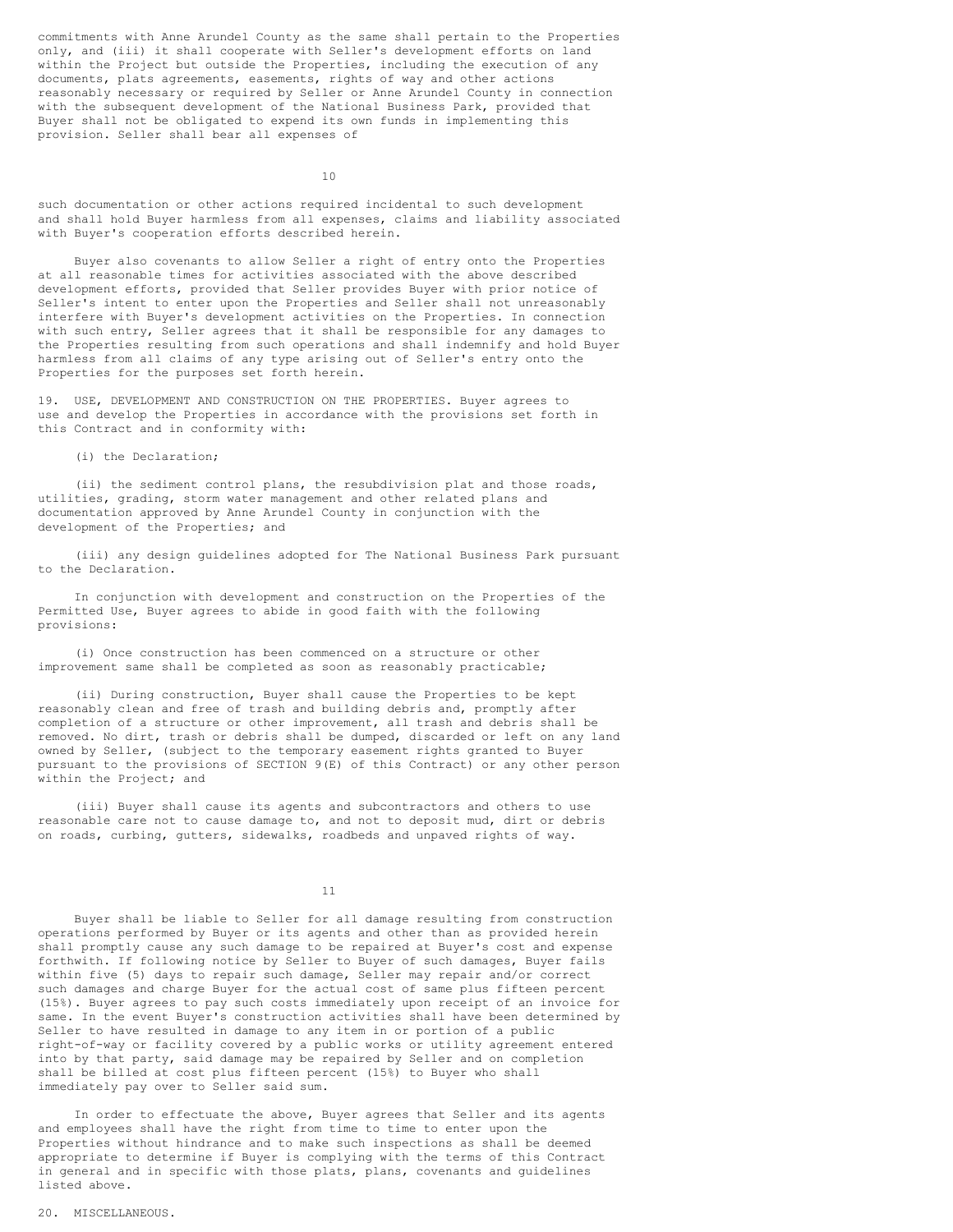commitments with Anne Arundel County as the same shall pertain to the Properties only, and (iii) it shall cooperate with Seller's development efforts on land within the Project but outside the Properties, including the execution of any documents, plats agreements, easements, rights of way and other actions reasonably necessary or required by Seller or Anne Arundel County in connection with the subsequent development of the National Business Park, provided that Buyer shall not be obligated to expend its own funds in implementing this provision. Seller shall bear all expenses of

10

such documentation or other actions required incidental to such development and shall hold Buyer harmless from all expenses, claims and liability associated with Buyer's cooperation efforts described herein.

Buyer also covenants to allow Seller a right of entry onto the Properties at all reasonable times for activities associated with the above described development efforts, provided that Seller provides Buyer with prior notice of Seller's intent to enter upon the Properties and Seller shall not unreasonably interfere with Buyer's development activities on the Properties. In connection with such entry, Seller agrees that it shall be responsible for any damages to the Properties resulting from such operations and shall indemnify and hold Buyer harmless from all claims of any type arising out of Seller's entry onto the Properties for the purposes set forth herein.

19. USE, DEVELOPMENT AND CONSTRUCTION ON THE PROPERTIES. Buyer agrees to use and develop the Properties in accordance with the provisions set forth in this Contract and in conformity with:

(i) the Declaration;

(ii) the sediment control plans, the resubdivision plat and those roads, utilities, grading, storm water management and other related plans and documentation approved by Anne Arundel County in conjunction with the development of the Properties; and

(iii) any design guidelines adopted for The National Business Park pursuant to the Declaration.

In conjunction with development and construction on the Properties of the Permitted Use, Buyer agrees to abide in good faith with the following provisions:

(i) Once construction has been commenced on a structure or other improvement same shall be completed as soon as reasonably practicable;

(ii) During construction, Buyer shall cause the Properties to be kept reasonably clean and free of trash and building debris and, promptly after completion of a structure or other improvement, all trash and debris shall be removed. No dirt, trash or debris shall be dumped, discarded or left on any land owned by Seller, (subject to the temporary easement rights granted to Buyer pursuant to the provisions of SECTION 9(E) of this Contract) or any other person within the Project; and

(iii) Buyer shall cause its agents and subcontractors and others to use reasonable care not to cause damage to, and not to deposit mud, dirt or debris on roads, curbing, gutters, sidewalks, roadbeds and unpaved rights of way.

11

Buyer shall be liable to Seller for all damage resulting from construction operations performed by Buyer or its agents and other than as provided herein shall promptly cause any such damage to be repaired at Buyer's cost and expense forthwith. If following notice by Seller to Buyer of such damages, Buyer fails within five (5) days to repair such damage, Seller may repair and/or correct such damages and charge Buyer for the actual cost of same plus fifteen percent (15%). Buyer agrees to pay such costs immediately upon receipt of an invoice for same. In the event Buyer's construction activities shall have been determined by Seller to have resulted in damage to any item in or portion of a public right-of-way or facility covered by a public works or utility agreement entered into by that party, said damage may be repaired by Seller and on completion shall be billed at cost plus fifteen percent (15%) to Buyer who shall immediately pay over to Seller said sum.

In order to effectuate the above, Buyer agrees that Seller and its agents and employees shall have the right from time to time to enter upon the Properties without hindrance and to make such inspections as shall be deemed appropriate to determine if Buyer is complying with the terms of this Contract in general and in specific with those plats, plans, covenants and guidelines listed above.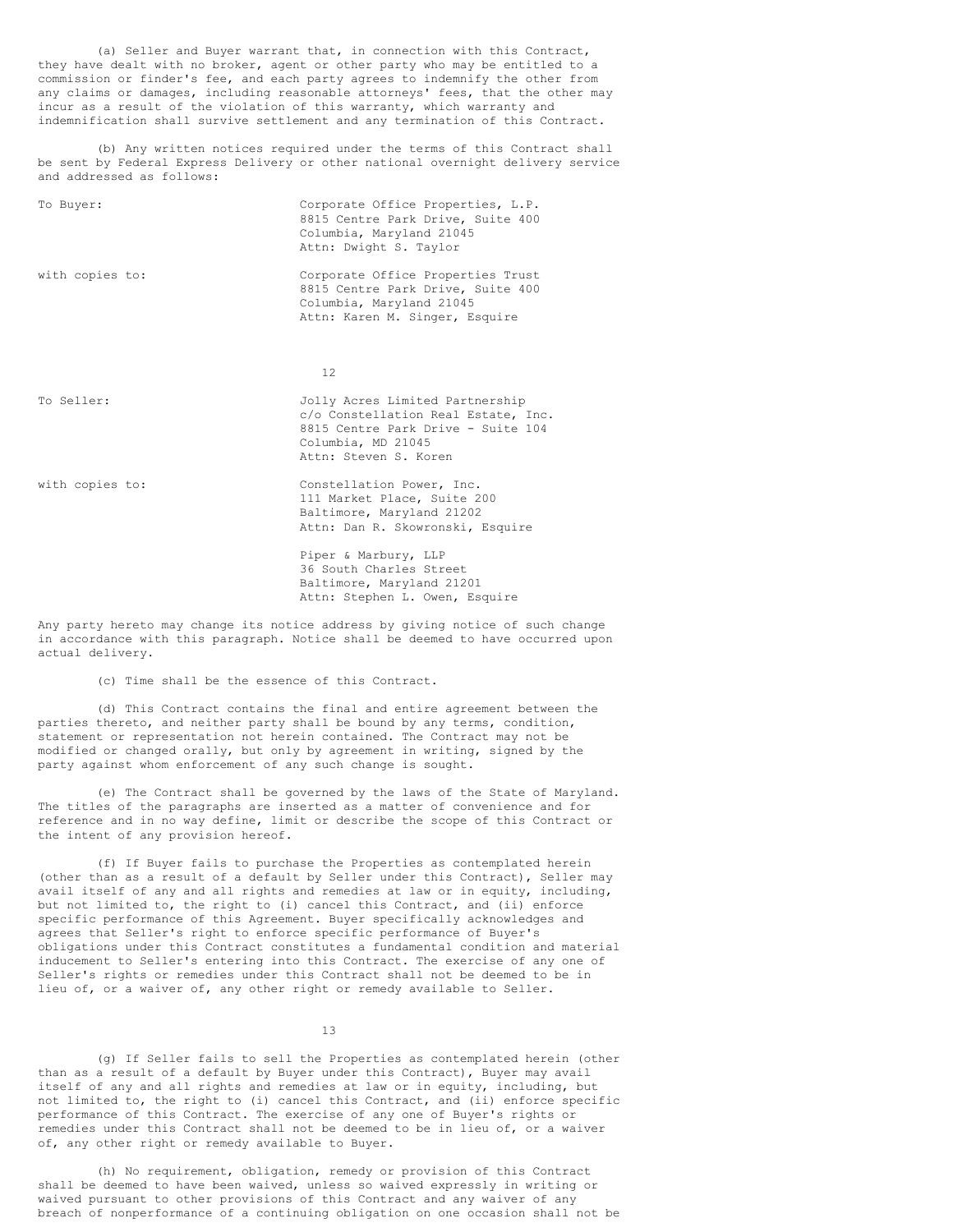(a) Seller and Buyer warrant that, in connection with this Contract, they have dealt with no broker, agent or other party who may be entitled to a commission or finder's fee, and each party agrees to indemnify the other from any claims or damages, including reasonable attorneys' fees, that the other may incur as a result of the violation of this warranty, which warranty and indemnification shall survive settlement and any termination of this Contract.

(b) Any written notices required under the terms of this Contract shall be sent by Federal Express Delivery or other national overnight delivery service and addressed as follows:

| To Buyer:       | Corporate Office Properties, L.P.<br>8815 Centre Park Drive, Suite 400<br>Columbia, Maryland 21045<br>Attn: Dwight S. Taylor         |
|-----------------|--------------------------------------------------------------------------------------------------------------------------------------|
| with copies to: | Corporate Office Properties Trust<br>8815 Centre Park Drive, Suite 400<br>Columbia, Maryland 21045<br>Attn: Karen M. Singer, Esquire |

12

| To Seller: | Jolly Acres Limited Partnership     |
|------------|-------------------------------------|
|            | c/o Constellation Real Estate, Inc. |
|            | 8815 Centre Park Drive - Suite 104  |
|            | Columbia, MD 21045                  |
|            | Attn: Steven S. Koren               |

with copies to: Constellation Power, Inc. 111 Market Place, Suite 200 Baltimore, Maryland 21202 Attn: Dan R. Skowronski, Esquire

> Piper & Marbury, LLP 36 South Charles Street Baltimore, Maryland 21201 Attn: Stephen L. Owen, Esquire

Any party hereto may change its notice address by giving notice of such change in accordance with this paragraph. Notice shall be deemed to have occurred upon actual delivery.

(c) Time shall be the essence of this Contract.

(d) This Contract contains the final and entire agreement between the parties thereto, and neither party shall be bound by any terms, condition, statement or representation not herein contained. The Contract may not be modified or changed orally, but only by agreement in writing, signed by the party against whom enforcement of any such change is sought.

(e) The Contract shall be governed by the laws of the State of Maryland. The titles of the paragraphs are inserted as a matter of convenience and for reference and in no way define, limit or describe the scope of this Contract or the intent of any provision hereof.

(f) If Buyer fails to purchase the Properties as contemplated herein (other than as a result of a default by Seller under this Contract), Seller may avail itself of any and all rights and remedies at law or in equity, including, but not limited to, the right to (i) cancel this Contract, and (ii) enforce specific performance of this Agreement. Buyer specifically acknowledges and agrees that Seller's right to enforce specific performance of Buyer's obligations under this Contract constitutes a fundamental condition and material inducement to Seller's entering into this Contract. The exercise of any one of Seller's rights or remedies under this Contract shall not be deemed to be in lieu of, or a waiver of, any other right or remedy available to Seller.

13

(g) If Seller fails to sell the Properties as contemplated herein (other than as a result of a default by Buyer under this Contract), Buyer may avail itself of any and all rights and remedies at law or in equity, including, but not limited to, the right to (i) cancel this Contract, and (ii) enforce specific performance of this Contract. The exercise of any one of Buyer's rights or remedies under this Contract shall not be deemed to be in lieu of, or a waiver of, any other right or remedy available to Buyer.

(h) No requirement, obligation, remedy or provision of this Contract shall be deemed to have been waived, unless so waived expressly in writing or waived pursuant to other provisions of this Contract and any waiver of any breach of nonperformance of a continuing obligation on one occasion shall not be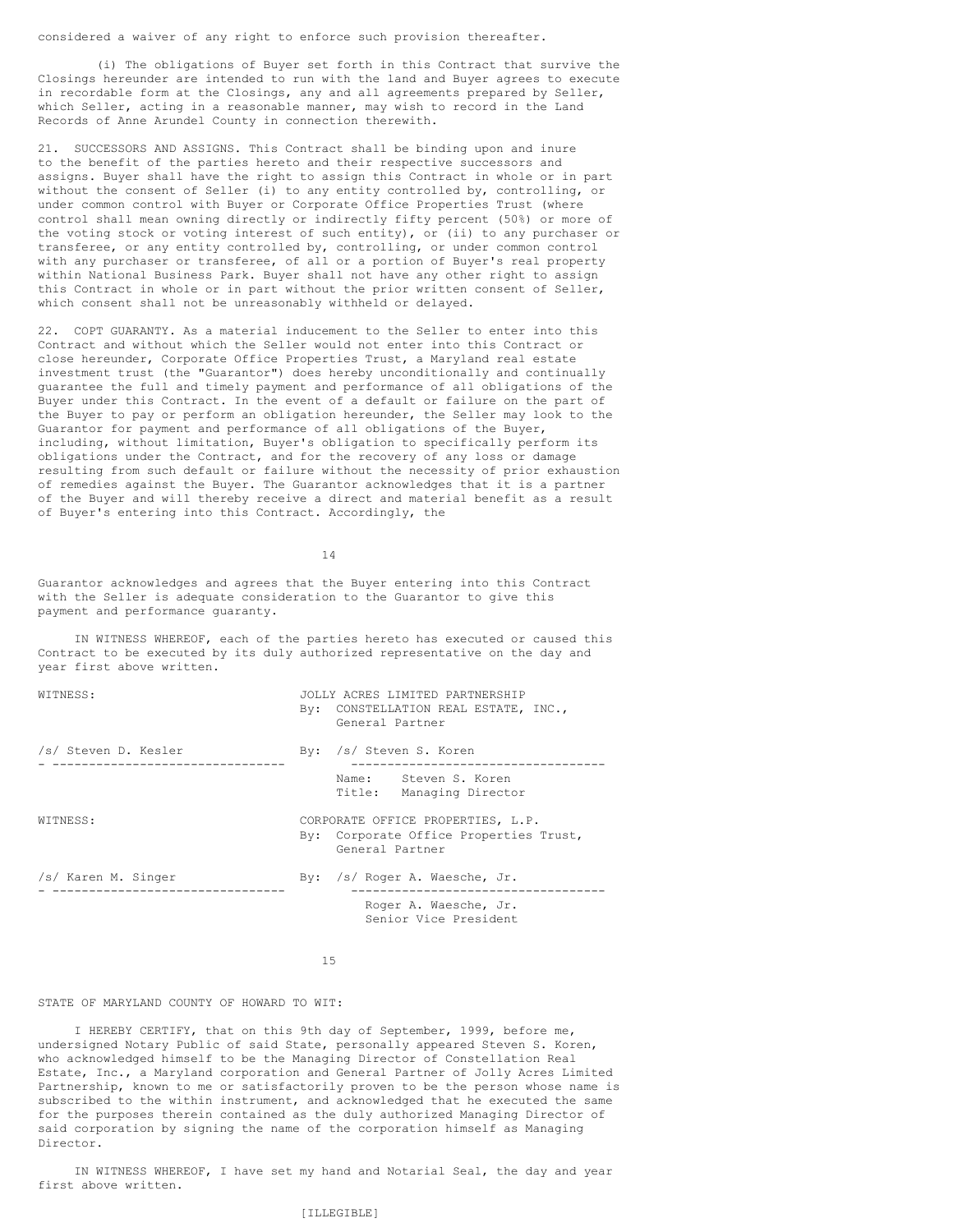considered a waiver of any right to enforce such provision thereafter.

(i) The obligations of Buyer set forth in this Contract that survive the Closings hereunder are intended to run with the land and Buyer agrees to execute in recordable form at the Closings, any and all agreements prepared by Seller, which Seller, acting in a reasonable manner, may wish to record in the Land Records of Anne Arundel County in connection therewith.

21. SUCCESSORS AND ASSIGNS. This Contract shall be binding upon and inure to the benefit of the parties hereto and their respective successors and assigns. Buyer shall have the right to assign this Contract in whole or in part without the consent of Seller (i) to any entity controlled by, controlling, or under common control with Buyer or Corporate Office Properties Trust (where control shall mean owning directly or indirectly fifty percent (50%) or more of the voting stock or voting interest of such entity), or (ii) to any purchaser or transferee, or any entity controlled by, controlling, or under common control with any purchaser or transferee, of all or a portion of Buyer's real property within National Business Park. Buyer shall not have any other right to assign this Contract in whole or in part without the prior written consent of Seller, which consent shall not be unreasonably withheld or delayed.

22. COPT GUARANTY. As a material inducement to the Seller to enter into this Contract and without which the Seller would not enter into this Contract or close hereunder, Corporate Office Properties Trust, a Maryland real estate investment trust (the "Guarantor") does hereby unconditionally and continually guarantee the full and timely payment and performance of all obligations of the Buyer under this Contract. In the event of a default or failure on the part of the Buyer to pay or perform an obligation hereunder, the Seller may look to the Guarantor for payment and performance of all obligations of the Buyer, including, without limitation, Buyer's obligation to specifically perform its obligations under the Contract, and for the recovery of any loss or damage resulting from such default or failure without the necessity of prior exhaustion of remedies against the Buyer. The Guarantor acknowledges that it is a partner of the Buyer and will thereby receive a direct and material benefit as a result of Buyer's entering into this Contract. Accordingly, the

14

Guarantor acknowledges and agrees that the Buyer entering into this Contract with the Seller is adequate consideration to the Guarantor to give this payment and performance guaranty.

IN WITNESS WHEREOF, each of the parties hereto has executed or caused this Contract to be executed by its duly authorized representative on the day and year first above written.

| WITNESS:             | JOLLY ACRES LIMITED PARTNERSHIP<br>By: CONSTELLATION REAL ESTATE, INC.,<br>General Partner     |
|----------------------|------------------------------------------------------------------------------------------------|
| /s/ Steven D. Kesler | By: /s/ Steven S. Koren                                                                        |
|                      | Name: Steven S. Koren<br>Title: Managing Director                                              |
| WITNESS:             | CORPORATE OFFICE PROPERTIES, L.P.<br>By: Corporate Office Properties Trust,<br>General Partner |
| /s/ Karen M. Singer  | By: /s/ Roger A. Waesche, Jr.                                                                  |
|                      | Roger A. Waesche, Jr.<br>Senior Vice President                                                 |

15

# STATE OF MARYLAND COUNTY OF HOWARD TO WIT:

I HEREBY CERTIFY, that on this 9th day of September, 1999, before me, undersigned Notary Public of said State, personally appeared Steven S. Koren, who acknowledged himself to be the Managing Director of Constellation Real Estate, Inc., a Maryland corporation and General Partner of Jolly Acres Limited Partnership, known to me or satisfactorily proven to be the person whose name is subscribed to the within instrument, and acknowledged that he executed the same for the purposes therein contained as the duly authorized Managing Director of said corporation by signing the name of the corporation himself as Managing Director.

IN WITNESS WHEREOF, I have set my hand and Notarial Seal, the day and year first above written.

# [ILLEGIBLE]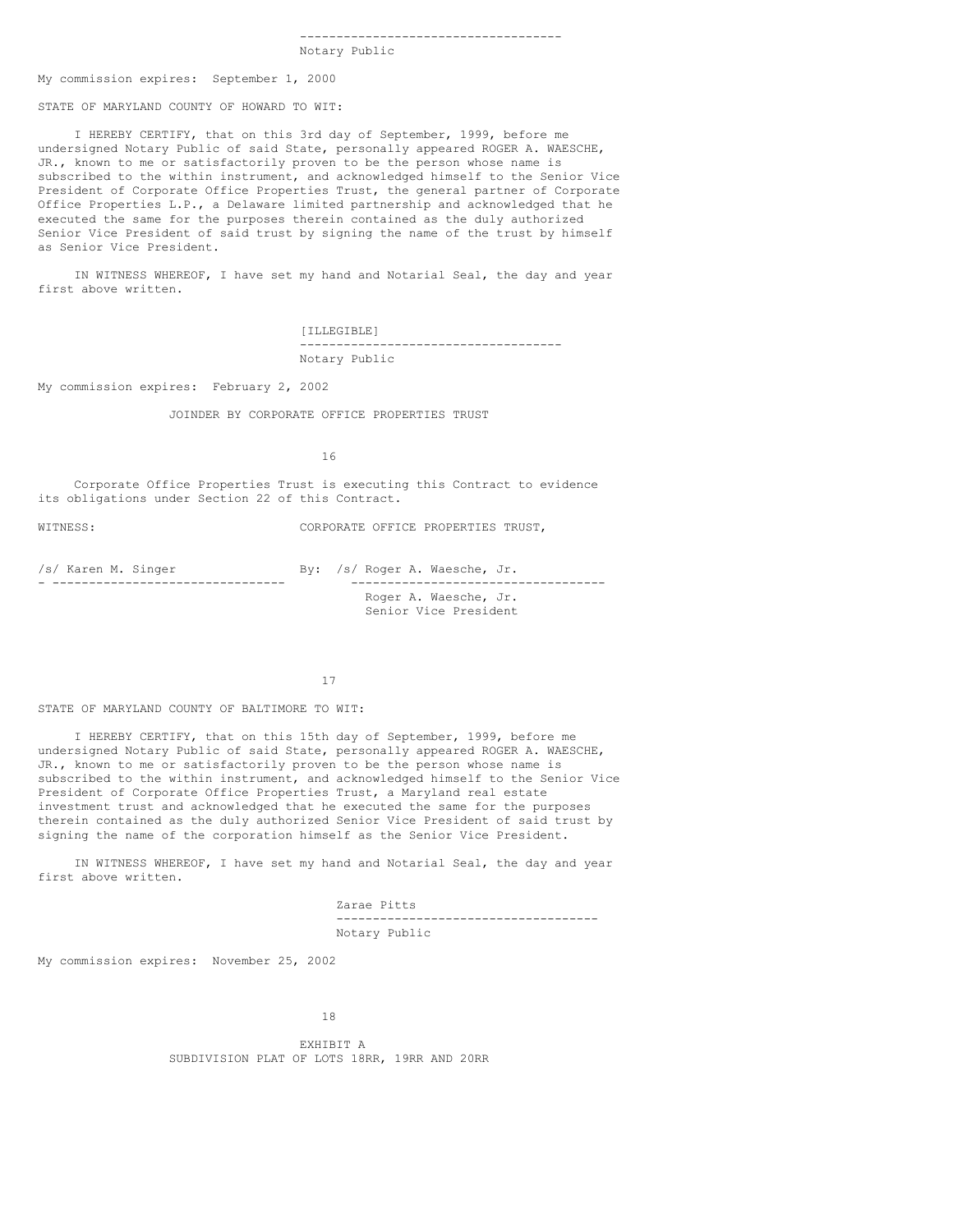------------------------------------ Notary Public

My commission expires: September 1, 2000

STATE OF MARYLAND COUNTY OF HOWARD TO WIT:

I HEREBY CERTIFY, that on this 3rd day of September, 1999, before me undersigned Notary Public of said State, personally appeared ROGER A. WAESCHE, JR., known to me or satisfactorily proven to be the person whose name is subscribed to the within instrument, and acknowledged himself to the Senior Vice President of Corporate Office Properties Trust, the general partner of Corporate Office Properties L.P., a Delaware limited partnership and acknowledged that he executed the same for the purposes therein contained as the duly authorized Senior Vice President of said trust by signing the name of the trust by himself as Senior Vice President.

IN WITNESS WHEREOF, I have set my hand and Notarial Seal, the day and year first above written.

> [ILLEGIBLE] ------------------------------------ Notary Public

My commission expires: February 2, 2002

JOINDER BY CORPORATE OFFICE PROPERTIES TRUST

16

Corporate Office Properties Trust is executing this Contract to evidence its obligations under Section 22 of this Contract.

WITNESS: CORPORATE OFFICE PROPERTIES TRUST,

/s/ Karen M. Singer By: /s/ Roger A. Waesche, Jr. - -------------------------------- ----------------------------------- Roger A. Waesche, Jr. Senior Vice President

17

STATE OF MARYLAND COUNTY OF BALTIMORE TO WIT:

I HEREBY CERTIFY, that on this 15th day of September, 1999, before me undersigned Notary Public of said State, personally appeared ROGER A. WAESCHE, JR., known to me or satisfactorily proven to be the person whose name is subscribed to the within instrument, and acknowledged himself to the Senior Vice President of Corporate Office Properties Trust, a Maryland real estate investment trust and acknowledged that he executed the same for the purposes therein contained as the duly authorized Senior Vice President of said trust by signing the name of the corporation himself as the Senior Vice President.

IN WITNESS WHEREOF, I have set my hand and Notarial Seal, the day and year first above written.

> Zarae Pitts ------------------------------------ Notary Public

My commission expires: November 25, 2002

18

EXHIBIT A SUBDIVISION PLAT OF LOTS 18RR, 19RR AND 20RR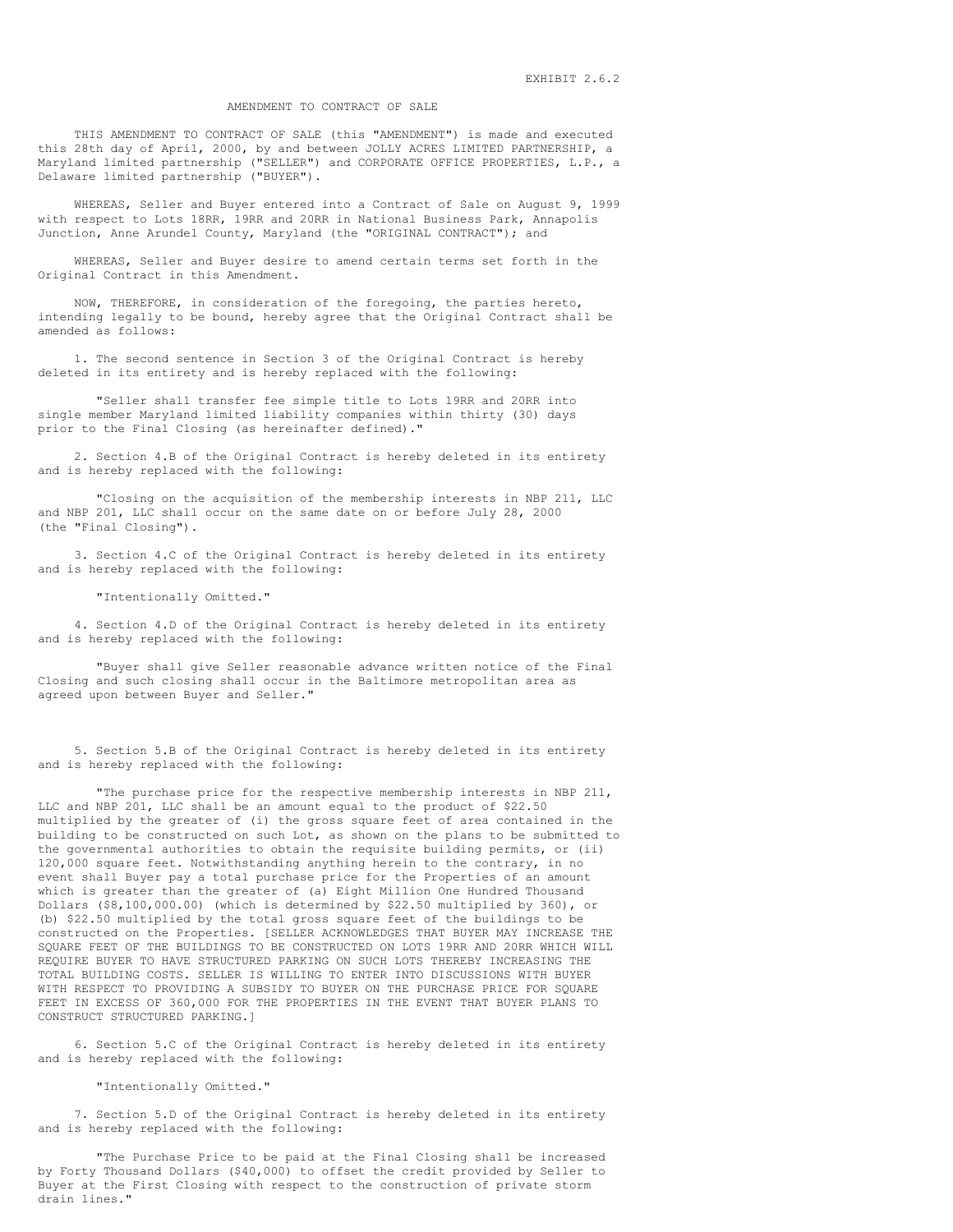#### AMENDMENT TO CONTRACT OF SALE

THIS AMENDMENT TO CONTRACT OF SALE (this "AMENDMENT") is made and executed this 28th day of April, 2000, by and between JOLLY ACRES LIMITED PARTNERSHIP, a Maryland limited partnership ("SELLER") and CORPORATE OFFICE PROPERTIES, L.P., a Delaware limited partnership ("BUYER").

WHEREAS, Seller and Buyer entered into a Contract of Sale on August 9, 1999 with respect to Lots 18RR, 19RR and 20RR in National Business Park, Annapolis Junction, Anne Arundel County, Maryland (the "ORIGINAL CONTRACT"); and

WHEREAS, Seller and Buyer desire to amend certain terms set forth in the Original Contract in this Amendment.

NOW, THEREFORE, in consideration of the foregoing, the parties hereto, intending legally to be bound, hereby agree that the Original Contract shall be amended as follows:

1. The second sentence in Section 3 of the Original Contract is hereby deleted in its entirety and is hereby replaced with the following:

"Seller shall transfer fee simple title to Lots 19RR and 20RR into single member Maryland limited liability companies within thirty (30) days prior to the Final Closing (as hereinafter defined)."

2. Section 4.B of the Original Contract is hereby deleted in its entirety and is hereby replaced with the following:

"Closing on the acquisition of the membership interests in NBP 211, LLC and NBP 201, LLC shall occur on the same date on or before July 28, 2000 (the "Final Closing").

3. Section 4.C of the Original Contract is hereby deleted in its entirety and is hereby replaced with the following:

"Intentionally Omitted."

4. Section 4.D of the Original Contract is hereby deleted in its entirety and is hereby replaced with the following:

"Buyer shall give Seller reasonable advance written notice of the Final Closing and such closing shall occur in the Baltimore metropolitan area as agreed upon between Buyer and Seller."

5. Section 5.B of the Original Contract is hereby deleted in its entirety and is hereby replaced with the following:

"The purchase price for the respective membership interests in NBP 211, LLC and NBP 201, LLC shall be an amount equal to the product of \$22.50 multiplied by the greater of (i) the gross square feet of area contained in the building to be constructed on such Lot, as shown on the plans to be submitted to the governmental authorities to obtain the requisite building permits, or (ii) 120,000 square feet. Notwithstanding anything herein to the contrary, in no event shall Buyer pay a total purchase price for the Properties of an amount which is greater than the greater of (a) Eight Million One Hundred Thousand Dollars (\$8,100,000.00) (which is determined by \$22.50 multiplied by 360), or (b) \$22.50 multiplied by the total gross square feet of the buildings to be constructed on the Properties. [SELLER ACKNOWLEDGES THAT BUYER MAY INCREASE THE SQUARE FEET OF THE BUILDINGS TO BE CONSTRUCTED ON LOTS 19RR AND 20RR WHICH WILL REQUIRE BUYER TO HAVE STRUCTURED PARKING ON SUCH LOTS THEREBY INCREASING THE TOTAL BUILDING COSTS. SELLER IS WILLING TO ENTER INTO DISCUSSIONS WITH BUYER WITH RESPECT TO PROVIDING A SUBSIDY TO BUYER ON THE PURCHASE PRICE FOR SQUARE FEET IN EXCESS OF 360,000 FOR THE PROPERTIES IN THE EVENT THAT BUYER PLANS TO CONSTRUCT STRUCTURED PARKING.]

6. Section 5.C of the Original Contract is hereby deleted in its entirety and is hereby replaced with the following:

"Intentionally Omitted."

7. Section 5.D of the Original Contract is hereby deleted in its entirety and is hereby replaced with the following:

"The Purchase Price to be paid at the Final Closing shall be increased by Forty Thousand Dollars (\$40,000) to offset the credit provided by Seller to Buyer at the First Closing with respect to the construction of private storm drain lines."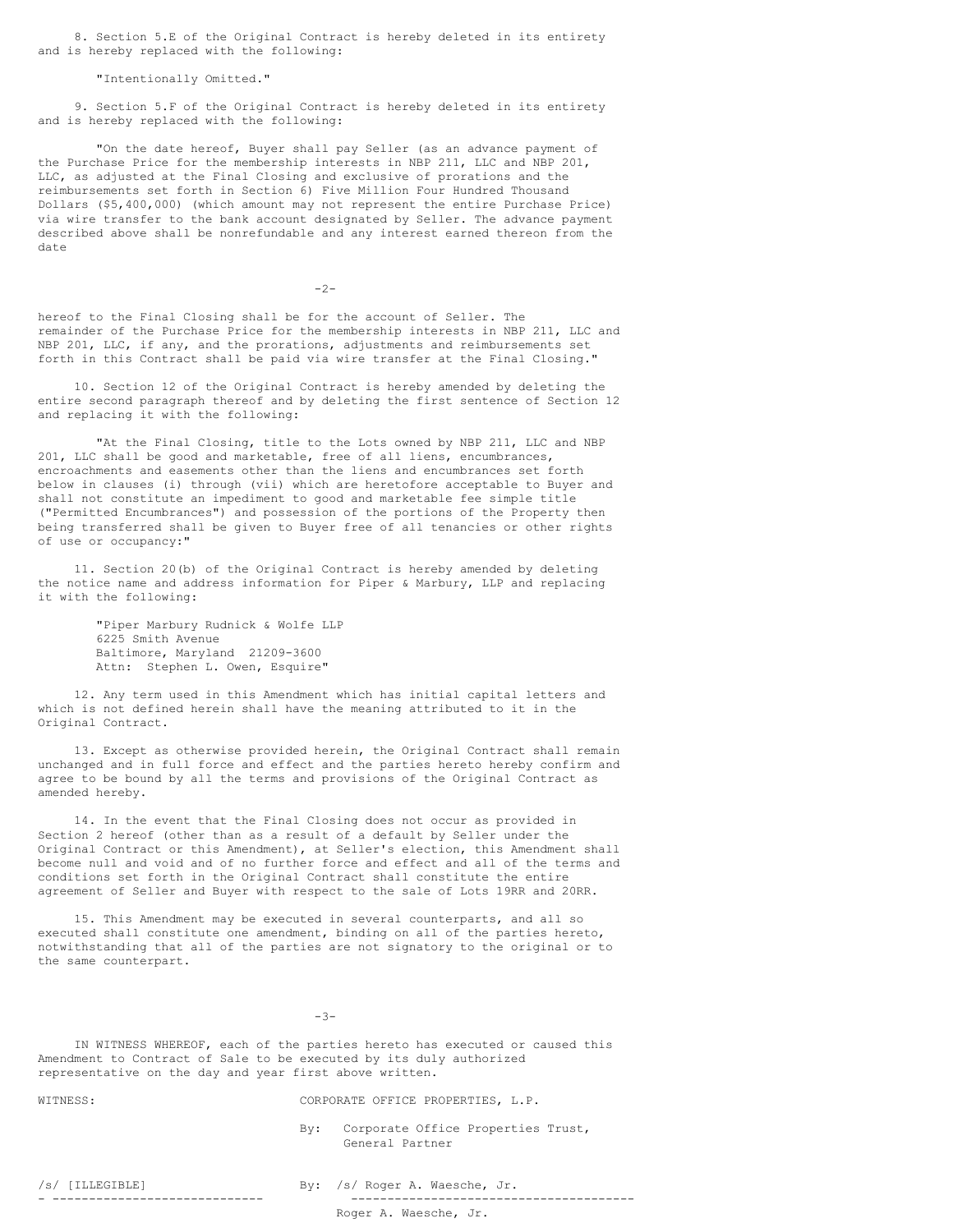8. Section 5.E of the Original Contract is hereby deleted in its entirety and is hereby replaced with the following:

"Intentionally Omitted."

9. Section 5.F of the Original Contract is hereby deleted in its entirety and is hereby replaced with the following:

"On the date hereof, Buyer shall pay Seller (as an advance payment of the Purchase Price for the membership interests in NBP 211, LLC and NBP 201, LLC, as adjusted at the Final Closing and exclusive of prorations and the reimbursements set forth in Section 6) Five Million Four Hundred Thousand Dollars (\$5,400,000) (which amount may not represent the entire Purchase Price) via wire transfer to the bank account designated by Seller. The advance payment described above shall be nonrefundable and any interest earned thereon from the date

-2-

hereof to the Final Closing shall be for the account of Seller. The remainder of the Purchase Price for the membership interests in NBP 211, LLC and NBP 201, LLC, if any, and the prorations, adjustments and reimbursements set forth in this Contract shall be paid via wire transfer at the Final Closing."

10. Section 12 of the Original Contract is hereby amended by deleting the entire second paragraph thereof and by deleting the first sentence of Section 12 and replacing it with the following:

"At the Final Closing, title to the Lots owned by NBP 211, LLC and NBP 201, LLC shall be good and marketable, free of all liens, encumbrances, encroachments and easements other than the liens and encumbrances set forth below in clauses (i) through (vii) which are heretofore acceptable to Buyer and shall not constitute an impediment to good and marketable fee simple title ("Permitted Encumbrances") and possession of the portions of the Property then being transferred shall be given to Buyer free of all tenancies or other rights of use or occupancy:"

11. Section 20(b) of the Original Contract is hereby amended by deleting the notice name and address information for Piper & Marbury, LLP and replacing it with the following:

"Piper Marbury Rudnick & Wolfe LLP 6225 Smith Avenue Baltimore, Maryland 21209-3600 Attn: Stephen L. Owen, Esquire"

12. Any term used in this Amendment which has initial capital letters and which is not defined herein shall have the meaning attributed to it in the Original Contract.

13. Except as otherwise provided herein, the Original Contract shall remain unchanged and in full force and effect and the parties hereto hereby confirm and agree to be bound by all the terms and provisions of the Original Contract as amended hereby.

14. In the event that the Final Closing does not occur as provided in Section 2 hereof (other than as a result of a default by Seller under the Original Contract or this Amendment), at Seller's election, this Amendment shall become null and void and of no further force and effect and all of the terms and conditions set forth in the Original Contract shall constitute the entire agreement of Seller and Buyer with respect to the sale of Lots 19RR and 20RR.

15. This Amendment may be executed in several counterparts, and all so executed shall constitute one amendment, binding on all of the parties hereto, notwithstanding that all of the parties are not signatory to the original or to the same counterpart.

 $-3-$ 

IN WITNESS WHEREOF, each of the parties hereto has executed or caused this Amendment to Contract of Sale to be executed by its duly authorized representative on the day and year first above written.

WITNESS: **CORPORATE OFFICE PROPERTIES, L.P.** 

By: Corporate Office Properties Trust, General Partner

/s/ [ILLEGIBLE] By: /s/ Roger A. Waesche, Jr.

- ----------------------------- --------------------------------------- Roger A. Waesche, Jr.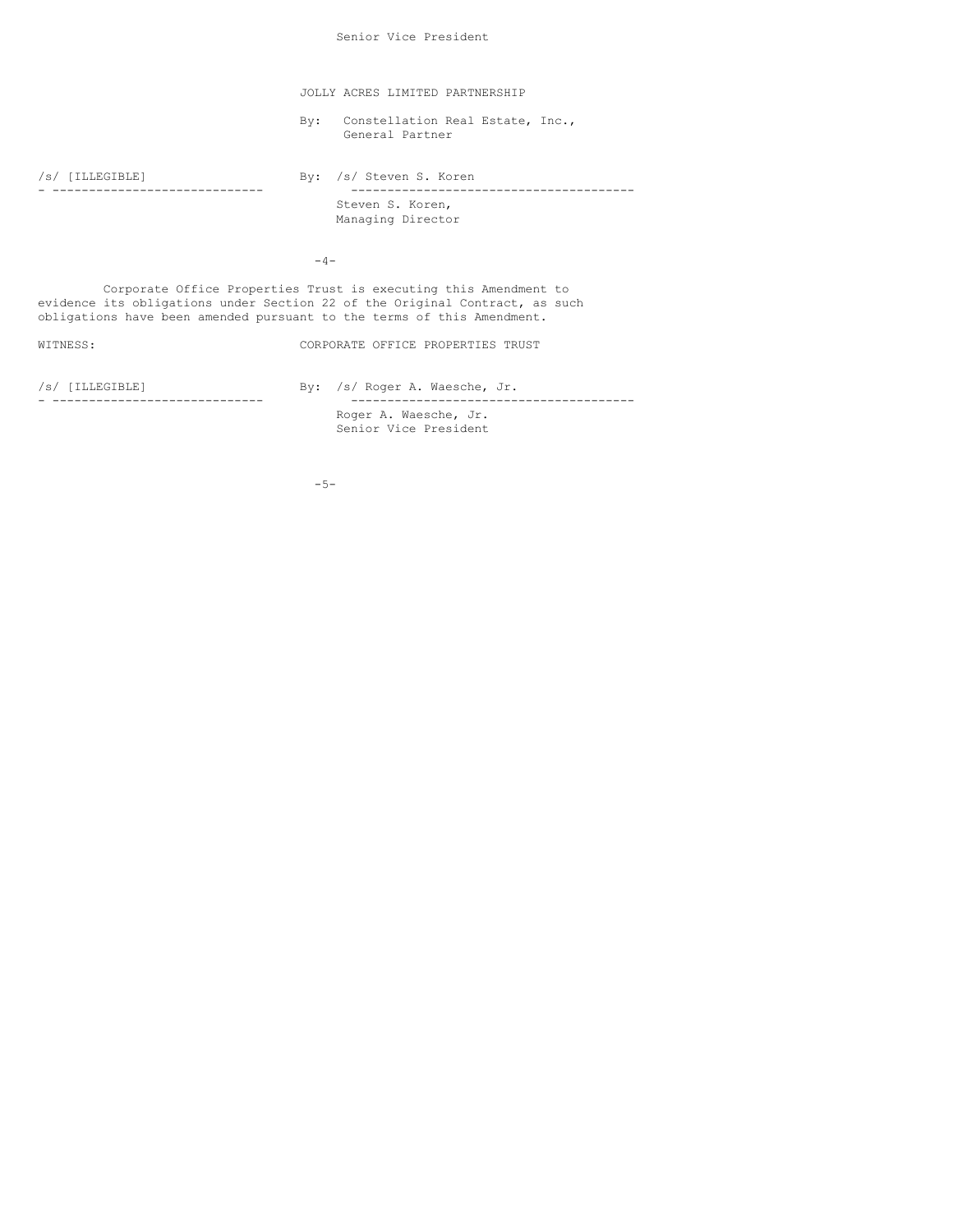JOLLY ACRES LIMITED PARTNERSHIP By: Constellation Real Estate, Inc., General Partner /s/ [ILLEGIBLE] By: /s/ Steven S. Koren - ----------------------------- --------------------------------------- Steven S. Koren, Managing Director  $-4-$ Corporate Office Properties Trust is executing this Amendment to evidence its obligations under Section 22 of the Original Contract, as such obligations have been amended pursuant to the terms of this Amendment. WITNESS: CORPORATE OFFICE PROPERTIES TRUST /s/ [ILLEGIBLE] By: /s/ Roger A. Waesche, Jr.

Senior Vice President

Roger A. Waesche, Jr. Senior Vice President

- ----------------------------- ---------------------------------------

-5-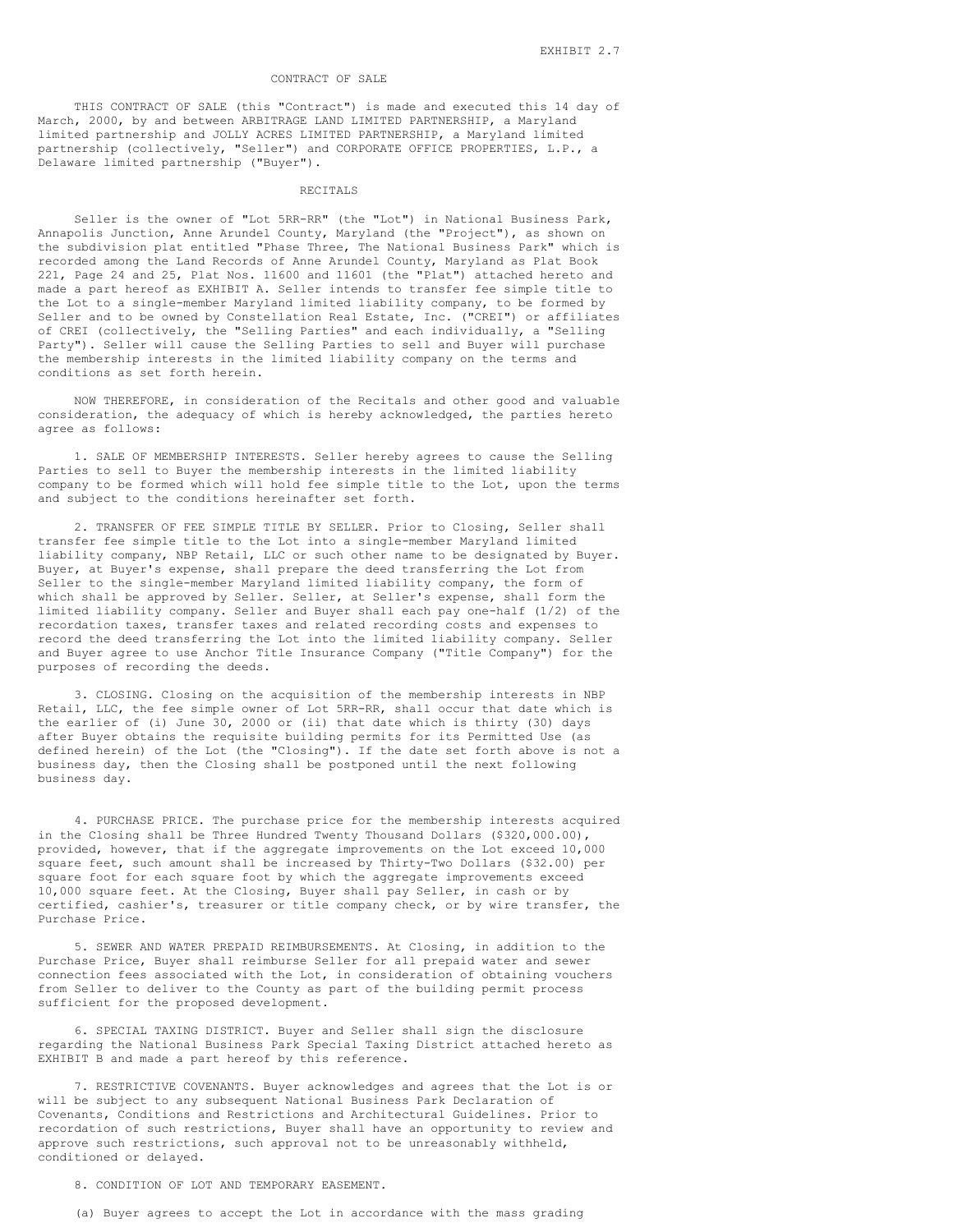### CONTRACT OF SALE

THIS CONTRACT OF SALE (this "Contract") is made and executed this 14 day of March, 2000, by and between ARBITRAGE LAND LIMITED PARTNERSHIP, a Maryland limited partnership and JOLLY ACRES LIMITED PARTNERSHIP, a Maryland limited partnership (collectively, "Seller") and CORPORATE OFFICE PROPERTIES, L.P., a Delaware limited partnership ("Buyer").

### RECITALS

Seller is the owner of "Lot 5RR-RR" (the "Lot") in National Business Park, Annapolis Junction, Anne Arundel County, Maryland (the "Project"), as shown on the subdivision plat entitled "Phase Three, The National Business Park" which is recorded among the Land Records of Anne Arundel County, Maryland as Plat Book 221, Page 24 and 25, Plat Nos. 11600 and 11601 (the "Plat") attached hereto and made a part hereof as EXHIBIT A. Seller intends to transfer fee simple title to the Lot to a single-member Maryland limited liability company, to be formed by Seller and to be owned by Constellation Real Estate, Inc. ("CREI") or affiliates of CREI (collectively, the "Selling Parties" and each individually, a "Selling Party"). Seller will cause the Selling Parties to sell and Buyer will purchase the membership interests in the limited liability company on the terms and conditions as set forth herein.

NOW THEREFORE, in consideration of the Recitals and other good and valuable consideration, the adequacy of which is hereby acknowledged, the parties hereto agree as follows:

1. SALE OF MEMBERSHIP INTERESTS. Seller hereby agrees to cause the Selling Parties to sell to Buyer the membership interests in the limited liability company to be formed which will hold fee simple title to the Lot, upon the terms and subject to the conditions hereinafter set forth.

2. TRANSFER OF FEE SIMPLE TITLE BY SELLER. Prior to Closing, Seller shall transfer fee simple title to the Lot into a single-member Maryland limited liability company, NBP Retail, LLC or such other name to be designated by Buyer. Buyer, at Buyer's expense, shall prepare the deed transferring the Lot from Seller to the single-member Maryland limited liability company, the form of which shall be approved by Seller. Seller, at Seller's expense, shall form the limited liability company. Seller and Buyer shall each pay one-half (1/2) of the recordation taxes, transfer taxes and related recording costs and expenses to record the deed transferring the Lot into the limited liability company. Seller and Buyer agree to use Anchor Title Insurance Company ("Title Company") for the purposes of recording the deeds.

3. CLOSING. Closing on the acquisition of the membership interests in NBP Retail, LLC, the fee simple owner of Lot 5RR-RR, shall occur that date which is the earlier of (i) June 30, 2000 or (ii) that date which is thirty (30) days after Buyer obtains the requisite building permits for its Permitted Use (as defined herein) of the Lot (the "Closing"). If the date set forth above is not a business day, then the Closing shall be postponed until the next following business day.

4. PURCHASE PRICE. The purchase price for the membership interests acquired in the Closing shall be Three Hundred Twenty Thousand Dollars (\$320,000.00), provided, however, that if the aggregate improvements on the Lot exceed 10,000 square feet, such amount shall be increased by Thirty-Two Dollars (\$32.00) per square foot for each square foot by which the aggregate improvements exceed 10,000 square feet. At the Closing, Buyer shall pay Seller, in cash or by certified, cashier's, treasurer or title company check, or by wire transfer, the Purchase Price.

5. SEWER AND WATER PREPAID REIMBURSEMENTS. At Closing, in addition to the Purchase Price, Buyer shall reimburse Seller for all prepaid water and sewer connection fees associated with the Lot, in consideration of obtaining vouchers from Seller to deliver to the County as part of the building permit process sufficient for the proposed development.

6. SPECIAL TAXING DISTRICT. Buyer and Seller shall sign the disclosure regarding the National Business Park Special Taxing District attached hereto as EXHIBIT B and made a part hereof by this reference.

7. RESTRICTIVE COVENANTS. Buyer acknowledges and agrees that the Lot is or will be subject to any subsequent National Business Park Declaration of Covenants, Conditions and Restrictions and Architectural Guidelines. Prior to recordation of such restrictions, Buyer shall have an opportunity to review and approve such restrictions, such approval not to be unreasonably withheld, conditioned or delayed.

8. CONDITION OF LOT AND TEMPORARY EASEMENT.

(a) Buyer agrees to accept the Lot in accordance with the mass grading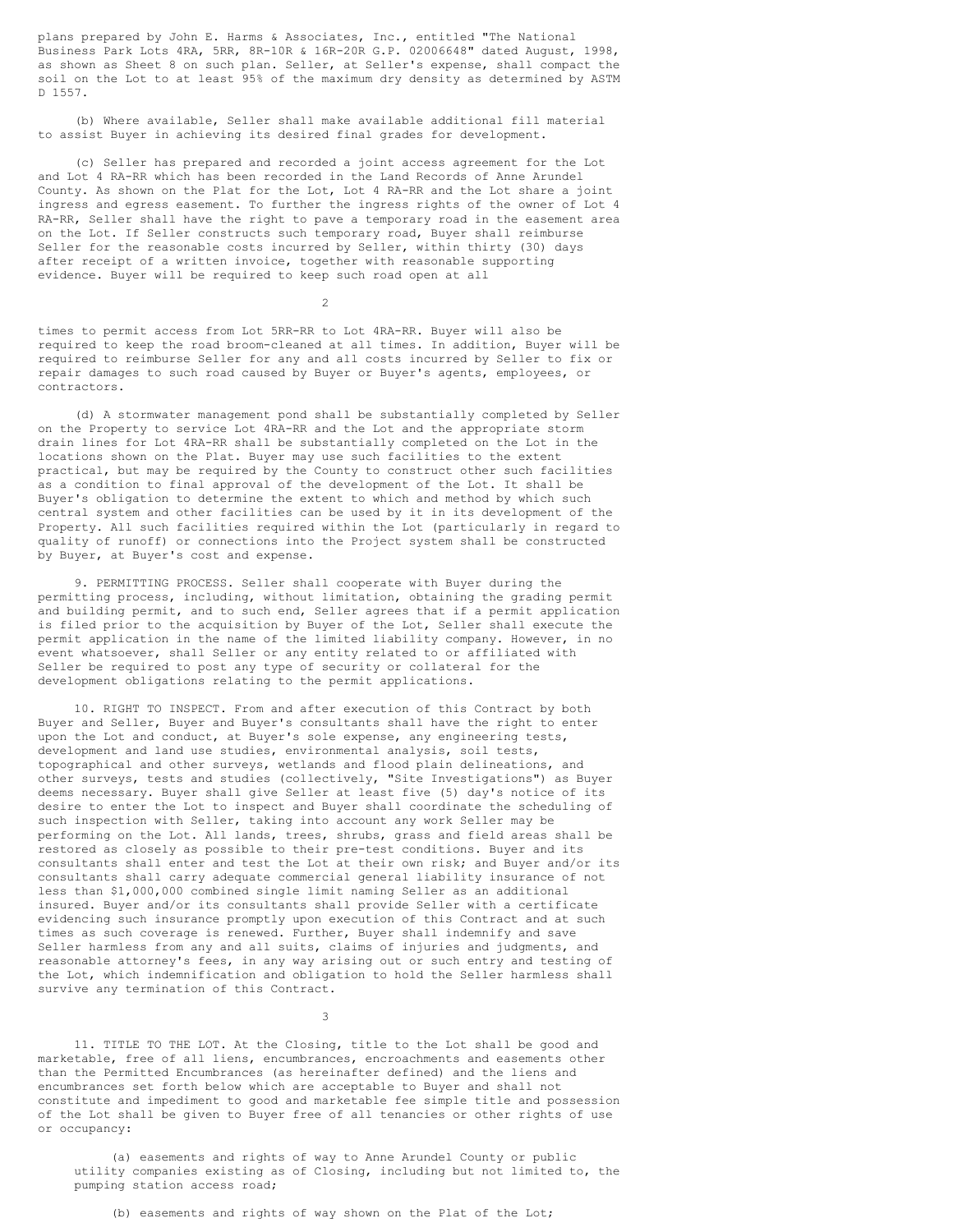plans prepared by John E. Harms & Associates, Inc., entitled "The National Business Park Lots 4RA, 5RR, 8R-10R & 16R-20R G.P. 02006648" dated August, 1998, as shown as Sheet 8 on such plan. Seller, at Seller's expense, shall compact the soil on the Lot to at least 95% of the maximum dry density as determined by ASTM D 1557.

(b) Where available, Seller shall make available additional fill material to assist Buyer in achieving its desired final grades for development.

(c) Seller has prepared and recorded a joint access agreement for the Lot and Lot 4 RA-RR which has been recorded in the Land Records of Anne Arundel County. As shown on the Plat for the Lot, Lot 4 RA-RR and the Lot share a joint ingress and egress easement. To further the ingress rights of the owner of Lot 4 RA-RR, Seller shall have the right to pave a temporary road in the easement area on the Lot. If Seller constructs such temporary road, Buyer shall reimburse Seller for the reasonable costs incurred by Seller, within thirty (30) days after receipt of a written invoice, together with reasonable supporting evidence. Buyer will be required to keep such road open at all

 $\mathfrak{D}$ 

times to permit access from Lot 5RR-RR to Lot 4RA-RR. Buyer will also be required to keep the road broom-cleaned at all times. In addition, Buyer will be required to reimburse Seller for any and all costs incurred by Seller to fix or repair damages to such road caused by Buyer or Buyer's agents, employees, or contractors.

(d) A stormwater management pond shall be substantially completed by Seller on the Property to service Lot 4RA-RR and the Lot and the appropriate storm drain lines for Lot 4RA-RR shall be substantially completed on the Lot in the locations shown on the Plat. Buyer may use such facilities to the extent practical, but may be required by the County to construct other such facilities as a condition to final approval of the development of the Lot. It shall be Buyer's obligation to determine the extent to which and method by which such central system and other facilities can be used by it in its development of the Property. All such facilities required within the Lot (particularly in regard to quality of runoff) or connections into the Project system shall be constructed by Buyer, at Buyer's cost and expense.

9. PERMITTING PROCESS. Seller shall cooperate with Buyer during the permitting process, including, without limitation, obtaining the grading permit and building permit, and to such end, Seller agrees that if a permit application is filed prior to the acquisition by Buyer of the Lot, Seller shall execute the permit application in the name of the limited liability company. However, in no event whatsoever, shall Seller or any entity related to or affiliated with Seller be required to post any type of security or collateral for the development obligations relating to the permit applications.

10. RIGHT TO INSPECT. From and after execution of this Contract by both Buyer and Seller, Buyer and Buyer's consultants shall have the right to enter upon the Lot and conduct, at Buyer's sole expense, any engineering tests, development and land use studies, environmental analysis, soil tests, topographical and other surveys, wetlands and flood plain delineations, and other surveys, tests and studies (collectively, "Site Investigations") as Buyer deems necessary. Buyer shall give Seller at least five (5) day's notice of its desire to enter the Lot to inspect and Buyer shall coordinate the scheduling of such inspection with Seller, taking into account any work Seller may be performing on the Lot. All lands, trees, shrubs, grass and field areas shall be restored as closely as possible to their pre-test conditions. Buyer and its consultants shall enter and test the Lot at their own risk; and Buyer and/or its consultants shall carry adequate commercial general liability insurance of not less than \$1,000,000 combined single limit naming Seller as an additional insured. Buyer and/or its consultants shall provide Seller with a certificate evidencing such insurance promptly upon execution of this Contract and at such times as such coverage is renewed. Further, Buyer shall indemnify and save Seller harmless from any and all suits, claims of injuries and judgments, and reasonable attorney's fees, in any way arising out or such entry and testing of the Lot, which indemnification and obligation to hold the Seller harmless shall survive any termination of this Contract.

3

11. TITLE TO THE LOT. At the Closing, title to the Lot shall be good and marketable, free of all liens, encumbrances, encroachments and easements other than the Permitted Encumbrances (as hereinafter defined) and the liens and encumbrances set forth below which are acceptable to Buyer and shall not constitute and impediment to good and marketable fee simple title and possession of the Lot shall be given to Buyer free of all tenancies or other rights of use or occupancy:

(a) easements and rights of way to Anne Arundel County or public utility companies existing as of Closing, including but not limited to, the pumping station access road;

(b) easements and rights of way shown on the Plat of the Lot;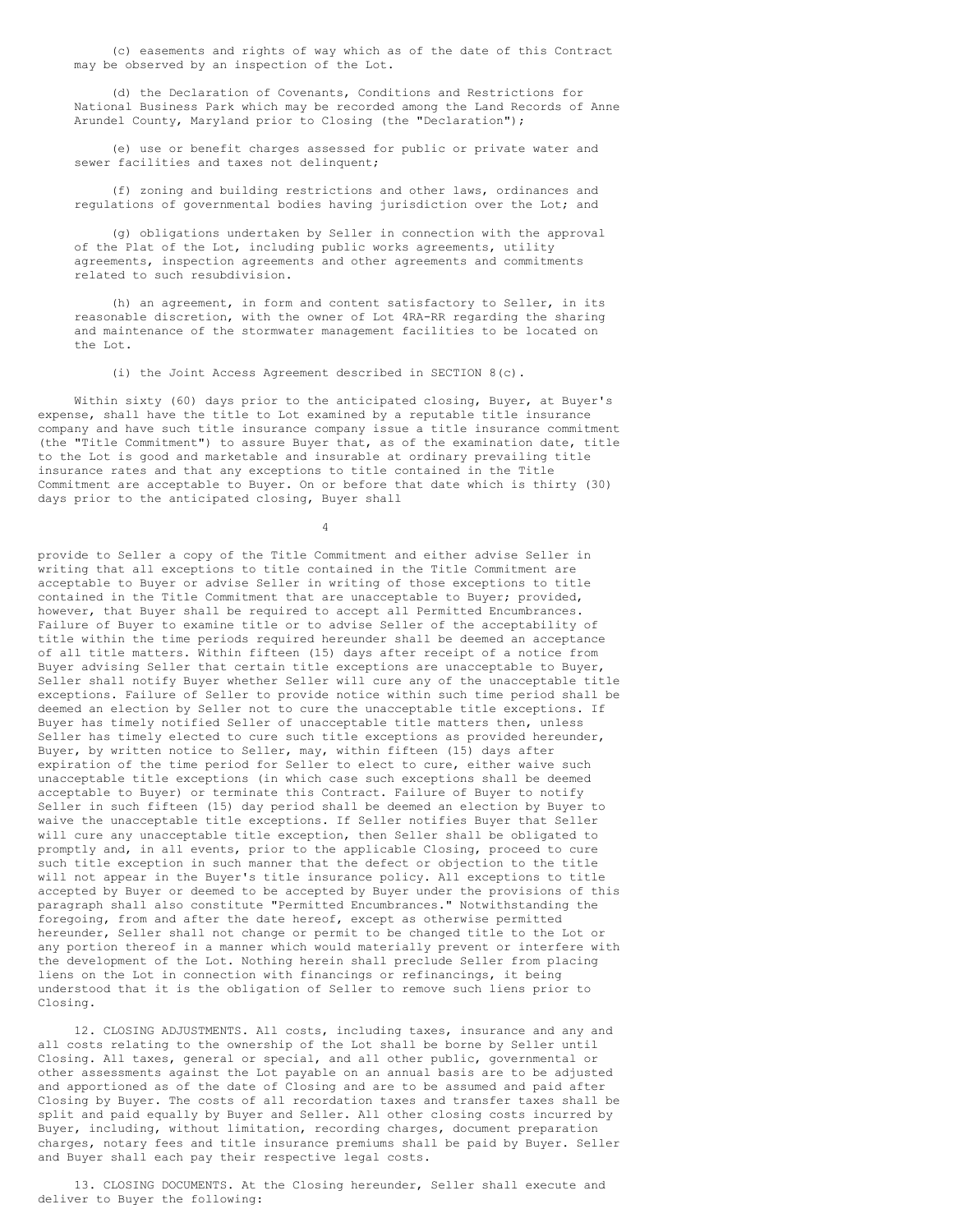(c) easements and rights of way which as of the date of this Contract may be observed by an inspection of the Lot.

(d) the Declaration of Covenants, Conditions and Restrictions for National Business Park which may be recorded among the Land Records of Anne Arundel County, Maryland prior to Closing (the "Declaration");

(e) use or benefit charges assessed for public or private water and sewer facilities and taxes not delinquent;

(f) zoning and building restrictions and other laws, ordinances and regulations of governmental bodies having jurisdiction over the Lot; and

(g) obligations undertaken by Seller in connection with the approval of the Plat of the Lot, including public works agreements, utility agreements, inspection agreements and other agreements and commitments related to such resubdivision.

(h) an agreement, in form and content satisfactory to Seller, in its reasonable discretion, with the owner of Lot 4RA-RR regarding the sharing and maintenance of the stormwater management facilities to be located on the Lot.

(i) the Joint Access Agreement described in SECTION 8(c).

Within sixty (60) days prior to the anticipated closing, Buyer, at Buyer's expense, shall have the title to Lot examined by a reputable title insurance company and have such title insurance company issue a title insurance commitment (the "Title Commitment") to assure Buyer that, as of the examination date, title to the Lot is good and marketable and insurable at ordinary prevailing title insurance rates and that any exceptions to title contained in the Title Commitment are acceptable to Buyer. On or before that date which is thirty (30) days prior to the anticipated closing, Buyer shall

4

provide to Seller a copy of the Title Commitment and either advise Seller in writing that all exceptions to title contained in the Title Commitment are acceptable to Buyer or advise Seller in writing of those exceptions to title contained in the Title Commitment that are unacceptable to Buyer; provided, however, that Buyer shall be required to accept all Permitted Encumbrances. Failure of Buyer to examine title or to advise Seller of the acceptability of title within the time periods required hereunder shall be deemed an acceptance of all title matters. Within fifteen (15) days after receipt of a notice from Buyer advising Seller that certain title exceptions are unacceptable to Buyer, Seller shall notify Buyer whether Seller will cure any of the unacceptable title exceptions. Failure of Seller to provide notice within such time period shall be deemed an election by Seller not to cure the unacceptable title exceptions. If Buyer has timely notified Seller of unacceptable title matters then, unless Seller has timely elected to cure such title exceptions as provided hereunder, Buyer, by written notice to Seller, may, within fifteen (15) days after expiration of the time period for Seller to elect to cure, either waive such unacceptable title exceptions (in which case such exceptions shall be deemed acceptable to Buyer) or terminate this Contract. Failure of Buyer to notify Seller in such fifteen (15) day period shall be deemed an election by Buyer to waive the unacceptable title exceptions. If Seller notifies Buyer that Seller will cure any unacceptable title exception, then Seller shall be obligated to promptly and, in all events, prior to the applicable Closing, proceed to cure such title exception in such manner that the defect or objection to the title will not appear in the Buyer's title insurance policy. All exceptions to title accepted by Buyer or deemed to be accepted by Buyer under the provisions of this paragraph shall also constitute "Permitted Encumbrances." Notwithstanding the foregoing, from and after the date hereof, except as otherwise permitted hereunder, Seller shall not change or permit to be changed title to the Lot or any portion thereof in a manner which would materially prevent or interfere with the development of the Lot. Nothing herein shall preclude Seller from placing liens on the Lot in connection with financings or refinancings, it being understood that it is the obligation of Seller to remove such liens prior to Closing.

12. CLOSING ADJUSTMENTS. All costs, including taxes, insurance and any and all costs relating to the ownership of the Lot shall be borne by Seller until Closing. All taxes, general or special, and all other public, governmental or other assessments against the Lot payable on an annual basis are to be adjusted and apportioned as of the date of Closing and are to be assumed and paid after Closing by Buyer. The costs of all recordation taxes and transfer taxes shall be split and paid equally by Buyer and Seller. All other closing costs incurred by Buyer, including, without limitation, recording charges, document preparation charges, notary fees and title insurance premiums shall be paid by Buyer. Seller and Buyer shall each pay their respective legal costs.

13. CLOSING DOCUMENTS. At the Closing hereunder, Seller shall execute and deliver to Buyer the following: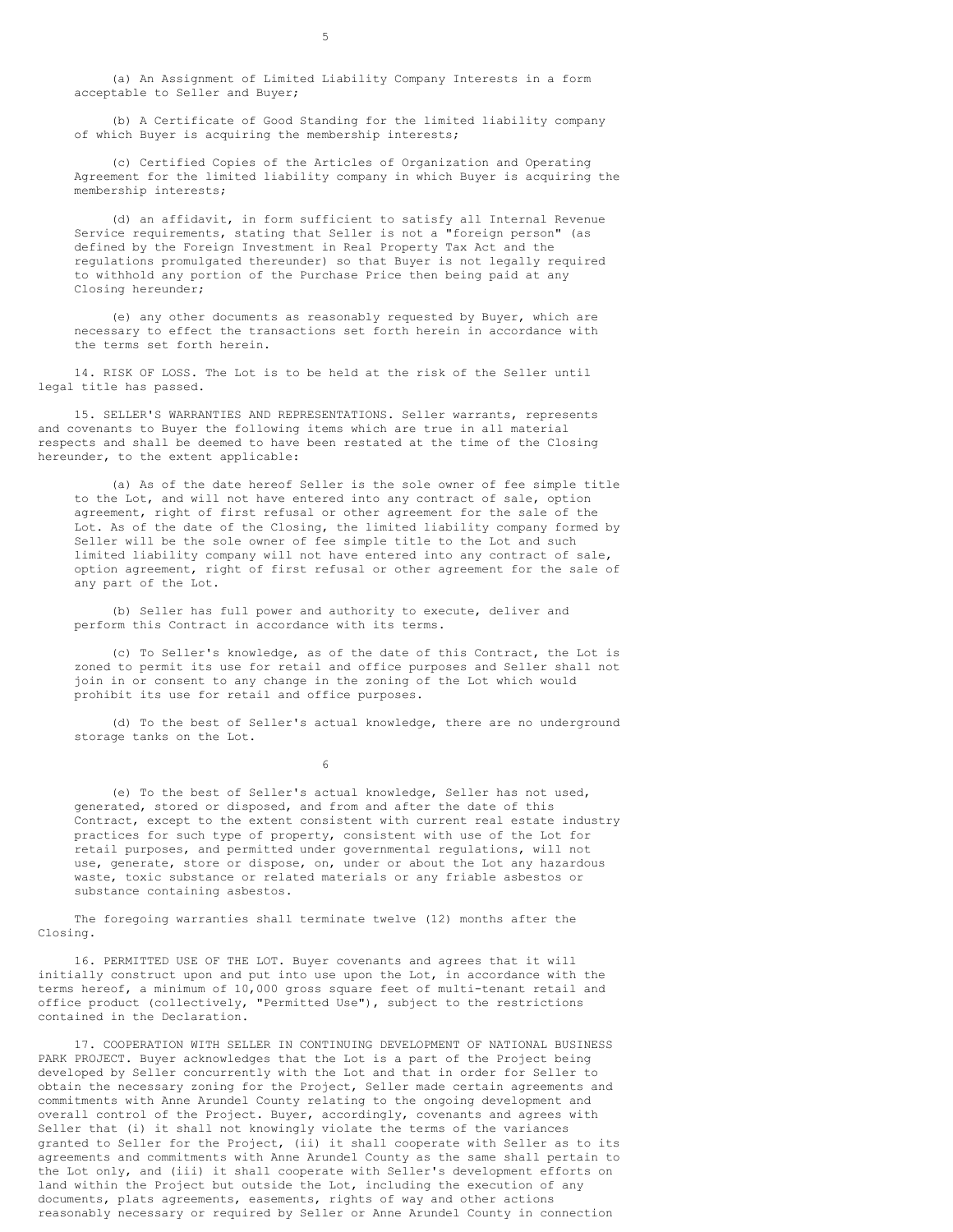(a) An Assignment of Limited Liability Company Interests in a form acceptable to Seller and Buyer;

(b) A Certificate of Good Standing for the limited liability company of which Buyer is acquiring the membership interests;

(c) Certified Copies of the Articles of Organization and Operating Agreement for the limited liability company in which Buyer is acquiring the membership interests;

(d) an affidavit, in form sufficient to satisfy all Internal Revenue Service requirements, stating that Seller is not a "foreign person" (as defined by the Foreign Investment in Real Property Tax Act and the regulations promulgated thereunder) so that Buyer is not legally required to withhold any portion of the Purchase Price then being paid at any Closing hereunder;

(e) any other documents as reasonably requested by Buyer, which are necessary to effect the transactions set forth herein in accordance with the terms set forth herein.

14. RISK OF LOSS. The Lot is to be held at the risk of the Seller until legal title has passed.

15. SELLER'S WARRANTIES AND REPRESENTATIONS. Seller warrants, represents and covenants to Buyer the following items which are true in all material respects and shall be deemed to have been restated at the time of the Closing hereunder, to the extent applicable:

(a) As of the date hereof Seller is the sole owner of fee simple title to the Lot, and will not have entered into any contract of sale, option agreement, right of first refusal or other agreement for the sale of the Lot. As of the date of the Closing, the limited liability company formed by Seller will be the sole owner of fee simple title to the Lot and such limited liability company will not have entered into any contract of sale, option agreement, right of first refusal or other agreement for the sale of any part of the Lot.

(b) Seller has full power and authority to execute, deliver and perform this Contract in accordance with its terms.

(c) To Seller's knowledge, as of the date of this Contract, the Lot is zoned to permit its use for retail and office purposes and Seller shall not join in or consent to any change in the zoning of the Lot which would prohibit its use for retail and office purposes.

(d) To the best of Seller's actual knowledge, there are no underground storage tanks on the Lot.

6

(e) To the best of Seller's actual knowledge, Seller has not used, generated, stored or disposed, and from and after the date of this Contract, except to the extent consistent with current real estate industry practices for such type of property, consistent with use of the Lot for retail purposes, and permitted under governmental regulations, will not use, generate, store or dispose, on, under or about the Lot any hazardous waste, toxic substance or related materials or any friable asbestos or substance containing asbestos.

The foregoing warranties shall terminate twelve (12) months after the Closing.

16. PERMITTED USE OF THE LOT. Buyer covenants and agrees that it will initially construct upon and put into use upon the Lot, in accordance with the terms hereof, a minimum of 10,000 gross square feet of multi-tenant retail and office product (collectively, "Permitted Use"), subject to the restrictions contained in the Declaration.

17. COOPERATION WITH SELLER IN CONTINUING DEVELOPMENT OF NATIONAL BUSINESS PARK PROJECT. Buyer acknowledges that the Lot is a part of the Project being developed by Seller concurrently with the Lot and that in order for Seller to obtain the necessary zoning for the Project, Seller made certain agreements and commitments with Anne Arundel County relating to the ongoing development and overall control of the Project. Buyer, accordingly, covenants and agrees with Seller that (i) it shall not knowingly violate the terms of the variances granted to Seller for the Project, (ii) it shall cooperate with Seller as to its agreements and commitments with Anne Arundel County as the same shall pertain to the Lot only, and (iii) it shall cooperate with Seller's development efforts on land within the Project but outside the Lot, including the execution of any documents, plats agreements, easements, rights of way and other actions reasonably necessary or required by Seller or Anne Arundel County in connection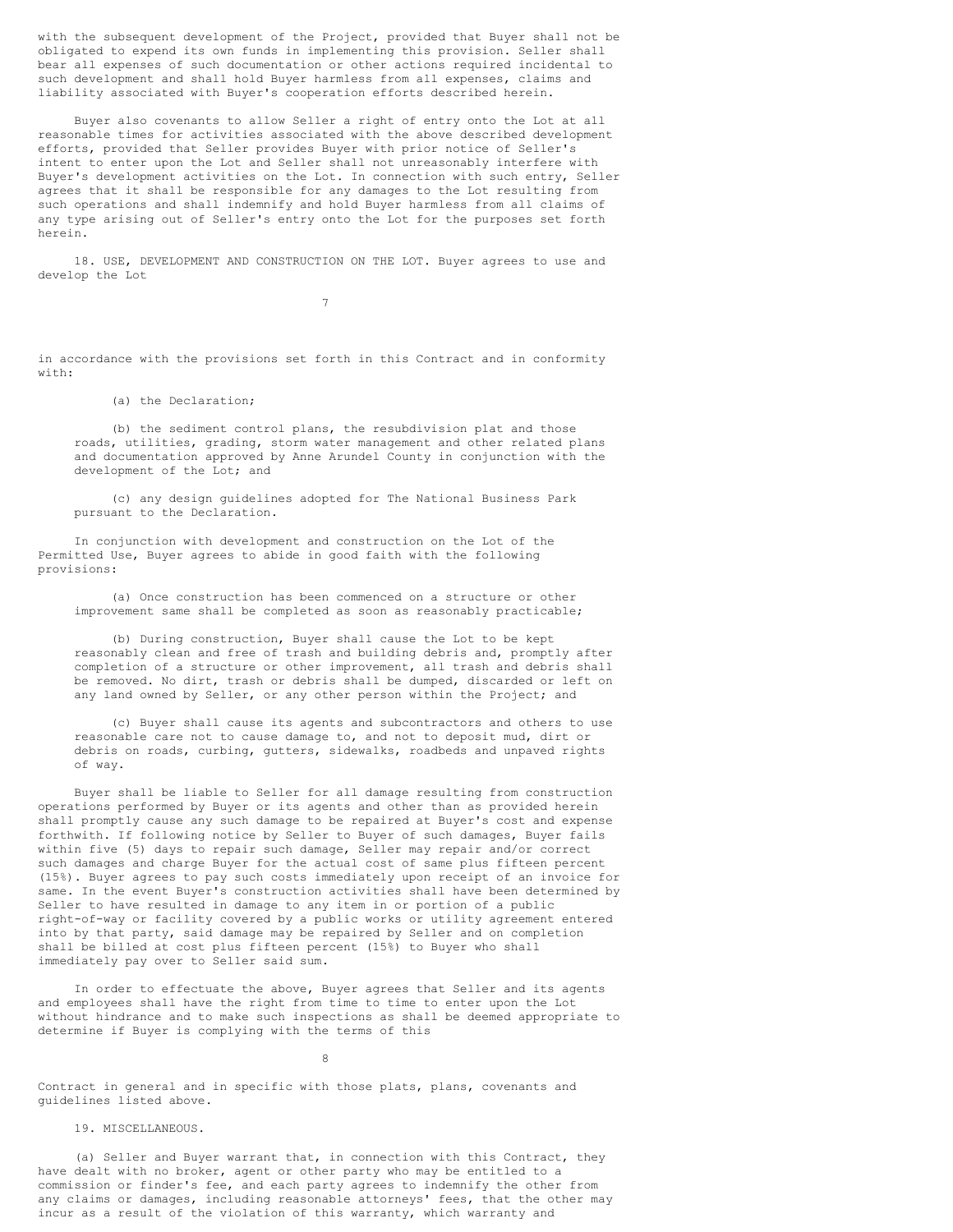with the subsequent development of the Project, provided that Buyer shall not be obligated to expend its own funds in implementing this provision. Seller shall bear all expenses of such documentation or other actions required incidental to such development and shall hold Buyer harmless from all expenses, claims and liability associated with Buyer's cooperation efforts described herein.

Buyer also covenants to allow Seller a right of entry onto the Lot at all reasonable times for activities associated with the above described development efforts, provided that Seller provides Buyer with prior notice of Seller's intent to enter upon the Lot and Seller shall not unreasonably interfere with Buyer's development activities on the Lot. In connection with such entry, Seller agrees that it shall be responsible for any damages to the Lot resulting from such operations and shall indemnify and hold Buyer harmless from all claims of any type arising out of Seller's entry onto the Lot for the purposes set forth herein.

18. USE, DEVELOPMENT AND CONSTRUCTION ON THE LOT. Buyer agrees to use and develop the Lot

7

in accordance with the provisions set forth in this Contract and in conformity with:

(a) the Declaration;

(b) the sediment control plans, the resubdivision plat and those roads, utilities, grading, storm water management and other related plans and documentation approved by Anne Arundel County in conjunction with the development of the Lot; and

(c) any design guidelines adopted for The National Business Park pursuant to the Declaration.

In conjunction with development and construction on the Lot of the Permitted Use, Buyer agrees to abide in good faith with the following provisions:

(a) Once construction has been commenced on a structure or other improvement same shall be completed as soon as reasonably practicable;

(b) During construction, Buyer shall cause the Lot to be kept reasonably clean and free of trash and building debris and, promptly after completion of a structure or other improvement, all trash and debris shall be removed. No dirt, trash or debris shall be dumped, discarded or left on any land owned by Seller, or any other person within the Project; and

(c) Buyer shall cause its agents and subcontractors and others to use reasonable care not to cause damage to, and not to deposit mud, dirt or debris on roads, curbing, gutters, sidewalks, roadbeds and unpaved rights of way.

Buyer shall be liable to Seller for all damage resulting from construction operations performed by Buyer or its agents and other than as provided herein shall promptly cause any such damage to be repaired at Buyer's cost and expense forthwith. If following notice by Seller to Buyer of such damages, Buyer fails within five (5) days to repair such damage, Seller may repair and/or correct such damages and charge Buyer for the actual cost of same plus fifteen percent (15%). Buyer agrees to pay such costs immediately upon receipt of an invoice for same. In the event Buyer's construction activities shall have been determined by Seller to have resulted in damage to any item in or portion of a public right-of-way or facility covered by a public works or utility agreement entered into by that party, said damage may be repaired by Seller and on completion shall be billed at cost plus fifteen percent (15%) to Buyer who shall immediately pay over to Seller said sum.

In order to effectuate the above, Buyer agrees that Seller and its agents and employees shall have the right from time to time to enter upon the Lot without hindrance and to make such inspections as shall be deemed appropriate to determine if Buyer is complying with the terms of this

8

Contract in general and in specific with those plats, plans, covenants and guidelines listed above.

19. MISCELLANEOUS.

(a) Seller and Buyer warrant that, in connection with this Contract, they have dealt with no broker, agent or other party who may be entitled to a commission or finder's fee, and each party agrees to indemnify the other from any claims or damages, including reasonable attorneys' fees, that the other may incur as a result of the violation of this warranty, which warranty and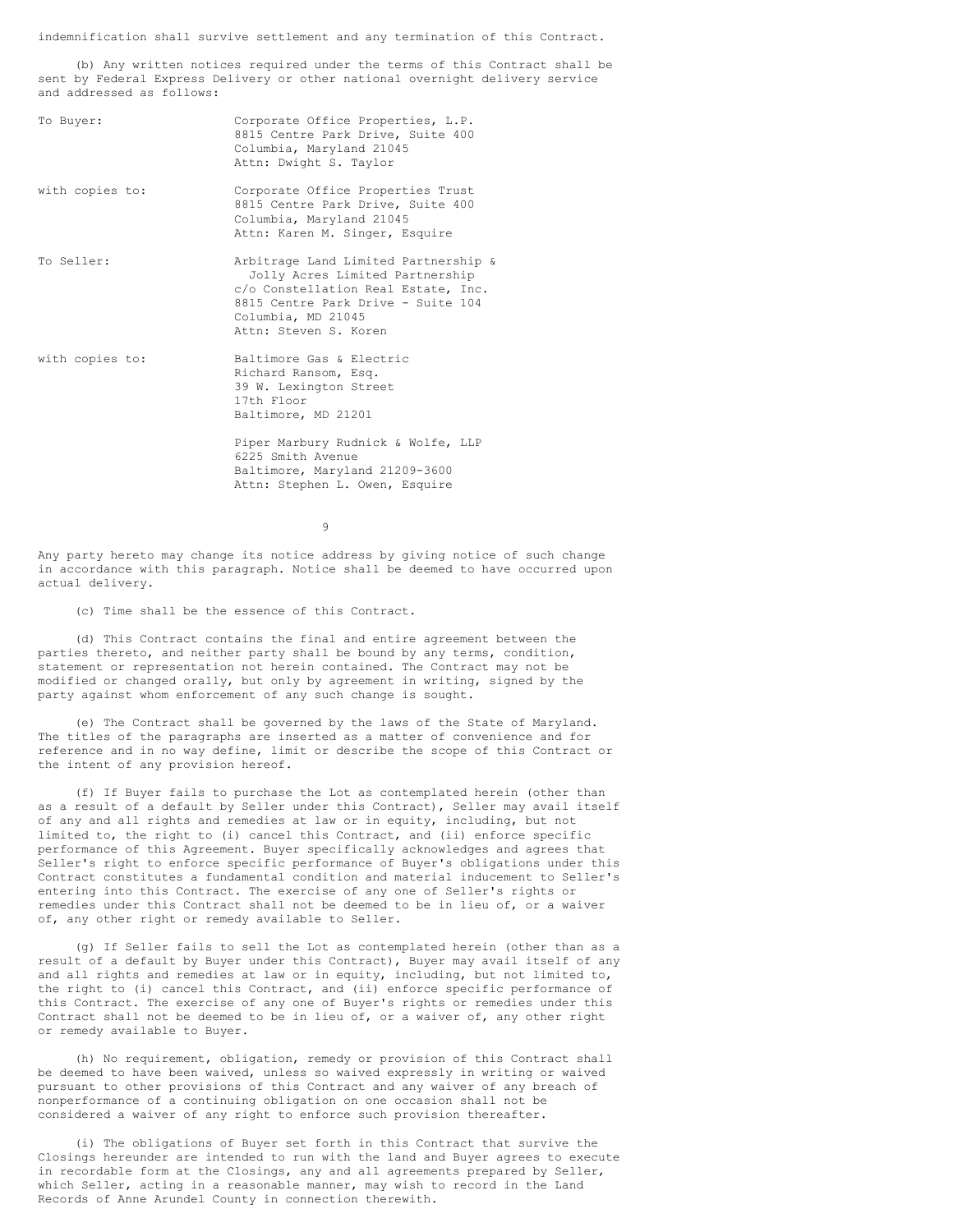indemnification shall survive settlement and any termination of this Contract.

(b) Any written notices required under the terms of this Contract shall be sent by Federal Express Delivery or other national overnight delivery service and addressed as follows:

To Buyer: Corporate Office Properties, L.P.

| TO BUYEL:       | Corporate Office Properties, L.P.<br>8815 Centre Park Drive, Suite 400<br>Columbia, Maryland 21045<br>Attn: Dwight S. Taylor                                                                        |
|-----------------|-----------------------------------------------------------------------------------------------------------------------------------------------------------------------------------------------------|
| with copies to: | Corporate Office Properties Trust<br>8815 Centre Park Drive, Suite 400<br>Columbia, Maryland 21045<br>Attn: Karen M. Singer, Esquire                                                                |
| To Seller:      | Arbitrage Land Limited Partnership &<br>Jolly Acres Limited Partnership<br>c/o Constellation Real Estate, Inc.<br>8815 Centre Park Drive - Suite 104<br>Columbia, MD 21045<br>Attn: Steven S. Koren |
| with copies to: | Baltimore Gas & Electric<br>Richard Ransom, Esq.<br>39 W. Lexington Street<br>17th Floor<br>Baltimore, MD 21201                                                                                     |
|                 | Piper Marbury Rudnick & Wolfe, LLP<br>6225 Smith Avenue<br>Baltimore, Maryland 21209-3600<br>Attn: Stephen L. Owen, Esquire                                                                         |

9

Any party hereto may change its notice address by giving notice of such change in accordance with this paragraph. Notice shall be deemed to have occurred upon actual delivery.

(c) Time shall be the essence of this Contract.

(d) This Contract contains the final and entire agreement between the parties thereto, and neither party shall be bound by any terms, condition, statement or representation not herein contained. The Contract may not be modified or changed orally, but only by agreement in writing, signed by the party against whom enforcement of any such change is sought.

(e) The Contract shall be governed by the laws of the State of Maryland. The titles of the paragraphs are inserted as a matter of convenience and for reference and in no way define, limit or describe the scope of this Contract or the intent of any provision hereof.

(f) If Buyer fails to purchase the Lot as contemplated herein (other than as a result of a default by Seller under this Contract), Seller may avail itself of any and all rights and remedies at law or in equity, including, but not limited to, the right to (i) cancel this Contract, and (ii) enforce specific performance of this Agreement. Buyer specifically acknowledges and agrees that Seller's right to enforce specific performance of Buyer's obligations under this Contract constitutes a fundamental condition and material inducement to Seller's entering into this Contract. The exercise of any one of Seller's rights or remedies under this Contract shall not be deemed to be in lieu of, or a waiver of, any other right or remedy available to Seller.

(g) If Seller fails to sell the Lot as contemplated herein (other than as a result of a default by Buyer under this Contract), Buyer may avail itself of any and all rights and remedies at law or in equity, including, but not limited to, the right to (i) cancel this Contract, and (ii) enforce specific performance of this Contract. The exercise of any one of Buyer's rights or remedies under this Contract shall not be deemed to be in lieu of, or a waiver of, any other right or remedy available to Buyer.

(h) No requirement, obligation, remedy or provision of this Contract shall be deemed to have been waived, unless so waived expressly in writing or waived pursuant to other provisions of this Contract and any waiver of any breach of nonperformance of a continuing obligation on one occasion shall not be considered a waiver of any right to enforce such provision thereafter.

(i) The obligations of Buyer set forth in this Contract that survive the Closings hereunder are intended to run with the land and Buyer agrees to execute in recordable form at the Closings, any and all agreements prepared by Seller, which Seller, acting in a reasonable manner, may wish to record in the Land Records of Anne Arundel County in connection therewith.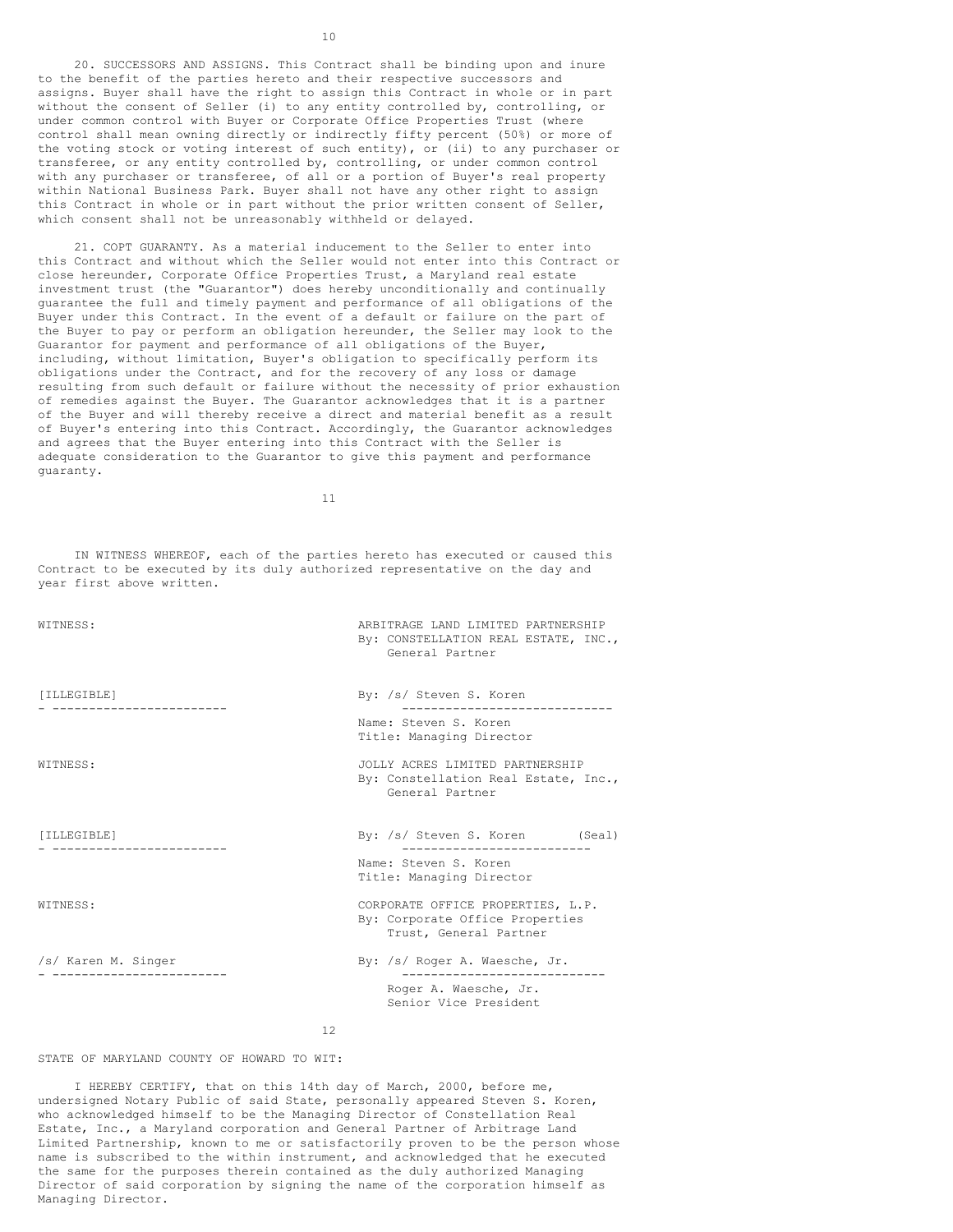20. SUCCESSORS AND ASSIGNS. This Contract shall be binding upon and inure to the benefit of the parties hereto and their respective successors and assigns. Buyer shall have the right to assign this Contract in whole or in part without the consent of Seller (i) to any entity controlled by, controlling, or under common control with Buyer or Corporate Office Properties Trust (where control shall mean owning directly or indirectly fifty percent (50%) or more of the voting stock or voting interest of such entity), or (ii) to any purchaser or transferee, or any entity controlled by, controlling, or under common control with any purchaser or transferee, of all or a portion of Buyer's real property within National Business Park. Buyer shall not have any other right to assign this Contract in whole or in part without the prior written consent of Seller, which consent shall not be unreasonably withheld or delayed.

21. COPT GUARANTY. As a material inducement to the Seller to enter into this Contract and without which the Seller would not enter into this Contract or close hereunder, Corporate Office Properties Trust, a Maryland real estate investment trust (the "Guarantor") does hereby unconditionally and continually guarantee the full and timely payment and performance of all obligations of the Buyer under this Contract. In the event of a default or failure on the part of the Buyer to pay or perform an obligation hereunder, the Seller may look to the Guarantor for payment and performance of all obligations of the Buyer, including, without limitation, Buyer's obligation to specifically perform its obligations under the Contract, and for the recovery of any loss or damage resulting from such default or failure without the necessity of prior exhaustion of remedies against the Buyer. The Guarantor acknowledges that it is a partner of the Buyer and will thereby receive a direct and material benefit as a result of Buyer's entering into this Contract. Accordingly, the Guarantor acknowledges and agrees that the Buyer entering into this Contract with the Seller is adequate consideration to the Guarantor to give this payment and performance guaranty.

11

IN WITNESS WHEREOF, each of the parties hereto has executed or caused this Contract to be executed by its duly authorized representative on the day and year first above written.

| WITNESS:                                     | ARBITRAGE LAND LIMITED PARTNERSHIP<br>By: CONSTELLATION REAL ESTATE, INC.,<br>General Partner  |
|----------------------------------------------|------------------------------------------------------------------------------------------------|
| [ILLEGIBLE]<br>-----------------             | By: /s/ Steven S. Koren                                                                        |
|                                              | Name: Steven S. Koren<br>Title: Managing Director                                              |
| WITNESS:                                     | JOLLY ACRES LIMITED PARTNERSHIP<br>By: Constellation Real Estate, Inc.,<br>General Partner     |
| [ILLEGIBLE]                                  | By: /s/ Steven S. Koren (Seal)                                                                 |
|                                              | Name: Steven S. Koren<br>Title: Managing Director                                              |
| WITNESS:                                     | CORPORATE OFFICE PROPERTIES, L.P.<br>By: Corporate Office Properties<br>Trust, General Partner |
| /s/ Karen M. Singer<br>--------------------- | By: /s/ Roger A. Waesche, Jr.<br>-----------------------------                                 |
|                                              | Roger A. Waesche, Jr.<br>Senior Vice President                                                 |
| 12.                                          |                                                                                                |
| STATE OF MARYLAND COUNTY OF HOWARD TO WIT:   |                                                                                                |

I HEREBY CERTIFY, that on this 14th day of March, 2000, before me, undersigned Notary Public of said State, personally appeared Steven S. Koren, who acknowledged himself to be the Managing Director of Constellation Real Estate, Inc., a Maryland corporation and General Partner of Arbitrage Land Limited Partnership, known to me or satisfactorily proven to be the person whose name is subscribed to the within instrument, and acknowledged that he executed the same for the purposes therein contained as the duly authorized Managing Director of said corporation by signing the name of the corporation himself as Managing Director.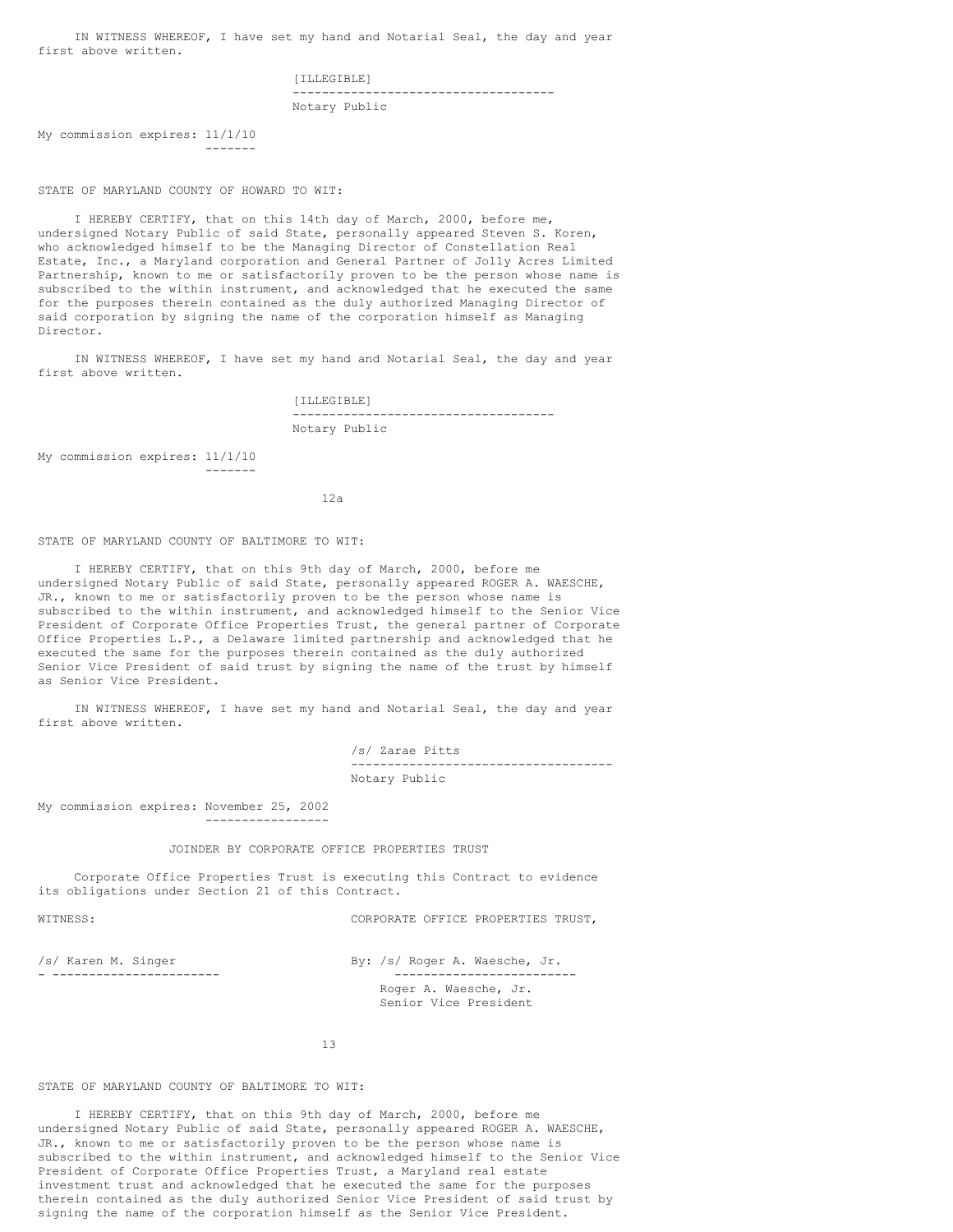IN WITNESS WHEREOF, I have set my hand and Notarial Seal, the day and year first above written.

> [ILLEGIBLE] ------------------------------------ Notary Public

My commission expires: 11/1/10 -------

STATE OF MARYLAND COUNTY OF HOWARD TO WIT:

I HEREBY CERTIFY, that on this 14th day of March, 2000, before me, undersigned Notary Public of said State, personally appeared Steven S. Koren, who acknowledged himself to be the Managing Director of Constellation Real Estate, Inc., a Maryland corporation and General Partner of Jolly Acres Limited Partnership, known to me or satisfactorily proven to be the person whose name is subscribed to the within instrument, and acknowledged that he executed the same for the purposes therein contained as the duly authorized Managing Director of said corporation by signing the name of the corporation himself as Managing Director.

IN WITNESS WHEREOF, I have set my hand and Notarial Seal, the day and year first above written.

> [ILLEGIBLE] ------------------------------------ Notary Public

My commission expires: 11/1/10

12a

### STATE OF MARYLAND COUNTY OF BALTIMORE TO WIT:

-------

I HEREBY CERTIFY, that on this 9th day of March, 2000, before me undersigned Notary Public of said State, personally appeared ROGER A. WAESCHE, JR., known to me or satisfactorily proven to be the person whose name is subscribed to the within instrument, and acknowledged himself to the Senior Vice President of Corporate Office Properties Trust, the general partner of Corporate Office Properties L.P., a Delaware limited partnership and acknowledged that he executed the same for the purposes therein contained as the duly authorized Senior Vice President of said trust by signing the name of the trust by himself as Senior Vice President.

IN WITNESS WHEREOF, I have set my hand and Notarial Seal, the day and year first above written.

> /s/ Zarae Pitts ------------------------------------ Notary Public

My commission expires: November 25, 2002 -----------------

### JOINDER BY CORPORATE OFFICE PROPERTIES TRUST

Corporate Office Properties Trust is executing this Contract to evidence its obligations under Section 21 of this Contract.

WITNESS: WITNESS: CORPORATE OFFICE PROPERTIES TRUST,

/s/ Karen M. Singer By: /s/ Roger A. Waesche, Jr. - ----------------------- ------------------------- Roger A. Waesche, Jr. Senior Vice President

13

### STATE OF MARYLAND COUNTY OF BALTIMORE TO WIT:

I HEREBY CERTIFY, that on this 9th day of March, 2000, before me undersigned Notary Public of said State, personally appeared ROGER A. WAESCHE, JR., known to me or satisfactorily proven to be the person whose name is subscribed to the within instrument, and acknowledged himself to the Senior Vice President of Corporate Office Properties Trust, a Maryland real estate investment trust and acknowledged that he executed the same for the purposes therein contained as the duly authorized Senior Vice President of said trust by signing the name of the corporation himself as the Senior Vice President.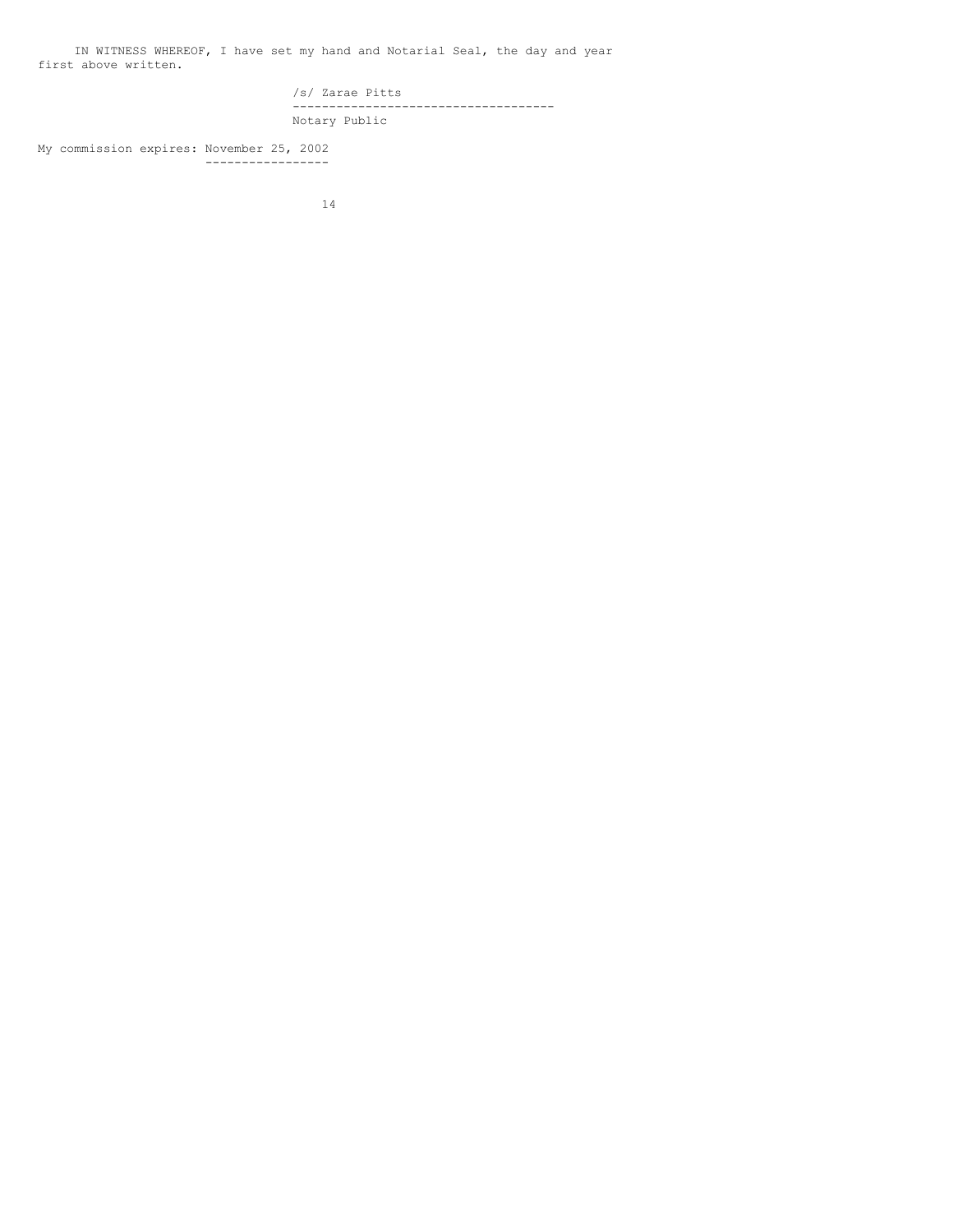IN WITNESS WHEREOF, I have set my hand and Notarial Seal, the day and year first above written.

> /s/ Zarae Pitts ------------------------------------ Notary Public

My commission expires: November 25, 2002 -----------------

14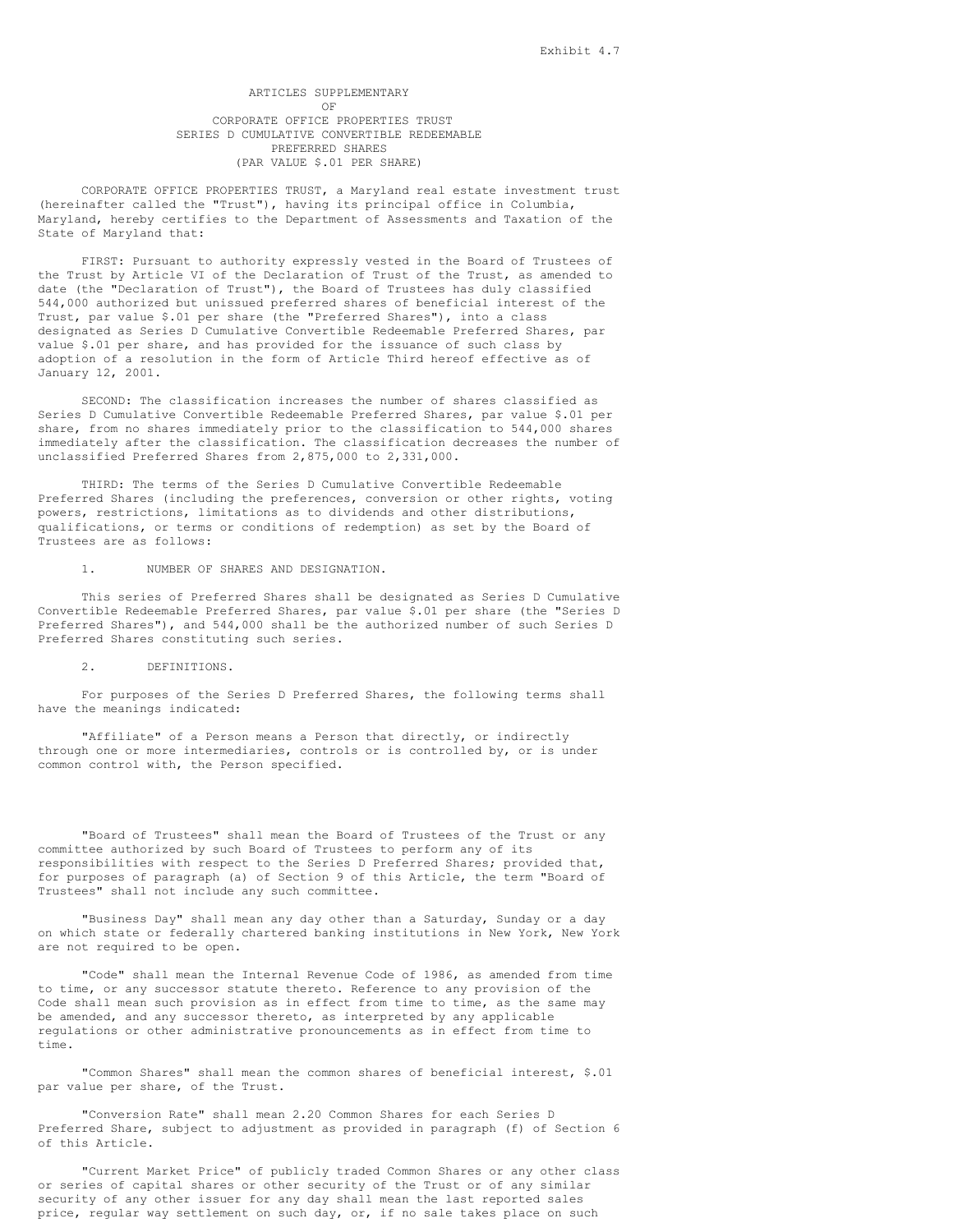## ARTICLES SUPPLEMENTARY OF CORPORATE OFFICE PROPERTIES TRUST SERIES D CUMULATIVE CONVERTIBLE REDEEMABLE PREFERRED SHARES (PAR VALUE \$.01 PER SHARE)

CORPORATE OFFICE PROPERTIES TRUST, a Maryland real estate investment trust (hereinafter called the "Trust"), having its principal office in Columbia, Maryland, hereby certifies to the Department of Assessments and Taxation of the State of Maryland that:

FIRST: Pursuant to authority expressly vested in the Board of Trustees of the Trust by Article VI of the Declaration of Trust of the Trust, as amended to date (the "Declaration of Trust"), the Board of Trustees has duly classified 544,000 authorized but unissued preferred shares of beneficial interest of the Trust, par value \$.01 per share (the "Preferred Shares"), into a class designated as Series D Cumulative Convertible Redeemable Preferred Shares, par value \$.01 per share, and has provided for the issuance of such class by adoption of a resolution in the form of Article Third hereof effective as of January 12, 2001.

SECOND: The classification increases the number of shares classified as Series D Cumulative Convertible Redeemable Preferred Shares, par value \$.01 per share, from no shares immediately prior to the classification to 544,000 shares immediately after the classification. The classification decreases the number of unclassified Preferred Shares from 2,875,000 to 2,331,000.

THIRD: The terms of the Series D Cumulative Convertible Redeemable Preferred Shares (including the preferences, conversion or other rights, voting powers, restrictions, limitations as to dividends and other distributions, qualifications, or terms or conditions of redemption) as set by the Board of Trustees are as follows:

1. NUMBER OF SHARES AND DESIGNATION.

This series of Preferred Shares shall be designated as Series D Cumulative Convertible Redeemable Preferred Shares, par value \$.01 per share (the "Series D Preferred Shares"), and 544,000 shall be the authorized number of such Series D Preferred Shares constituting such series.

2. DEFINITIONS.

For purposes of the Series D Preferred Shares, the following terms shall have the meanings indicated:

"Affiliate" of a Person means a Person that directly, or indirectly through one or more intermediaries, controls or is controlled by, or is under common control with, the Person specified.

"Board of Trustees" shall mean the Board of Trustees of the Trust or any committee authorized by such Board of Trustees to perform any of its responsibilities with respect to the Series D Preferred Shares; provided that, for purposes of paragraph (a) of Section 9 of this Article, the term "Board of Trustees" shall not include any such committee.

"Business Day" shall mean any day other than a Saturday, Sunday or a day on which state or federally chartered banking institutions in New York, New York are not required to be open.

"Code" shall mean the Internal Revenue Code of 1986, as amended from time to time, or any successor statute thereto. Reference to any provision of the Code shall mean such provision as in effect from time to time, as the same may be amended, and any successor thereto, as interpreted by any applicable regulations or other administrative pronouncements as in effect from time to time.

"Common Shares" shall mean the common shares of beneficial interest, \$.01 par value per share, of the Trust.

"Conversion Rate" shall mean 2.20 Common Shares for each Series D Preferred Share, subject to adjustment as provided in paragraph (f) of Section 6 of this Article.

"Current Market Price" of publicly traded Common Shares or any other class or series of capital shares or other security of the Trust or of any similar security of any other issuer for any day shall mean the last reported sales price, regular way settlement on such day, or, if no sale takes place on such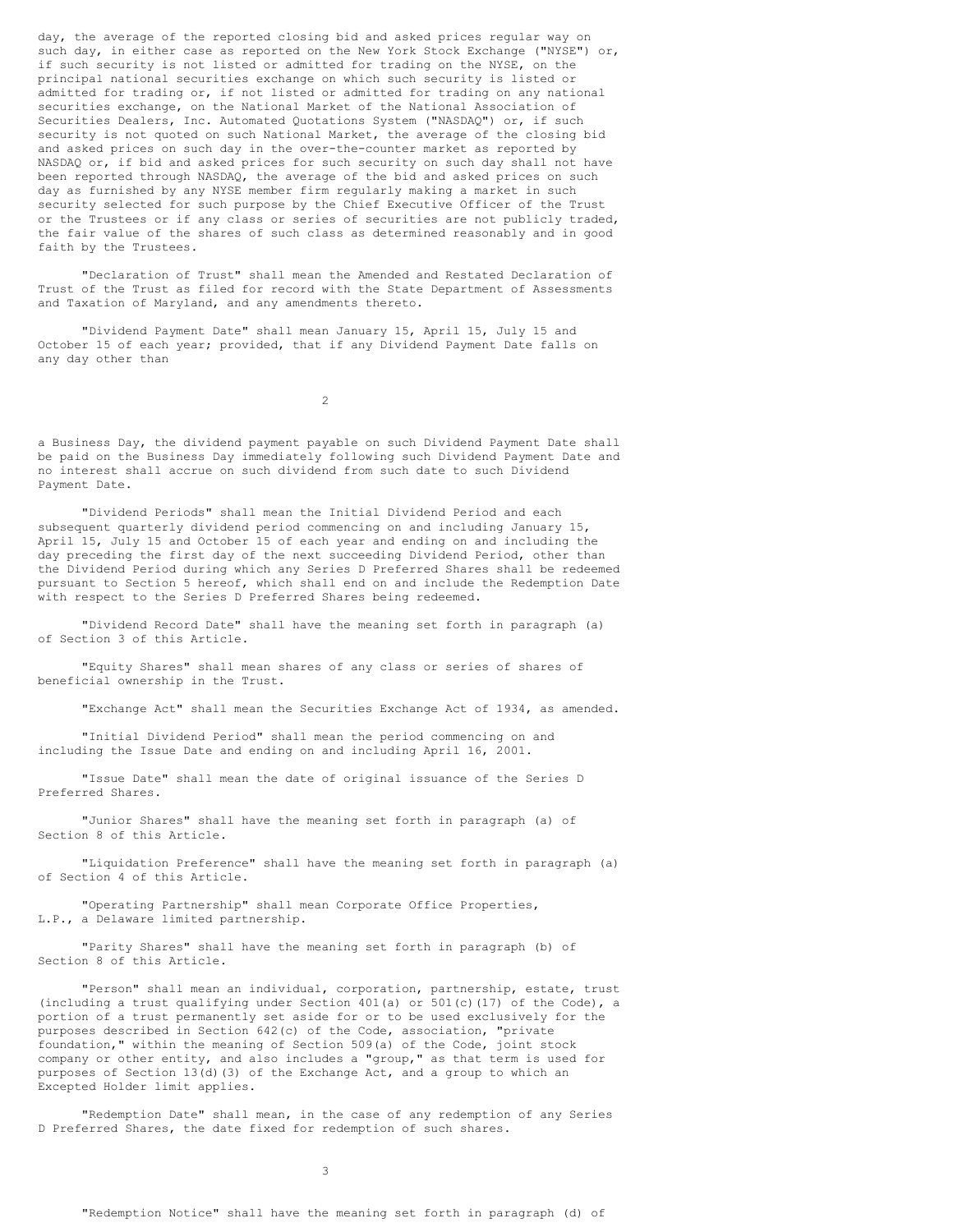day, the average of the reported closing bid and asked prices regular way on such day, in either case as reported on the New York Stock Exchange ("NYSE") or, if such security is not listed or admitted for trading on the NYSE, on the principal national securities exchange on which such security is listed or admitted for trading or, if not listed or admitted for trading on any national securities exchange, on the National Market of the National Association of Securities Dealers, Inc. Automated Quotations System ("NASDAQ") or, if such security is not quoted on such National Market, the average of the closing bid and asked prices on such day in the over-the-counter market as reported by NASDAQ or, if bid and asked prices for such security on such day shall not have been reported through NASDAQ, the average of the bid and asked prices on such day as furnished by any NYSE member firm regularly making a market in such security selected for such purpose by the Chief Executive Officer of the Trust or the Trustees or if any class or series of securities are not publicly traded, the fair value of the shares of such class as determined reasonably and in good faith by the Trustees.

"Declaration of Trust" shall mean the Amended and Restated Declaration of Trust of the Trust as filed for record with the State Department of Assessments and Taxation of Maryland, and any amendments thereto.

"Dividend Payment Date" shall mean January 15, April 15, July 15 and October 15 of each year; provided, that if any Dividend Payment Date falls on any day other than

 $\overline{2}$ 

a Business Day, the dividend payment payable on such Dividend Payment Date shall be paid on the Business Day immediately following such Dividend Payment Date and no interest shall accrue on such dividend from such date to such Dividend Payment Date.

"Dividend Periods" shall mean the Initial Dividend Period and each subsequent quarterly dividend period commencing on and including January 15, April 15, July 15 and October 15 of each year and ending on and including the day preceding the first day of the next succeeding Dividend Period, other than the Dividend Period during which any Series D Preferred Shares shall be redeemed pursuant to Section 5 hereof, which shall end on and include the Redemption Date with respect to the Series D Preferred Shares being redeemed.

"Dividend Record Date" shall have the meaning set forth in paragraph (a) of Section 3 of this Article.

"Equity Shares" shall mean shares of any class or series of shares of beneficial ownership in the Trust.

"Exchange Act" shall mean the Securities Exchange Act of 1934, as amended.

"Initial Dividend Period" shall mean the period commencing on and including the Issue Date and ending on and including April 16, 2001.

"Issue Date" shall mean the date of original issuance of the Series D Preferred Shares.

"Junior Shares" shall have the meaning set forth in paragraph (a) of Section 8 of this Article.

"Liquidation Preference" shall have the meaning set forth in paragraph (a) of Section 4 of this Article.

"Operating Partnership" shall mean Corporate Office Properties, L.P., a Delaware limited partnership.

"Parity Shares" shall have the meaning set forth in paragraph (b) of Section 8 of this Article.

"Person" shall mean an individual, corporation, partnership, estate, trust (including a trust qualifying under Section 401(a) or 501(c)(17) of the Code), a portion of a trust permanently set aside for or to be used exclusively for the purposes described in Section 642(c) of the Code, association, "private foundation," within the meaning of Section 509(a) of the Code, joint stock company or other entity, and also includes a "group," as that term is used for purposes of Section  $13(d)$  (3) of the Exchange Act, and a group to which an Excepted Holder limit applies.

"Redemption Date" shall mean, in the case of any redemption of any Series D Preferred Shares, the date fixed for redemption of such shares.

3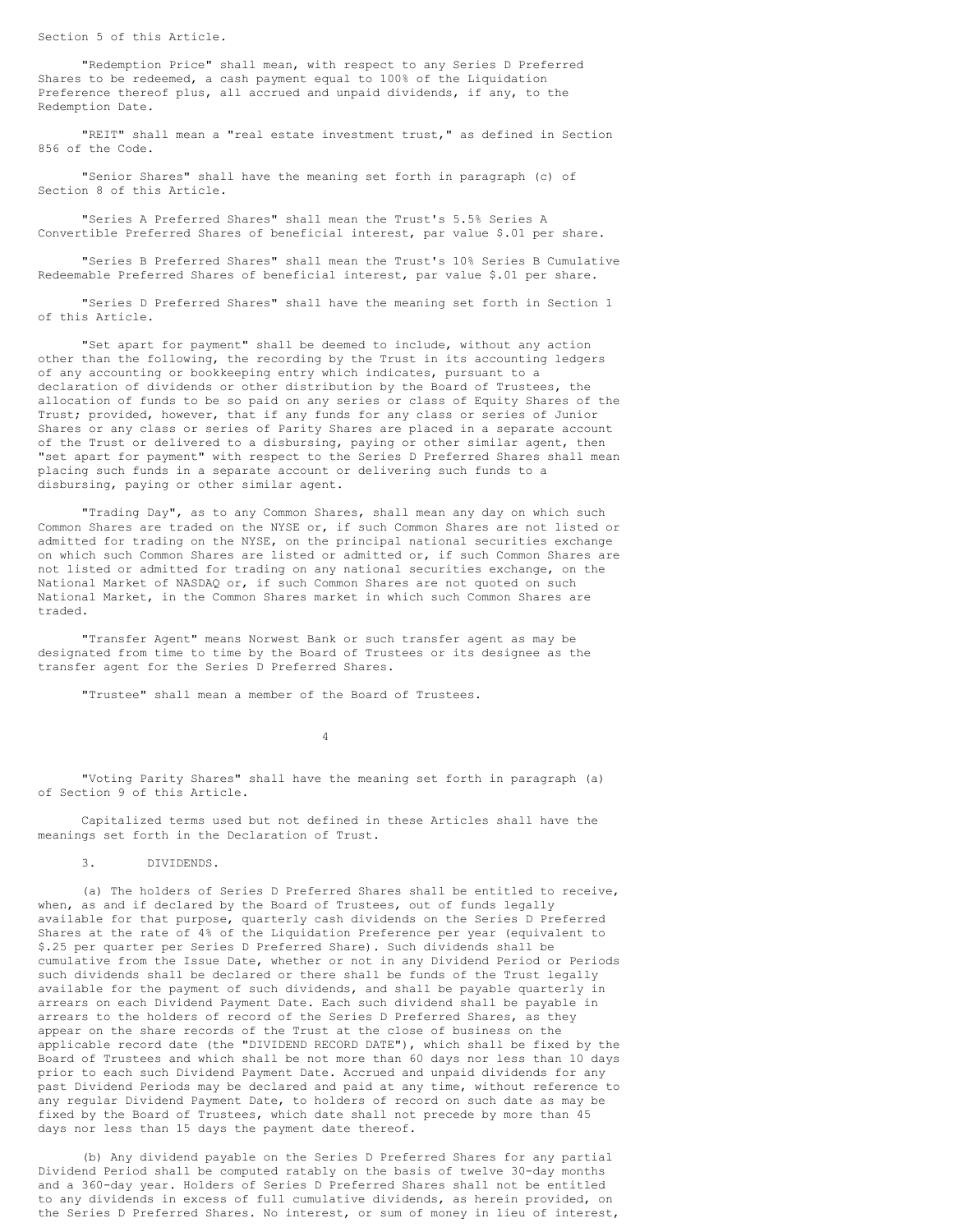Section 5 of this Article.

"Redemption Price" shall mean, with respect to any Series D Preferred Shares to be redeemed, a cash payment equal to 100% of the Liquidation Preference thereof plus, all accrued and unpaid dividends, if any, to the Redemption Date.

"REIT" shall mean a "real estate investment trust," as defined in Section 856 of the Code.

"Senior Shares" shall have the meaning set forth in paragraph (c) of Section 8 of this Article.

"Series A Preferred Shares" shall mean the Trust's 5.5% Series A Convertible Preferred Shares of beneficial interest, par value \$.01 per share.

"Series B Preferred Shares" shall mean the Trust's 10% Series B Cumulative Redeemable Preferred Shares of beneficial interest, par value \$.01 per share.

"Series D Preferred Shares" shall have the meaning set forth in Section 1 of this Article.

"Set apart for payment" shall be deemed to include, without any action other than the following, the recording by the Trust in its accounting ledgers of any accounting or bookkeeping entry which indicates, pursuant to a declaration of dividends or other distribution by the Board of Trustees, the allocation of funds to be so paid on any series or class of Equity Shares of the Trust; provided, however, that if any funds for any class or series of Junior Shares or any class or series of Parity Shares are placed in a separate account of the Trust or delivered to a disbursing, paying or other similar agent, then "set apart for payment" with respect to the Series D Preferred Shares shall mean placing such funds in a separate account or delivering such funds to a disbursing, paying or other similar agent.

"Trading Day", as to any Common Shares, shall mean any day on which such Common Shares are traded on the NYSE or, if such Common Shares are not listed or admitted for trading on the NYSE, on the principal national securities exchange on which such Common Shares are listed or admitted or, if such Common Shares are not listed or admitted for trading on any national securities exchange, on the National Market of NASDAQ or, if such Common Shares are not quoted on such National Market, in the Common Shares market in which such Common Shares are traded.

"Transfer Agent" means Norwest Bank or such transfer agent as may be designated from time to time by the Board of Trustees or its designee as the transfer agent for the Series D Preferred Shares.

"Trustee" shall mean a member of the Board of Trustees.

4

"Voting Parity Shares" shall have the meaning set forth in paragraph (a) of Section 9 of this Article.

Capitalized terms used but not defined in these Articles shall have the meanings set forth in the Declaration of Trust.

3. DIVIDENDS.

(a) The holders of Series D Preferred Shares shall be entitled to receive, when, as and if declared by the Board of Trustees, out of funds legally available for that purpose, quarterly cash dividends on the Series D Preferred Shares at the rate of 4% of the Liquidation Preference per year (equivalent to \$.25 per quarter per Series D Preferred Share). Such dividends shall be cumulative from the Issue Date, whether or not in any Dividend Period or Periods such dividends shall be declared or there shall be funds of the Trust legally available for the payment of such dividends, and shall be payable quarterly in arrears on each Dividend Payment Date. Each such dividend shall be payable in arrears to the holders of record of the Series D Preferred Shares, as they appear on the share records of the Trust at the close of business on the applicable record date (the "DIVIDEND RECORD DATE"), which shall be fixed by the Board of Trustees and which shall be not more than 60 days nor less than 10 days prior to each such Dividend Payment Date. Accrued and unpaid dividends for any past Dividend Periods may be declared and paid at any time, without reference to any regular Dividend Payment Date, to holders of record on such date as may be fixed by the Board of Trustees, which date shall not precede by more than 45 days nor less than 15 days the payment date thereof.

(b) Any dividend payable on the Series D Preferred Shares for any partial Dividend Period shall be computed ratably on the basis of twelve 30-day months and a 360-day year. Holders of Series D Preferred Shares shall not be entitled to any dividends in excess of full cumulative dividends, as herein provided, on the Series D Preferred Shares. No interest, or sum of money in lieu of interest,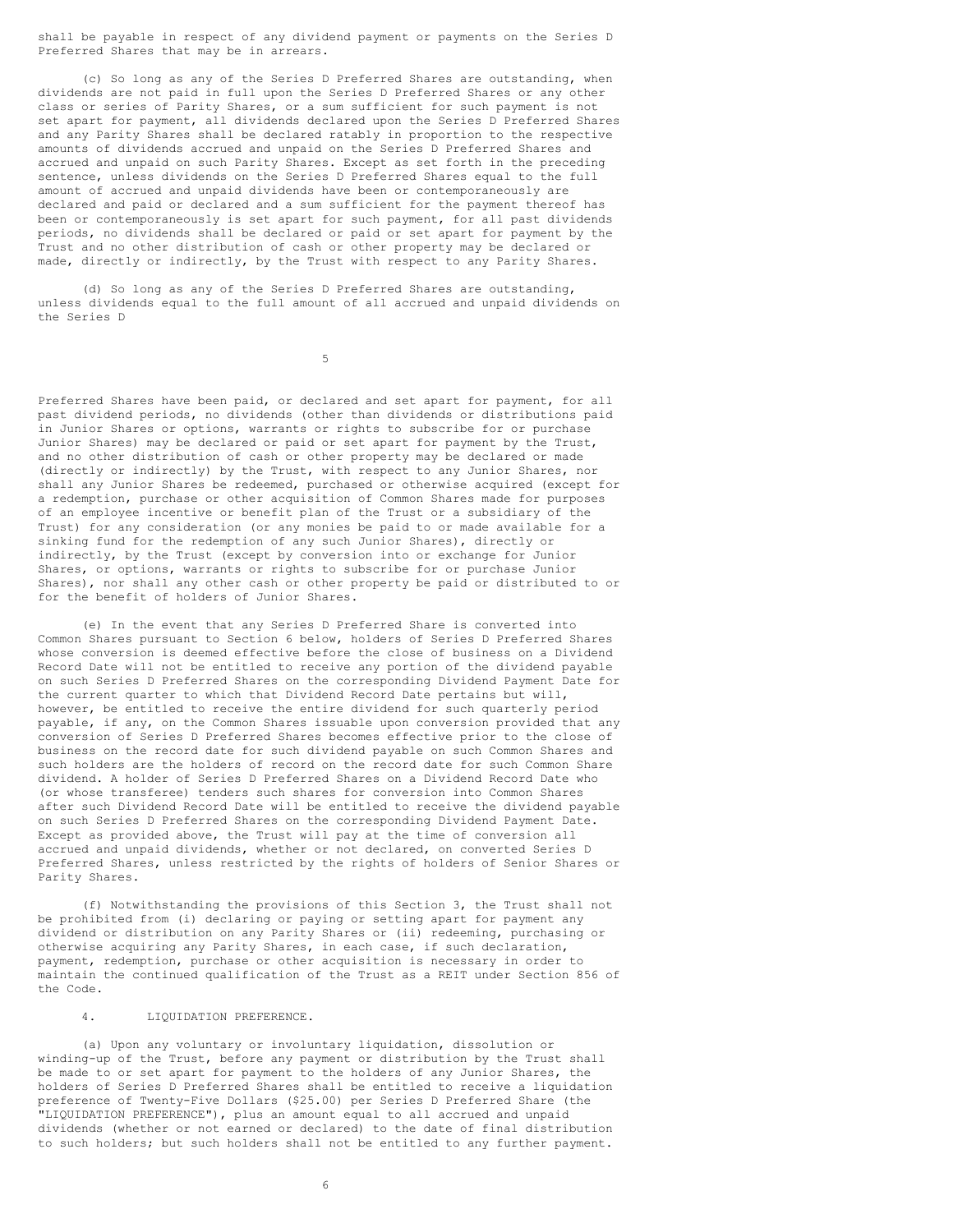shall be payable in respect of any dividend payment or payments on the Series D Preferred Shares that may be in arrears.

(c) So long as any of the Series D Preferred Shares are outstanding, when dividends are not paid in full upon the Series D Preferred Shares or any other class or series of Parity Shares, or a sum sufficient for such payment is not set apart for payment, all dividends declared upon the Series D Preferred Shares and any Parity Shares shall be declared ratably in proportion to the respective amounts of dividends accrued and unpaid on the Series D Preferred Shares and accrued and unpaid on such Parity Shares. Except as set forth in the preceding sentence, unless dividends on the Series D Preferred Shares equal to the full amount of accrued and unpaid dividends have been or contemporaneously are declared and paid or declared and a sum sufficient for the payment thereof has been or contemporaneously is set apart for such payment, for all past dividends periods, no dividends shall be declared or paid or set apart for payment by the Trust and no other distribution of cash or other property may be declared or made, directly or indirectly, by the Trust with respect to any Parity Shares.

(d) So long as any of the Series D Preferred Shares are outstanding, unless dividends equal to the full amount of all accrued and unpaid dividends on the Series D

5

Preferred Shares have been paid, or declared and set apart for payment, for all past dividend periods, no dividends (other than dividends or distributions paid in Junior Shares or options, warrants or rights to subscribe for or purchase Junior Shares) may be declared or paid or set apart for payment by the Trust, and no other distribution of cash or other property may be declared or made (directly or indirectly) by the Trust, with respect to any Junior Shares, nor shall any Junior Shares be redeemed, purchased or otherwise acquired (except for a redemption, purchase or other acquisition of Common Shares made for purposes of an employee incentive or benefit plan of the Trust or a subsidiary of the Trust) for any consideration (or any monies be paid to or made available for a sinking fund for the redemption of any such Junior Shares), directly or indirectly, by the Trust (except by conversion into or exchange for Junior Shares, or options, warrants or rights to subscribe for or purchase Junior Shares), nor shall any other cash or other property be paid or distributed to or for the benefit of holders of Junior Shares.

(e) In the event that any Series D Preferred Share is converted into Common Shares pursuant to Section 6 below, holders of Series D Preferred Shares whose conversion is deemed effective before the close of business on a Dividend Record Date will not be entitled to receive any portion of the dividend payable on such Series D Preferred Shares on the corresponding Dividend Payment Date for the current quarter to which that Dividend Record Date pertains but will, however, be entitled to receive the entire dividend for such quarterly period payable, if any, on the Common Shares issuable upon conversion provided that any conversion of Series D Preferred Shares becomes effective prior to the close of business on the record date for such dividend payable on such Common Shares and such holders are the holders of record on the record date for such Common Share dividend. A holder of Series D Preferred Shares on a Dividend Record Date who (or whose transferee) tenders such shares for conversion into Common Shares after such Dividend Record Date will be entitled to receive the dividend payable on such Series D Preferred Shares on the corresponding Dividend Payment Date. Except as provided above, the Trust will pay at the time of conversion all accrued and unpaid dividends, whether or not declared, on converted Series D Preferred Shares, unless restricted by the rights of holders of Senior Shares or Parity Shares.

(f) Notwithstanding the provisions of this Section 3, the Trust shall not be prohibited from (i) declaring or paying or setting apart for payment any dividend or distribution on any Parity Shares or (ii) redeeming, purchasing or otherwise acquiring any Parity Shares, in each case, if such declaration, payment, redemption, purchase or other acquisition is necessary in order to maintain the continued qualification of the Trust as a REIT under Section 856 of the Code.

# 4. LIQUIDATION PREFERENCE.

(a) Upon any voluntary or involuntary liquidation, dissolution or winding-up of the Trust, before any payment or distribution by the Trust shall be made to or set apart for payment to the holders of any Junior Shares, the holders of Series D Preferred Shares shall be entitled to receive a liquidation preference of Twenty-Five Dollars (\$25.00) per Series D Preferred Share (the .<br>"LIQUIDATION PREFERENCE"), plus an amount equal to all accrued and unpaid dividends (whether or not earned or declared) to the date of final distribution to such holders; but such holders shall not be entitled to any further payment.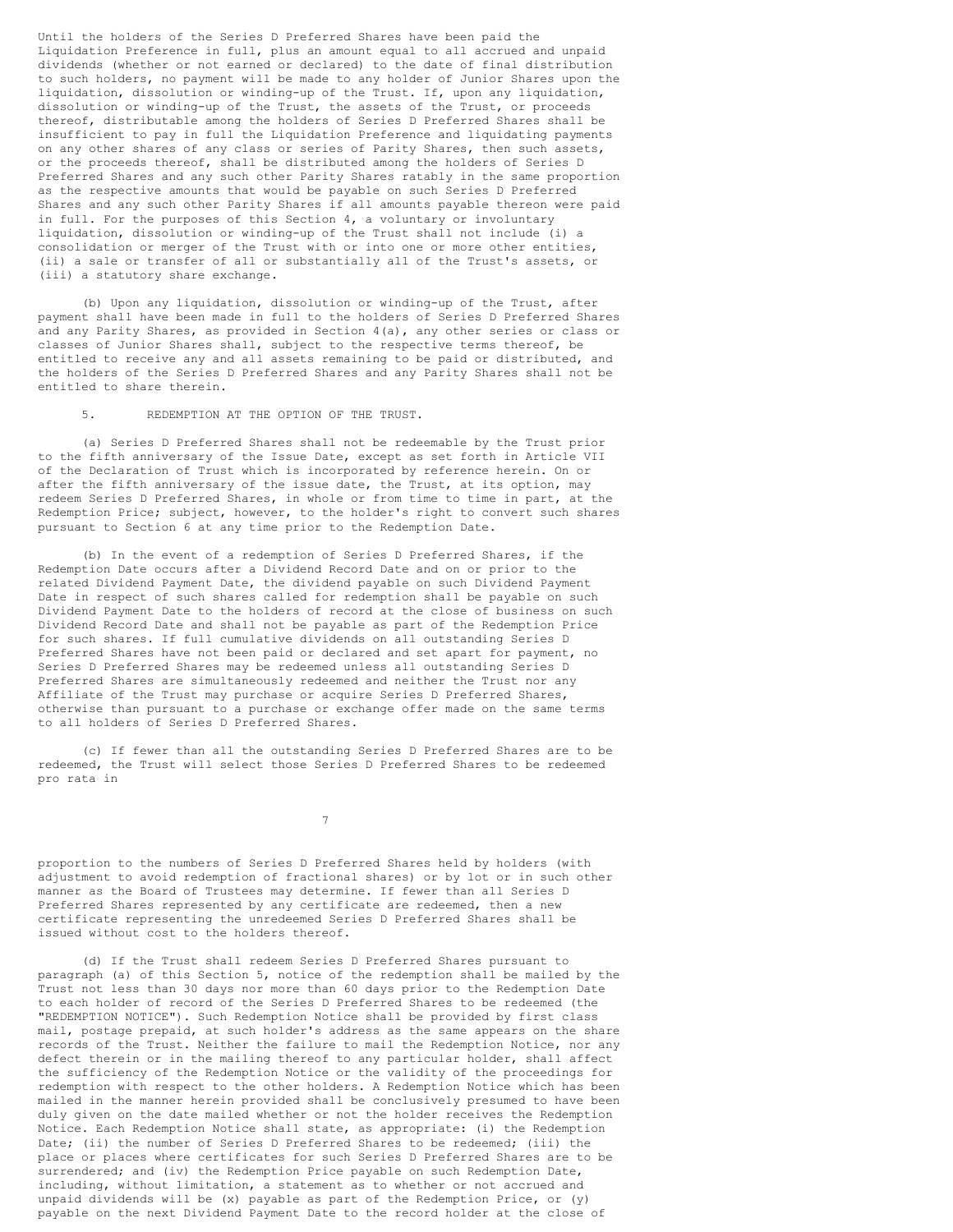Until the holders of the Series D Preferred Shares have been paid the Liquidation Preference in full, plus an amount equal to all accrued and unpaid dividends (whether or not earned or declared) to the date of final distribution to such holders, no payment will be made to any holder of Junior Shares upon the liquidation, dissolution or winding-up of the Trust. If, upon any liquidation, dissolution or winding-up of the Trust, the assets of the Trust, or proceeds thereof, distributable among the holders of Series D Preferred Shares shall be insufficient to pay in full the Liquidation Preference and liquidating payments on any other shares of any class or series of Parity Shares, then such assets, or the proceeds thereof, shall be distributed among the holders of Series D Preferred Shares and any such other Parity Shares ratably in the same proportion as the respective amounts that would be payable on such Series D Preferred Shares and any such other Parity Shares if all amounts payable thereon were paid in full. For the purposes of this Section 4, a voluntary or involuntary liquidation, dissolution or winding-up of the Trust shall not include (i) a consolidation or merger of the Trust with or into one or more other entities, (ii) a sale or transfer of all or substantially all of the Trust's assets, or (iii) a statutory share exchange.

(b) Upon any liquidation, dissolution or winding-up of the Trust, after payment shall have been made in full to the holders of Series D Preferred Shares and any Parity Shares, as provided in Section 4(a), any other series or class or classes of Junior Shares shall, subject to the respective terms thereof, be entitled to receive any and all assets remaining to be paid or distributed, and the holders of the Series D Preferred Shares and any Parity Shares shall not be entitled to share therein.

5. REDEMPTION AT THE OPTION OF THE TRUST.

(a) Series D Preferred Shares shall not be redeemable by the Trust prior to the fifth anniversary of the Issue Date, except as set forth in Article VII of the Declaration of Trust which is incorporated by reference herein. On or after the fifth anniversary of the issue date, the Trust, at its option, may redeem Series D Preferred Shares, in whole or from time to time in part, at the Redemption Price; subject, however, to the holder's right to convert such shares pursuant to Section 6 at any time prior to the Redemption Date.

(b) In the event of a redemption of Series D Preferred Shares, if the Redemption Date occurs after a Dividend Record Date and on or prior to the related Dividend Payment Date, the dividend payable on such Dividend Payment Date in respect of such shares called for redemption shall be payable on such Dividend Payment Date to the holders of record at the close of business on such Dividend Record Date and shall not be payable as part of the Redemption Price for such shares. If full cumulative dividends on all outstanding Series D Preferred Shares have not been paid or declared and set apart for payment, no Series D Preferred Shares may be redeemed unless all outstanding Series D Preferred Shares are simultaneously redeemed and neither the Trust nor any Affiliate of the Trust may purchase or acquire Series D Preferred Shares, otherwise than pursuant to a purchase or exchange offer made on the same terms to all holders of Series D Preferred Shares.

(c) If fewer than all the outstanding Series D Preferred Shares are to be redeemed, the Trust will select those Series D Preferred Shares to be redeemed pro rata in

7

proportion to the numbers of Series D Preferred Shares held by holders (with adjustment to avoid redemption of fractional shares) or by lot or in such other manner as the Board of Trustees may determine. If fewer than all Series D Preferred Shares represented by any certificate are redeemed, then a new certificate representing the unredeemed Series D Preferred Shares shall be issued without cost to the holders thereof.

(d) If the Trust shall redeem Series D Preferred Shares pursuant to paragraph (a) of this Section 5, notice of the redemption shall be mailed by the Trust not less than 30 days nor more than 60 days prior to the Redemption Date to each holder of record of the Series D Preferred Shares to be redeemed (the "REDEMPTION NOTICE"). Such Redemption Notice shall be provided by first class mail, postage prepaid, at such holder's address as the same appears on the share records of the Trust. Neither the failure to mail the Redemption Notice, nor any defect therein or in the mailing thereof to any particular holder, shall affect the sufficiency of the Redemption Notice or the validity of the proceedings for redemption with respect to the other holders. A Redemption Notice which has been mailed in the manner herein provided shall be conclusively presumed to have been duly given on the date mailed whether or not the holder receives the Redemption Notice. Each Redemption Notice shall state, as appropriate: (i) the Redemption Date; (ii) the number of Series D Preferred Shares to be redeemed; (iii) the place or places where certificates for such Series D Preferred Shares are to be surrendered; and (iv) the Redemption Price payable on such Redemption Date, including, without limitation, a statement as to whether or not accrued and unpaid dividends will be  $(x)$  payable as part of the Redemption Price, or  $(y)$ payable on the next Dividend Payment Date to the record holder at the close of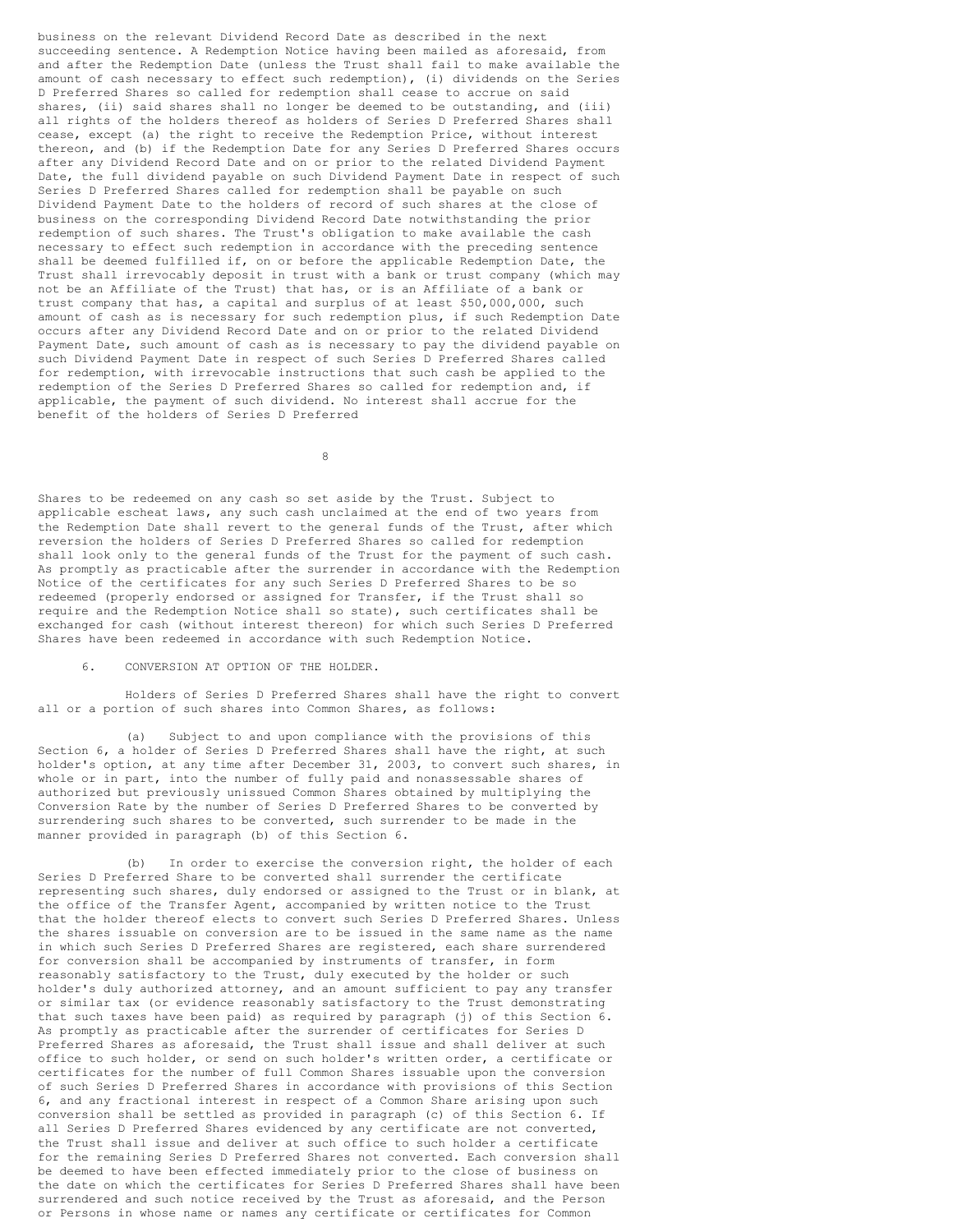business on the relevant Dividend Record Date as described in the next succeeding sentence. A Redemption Notice having been mailed as aforesaid, from and after the Redemption Date (unless the Trust shall fail to make available the amount of cash necessary to effect such redemption), (i) dividends on the Series D Preferred Shares so called for redemption shall cease to accrue on said shares, (ii) said shares shall no longer be deemed to be outstanding, and (iii) all rights of the holders thereof as holders of Series D Preferred Shares shall cease, except (a) the right to receive the Redemption Price, without interest thereon, and (b) if the Redemption Date for any Series D Preferred Shares occurs after any Dividend Record Date and on or prior to the related Dividend Payment Date, the full dividend payable on such Dividend Payment Date in respect of such Series D Preferred Shares called for redemption shall be payable on such Dividend Payment Date to the holders of record of such shares at the close of business on the corresponding Dividend Record Date notwithstanding the prior redemption of such shares. The Trust's obligation to make available the cash necessary to effect such redemption in accordance with the preceding sentence shall be deemed fulfilled if, on or before the applicable Redemption Date, the Trust shall irrevocably deposit in trust with a bank or trust company (which may not be an Affiliate of the Trust) that has, or is an Affiliate of a bank or trust company that has, a capital and surplus of at least \$50,000,000, such amount of cash as is necessary for such redemption plus, if such Redemption Date occurs after any Dividend Record Date and on or prior to the related Dividend Payment Date, such amount of cash as is necessary to pay the dividend payable on such Dividend Payment Date in respect of such Series D Preferred Shares called for redemption, with irrevocable instructions that such cash be applied to the redemption of the Series D Preferred Shares so called for redemption and, if applicable, the payment of such dividend. No interest shall accrue for the benefit of the holders of Series D Preferred

8

Shares to be redeemed on any cash so set aside by the Trust. Subject to applicable escheat laws, any such cash unclaimed at the end of two years from the Redemption Date shall revert to the general funds of the Trust, after which reversion the holders of Series D Preferred Shares so called for redemption shall look only to the general funds of the Trust for the payment of such cash. As promptly as practicable after the surrender in accordance with the Redemption Notice of the certificates for any such Series D Preferred Shares to be so redeemed (properly endorsed or assigned for Transfer, if the Trust shall so require and the Redemption Notice shall so state), such certificates shall be exchanged for cash (without interest thereon) for which such Series D Preferred Shares have been redeemed in accordance with such Redemption Notice.

# 6. CONVERSION AT OPTION OF THE HOLDER.

Holders of Series D Preferred Shares shall have the right to convert all or a portion of such shares into Common Shares, as follows:

(a) Subject to and upon compliance with the provisions of this Section 6, a holder of Series D Preferred Shares shall have the right, at such holder's option, at any time after December 31, 2003, to convert such shares, in whole or in part, into the number of fully paid and nonassessable shares of authorized but previously unissued Common Shares obtained by multiplying the Conversion Rate by the number of Series D Preferred Shares to be converted by surrendering such shares to be converted, such surrender to be made in the manner provided in paragraph (b) of this Section 6.

(b) In order to exercise the conversion right, the holder of each Series D Preferred Share to be converted shall surrender the certificate representing such shares, duly endorsed or assigned to the Trust or in blank, at the office of the Transfer Agent, accompanied by written notice to the Trust that the holder thereof elects to convert such Series D Preferred Shares. Unless the shares issuable on conversion are to be issued in the same name as the name in which such Series D Preferred Shares are registered, each share surrendered for conversion shall be accompanied by instruments of transfer, in form reasonably satisfactory to the Trust, duly executed by the holder or such holder's duly authorized attorney, and an amount sufficient to pay any transfer or similar tax (or evidence reasonably satisfactory to the Trust demonstrating that such taxes have been paid) as required by paragraph (j) of this Section 6. As promptly as practicable after the surrender of certificates for Series D Preferred Shares as aforesaid, the Trust shall issue and shall deliver at such office to such holder, or send on such holder's written order, a certificate or certificates for the number of full Common Shares issuable upon the conversion of such Series D Preferred Shares in accordance with provisions of this Section 6, and any fractional interest in respect of a Common Share arising upon such conversion shall be settled as provided in paragraph (c) of this Section 6. If all Series D Preferred Shares evidenced by any certificate are not converted, the Trust shall issue and deliver at such office to such holder a certificate for the remaining Series D Preferred Shares not converted. Each conversion shall be deemed to have been effected immediately prior to the close of business on the date on which the certificates for Series D Preferred Shares shall have been surrendered and such notice received by the Trust as aforesaid, and the Person or Persons in whose name or names any certificate or certificates for Common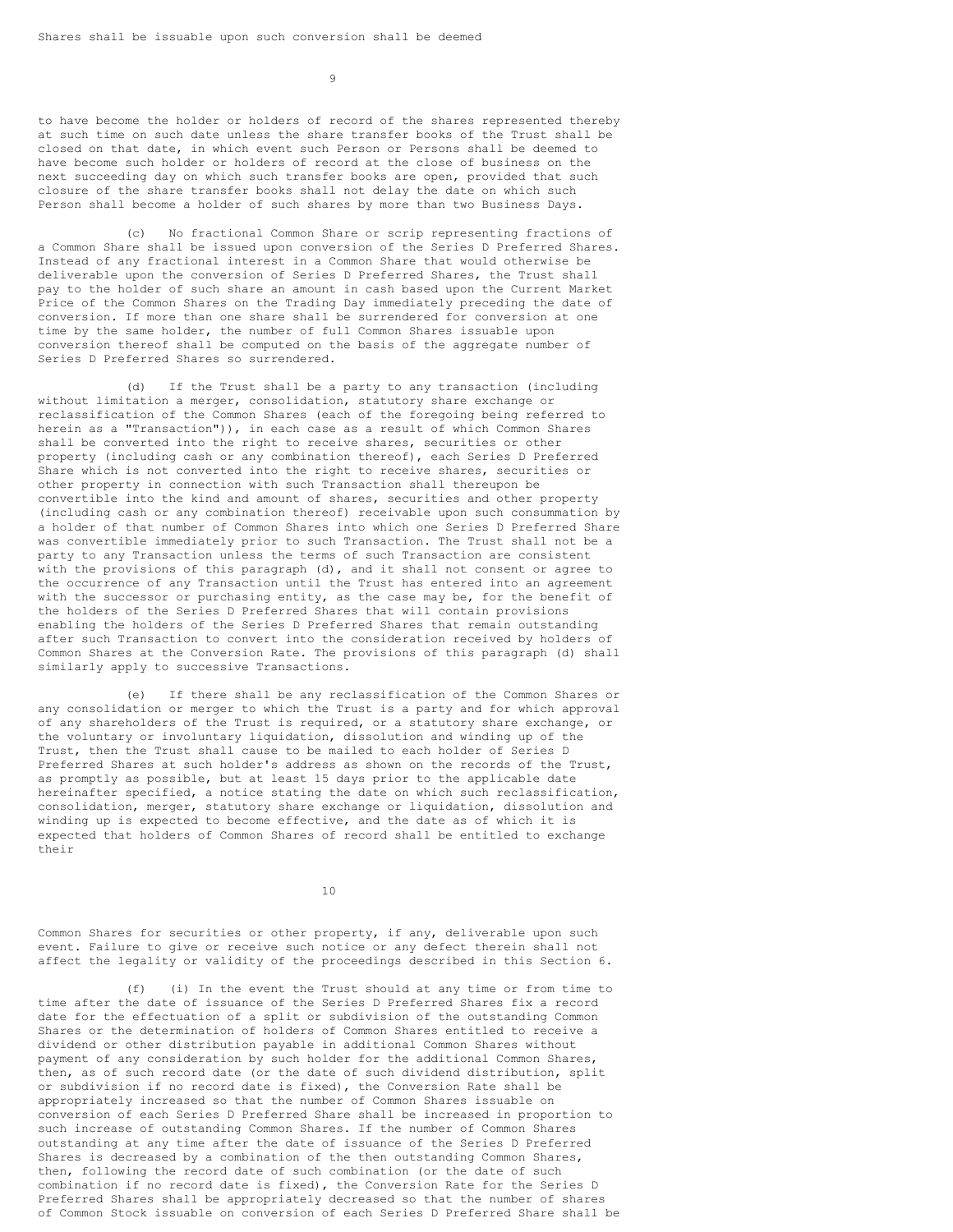$\ddot{9}$ 

to have become the holder or holders of record of the shares represented thereby at such time on such date unless the share transfer books of the Trust shall be closed on that date, in which event such Person or Persons shall be deemed to have become such holder or holders of record at the close of business on the next succeeding day on which such transfer books are open, provided that such closure of the share transfer books shall not delay the date on which such Person shall become a holder of such shares by more than two Business Days.

(c) No fractional Common Share or scrip representing fractions of a Common Share shall be issued upon conversion of the Series D Preferred Shares. Instead of any fractional interest in a Common Share that would otherwise be deliverable upon the conversion of Series D Preferred Shares, the Trust shall pay to the holder of such share an amount in cash based upon the Current Market Price of the Common Shares on the Trading Day immediately preceding the date of conversion. If more than one share shall be surrendered for conversion at one time by the same holder, the number of full Common Shares issuable upon conversion thereof shall be computed on the basis of the aggregate number of Series D Preferred Shares so surrendered.

(d) If the Trust shall be a party to any transaction (including without limitation a merger, consolidation, statutory share exchange or reclassification of the Common Shares (each of the foregoing being referred to herein as a "Transaction")), in each case as a result of which Common Shares shall be converted into the right to receive shares, securities or other property (including cash or any combination thereof), each Series D Preferred Share which is not converted into the right to receive shares, securities or other property in connection with such Transaction shall thereupon be convertible into the kind and amount of shares, securities and other property (including cash or any combination thereof) receivable upon such consummation by a holder of that number of Common Shares into which one Series D Preferred Share was convertible immediately prior to such Transaction. The Trust shall not be a party to any Transaction unless the terms of such Transaction are consistent with the provisions of this paragraph (d), and it shall not consent or agree to the occurrence of any Transaction until the Trust has entered into an agreement with the successor or purchasing entity, as the case may be, for the benefit of the holders of the Series D Preferred Shares that will contain provisions enabling the holders of the Series D Preferred Shares that remain outstanding after such Transaction to convert into the consideration received by holders of Common Shares at the Conversion Rate. The provisions of this paragraph (d) shall similarly apply to successive Transactions.

(e) If there shall be any reclassification of the Common Shares or any consolidation or merger to which the Trust is a party and for which approval of any shareholders of the Trust is required, or a statutory share exchange, or the voluntary or involuntary liquidation, dissolution and winding up of the Trust, then the Trust shall cause to be mailed to each holder of Series D Preferred Shares at such holder's address as shown on the records of the Trust, as promptly as possible, but at least 15 days prior to the applicable date hereinafter specified, a notice stating the date on which such reclassification, consolidation, merger, statutory share exchange or liquidation, dissolution and winding up is expected to become effective, and the date as of which it is expected that holders of Common Shares of record shall be entitled to exchange their

10

Common Shares for securities or other property, if any, deliverable upon such event. Failure to give or receive such notice or any defect therein shall not affect the legality or validity of the proceedings described in this Section 6.

(f) (i) In the event the Trust should at any time or from time to time after the date of issuance of the Series D Preferred Shares fix a record date for the effectuation of a split or subdivision of the outstanding Common Shares or the determination of holders of Common Shares entitled to receive a dividend or other distribution payable in additional Common Shares without payment of any consideration by such holder for the additional Common Shares, then, as of such record date (or the date of such dividend distribution, split or subdivision if no record date is fixed), the Conversion Rate shall be appropriately increased so that the number of Common Shares issuable on conversion of each Series D Preferred Share shall be increased in proportion to such increase of outstanding Common Shares. If the number of Common Shares outstanding at any time after the date of issuance of the Series D Preferred Shares is decreased by a combination of the then outstanding Common Shares, then, following the record date of such combination (or the date of such combination if no record date is fixed), the Conversion Rate for the Series D Preferred Shares shall be appropriately decreased so that the number of shares of Common Stock issuable on conversion of each Series D Preferred Share shall be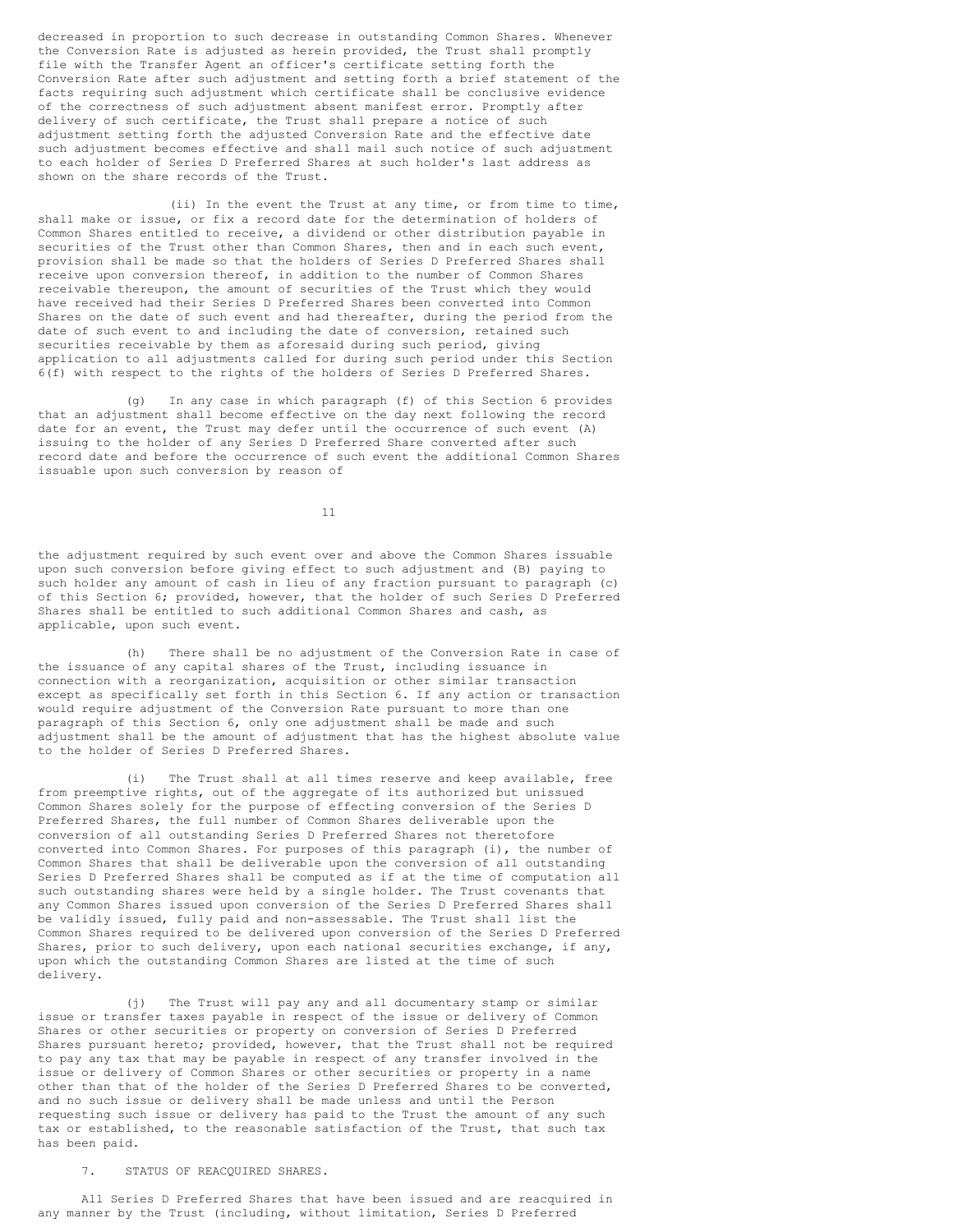decreased in proportion to such decrease in outstanding Common Shares. Whenever the Conversion Rate is adjusted as herein provided, the Trust shall promptly file with the Transfer Agent an officer's certificate setting forth the Conversion Rate after such adjustment and setting forth a brief statement of the facts requiring such adjustment which certificate shall be conclusive evidence of the correctness of such adjustment absent manifest error. Promptly after delivery of such certificate, the Trust shall prepare a notice of such adjustment setting forth the adjusted Conversion Rate and the effective date such adjustment becomes effective and shall mail such notice of such adjustment to each holder of Series D Preferred Shares at such holder's last address as shown on the share records of the Trust.

(ii) In the event the Trust at any time, or from time to time, shall make or issue, or fix a record date for the determination of holders of Common Shares entitled to receive, a dividend or other distribution payable in securities of the Trust other than Common Shares, then and in each such event, provision shall be made so that the holders of Series D Preferred Shares shall receive upon conversion thereof, in addition to the number of Common Shares receivable thereupon, the amount of securities of the Trust which they would have received had their Series D Preferred Shares been converted into Common Shares on the date of such event and had thereafter, during the period from the date of such event to and including the date of conversion, retained such securities receivable by them as aforesaid during such period, giving application to all adjustments called for during such period under this Section 6(f) with respect to the rights of the holders of Series D Preferred Shares.

(g) In any case in which paragraph (f) of this Section 6 provides that an adjustment shall become effective on the day next following the record date for an event, the Trust may defer until the occurrence of such event (A) issuing to the holder of any Series D Preferred Share converted after such record date and before the occurrence of such event the additional Common Shares issuable upon such conversion by reason of

11

the adjustment required by such event over and above the Common Shares issuable upon such conversion before giving effect to such adjustment and (B) paying to such holder any amount of cash in lieu of any fraction pursuant to paragraph (c) of this Section 6; provided, however, that the holder of such Series D Preferred Shares shall be entitled to such additional Common Shares and cash, as applicable, upon such event.

(h) There shall be no adjustment of the Conversion Rate in case of the issuance of any capital shares of the Trust, including issuance in connection with a reorganization, acquisition or other similar transaction except as specifically set forth in this Section 6. If any action or transaction would require adjustment of the Conversion Rate pursuant to more than one paragraph of this Section 6, only one adjustment shall be made and such adjustment shall be the amount of adjustment that has the highest absolute value to the holder of Series D Preferred Shares.

(i) The Trust shall at all times reserve and keep available, free from preemptive rights, out of the aggregate of its authorized but unissued Common Shares solely for the purpose of effecting conversion of the Series D Preferred Shares, the full number of Common Shares deliverable upon the conversion of all outstanding Series D Preferred Shares not theretofore converted into Common Shares. For purposes of this paragraph (i), the number of Common Shares that shall be deliverable upon the conversion of all outstanding Series D Preferred Shares shall be computed as if at the time of computation all such outstanding shares were held by a single holder. The Trust covenants that any Common Shares issued upon conversion of the Series D Preferred Shares shall be validly issued, fully paid and non-assessable. The Trust shall list the Common Shares required to be delivered upon conversion of the Series D Preferred Shares, prior to such delivery, upon each national securities exchange, if any, upon which the outstanding Common Shares are listed at the time of such delivery.

(j) The Trust will pay any and all documentary stamp or similar issue or transfer taxes payable in respect of the issue or delivery of Common Shares or other securities or property on conversion of Series D Preferred Shares pursuant hereto; provided, however, that the Trust shall not be required to pay any tax that may be payable in respect of any transfer involved in the issue or delivery of Common Shares or other securities or property in a name other than that of the holder of the Series D Preferred Shares to be converted, and no such issue or delivery shall be made unless and until the Person requesting such issue or delivery has paid to the Trust the amount of any such tax or established, to the reasonable satisfaction of the Trust, that such tax has been paid.

# 7. STATUS OF REACQUIRED SHARES.

All Series D Preferred Shares that have been issued and are reacquired in any manner by the Trust (including, without limitation, Series D Preferred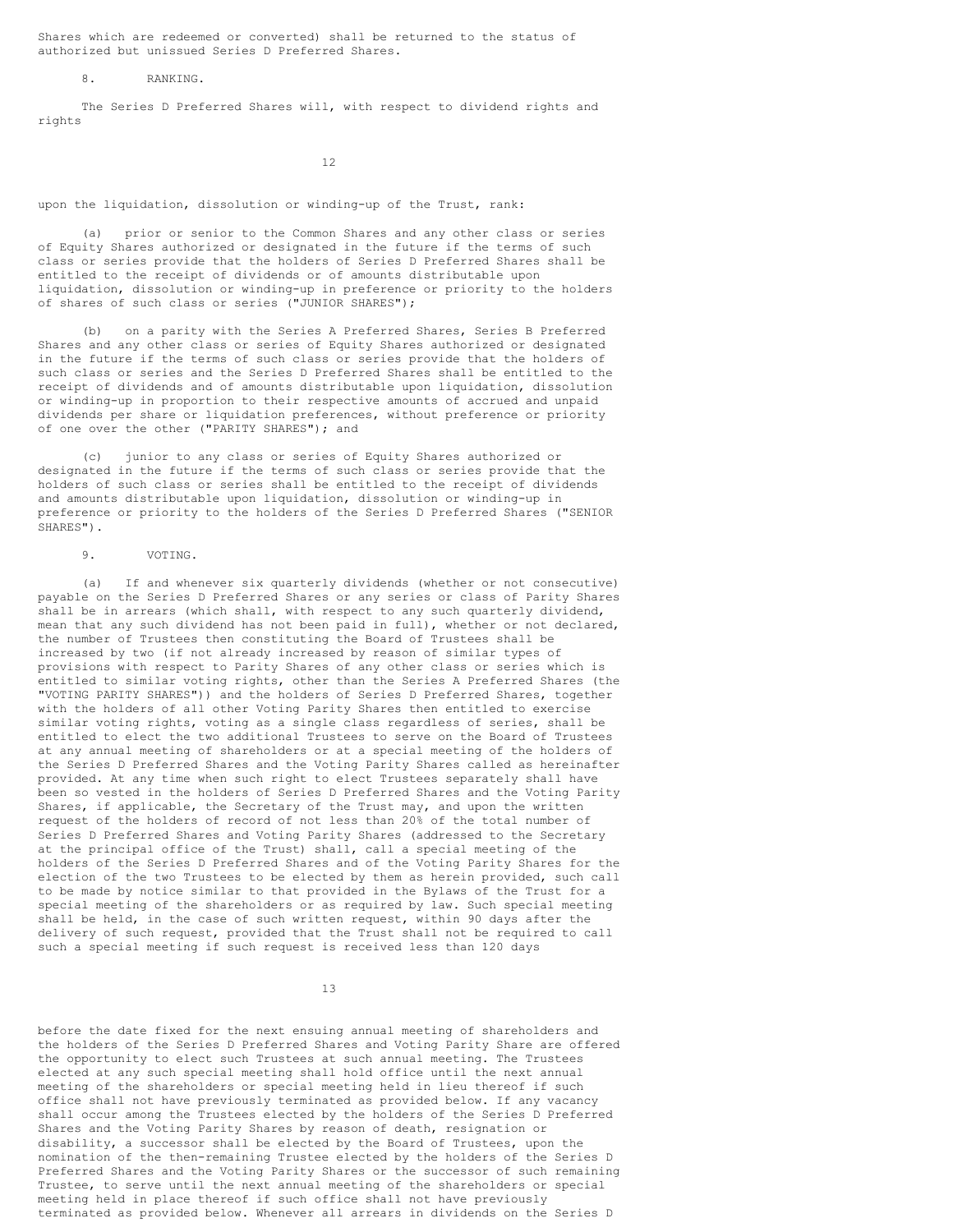Shares which are redeemed or converted) shall be returned to the status of authorized but unissued Series D Preferred Shares.

8. RANKING.

The Series D Preferred Shares will, with respect to dividend rights and rights

12

upon the liquidation, dissolution or winding-up of the Trust, rank:

(a) prior or senior to the Common Shares and any other class or series of Equity Shares authorized or designated in the future if the terms of such class or series provide that the holders of Series D Preferred Shares shall be entitled to the receipt of dividends or of amounts distributable upon liquidation, dissolution or winding-up in preference or priority to the holders of shares of such class or series ("JUNIOR SHARES");

(b) on a parity with the Series A Preferred Shares, Series B Preferred Shares and any other class or series of Equity Shares authorized or designated in the future if the terms of such class or series provide that the holders of such class or series and the Series D Preferred Shares shall be entitled to the receipt of dividends and of amounts distributable upon liquidation, dissolution or winding-up in proportion to their respective amounts of accrued and unpaid dividends per share or liquidation preferences, without preference or priority of one over the other ("PARITY SHARES"); and

(c) junior to any class or series of Equity Shares authorized or designated in the future if the terms of such class or series provide that the holders of such class or series shall be entitled to the receipt of dividends and amounts distributable upon liquidation, dissolution or winding-up in preference or priority to the holders of the Series D Preferred Shares ("SENIOR SHARES").

9. VOTING.

(a) If and whenever six quarterly dividends (whether or not consecutive) payable on the Series D Preferred Shares or any series or class of Parity Shares shall be in arrears (which shall, with respect to any such quarterly dividend, mean that any such dividend has not been paid in full), whether or not declared, the number of Trustees then constituting the Board of Trustees shall be increased by two (if not already increased by reason of similar types of provisions with respect to Parity Shares of any other class or series which is entitled to similar voting rights, other than the Series A Preferred Shares (the "VOTING PARITY SHARES")) and the holders of Series D Preferred Shares, together with the holders of all other Voting Parity Shares then entitled to exercise similar voting rights, voting as a single class regardless of series, shall be entitled to elect the two additional Trustees to serve on the Board of Trustees at any annual meeting of shareholders or at a special meeting of the holders of the Series D Preferred Shares and the Voting Parity Shares called as hereinafter provided. At any time when such right to elect Trustees separately shall have been so vested in the holders of Series D Preferred Shares and the Voting Parity Shares, if applicable, the Secretary of the Trust may, and upon the written request of the holders of record of not less than 20% of the total number of Series D Preferred Shares and Voting Parity Shares (addressed to the Secretary at the principal office of the Trust) shall, call a special meeting of the holders of the Series D Preferred Shares and of the Voting Parity Shares for the election of the two Trustees to be elected by them as herein provided, such call to be made by notice similar to that provided in the Bylaws of the Trust for a special meeting of the shareholders or as required by law. Such special meeting shall be held, in the case of such written request, within 90 days after the delivery of such request, provided that the Trust shall not be required to call such a special meeting if such request is received less than 120 days

13

before the date fixed for the next ensuing annual meeting of shareholders and the holders of the Series D Preferred Shares and Voting Parity Share are offered the opportunity to elect such Trustees at such annual meeting. The Trustees elected at any such special meeting shall hold office until the next annual meeting of the shareholders or special meeting held in lieu thereof if such office shall not have previously terminated as provided below. If any vacancy shall occur among the Trustees elected by the holders of the Series D Preferred Shares and the Voting Parity Shares by reason of death, resignation or disability, a successor shall be elected by the Board of Trustees, upon the nomination of the then-remaining Trustee elected by the holders of the Series D Preferred Shares and the Voting Parity Shares or the successor of such remaining Trustee, to serve until the next annual meeting of the shareholders or special meeting held in place thereof if such office shall not have previously terminated as provided below. Whenever all arrears in dividends on the Series D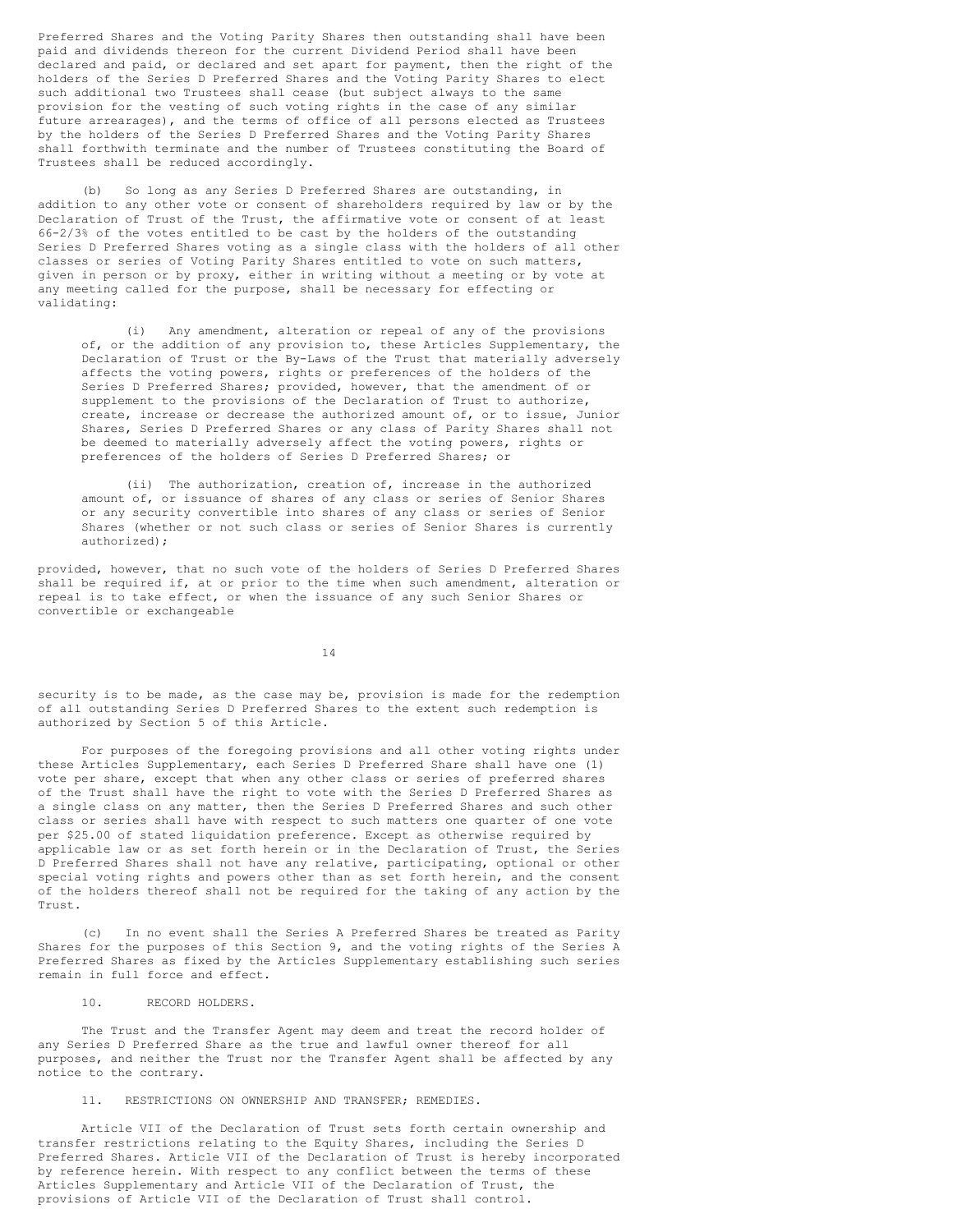Preferred Shares and the Voting Parity Shares then outstanding shall have been paid and dividends thereon for the current Dividend Period shall have been declared and paid, or declared and set apart for payment, then the right of the holders of the Series D Preferred Shares and the Voting Parity Shares to elect such additional two Trustees shall cease (but subject always to the same provision for the vesting of such voting rights in the case of any similar future arrearages), and the terms of office of all persons elected as Trustees by the holders of the Series D Preferred Shares and the Voting Parity Shares shall forthwith terminate and the number of Trustees constituting the Board of Trustees shall be reduced accordingly.

(b) So long as any Series D Preferred Shares are outstanding, in addition to any other vote or consent of shareholders required by law or by the Declaration of Trust of the Trust, the affirmative vote or consent of at least 66-2/3% of the votes entitled to be cast by the holders of the outstanding Series D Preferred Shares voting as a single class with the holders of all other classes or series of Voting Parity Shares entitled to vote on such matters, given in person or by proxy, either in writing without a meeting or by vote at any meeting called for the purpose, shall be necessary for effecting or validating:

(i) Any amendment, alteration or repeal of any of the provisions of, or the addition of any provision to, these Articles Supplementary, the Declaration of Trust or the By-Laws of the Trust that materially adversely affects the voting powers, rights or preferences of the holders of the Series D Preferred Shares; provided, however, that the amendment of or supplement to the provisions of the Declaration of Trust to authorize, create, increase or decrease the authorized amount of, or to issue, Junior Shares, Series D Preferred Shares or any class of Parity Shares shall not be deemed to materially adversely affect the voting powers, rights or preferences of the holders of Series D Preferred Shares; or

(ii) The authorization, creation of, increase in the authorized amount of, or issuance of shares of any class or series of Senior Shares or any security convertible into shares of any class or series of Senior Shares (whether or not such class or series of Senior Shares is currently authorized);

provided, however, that no such vote of the holders of Series D Preferred Shares shall be required if, at or prior to the time when such amendment, alteration or repeal is to take effect, or when the issuance of any such Senior Shares or convertible or exchangeable

14

security is to be made, as the case may be, provision is made for the redemption of all outstanding Series D Preferred Shares to the extent such redemption is authorized by Section 5 of this Article.

For purposes of the foregoing provisions and all other voting rights under these Articles Supplementary, each Series D Preferred Share shall have one (1) vote per share, except that when any other class or series of preferred shares of the Trust shall have the right to vote with the Series D Preferred Shares as a single class on any matter, then the Series D Preferred Shares and such other class or series shall have with respect to such matters one quarter of one vote per \$25.00 of stated liquidation preference. Except as otherwise required by applicable law or as set forth herein or in the Declaration of Trust, the Series D Preferred Shares shall not have any relative, participating, optional or other special voting rights and powers other than as set forth herein, and the consent of the holders thereof shall not be required for the taking of any action by the Trust.

(c) In no event shall the Series A Preferred Shares be treated as Parity Shares for the purposes of this Section 9, and the voting rights of the Series A Preferred Shares as fixed by the Articles Supplementary establishing such series remain in full force and effect.

10. RECORD HOLDERS.

The Trust and the Transfer Agent may deem and treat the record holder of any Series D Preferred Share as the true and lawful owner thereof for all purposes, and neither the Trust nor the Transfer Agent shall be affected by any notice to the contrary.

## 11. RESTRICTIONS ON OWNERSHIP AND TRANSFER; REMEDIES.

Article VII of the Declaration of Trust sets forth certain ownership and transfer restrictions relating to the Equity Shares, including the Series D Preferred Shares. Article VII of the Declaration of Trust is hereby incorporated by reference herein. With respect to any conflict between the terms of these Articles Supplementary and Article VII of the Declaration of Trust, the provisions of Article VII of the Declaration of Trust shall control.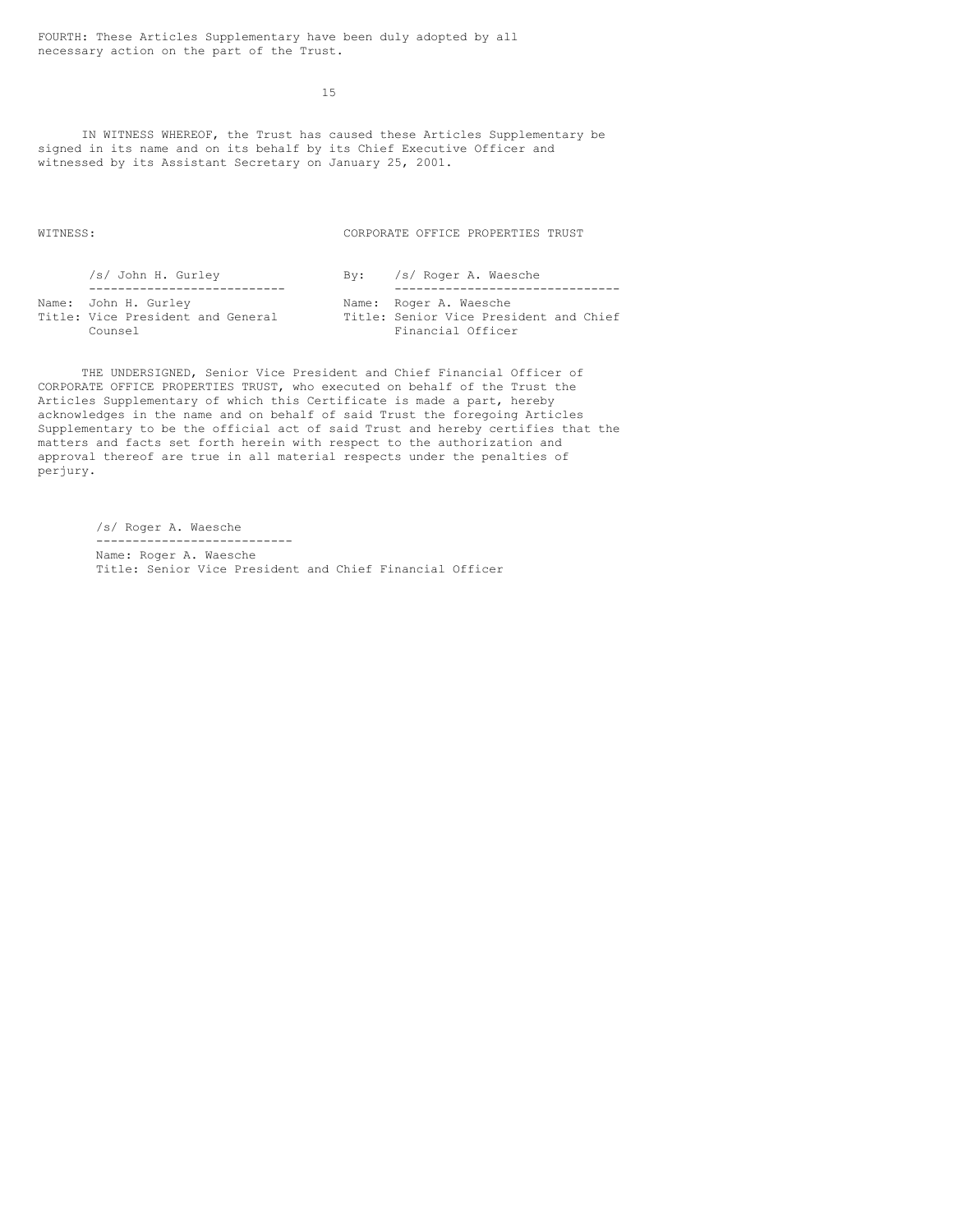FOURTH: These Articles Supplementary have been duly adopted by all necessary action on the part of the Trust.

15

IN WITNESS WHEREOF, the Trust has caused these Articles Supplementary be signed in its name and on its behalf by its Chief Executive Officer and witnessed by its Assistant Secretary on January 25, 2001.

| WITNESS: |                                                                      | CORPORATE OFFICE PROPERTIES TRUST |                                                                                       |
|----------|----------------------------------------------------------------------|-----------------------------------|---------------------------------------------------------------------------------------|
|          | /s/ John H. Gurley                                                   |                                   | By: /s/ Roger A. Waesche                                                              |
|          | Name: John H. Gurley<br>Title: Vice President and General<br>Counsel |                                   | Name: Roger A. Waesche<br>Title: Senior Vice President and Chief<br>Financial Officer |

THE UNDERSIGNED, Senior Vice President and Chief Financial Officer of CORPORATE OFFICE PROPERTIES TRUST, who executed on behalf of the Trust the Articles Supplementary of which this Certificate is made a part, hereby acknowledges in the name and on behalf of said Trust the foregoing Articles Supplementary to be the official act of said Trust and hereby certifies that the matters and facts set forth herein with respect to the authorization and approval thereof are true in all material respects under the penalties of perjury.

/s/ Roger A. Waesche

--------------------------- Name: Roger A. Waesche

Title: Senior Vice President and Chief Financial Officer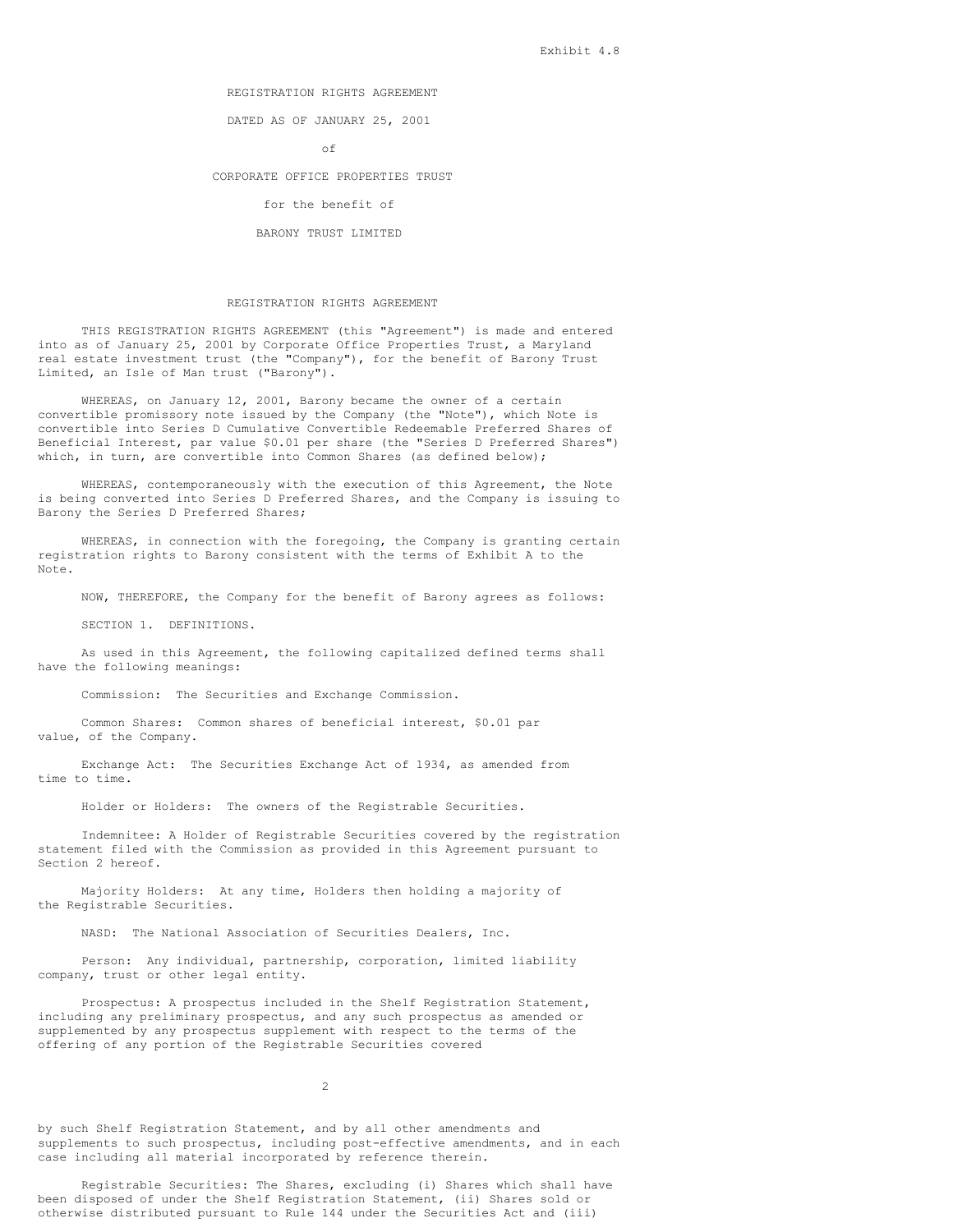Exhibit 4.8

### REGISTRATION RIGHTS AGREEMENT

## DATED AS OF JANUARY 25, 2001

of

### CORPORATE OFFICE PROPERTIES TRUST

for the benefit of

#### BARONY TRUST LIMITED

#### REGISTRATION RIGHTS AGREEMENT

THIS REGISTRATION RIGHTS AGREEMENT (this "Agreement") is made and entered into as of January 25, 2001 by Corporate Office Properties Trust, a Maryland real estate investment trust (the "Company"), for the benefit of Barony Trust Limited, an Isle of Man trust ("Barony").

WHEREAS, on January 12, 2001, Barony became the owner of a certain convertible promissory note issued by the Company (the "Note"), which Note is convertible into Series D Cumulative Convertible Redeemable Preferred Shares of Beneficial Interest, par value \$0.01 per share (the "Series D Preferred Shares") which, in turn, are convertible into Common Shares (as defined below);

WHEREAS, contemporaneously with the execution of this Agreement, the Note is being converted into Series D Preferred Shares, and the Company is issuing to Barony the Series D Preferred Shares;

WHEREAS, in connection with the foregoing, the Company is granting certain registration rights to Barony consistent with the terms of Exhibit A to the Note.

NOW, THEREFORE, the Company for the benefit of Barony agrees as follows:

SECTION 1. DEFINITIONS.

As used in this Agreement, the following capitalized defined terms shall have the following meanings:

Commission: The Securities and Exchange Commission.

Common Shares: Common shares of beneficial interest, \$0.01 par value, of the Company.

Exchange Act: The Securities Exchange Act of 1934, as amended from time to time.

Holder or Holders: The owners of the Registrable Securities.

Indemnitee: A Holder of Registrable Securities covered by the registration statement filed with the Commission as provided in this Agreement pursuant to Section 2 hereof.

Majority Holders: At any time, Holders then holding a majority of the Registrable Securities.

NASD: The National Association of Securities Dealers, Inc.

Person: Any individual, partnership, corporation, limited liability company, trust or other legal entity.

Prospectus: A prospectus included in the Shelf Registration Statement, including any preliminary prospectus, and any such prospectus as amended or supplemented by any prospectus supplement with respect to the terms of the offering of any portion of the Registrable Securities covered

 $\overline{2}$ 

by such Shelf Registration Statement, and by all other amendments and supplements to such prospectus, including post-effective amendments, and in each case including all material incorporated by reference therein.

Registrable Securities: The Shares, excluding (i) Shares which shall have been disposed of under the Shelf Registration Statement, (ii) Shares sold or otherwise distributed pursuant to Rule 144 under the Securities Act and (iii)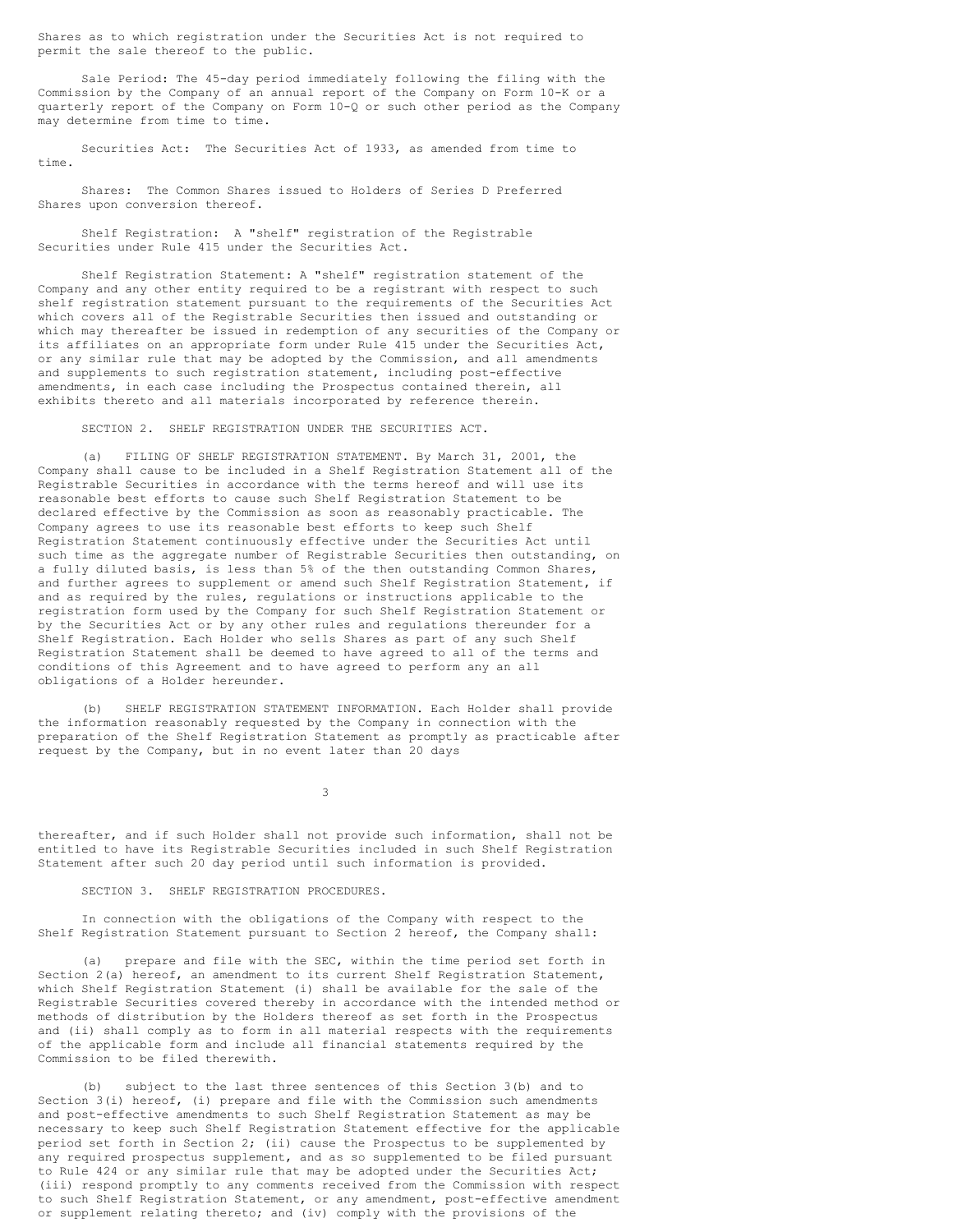Shares as to which registration under the Securities Act is not required to permit the sale thereof to the public.

Sale Period: The 45-day period immediately following the filing with the Commission by the Company of an annual report of the Company on Form 10-K or a quarterly report of the Company on Form 10-Q or such other period as the Company may determine from time to time.

Securities Act: The Securities Act of 1933, as amended from time to time.

Shares: The Common Shares issued to Holders of Series D Preferred Shares upon conversion thereof.

Shelf Registration: A "shelf" registration of the Registrable Securities under Rule 415 under the Securities Act.

Shelf Registration Statement: A "shelf" registration statement of the Company and any other entity required to be a registrant with respect to such shelf registration statement pursuant to the requirements of the Securities Act which covers all of the Registrable Securities then issued and outstanding or which may thereafter be issued in redemption of any securities of the Company or its affiliates on an appropriate form under Rule 415 under the Securities Act, or any similar rule that may be adopted by the Commission, and all amendments and supplements to such registration statement, including post-effective amendments, in each case including the Prospectus contained therein, all exhibits thereto and all materials incorporated by reference therein.

SECTION 2. SHELF REGISTRATION UNDER THE SECURITIES ACT.

(a) FILING OF SHELF REGISTRATION STATEMENT. By March 31, 2001, the Company shall cause to be included in a Shelf Registration Statement all of the Registrable Securities in accordance with the terms hereof and will use its reasonable best efforts to cause such Shelf Registration Statement to be declared effective by the Commission as soon as reasonably practicable. The Company agrees to use its reasonable best efforts to keep such Shelf Registration Statement continuously effective under the Securities Act until such time as the aggregate number of Registrable Securities then outstanding, on a fully diluted basis, is less than 5% of the then outstanding Common Shares, and further agrees to supplement or amend such Shelf Registration Statement, if and as required by the rules, regulations or instructions applicable to the registration form used by the Company for such Shelf Registration Statement or by the Securities Act or by any other rules and regulations thereunder for a Shelf Registration. Each Holder who sells Shares as part of any such Shelf Registration Statement shall be deemed to have agreed to all of the terms and conditions of this Agreement and to have agreed to perform any an all obligations of a Holder hereunder.

(b) SHELF REGISTRATION STATEMENT INFORMATION. Each Holder shall provide the information reasonably requested by the Company in connection with the preparation of the Shelf Registration Statement as promptly as practicable after request by the Company, but in no event later than 20 days

3

thereafter, and if such Holder shall not provide such information, shall not be entitled to have its Registrable Securities included in such Shelf Registration Statement after such 20 day period until such information is provided.

## SECTION 3. SHELF REGISTRATION PROCEDURES.

In connection with the obligations of the Company with respect to the Shelf Registration Statement pursuant to Section 2 hereof, the Company shall:

(a) prepare and file with the SEC, within the time period set forth in Section 2(a) hereof, an amendment to its current Shelf Registration Statement, which Shelf Registration Statement (i) shall be available for the sale of the Registrable Securities covered thereby in accordance with the intended method or methods of distribution by the Holders thereof as set forth in the Prospectus and (ii) shall comply as to form in all material respects with the requirements of the applicable form and include all financial statements required by the Commission to be filed therewith.

(b) subject to the last three sentences of this Section 3(b) and to Section  $3(i)$  hereof, (i) prepare and file with the Commission such amendments and post-effective amendments to such Shelf Registration Statement as may be necessary to keep such Shelf Registration Statement effective for the applicable period set forth in Section 2; (ii) cause the Prospectus to be supplemented by any required prospectus supplement, and as so supplemented to be filed pursuant to Rule 424 or any similar rule that may be adopted under the Securities Act; (iii) respond promptly to any comments received from the Commission with respect to such Shelf Registration Statement, or any amendment, post-effective amendment or supplement relating thereto; and (iv) comply with the provisions of the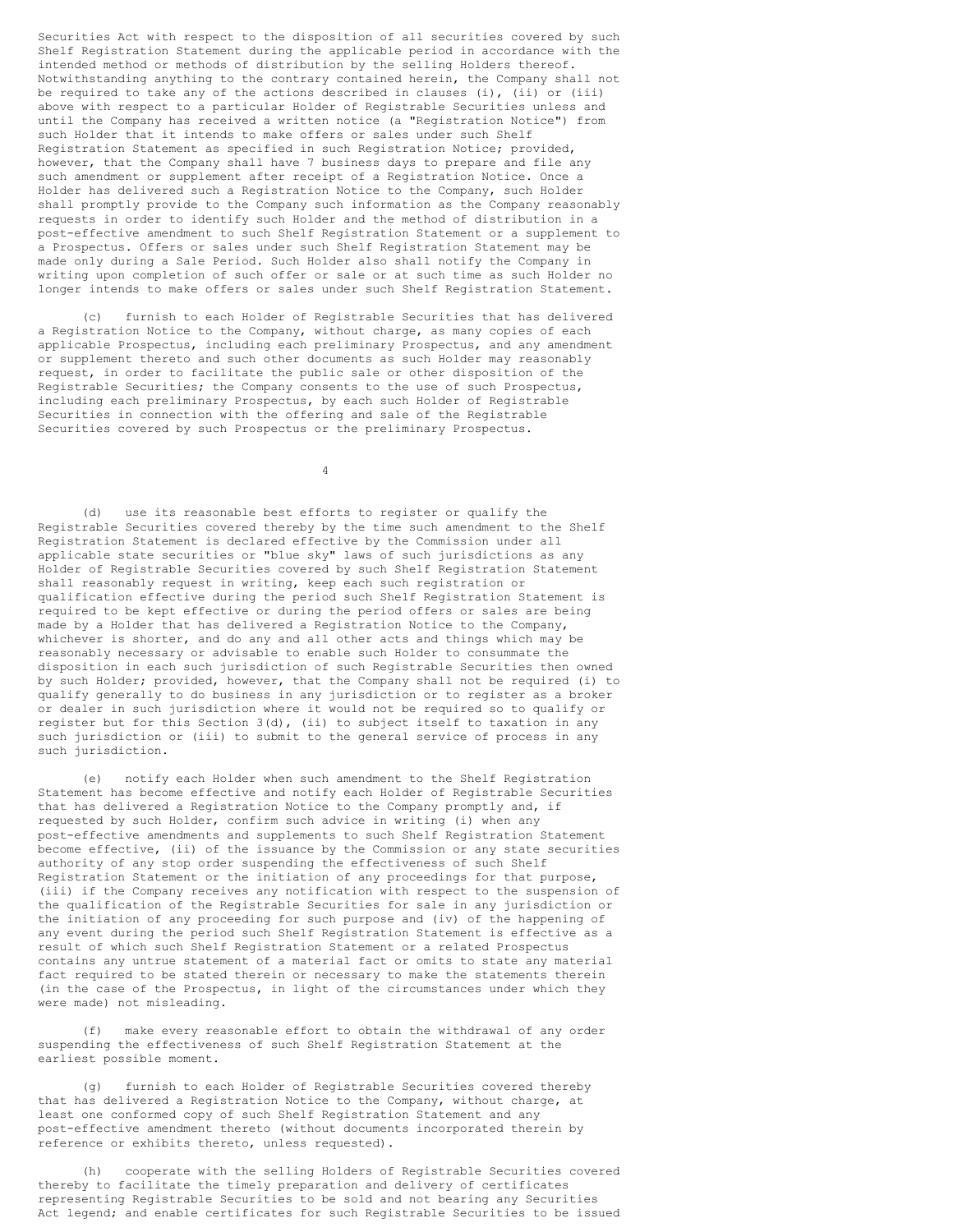Securities Act with respect to the disposition of all securities covered by such Shelf Registration Statement during the applicable period in accordance with the intended method or methods of distribution by the selling Holders thereof. Notwithstanding anything to the contrary contained herein, the Company shall not be required to take any of the actions described in clauses (i), (ii) or (iii) above with respect to a particular Holder of Registrable Securities unless and until the Company has received a written notice (a "Registration Notice") from such Holder that it intends to make offers or sales under such Shelf Registration Statement as specified in such Registration Notice; provided, however, that the Company shall have 7 business days to prepare and file any such amendment or supplement after receipt of a Registration Notice. Once a Holder has delivered such a Registration Notice to the Company, such Holder shall promptly provide to the Company such information as the Company reasonably requests in order to identify such Holder and the method of distribution in a post-effective amendment to such Shelf Registration Statement or a supplement to a Prospectus. Offers or sales under such Shelf Registration Statement may be made only during a Sale Period. Such Holder also shall notify the Company in writing upon completion of such offer or sale or at such time as such Holder no longer intends to make offers or sales under such Shelf Registration Statement.

(c) furnish to each Holder of Registrable Securities that has delivered a Registration Notice to the Company, without charge, as many copies of each applicable Prospectus, including each preliminary Prospectus, and any amendment or supplement thereto and such other documents as such Holder may reasonably request, in order to facilitate the public sale or other disposition of the Registrable Securities; the Company consents to the use of such Prospectus, including each preliminary Prospectus, by each such Holder of Registrable Securities in connection with the offering and sale of the Registrable Securities covered by such Prospectus or the preliminary Prospectus.

4

(d) use its reasonable best efforts to register or qualify the Registrable Securities covered thereby by the time such amendment to the Shelf Registration Statement is declared effective by the Commission under all applicable state securities or "blue sky" laws of such jurisdictions as any Holder of Registrable Securities covered by such Shelf Registration Statement shall reasonably request in writing, keep each such registration or qualification effective during the period such Shelf Registration Statement is required to be kept effective or during the period offers or sales are being made by a Holder that has delivered a Registration Notice to the Company, whichever is shorter, and do any and all other acts and things which may be reasonably necessary or advisable to enable such Holder to consummate the disposition in each such jurisdiction of such Registrable Securities then owned by such Holder; provided, however, that the Company shall not be required (i) to qualify generally to do business in any jurisdiction or to register as a broker or dealer in such jurisdiction where it would not be required so to qualify or register but for this Section 3(d), (ii) to subject itself to taxation in any such jurisdiction or (iii) to submit to the general service of process in any such jurisdiction.

(e) notify each Holder when such amendment to the Shelf Registration Statement has become effective and notify each Holder of Registrable Securities that has delivered a Registration Notice to the Company promptly and, if requested by such Holder, confirm such advice in writing (i) when any post-effective amendments and supplements to such Shelf Registration Statement become effective, (ii) of the issuance by the Commission or any state securities authority of any stop order suspending the effectiveness of such Shelf Registration Statement or the initiation of any proceedings for that purpose, (iii) if the Company receives any notification with respect to the suspension of the qualification of the Registrable Securities for sale in any jurisdiction or the initiation of any proceeding for such purpose and (iv) of the happening of any event during the period such Shelf Registration Statement is effective as a result of which such Shelf Registration Statement or a related Prospectus contains any untrue statement of a material fact or omits to state any material fact required to be stated therein or necessary to make the statements therein (in the case of the Prospectus, in light of the circumstances under which they were made) not misleading.

(f) make every reasonable effort to obtain the withdrawal of any order suspending the effectiveness of such Shelf Registration Statement at the earliest possible moment.

(g) furnish to each Holder of Registrable Securities covered thereby that has delivered a Registration Notice to the Company, without charge, at least one conformed copy of such Shelf Registration Statement and any post-effective amendment thereto (without documents incorporated therein by reference or exhibits thereto, unless requested).

(h) cooperate with the selling Holders of Registrable Securities covered thereby to facilitate the timely preparation and delivery of certificates representing Registrable Securities to be sold and not bearing any Securities Act legend; and enable certificates for such Registrable Securities to be issued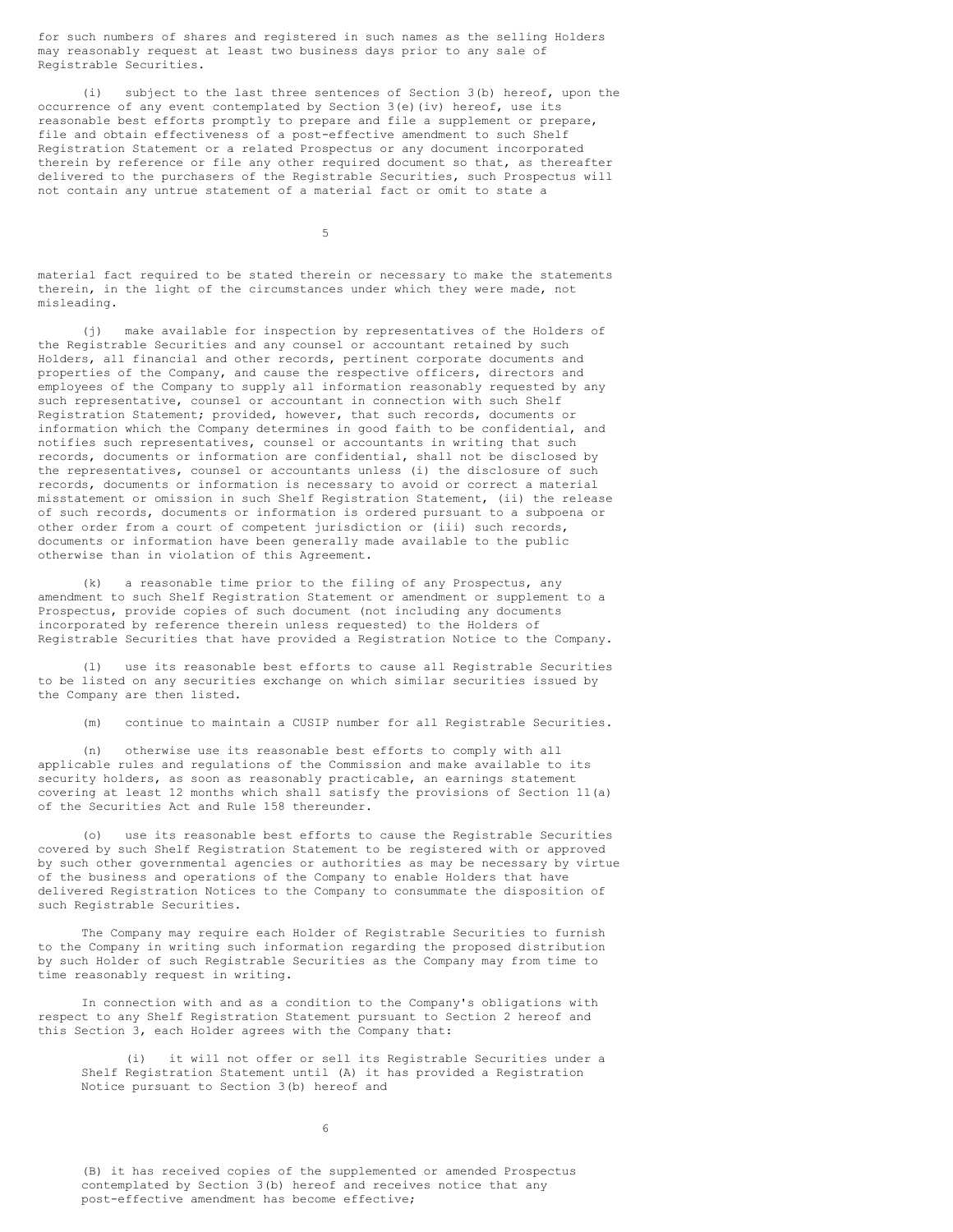for such numbers of shares and registered in such names as the selling Holders may reasonably request at least two business days prior to any sale of Registrable Securities.

(i) subject to the last three sentences of Section 3(b) hereof, upon the occurrence of any event contemplated by Section  $3(e)(iv)$  hereof, use its reasonable best efforts promptly to prepare and file a supplement or prepare, file and obtain effectiveness of a post-effective amendment to such Shelf Registration Statement or a related Prospectus or any document incorporated therein by reference or file any other required document so that, as thereafter delivered to the purchasers of the Registrable Securities, such Prospectus will not contain any untrue statement of a material fact or omit to state a

5

material fact required to be stated therein or necessary to make the statements therein, in the light of the circumstances under which they were made, not misleading.

(j) make available for inspection by representatives of the Holders of the Registrable Securities and any counsel or accountant retained by such Holders, all financial and other records, pertinent corporate documents and properties of the Company, and cause the respective officers, directors and employees of the Company to supply all information reasonably requested by any such representative, counsel or accountant in connection with such Shelf Registration Statement; provided, however, that such records, documents or information which the Company determines in good faith to be confidential, and notifies such representatives, counsel or accountants in writing that such records, documents or information are confidential, shall not be disclosed by the representatives, counsel or accountants unless (i) the disclosure of such records, documents or information is necessary to avoid or correct a material misstatement or omission in such Shelf Registration Statement, (ii) the release of such records, documents or information is ordered pursuant to a subpoena or other order from a court of competent jurisdiction or (iii) such records, documents or information have been generally made available to the public otherwise than in violation of this Agreement.

(k) a reasonable time prior to the filing of any Prospectus, any amendment to such Shelf Registration Statement or amendment or supplement to a Prospectus, provide copies of such document (not including any documents incorporated by reference therein unless requested) to the Holders of Registrable Securities that have provided a Registration Notice to the Company.

(l) use its reasonable best efforts to cause all Registrable Securities to be listed on any securities exchange on which similar securities issued by the Company are then listed.

(m) continue to maintain a CUSIP number for all Registrable Securities.

(n) otherwise use its reasonable best efforts to comply with all applicable rules and regulations of the Commission and make available to its security holders, as soon as reasonably practicable, an earnings statement covering at least 12 months which shall satisfy the provisions of Section 11(a) of the Securities Act and Rule 158 thereunder.

(o) use its reasonable best efforts to cause the Registrable Securities covered by such Shelf Registration Statement to be registered with or approved by such other governmental agencies or authorities as may be necessary by virtue of the business and operations of the Company to enable Holders that have delivered Registration Notices to the Company to consummate the disposition of such Registrable Securities.

The Company may require each Holder of Registrable Securities to furnish to the Company in writing such information regarding the proposed distribution by such Holder of such Registrable Securities as the Company may from time to time reasonably request in writing.

In connection with and as a condition to the Company's obligations with respect to any Shelf Registration Statement pursuant to Section 2 hereof and this Section 3, each Holder agrees with the Company that:

(i) it will not offer or sell its Registrable Securities under a Shelf Registration Statement until (A) it has provided a Registration Notice pursuant to Section 3(b) hereof and

6

(B) it has received copies of the supplemented or amended Prospectus contemplated by Section 3(b) hereof and receives notice that any post-effective amendment has become effective;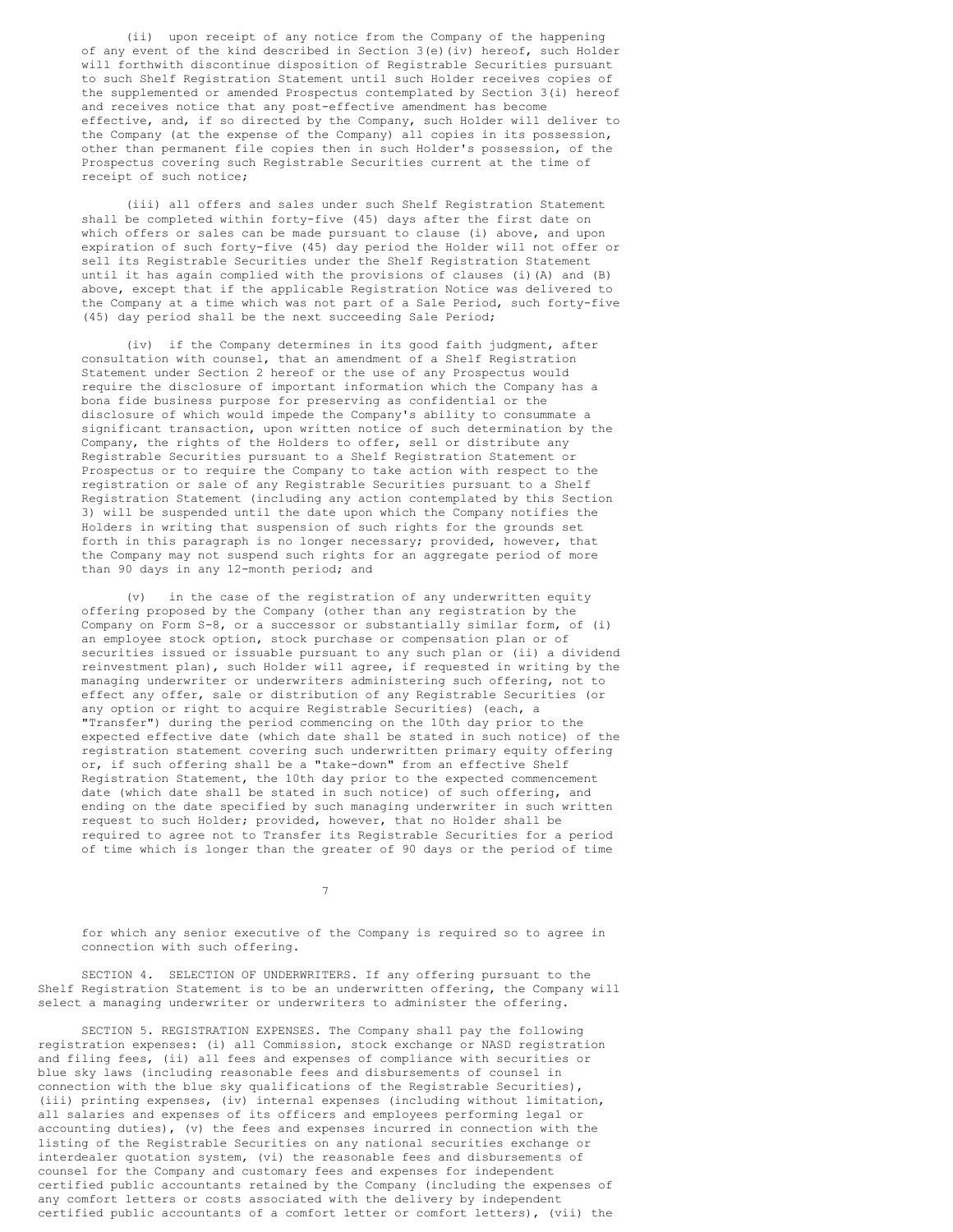(ii) upon receipt of any notice from the Company of the happening of any event of the kind described in Section  $3(e)$  (iv) hereof, such Holder will forthwith discontinue disposition of Registrable Securities pursuant to such Shelf Registration Statement until such Holder receives copies of the supplemented or amended Prospectus contemplated by Section 3(i) hereof and receives notice that any post-effective amendment has become effective, and, if so directed by the Company, such Holder will deliver to the Company (at the expense of the Company) all copies in its possession, other than permanent file copies then in such Holder's possession, of the Prospectus covering such Registrable Securities current at the time of receipt of such notice;

(iii) all offers and sales under such Shelf Registration Statement shall be completed within forty-five (45) days after the first date on which offers or sales can be made pursuant to clause (i) above, and upon expiration of such forty-five (45) day period the Holder will not offer or sell its Registrable Securities under the Shelf Registration Statement until it has again complied with the provisions of clauses (i)(A) and (B) above, except that if the applicable Registration Notice was delivered to the Company at a time which was not part of a Sale Period, such forty-five (45) day period shall be the next succeeding Sale Period;

(iv) if the Company determines in its good faith judgment, after consultation with counsel, that an amendment of a Shelf Registration Statement under Section 2 hereof or the use of any Prospectus would require the disclosure of important information which the Company has a bona fide business purpose for preserving as confidential or the disclosure of which would impede the Company's ability to consummate a significant transaction, upon written notice of such determination by the Company, the rights of the Holders to offer, sell or distribute any Registrable Securities pursuant to a Shelf Registration Statement or Prospectus or to require the Company to take action with respect to the registration or sale of any Registrable Securities pursuant to a Shelf Registration Statement (including any action contemplated by this Section 3) will be suspended until the date upon which the Company notifies the Holders in writing that suspension of such rights for the grounds set forth in this paragraph is no longer necessary; provided, however, that the Company may not suspend such rights for an aggregate period of more than 90 days in any 12-month period; and

(v) in the case of the registration of any underwritten equity offering proposed by the Company (other than any registration by the Company on Form S-8, or a successor or substantially similar form, of (i) an employee stock option, stock purchase or compensation plan or of securities issued or issuable pursuant to any such plan or (ii) a dividend reinvestment plan), such Holder will agree, if requested in writing by the managing underwriter or underwriters administering such offering, not to effect any offer, sale or distribution of any Registrable Securities (or any option or right to acquire Registrable Securities) (each, a "Transfer") during the period commencing on the 10th day prior to the expected effective date (which date shall be stated in such notice) of the registration statement covering such underwritten primary equity offering or, if such offering shall be a "take-down" from an effective Shelf Registration Statement, the 10th day prior to the expected commencement date (which date shall be stated in such notice) of such offering, and ending on the date specified by such managing underwriter in such written request to such Holder; provided, however, that no Holder shall be required to agree not to Transfer its Registrable Securities for a period of time which is longer than the greater of 90 days or the period of time

for which any senior executive of the Company is required so to agree in connection with such offering.

SECTION 4. SELECTION OF UNDERWRITERS. If any offering pursuant to the Shelf Registration Statement is to be an underwritten offering, the Company will select a managing underwriter or underwriters to administer the offering.

7

SECTION 5. REGISTRATION EXPENSES. The Company shall pay the following registration expenses: (i) all Commission, stock exchange or NASD registration and filing fees, (ii) all fees and expenses of compliance with securities or blue sky laws (including reasonable fees and disbursements of counsel in connection with the blue sky qualifications of the Registrable Securities), (iii) printing expenses, (iv) internal expenses (including without limitation, all salaries and expenses of its officers and employees performing legal or accounting duties), (v) the fees and expenses incurred in connection with the listing of the Registrable Securities on any national securities exchange or interdealer quotation system, (vi) the reasonable fees and disbursements of counsel for the Company and customary fees and expenses for independent certified public accountants retained by the Company (including the expenses of any comfort letters or costs associated with the delivery by independent certified public accountants of a comfort letter or comfort letters), (vii) the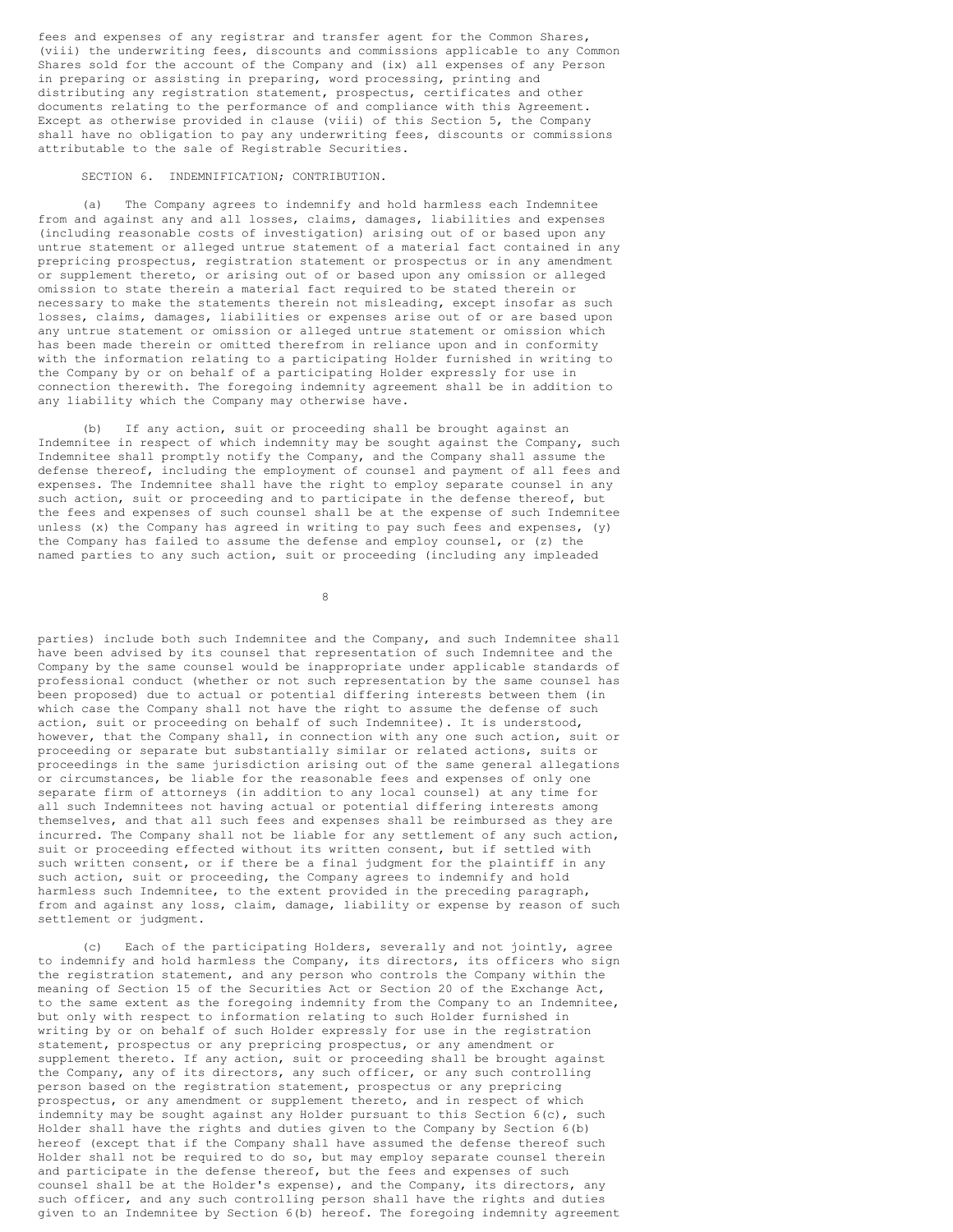fees and expenses of any registrar and transfer agent for the Common Shares, (viii) the underwriting fees, discounts and commissions applicable to any Common Shares sold for the account of the Company and (ix) all expenses of any Person in preparing or assisting in preparing, word processing, printing and distributing any registration statement, prospectus, certificates and other documents relating to the performance of and compliance with this Agreement. Except as otherwise provided in clause (viii) of this Section 5, the Company shall have no obligation to pay any underwriting fees, discounts or commissions attributable to the sale of Registrable Securities.

### SECTION 6. INDEMNIFICATION; CONTRIBUTION.

(a) The Company agrees to indemnify and hold harmless each Indemnitee from and against any and all losses, claims, damages, liabilities and expenses (including reasonable costs of investigation) arising out of or based upon any untrue statement or alleged untrue statement of a material fact contained in any prepricing prospectus, registration statement or prospectus or in any amendment or supplement thereto, or arising out of or based upon any omission or alleged omission to state therein a material fact required to be stated therein or necessary to make the statements therein not misleading, except insofar as such losses, claims, damages, liabilities or expenses arise out of or are based upon any untrue statement or omission or alleged untrue statement or omission which has been made therein or omitted therefrom in reliance upon and in conformity with the information relating to a participating Holder furnished in writing to the Company by or on behalf of a participating Holder expressly for use in connection therewith. The foregoing indemnity agreement shall be in addition to any liability which the Company may otherwise have.

(b) If any action, suit or proceeding shall be brought against an Indemnitee in respect of which indemnity may be sought against the Company, such Indemnitee shall promptly notify the Company, and the Company shall assume the defense thereof, including the employment of counsel and payment of all fees and expenses. The Indemnitee shall have the right to employ separate counsel in any such action, suit or proceeding and to participate in the defense thereof, but the fees and expenses of such counsel shall be at the expense of such Indemnitee unless  $(x)$  the Company has agreed in writing to pay such fees and expenses,  $(y)$ the Company has failed to assume the defense and employ counsel, or (z) the named parties to any such action, suit or proceeding (including any impleaded

8

parties) include both such Indemnitee and the Company, and such Indemnitee shall have been advised by its counsel that representation of such Indemnitee and the Company by the same counsel would be inappropriate under applicable standards of professional conduct (whether or not such representation by the same counsel has been proposed) due to actual or potential differing interests between them (in which case the Company shall not have the right to assume the defense of such action, suit or proceeding on behalf of such Indemnitee). It is understood, however, that the Company shall, in connection with any one such action, suit or proceeding or separate but substantially similar or related actions, suits or proceedings in the same jurisdiction arising out of the same general allegations or circumstances, be liable for the reasonable fees and expenses of only one separate firm of attorneys (in addition to any local counsel) at any time for all such Indemnitees not having actual or potential differing interests among themselves, and that all such fees and expenses shall be reimbursed as they are incurred. The Company shall not be liable for any settlement of any such action, suit or proceeding effected without its written consent, but if settled with such written consent, or if there be a final judgment for the plaintiff in any such action, suit or proceeding, the Company agrees to indemnify and hold harmless such Indemnitee, to the extent provided in the preceding paragraph, from and against any loss, claim, damage, liability or expense by reason of such settlement or judgment.

(c) Each of the participating Holders, severally and not jointly, agree to indemnify and hold harmless the Company, its directors, its officers who sign the registration statement, and any person who controls the Company within the meaning of Section 15 of the Securities Act or Section 20 of the Exchange Act, to the same extent as the foregoing indemnity from the Company to an Indemnitee, but only with respect to information relating to such Holder furnished in writing by or on behalf of such Holder expressly for use in the registration statement, prospectus or any prepricing prospectus, or any amendment or supplement thereto. If any action, suit or proceeding shall be brought against the Company, any of its directors, any such officer, or any such controlling person based on the registration statement, prospectus or any prepricing prospectus, or any amendment or supplement thereto, and in respect of which indemnity may be sought against any Holder pursuant to this Section 6(c), such Holder shall have the rights and duties given to the Company by Section 6(b) hereof (except that if the Company shall have assumed the defense thereof such Holder shall not be required to do so, but may employ separate counsel therein and participate in the defense thereof, but the fees and expenses of such counsel shall be at the Holder's expense), and the Company, its directors, any such officer, and any such controlling person shall have the rights and duties given to an Indemnitee by Section 6(b) hereof. The foregoing indemnity agreement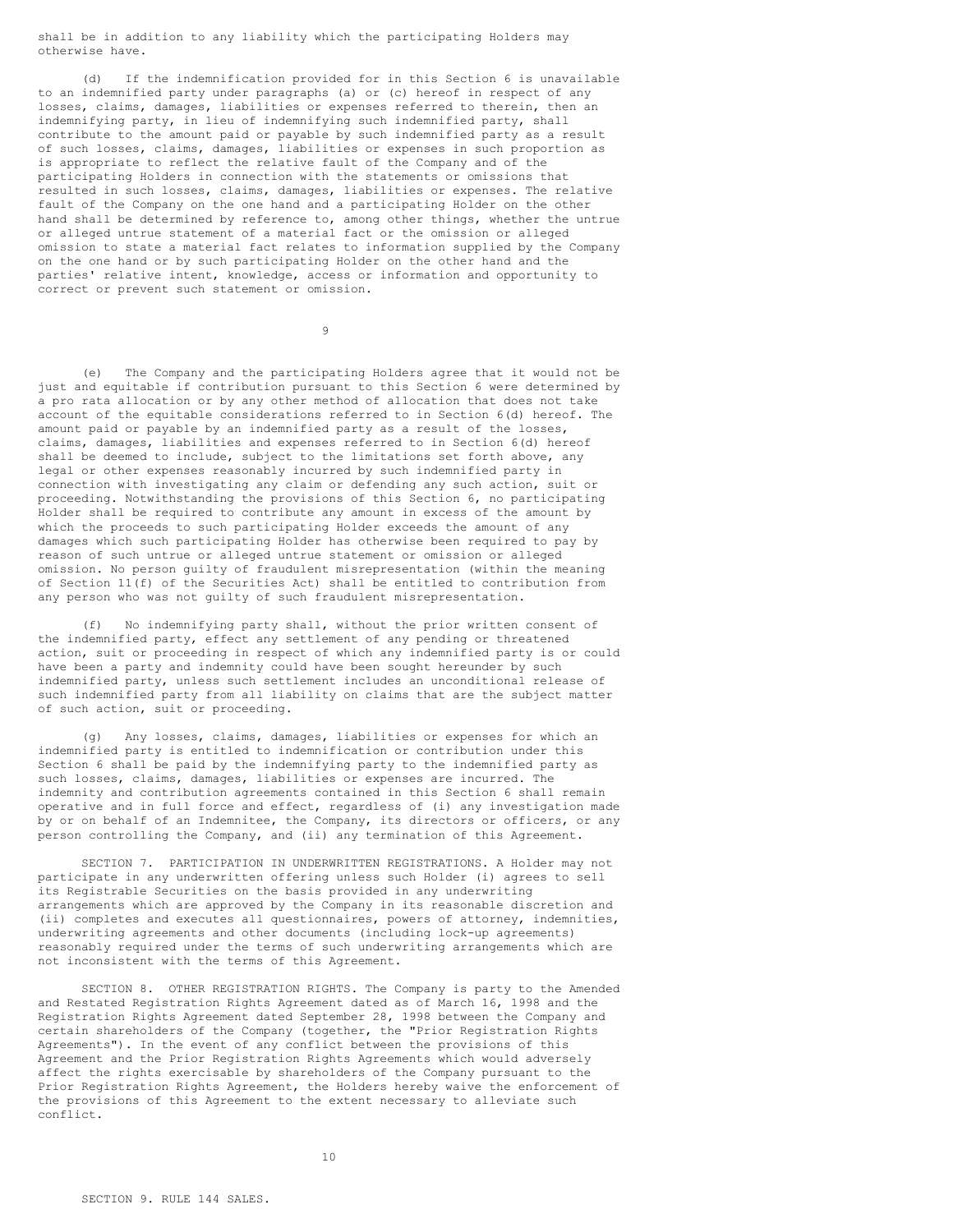shall be in addition to any liability which the participating Holders may otherwise have.

(d) If the indemnification provided for in this Section 6 is unavailable to an indemnified party under paragraphs (a) or (c) hereof in respect of any losses, claims, damages, liabilities or expenses referred to therein, then an indemnifying party, in lieu of indemnifying such indemnified party, shall contribute to the amount paid or payable by such indemnified party as a result of such losses, claims, damages, liabilities or expenses in such proportion as is appropriate to reflect the relative fault of the Company and of the participating Holders in connection with the statements or omissions that resulted in such losses, claims, damages, liabilities or expenses. The relative fault of the Company on the one hand and a participating Holder on the other hand shall be determined by reference to, among other things, whether the untrue or alleged untrue statement of a material fact or the omission or alleged omission to state a material fact relates to information supplied by the Company on the one hand or by such participating Holder on the other hand and the parties' relative intent, knowledge, access or information and opportunity to correct or prevent such statement or omission.

9

(e) The Company and the participating Holders agree that it would not be just and equitable if contribution pursuant to this Section 6 were determined by a pro rata allocation or by any other method of allocation that does not take account of the equitable considerations referred to in Section 6(d) hereof. The amount paid or payable by an indemnified party as a result of the losses, claims, damages, liabilities and expenses referred to in Section 6(d) hereof shall be deemed to include, subject to the limitations set forth above, any legal or other expenses reasonably incurred by such indemnified party in connection with investigating any claim or defending any such action, suit or proceeding. Notwithstanding the provisions of this Section 6, no participating Holder shall be required to contribute any amount in excess of the amount by which the proceeds to such participating Holder exceeds the amount of any damages which such participating Holder has otherwise been required to pay by reason of such untrue or alleged untrue statement or omission or alleged omission. No person guilty of fraudulent misrepresentation (within the meaning of Section 11(f) of the Securities Act) shall be entitled to contribution from any person who was not guilty of such fraudulent misrepresentation.

(f) No indemnifying party shall, without the prior written consent of the indemnified party, effect any settlement of any pending or threatened action, suit or proceeding in respect of which any indemnified party is or could have been a party and indemnity could have been sought hereunder by such indemnified party, unless such settlement includes an unconditional release of such indemnified party from all liability on claims that are the subject matter of such action, suit or proceeding.

(g) Any losses, claims, damages, liabilities or expenses for which an indemnified party is entitled to indemnification or contribution under this Section 6 shall be paid by the indemnifying party to the indemnified party as such losses, claims, damages, liabilities or expenses are incurred. The indemnity and contribution agreements contained in this Section 6 shall remain operative and in full force and effect, regardless of (i) any investigation made by or on behalf of an Indemnitee, the Company, its directors or officers, or any person controlling the Company, and (ii) any termination of this Agreement.

SECTION 7. PARTICIPATION IN UNDERWRITTEN REGISTRATIONS. A Holder may not participate in any underwritten offering unless such Holder (i) agrees to sell its Registrable Securities on the basis provided in any underwriting arrangements which are approved by the Company in its reasonable discretion and (ii) completes and executes all questionnaires, powers of attorney, indemnities, underwriting agreements and other documents (including lock-up agreements) reasonably required under the terms of such underwriting arrangements which are not inconsistent with the terms of this Agreement.

SECTION 8. OTHER REGISTRATION RIGHTS. The Company is party to the Amended and Restated Registration Rights Agreement dated as of March 16, 1998 and the Registration Rights Agreement dated September 28, 1998 between the Company and certain shareholders of the Company (together, the "Prior Registration Rights Agreements"). In the event of any conflict between the provisions of this Agreement and the Prior Registration Rights Agreements which would adversely affect the rights exercisable by shareholders of the Company pursuant to the Prior Registration Rights Agreement, the Holders hereby waive the enforcement of the provisions of this Agreement to the extent necessary to alleviate such conflict.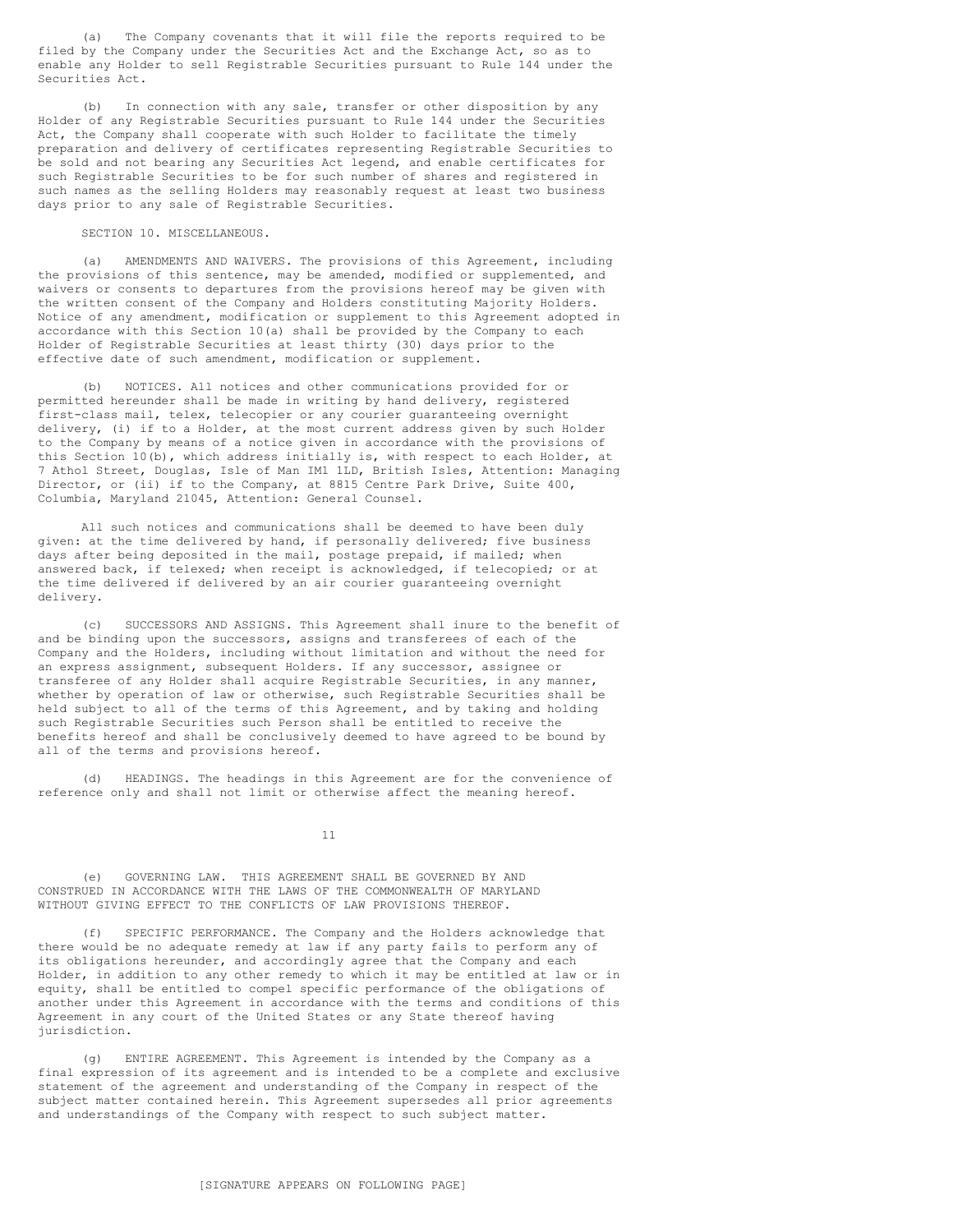(a) The Company covenants that it will file the reports required to be filed by the Company under the Securities Act and the Exchange Act, so as to enable any Holder to sell Registrable Securities pursuant to Rule 144 under the Securities Act.

(b) In connection with any sale, transfer or other disposition by any Holder of any Registrable Securities pursuant to Rule 144 under the Securities Act, the Company shall cooperate with such Holder to facilitate the timely preparation and delivery of certificates representing Registrable Securities to be sold and not bearing any Securities Act legend, and enable certificates for such Registrable Securities to be for such number of shares and registered in such names as the selling Holders may reasonably request at least two business days prior to any sale of Registrable Securities.

## SECTION 10. MISCELLANEOUS.

(a) AMENDMENTS AND WAIVERS. The provisions of this Agreement, including the provisions of this sentence, may be amended, modified or supplemented, and waivers or consents to departures from the provisions hereof may be given with the written consent of the Company and Holders constituting Majority Holders. Notice of any amendment, modification or supplement to this Agreement adopted in accordance with this Section 10(a) shall be provided by the Company to each Holder of Registrable Securities at least thirty (30) days prior to the effective date of such amendment, modification or supplement.

(b) NOTICES. All notices and other communications provided for or permitted hereunder shall be made in writing by hand delivery, registered first-class mail, telex, telecopier or any courier guaranteeing overnight delivery, (i) if to a Holder, at the most current address given by such Holder to the Company by means of a notice given in accordance with the provisions of this Section 10(b), which address initially is, with respect to each Holder, at 7 Athol Street, Douglas, Isle of Man IM1 1LD, British Isles, Attention: Managing Director, or (ii) if to the Company, at 8815 Centre Park Drive, Suite 400, Columbia, Maryland 21045, Attention: General Counsel.

All such notices and communications shall be deemed to have been duly given: at the time delivered by hand, if personally delivered; five business days after being deposited in the mail, postage prepaid, if mailed; when answered back, if telexed; when receipt is acknowledged, if telecopied; or at the time delivered if delivered by an air courier guaranteeing overnight delivery.

(c) SUCCESSORS AND ASSIGNS. This Agreement shall inure to the benefit of and be binding upon the successors, assigns and transferees of each of the Company and the Holders, including without limitation and without the need for an express assignment, subsequent Holders. If any successor, assignee or transferee of any Holder shall acquire Registrable Securities, in any manner, whether by operation of law or otherwise, such Registrable Securities shall be held subject to all of the terms of this Agreement, and by taking and holding such Registrable Securities such Person shall be entitled to receive the benefits hereof and shall be conclusively deemed to have agreed to be bound by all of the terms and provisions hereof.

(d) HEADINGS. The headings in this Agreement are for the convenience of reference only and shall not limit or otherwise affect the meaning hereof.

11

(e) GOVERNING LAW. THIS AGREEMENT SHALL BE GOVERNED BY AND CONSTRUED IN ACCORDANCE WITH THE LAWS OF THE COMMONWEALTH OF MARYLAND WITHOUT GIVING EFFECT TO THE CONFLICTS OF LAW PROVISIONS THEREOF.

(f) SPECIFIC PERFORMANCE. The Company and the Holders acknowledge that there would be no adequate remedy at law if any party fails to perform any of its obligations hereunder, and accordingly agree that the Company and each Holder, in addition to any other remedy to which it may be entitled at law or in equity, shall be entitled to compel specific performance of the obligations of another under this Agreement in accordance with the terms and conditions of this Agreement in any court of the United States or any State thereof having jurisdiction.

(g) ENTIRE AGREEMENT. This Agreement is intended by the Company as a final expression of its agreement and is intended to be a complete and exclusive statement of the agreement and understanding of the Company in respect of the subject matter contained herein. This Agreement supersedes all prior agreements and understandings of the Company with respect to such subject matter.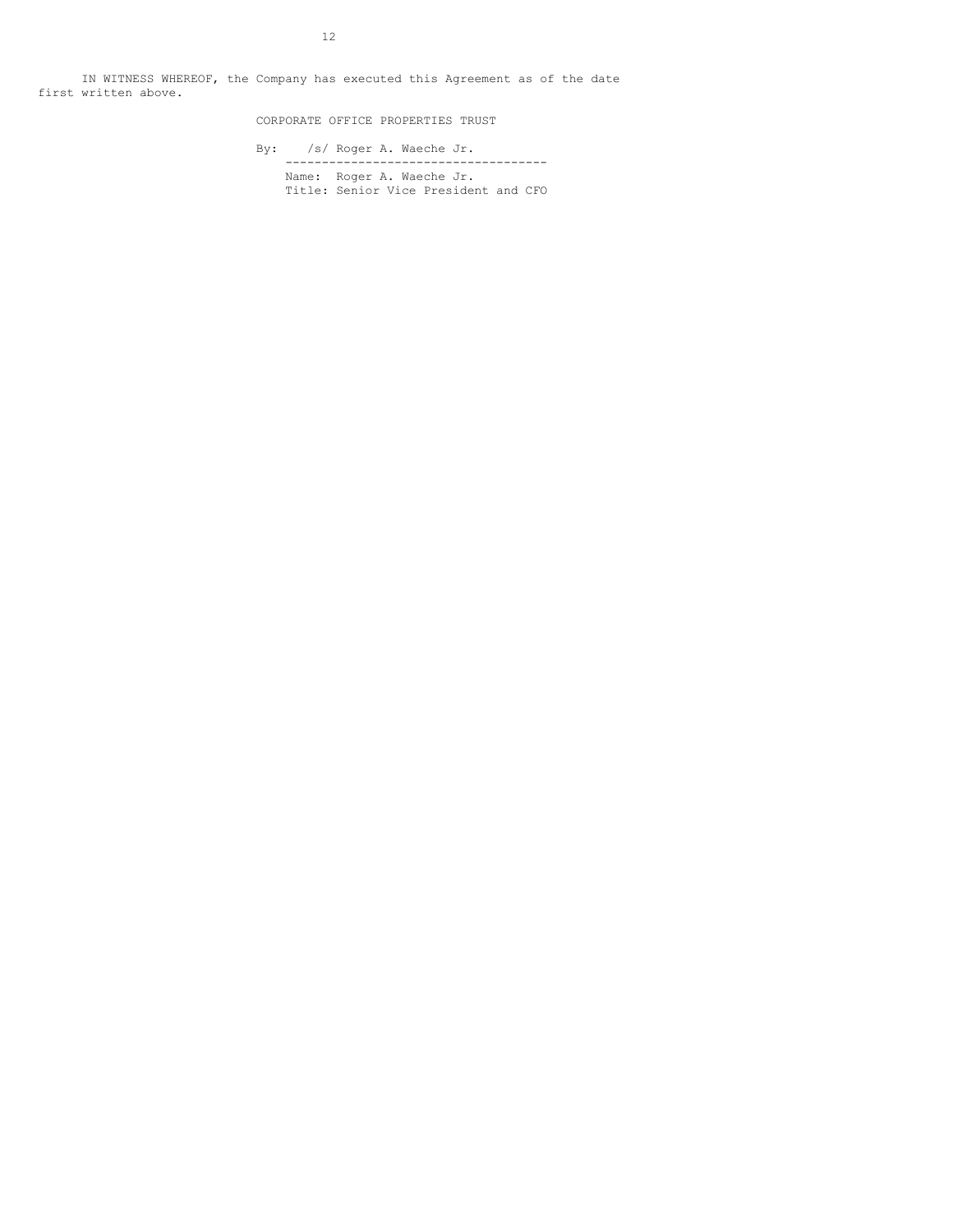IN WITNESS WHEREOF, the Company has executed this Agreement as of the date first written above.

CORPORATE OFFICE PROPERTIES TRUST

By: /s/ Roger A. Waeche Jr. ------------------------------------ Name: Roger A. Waeche Jr. Title: Senior Vice President and CFO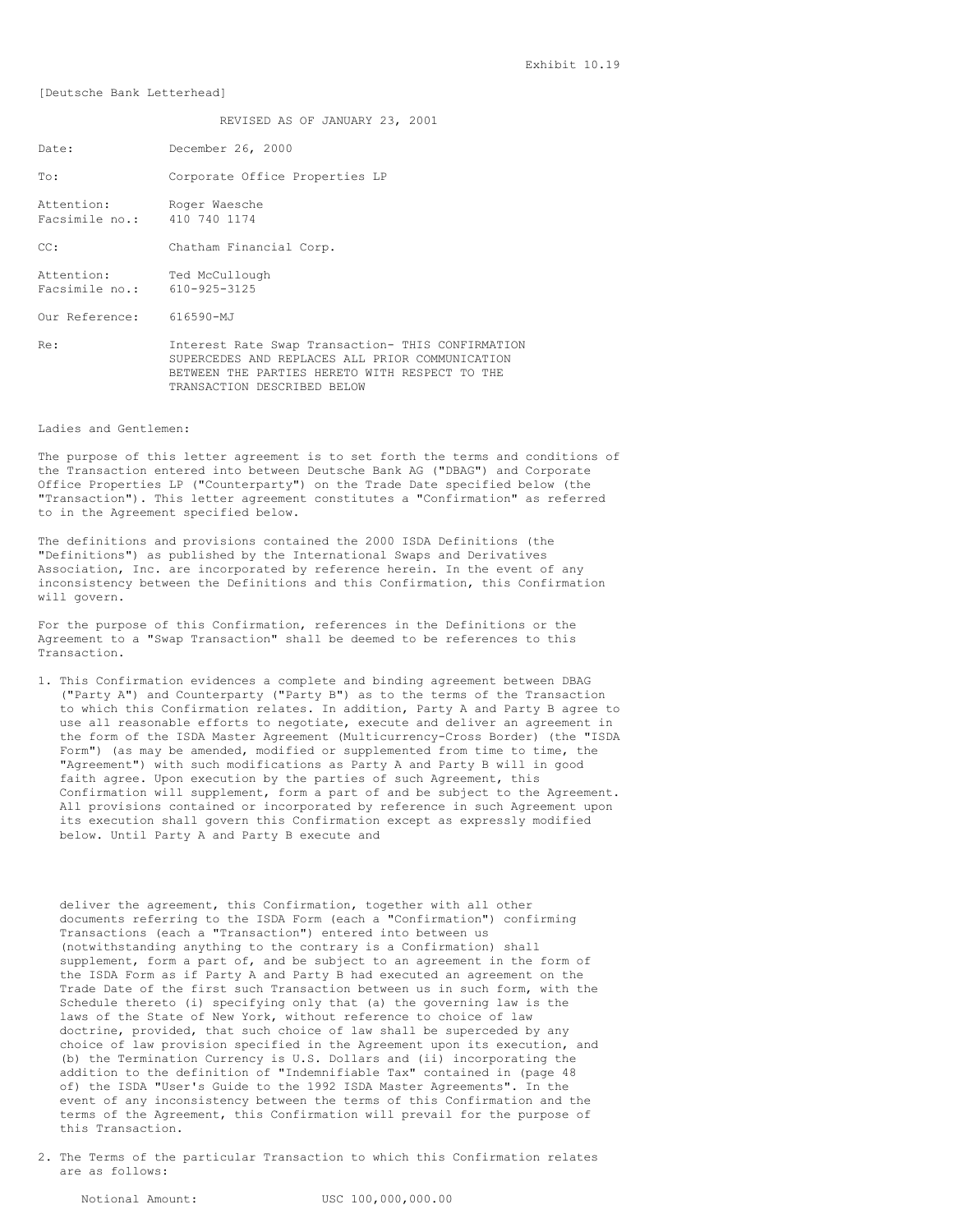[Deutsche Bank Letterhead]

Date: December 26, 2000

To: Corporate Office Properties LP

Attention: Roger Waesche<br>Facsimile no.: 410 740 1174 Facsimile no.: 410 740 1174

CC: Chatham Financial Corp.

Attention: Ted McCullough<br>Facsimile no.: 610-925-3125 Facsimile no.: 610-925-3125

Our Reference: 616590-MJ

Re: Interest Rate Swap Transaction- THIS CONFIRMATION SUPERCEDES AND REPLACES ALL PRIOR COMMUNICATION BETWEEN THE PARTIES HERETO WITH RESPECT TO THE TRANSACTION DESCRIBED BELOW

### Ladies and Gentlemen:

The purpose of this letter agreement is to set forth the terms and conditions of the Transaction entered into between Deutsche Bank AG ("DBAG") and Corporate Office Properties LP ("Counterparty") on the Trade Date specified below (the "Transaction"). This letter agreement constitutes a "Confirmation" as referred to in the Agreement specified below.

The definitions and provisions contained the 2000 ISDA Definitions (the "Definitions") as published by the International Swaps and Derivatives Association, Inc. are incorporated by reference herein. In the event of any inconsistency between the Definitions and this Confirmation, this Confirmation will govern.

For the purpose of this Confirmation, references in the Definitions or the Agreement to a "Swap Transaction" shall be deemed to be references to this Transaction.

1. This Confirmation evidences a complete and binding agreement between DBAG ("Party A") and Counterparty ("Party B") as to the terms of the Transaction to which this Confirmation relates. In addition, Party A and Party B agree to use all reasonable efforts to negotiate, execute and deliver an agreement in the form of the ISDA Master Agreement (Multicurrency-Cross Border) (the "ISDA Form") (as may be amended, modified or supplemented from time to time, the "Agreement") with such modifications as Party A and Party B will in good faith agree. Upon execution by the parties of such Agreement, this Confirmation will supplement, form a part of and be subject to the Agreement. All provisions contained or incorporated by reference in such Agreement upon its execution shall govern this Confirmation except as expressly modified below. Until Party A and Party B execute and

deliver the agreement, this Confirmation, together with all other documents referring to the ISDA Form (each a "Confirmation") confirming Transactions (each a "Transaction") entered into between us (notwithstanding anything to the contrary is a Confirmation) shall supplement, form a part of, and be subject to an agreement in the form of the ISDA Form as if Party A and Party B had executed an agreement on the Trade Date of the first such Transaction between us in such form, with the Schedule thereto (i) specifying only that (a) the governing law is the laws of the State of New York, without reference to choice of law doctrine, provided, that such choice of law shall be superceded by any choice of law provision specified in the Agreement upon its execution, and (b) the Termination Currency is U.S. Dollars and (ii) incorporating the addition to the definition of "Indemnifiable Tax" contained in (page 48 of) the ISDA "User's Guide to the 1992 ISDA Master Agreements". In the event of any inconsistency between the terms of this Confirmation and the terms of the Agreement, this Confirmation will prevail for the purpose of this Transaction.

2. The Terms of the particular Transaction to which this Confirmation relates are as follows: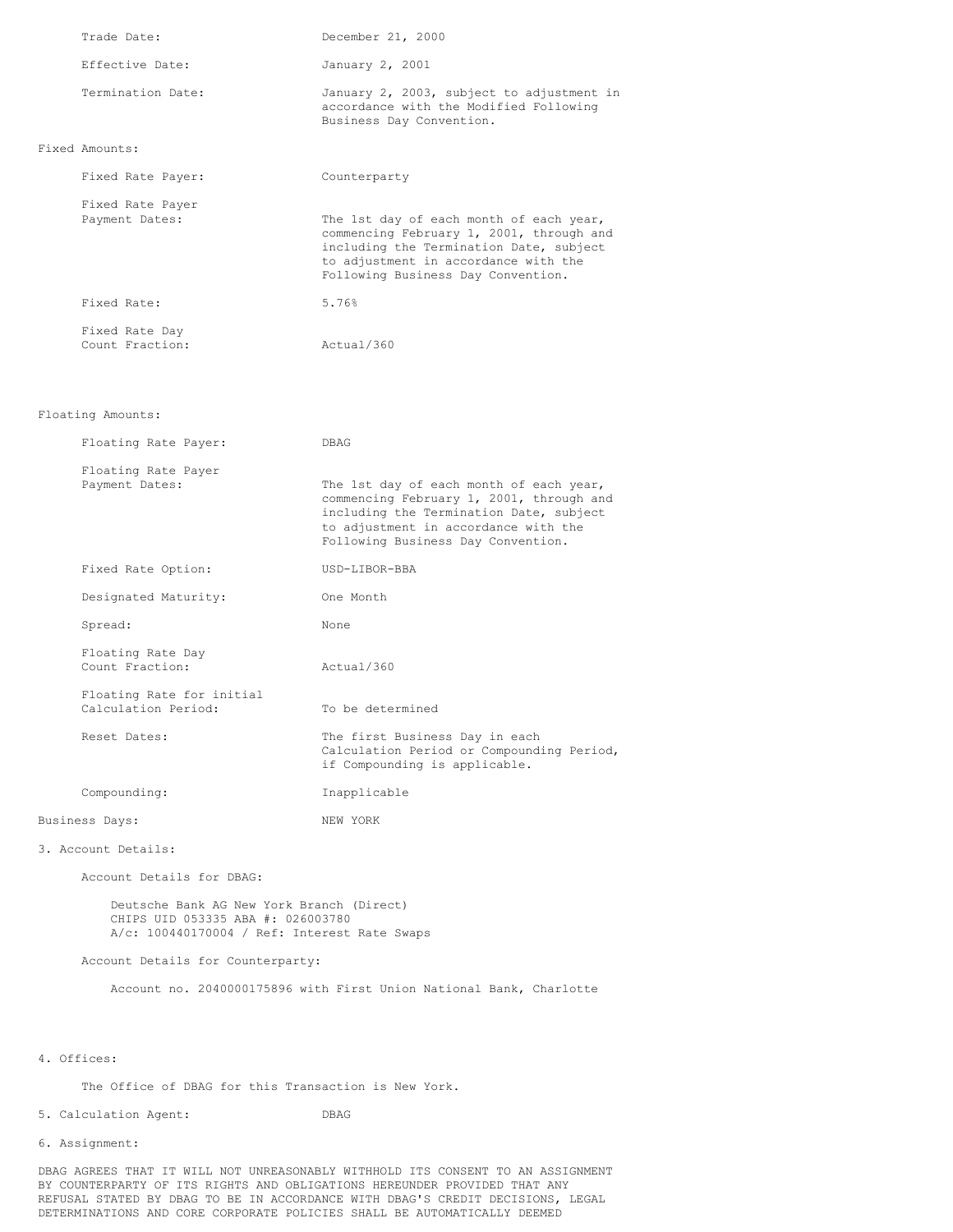| Trade Date:                                      | December 21, 2000                                                                                                                                                                                            |
|--------------------------------------------------|--------------------------------------------------------------------------------------------------------------------------------------------------------------------------------------------------------------|
| Effective Date:                                  | January 2, 2001                                                                                                                                                                                              |
| Termination Date:                                | January 2, 2003, subject to adjustment in<br>accordance with the Modified Following<br>Business Day Convention.                                                                                              |
| Fixed Amounts:                                   |                                                                                                                                                                                                              |
| Fixed Rate Payer:                                | Counterparty                                                                                                                                                                                                 |
| Fixed Rate Payer<br>Payment Dates:               | The 1st day of each month of each year,<br>commencing February 1, 2001, through and<br>including the Termination Date, subject<br>to adjustment in accordance with the<br>Following Business Day Convention. |
| Fixed Rate:                                      | 5.76%                                                                                                                                                                                                        |
| Fixed Rate Day<br>Count Fraction:                | Actual/360                                                                                                                                                                                                   |
| Floating Amounts:                                |                                                                                                                                                                                                              |
| Floating Rate Payer:                             | <b>DBAG</b>                                                                                                                                                                                                  |
| Floating Rate Payer<br>Payment Dates:            | The 1st day of each month of each year,<br>commencing February 1, 2001, through and<br>including the Termination Date, subject<br>to adjustment in accordance with the<br>Following Business Day Convention. |
| Fixed Rate Option:                               | USD-LIBOR-BBA                                                                                                                                                                                                |
| Designated Maturity:                             | One Month                                                                                                                                                                                                    |
| Spread:                                          | None                                                                                                                                                                                                         |
| Floating Rate Day<br>Count Fraction:             | Actual/360                                                                                                                                                                                                   |
| Floating Rate for initial<br>Calculation Period: | To be determined                                                                                                                                                                                             |
| Reset Dates:                                     | The first Business Day in each<br>Calculation Period or Compounding Period,<br>if Compounding is applicable.                                                                                                 |
| Compounding:                                     | Inapplicable                                                                                                                                                                                                 |
| Business Days:                                   | NEW YORK                                                                                                                                                                                                     |
| 3. Account Details:                              |                                                                                                                                                                                                              |
| Account Details for DBAG:                        |                                                                                                                                                                                                              |

Deutsche Bank AG New York Branch (Direct) CHIPS UID 053335 ABA #: 026003780

A/c: 100440170004 / Ref: Interest Rate Swaps

Account Details for Counterparty:

Account no. 2040000175896 with First Union National Bank, Charlotte

4. Offices:

The Office of DBAG for this Transaction is New York.

5. Calculation Agent: DBAG

6. Assignment:

DBAG AGREES THAT IT WILL NOT UNREASONABLY WITHHOLD ITS CONSENT TO AN ASSIGNMENT BY COUNTERPARTY OF ITS RIGHTS AND OBLIGATIONS HEREUNDER PROVIDED THAT ANY REFUSAL STATED BY DBAG TO BE IN ACCORDANCE WITH DBAG'S CREDIT DECISIONS, LEGAL DETERMINATIONS AND CORE CORPORATE POLICIES SHALL BE AUTOMATICALLY DEEMED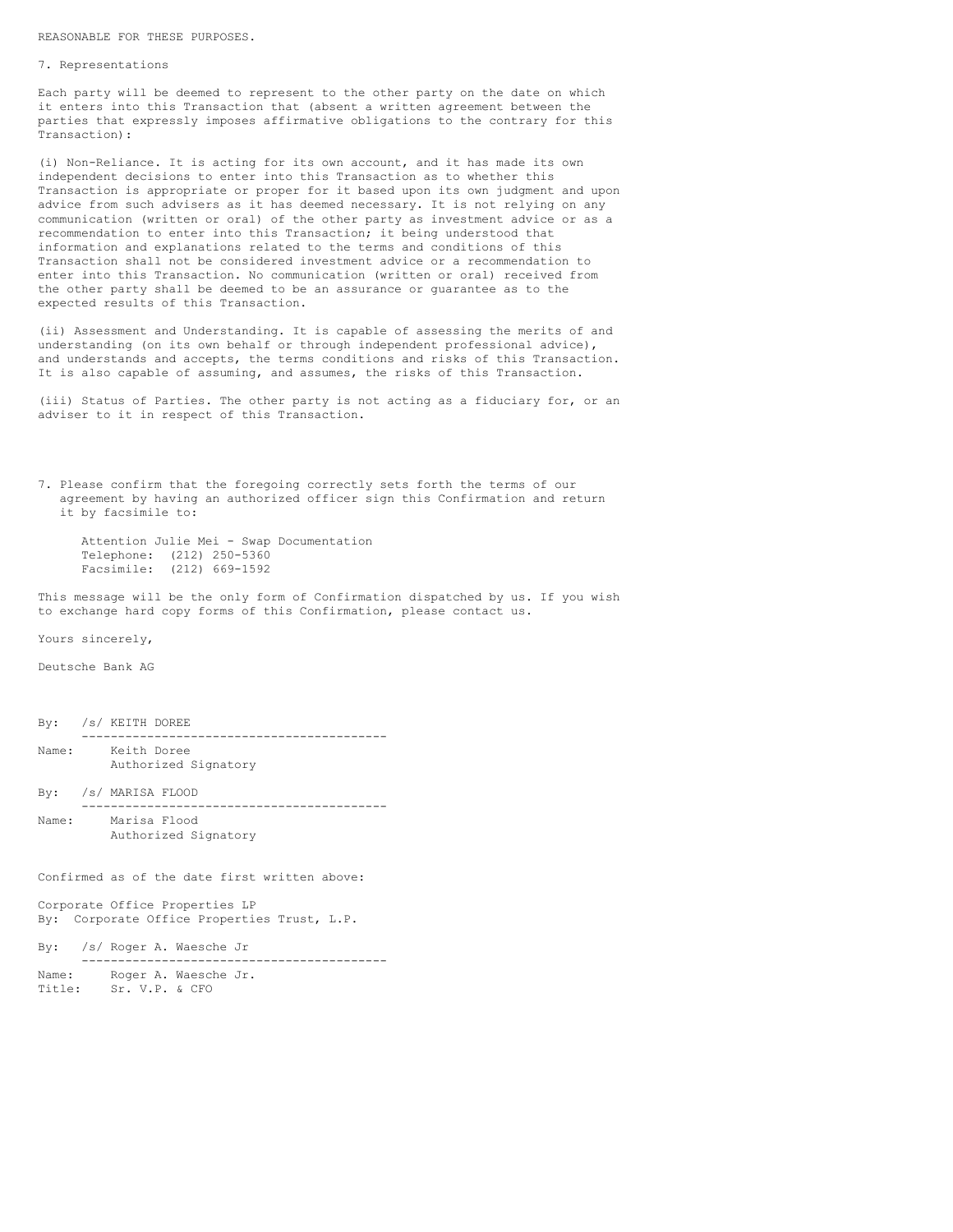REASONABLE FOR THESE PURPOSES.

#### 7. Representations

Each party will be deemed to represent to the other party on the date on which it enters into this Transaction that (absent a written agreement between the parties that expressly imposes affirmative obligations to the contrary for this Transaction):

(i) Non-Reliance. It is acting for its own account, and it has made its own independent decisions to enter into this Transaction as to whether this Transaction is appropriate or proper for it based upon its own judgment and upon advice from such advisers as it has deemed necessary. It is not relying on any communication (written or oral) of the other party as investment advice or as a recommendation to enter into this Transaction; it being understood that information and explanations related to the terms and conditions of this Transaction shall not be considered investment advice or a recommendation to enter into this Transaction. No communication (written or oral) received from the other party shall be deemed to be an assurance or guarantee as to the expected results of this Transaction.

(ii) Assessment and Understanding. It is capable of assessing the merits of and understanding (on its own behalf or through independent professional advice), and understands and accepts, the terms conditions and risks of this Transaction. It is also capable of assuming, and assumes, the risks of this Transaction.

(iii) Status of Parties. The other party is not acting as a fiduciary for, or an adviser to it in respect of this Transaction.

7. Please confirm that the foregoing correctly sets forth the terms of our agreement by having an authorized officer sign this Confirmation and return it by facsimile to:

Attention Julie Mei - Swap Documentation Telephone: (212) 250-5360 Facsimile: (212) 669-1592

This message will be the only form of Confirmation dispatched by us. If you wish to exchange hard copy forms of this Confirmation, please contact us.

Yours sincerely,

Deutsche Bank AG

By: /s/ KEITH DOREE ------------------------------------------ Name: Keith Doree Authorized Signatory

------------------------------------------

------------------------------------------

By: /s/ MARISA FLOOD

Name: Marisa Flood Authorized Signatory

Confirmed as of the date first written above:

Corporate Office Properties LP By: Corporate Office Properties Trust, L.P.

By: /s/ Roger A. Waesche Jr

Name: Roger A. Waesche Jr. Title: Sr. V.P. & CFO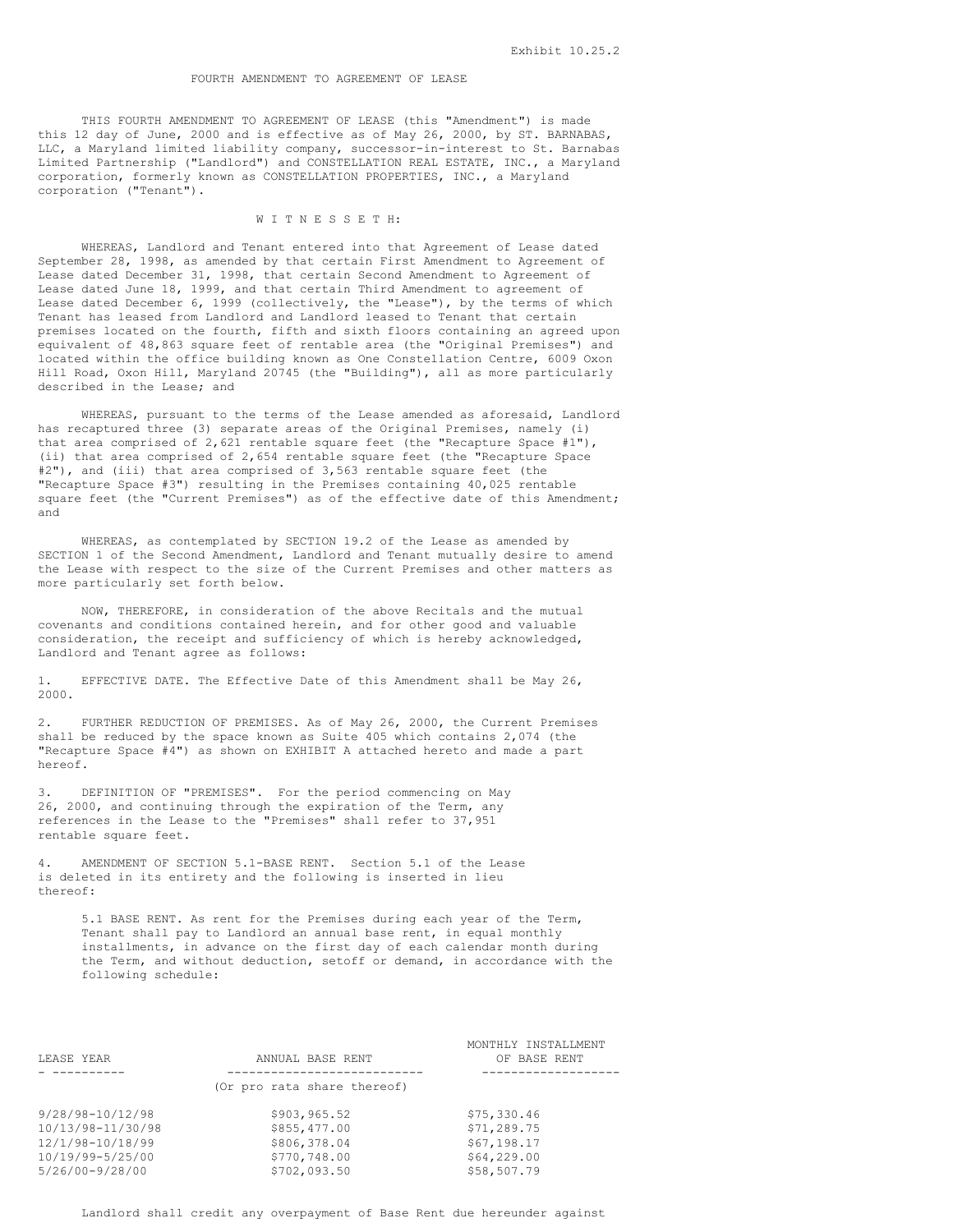## FOURTH AMENDMENT TO AGREEMENT OF LEASE

THIS FOURTH AMENDMENT TO AGREEMENT OF LEASE (this "Amendment") is made this 12 day of June, 2000 and is effective as of May 26, 2000, by ST. BARNABAS, LLC, a Maryland limited liability company, successor-in-interest to St. Barnabas Limited Partnership ("Landlord") and CONSTELLATION REAL ESTATE, INC., a Maryland corporation, formerly known as CONSTELLATION PROPERTIES, INC., a Maryland corporation ("Tenant").

## W I T N E S S E T H:

WHEREAS, Landlord and Tenant entered into that Agreement of Lease dated September 28, 1998, as amended by that certain First Amendment to Agreement of Lease dated December 31, 1998, that certain Second Amendment to Agreement of Lease dated June 18, 1999, and that certain Third Amendment to agreement of Lease dated December 6, 1999 (collectively, the "Lease"), by the terms of which Tenant has leased from Landlord and Landlord leased to Tenant that certain premises located on the fourth, fifth and sixth floors containing an agreed upon equivalent of 48,863 square feet of rentable area (the "Original Premises") and located within the office building known as One Constellation Centre, 6009 Oxon Hill Road, Oxon Hill, Maryland 20745 (the "Building"), all as more particularly described in the Lease; and

WHEREAS, pursuant to the terms of the Lease amended as aforesaid, Landlord has recaptured three (3) separate areas of the Original Premises, namely (i) that area comprised of  $2,621$  rentable square feet (the "Recapture Space #1"), (ii) that area comprised of 2,654 rentable square feet (the "Recapture Space #2"), and (iii) that area comprised of 3,563 rentable square feet (the "Recapture Space #3") resulting in the Premises containing 40,025 rentable square feet (the "Current Premises") as of the effective date of this Amendment; and

WHEREAS, as contemplated by SECTION 19.2 of the Lease as amended by SECTION 1 of the Second Amendment, Landlord and Tenant mutually desire to amend the Lease with respect to the size of the Current Premises and other matters as more particularly set forth below.

NOW, THEREFORE, in consideration of the above Recitals and the mutual covenants and conditions contained herein, and for other good and valuable consideration, the receipt and sufficiency of which is hereby acknowledged, Landlord and Tenant agree as follows:

1. EFFECTIVE DATE. The Effective Date of this Amendment shall be May 26, 2000.

2. FURTHER REDUCTION OF PREMISES. As of May 26, 2000, the Current Premises shall be reduced by the space known as Suite 405 which contains 2,074 (the "Recapture Space #4") as shown on EXHIBIT A attached hereto and made a part hereof.

DEFINITION OF "PREMISES". For the period commencing on May 26, 2000, and continuing through the expiration of the Term, any references in the Lease to the "Premises" shall refer to 37,951 rentable square feet.

4. AMENDMENT OF SECTION 5.1-BASE RENT. Section 5.1 of the Lease is deleted in its entirety and the following is inserted in lieu thereof:

5.1 BASE RENT. As rent for the Premises during each year of the Term, Tenant shall pay to Landlord an annual base rent, in equal monthly installments, in advance on the first day of each calendar month during the Term, and without deduction, setoff or demand, in accordance with the following schedule:

| LEASE YEAR                                                                                       | ANNUAL BASE RENT                                                             | MONTHLY INSTALLMENT<br>OF BASE RENT                                     |
|--------------------------------------------------------------------------------------------------|------------------------------------------------------------------------------|-------------------------------------------------------------------------|
|                                                                                                  | (Or pro rata share thereof)                                                  |                                                                         |
| 9/28/98-10/12/98<br>10/13/98-11/30/98<br>12/1/98-10/18/99<br>10/19/99-5/25/00<br>5/26/00-9/28/00 | \$903,965.52<br>\$855,477.00<br>\$806,378.04<br>\$770,748.00<br>\$702,093.50 | \$75,330.46<br>\$71,289.75<br>\$67,198.17<br>\$64,229.00<br>\$58,507.79 |

Landlord shall credit any overpayment of Base Rent due hereunder against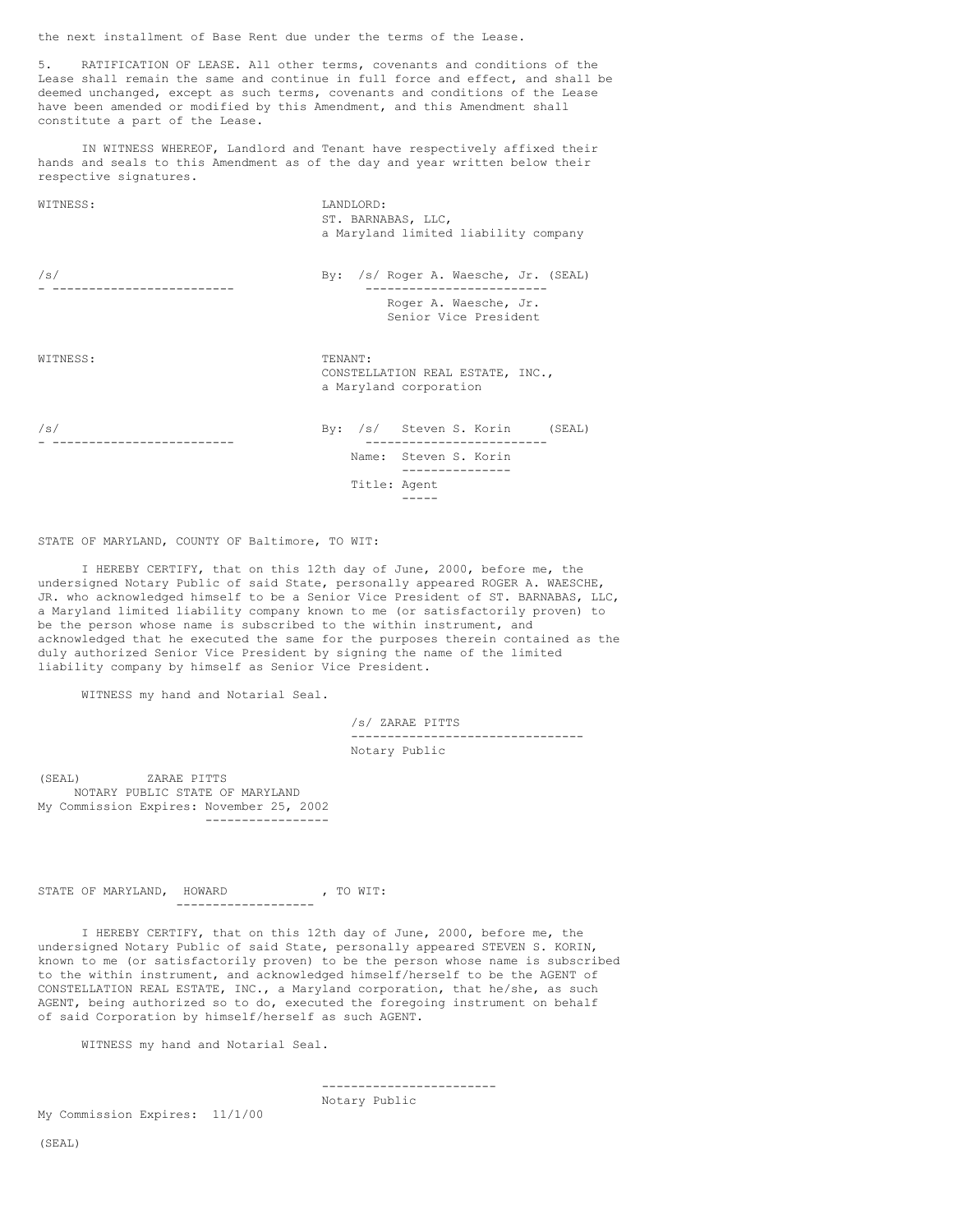the next installment of Base Rent due under the terms of the Lease.

5. RATIFICATION OF LEASE. All other terms, covenants and conditions of the Lease shall remain the same and continue in full force and effect, and shall be deemed unchanged, except as such terms, covenants and conditions of the Lease have been amended or modified by this Amendment, and this Amendment shall constitute a part of the Lease.

IN WITNESS WHEREOF, Landlord and Tenant have respectively affixed their hands and seals to this Amendment as of the day and year written below their respective signatures.

| WITNESS: | LANDLORD:<br>ST. BARNABAS, LLC,<br>a Maryland limited liability company |
|----------|-------------------------------------------------------------------------|
| /s/      | By: /s/ Roger A. Waesche, Jr. (SEAL)<br>--------------------------      |
|          | Roger A. Waesche, Jr.<br>Senior Vice President                          |
| WITNESS: | TENANT:<br>CONSTELLATION REAL ESTATE, INC.,<br>a Maryland corporation   |
| /s/      | By: /s/ Steven S. Korin (SEAL)                                          |
|          | Name: Steven S. Korin<br>.                                              |
|          | Title: Agent                                                            |

### STATE OF MARYLAND, COUNTY OF Baltimore, TO WIT:

I HEREBY CERTIFY, that on this 12th day of June, 2000, before me, the undersigned Notary Public of said State, personally appeared ROGER A. WAESCHE, JR. who acknowledged himself to be a Senior Vice President of ST. BARNABAS, LLC, a Maryland limited liability company known to me (or satisfactorily proven) to be the person whose name is subscribed to the within instrument, and acknowledged that he executed the same for the purposes therein contained as the duly authorized Senior Vice President by signing the name of the limited liability company by himself as Senior Vice President.

WITNESS my hand and Notarial Seal.

/s/ ZARAE PITTS -------------------------------- Notary Public

(SEAL) ZARAE PITTS NOTARY PUBLIC STATE OF MARYLAND My Commission Expires: November 25, 2002 -----------------

STATE OF MARYLAND, HOWARD , TO WIT:

------------------- I HEREBY CERTIFY, that on this 12th day of June, 2000, before me, the

undersigned Notary Public of said State, personally appeared STEVEN S. KORIN, known to me (or satisfactorily proven) to be the person whose name is subscribed to the within instrument, and acknowledged himself/herself to be the AGENT of CONSTELLATION REAL ESTATE, INC., a Maryland corporation, that he/she, as such AGENT, being authorized so to do, executed the foregoing instrument on behalf of said Corporation by himself/herself as such AGENT.

WITNESS my hand and Notarial Seal.

------------------------ Notary Public

My Commission Expires: 11/1/00

 $(SFAL)$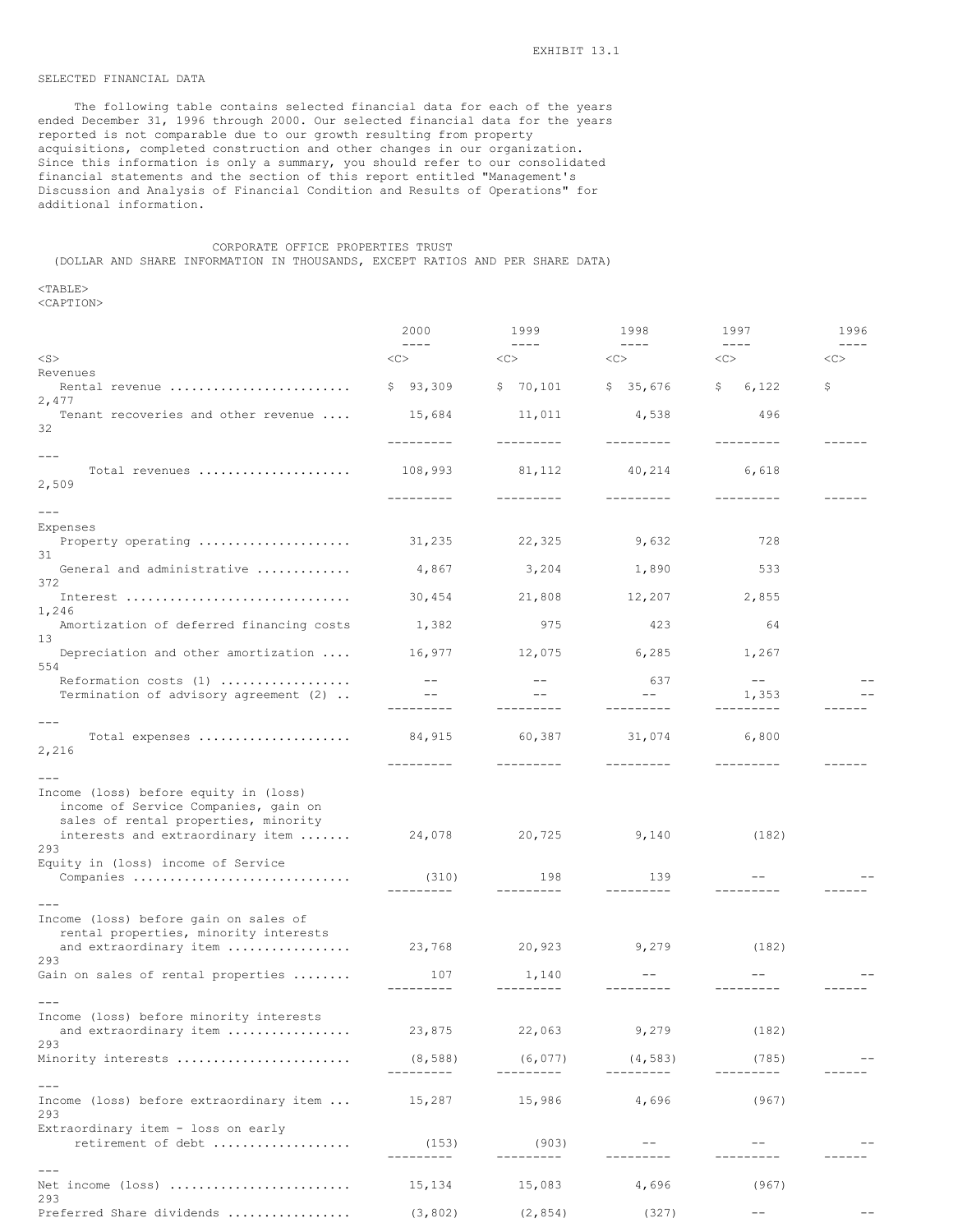## SELECTED FINANCIAL DATA

The following table contains selected financial data for each of the years ended December 31, 1996 through 2000. Our selected financial data for the years reported is not comparable due to our growth resulting from property acquisitions, completed construction and other changes in our organization. Since this information is only a summary, you should refer to our consolidated financial statements and the section of this report entitled "Management's Discussion and Analysis of Financial Condition and Results of Operations" for additional information.

## CORPORATE OFFICE PROPERTIES TRUST (DOLLAR AND SHARE INFORMATION IN THOUSANDS, EXCEPT RATIOS AND PER SHARE DATA)

 $<$ TABLE $>$ 

<CAPTION>

|                                                                              | 2000                         | 1999                            | 1998                       | 1997              | 1996  |
|------------------------------------------------------------------------------|------------------------------|---------------------------------|----------------------------|-------------------|-------|
| $<$ S $>$                                                                    | $- - - - -$<br>< <sub></sub> | $---$<br><<>                    | $---$<br><<>               | $- - - - -$<br><< | <<    |
| Revenues                                                                     |                              |                                 |                            |                   |       |
| Rental revenue<br>2,477                                                      | \$93,309                     | \$70,101                        | \$35,676                   | \$<br>6,122       | \$    |
| Tenant recoveries and other revenue                                          | 15,684                       | 11,011                          | 4,538                      | 496               |       |
| 32                                                                           | ---------                    |                                 |                            |                   |       |
| $---$                                                                        |                              |                                 |                            |                   |       |
| Total revenues<br>2,509                                                      | 108,993                      | 81,112                          | 40,214                     | 6,618             |       |
|                                                                              | ---------                    |                                 | ---------                  |                   |       |
| $- - -$<br>Expenses                                                          |                              |                                 |                            |                   |       |
| Property operating<br>31                                                     | 31,235                       | 22,325                          | 9,632                      | 728               |       |
| General and administrative                                                   | 4,867                        | 3,204                           | 1,890                      | 533               |       |
| 372<br>Interest                                                              | 30,454                       | 21,808                          | 12,207                     | 2,855             |       |
| 1,246                                                                        |                              |                                 |                            |                   |       |
| Amortization of deferred financing costs<br>13                               | 1,382                        | 975                             | 423                        | 64                |       |
| Depreciation and other amortization                                          | 16,977                       | 12,075                          | 6,285                      | 1,267             |       |
| 554<br>Reformation costs $(1)$                                               |                              | $- -$                           | 637                        | $--$              |       |
| Termination of advisory agreement $(2)$ .                                    |                              | $- -$                           | $- -$                      | 1,353             |       |
| $\qquad \qquad - -$                                                          | ---------                    | ---------                       | ----------                 | ---------         |       |
| Total expenses                                                               | 84,915                       | 60,387                          | 31,074                     | 6,800             |       |
| 2,216                                                                        |                              |                                 |                            |                   |       |
|                                                                              |                              |                                 |                            |                   |       |
| Income (loss) before equity in (loss)                                        |                              |                                 |                            |                   |       |
| income of Service Companies, gain on<br>sales of rental properties, minority |                              |                                 |                            |                   |       |
| interests and extraordinary item                                             | 24,078                       | 20,725                          | 9,140                      | (182)             |       |
| 293<br>Equity in (loss) income of Service                                    |                              |                                 |                            |                   |       |
| Companies                                                                    | (310)                        | 198                             | 139                        |                   |       |
| $---$                                                                        | ---------                    | ---------                       |                            |                   |       |
| Income (loss) before gain on sales of                                        |                              |                                 |                            |                   |       |
| rental properties, minority interests<br>and extraordinary item              | 23,768                       | 20,923                          | 9,279                      | (182)             |       |
| 293                                                                          |                              |                                 |                            |                   |       |
| Gain on sales of rental properties                                           | 107<br>---------             | 1,140<br>---------              |                            |                   |       |
|                                                                              |                              |                                 |                            |                   |       |
| Income (loss) before minority interests<br>and extraordinary item            | 23,875                       | 22,063                          | 9,279                      | (182)             |       |
| 293                                                                          |                              |                                 |                            |                   |       |
| Minority interests                                                           | (8, 588)<br>---------        | (6, 077)<br>$- - - - - - - - -$ | (4, 583)<br>$------------$ | (785)             | $- -$ |
| $---$                                                                        |                              |                                 |                            |                   |       |
| Income (loss) before extraordinary item<br>293                               | 15,287                       | 15,986                          | 4,696                      | (967)             |       |
| Extraordinary item - loss on early<br>retirement of debt                     | (153)                        | (903)                           | $ -$                       | $\qquad \qquad -$ |       |
|                                                                              | ---------                    |                                 |                            |                   |       |
| $---$<br>Net income $(\text{loss})$                                          | 15,134                       | 15,083                          | 4,696                      | (967)             |       |
| 293                                                                          |                              |                                 |                            |                   |       |
| Preferred Share dividends                                                    | (3, 802)                     | (2, 854)                        | (327)                      | $\qquad \qquad -$ |       |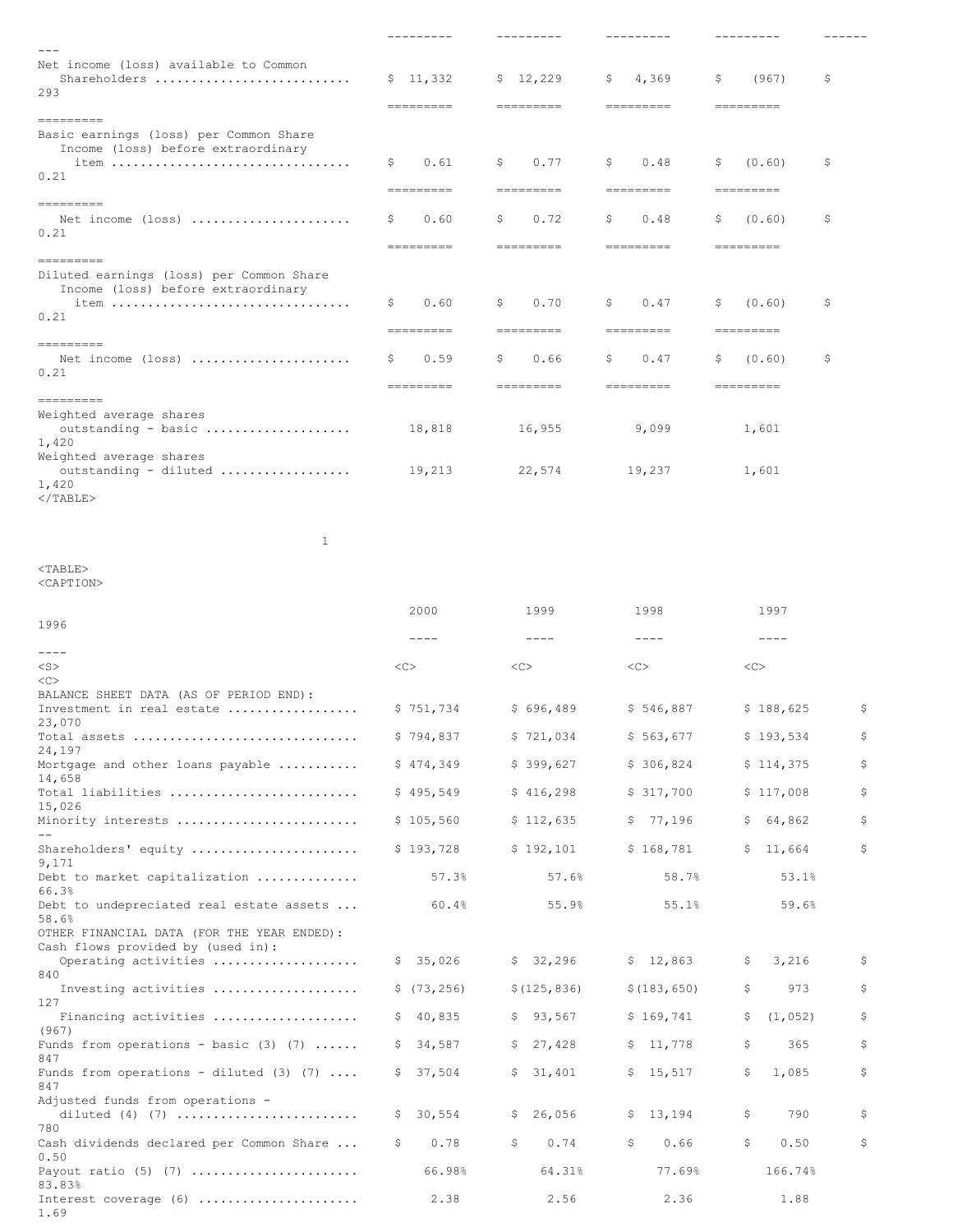|                                                                                                                                                                                                                                                                                                                                                                                                                                                                                                                                                            | ---------               | ---------                | $- - - - - -$           | ---------                 |     |
|------------------------------------------------------------------------------------------------------------------------------------------------------------------------------------------------------------------------------------------------------------------------------------------------------------------------------------------------------------------------------------------------------------------------------------------------------------------------------------------------------------------------------------------------------------|-------------------------|--------------------------|-------------------------|---------------------------|-----|
| Net income (loss) available to Common<br>Shareholders                                                                                                                                                                                                                                                                                                                                                                                                                                                                                                      | \$11,332                | \$12,229                 | Ş.<br>4,369             | S.<br>(967)               | \$. |
| 293                                                                                                                                                                                                                                                                                                                                                                                                                                                                                                                                                        | $=$ =========           | $=$ = = = = = = = = =    | $=$ = = = = = = = = =   | =========                 |     |
| $\begin{tabular}{ll} \multicolumn{3}{l}{{\color{red}\boldsymbol{=}}} & \multicolumn{3}{l}{\color{blue}\boldsymbol{=}} & \multicolumn{3}{l}{\color{blue}\boldsymbol{=}} & \multicolumn{3}{l}{\color{blue}\boldsymbol{=}} & \multicolumn{3}{l}{\color{blue}\boldsymbol{=}} & \multicolumn{3}{l}{\color{blue}\boldsymbol{=}} & \multicolumn{3}{l}{\color{blue}\boldsymbol{=}} & \multicolumn{3}{l}{\color{blue}\boldsymbol{=}} & \multicolumn{3}{l}{\color{blue}\boldsymbol{=}} & \multicolumn{3}{l}{\color{blue}\boldsymbol{=}} & \multicolumn{3}{l}{\color$ |                         |                          |                         |                           |     |
| Basic earnings (loss) per Common Share<br>Income (loss) before extraordinary<br>item<br>0.21                                                                                                                                                                                                                                                                                                                                                                                                                                                               | 0.61<br>Ş.              | S<br>0.77                | S.<br>0.48              | (0.60)<br>S.              | \$  |
| =========                                                                                                                                                                                                                                                                                                                                                                                                                                                                                                                                                  | =========               | =========                | =========               | =========                 |     |
| Net income (loss) $\ldots \ldots \ldots \ldots \ldots \ldots$<br>0.21                                                                                                                                                                                                                                                                                                                                                                                                                                                                                      | 0.60<br>Ş.<br>========= | 0.72<br>S<br>=========   | \$<br>0.48<br>========= | Ş<br>(0.60)<br>=========  | \$  |
| ----------<br>Diluted earnings (loss) per Common Share<br>Income (loss) before extraordinary<br>item<br>0.21                                                                                                                                                                                                                                                                                                                                                                                                                                               | 0.60<br>Ş.<br>========= | \$.<br>0.70<br>========= | S.<br>0.47<br>========= | (0.60)<br>Ş.<br>========= | \$. |
| ----------<br>Net income (loss) $\ldots \ldots \ldots \ldots \ldots \ldots$<br>0.21                                                                                                                                                                                                                                                                                                                                                                                                                                                                        | 0.59<br>Ş.              | 0.66<br>Ş                | \$.<br>0.47             | Ş<br>(0.60)               | \$. |
| ----------                                                                                                                                                                                                                                                                                                                                                                                                                                                                                                                                                 | ----------              | $=$ = = = = = = = = =    | $=$ = = = = = = = = =   | $=$ =========             |     |
| Weighted average shares<br>outstanding - basic<br>1,420                                                                                                                                                                                                                                                                                                                                                                                                                                                                                                    | 18,818                  | 16,955                   | 9,099                   | 1,601                     |     |
| Weighted average shares<br>outstanding - diluted<br>1,420<br>$<$ /TABLE>                                                                                                                                                                                                                                                                                                                                                                                                                                                                                   | 19,213                  | 22,574                   | 19,237                  | 1,601                     |     |
| 1                                                                                                                                                                                                                                                                                                                                                                                                                                                                                                                                                          |                         |                          |                         |                           |     |
| $<$ TABLE>                                                                                                                                                                                                                                                                                                                                                                                                                                                                                                                                                 |                         |                          |                         |                           |     |
| <caption></caption>                                                                                                                                                                                                                                                                                                                                                                                                                                                                                                                                        |                         |                          |                         |                           |     |
|                                                                                                                                                                                                                                                                                                                                                                                                                                                                                                                                                            | 2000                    | 1999                     | 1998                    | 1997                      |     |
| 1996                                                                                                                                                                                                                                                                                                                                                                                                                                                                                                                                                       |                         |                          |                         |                           |     |
|                                                                                                                                                                                                                                                                                                                                                                                                                                                                                                                                                            | ----                    | $- - - -$                | $---$                   | $- - - -$                 |     |
| $- - - -$<br>$<$ S $>$                                                                                                                                                                                                                                                                                                                                                                                                                                                                                                                                     | <<                      | <<                       | <<                      | <<                        |     |
| <<                                                                                                                                                                                                                                                                                                                                                                                                                                                                                                                                                         |                         |                          |                         |                           |     |
| BALANCE SHEET DATA (AS OF PERIOD END):<br>Investment in real estate                                                                                                                                                                                                                                                                                                                                                                                                                                                                                        | \$751,734               | \$696,489                | \$546,887               | \$188,625                 | S   |
| 23,070<br>Total assets                                                                                                                                                                                                                                                                                                                                                                                                                                                                                                                                     | \$794,837               | \$721,034                | \$563,677               | \$193,534                 | \$  |
| 24,197<br>Mortgage and other loans payable                                                                                                                                                                                                                                                                                                                                                                                                                                                                                                                 | \$474,349               | \$399,627                | \$306,824               | \$114,375                 | \$  |
| 14,658<br>Total liabilities                                                                                                                                                                                                                                                                                                                                                                                                                                                                                                                                | \$495,549               | \$416, 298               | \$317,700               | \$117,008                 | \$  |
| 15,026                                                                                                                                                                                                                                                                                                                                                                                                                                                                                                                                                     |                         |                          |                         |                           |     |
| Minority interests                                                                                                                                                                                                                                                                                                                                                                                                                                                                                                                                         | \$105,560               | \$112,635                | \$77,196                | \$64,862                  | \$  |
| Shareholders' equity<br>9,171                                                                                                                                                                                                                                                                                                                                                                                                                                                                                                                              | \$193,728               | \$192,101                | \$168,781               | \$11,664                  | \$  |
| Debt to market capitalization<br>66.3%                                                                                                                                                                                                                                                                                                                                                                                                                                                                                                                     | 57.3%                   | 57.6%                    | 58.7%                   | 53.1%                     |     |
| Debt to undepreciated real estate assets<br>58.6%                                                                                                                                                                                                                                                                                                                                                                                                                                                                                                          | 60.4%                   | 55.9%                    | 55.1%                   | 59.6%                     |     |
| OTHER FINANCIAL DATA (FOR THE YEAR ENDED):                                                                                                                                                                                                                                                                                                                                                                                                                                                                                                                 |                         |                          |                         |                           |     |
| Cash flows provided by (used in):<br>Operating activities                                                                                                                                                                                                                                                                                                                                                                                                                                                                                                  | \$35,026                | \$32, 296                | \$12,863                | 3,216<br>Ş.               | \$  |
| 840<br>Investing activities                                                                                                                                                                                                                                                                                                                                                                                                                                                                                                                                | \$(73, 256)             | \$(125, 836)             | \$(183, 650)            | 973<br>\$                 | \$  |
| 127<br>Financing activities                                                                                                                                                                                                                                                                                                                                                                                                                                                                                                                                | \$40,835                | \$93,567                 | \$169,741               | (1, 052)<br>\$            | \$  |
| (967)<br>Funds from operations - basic $(3)$ $(7)$                                                                                                                                                                                                                                                                                                                                                                                                                                                                                                         | \$34,587                | \$27,428                 | \$11,778                | 365<br>\$                 | \$  |
| 847<br>Funds from operations - diluted $(3)$ $(7)$<br>847                                                                                                                                                                                                                                                                                                                                                                                                                                                                                                  | \$37,504                | 31,401<br>\$             | \$15,517                | 1,085<br>\$               | \$  |
| Adjusted funds from operations -                                                                                                                                                                                                                                                                                                                                                                                                                                                                                                                           |                         |                          |                         |                           |     |
| diluted $(4)$ $(7)$<br>780                                                                                                                                                                                                                                                                                                                                                                                                                                                                                                                                 | \$30,554                | \$26,056                 | \$13,194                | 790<br>\$                 | \$  |
| Cash dividends declared per Common Share<br>0.50                                                                                                                                                                                                                                                                                                                                                                                                                                                                                                           | 0.78<br>Ş.              | 0.74<br>\$               | \$<br>0.66              | 0.50<br>\$                | \$  |
| Payout ratio $(5)$ $(7)$<br>83.83%<br>Interest coverage $(6)$                                                                                                                                                                                                                                                                                                                                                                                                                                                                                              | 66.98%<br>2.38          | 64.31%<br>2.56           | 77.69%<br>2.36          | 166.74%<br>1.88           |     |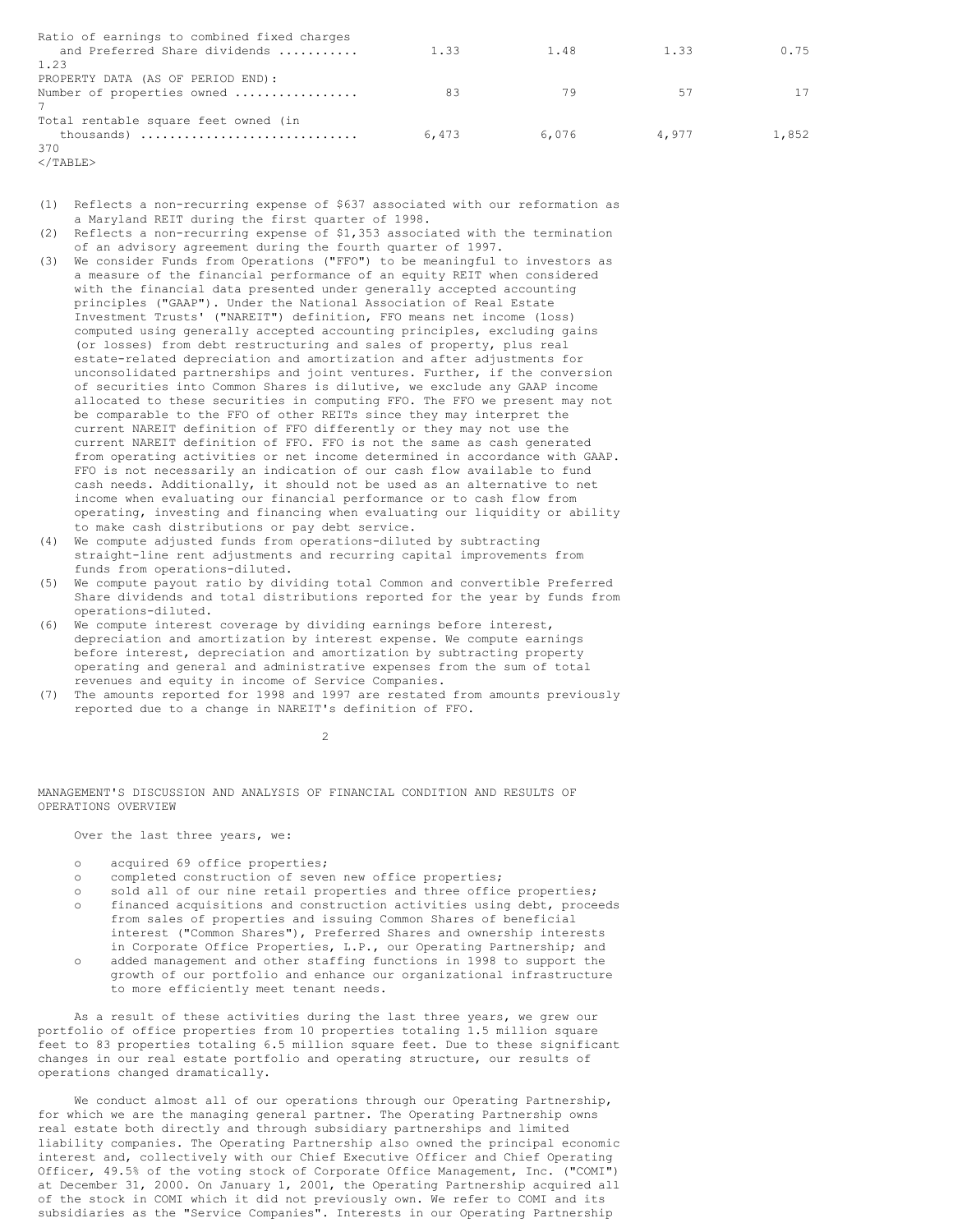| Ratio of earnings to combined fixed charges<br>and Preferred Share dividends<br>1.23 | 1.33  | 1.48  | 1.33  | 0.75  |
|--------------------------------------------------------------------------------------|-------|-------|-------|-------|
| PROPERTY DATA (AS OF PERIOD END):<br>Number of properties owned                      | 83    | 79    | 57    |       |
| Total rentable square feet owned (in<br>thousands)<br>370<br>________                | 6.473 | 6,076 | 4.977 | 1,852 |

(1) Reflects a non-recurring expense of \$637 associated with our reformation as a Maryland REIT during the first quarter of 1998.

(2) Reflects a non-recurring expense of \$1,353 associated with the termination of an advisory agreement during the fourth quarter of 1997.

- (3) We consider Funds from Operations ("FFO") to be meaningful to investors as a measure of the financial performance of an equity REIT when considered with the financial data presented under generally accepted accounting principles ("GAAP"). Under the National Association of Real Estate Investment Trusts' ("NAREIT") definition, FFO means net income (loss) computed using generally accepted accounting principles, excluding gains (or losses) from debt restructuring and sales of property, plus real estate-related depreciation and amortization and after adjustments for unconsolidated partnerships and joint ventures. Further, if the conversion of securities into Common Shares is dilutive, we exclude any GAAP income allocated to these securities in computing FFO. The FFO we present may not be comparable to the FFO of other REITs since they may interpret the current NAREIT definition of FFO differently or they may not use the current NAREIT definition of FFO. FFO is not the same as cash generated from operating activities or net income determined in accordance with GAAP. FFO is not necessarily an indication of our cash flow available to fund cash needs. Additionally, it should not be used as an alternative to net income when evaluating our financial performance or to cash flow from operating, investing and financing when evaluating our liquidity or ability to make cash distributions or pay debt service.
- (4) We compute adjusted funds from operations-diluted by subtracting straight-line rent adjustments and recurring capital improvements from funds from operations-diluted.
- (5) We compute payout ratio by dividing total Common and convertible Preferred Share dividends and total distributions reported for the year by funds from operations-diluted.
- (6) We compute interest coverage by dividing earnings before interest, depreciation and amortization by interest expense. We compute earnings before interest, depreciation and amortization by subtracting property operating and general and administrative expenses from the sum of total revenues and equity in income of Service Companies.
- (7) The amounts reported for 1998 and 1997 are restated from amounts previously reported due to a change in NAREIT's definition of FFO.

2

MANAGEMENT'S DISCUSSION AND ANALYSIS OF FINANCIAL CONDITION AND RESULTS OF OPERATIONS OVERVIEW

Over the last three years, we:

- o acquired 69 office properties;
- o completed construction of seven new office properties;
- o sold all of our nine retail properties and three office properties; o financed acquisitions and construction activities using debt, proceeds from sales of properties and issuing Common Shares of beneficial
- interest ("Common Shares"), Preferred Shares and ownership interests in Corporate Office Properties, L.P., our Operating Partnership; and o added management and other staffing functions in 1998 to support the growth of our portfolio and enhance our organizational infrastructure
- to more efficiently meet tenant needs.

As a result of these activities during the last three years, we grew our portfolio of office properties from 10 properties totaling 1.5 million square feet to 83 properties totaling 6.5 million square feet. Due to these significant changes in our real estate portfolio and operating structure, our results of operations changed dramatically.

We conduct almost all of our operations through our Operating Partnership, for which we are the managing general partner. The Operating Partnership owns real estate both directly and through subsidiary partnerships and limited liability companies. The Operating Partnership also owned the principal economic interest and, collectively with our Chief Executive Officer and Chief Operating Officer, 49.5% of the voting stock of Corporate Office Management, Inc. ("COMI") at December 31, 2000. On January 1, 2001, the Operating Partnership acquired all of the stock in COMI which it did not previously own. We refer to COMI and its subsidiaries as the "Service Companies". Interests in our Operating Partnership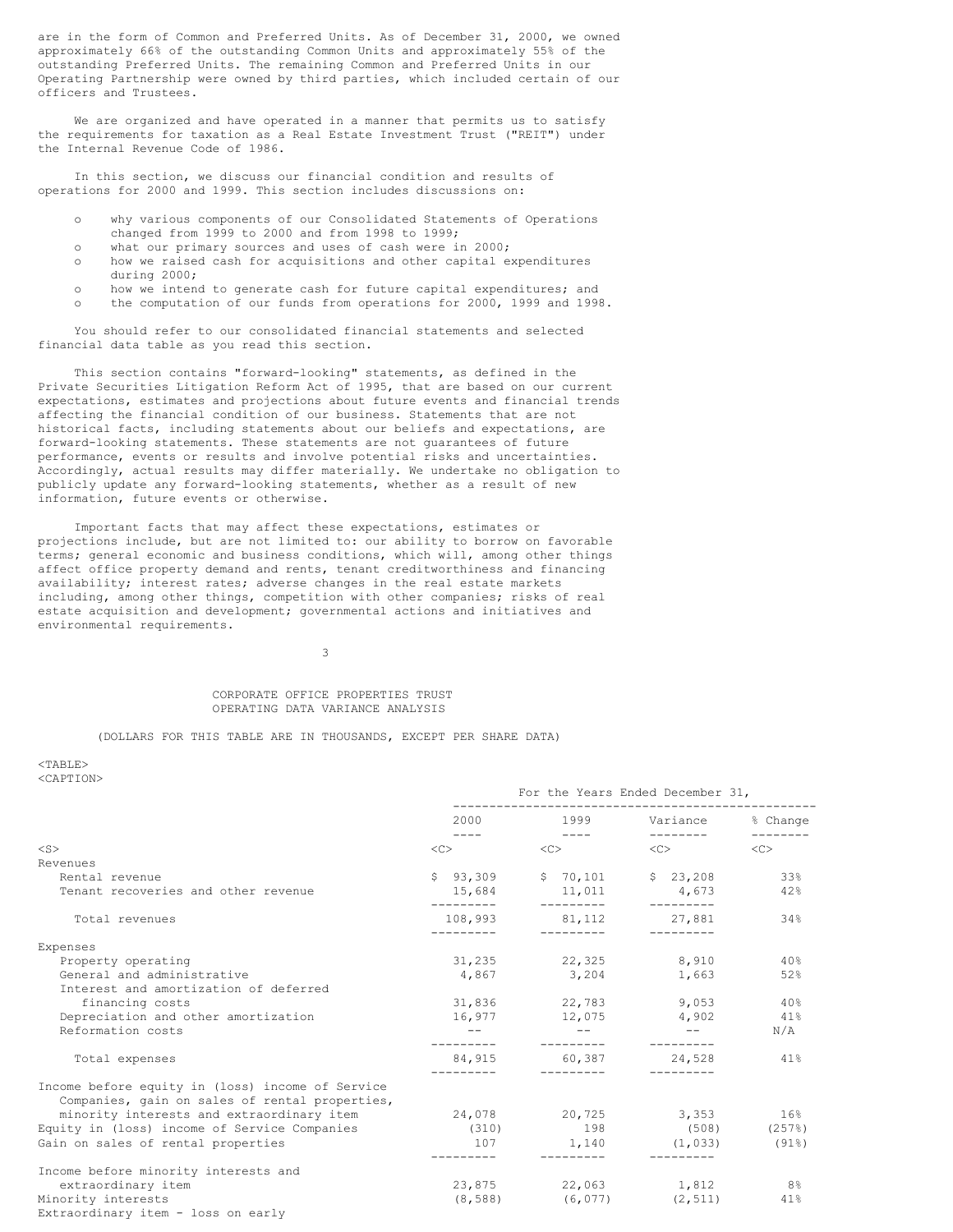are in the form of Common and Preferred Units. As of December 31, 2000, we owned approximately 66% of the outstanding Common Units and approximately 55% of the outstanding Preferred Units. The remaining Common and Preferred Units in our Operating Partnership were owned by third parties, which included certain of our officers and Trustees.

We are organized and have operated in a manner that permits us to satisfy the requirements for taxation as a Real Estate Investment Trust ("REIT") under the Internal Revenue Code of 1986.

In this section, we discuss our financial condition and results of operations for 2000 and 1999. This section includes discussions on:

- o why various components of our Consolidated Statements of Operations changed from 1999 to 2000 and from 1998 to 1999;
- o what our primary sources and uses of cash were in 2000;
- o how we raised cash for acquisitions and other capital expenditures during 2000;
- o how we intend to generate cash for future capital expenditures; and
- o the computation of our funds from operations for 2000, 1999 and 1998.

You should refer to our consolidated financial statements and selected financial data table as you read this section.

This section contains "forward-looking" statements, as defined in the Private Securities Litigation Reform Act of 1995, that are based on our current expectations, estimates and projections about future events and financial trends affecting the financial condition of our business. Statements that are not historical facts, including statements about our beliefs and expectations, are forward-looking statements. These statements are not guarantees of future performance, events or results and involve potential risks and uncertainties. Accordingly, actual results may differ materially. We undertake no obligation to publicly update any forward-looking statements, whether as a result of new information, future events or otherwise.

Important facts that may affect these expectations, estimates or projections include, but are not limited to: our ability to borrow on favorable terms; general economic and business conditions, which will, among other things affect office property demand and rents, tenant creditworthiness and financing availability; interest rates; adverse changes in the real estate markets including, among other things, competition with other companies; risks of real estate acquisition and development; governmental actions and initiatives and environmental requirements.

3

## CORPORATE OFFICE PROPERTIES TRUST OPERATING DATA VARIANCE ANALYSIS

(DOLLARS FOR THIS TABLE ARE IN THOUSANDS, EXCEPT PER SHARE DATA)

#### <TABLE> <CAPTION>

|                                                                                                    | For the Years Ended December 31,                                                                                                                                                                                                             |                                                                                                                                                                                                                                              |                       |                      |  |  |
|----------------------------------------------------------------------------------------------------|----------------------------------------------------------------------------------------------------------------------------------------------------------------------------------------------------------------------------------------------|----------------------------------------------------------------------------------------------------------------------------------------------------------------------------------------------------------------------------------------------|-----------------------|----------------------|--|--|
|                                                                                                    | 2000 - 2000 - 2001 - 2002 - 2003 - 2004 - 2004 - 2005 - 2006 - 2010 - 2010 - 2010 - 2010 - 2010 - 2010 - 2010 - 2010 - 2010 - 2010 - 2010 - 2010 - 2010 - 2010 - 2010 - 2010 - 2010 - 2010 - 2010 - 2010 - 2010 - 2010 - 2010 -<br>$- - - -$ | 1999 — 1999 — 1990 — 1990 — 1990 — 1990 — 1990 — 1990 — 1990 — 1990 — 1990 — 1990 — 1990 — 1990 — 1990 — 1990 — 1990 — 1990 — 1990 — 1990 — 1990 — 1990 — 1990 — 1990 — 1990 — 1990 — 1990 — 1990 — 1990 — 1990 — 1990 — 1990 —<br>$- - - -$ | Variance<br>--------- | % Change<br>-------- |  |  |
| $<$ S $>$                                                                                          | <<                                                                                                                                                                                                                                           | $<<$ $<$ $>$                                                                                                                                                                                                                                 | $\langle C \rangle$   | $\langle C \rangle$  |  |  |
| Revenues                                                                                           |                                                                                                                                                                                                                                              |                                                                                                                                                                                                                                              |                       |                      |  |  |
| Rental revenue                                                                                     |                                                                                                                                                                                                                                              | $$93,309$ $$70,101$ $$23,208$                                                                                                                                                                                                                |                       | 33%                  |  |  |
| Tenant recoveries and other revenue                                                                | ----------                                                                                                                                                                                                                                   | 15,684 11,011 4,673<br>_________                                                                                                                                                                                                             | $- - - - - - - - -$   | 42%                  |  |  |
| Total revenues                                                                                     | 108,993<br>----------                                                                                                                                                                                                                        | 81, 112                                                                                                                                                                                                                                      | 27,881                | 34%                  |  |  |
| Expenses                                                                                           |                                                                                                                                                                                                                                              |                                                                                                                                                                                                                                              |                       |                      |  |  |
| Property operating                                                                                 |                                                                                                                                                                                                                                              | 31,235 22,325 8,910                                                                                                                                                                                                                          |                       | 40%                  |  |  |
| General and administrative                                                                         |                                                                                                                                                                                                                                              | 4,867 3,204                                                                                                                                                                                                                                  | 1,663                 | 52%                  |  |  |
| Interest and amortization of deferred                                                              |                                                                                                                                                                                                                                              |                                                                                                                                                                                                                                              |                       |                      |  |  |
| financing costs                                                                                    |                                                                                                                                                                                                                                              | 31,836 22,783 9,053                                                                                                                                                                                                                          |                       | 40%                  |  |  |
| Depreciation and other amortization                                                                |                                                                                                                                                                                                                                              | 16,977 12,075 4,902                                                                                                                                                                                                                          |                       | 41%                  |  |  |
| Reformation costs                                                                                  | $ -$<br>---------                                                                                                                                                                                                                            | ---------                                                                                                                                                                                                                                    |                       | N/A                  |  |  |
| Total expenses                                                                                     | 84.915                                                                                                                                                                                                                                       | 60.387                                                                                                                                                                                                                                       | 24,528                | 41%                  |  |  |
| Income before equity in (loss) income of Service<br>Companies, gain on sales of rental properties, |                                                                                                                                                                                                                                              |                                                                                                                                                                                                                                              |                       |                      |  |  |
| minority interests and extraordinary item                                                          | 24,078 20,725 3,353                                                                                                                                                                                                                          |                                                                                                                                                                                                                                              |                       | 16%                  |  |  |
| Equity in (loss) income of Service Companies                                                       | (310)                                                                                                                                                                                                                                        | 198                                                                                                                                                                                                                                          |                       | $(508)$ $(257\%)$    |  |  |
| Gain on sales of rental properties                                                                 | 107<br>---------                                                                                                                                                                                                                             | $1,140$ (1,033)<br>----------                                                                                                                                                                                                                |                       | (91%)                |  |  |
| Income before minority interests and                                                               |                                                                                                                                                                                                                                              |                                                                                                                                                                                                                                              |                       |                      |  |  |
| extraordinary item                                                                                 |                                                                                                                                                                                                                                              | 23,875 22,063 1,812                                                                                                                                                                                                                          |                       | 8%                   |  |  |
| Minority interests                                                                                 |                                                                                                                                                                                                                                              | $(8, 588)$ $(6, 077)$ $(2, 511)$                                                                                                                                                                                                             |                       | 41%                  |  |  |
| Extraordinary item - loss on early                                                                 |                                                                                                                                                                                                                                              |                                                                                                                                                                                                                                              |                       |                      |  |  |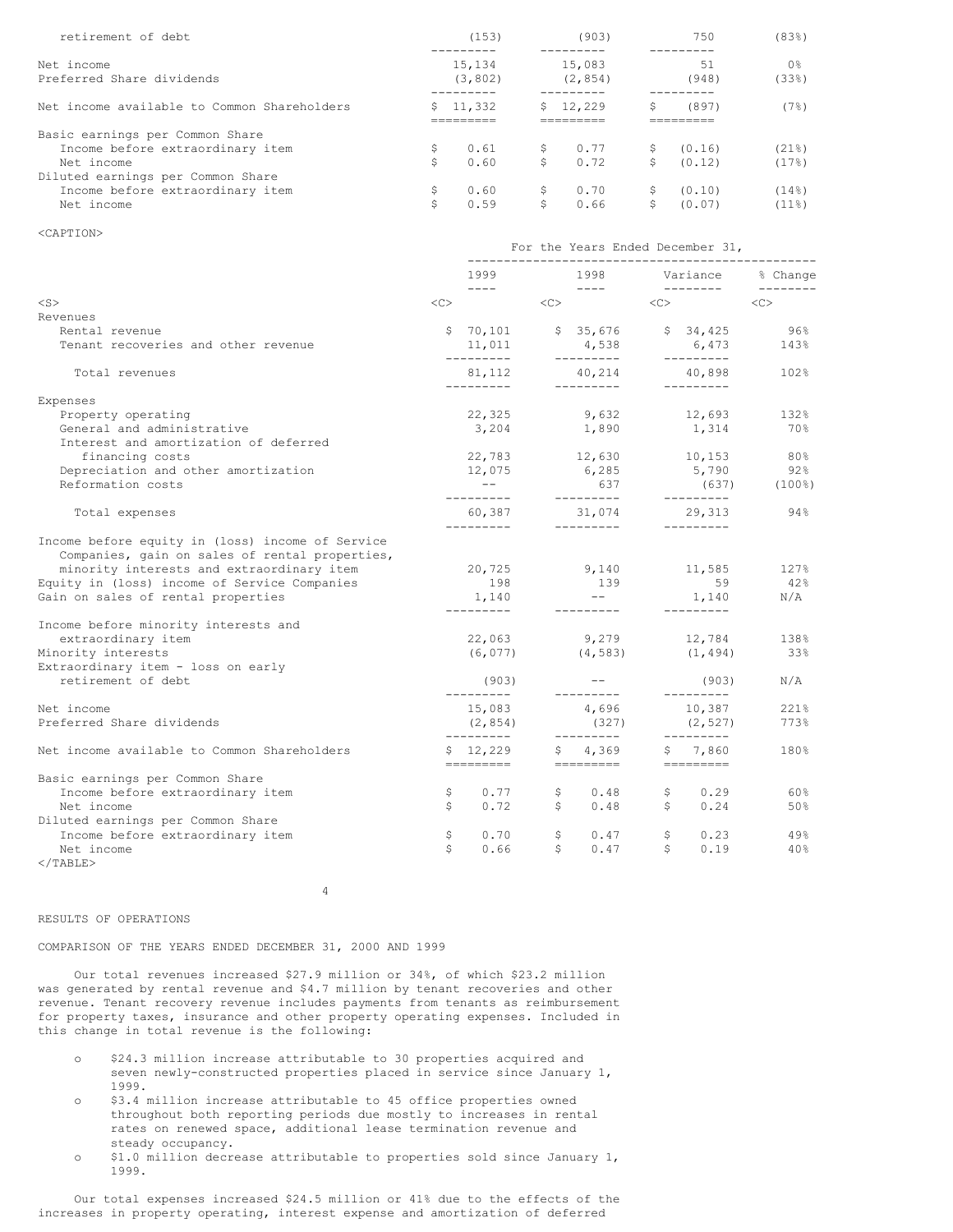|    | (153)              |                      | (903)              |                     | 750         | (83)                   |
|----|--------------------|----------------------|--------------------|---------------------|-------------|------------------------|
|    | 15,134<br>(3, 802) |                      | 15,083<br>(2, 854) |                     | 51<br>(948) | 0 <sup>8</sup><br>(33) |
| S. |                    | S.                   |                    | Ŝ                   | (897)       | (7)                    |
|    |                    |                      |                    |                     |             |                        |
| Ŝ  | 0.61               | S.                   | 0.77               |                     | (0.16)      | $(21$ $8)$             |
| Ŝ. | 0.60               | \$                   | 0.72               | \$                  | (0.12)      | (17)                   |
|    |                    |                      |                    |                     |             |                        |
| Ŝ  | 0.60               | \$                   | 0.70               |                     | (0.10)      | $(14\%)$               |
| Ś  | 0.59               | Ŝ                    | 0.66               |                     | (0.07)      | (11%)                  |
|    |                    | 11,332<br>---------- |                    | 12,229<br>--------- |             | _________              |

#### <CAPTION>

|                                                                                                                                                                                                                                       |           | For the Years Ended December 31, |                |                                             |                |                                    |                       |
|---------------------------------------------------------------------------------------------------------------------------------------------------------------------------------------------------------------------------------------|-----------|----------------------------------|----------------|---------------------------------------------|----------------|------------------------------------|-----------------------|
|                                                                                                                                                                                                                                       |           | 1999<br>$- - - -$                |                | 1998<br>$- - - - -$                         |                | Variance<br>_________              | % Change<br>_________ |
| $<$ S $>$                                                                                                                                                                                                                             | $<\infty$ |                                  | $<<$ $>$       | $\langle C \rangle$ and $\langle C \rangle$ |                |                                    | < <c></c>             |
| Revenues                                                                                                                                                                                                                              |           |                                  |                |                                             |                |                                    |                       |
| Rental revenue                                                                                                                                                                                                                        |           | \$70,101                         |                | $$35,676$ $$34,425$                         |                |                                    | 96%                   |
| Tenant recoveries and other revenue                                                                                                                                                                                                   |           | 11,011<br>----------             |                | $4,538$ 6,473<br>----------                 |                | ----------                         | 143%                  |
| Total revenues                                                                                                                                                                                                                        |           | 81,112                           |                | 40,214<br>----------                        |                | 40,898<br>----------               | 102%                  |
| Expenses                                                                                                                                                                                                                              |           |                                  |                |                                             |                |                                    |                       |
| Property operating                                                                                                                                                                                                                    |           | 22,325                           |                | 9,632                                       |                | 12,693                             | 132%                  |
| General and administrative                                                                                                                                                                                                            |           |                                  |                | 3,204 1,890 1,314                           |                |                                    | 70 %                  |
| Interest and amortization of deferred                                                                                                                                                                                                 |           |                                  |                |                                             |                |                                    |                       |
| financing costs                                                                                                                                                                                                                       |           | 22,783                           |                | 12,630                                      |                | 10,153                             | 80%                   |
| Depreciation and other amortization                                                                                                                                                                                                   |           | 12,075                           |                | 6,285                                       |                | 5,790                              | 92%                   |
| Reformation costs                                                                                                                                                                                                                     |           | $\sim$ $ -$<br>----------        |                | 637<br>----------                           |                | (637)<br>----------                | (100%)                |
| Total expenses                                                                                                                                                                                                                        |           | 60,387<br>----------             |                | 31,074<br>----------                        |                | 29,313                             | 94%                   |
| Income before equity in (loss) income of Service<br>Companies, gain on sales of rental properties,<br>minority interests and extraordinary item<br>Equity in (loss) income of Service Companies<br>Gain on sales of rental properties |           | 20,725<br>198<br>1,140           |                | 9,140<br>139<br>$ -$                        |                | 11,585<br>59<br>1,140              | 127%<br>42%<br>N/A    |
| Income before minority interests and                                                                                                                                                                                                  |           |                                  |                |                                             |                |                                    |                       |
| extraordinary item                                                                                                                                                                                                                    |           |                                  |                | 22,063 9,279 12,784                         |                |                                    | 138%                  |
| Minority interests                                                                                                                                                                                                                    |           |                                  |                | $(6, 077)$ $(4, 583)$ $(1, 494)$            |                |                                    | $33\%$                |
| Extraordinary item - loss on early<br>retirement of debt                                                                                                                                                                              |           | (903)                            |                |                                             |                | (903)                              | N/A                   |
| Net income                                                                                                                                                                                                                            |           | ----------<br>15,083             |                | ----------<br>4,696                         |                | $- - - - - - - - -$<br>10,387      | 221%                  |
| Preferred Share dividends                                                                                                                                                                                                             |           | (2, 854)                         |                | (327)                                       |                | (2, 527)                           | 773%                  |
| Net income available to Common Shareholders                                                                                                                                                                                           |           | ----------<br>\$12,229           |                | ----------<br>\$4.369                       |                | ----------<br>\$7.860<br>========= | 180%                  |
| Basic earnings per Common Share                                                                                                                                                                                                       |           |                                  |                |                                             |                |                                    |                       |
| Income before extraordinary item                                                                                                                                                                                                      |           | \$0.77                           |                | \$0.48                                      |                | \$0.29                             | 60%                   |
| Net income                                                                                                                                                                                                                            | \$        | 0.72                             |                | \$0.48                                      |                | \$0.24                             | 50%                   |
| Diluted earnings per Common Share                                                                                                                                                                                                     |           |                                  |                |                                             |                |                                    |                       |
| Income before extraordinary item                                                                                                                                                                                                      | \$        | 0.70                             |                | $\ddot{\mathsf{S}}$<br>0.47                 | $\mathsf{S}$   | 0.23                               | 49%                   |
| Net income                                                                                                                                                                                                                            | \$        | 0.66                             | $\mathsf{S}^-$ | 0.47                                        | $\mathsf{S}^-$ | 0.19                               | 40%                   |
| $<$ /TABLE>                                                                                                                                                                                                                           |           |                                  |                |                                             |                |                                    |                       |

4

### RESULTS OF OPERATIONS

## COMPARISON OF THE YEARS ENDED DECEMBER 31, 2000 AND 1999

Our total revenues increased \$27.9 million or 34%, of which \$23.2 million was generated by rental revenue and \$4.7 million by tenant recoveries and other revenue. Tenant recovery revenue includes payments from tenants as reimbursement for property taxes, insurance and other property operating expenses. Included in this change in total revenue is the following:

- o \$24.3 million increase attributable to 30 properties acquired and seven newly-constructed properties placed in service since January 1, 1999.
- o \$3.4 million increase attributable to 45 office properties owned throughout both reporting periods due mostly to increases in rental rates on renewed space, additional lease termination revenue and steady occupancy.
- o \$1.0 million decrease attributable to properties sold since January 1, 1999.

Our total expenses increased \$24.5 million or 41% due to the effects of the increases in property operating, interest expense and amortization of deferred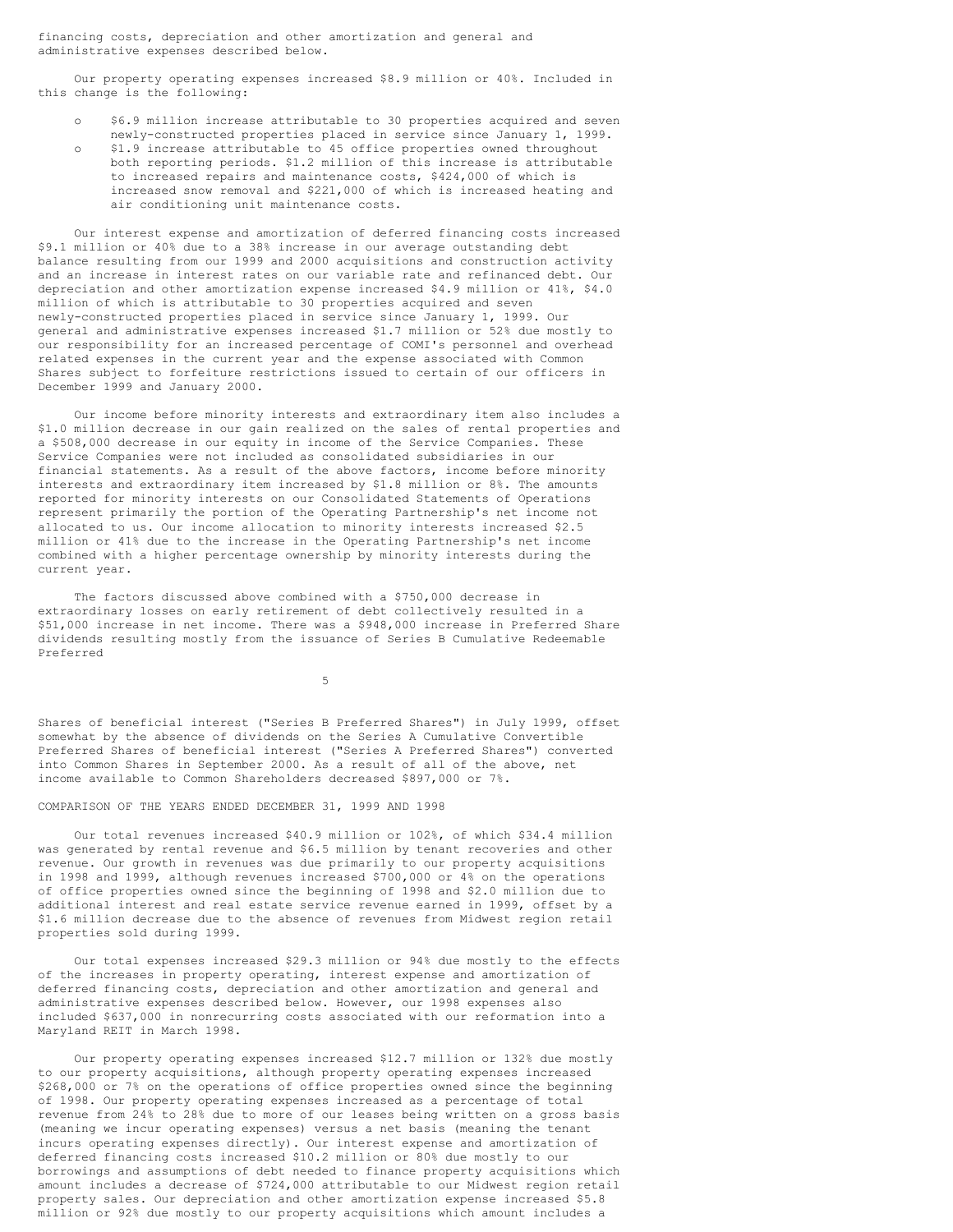financing costs, depreciation and other amortization and general and administrative expenses described below.

Our property operating expenses increased \$8.9 million or 40%. Included in this change is the following:

- o \$6.9 million increase attributable to 30 properties acquired and seven newly-constructed properties placed in service since January 1, 1999.
- o \$1.9 increase attributable to 45 office properties owned throughout both reporting periods. \$1.2 million of this increase is attributable to increased repairs and maintenance costs, \$424,000 of which is increased snow removal and \$221,000 of which is increased heating and air conditioning unit maintenance costs.

Our interest expense and amortization of deferred financing costs increased \$9.1 million or 40% due to a 38% increase in our average outstanding debt balance resulting from our 1999 and 2000 acquisitions and construction activity and an increase in interest rates on our variable rate and refinanced debt. Our depreciation and other amortization expense increased \$4.9 million or 41%, \$4.0 million of which is attributable to 30 properties acquired and seven newly-constructed properties placed in service since January 1, 1999. Our general and administrative expenses increased \$1.7 million or 52% due mostly to our responsibility for an increased percentage of COMI's personnel and overhead related expenses in the current year and the expense associated with Common Shares subject to forfeiture restrictions issued to certain of our officers in December 1999 and January 2000.

Our income before minority interests and extraordinary item also includes a \$1.0 million decrease in our gain realized on the sales of rental properties and a \$508,000 decrease in our equity in income of the Service Companies. These Service Companies were not included as consolidated subsidiaries in our financial statements. As a result of the above factors, income before minority interests and extraordinary item increased by \$1.8 million or 8%. The amounts reported for minority interests on our Consolidated Statements of Operations represent primarily the portion of the Operating Partnership's net income not allocated to us. Our income allocation to minority interests increased \$2.5 million or 41% due to the increase in the Operating Partnership's net income combined with a higher percentage ownership by minority interests during the current year.

The factors discussed above combined with a \$750,000 decrease in extraordinary losses on early retirement of debt collectively resulted in a \$51,000 increase in net income. There was a \$948,000 increase in Preferred Share dividends resulting mostly from the issuance of Series B Cumulative Redeemable Preferred

5

Shares of beneficial interest ("Series B Preferred Shares") in July 1999, offset somewhat by the absence of dividends on the Series A Cumulative Convertible Preferred Shares of beneficial interest ("Series A Preferred Shares") converted into Common Shares in September 2000. As a result of all of the above, net income available to Common Shareholders decreased \$897,000 or 7%.

### COMPARISON OF THE YEARS ENDED DECEMBER 31, 1999 AND 1998

Our total revenues increased \$40.9 million or 102%, of which \$34.4 million was generated by rental revenue and \$6.5 million by tenant recoveries and other revenue. Our growth in revenues was due primarily to our property acquisitions in 1998 and 1999, although revenues increased \$700,000 or 4% on the operations of office properties owned since the beginning of 1998 and \$2.0 million due to additional interest and real estate service revenue earned in 1999, offset by a \$1.6 million decrease due to the absence of revenues from Midwest region retail properties sold during 1999.

Our total expenses increased \$29.3 million or 94% due mostly to the effects of the increases in property operating, interest expense and amortization of deferred financing costs, depreciation and other amortization and general and administrative expenses described below. However, our 1998 expenses also included \$637,000 in nonrecurring costs associated with our reformation into a Maryland REIT in March 1998.

Our property operating expenses increased \$12.7 million or 132% due mostly to our property acquisitions, although property operating expenses increased \$268,000 or 7% on the operations of office properties owned since the beginning of 1998. Our property operating expenses increased as a percentage of total revenue from 24% to 28% due to more of our leases being written on a gross basis (meaning we incur operating expenses) versus a net basis (meaning the tenant incurs operating expenses directly). Our interest expense and amortization of deferred financing costs increased \$10.2 million or 80% due mostly to our borrowings and assumptions of debt needed to finance property acquisitions which amount includes a decrease of \$724,000 attributable to our Midwest region retail property sales. Our depreciation and other amortization expense increased \$5.8 million or 92% due mostly to our property acquisitions which amount includes a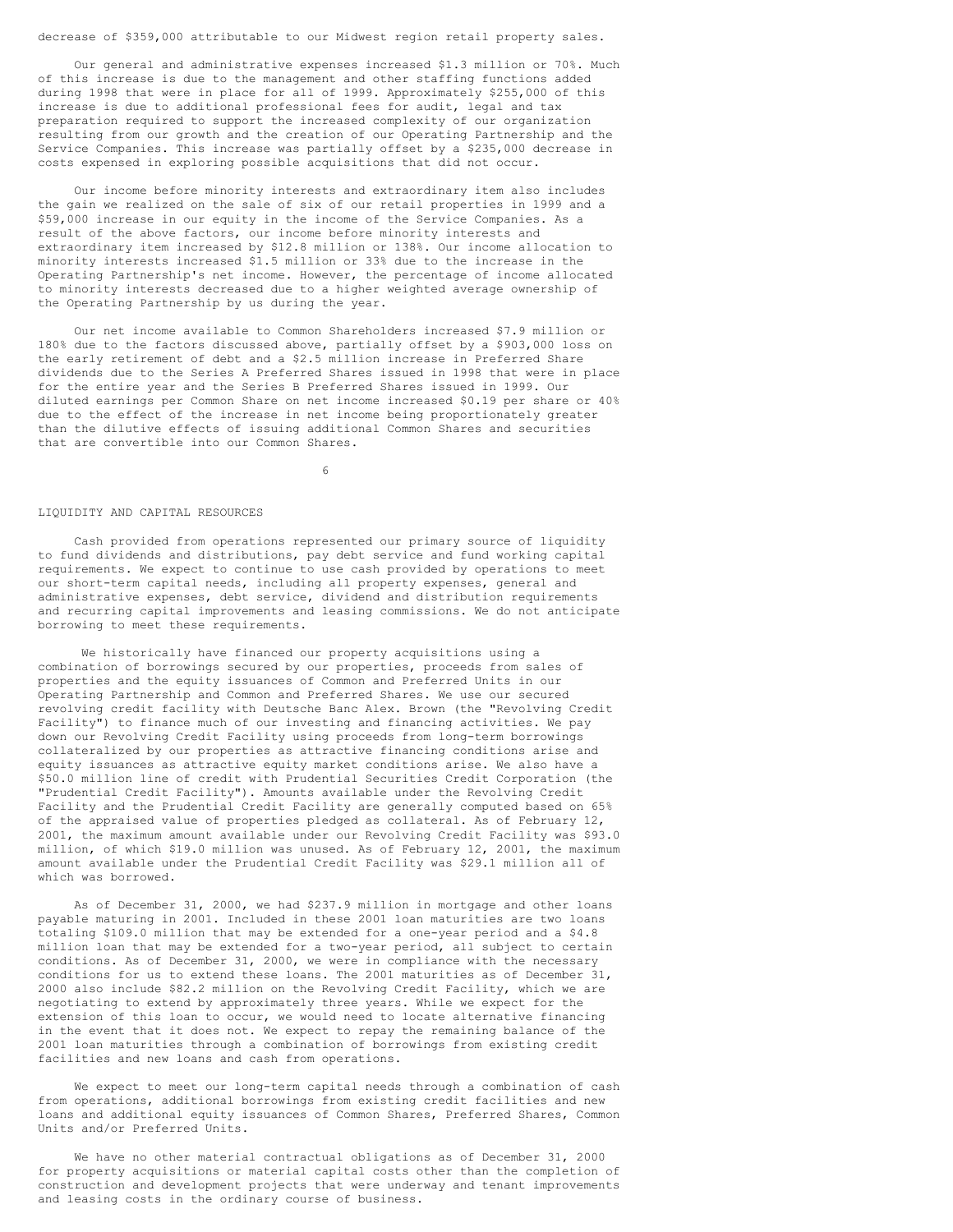decrease of \$359,000 attributable to our Midwest region retail property sales.

Our general and administrative expenses increased \$1.3 million or 70%. Much of this increase is due to the management and other staffing functions added during 1998 that were in place for all of 1999. Approximately \$255,000 of this increase is due to additional professional fees for audit, legal and tax preparation required to support the increased complexity of our organization resulting from our growth and the creation of our Operating Partnership and the Service Companies. This increase was partially offset by a \$235,000 decrease in costs expensed in exploring possible acquisitions that did not occur.

Our income before minority interests and extraordinary item also includes the gain we realized on the sale of six of our retail properties in 1999 and a \$59,000 increase in our equity in the income of the Service Companies. As a result of the above factors, our income before minority interests and extraordinary item increased by \$12.8 million or 138%. Our income allocation to minority interests increased \$1.5 million or 33% due to the increase in the Operating Partnership's net income. However, the percentage of income allocated to minority interests decreased due to a higher weighted average ownership of the Operating Partnership by us during the year.

Our net income available to Common Shareholders increased \$7.9 million or 180% due to the factors discussed above, partially offset by a \$903,000 loss on the early retirement of debt and a \$2.5 million increase in Preferred Share dividends due to the Series A Preferred Shares issued in 1998 that were in place for the entire year and the Series B Preferred Shares issued in 1999. Our diluted earnings per Common Share on net income increased \$0.19 per share or 40% due to the effect of the increase in net income being proportionately greater than the dilutive effects of issuing additional Common Shares and securities that are convertible into our Common Shares.

6

### LIQUIDITY AND CAPITAL RESOURCES

Cash provided from operations represented our primary source of liquidity to fund dividends and distributions, pay debt service and fund working capital requirements. We expect to continue to use cash provided by operations to meet our short-term capital needs, including all property expenses, general and administrative expenses, debt service, dividend and distribution requirements and recurring capital improvements and leasing commissions. We do not anticipate borrowing to meet these requirements.

We historically have financed our property acquisitions using a combination of borrowings secured by our properties, proceeds from sales of properties and the equity issuances of Common and Preferred Units in our Operating Partnership and Common and Preferred Shares. We use our secured revolving credit facility with Deutsche Banc Alex. Brown (the "Revolving Credit Facility") to finance much of our investing and financing activities. We pay down our Revolving Credit Facility using proceeds from long-term borrowings collateralized by our properties as attractive financing conditions arise and equity issuances as attractive equity market conditions arise. We also have a \$50.0 million line of credit with Prudential Securities Credit Corporation (the "Prudential Credit Facility"). Amounts available under the Revolving Credit Facility and the Prudential Credit Facility are generally computed based on 65% of the appraised value of properties pledged as collateral. As of February 12, 2001, the maximum amount available under our Revolving Credit Facility was \$93.0 million, of which \$19.0 million was unused. As of February 12, 2001, the maximum amount available under the Prudential Credit Facility was \$29.1 million all of which was borrowed.

As of December 31, 2000, we had \$237.9 million in mortgage and other loans payable maturing in 2001. Included in these 2001 loan maturities are two loans totaling \$109.0 million that may be extended for a one-year period and a \$4.8 million loan that may be extended for a two-year period, all subject to certain conditions. As of December 31, 2000, we were in compliance with the necessary conditions for us to extend these loans. The 2001 maturities as of December 31, 2000 also include \$82.2 million on the Revolving Credit Facility, which we are negotiating to extend by approximately three years. While we expect for the extension of this loan to occur, we would need to locate alternative financing in the event that it does not. We expect to repay the remaining balance of the 2001 loan maturities through a combination of borrowings from existing credit facilities and new loans and cash from operations.

We expect to meet our long-term capital needs through a combination of cash from operations, additional borrowings from existing credit facilities and new loans and additional equity issuances of Common Shares, Preferred Shares, Common Units and/or Preferred Units.

We have no other material contractual obligations as of December 31, 2000 for property acquisitions or material capital costs other than the completion of construction and development projects that were underway and tenant improvements and leasing costs in the ordinary course of business.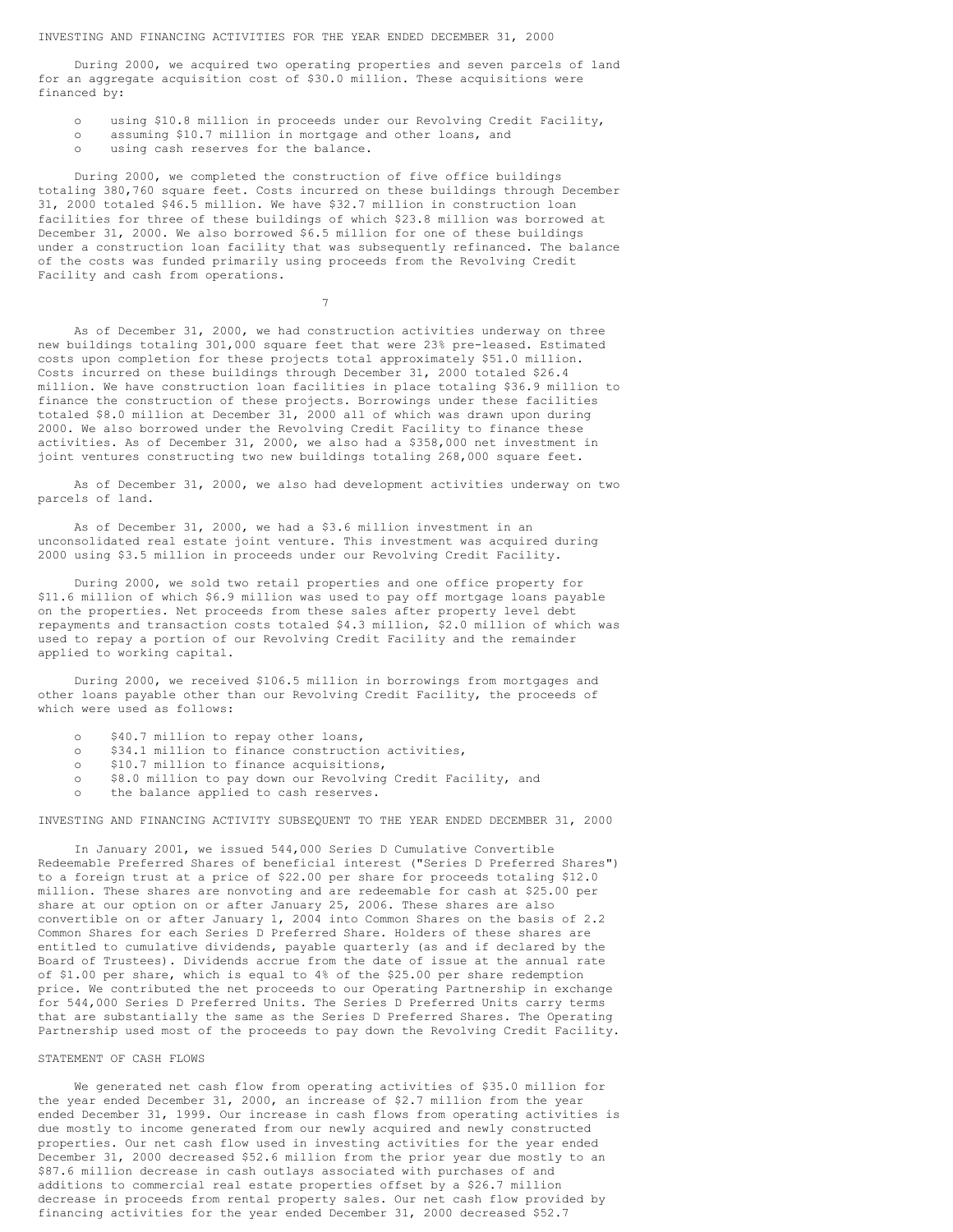#### INVESTING AND FINANCING ACTIVITIES FOR THE YEAR ENDED DECEMBER 31, 2000

During 2000, we acquired two operating properties and seven parcels of land for an aggregate acquisition cost of \$30.0 million. These acquisitions were financed by:

- o using \$10.8 million in proceeds under our Revolving Credit Facility,
- o assuming \$10.7 million in mortgage and other loans, and
- o using cash reserves for the balance.

During 2000, we completed the construction of five office buildings totaling 380,760 square feet. Costs incurred on these buildings through December 31, 2000 totaled \$46.5 million. We have \$32.7 million in construction loan facilities for three of these buildings of which \$23.8 million was borrowed at December 31, 2000. We also borrowed \$6.5 million for one of these buildings under a construction loan facility that was subsequently refinanced. The balance of the costs was funded primarily using proceeds from the Revolving Credit Facility and cash from operations.

7

As of December 31, 2000, we had construction activities underway on three new buildings totaling 301,000 square feet that were 23% pre-leased. Estimated costs upon completion for these projects total approximately \$51.0 million. Costs incurred on these buildings through December 31, 2000 totaled \$26.4 million. We have construction loan facilities in place totaling \$36.9 million to finance the construction of these projects. Borrowings under these facilities totaled \$8.0 million at December 31, 2000 all of which was drawn upon during 2000. We also borrowed under the Revolving Credit Facility to finance these activities. As of December 31, 2000, we also had a \$358,000 net investment in joint ventures constructing two new buildings totaling 268,000 square feet.

As of December 31, 2000, we also had development activities underway on two parcels of land.

As of December 31, 2000, we had a \$3.6 million investment in an unconsolidated real estate joint venture. This investment was acquired during 2000 using \$3.5 million in proceeds under our Revolving Credit Facility.

During 2000, we sold two retail properties and one office property for \$11.6 million of which \$6.9 million was used to pay off mortgage loans payable on the properties. Net proceeds from these sales after property level debt repayments and transaction costs totaled \$4.3 million, \$2.0 million of which was used to repay a portion of our Revolving Credit Facility and the remainder applied to working capital.

During 2000, we received \$106.5 million in borrowings from mortgages and other loans payable other than our Revolving Credit Facility, the proceeds of which were used as follows:

- o \$40.7 million to repay other loans,
- o \$34.1 million to finance construction activities,
- o \$10.7 million to finance acquisitions,
- o \$8.0 million to pay down our Revolving Credit Facility, and
- o the balance applied to cash reserves.

INVESTING AND FINANCING ACTIVITY SUBSEQUENT TO THE YEAR ENDED DECEMBER 31, 2000

In January 2001, we issued 544,000 Series D Cumulative Convertible Redeemable Preferred Shares of beneficial interest ("Series D Preferred Shares") to a foreign trust at a price of \$22.00 per share for proceeds totaling \$12.0 million. These shares are nonvoting and are redeemable for cash at \$25.00 per share at our option on or after January 25, 2006. These shares are also convertible on or after January 1, 2004 into Common Shares on the basis of 2.2 Common Shares for each Series D Preferred Share. Holders of these shares are entitled to cumulative dividends, payable quarterly (as and if declared by the Board of Trustees). Dividends accrue from the date of issue at the annual rate of \$1.00 per share, which is equal to 4% of the \$25.00 per share redemption price. We contributed the net proceeds to our Operating Partnership in exchange for 544,000 Series D Preferred Units. The Series D Preferred Units carry terms that are substantially the same as the Series D Preferred Shares. The Operating Partnership used most of the proceeds to pay down the Revolving Credit Facility.

## STATEMENT OF CASH FLOWS

We generated net cash flow from operating activities of \$35.0 million for the year ended December 31, 2000, an increase of \$2.7 million from the year ended December 31, 1999. Our increase in cash flows from operating activities is due mostly to income generated from our newly acquired and newly constructed properties. Our net cash flow used in investing activities for the year ended December 31, 2000 decreased \$52.6 million from the prior year due mostly to an \$87.6 million decrease in cash outlays associated with purchases of and additions to commercial real estate properties offset by a \$26.7 million decrease in proceeds from rental property sales. Our net cash flow provided by financing activities for the year ended December 31, 2000 decreased \$52.7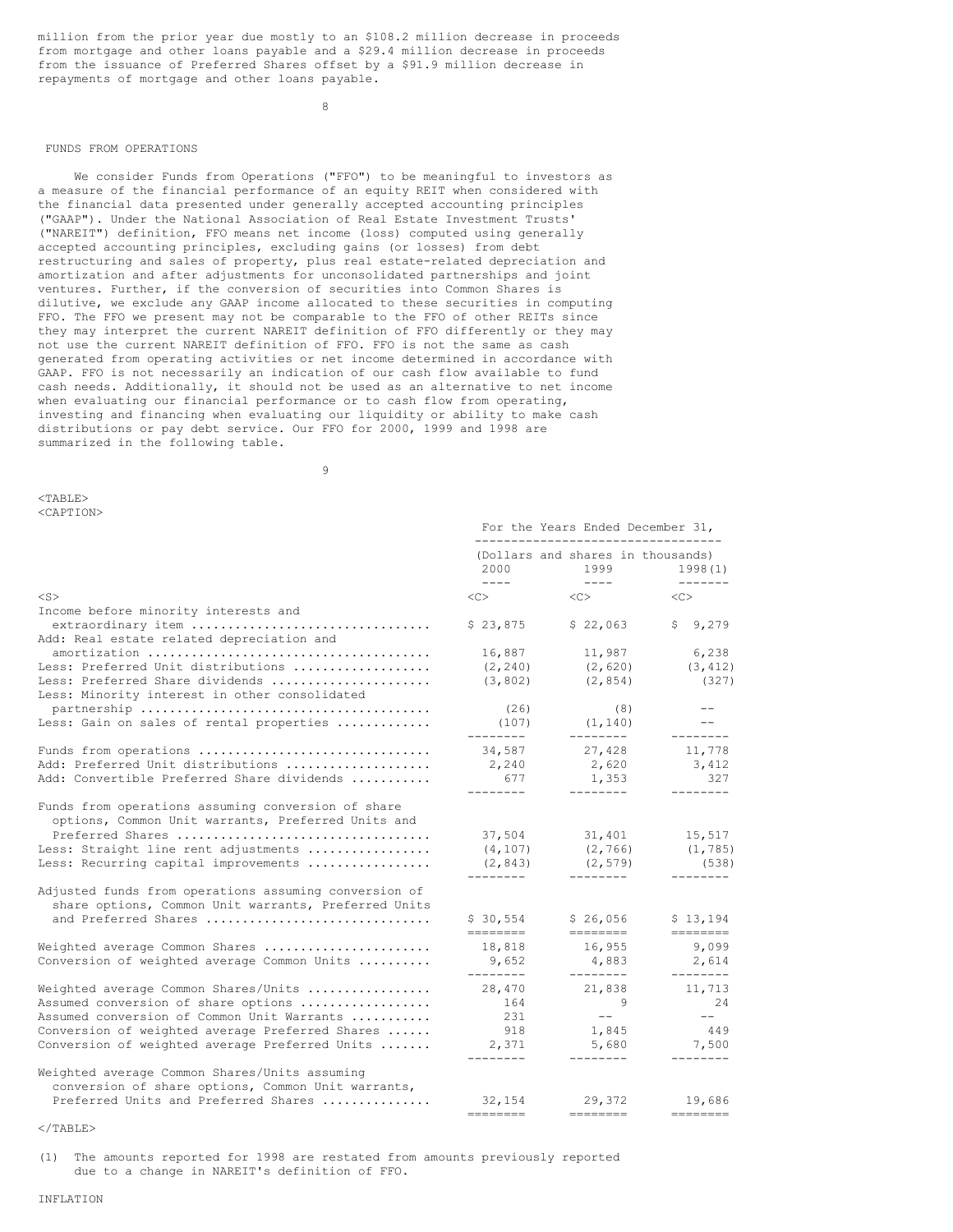million from the prior year due mostly to an \$108.2 million decrease in proceeds from mortgage and other loans payable and a \$29.4 million decrease in proceeds from the issuance of Preferred Shares offset by a \$91.9 million decrease in repayments of mortgage and other loans payable.

#### 8

### FUNDS FROM OPERATIONS

We consider Funds from Operations ("FFO") to be meaningful to investors as a measure of the financial performance of an equity REIT when considered with the financial data presented under generally accepted accounting principles ("GAAP"). Under the National Association of Real Estate Investment Trusts' ("NAREIT") definition, FFO means net income (loss) computed using generally accepted accounting principles, excluding gains (or losses) from debt restructuring and sales of property, plus real estate-related depreciation and amortization and after adjustments for unconsolidated partnerships and joint ventures. Further, if the conversion of securities into Common Shares is dilutive, we exclude any GAAP income allocated to these securities in computing FFO. The FFO we present may not be comparable to the FFO of other REITs since they may interpret the current NAREIT definition of FFO differently or they may not use the current NAREIT definition of FFO. FFO is not the same as cash generated from operating activities or net income determined in accordance with GAAP. FFO is not necessarily an indication of our cash flow available to fund cash needs. Additionally, it should not be used as an alternative to net income when evaluating our financial performance or to cash flow from operating, investing and financing when evaluating our liquidity or ability to make cash distributions or pay debt service. Our FFO for 2000, 1999 and 1998 are summarized in the following table.

 $\alpha$ 

#### $<$ TABLE>  $C$   $\lambda$  DTT  $\cap$ MN

| $\overline{\phantom{a}}$ |  | 1 U 2 I N |  |
|--------------------------|--|-----------|--|
|                          |  |           |  |

|                                                                                                                              | For the Years Ended December 31,<br>------------------------------- |                                                                                                                                                                                                                                                                                                                                                                                                                                                                                                      |                                                                                                                                                                                                                                                                                                                                                                                                                                                                                                    |  |
|------------------------------------------------------------------------------------------------------------------------------|---------------------------------------------------------------------|------------------------------------------------------------------------------------------------------------------------------------------------------------------------------------------------------------------------------------------------------------------------------------------------------------------------------------------------------------------------------------------------------------------------------------------------------------------------------------------------------|----------------------------------------------------------------------------------------------------------------------------------------------------------------------------------------------------------------------------------------------------------------------------------------------------------------------------------------------------------------------------------------------------------------------------------------------------------------------------------------------------|--|
|                                                                                                                              | 2000<br>$---$                                                       | (Dollars and shares in thousands)<br>1999<br><b>Service Contracts</b>                                                                                                                                                                                                                                                                                                                                                                                                                                | 1998(1)<br>________                                                                                                                                                                                                                                                                                                                                                                                                                                                                                |  |
| $<$ S $>$                                                                                                                    | $\langle C \rangle$                                                 | $\langle C \rangle$                                                                                                                                                                                                                                                                                                                                                                                                                                                                                  | <<>                                                                                                                                                                                                                                                                                                                                                                                                                                                                                                |  |
| Income before minority interests and                                                                                         |                                                                     |                                                                                                                                                                                                                                                                                                                                                                                                                                                                                                      |                                                                                                                                                                                                                                                                                                                                                                                                                                                                                                    |  |
| extraordinary item<br>Add: Real estate related depreciation and                                                              | \$23,875                                                            | \$22,063                                                                                                                                                                                                                                                                                                                                                                                                                                                                                             | \$9,279                                                                                                                                                                                                                                                                                                                                                                                                                                                                                            |  |
|                                                                                                                              | 16,887                                                              | 11,987                                                                                                                                                                                                                                                                                                                                                                                                                                                                                               | 6,238                                                                                                                                                                                                                                                                                                                                                                                                                                                                                              |  |
| Less: Preferred Unit distributions                                                                                           | (2, 240)                                                            | (2,620)                                                                                                                                                                                                                                                                                                                                                                                                                                                                                              | (3, 412)                                                                                                                                                                                                                                                                                                                                                                                                                                                                                           |  |
| Less: Preferred Share dividends<br>Less: Minority interest in other consolidated                                             | (3, 802)                                                            | (2, 854)                                                                                                                                                                                                                                                                                                                                                                                                                                                                                             | (327)                                                                                                                                                                                                                                                                                                                                                                                                                                                                                              |  |
|                                                                                                                              | (26)                                                                | (8)                                                                                                                                                                                                                                                                                                                                                                                                                                                                                                  | $- -$                                                                                                                                                                                                                                                                                                                                                                                                                                                                                              |  |
| Less: Gain on sales of rental properties                                                                                     | (107)<br>---------                                                  | (1, 140)<br>--------                                                                                                                                                                                                                                                                                                                                                                                                                                                                                 | $- -$<br>$- - - - - - - -$                                                                                                                                                                                                                                                                                                                                                                                                                                                                         |  |
| Funds from operations                                                                                                        | 34,587                                                              | 27,428                                                                                                                                                                                                                                                                                                                                                                                                                                                                                               | 11,778                                                                                                                                                                                                                                                                                                                                                                                                                                                                                             |  |
| Add: Preferred Unit distributions                                                                                            | 2,240                                                               | 2,620                                                                                                                                                                                                                                                                                                                                                                                                                                                                                                | 3,412                                                                                                                                                                                                                                                                                                                                                                                                                                                                                              |  |
| Add: Convertible Preferred Share dividends                                                                                   | 677                                                                 | 1,353<br>---------                                                                                                                                                                                                                                                                                                                                                                                                                                                                                   | 327                                                                                                                                                                                                                                                                                                                                                                                                                                                                                                |  |
| Funds from operations assuming conversion of share<br>options, Common Unit warrants, Preferred Units and<br>Preferred Shares | 37,504                                                              | 31,401                                                                                                                                                                                                                                                                                                                                                                                                                                                                                               | 15,517                                                                                                                                                                                                                                                                                                                                                                                                                                                                                             |  |
| Less: Straight line rent adjustments                                                                                         | (4, 107)                                                            | (2, 766)                                                                                                                                                                                                                                                                                                                                                                                                                                                                                             | (1, 785)                                                                                                                                                                                                                                                                                                                                                                                                                                                                                           |  |
| Less: Recurring capital improvements                                                                                         | (2, 843)                                                            | (2, 579)                                                                                                                                                                                                                                                                                                                                                                                                                                                                                             | (538)<br>--------                                                                                                                                                                                                                                                                                                                                                                                                                                                                                  |  |
| Adjusted funds from operations assuming conversion of<br>share options, Common Unit warrants, Preferred Units                |                                                                     |                                                                                                                                                                                                                                                                                                                                                                                                                                                                                                      |                                                                                                                                                                                                                                                                                                                                                                                                                                                                                                    |  |
| and Preferred Shares                                                                                                         | \$30,554<br>========                                                | \$26,056<br>$\begin{tabular}{ll} \multicolumn{2}{l}{} & \multicolumn{2}{l}{} & \multicolumn{2}{l}{} \\ \multicolumn{2}{l}{} & \multicolumn{2}{l}{} & \multicolumn{2}{l}{} \\ \multicolumn{2}{l}{} & \multicolumn{2}{l}{} & \multicolumn{2}{l}{} \\ \multicolumn{2}{l}{} & \multicolumn{2}{l}{} & \multicolumn{2}{l}{} \\ \multicolumn{2}{l}{} & \multicolumn{2}{l}{} & \multicolumn{2}{l}{} \\ \multicolumn{2}{l}{} & \multicolumn{2}{l}{} & \multicolumn{2}{l}{} \\ \multicolumn{2}{l}{} & \multic$ | \$13,194<br>$\begin{array}{cccccccccc} \multicolumn{2}{c}{} & \multicolumn{2}{c}{} & \multicolumn{2}{c}{} & \multicolumn{2}{c}{} & \multicolumn{2}{c}{} & \multicolumn{2}{c}{} & \multicolumn{2}{c}{} & \multicolumn{2}{c}{} & \multicolumn{2}{c}{} & \multicolumn{2}{c}{} & \multicolumn{2}{c}{} & \multicolumn{2}{c}{} & \multicolumn{2}{c}{} & \multicolumn{2}{c}{} & \multicolumn{2}{c}{} & \multicolumn{2}{c}{} & \multicolumn{2}{c}{} & \multicolumn{2}{c}{} & \multicolumn{2}{c}{} & \mult$ |  |
| Weighted average Common Shares                                                                                               | 18,818                                                              | 16,955                                                                                                                                                                                                                                                                                                                                                                                                                                                                                               | 9,099                                                                                                                                                                                                                                                                                                                                                                                                                                                                                              |  |
| Conversion of weighted average Common Units                                                                                  | 9,652<br>--------                                                   | 4,883<br>--------                                                                                                                                                                                                                                                                                                                                                                                                                                                                                    | 2,614<br>--------                                                                                                                                                                                                                                                                                                                                                                                                                                                                                  |  |
| Weighted average Common Shares/Units                                                                                         | 28,470                                                              | 21,838                                                                                                                                                                                                                                                                                                                                                                                                                                                                                               | 11,713                                                                                                                                                                                                                                                                                                                                                                                                                                                                                             |  |
| Assumed conversion of share options                                                                                          | 164                                                                 | 9                                                                                                                                                                                                                                                                                                                                                                                                                                                                                                    | 24                                                                                                                                                                                                                                                                                                                                                                                                                                                                                                 |  |
| Assumed conversion of Common Unit Warrants                                                                                   | 231                                                                 | $---$                                                                                                                                                                                                                                                                                                                                                                                                                                                                                                | $\frac{1}{2} \frac{1}{2} \left( \frac{1}{2} \right) + \frac{1}{2} \left( \frac{1}{2} \right) + \frac{1}{2} \left( \frac{1}{2} \right) + \frac{1}{2} \left( \frac{1}{2} \right) + \frac{1}{2} \left( \frac{1}{2} \right) + \frac{1}{2} \left( \frac{1}{2} \right) + \frac{1}{2} \left( \frac{1}{2} \right) + \frac{1}{2} \left( \frac{1}{2} \right) + \frac{1}{2} \left( \frac{1}{2} \right) + \frac{1}{2} \left( \frac{1}{2} \right) + \frac{$                                                     |  |
| Conversion of weighted average Preferred Shares                                                                              | 918                                                                 | 1,845                                                                                                                                                                                                                                                                                                                                                                                                                                                                                                | 449                                                                                                                                                                                                                                                                                                                                                                                                                                                                                                |  |
| Conversion of weighted average Preferred Units                                                                               | 2,371<br>--------                                                   | 5,680<br>---------                                                                                                                                                                                                                                                                                                                                                                                                                                                                                   | 7,500<br>$- - - - - - - -$                                                                                                                                                                                                                                                                                                                                                                                                                                                                         |  |
| Weighted average Common Shares/Units assuming<br>conversion of share options, Common Unit warrants,                          |                                                                     |                                                                                                                                                                                                                                                                                                                                                                                                                                                                                                      |                                                                                                                                                                                                                                                                                                                                                                                                                                                                                                    |  |
| Preferred Units and Preferred Shares                                                                                         |                                                                     |                                                                                                                                                                                                                                                                                                                                                                                                                                                                                                      | 32, 154 29, 372 19, 686                                                                                                                                                                                                                                                                                                                                                                                                                                                                            |  |
|                                                                                                                              |                                                                     |                                                                                                                                                                                                                                                                                                                                                                                                                                                                                                      |                                                                                                                                                                                                                                                                                                                                                                                                                                                                                                    |  |

### $<$ /TABLE>

(1) The amounts reported for 1998 are restated from amounts previously reported due to a change in NAREIT's definition of FFO.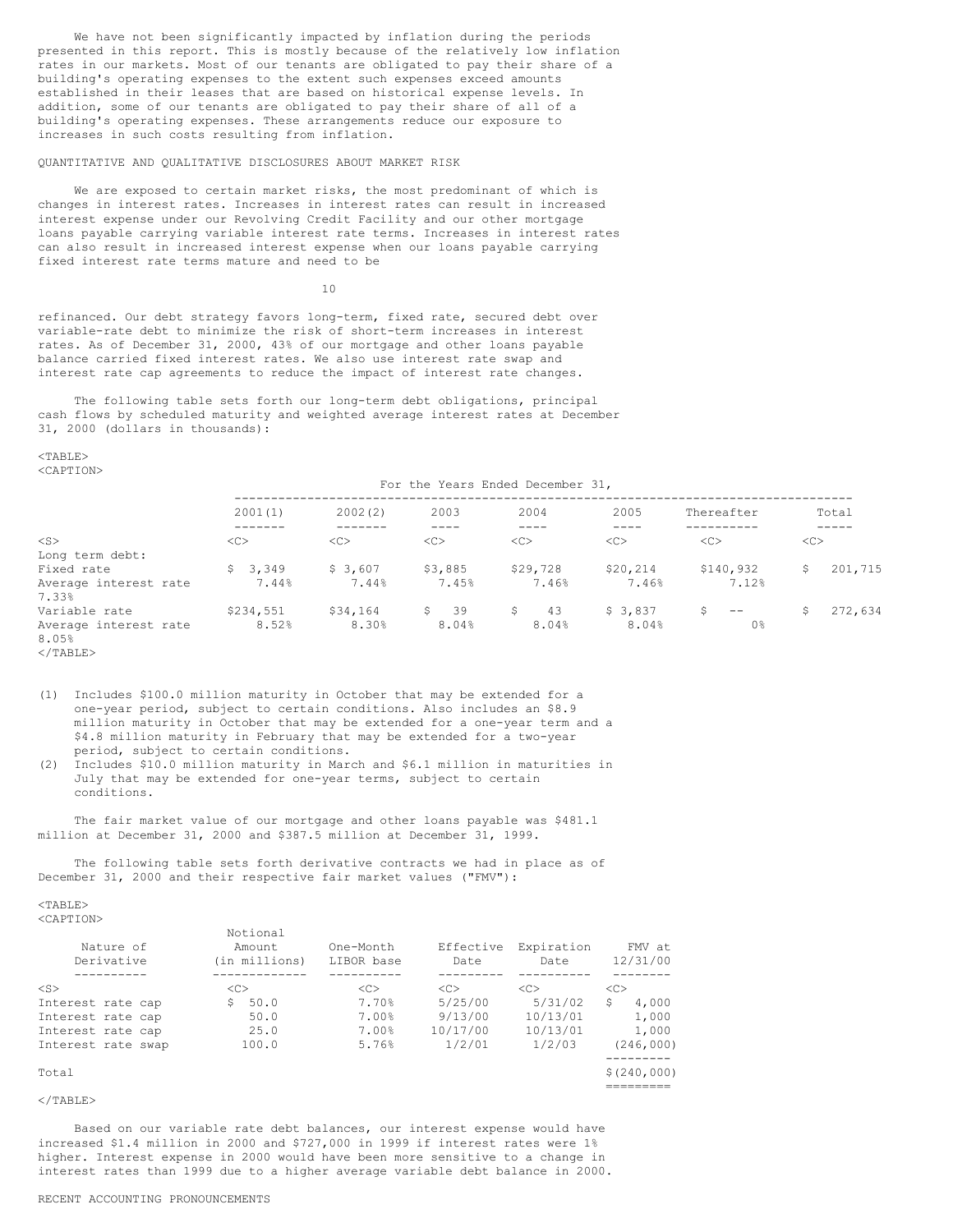We have not been significantly impacted by inflation during the periods presented in this report. This is mostly because of the relatively low inflation rates in our markets. Most of our tenants are obligated to pay their share of a building's operating expenses to the extent such expenses exceed amounts established in their leases that are based on historical expense levels. In addition, some of our tenants are obligated to pay their share of all of a building's operating expenses. These arrangements reduce our exposure to increases in such costs resulting from inflation.

#### QUANTITATIVE AND QUALITATIVE DISCLOSURES ABOUT MARKET RISK

We are exposed to certain market risks, the most predominant of which is changes in interest rates. Increases in interest rates can result in increased interest expense under our Revolving Credit Facility and our other mortgage loans payable carrying variable interest rate terms. Increases in interest rates can also result in increased interest expense when our loans payable carrying fixed interest rate terms mature and need to be

10

refinanced. Our debt strategy favors long-term, fixed rate, secured debt over variable-rate debt to minimize the risk of short-term increases in interest rates. As of December 31, 2000, 43% of our mortgage and other loans payable balance carried fixed interest rates. We also use interest rate swap and interest rate cap agreements to reduce the impact of interest rate changes.

The following table sets forth our long-term debt obligations, principal cash flows by scheduled maturity and weighted average interest rates at December 31, 2000 (dollars in thousands):

 $<$ TABLE> <CAPTION>

For the Years Ended December 31,

|                                | 2001(1)       | 2002(2)  | 2003      | 2004     | 2005     | Thereafter        | Total         |
|--------------------------------|---------------|----------|-----------|----------|----------|-------------------|---------------|
| $<$ S $>$                      | < <sub></sub> | <<       | <<        | <<       | <<       | <<                | <<>           |
| Long term debt:                |               |          |           |          |          |                   |               |
| Fixed rate                     | \$3,349       | \$3.607  | \$3,885   | \$29,728 | \$20,214 | \$140,932         | 201,715<br>S  |
| Average interest rate<br>7.33% | 7.44%         | 7.44%    | 7.45%     | 7.46%    | 7.46%    | 7.12%             |               |
| Variable rate                  | \$234,551     | \$34,164 | -39<br>S. | 43<br>S. | \$3,837  | \$.<br>$\qquad -$ | 272,634<br>S. |
| Average interest rate<br>8.05% | 8.52%         | 8.30%    | 8.04%     | 8.04%    | 8.04%    | 0 <sup>°</sup>    |               |

 $<$ /TABLE>

(1) Includes \$100.0 million maturity in October that may be extended for a one-year period, subject to certain conditions. Also includes an \$8.9 million maturity in October that may be extended for a one-year term and a \$4.8 million maturity in February that may be extended for a two-year period, subject to certain conditions.

(2) Includes \$10.0 million maturity in March and \$6.1 million in maturities in July that may be extended for one-year terms, subject to certain conditions.

The fair market value of our mortgage and other loans payable was \$481.1 million at December 31, 2000 and \$387.5 million at December 31, 1999.

The following table sets forth derivative contracts we had in place as of December 31, 2000 and their respective fair market values ("FMV"):

 $<$ TABLE> <CAPTION>

| Nature of<br>Derivative | Notional<br>Amount<br>(in millions) | One-Month<br>LIBOR base | Effective<br>Date | Expiration<br>Date | FMV at<br>12/31/00 |
|-------------------------|-------------------------------------|-------------------------|-------------------|--------------------|--------------------|
| $<$ S $>$               | <<                                  | <<                      | <<                | <<                 | < <sub></sub>      |
| Interest rate cap       | 50.0<br>S.                          | 7.70%                   | 5/25/00           | 5/31/02            | S<br>4,000         |
| Interest rate cap       | 50.0                                | 7.00%                   | 9/13/00           | 10/13/01           | 1,000              |
| Interest rate cap       | 25.0                                | 7.00%                   | 10/17/00          | 10/13/01           | 1,000              |
| Interest rate swap      | 100.0                               | 5.76%                   | 1/2/01            | 1/2/03             | (246, 000)         |
|                         |                                     |                         |                   |                    |                    |
| Total                   |                                     |                         |                   |                    | \$(240,000)        |
|                         |                                     |                         |                   |                    |                    |

 $\langle$ /TABLE>

Based on our variable rate debt balances, our interest expense would have increased \$1.4 million in 2000 and \$727,000 in 1999 if interest rates were 1% higher. Interest expense in 2000 would have been more sensitive to a change in interest rates than 1999 due to a higher average variable debt balance in 2000.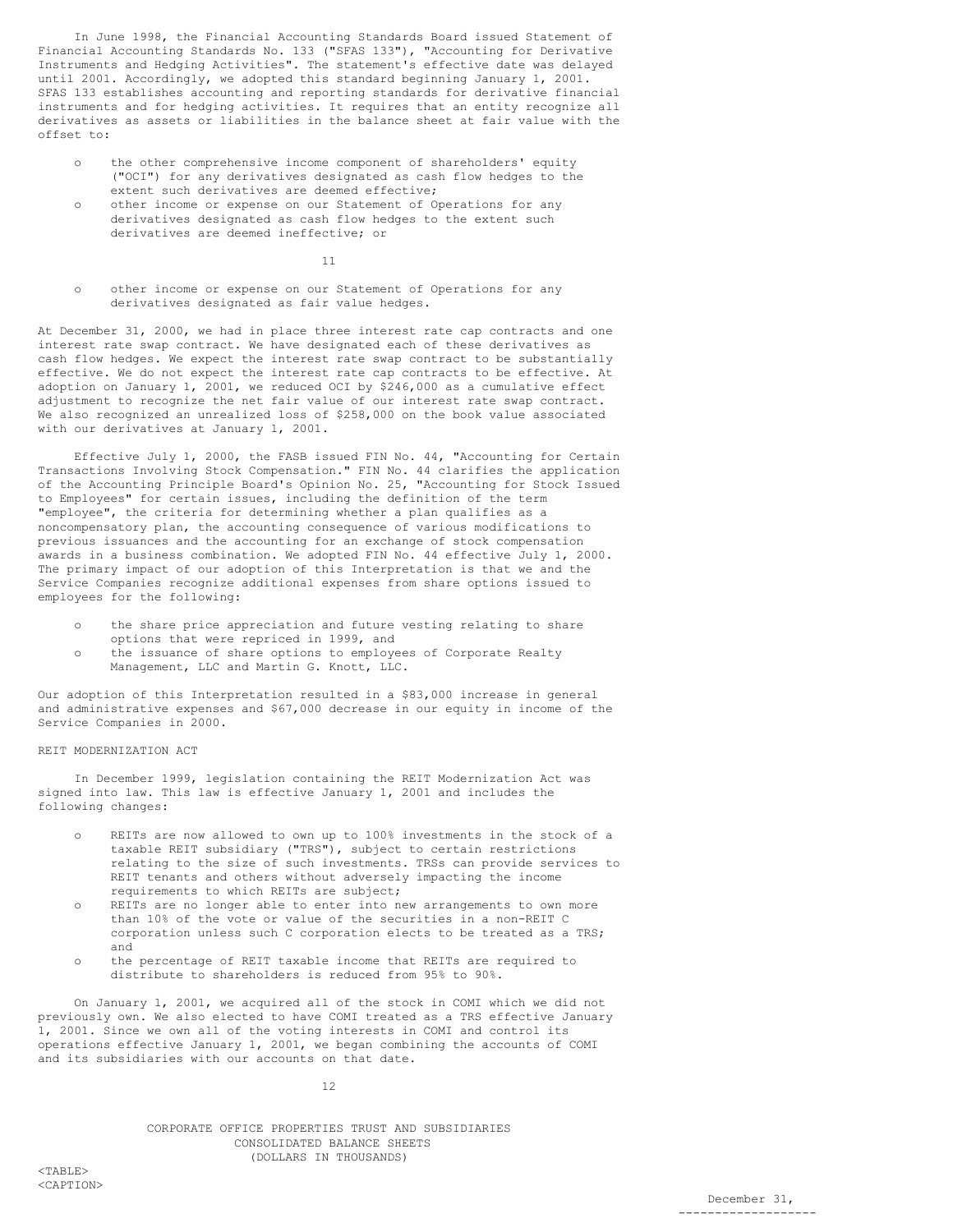In June 1998, the Financial Accounting Standards Board issued Statement of Financial Accounting Standards No. 133 ("SFAS 133"), "Accounting for Derivative Instruments and Hedging Activities". The statement's effective date was delayed until 2001. Accordingly, we adopted this standard beginning January 1, 2001. SFAS 133 establishes accounting and reporting standards for derivative financial instruments and for hedging activities. It requires that an entity recognize all derivatives as assets or liabilities in the balance sheet at fair value with the offset to:

- the other comprehensive income component of shareholders' equity ("OCI") for any derivatives designated as cash flow hedges to the extent such derivatives are deemed effective;
- other income or expense on our Statement of Operations for any derivatives designated as cash flow hedges to the extent such derivatives are deemed ineffective; or

11

o other income or expense on our Statement of Operations for any derivatives designated as fair value hedges.

At December 31, 2000, we had in place three interest rate cap contracts and one interest rate swap contract. We have designated each of these derivatives as cash flow hedges. We expect the interest rate swap contract to be substantially effective. We do not expect the interest rate cap contracts to be effective. At adoption on January 1, 2001, we reduced OCI by \$246,000 as a cumulative effect adjustment to recognize the net fair value of our interest rate swap contract. We also recognized an unrealized loss of \$258,000 on the book value associated with our derivatives at January 1, 2001.

Effective July 1, 2000, the FASB issued FIN No. 44, "Accounting for Certain Transactions Involving Stock Compensation." FIN No. 44 clarifies the application of the Accounting Principle Board's Opinion No. 25, "Accounting for Stock Issued to Employees" for certain issues, including the definition of the term "employee", the criteria for determining whether a plan qualifies as a noncompensatory plan, the accounting consequence of various modifications to previous issuances and the accounting for an exchange of stock compensation awards in a business combination. We adopted FIN No. 44 effective July 1, 2000. The primary impact of our adoption of this Interpretation is that we and the Service Companies recognize additional expenses from share options issued to employees for the following:

- o the share price appreciation and future vesting relating to share options that were repriced in 1999, and
- o the issuance of share options to employees of Corporate Realty Management, LLC and Martin G. Knott, LLC.

Our adoption of this Interpretation resulted in a \$83,000 increase in general and administrative expenses and \$67,000 decrease in our equity in income of the Service Companies in 2000.

## REIT MODERNIZATION ACT

In December 1999, legislation containing the REIT Modernization Act was signed into law. This law is effective January 1, 2001 and includes the following changes:

- o REITs are now allowed to own up to 100% investments in the stock of a taxable REIT subsidiary ("TRS"), subject to certain restrictions relating to the size of such investments. TRSs can provide services to REIT tenants and others without adversely impacting the income requirements to which REITs are subject;
- o REITs are no longer able to enter into new arrangements to own more than 10% of the vote or value of the securities in a non-REIT C corporation unless such C corporation elects to be treated as a TRS; and
- o the percentage of REIT taxable income that REITs are required to distribute to shareholders is reduced from 95% to 90%.

On January 1, 2001, we acquired all of the stock in COMI which we did not previously own. We also elected to have COMI treated as a TRS effective January 1, 2001. Since we own all of the voting interests in COMI and control its operations effective January 1, 2001, we began combining the accounts of COMI and its subsidiaries with our accounts on that date.

12

CORPORATE OFFICE PROPERTIES TRUST AND SUBSIDIARIES CONSOLIDATED BALANCE SHEETS (DOLLARS IN THOUSANDS)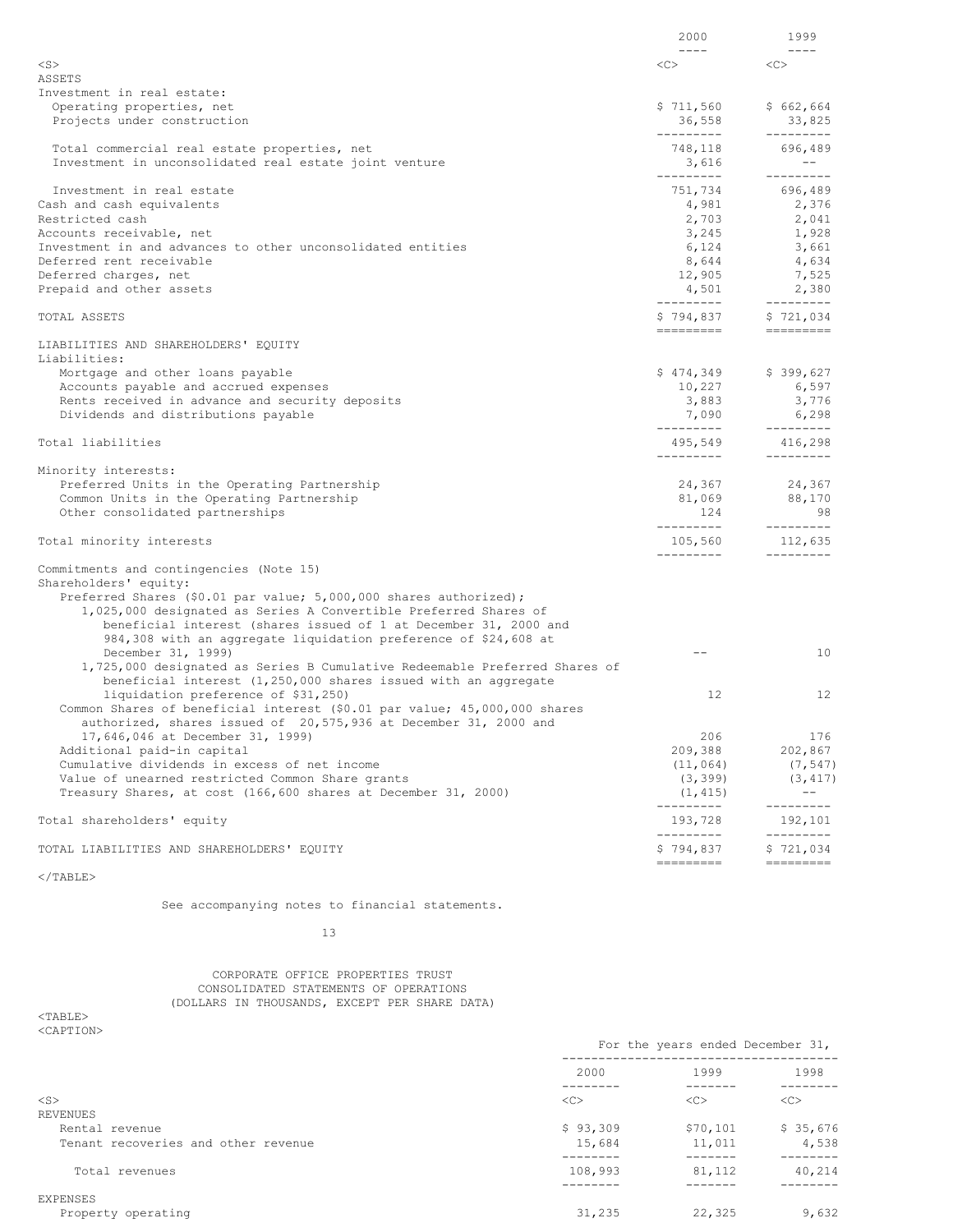|                                                                                                                                                  | 2000<br>$- - - -$                 | 1999<br>$- - - - -$                   |
|--------------------------------------------------------------------------------------------------------------------------------------------------|-----------------------------------|---------------------------------------|
| $<$ S $>$                                                                                                                                        | <<>                               | <<>                                   |
| ASSETS                                                                                                                                           |                                   |                                       |
| Investment in real estate:                                                                                                                       |                                   |                                       |
| Operating properties, net<br>Projects under construction                                                                                         | \$711,560<br>36,558<br>---------- | \$662,664<br>33,825<br>$------------$ |
| Total commercial real estate properties, net                                                                                                     | 748,118                           | 696,489                               |
| Investment in unconsolidated real estate joint venture                                                                                           | 3,616<br>_________                | $-  \,$<br>$------------$             |
| Investment in real estate                                                                                                                        | 751,734                           | 696,489                               |
| Cash and cash equivalents                                                                                                                        | 4,981                             | 2,376                                 |
| Restricted cash                                                                                                                                  | 2,703                             | 2,041                                 |
| Accounts receivable, net<br>Investment in and advances to other unconsolidated entities                                                          | 3,245<br>6,124                    | 1,928<br>3,661                        |
| Deferred rent receivable                                                                                                                         | 8,644                             | 4,634                                 |
| Deferred charges, net                                                                                                                            | 12,905                            | 7,525                                 |
| Prepaid and other assets                                                                                                                         | 4,501                             | 2,380                                 |
|                                                                                                                                                  | ----------                        | $-- - - - - - -$                      |
| TOTAL ASSETS                                                                                                                                     | \$794,837<br>=========            | \$721,034                             |
| LIABILITIES AND SHAREHOLDERS' EQUITY<br>Liabilities:                                                                                             |                                   |                                       |
| Mortgage and other loans payable                                                                                                                 | \$474,349                         | \$399,627                             |
| Accounts payable and accrued expenses                                                                                                            | 10,227                            | 6,597                                 |
| Rents received in advance and security deposits                                                                                                  | 3,883                             | 3,776                                 |
| Dividends and distributions payable                                                                                                              | 7,090<br>----------               | 6,298<br>$- - - - - - - - -$          |
| Total liabilities                                                                                                                                | 495,549                           | 416,298                               |
|                                                                                                                                                  | _________                         | $- - - - - - - - -$                   |
| Minority interests:                                                                                                                              |                                   |                                       |
| Preferred Units in the Operating Partnership                                                                                                     | 24,367                            | 24,367<br>88,170                      |
| Common Units in the Operating Partnership<br>Other consolidated partnerships                                                                     | 81,069<br>124                     | 98                                    |
|                                                                                                                                                  |                                   | $- - - - - - - - -$                   |
| Total minority interests                                                                                                                         | 105,560<br>----------             | 112,635<br>---------                  |
| Commitments and contingencies (Note 15)                                                                                                          |                                   |                                       |
| Shareholders' equity:<br>Preferred Shares (\$0.01 par value; 5,000,000 shares authorized);                                                       |                                   |                                       |
| 1,025,000 designated as Series A Convertible Preferred Shares of                                                                                 |                                   |                                       |
| beneficial interest (shares issued of 1 at December 31, 2000 and                                                                                 |                                   |                                       |
| 984,308 with an aggregate liquidation preference of \$24,608 at                                                                                  |                                   |                                       |
| December 31, 1999)                                                                                                                               | $- -$                             | 10                                    |
| 1,725,000 designated as Series B Cumulative Redeemable Preferred Shares of<br>beneficial interest $(1, 250, 000$ shares issued with an aggregate |                                   |                                       |
| liquidation preference of \$31,250)                                                                                                              | 12                                | 12                                    |
| Common Shares of beneficial interest (\$0.01 par value; 45,000,000 shares                                                                        |                                   |                                       |
| authorized, shares issued of 20,575,936 at December 31, 2000 and                                                                                 |                                   |                                       |
| 17,646,046 at December 31, 1999)                                                                                                                 | 206                               | 176                                   |
| Additional paid-in capital                                                                                                                       | 209,388                           | 202,867                               |
| Cumulative dividends in excess of net income                                                                                                     | (11, 064)                         | (7, 547)                              |
| Value of unearned restricted Common Share grants<br>Treasury Shares, at cost (166,600 shares at December 31, 2000)                               | (3, 399)<br>(1, 415)              | (3, 417)<br>$ -$                      |
|                                                                                                                                                  | ---------                         | ---------                             |
| Total shareholders' equity                                                                                                                       | 193,728<br>---------              | 192,101<br>---------                  |
| TOTAL LIABILITIES AND SHAREHOLDERS' EQUITY                                                                                                       | \$794,837                         | \$ 721,034                            |
|                                                                                                                                                  | ---------                         | =========                             |

See accompanying notes to financial statements.

13

CORPORATE OFFICE PROPERTIES TRUST CONSOLIDATED STATEMENTS OF OPERATIONS

(DOLLARS IN THOUSANDS, EXCEPT PER SHARE DATA)

 $<$ TABLE $>$ <CAPTION>

|                                     | For the years ended December 31, |          |               |  |
|-------------------------------------|----------------------------------|----------|---------------|--|
|                                     | 2000                             | 1999     | 1998          |  |
| $<$ S $>$                           | <<                               | <<       | < <sub></sub> |  |
| REVENUES                            |                                  |          |               |  |
| Rental revenue                      | \$93,309                         | \$70,101 | \$35,676      |  |
| Tenant recoveries and other revenue | 15,684                           | 11,011   | 4,538         |  |
|                                     |                                  |          |               |  |
| Total revenues                      | 108,993                          | 81,112   | 40,214        |  |
|                                     |                                  |          |               |  |
| EXPENSES                            |                                  |          |               |  |
| Property operating                  | 31,235                           | 22,325   | 9,632         |  |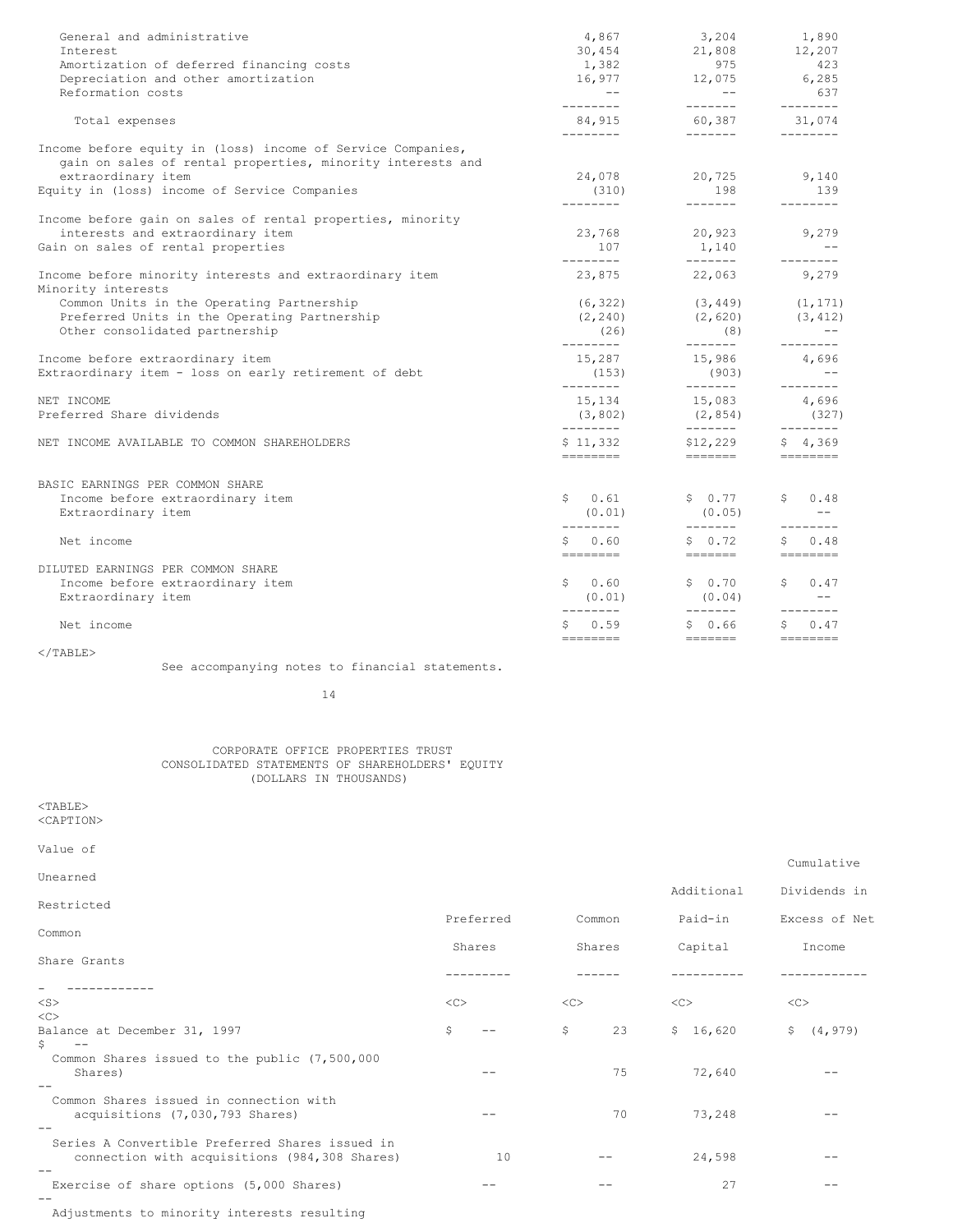| General and administrative<br>Interest                                                                                    | 4,867<br>30,454                                                                                                                                                                                                                                                                                                                                                                                                                                                                                                                                                                                                                                                                                                                                                                                                   | 3,204<br>21,808                                                                                                                                                                                                                                                                                                                                                                                                                                                                                                                 | 1,890<br>12,207                                                                                                                                                                                                                                                                                                                                                                                                                                                                                                                                                                                                                                                                                                                                     |
|---------------------------------------------------------------------------------------------------------------------------|-------------------------------------------------------------------------------------------------------------------------------------------------------------------------------------------------------------------------------------------------------------------------------------------------------------------------------------------------------------------------------------------------------------------------------------------------------------------------------------------------------------------------------------------------------------------------------------------------------------------------------------------------------------------------------------------------------------------------------------------------------------------------------------------------------------------|---------------------------------------------------------------------------------------------------------------------------------------------------------------------------------------------------------------------------------------------------------------------------------------------------------------------------------------------------------------------------------------------------------------------------------------------------------------------------------------------------------------------------------|-----------------------------------------------------------------------------------------------------------------------------------------------------------------------------------------------------------------------------------------------------------------------------------------------------------------------------------------------------------------------------------------------------------------------------------------------------------------------------------------------------------------------------------------------------------------------------------------------------------------------------------------------------------------------------------------------------------------------------------------------------|
| Amortization of deferred financing costs                                                                                  | 1,382                                                                                                                                                                                                                                                                                                                                                                                                                                                                                                                                                                                                                                                                                                                                                                                                             | 975                                                                                                                                                                                                                                                                                                                                                                                                                                                                                                                             | 423                                                                                                                                                                                                                                                                                                                                                                                                                                                                                                                                                                                                                                                                                                                                                 |
| Depreciation and other amortization                                                                                       | 16,977                                                                                                                                                                                                                                                                                                                                                                                                                                                                                                                                                                                                                                                                                                                                                                                                            | 12,075                                                                                                                                                                                                                                                                                                                                                                                                                                                                                                                          | 6,285                                                                                                                                                                                                                                                                                                                                                                                                                                                                                                                                                                                                                                                                                                                                               |
| Reformation costs                                                                                                         | $- -$<br>--------                                                                                                                                                                                                                                                                                                                                                                                                                                                                                                                                                                                                                                                                                                                                                                                                 | $- -$<br>-------                                                                                                                                                                                                                                                                                                                                                                                                                                                                                                                | 637<br>--------                                                                                                                                                                                                                                                                                                                                                                                                                                                                                                                                                                                                                                                                                                                                     |
| Total expenses                                                                                                            | 84,915<br>---------                                                                                                                                                                                                                                                                                                                                                                                                                                                                                                                                                                                                                                                                                                                                                                                               | 60,387<br>$- - - - - - -$                                                                                                                                                                                                                                                                                                                                                                                                                                                                                                       | 31,074<br>$- - - - - - - -$                                                                                                                                                                                                                                                                                                                                                                                                                                                                                                                                                                                                                                                                                                                         |
| Income before equity in (loss) income of Service Companies,<br>gain on sales of rental properties, minority interests and |                                                                                                                                                                                                                                                                                                                                                                                                                                                                                                                                                                                                                                                                                                                                                                                                                   | 20,725                                                                                                                                                                                                                                                                                                                                                                                                                                                                                                                          |                                                                                                                                                                                                                                                                                                                                                                                                                                                                                                                                                                                                                                                                                                                                                     |
| extraordinary item<br>Equity in (loss) income of Service Companies                                                        | 24,078<br>(310)                                                                                                                                                                                                                                                                                                                                                                                                                                                                                                                                                                                                                                                                                                                                                                                                   | 198                                                                                                                                                                                                                                                                                                                                                                                                                                                                                                                             | 9,140<br>139                                                                                                                                                                                                                                                                                                                                                                                                                                                                                                                                                                                                                                                                                                                                        |
|                                                                                                                           | --------                                                                                                                                                                                                                                                                                                                                                                                                                                                                                                                                                                                                                                                                                                                                                                                                          | $- - - - - - -$                                                                                                                                                                                                                                                                                                                                                                                                                                                                                                                 | --------                                                                                                                                                                                                                                                                                                                                                                                                                                                                                                                                                                                                                                                                                                                                            |
| Income before gain on sales of rental properties, minority                                                                |                                                                                                                                                                                                                                                                                                                                                                                                                                                                                                                                                                                                                                                                                                                                                                                                                   |                                                                                                                                                                                                                                                                                                                                                                                                                                                                                                                                 |                                                                                                                                                                                                                                                                                                                                                                                                                                                                                                                                                                                                                                                                                                                                                     |
| interests and extraordinary item                                                                                          | 23,768                                                                                                                                                                                                                                                                                                                                                                                                                                                                                                                                                                                                                                                                                                                                                                                                            | 20,923                                                                                                                                                                                                                                                                                                                                                                                                                                                                                                                          | 9,279                                                                                                                                                                                                                                                                                                                                                                                                                                                                                                                                                                                                                                                                                                                                               |
| Gain on sales of rental properties                                                                                        | 107                                                                                                                                                                                                                                                                                                                                                                                                                                                                                                                                                                                                                                                                                                                                                                                                               | 1,140                                                                                                                                                                                                                                                                                                                                                                                                                                                                                                                           | $- -$                                                                                                                                                                                                                                                                                                                                                                                                                                                                                                                                                                                                                                                                                                                                               |
|                                                                                                                           | ---------<br>23,875                                                                                                                                                                                                                                                                                                                                                                                                                                                                                                                                                                                                                                                                                                                                                                                               | $- - - - - - -$<br>22,063                                                                                                                                                                                                                                                                                                                                                                                                                                                                                                       | $- - - - - - - -$<br>9,279                                                                                                                                                                                                                                                                                                                                                                                                                                                                                                                                                                                                                                                                                                                          |
| Income before minority interests and extraordinary item<br>Minority interests                                             |                                                                                                                                                                                                                                                                                                                                                                                                                                                                                                                                                                                                                                                                                                                                                                                                                   |                                                                                                                                                                                                                                                                                                                                                                                                                                                                                                                                 |                                                                                                                                                                                                                                                                                                                                                                                                                                                                                                                                                                                                                                                                                                                                                     |
| Common Units in the Operating Partnership                                                                                 | (6, 322)                                                                                                                                                                                                                                                                                                                                                                                                                                                                                                                                                                                                                                                                                                                                                                                                          | (3, 449)                                                                                                                                                                                                                                                                                                                                                                                                                                                                                                                        | (1, 171)                                                                                                                                                                                                                                                                                                                                                                                                                                                                                                                                                                                                                                                                                                                                            |
| Preferred Units in the Operating Partnership                                                                              | (2, 240)                                                                                                                                                                                                                                                                                                                                                                                                                                                                                                                                                                                                                                                                                                                                                                                                          | (2,620)                                                                                                                                                                                                                                                                                                                                                                                                                                                                                                                         | (3, 412)                                                                                                                                                                                                                                                                                                                                                                                                                                                                                                                                                                                                                                                                                                                                            |
| Other consolidated partnership                                                                                            | (26)                                                                                                                                                                                                                                                                                                                                                                                                                                                                                                                                                                                                                                                                                                                                                                                                              | (8)                                                                                                                                                                                                                                                                                                                                                                                                                                                                                                                             |                                                                                                                                                                                                                                                                                                                                                                                                                                                                                                                                                                                                                                                                                                                                                     |
|                                                                                                                           | --------                                                                                                                                                                                                                                                                                                                                                                                                                                                                                                                                                                                                                                                                                                                                                                                                          | -------                                                                                                                                                                                                                                                                                                                                                                                                                                                                                                                         | ---------                                                                                                                                                                                                                                                                                                                                                                                                                                                                                                                                                                                                                                                                                                                                           |
| Income before extraordinary item                                                                                          | 15,287                                                                                                                                                                                                                                                                                                                                                                                                                                                                                                                                                                                                                                                                                                                                                                                                            | 15,986                                                                                                                                                                                                                                                                                                                                                                                                                                                                                                                          | 4,696<br>$--$                                                                                                                                                                                                                                                                                                                                                                                                                                                                                                                                                                                                                                                                                                                                       |
| Extraordinary item - loss on early retirement of debt                                                                     | (153)<br>---------                                                                                                                                                                                                                                                                                                                                                                                                                                                                                                                                                                                                                                                                                                                                                                                                | (903)<br>-------                                                                                                                                                                                                                                                                                                                                                                                                                                                                                                                | $- - - - - - - -$                                                                                                                                                                                                                                                                                                                                                                                                                                                                                                                                                                                                                                                                                                                                   |
| NET INCOME                                                                                                                | 15,134                                                                                                                                                                                                                                                                                                                                                                                                                                                                                                                                                                                                                                                                                                                                                                                                            | 15,083                                                                                                                                                                                                                                                                                                                                                                                                                                                                                                                          | 4,696                                                                                                                                                                                                                                                                                                                                                                                                                                                                                                                                                                                                                                                                                                                                               |
| Preferred Share dividends                                                                                                 | (3, 802)                                                                                                                                                                                                                                                                                                                                                                                                                                                                                                                                                                                                                                                                                                                                                                                                          | (2, 854)                                                                                                                                                                                                                                                                                                                                                                                                                                                                                                                        | (327)                                                                                                                                                                                                                                                                                                                                                                                                                                                                                                                                                                                                                                                                                                                                               |
|                                                                                                                           | --------                                                                                                                                                                                                                                                                                                                                                                                                                                                                                                                                                                                                                                                                                                                                                                                                          | --------                                                                                                                                                                                                                                                                                                                                                                                                                                                                                                                        | --------                                                                                                                                                                                                                                                                                                                                                                                                                                                                                                                                                                                                                                                                                                                                            |
| NET INCOME AVAILABLE TO COMMON SHAREHOLDERS                                                                               | \$11,332<br>--------                                                                                                                                                                                                                                                                                                                                                                                                                                                                                                                                                                                                                                                                                                                                                                                              | \$12,229<br>$\begin{tabular}{ll} \multicolumn{3}{l}{{\color{blue}\textbf{1}}}\\ \multicolumn{3}{l}{\color{blue}\textbf{2}}\\ \multicolumn{3}{l}{\color{blue}\textbf{2}}\\ \multicolumn{3}{l}{\color{blue}\textbf{3}}\\ \multicolumn{3}{l}{\color{blue}\textbf{4}}\\ \multicolumn{3}{l}{\color{blue}\textbf{4}}\\ \multicolumn{3}{l}{\color{blue}\textbf{5}}\\ \multicolumn{3}{l}{\color{blue}\textbf{5}}\\ \multicolumn{3}{l}{\color{blue}\textbf{5}}\\ \multicolumn{3}{l}{\color{blue}\textbf{6}}\\ \multicolumn{3}{l}{\color$ | \$4,369<br>$\qquad \qquad \Rightarrow \qquad \qquad \Rightarrow \qquad \qquad \Rightarrow \qquad \qquad \Rightarrow \qquad \qquad \Rightarrow \qquad \qquad \Rightarrow \qquad \qquad \Rightarrow \qquad \qquad \Rightarrow \qquad \qquad \Rightarrow \qquad \qquad \Rightarrow \qquad \qquad \Rightarrow \qquad \qquad \Rightarrow \qquad \qquad \Rightarrow \qquad \qquad \Rightarrow \qquad \qquad \Rightarrow \qquad \qquad \Rightarrow \qquad \qquad \Rightarrow \qquad \qquad \Rightarrow \qquad \qquad \Rightarrow \qquad \qquad \Rightarrow \qquad \qquad \Rightarrow \qquad \qquad \Rightarrow \qquad \qquad \Rightarrow \qquad \qquad \Rightarrow \qquad \qquad \Rightarrow \qquad \qquad \Rightarrow \qquad \qquad \Rightarrow \qquad \$ |
| BASIC EARNINGS PER COMMON SHARE                                                                                           |                                                                                                                                                                                                                                                                                                                                                                                                                                                                                                                                                                                                                                                                                                                                                                                                                   |                                                                                                                                                                                                                                                                                                                                                                                                                                                                                                                                 |                                                                                                                                                                                                                                                                                                                                                                                                                                                                                                                                                                                                                                                                                                                                                     |
| Income before extraordinary item                                                                                          | \$0.61                                                                                                                                                                                                                                                                                                                                                                                                                                                                                                                                                                                                                                                                                                                                                                                                            | \$0.77                                                                                                                                                                                                                                                                                                                                                                                                                                                                                                                          | \$0.48                                                                                                                                                                                                                                                                                                                                                                                                                                                                                                                                                                                                                                                                                                                                              |
| Extraordinary item                                                                                                        | (0.01)                                                                                                                                                                                                                                                                                                                                                                                                                                                                                                                                                                                                                                                                                                                                                                                                            | (0.05)                                                                                                                                                                                                                                                                                                                                                                                                                                                                                                                          | $ -$                                                                                                                                                                                                                                                                                                                                                                                                                                                                                                                                                                                                                                                                                                                                                |
|                                                                                                                           | --------                                                                                                                                                                                                                                                                                                                                                                                                                                                                                                                                                                                                                                                                                                                                                                                                          | --------                                                                                                                                                                                                                                                                                                                                                                                                                                                                                                                        | $- - - - - - - -$                                                                                                                                                                                                                                                                                                                                                                                                                                                                                                                                                                                                                                                                                                                                   |
| Net income                                                                                                                | \$<br>0.60<br>$\qquad \qquad \Rightarrow \qquad \qquad \Rightarrow \qquad \qquad \Rightarrow \qquad \qquad \Rightarrow \qquad \qquad \Rightarrow \qquad \qquad \Rightarrow \qquad \qquad \Rightarrow \qquad \qquad \Rightarrow \qquad \qquad \Rightarrow \qquad \qquad \Rightarrow \qquad \qquad \Rightarrow \qquad \qquad \Rightarrow \qquad \qquad \Rightarrow \qquad \qquad \Rightarrow \qquad \qquad \Rightarrow \qquad \Rightarrow \qquad \Rightarrow \qquad \Rightarrow \qquad \Rightarrow \qquad \Rightarrow \qquad \Rightarrow \qquad \Rightarrow \qquad \Rightarrow \qquad \Rightarrow \qquad \Rightarrow \qquad \Rightarrow \qquad \Rightarrow \qquad \Rightarrow \qquad \Rightarrow \qquad \Rightarrow \qquad \Rightarrow \qquad \Rightarrow \qquad \Rightarrow \qquad \Rightarrow \qquad \Rightarrow$ | \$0.72<br>$\qquad \qquad \displaystyle =\qquad \qquad \qquad \qquad \displaystyle =\qquad \qquad$                                                                                                                                                                                                                                                                                                                                                                                                                               | \$<br>0.48<br>========                                                                                                                                                                                                                                                                                                                                                                                                                                                                                                                                                                                                                                                                                                                              |
| DILUTED EARNINGS PER COMMON SHARE                                                                                         |                                                                                                                                                                                                                                                                                                                                                                                                                                                                                                                                                                                                                                                                                                                                                                                                                   |                                                                                                                                                                                                                                                                                                                                                                                                                                                                                                                                 |                                                                                                                                                                                                                                                                                                                                                                                                                                                                                                                                                                                                                                                                                                                                                     |
| Income before extraordinary item                                                                                          | \$0.60                                                                                                                                                                                                                                                                                                                                                                                                                                                                                                                                                                                                                                                                                                                                                                                                            | \$0.70                                                                                                                                                                                                                                                                                                                                                                                                                                                                                                                          | 0.47<br>\$                                                                                                                                                                                                                                                                                                                                                                                                                                                                                                                                                                                                                                                                                                                                          |
| Extraordinary item                                                                                                        | (0.01)                                                                                                                                                                                                                                                                                                                                                                                                                                                                                                                                                                                                                                                                                                                                                                                                            | (0.04)                                                                                                                                                                                                                                                                                                                                                                                                                                                                                                                          | $- -$                                                                                                                                                                                                                                                                                                                                                                                                                                                                                                                                                                                                                                                                                                                                               |
|                                                                                                                           | --------                                                                                                                                                                                                                                                                                                                                                                                                                                                                                                                                                                                                                                                                                                                                                                                                          | $- - - - - - -$                                                                                                                                                                                                                                                                                                                                                                                                                                                                                                                 | $- - - - - - - -$                                                                                                                                                                                                                                                                                                                                                                                                                                                                                                                                                                                                                                                                                                                                   |
| Net income                                                                                                                | 0.59<br>S.<br>========                                                                                                                                                                                                                                                                                                                                                                                                                                                                                                                                                                                                                                                                                                                                                                                            | \$0.66<br><b>ERRETTE</b>                                                                                                                                                                                                                                                                                                                                                                                                                                                                                                        | \$0.47<br>$\begin{tabular}{ll} \multicolumn{3}{l}{{\color{red}\boldsymbol{=}}} & \multicolumn{3}{l}{\color{blue}\boldsymbol{=}} & \multicolumn{3}{l}{\color{blue}\boldsymbol{=}} & \multicolumn{3}{l}{\color{blue}\boldsymbol{=}} & \multicolumn{3}{l}{\color{blue}\boldsymbol{=}} & \multicolumn{3}{l}{\color{blue}\boldsymbol{=}} & \multicolumn{3}{l}{\color{blue}\boldsymbol{=}} & \multicolumn{3}{l}{\color{blue}\boldsymbol{=}} & \multicolumn{3}{l}{\color{blue}\boldsymbol{=}} & \multicolumn{3}{l}{\color{blue}\boldsymbol{=}} & \multicolumn{3}{l}{\color$                                                                                                                                                                                |
| $<$ /TABLE>                                                                                                               |                                                                                                                                                                                                                                                                                                                                                                                                                                                                                                                                                                                                                                                                                                                                                                                                                   |                                                                                                                                                                                                                                                                                                                                                                                                                                                                                                                                 |                                                                                                                                                                                                                                                                                                                                                                                                                                                                                                                                                                                                                                                                                                                                                     |
| See accompanying notes to financial statements.                                                                           |                                                                                                                                                                                                                                                                                                                                                                                                                                                                                                                                                                                                                                                                                                                                                                                                                   |                                                                                                                                                                                                                                                                                                                                                                                                                                                                                                                                 |                                                                                                                                                                                                                                                                                                                                                                                                                                                                                                                                                                                                                                                                                                                                                     |
| 14                                                                                                                        |                                                                                                                                                                                                                                                                                                                                                                                                                                                                                                                                                                                                                                                                                                                                                                                                                   |                                                                                                                                                                                                                                                                                                                                                                                                                                                                                                                                 |                                                                                                                                                                                                                                                                                                                                                                                                                                                                                                                                                                                                                                                                                                                                                     |
|                                                                                                                           |                                                                                                                                                                                                                                                                                                                                                                                                                                                                                                                                                                                                                                                                                                                                                                                                                   |                                                                                                                                                                                                                                                                                                                                                                                                                                                                                                                                 |                                                                                                                                                                                                                                                                                                                                                                                                                                                                                                                                                                                                                                                                                                                                                     |
|                                                                                                                           |                                                                                                                                                                                                                                                                                                                                                                                                                                                                                                                                                                                                                                                                                                                                                                                                                   |                                                                                                                                                                                                                                                                                                                                                                                                                                                                                                                                 |                                                                                                                                                                                                                                                                                                                                                                                                                                                                                                                                                                                                                                                                                                                                                     |

### CORPORATE OFFICE PROPERTIES TRUST CONSOLIDATED STATEMENTS OF SHAREHOLDERS' EQUITY (DOLLARS IN THOUSANDS)

<TABLE> <CAPTION>

| Value of                                                                                         |           |          |            | Cumulative     |
|--------------------------------------------------------------------------------------------------|-----------|----------|------------|----------------|
| Unearned                                                                                         |           |          |            |                |
| Restricted                                                                                       |           |          | Additional | Dividends in   |
| Common                                                                                           | Preferred | Common   | Paid-in    | Excess of Net  |
| Share Grants                                                                                     | Shares    | Shares   | Capital    | Income         |
|                                                                                                  |           |          |            |                |
| $<$ S $>$                                                                                        | <<        | <<       | <<         | <<             |
| <<<br>Balance at December 31, 1997<br>$\mathsf{S}$<br>$-$                                        | \$        | \$<br>23 | \$16,620   | (4, 979)<br>S. |
| Common Shares issued to the public (7,500,000<br>Shares)<br>$ -$                                 |           | 75       | 72,640     |                |
| Common Shares issued in connection with<br>acquisitions (7,030,793 Shares)                       |           | 70       | 73,248     |                |
| Series A Convertible Preferred Shares issued in<br>connection with acquisitions (984,308 Shares) | 10        |          | 24,598     |                |
| Exercise of share options (5,000 Shares)<br>$ -$                                                 |           |          | 27         | $ -$           |
| Adjustments to minority interests resulting                                                      |           |          |            |                |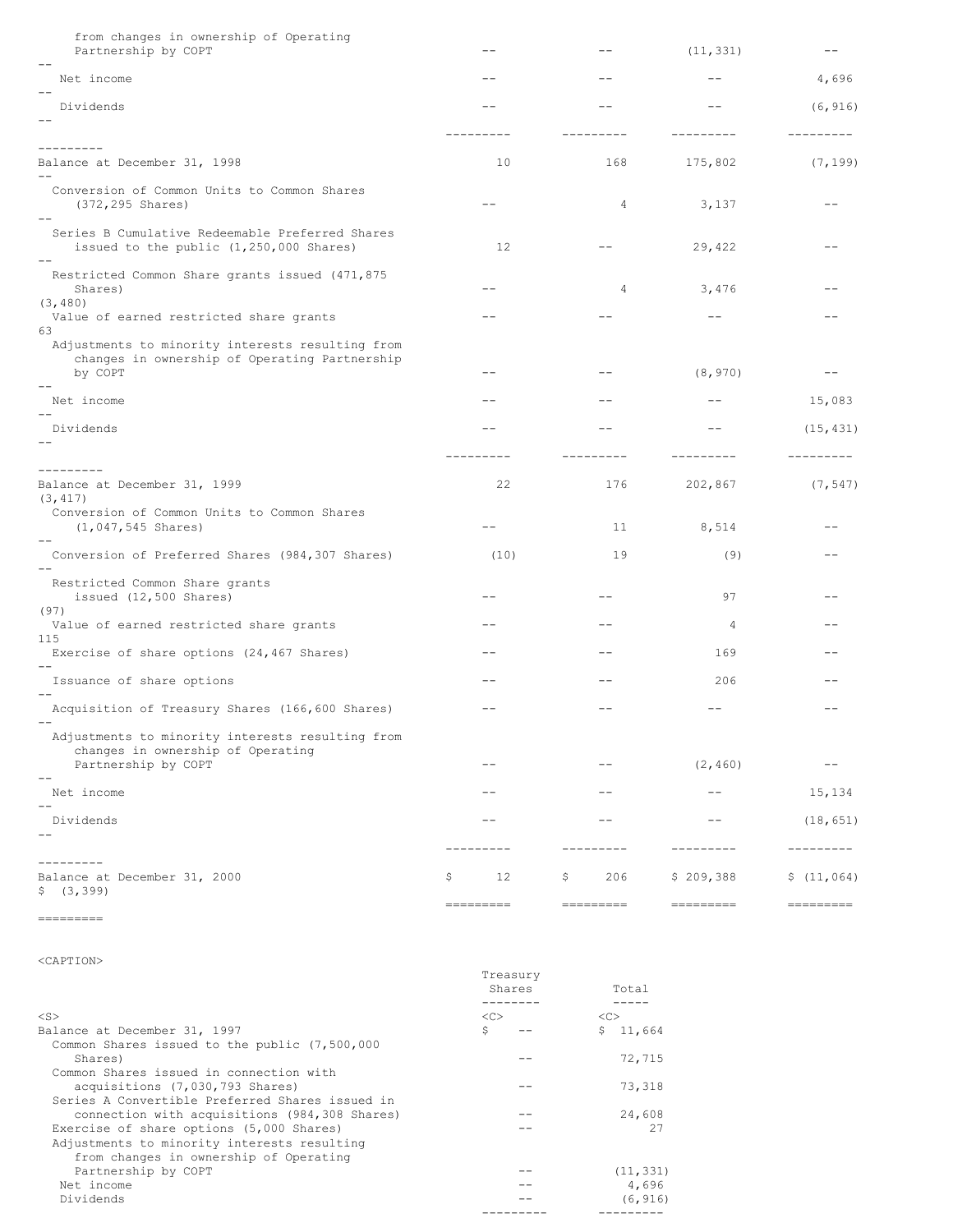| from changes in ownership of Operating<br>Partnership by COPT                                                |           |       |   |                   | (11, 331) |             |
|--------------------------------------------------------------------------------------------------------------|-----------|-------|---|-------------------|-----------|-------------|
| Net income                                                                                                   |           | --    |   | $ -$              | $-$       | 4,696       |
| Dividends<br>$ -$                                                                                            |           | --    |   | $ -$              | $- -$     | (6, 916)    |
|                                                                                                              |           |       |   |                   |           |             |
| Balance at December 31, 1998                                                                                 |           | 10    |   | 168               | 175,802   | (7, 199)    |
| Conversion of Common Units to Common Shares<br>(372,295 Shares)                                              |           |       |   | 4                 | 3,137     |             |
| Series B Cumulative Redeemable Preferred Shares<br>issued to the public (1,250,000 Shares)                   |           | 12    |   | $- -$             | 29,422    |             |
| Restricted Common Share grants issued (471,875<br>Shares)<br>(3, 480)                                        |           | --    |   | 4                 | 3,476     |             |
| Value of earned restricted share grants                                                                      |           |       |   |                   |           |             |
| 63<br>Adjustments to minority interests resulting from<br>changes in ownership of Operating Partnership      |           | --    |   | $- -$             | (8, 970)  |             |
| by COPT                                                                                                      |           |       |   |                   |           |             |
| Net income                                                                                                   |           |       |   | $- -$             | $- -$     | 15,083      |
| Dividends                                                                                                    |           | --    |   | $ -$              | $- -$     | (15, 431)   |
|                                                                                                              |           |       |   |                   |           |             |
| Balance at December 31, 1999<br>(3, 417)                                                                     |           | 22    |   | 176               | 202,867   | (7, 547)    |
| Conversion of Common Units to Common Shares<br>$(1, 047, 545$ Shares)                                        |           | --    |   | 11                | 8,514     |             |
| Conversion of Preferred Shares (984,307 Shares)<br>$ -$                                                      |           | (10)  |   | 19                | (9)       |             |
| Restricted Common Share grants<br>issued (12,500 Shares)<br>(97)                                             |           | --    |   | $- -$             | 97        |             |
| Value of earned restricted share grants                                                                      |           |       |   | --                | 4         |             |
| 115<br>Exercise of share options (24,467 Shares)                                                             |           | --    |   | $- -$             | 169       |             |
| Issuance of share options                                                                                    |           |       |   | --                | 206       |             |
| Acquisition of Treasury Shares (166,600 Shares)                                                              |           |       |   |                   |           |             |
| Adjustments to minority interests resulting from<br>changes in ownership of Operating<br>Partnership by COPT |           | $- -$ |   | $\qquad \qquad -$ | (2, 460)  |             |
| Net income                                                                                                   |           | --    |   | $- -$             | $- -$     | 15,134      |
| $- -$<br>Dividends                                                                                           |           | --    |   | $- -$             | $- -$     | (18, 651)   |
| $ -$                                                                                                         | --------- |       |   |                   |           | ---------   |
| Balance at December 31, 2000<br>(3, 399)<br>Ş.                                                               | Ş         | 12    | Ş | 206               | \$209,388 | \$(11, 064) |
| <b>EEEEEEEE</b>                                                                                              | ========= |       |   | =========         | ========= | =========   |

## <CAPTION>

|                                                 | Treasury<br>Shares | Total         |
|-------------------------------------------------|--------------------|---------------|
| $<$ S>                                          | <<                 | < <sub></sub> |
| Balance at December 31, 1997                    | Ś                  | 11,664<br>S.  |
| Common Shares issued to the public (7,500,000   |                    |               |
| Shares)                                         |                    | 72,715        |
| Common Shares issued in connection with         |                    |               |
| acquisitions (7,030,793 Shares)                 |                    | 73,318        |
| Series A Convertible Preferred Shares issued in |                    |               |
| connection with acquisitions (984,308 Shares)   |                    | 24,608        |
| Exercise of share options (5,000 Shares)        |                    | 27            |
| Adjustments to minority interests resulting     |                    |               |
| from changes in ownership of Operating          |                    |               |
| Partnership by COPT                             |                    | (11, 331)     |
| Net income                                      |                    | 4.696         |
| Dividends                                       |                    | (6, 916)      |
|                                                 |                    |               |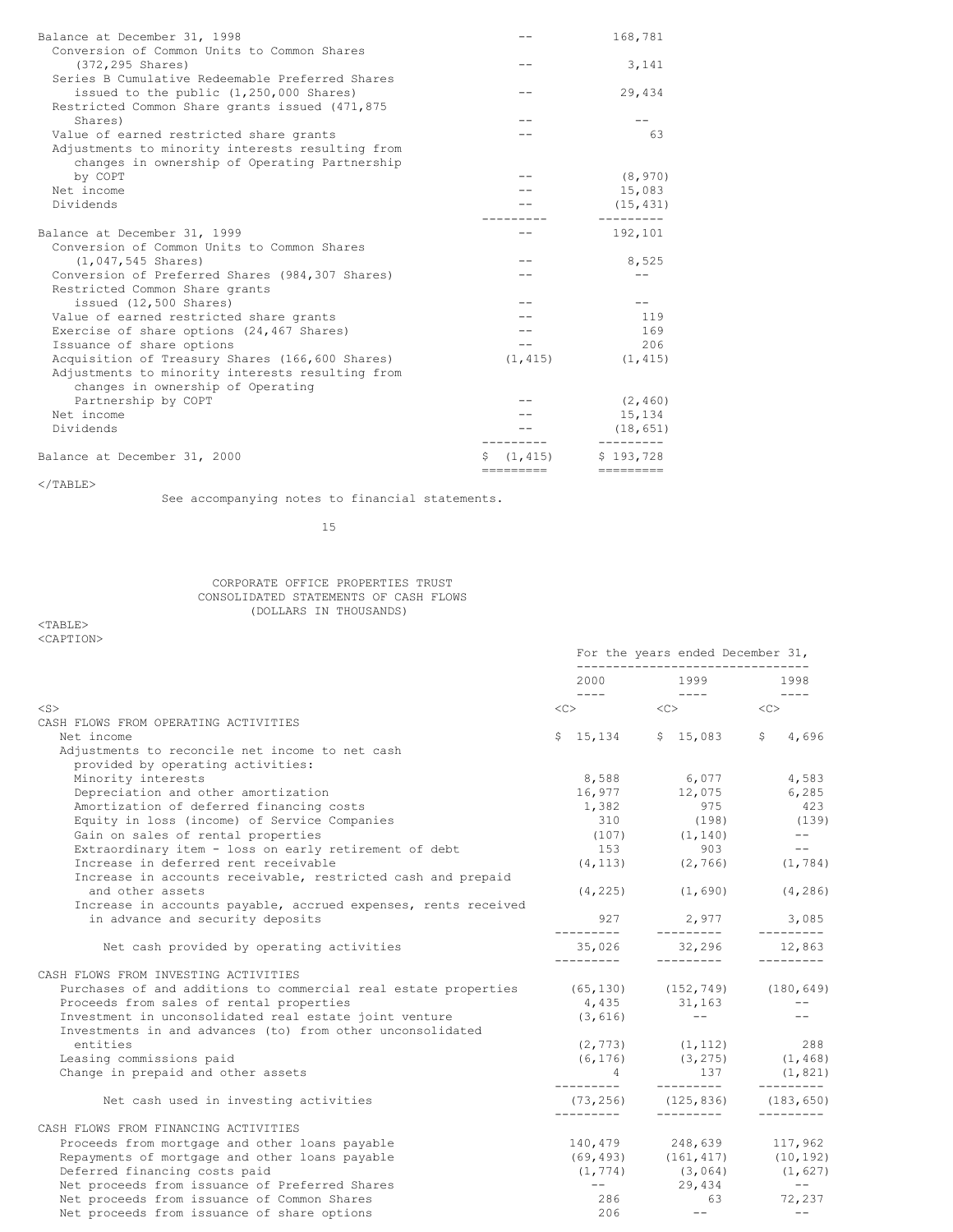| Balance at December 31, 1998                     |            | 168,781    |
|--------------------------------------------------|------------|------------|
| Conversion of Common Units to Common Shares      |            |            |
| (372,295 Shares)                                 |            | 3,141      |
| Series B Cumulative Redeemable Preferred Shares  |            |            |
| issued to the public (1,250,000 Shares)          |            | 29,434     |
| Restricted Common Share grants issued (471,875)  |            |            |
| Shares)                                          |            |            |
| Value of earned restricted share grants          |            | 63         |
| Adjustments to minority interests resulting from |            |            |
| changes in ownership of Operating Partnership    |            |            |
| by COPT                                          |            | (8, 970)   |
| Net income                                       |            | 15,083     |
|                                                  |            |            |
| Dividends                                        |            | (15, 431)  |
|                                                  |            | ---------  |
| Balance at December 31, 1999                     |            | 192,101    |
| Conversion of Common Units to Common Shares      |            |            |
| $(1, 047, 545$ Shares)                           |            | 8,525      |
| Conversion of Preferred Shares (984,307 Shares)  |            |            |
| Restricted Common Share grants                   |            |            |
| issued (12,500 Shares)                           |            |            |
| Value of earned restricted share grants          |            | 119        |
| Exercise of share options (24,467 Shares)        |            | 169        |
| Issuance of share options                        |            | 206        |
| Acquisition of Treasury Shares (166,600 Shares)  | (1, 415)   | (1, 415)   |
| Adjustments to minority interests resulting from |            |            |
| changes in ownership of Operating                |            |            |
| Partnership by COPT                              |            | (2, 460)   |
| Net income                                       |            | 15,134     |
| Dividends                                        |            | (18, 651)  |
|                                                  |            |            |
| Balance at December 31, 2000                     | (1, 415)   | \$193.728  |
|                                                  | ---------- | ---------- |
|                                                  |            |            |

See accompanying notes to financial statements.

15

## CORPORATE OFFICE PROPERTIES TRUST CONSOLIDATED STATEMENTS OF CASH FLOWS (DOLLARS IN THOUSANDS)

 $<sub>TABLE</sub>$ </sub> <CAPTION>

| NUAE 1 1 UNZ                                                    | For the years ended December 31,<br>---------------------------------                                                                                                                                                                                                                                                                                                                                                                                                                             |                                                                                                                                                                                 |                           |
|-----------------------------------------------------------------|---------------------------------------------------------------------------------------------------------------------------------------------------------------------------------------------------------------------------------------------------------------------------------------------------------------------------------------------------------------------------------------------------------------------------------------------------------------------------------------------------|---------------------------------------------------------------------------------------------------------------------------------------------------------------------------------|---------------------------|
|                                                                 | 2000                                                                                                                                                                                                                                                                                                                                                                                                                                                                                              | 1999                                                                                                                                                                            | 1998                      |
| $<$ S $>$                                                       | $\frac{1}{2} \left( \frac{1}{2} \right) \left( \frac{1}{2} \right) \left( \frac{1}{2} \right) \left( \frac{1}{2} \right) \left( \frac{1}{2} \right) \left( \frac{1}{2} \right) \left( \frac{1}{2} \right) \left( \frac{1}{2} \right) \left( \frac{1}{2} \right) \left( \frac{1}{2} \right) \left( \frac{1}{2} \right) \left( \frac{1}{2} \right) \left( \frac{1}{2} \right) \left( \frac{1}{2} \right) \left( \frac{1}{2} \right) \left( \frac{1}{2} \right) \left( \frac$<br>$\langle C \rangle$ | $\langle C \rangle$                                                                                                                                                             | $- - - - -$<br><<         |
| CASH FLOWS FROM OPERATING ACTIVITIES                            |                                                                                                                                                                                                                                                                                                                                                                                                                                                                                                   |                                                                                                                                                                                 |                           |
| Net income                                                      | \$15,134                                                                                                                                                                                                                                                                                                                                                                                                                                                                                          | \$15,083                                                                                                                                                                        | $\mathsf{S}$<br>4,696     |
| Adjustments to reconcile net income to net cash                 |                                                                                                                                                                                                                                                                                                                                                                                                                                                                                                   |                                                                                                                                                                                 |                           |
| provided by operating activities:                               |                                                                                                                                                                                                                                                                                                                                                                                                                                                                                                   |                                                                                                                                                                                 |                           |
| Minority interests                                              | 8,588                                                                                                                                                                                                                                                                                                                                                                                                                                                                                             | 6,077                                                                                                                                                                           | 4,583                     |
| Depreciation and other amortization                             | 16,977                                                                                                                                                                                                                                                                                                                                                                                                                                                                                            | 12,075                                                                                                                                                                          | 6,285                     |
| Amortization of deferred financing costs                        | 1,382                                                                                                                                                                                                                                                                                                                                                                                                                                                                                             | 975                                                                                                                                                                             | 423                       |
| Equity in loss (income) of Service Companies                    | 310                                                                                                                                                                                                                                                                                                                                                                                                                                                                                               | $(198)$ $(139)$                                                                                                                                                                 |                           |
| Gain on sales of rental properties                              |                                                                                                                                                                                                                                                                                                                                                                                                                                                                                                   | $(107)$ $(1, 140)$                                                                                                                                                              | $  -$                     |
| Extraordinary item - loss on early retirement of debt           | 153                                                                                                                                                                                                                                                                                                                                                                                                                                                                                               | 903                                                                                                                                                                             | $ -$                      |
| Increase in deferred rent receivable                            |                                                                                                                                                                                                                                                                                                                                                                                                                                                                                                   | $(4, 113)$ $(2, 766)$ $(1, 784)$                                                                                                                                                |                           |
| Increase in accounts receivable, restricted cash and prepaid    |                                                                                                                                                                                                                                                                                                                                                                                                                                                                                                   |                                                                                                                                                                                 |                           |
| and other assets                                                |                                                                                                                                                                                                                                                                                                                                                                                                                                                                                                   | $(4, 225)$ $(1, 690)$                                                                                                                                                           | (4, 286)                  |
| Increase in accounts payable, accrued expenses, rents received  |                                                                                                                                                                                                                                                                                                                                                                                                                                                                                                   |                                                                                                                                                                                 |                           |
| in advance and security deposits                                | 927                                                                                                                                                                                                                                                                                                                                                                                                                                                                                               | 2,977                                                                                                                                                                           | 3,085                     |
|                                                                 | ----------                                                                                                                                                                                                                                                                                                                                                                                                                                                                                        |                                                                                                                                                                                 | ----------                |
| Net cash provided by operating activities                       |                                                                                                                                                                                                                                                                                                                                                                                                                                                                                                   | 35,026 32,296 12,863                                                                                                                                                            |                           |
|                                                                 | ----------                                                                                                                                                                                                                                                                                                                                                                                                                                                                                        | _________                                                                                                                                                                       | ----------                |
| CASH FLOWS FROM INVESTING ACTIVITIES                            |                                                                                                                                                                                                                                                                                                                                                                                                                                                                                                   |                                                                                                                                                                                 |                           |
| Purchases of and additions to commercial real estate properties |                                                                                                                                                                                                                                                                                                                                                                                                                                                                                                   | $(65, 130)$ $(152, 749)$ $(180, 649)$                                                                                                                                           |                           |
| Proceeds from sales of rental properties                        | 4,435                                                                                                                                                                                                                                                                                                                                                                                                                                                                                             | 31,163                                                                                                                                                                          | $- -$                     |
| Investment in unconsolidated real estate joint venture          | (3, 616)                                                                                                                                                                                                                                                                                                                                                                                                                                                                                          | <b>Contract Contract Contract</b>                                                                                                                                               |                           |
| Investments in and advances (to) from other unconsolidated      |                                                                                                                                                                                                                                                                                                                                                                                                                                                                                                   |                                                                                                                                                                                 |                           |
| entities                                                        |                                                                                                                                                                                                                                                                                                                                                                                                                                                                                                   | $(2, 773)$ $(1, 112)$                                                                                                                                                           | 288                       |
| Leasing commissions paid                                        |                                                                                                                                                                                                                                                                                                                                                                                                                                                                                                   | $(6, 176)$ $(3, 275)$                                                                                                                                                           | (1, 468)                  |
| Change in prepaid and other assets                              |                                                                                                                                                                                                                                                                                                                                                                                                                                                                                                   | $4$ 137                                                                                                                                                                         | (1, 821)<br>---------     |
| Net cash used in investing activities                           |                                                                                                                                                                                                                                                                                                                                                                                                                                                                                                   | $(73, 256)$ $(125, 836)$ $(183, 650)$                                                                                                                                           |                           |
|                                                                 | ----------                                                                                                                                                                                                                                                                                                                                                                                                                                                                                        | _________                                                                                                                                                                       | $------------$            |
| CASH FLOWS FROM FINANCING ACTIVITIES                            |                                                                                                                                                                                                                                                                                                                                                                                                                                                                                                   |                                                                                                                                                                                 |                           |
| Proceeds from mortgage and other loans payable                  |                                                                                                                                                                                                                                                                                                                                                                                                                                                                                                   | $\begin{array}{cccc} 140,479 & \quad & 248,639 & \quad & 117,962 \\ (69,493) & \quad & (161,417) & \quad & (10,192) \\ (1,774) & \quad & (3,064) & \quad & (1,627) \end{array}$ |                           |
| Repayments of mortgage and other loans payable                  |                                                                                                                                                                                                                                                                                                                                                                                                                                                                                                   |                                                                                                                                                                                 |                           |
| Deferred financing costs paid                                   |                                                                                                                                                                                                                                                                                                                                                                                                                                                                                                   |                                                                                                                                                                                 |                           |
| Net proceeds from issuance of Preferred Shares                  | <b>Service</b> Contractor                                                                                                                                                                                                                                                                                                                                                                                                                                                                         | 29,434                                                                                                                                                                          | $\sim$ 100 $-$ 100 $\sim$ |
| Net proceeds from issuance of Common Shares                     | 286                                                                                                                                                                                                                                                                                                                                                                                                                                                                                               | 63                                                                                                                                                                              | 72,237                    |
| Net proceeds from issuance of share options                     | 206                                                                                                                                                                                                                                                                                                                                                                                                                                                                                               | $ -$                                                                                                                                                                            | $- -$                     |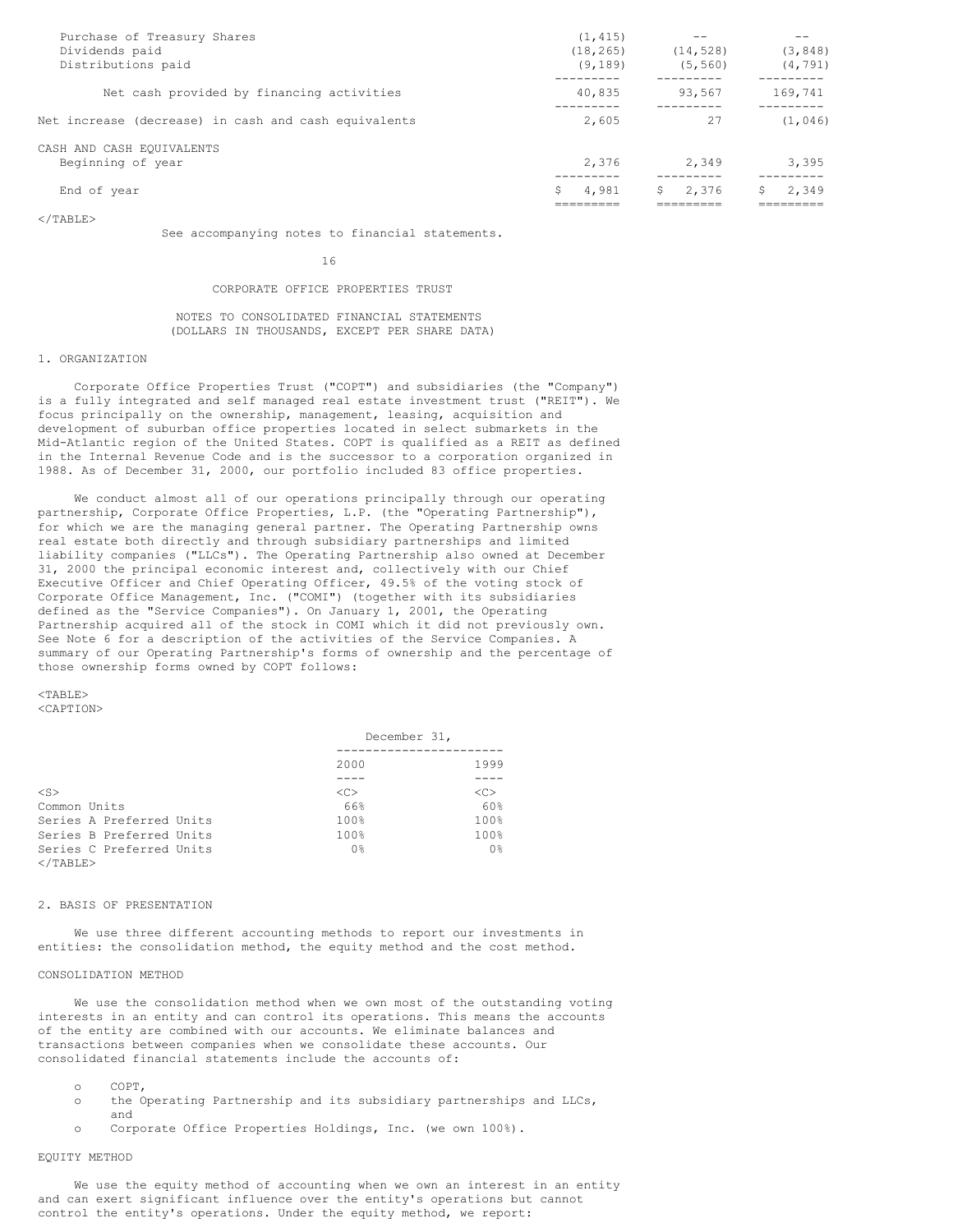| Purchase of Treasury Shares                          | (1, 415)    |             |             |
|------------------------------------------------------|-------------|-------------|-------------|
| Dividends paid                                       | (18, 265)   | (14, 528)   | (3, 848)    |
| Distributions paid                                   | (9, 189)    | (5, 560)    | (4, 791)    |
| Net cash provided by financing activities            | 40,835      | 93,567      | 169.741     |
| Net increase (decrease) in cash and cash equivalents | 2,605       | 27          | (1, 046)    |
| CASH AND CASH EQUIVALENTS                            |             |             |             |
| Beginning of year                                    | 2.376       | 2,349       | 3,395       |
| End of year                                          | Ŝ.<br>4,981 | \$<br>2.376 | 2,349<br>S. |
| $\langle$ /TARLE $\rangle$                           |             |             |             |

See accompanying notes to financial statements.

16

## CORPORATE OFFICE PROPERTIES TRUST

NOTES TO CONSOLIDATED FINANCIAL STATEMENTS (DOLLARS IN THOUSANDS, EXCEPT PER SHARE DATA)

### 1. ORGANIZATION

Corporate Office Properties Trust ("COPT") and subsidiaries (the "Company") is a fully integrated and self managed real estate investment trust ("REIT"). We focus principally on the ownership, management, leasing, acquisition and development of suburban office properties located in select submarkets in the Mid-Atlantic region of the United States. COPT is qualified as a REIT as defined in the Internal Revenue Code and is the successor to a corporation organized in 1988. As of December 31, 2000, our portfolio included 83 office properties.

We conduct almost all of our operations principally through our operating partnership, Corporate Office Properties, L.P. (the "Operating Partnership"), for which we are the managing general partner. The Operating Partnership owns real estate both directly and through subsidiary partnerships and limited liability companies ("LLCs"). The Operating Partnership also owned at December 31, 2000 the principal economic interest and, collectively with our Chief Executive Officer and Chief Operating Officer, 49.5% of the voting stock of Corporate Office Management, Inc. ("COMI") (together with its subsidiaries defined as the "Service Companies"). On January 1, 2001, the Operating Partnership acquired all of the stock in COMI which it did not previously own. See Note 6 for a description of the activities of the Service Companies. A summary of our Operating Partnership's forms of ownership and the percentage of those ownership forms owned by COPT follows:

December 31,

# $<$ TABLE>

<CAPTION>

|                   |                          | December 31,   |                |  |
|-------------------|--------------------------|----------------|----------------|--|
|                   |                          |                |                |  |
|                   |                          | 2000           | 1999           |  |
|                   |                          |                |                |  |
| $<$ S $>$         |                          | < <sub></sub>  | < <sub></sub>  |  |
| Common Units      |                          | 66%            | 60%            |  |
|                   | Series A Preferred Units | $100\%$        | 100%           |  |
|                   | Series B Preferred Units | 100%           | 100%           |  |
|                   | Series C Preferred Units | 0 <sup>°</sup> | 0 <sup>8</sup> |  |
| $\langle$ /TABLE> |                          |                |                |  |

### 2. BASIS OF PRESENTATION

We use three different accounting methods to report our investments in entities: the consolidation method, the equity method and the cost method.

## CONSOLIDATION METHOD

We use the consolidation method when we own most of the outstanding voting interests in an entity and can control its operations. This means the accounts of the entity are combined with our accounts. We eliminate balances and transactions between companies when we consolidate these accounts. Our consolidated financial statements include the accounts of:

- o COPT,
- o the Operating Partnership and its subsidiary partnerships and LLCs,
	- and
- o Corporate Office Properties Holdings, Inc. (we own 100%).

## EQUITY METHOD

We use the equity method of accounting when we own an interest in an entity and can exert significant influence over the entity's operations but cannot control the entity's operations. Under the equity method, we report: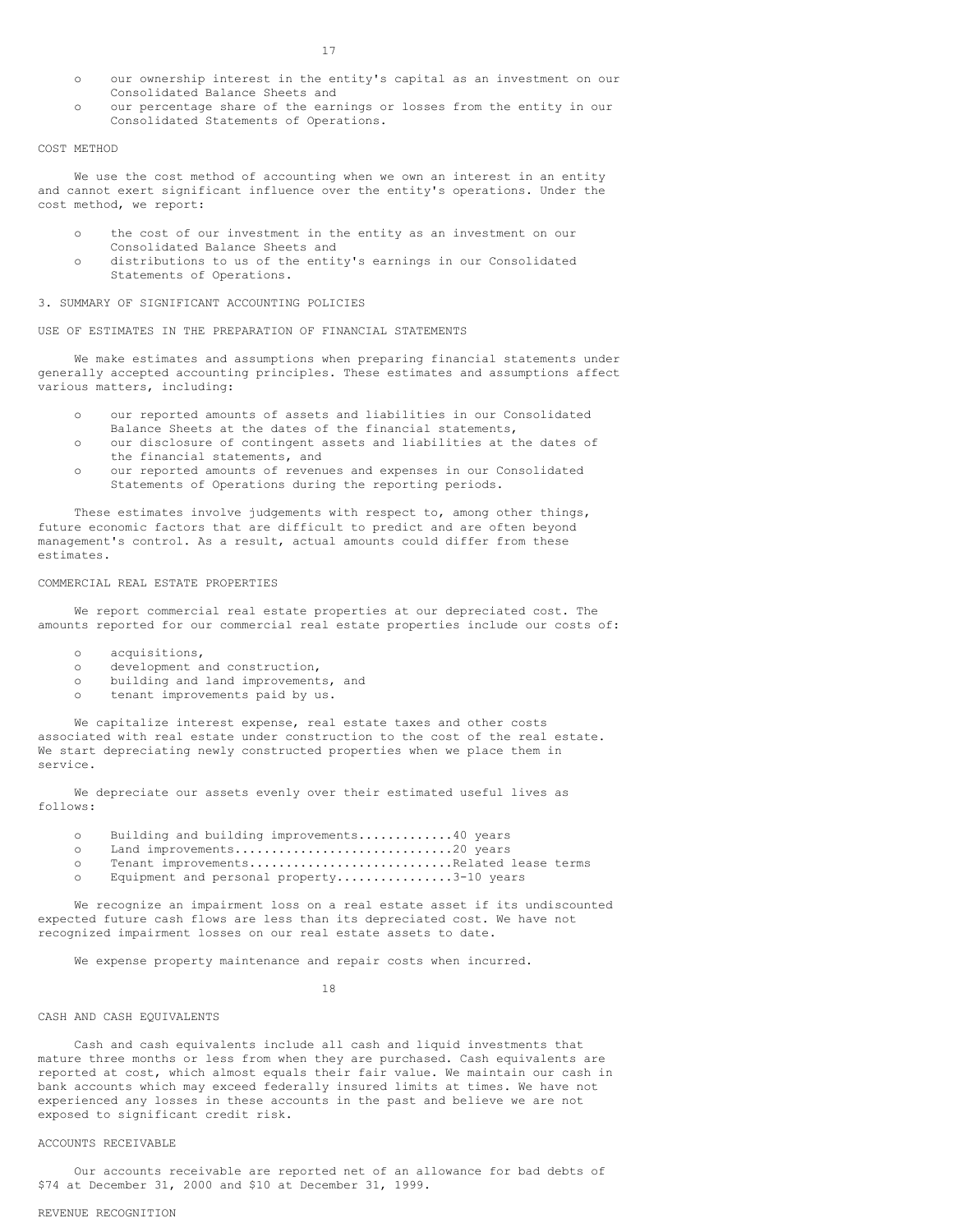- o our ownership interest in the entity's capital as an investment on our Consolidated Balance Sheets and
- o our percentage share of the earnings or losses from the entity in our Consolidated Statements of Operations.

### COST METHOD

We use the cost method of accounting when we own an interest in an entity and cannot exert significant influence over the entity's operations. Under the cost method, we report:

- the cost of our investment in the entity as an investment on our Consolidated Balance Sheets and
- o distributions to us of the entity's earnings in our Consolidated Statements of Operations.

#### 3. SUMMARY OF SIGNIFICANT ACCOUNTING POLICIES

### USE OF ESTIMATES IN THE PREPARATION OF FINANCIAL STATEMENTS

We make estimates and assumptions when preparing financial statements under generally accepted accounting principles. These estimates and assumptions affect various matters, including:

- o our reported amounts of assets and liabilities in our Consolidated
- Balance Sheets at the dates of the financial statements, our disclosure of contingent assets and liabilities at the dates of
- the financial statements, and
- o our reported amounts of revenues and expenses in our Consolidated Statements of Operations during the reporting periods.

These estimates involve judgements with respect to, among other things, future economic factors that are difficult to predict and are often beyond management's control. As a result, actual amounts could differ from these estimates.

## COMMERCIAL REAL ESTATE PROPERTIES

We report commercial real estate properties at our depreciated cost. The amounts reported for our commercial real estate properties include our costs of:

- o acquisitions,
- o development and construction,
- o building and land improvements, and
- o tenant improvements paid by us.

We capitalize interest expense, real estate taxes and other costs associated with real estate under construction to the cost of the real estate. We start depreciating newly constructed properties when we place them in service.

We depreciate our assets evenly over their estimated useful lives as follows:

- o Building and building improvements.............40 years
- o Land improvements..............................20 years
- o Tenant improvements............................Related lease terms
- o Equipment and personal property................3-10 years

We recognize an impairment loss on a real estate asset if its undiscounted expected future cash flows are less than its depreciated cost. We have not recognized impairment losses on our real estate assets to date.

We expense property maintenance and repair costs when incurred.

18

### CASH AND CASH EQUIVALENTS

Cash and cash equivalents include all cash and liquid investments that mature three months or less from when they are purchased. Cash equivalents are reported at cost, which almost equals their fair value. We maintain our cash in bank accounts which may exceed federally insured limits at times. We have not experienced any losses in these accounts in the past and believe we are not exposed to significant credit risk.

### ACCOUNTS RECEIVABLE

Our accounts receivable are reported net of an allowance for bad debts of \$74 at December 31, 2000 and \$10 at December 31, 1999.

## REVENUE RECOGNITION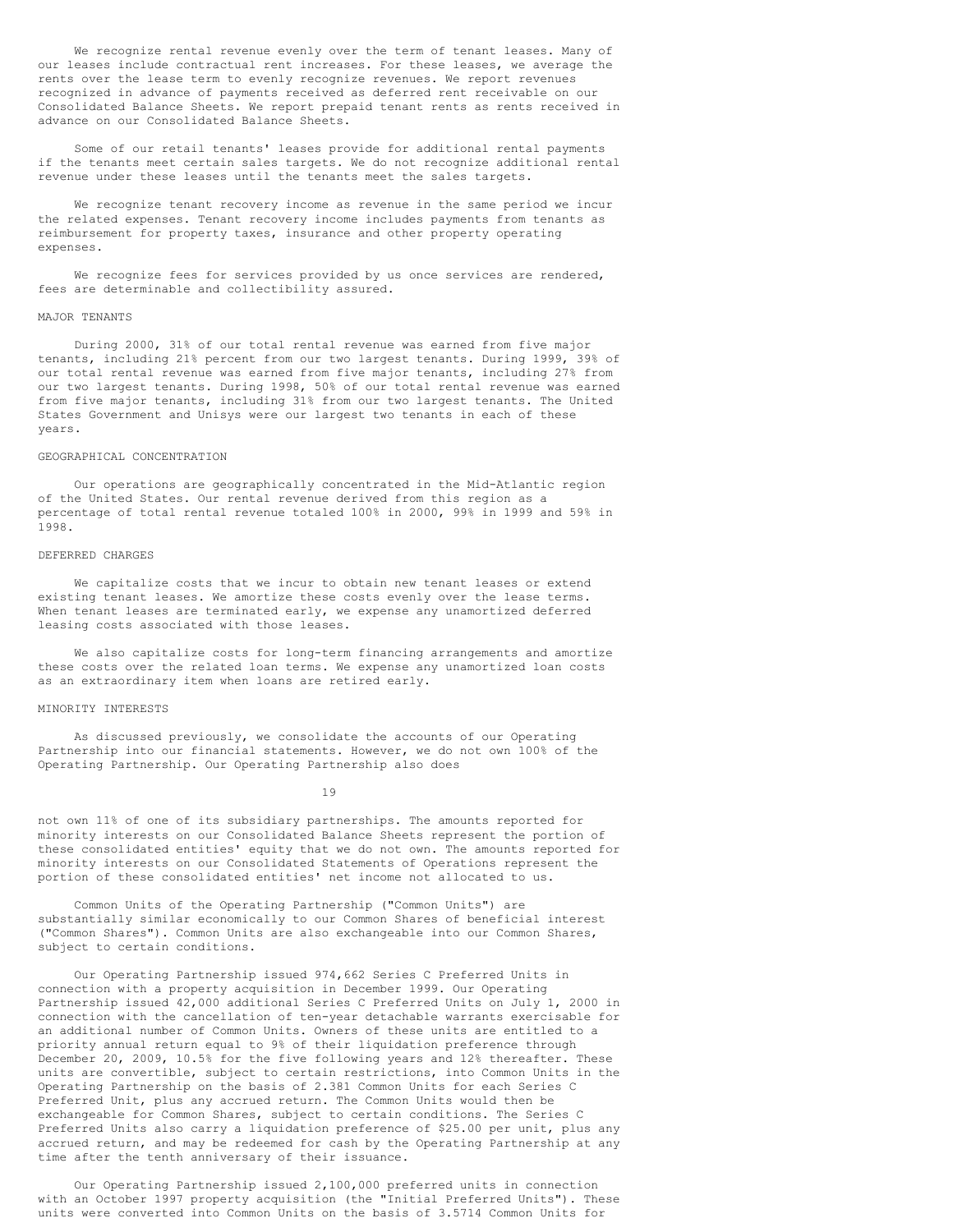We recognize rental revenue evenly over the term of tenant leases. Many of our leases include contractual rent increases. For these leases, we average the rents over the lease term to evenly recognize revenues. We report revenues recognized in advance of payments received as deferred rent receivable on our Consolidated Balance Sheets. We report prepaid tenant rents as rents received in advance on our Consolidated Balance Sheets.

Some of our retail tenants' leases provide for additional rental payments if the tenants meet certain sales targets. We do not recognize additional rental revenue under these leases until the tenants meet the sales targets.

We recognize tenant recovery income as revenue in the same period we incur the related expenses. Tenant recovery income includes payments from tenants as reimbursement for property taxes, insurance and other property operating expenses.

We recognize fees for services provided by us once services are rendered, fees are determinable and collectibility assured.

### MAJOR TENANTS

During 2000, 31% of our total rental revenue was earned from five major tenants, including 21% percent from our two largest tenants. During 1999, 39% of our total rental revenue was earned from five major tenants, including 27% from our two largest tenants. During 1998, 50% of our total rental revenue was earned from five major tenants, including 31% from our two largest tenants. The United States Government and Unisys were our largest two tenants in each of these years.

### GEOGRAPHICAL CONCENTRATION

Our operations are geographically concentrated in the Mid-Atlantic region of the United States. Our rental revenue derived from this region as a percentage of total rental revenue totaled 100% in 2000, 99% in 1999 and 59% in 1998.

## DEFERRED CHARGES

We capitalize costs that we incur to obtain new tenant leases or extend existing tenant leases. We amortize these costs evenly over the lease terms. When tenant leases are terminated early, we expense any unamortized deferred leasing costs associated with those leases.

We also capitalize costs for long-term financing arrangements and amortize these costs over the related loan terms. We expense any unamortized loan costs as an extraordinary item when loans are retired early.

### MINORITY INTERESTS

As discussed previously, we consolidate the accounts of our Operating Partnership into our financial statements. However, we do not own 100% of the Operating Partnership. Our Operating Partnership also does

### 19

not own 11% of one of its subsidiary partnerships. The amounts reported for minority interests on our Consolidated Balance Sheets represent the portion of these consolidated entities' equity that we do not own. The amounts reported for minority interests on our Consolidated Statements of Operations represent the portion of these consolidated entities' net income not allocated to us.

Common Units of the Operating Partnership ("Common Units") are substantially similar economically to our Common Shares of beneficial interest ("Common Shares"). Common Units are also exchangeable into our Common Shares, subject to certain conditions.

Our Operating Partnership issued 974,662 Series C Preferred Units in connection with a property acquisition in December 1999. Our Operating Partnership issued 42,000 additional Series C Preferred Units on July 1, 2000 in connection with the cancellation of ten-year detachable warrants exercisable for an additional number of Common Units. Owners of these units are entitled to a priority annual return equal to 9% of their liquidation preference through December 20, 2009, 10.5% for the five following years and 12% thereafter. These units are convertible, subject to certain restrictions, into Common Units in the Operating Partnership on the basis of 2.381 Common Units for each Series C Preferred Unit, plus any accrued return. The Common Units would then be exchangeable for Common Shares, subject to certain conditions. The Series C Preferred Units also carry a liquidation preference of \$25.00 per unit, plus any accrued return, and may be redeemed for cash by the Operating Partnership at any time after the tenth anniversary of their issuance.

Our Operating Partnership issued 2,100,000 preferred units in connection with an October 1997 property acquisition (the "Initial Preferred Units"). These units were converted into Common Units on the basis of 3.5714 Common Units for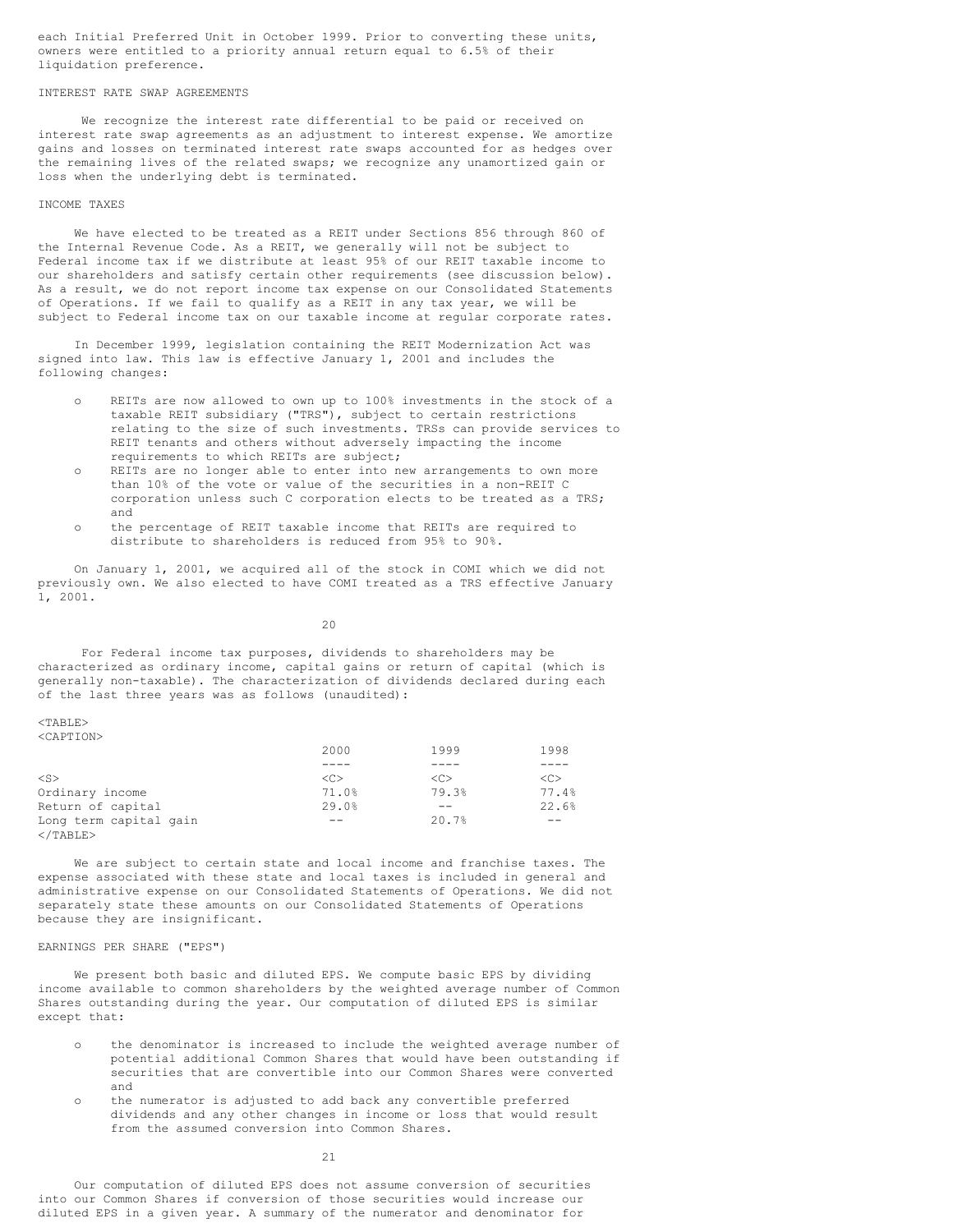each Initial Preferred Unit in October 1999. Prior to converting these units, owners were entitled to a priority annual return equal to 6.5% of their liquidation preference.

## INTEREST RATE SWAP AGREEMENTS

We recognize the interest rate differential to be paid or received on interest rate swap agreements as an adjustment to interest expense. We amortize gains and losses on terminated interest rate swaps accounted for as hedges over the remaining lives of the related swaps; we recognize any unamortized gain or loss when the underlying debt is terminated.

## INCOME TAXES

We have elected to be treated as a REIT under Sections 856 through 860 of the Internal Revenue Code. As a REIT, we generally will not be subject to Federal income tax if we distribute at least 95% of our REIT taxable income to our shareholders and satisfy certain other requirements (see discussion below). As a result, we do not report income tax expense on our Consolidated Statements of Operations. If we fail to qualify as a REIT in any tax year, we will be subject to Federal income tax on our taxable income at regular corporate rates.

In December 1999, legislation containing the REIT Modernization Act was signed into law. This law is effective January 1, 2001 and includes the following changes:

- o REITs are now allowed to own up to 100% investments in the stock of a taxable REIT subsidiary ("TRS"), subject to certain restrictions relating to the size of such investments. TRSs can provide services to REIT tenants and others without adversely impacting the income requirements to which REITs are subject;
- REITs are no longer able to enter into new arrangements to own more than 10% of the vote or value of the securities in a non-REIT C corporation unless such C corporation elects to be treated as a TRS; and
- o the percentage of REIT taxable income that REITs are required to distribute to shareholders is reduced from 95% to 90%.

On January 1, 2001, we acquired all of the stock in COMI which we did not previously own. We also elected to have COMI treated as a TRS effective January 1, 2001.

 $20$ 

For Federal income tax purposes, dividends to shareholders may be characterized as ordinary income, capital gains or return of capital (which is generally non-taxable). The characterization of dividends declared during each of the last three years was as follows (unaudited):

#### <TABLE> <CAPTION>

|                                                      | 2000          | 1999    | 1998          |
|------------------------------------------------------|---------------|---------|---------------|
|                                                      |               |         |               |
| $<$ S $>$                                            | < <sub></sub> | <c></c> | < <sub></sub> |
| Ordinary income                                      | 71.0%         | 79.3%   | 77.4%         |
| Return of capital                                    | 29.0%         |         | 22.6%         |
| Long term capital gain<br>$\langle$ /TARLE $\rangle$ |               | 20.7%   |               |

We are subject to certain state and local income and franchise taxes. The expense associated with these state and local taxes is included in general and administrative expense on our Consolidated Statements of Operations. We did not separately state these amounts on our Consolidated Statements of Operations because they are insignificant.

## EARNINGS PER SHARE ("EPS")

We present both basic and diluted EPS. We compute basic EPS by dividing income available to common shareholders by the weighted average number of Common Shares outstanding during the year. Our computation of diluted EPS is similar except that:

- the denominator is increased to include the weighted average number of potential additional Common Shares that would have been outstanding if securities that are convertible into our Common Shares were converted and
- o the numerator is adjusted to add back any convertible preferred dividends and any other changes in income or loss that would result from the assumed conversion into Common Shares.

21

Our computation of diluted EPS does not assume conversion of securities into our Common Shares if conversion of those securities would increase our diluted EPS in a given year. A summary of the numerator and denominator for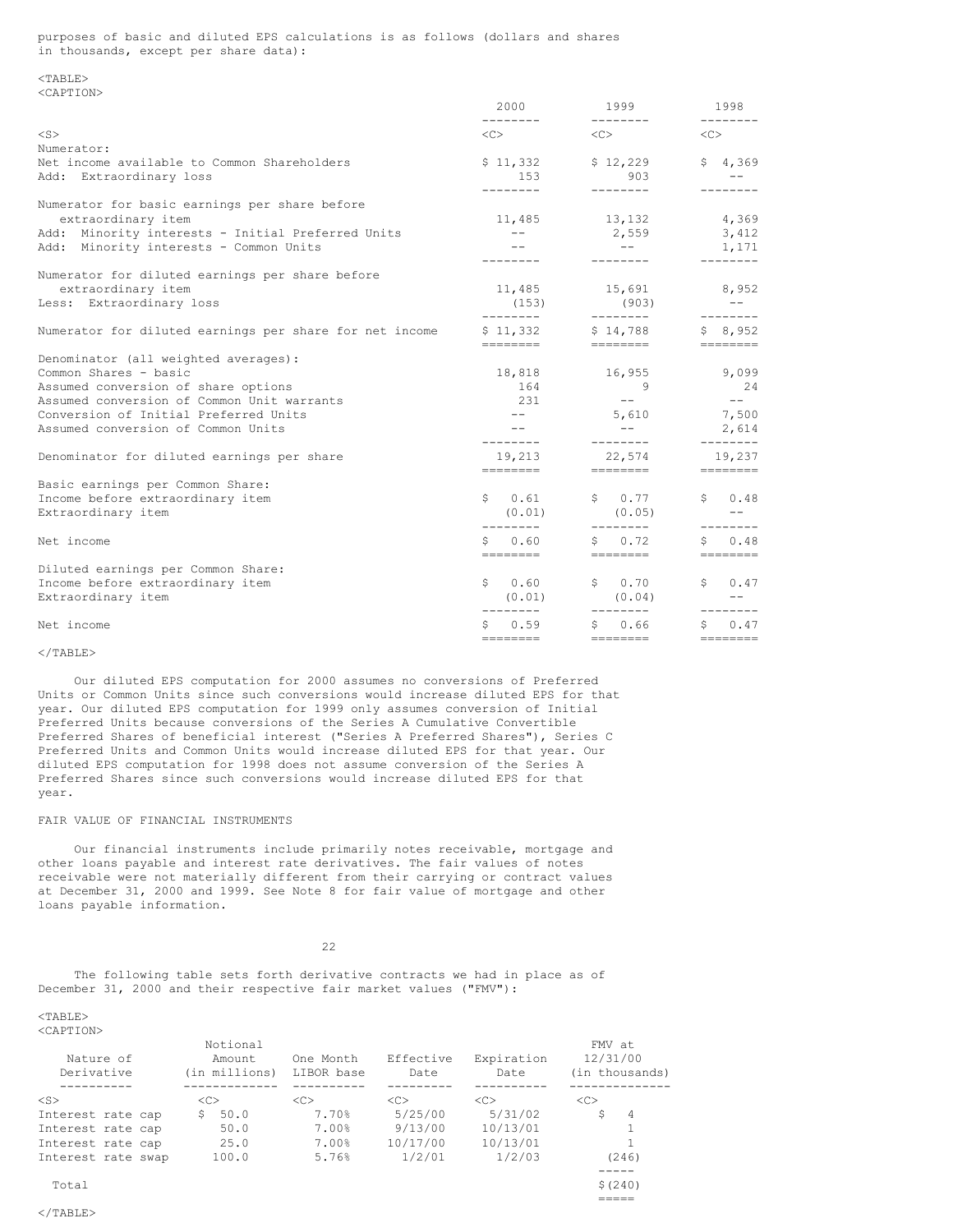purposes of basic and diluted EPS calculations is as follows (dollars and shares in thousands, except per share data):

<TABLE> <CAPTION>

|                                                         | 2000                  | 1999                                                                                                                                                                                                                                                                                                                                                                                                                                                                                                                                                         | 1998                                                                                                                                                                                                                                                                                                                                                                                                                                                                                                                                                       |
|---------------------------------------------------------|-----------------------|--------------------------------------------------------------------------------------------------------------------------------------------------------------------------------------------------------------------------------------------------------------------------------------------------------------------------------------------------------------------------------------------------------------------------------------------------------------------------------------------------------------------------------------------------------------|------------------------------------------------------------------------------------------------------------------------------------------------------------------------------------------------------------------------------------------------------------------------------------------------------------------------------------------------------------------------------------------------------------------------------------------------------------------------------------------------------------------------------------------------------------|
| $<$ S $>$                                               | <<>                   | $<<$ $>$                                                                                                                                                                                                                                                                                                                                                                                                                                                                                                                                                     | <<                                                                                                                                                                                                                                                                                                                                                                                                                                                                                                                                                         |
| Numerator:                                              |                       |                                                                                                                                                                                                                                                                                                                                                                                                                                                                                                                                                              |                                                                                                                                                                                                                                                                                                                                                                                                                                                                                                                                                            |
| Net income available to Common Shareholders             | \$11,332              | \$12,229                                                                                                                                                                                                                                                                                                                                                                                                                                                                                                                                                     | \$4,369                                                                                                                                                                                                                                                                                                                                                                                                                                                                                                                                                    |
| Add: Extraordinary loss                                 | 153                   | 903                                                                                                                                                                                                                                                                                                                                                                                                                                                                                                                                                          |                                                                                                                                                                                                                                                                                                                                                                                                                                                                                                                                                            |
|                                                         |                       |                                                                                                                                                                                                                                                                                                                                                                                                                                                                                                                                                              |                                                                                                                                                                                                                                                                                                                                                                                                                                                                                                                                                            |
| Numerator for basic earnings per share before           |                       |                                                                                                                                                                                                                                                                                                                                                                                                                                                                                                                                                              |                                                                                                                                                                                                                                                                                                                                                                                                                                                                                                                                                            |
| extraordinary item                                      | 11,485                | 13,132                                                                                                                                                                                                                                                                                                                                                                                                                                                                                                                                                       | 4,369                                                                                                                                                                                                                                                                                                                                                                                                                                                                                                                                                      |
| Add: Minority interests - Initial Preferred Units       | $\qquad \qquad -$     | 2,559                                                                                                                                                                                                                                                                                                                                                                                                                                                                                                                                                        | 3,412                                                                                                                                                                                                                                                                                                                                                                                                                                                                                                                                                      |
| Add: Minority interests - Common Units                  |                       | $- -$                                                                                                                                                                                                                                                                                                                                                                                                                                                                                                                                                        | 1,171                                                                                                                                                                                                                                                                                                                                                                                                                                                                                                                                                      |
|                                                         |                       |                                                                                                                                                                                                                                                                                                                                                                                                                                                                                                                                                              |                                                                                                                                                                                                                                                                                                                                                                                                                                                                                                                                                            |
| Numerator for diluted earnings per share before         |                       |                                                                                                                                                                                                                                                                                                                                                                                                                                                                                                                                                              |                                                                                                                                                                                                                                                                                                                                                                                                                                                                                                                                                            |
| extraordinary item                                      | 11,485                | 15,691                                                                                                                                                                                                                                                                                                                                                                                                                                                                                                                                                       | 8,952                                                                                                                                                                                                                                                                                                                                                                                                                                                                                                                                                      |
| Less: Extraordinary loss                                | (153)                 | (903)                                                                                                                                                                                                                                                                                                                                                                                                                                                                                                                                                        | $- -$                                                                                                                                                                                                                                                                                                                                                                                                                                                                                                                                                      |
|                                                         | ---------             | _________                                                                                                                                                                                                                                                                                                                                                                                                                                                                                                                                                    | $- - - - - - - -$                                                                                                                                                                                                                                                                                                                                                                                                                                                                                                                                          |
| Numerator for diluted earnings per share for net income | \$11,332<br>--------- | \$14,788<br>$=$ ========                                                                                                                                                                                                                                                                                                                                                                                                                                                                                                                                     | \$8,952                                                                                                                                                                                                                                                                                                                                                                                                                                                                                                                                                    |
| Denominator (all weighted averages):                    |                       |                                                                                                                                                                                                                                                                                                                                                                                                                                                                                                                                                              |                                                                                                                                                                                                                                                                                                                                                                                                                                                                                                                                                            |
| Common Shares - basic                                   | 18,818                | 16,955                                                                                                                                                                                                                                                                                                                                                                                                                                                                                                                                                       | 9,099                                                                                                                                                                                                                                                                                                                                                                                                                                                                                                                                                      |
| Assumed conversion of share options                     | 164                   | 9                                                                                                                                                                                                                                                                                                                                                                                                                                                                                                                                                            | 24                                                                                                                                                                                                                                                                                                                                                                                                                                                                                                                                                         |
| Assumed conversion of Common Unit warrants              | 231                   | $ -$                                                                                                                                                                                                                                                                                                                                                                                                                                                                                                                                                         | $- -$                                                                                                                                                                                                                                                                                                                                                                                                                                                                                                                                                      |
| Conversion of Initial Preferred Units                   | $\qquad \qquad -$     | 5,610                                                                                                                                                                                                                                                                                                                                                                                                                                                                                                                                                        | 7,500                                                                                                                                                                                                                                                                                                                                                                                                                                                                                                                                                      |
| Assumed conversion of Common Units                      |                       | $- - -$                                                                                                                                                                                                                                                                                                                                                                                                                                                                                                                                                      | 2,614                                                                                                                                                                                                                                                                                                                                                                                                                                                                                                                                                      |
|                                                         | ---------             | --------                                                                                                                                                                                                                                                                                                                                                                                                                                                                                                                                                     |                                                                                                                                                                                                                                                                                                                                                                                                                                                                                                                                                            |
| Denominator for diluted earnings per share              | 19,213                | 22,574                                                                                                                                                                                                                                                                                                                                                                                                                                                                                                                                                       | 19,237                                                                                                                                                                                                                                                                                                                                                                                                                                                                                                                                                     |
|                                                         | --------              | $\begin{tabular}{ll} \multicolumn{3}{l}{{\color{red}\boldsymbol{=}}} & \multicolumn{3}{l}{\color{blue}\boldsymbol{=}} & \multicolumn{3}{l}{\color{blue}\boldsymbol{=}} & \multicolumn{3}{l}{\color{blue}\boldsymbol{=}} \\ \multicolumn{3}{l}{\color{blue}\boldsymbol{=}} & \multicolumn{3}{l}{\color{blue}\boldsymbol{=}} & \multicolumn{3}{l}{\color{blue}\boldsymbol{=}} & \multicolumn{3}{l}{\color{blue}\boldsymbol{=}} \\ \multicolumn{3}{l}{\color{blue}\boldsymbol{=}} & \multicolumn{3}{l}{\color{blue}\boldsymbol{=}} & \multicolumn{3}{l}{\color$ | $\begin{tabular}{ll} \multicolumn{3}{l}{{\color{red}\boldsymbol{=}}} & \multicolumn{3}{l}{\color{blue}\boldsymbol{=}} & \multicolumn{3}{l}{\color{blue}\boldsymbol{=}} & \multicolumn{3}{l}{\color{blue}\boldsymbol{=}} & \multicolumn{3}{l}{\color{blue}\boldsymbol{=}} & \multicolumn{3}{l}{\color{blue}\boldsymbol{=}} & \multicolumn{3}{l}{\color{blue}\boldsymbol{=}} & \multicolumn{3}{l}{\color{blue}\boldsymbol{=}} & \multicolumn{3}{l}{\color{blue}\boldsymbol{=}} & \multicolumn{3}{l}{\color{blue}\boldsymbol{=}} & \multicolumn{3}{l}{\color$ |
| Basic earnings per Common Share:                        |                       |                                                                                                                                                                                                                                                                                                                                                                                                                                                                                                                                                              |                                                                                                                                                                                                                                                                                                                                                                                                                                                                                                                                                            |
| Income before extraordinary item                        | \$0.61                | \$0.77                                                                                                                                                                                                                                                                                                                                                                                                                                                                                                                                                       | \$0.48                                                                                                                                                                                                                                                                                                                                                                                                                                                                                                                                                     |
| Extraordinary item                                      | (0.01)                | (0.05)                                                                                                                                                                                                                                                                                                                                                                                                                                                                                                                                                       | $--$                                                                                                                                                                                                                                                                                                                                                                                                                                                                                                                                                       |
|                                                         |                       | ---------                                                                                                                                                                                                                                                                                                                                                                                                                                                                                                                                                    |                                                                                                                                                                                                                                                                                                                                                                                                                                                                                                                                                            |
| Net income                                              | \$ 0.60               | $S = 0.72$                                                                                                                                                                                                                                                                                                                                                                                                                                                                                                                                                   | S.<br>0.48                                                                                                                                                                                                                                                                                                                                                                                                                                                                                                                                                 |
| Diluted earnings per Common Share:                      | ---------             |                                                                                                                                                                                                                                                                                                                                                                                                                                                                                                                                                              |                                                                                                                                                                                                                                                                                                                                                                                                                                                                                                                                                            |
| Income before extraordinary item                        | \$0.60                | $S = 0.70$                                                                                                                                                                                                                                                                                                                                                                                                                                                                                                                                                   | \$0.47                                                                                                                                                                                                                                                                                                                                                                                                                                                                                                                                                     |
| Extraordinary item                                      | (0.01)                | (0.04)                                                                                                                                                                                                                                                                                                                                                                                                                                                                                                                                                       | $ -$                                                                                                                                                                                                                                                                                                                                                                                                                                                                                                                                                       |
|                                                         |                       | --------                                                                                                                                                                                                                                                                                                                                                                                                                                                                                                                                                     | --------                                                                                                                                                                                                                                                                                                                                                                                                                                                                                                                                                   |
| Net income                                              | 0.59<br>S.            | \$0.66                                                                                                                                                                                                                                                                                                                                                                                                                                                                                                                                                       | \$0.47                                                                                                                                                                                                                                                                                                                                                                                                                                                                                                                                                     |
|                                                         | ========              | _________                                                                                                                                                                                                                                                                                                                                                                                                                                                                                                                                                    | $= 1.12$                                                                                                                                                                                                                                                                                                                                                                                                                                                                                                                                                   |

### $<$ /TABLE>

Our diluted EPS computation for 2000 assumes no conversions of Preferred Units or Common Units since such conversions would increase diluted EPS for that year. Our diluted EPS computation for 1999 only assumes conversion of Initial Preferred Units because conversions of the Series A Cumulative Convertible Preferred Shares of beneficial interest ("Series A Preferred Shares"), Series C Preferred Units and Common Units would increase diluted EPS for that year. Our diluted EPS computation for 1998 does not assume conversion of the Series A Preferred Shares since such conversions would increase diluted EPS for that year.

## FAIR VALUE OF FINANCIAL INSTRUMENTS

Our financial instruments include primarily notes receivable, mortgage and other loans payable and interest rate derivatives. The fair values of notes receivable were not materially different from their carrying or contract values at December 31, 2000 and 1999. See Note 8 for fair value of mortgage and other loans payable information.

## 22

The following table sets forth derivative contracts we had in place as of December 31, 2000 and their respective fair market values ("FMV"):

## <TABLE>

| Nature of<br>Derivative | Notional<br>Amount.<br>(in millions) | One Month<br>LIBOR base | Effective<br>Date | Expiration<br>Date | FMV at<br>12/31/00<br>(in thousands) |
|-------------------------|--------------------------------------|-------------------------|-------------------|--------------------|--------------------------------------|
|                         |                                      |                         |                   |                    |                                      |
| $<$ S>                  | < <sub></sub>                        | < <sub></sub>           | <<                | < <sub></sub>      | < <sub></sub>                        |
| Interest rate cap       | 50.0<br>S.                           | 7.70%                   | 5/25/00           | 5/31/02            | Ŝ<br>4                               |
| Interest rate cap       | 50.0                                 | 7.00%                   | 9/13/00           | 10/13/01           |                                      |
| Interest rate cap       | 25.0                                 | 7.00%                   | 10/17/00          | 10/13/01           |                                      |
| Interest rate swap      | 100.0                                | 5.76%                   | 1/2/01            | 1/2/03             | (246)                                |
| Total                   |                                      |                         |                   |                    | \$(240)                              |
|                         |                                      |                         |                   |                    |                                      |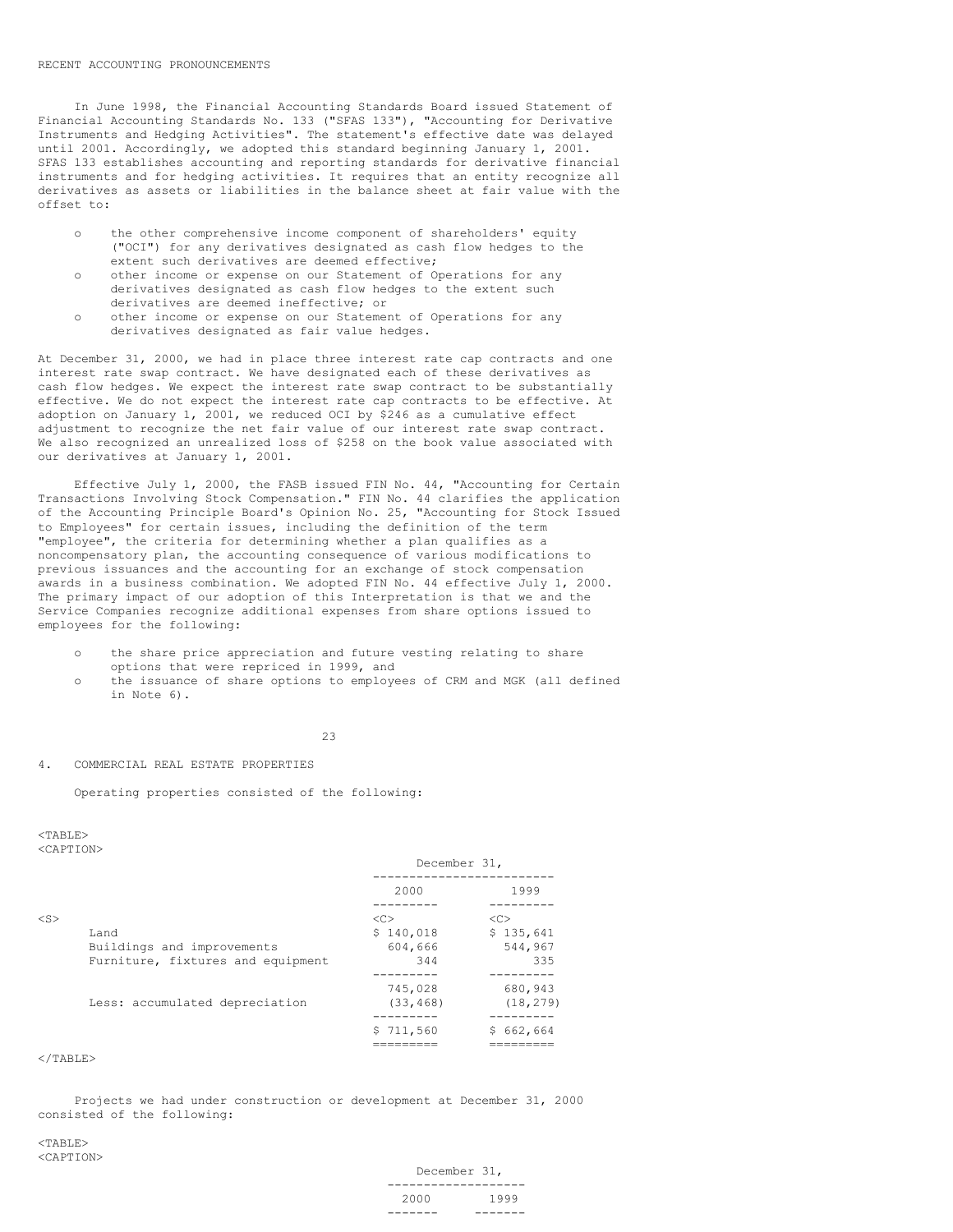In June 1998, the Financial Accounting Standards Board issued Statement of Financial Accounting Standards No. 133 ("SFAS 133"), "Accounting for Derivative Instruments and Hedging Activities". The statement's effective date was delayed until 2001. Accordingly, we adopted this standard beginning January 1, 2001. SFAS 133 establishes accounting and reporting standards for derivative financial instruments and for hedging activities. It requires that an entity recognize all derivatives as assets or liabilities in the balance sheet at fair value with the offset to:

- o the other comprehensive income component of shareholders' equity ("OCI") for any derivatives designated as cash flow hedges to the extent such derivatives are deemed effective;
- other income or expense on our Statement of Operations for any derivatives designated as cash flow hedges to the extent such derivatives are deemed ineffective; or
- o other income or expense on our Statement of Operations for any derivatives designated as fair value hedges.

At December 31, 2000, we had in place three interest rate cap contracts and one interest rate swap contract. We have designated each of these derivatives as cash flow hedges. We expect the interest rate swap contract to be substantially effective. We do not expect the interest rate cap contracts to be effective. At adoption on January 1, 2001, we reduced OCI by \$246 as a cumulative effect adjustment to recognize the net fair value of our interest rate swap contract. We also recognized an unrealized loss of \$258 on the book value associated with our derivatives at January 1, 2001.

Effective July 1, 2000, the FASB issued FIN No. 44, "Accounting for Certain Transactions Involving Stock Compensation." FIN No. 44 clarifies the application of the Accounting Principle Board's Opinion No. 25, "Accounting for Stock Issued to Employees" for certain issues, including the definition of the term "employee", the criteria for determining whether a plan qualifies as a noncompensatory plan, the accounting consequence of various modifications to previous issuances and the accounting for an exchange of stock compensation awards in a business combination. We adopted FIN No. 44 effective July 1, 2000. The primary impact of our adoption of this Interpretation is that we and the Service Companies recognize additional expenses from share options issued to employees for the following:

- the share price appreciation and future vesting relating to share options that were repriced in 1999, and
- o the issuance of share options to employees of CRM and MGK (all defined in Note 6).

### 23

## 4. COMMERCIAL REAL ESTATE PROPERTIES

Operating properties consisted of the following:

### <TABLE> <CAPTION>

|           |                                   | December 31, |               |
|-----------|-----------------------------------|--------------|---------------|
|           |                                   | 2000         | 1999          |
| $<$ S $>$ |                                   | <<           | < <sub></sub> |
|           | Land                              | \$140,018    | \$135,641     |
|           | Buildings and improvements        | 604,666      | 544,967       |
|           | Furniture, fixtures and equipment | 344          | 335           |
|           |                                   |              |               |
|           |                                   | 745,028      | 680,943       |
|           | Less: accumulated depreciation    | (33, 468)    | (18, 279)     |
|           |                                   | ------       | ------        |
|           |                                   | \$711,560    | \$662,664     |
|           |                                   |              |               |

## $\langle$ /TABLE>

Projects we had under construction or development at December 31, 2000 consisted of the following:

### $<$ TABLE> <CAPTION>

| December 31, |      |
|--------------|------|
| 2000         | 1999 |
|              |      |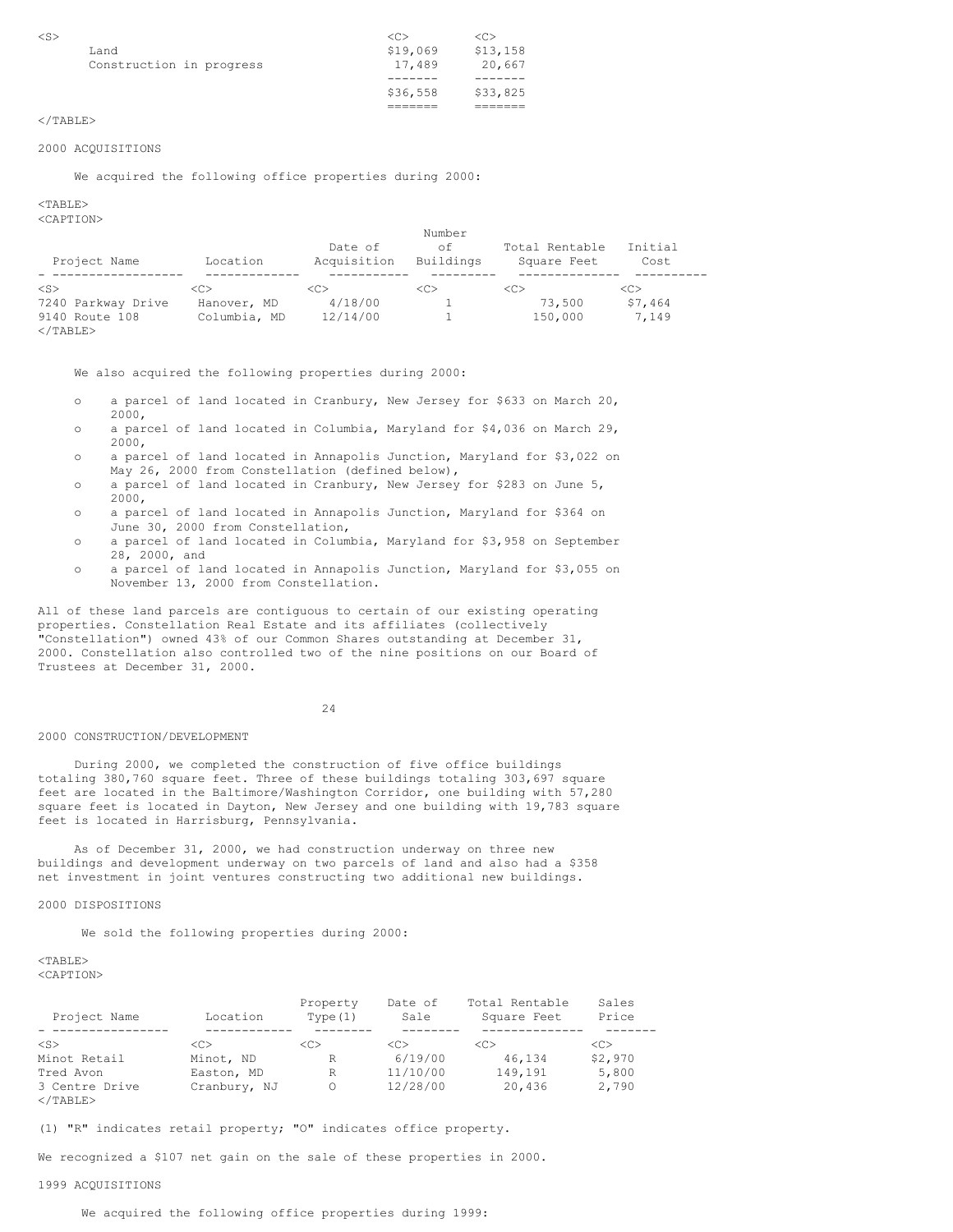| $<$ S $>$ | Land<br>Construction in progress | < <sub><br/>\$19,069<br/>17,489</sub> | <c><br/>\$13,158<br/>20,667</c> |
|-----------|----------------------------------|---------------------------------------|---------------------------------|
|           |                                  | \$36,558                              | \$33,825                        |

## $\langle$ /TABLE>

## 2000 ACQUISITIONS

We acquired the following office properties during 2000:

<TABLE> <CAPTION>

|                    |              |                        | Number          |                               |                 |
|--------------------|--------------|------------------------|-----------------|-------------------------------|-----------------|
| Project Name       | Location     | Date of<br>Acquisition | оf<br>Buildings | Total Rentable<br>Square Feet | Initial<br>Cost |
| $<$ S $>$          | <c></c>      | <c></c>                | <<>             | <c></c>                       | <c></c>         |
| 7240 Parkway Drive | Hanover, MD  | 4/18/00                |                 | 73,500                        | \$7,464         |
| 9140 Route 108     | Columbia, MD | 12/14/00               |                 | 150,000                       | 7.149           |
| $\langle$ /TABLE>  |              |                        |                 |                               |                 |

We also acquired the following properties during 2000:

- o a parcel of land located in Cranbury, New Jersey for \$633 on March 20, 2000,
- o a parcel of land located in Columbia, Maryland for \$4,036 on March 29, 2000,
- o a parcel of land located in Annapolis Junction, Maryland for \$3,022 on May 26, 2000 from Constellation (defined below),
- o a parcel of land located in Cranbury, New Jersey for \$283 on June 5, 2000,
- o a parcel of land located in Annapolis Junction, Maryland for \$364 on June 30, 2000 from Constellation,
- o a parcel of land located in Columbia, Maryland for \$3,958 on September 28, 2000, and
- o a parcel of land located in Annapolis Junction, Maryland for \$3,055 on November 13, 2000 from Constellation.

All of these land parcels are contiguous to certain of our existing operating properties. Constellation Real Estate and its affiliates (collectively "Constellation") owned 43% of our Common Shares outstanding at December 31, 2000. Constellation also controlled two of the nine positions on our Board of Trustees at December 31, 2000.

### 24

## 2000 CONSTRUCTION/DEVELOPMENT

During 2000, we completed the construction of five office buildings totaling 380,760 square feet. Three of these buildings totaling 303,697 square feet are located in the Baltimore/Washington Corridor, one building with 57,280 square feet is located in Dayton, New Jersey and one building with 19,783 square feet is located in Harrisburg, Pennsylvania.

As of December 31, 2000, we had construction underway on three new buildings and development underway on two parcels of land and also had a \$358 net investment in joint ventures constructing two additional new buildings.

## 2000 DISPOSITIONS

We sold the following properties during 2000:

#### <TABLE> <CAPTION>

| Project Name                        | Location      | Property<br>Type(1) | Date of<br>Sale | Total Rentable<br>Square Feet | Sales<br>Price |
|-------------------------------------|---------------|---------------------|-----------------|-------------------------------|----------------|
|                                     |               |                     |                 |                               |                |
| $<$ S $>$                           | < <sub></sub> | < <sub></sub>       | < <sub></sub>   | < <sub></sub>                 | < <sub></sub>  |
| Minot Retail                        | Minot, ND     | R                   | 6/19/00         | 46.134                        | \$2,970        |
| Tred Avon                           | Easton, MD    | R                   | 11/10/00        | 149,191                       | 5,800          |
| 3 Centre Drive<br>$\langle$ /TABLE> | Cranbury, NJ  | Ω                   | 12/28/00        | 20,436                        | 2,790          |

(1) "R" indicates retail property; "O" indicates office property.

We recognized a \$107 net gain on the sale of these properties in 2000.

1999 ACQUISITIONS

We acquired the following office properties during 1999: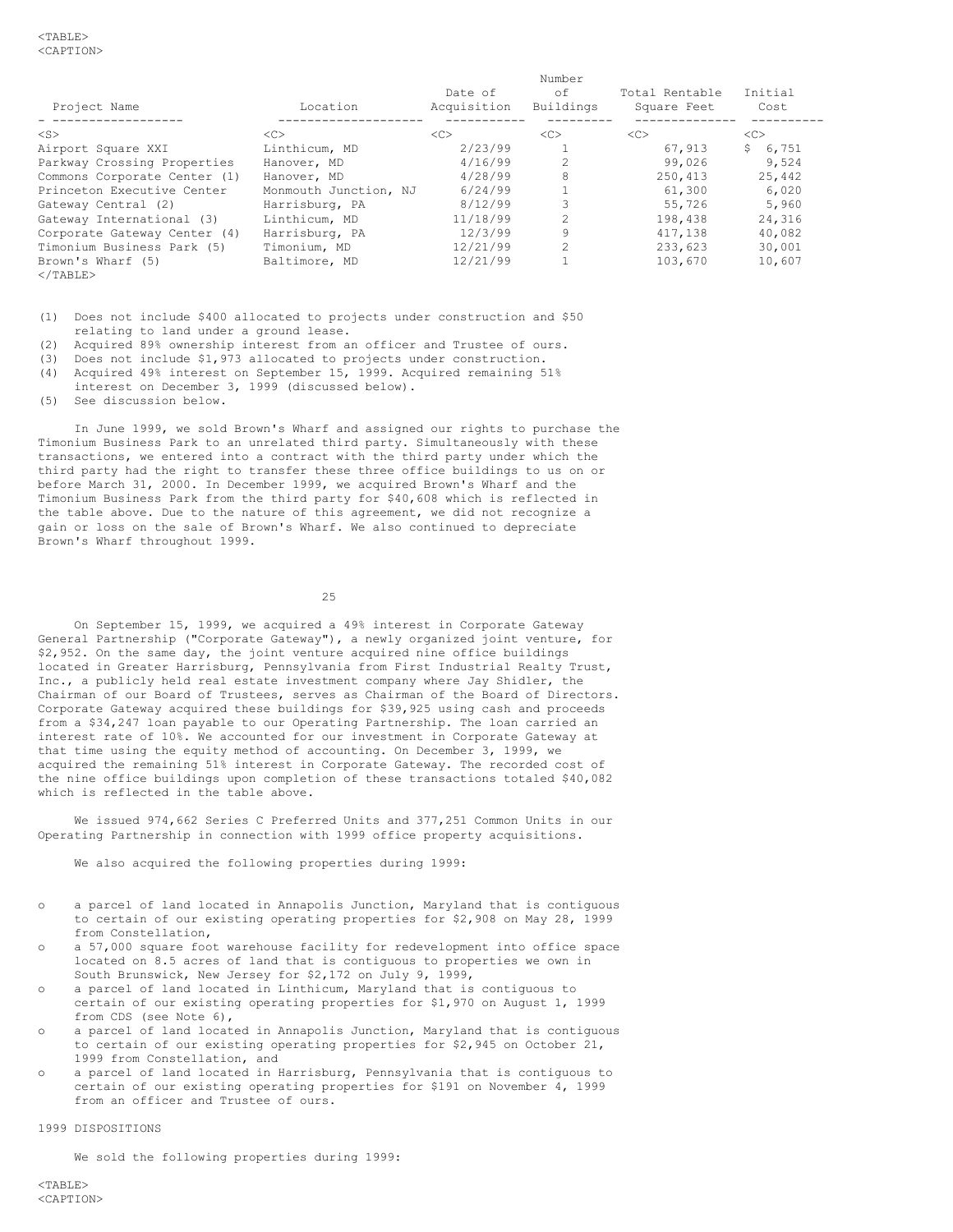|                              | NUILLUEL              |                        |                 |                               |                 |  |
|------------------------------|-----------------------|------------------------|-----------------|-------------------------------|-----------------|--|
| Project Name                 | Location              | Date of<br>Acquisition | оf<br>Buildings | Total Rentable<br>Square Feet | Initial<br>Cost |  |
|                              |                       |                        |                 |                               |                 |  |
| $<$ S $>$                    | < <sub></sub>         | < <sub></sub>          | < <sub></sub>   | <<                            | <<>             |  |
| Airport Square XXI           | Linthicum, MD         | 2/23/99                |                 | 67.913                        | 6,751<br>S.     |  |
| Parkway Crossing Properties  | Hanover, MD           | 4/16/99                |                 | 99.026                        | 9.524           |  |
| Commons Corporate Center (1) | Hanover, MD           | 4/28/99                | 8               | 250,413                       | 25,442          |  |
| Princeton Executive Center   | Monmouth Junction, NJ | 6/24/99                |                 | 61,300                        | 6,020           |  |
| Gateway Central (2)          | Harrisburg, PA        | 8/12/99                |                 | 55.726                        | 5,960           |  |
| Gateway International (3)    | Linthicum, MD         | 11/18/99               |                 | 198,438                       | 24,316          |  |
| Corporate Gateway Center (4) | Harrisburg, PA        | 12/3/99                | 9               | 417,138                       | 40,082          |  |
| Timonium Business Park (5)   | Timonium, MD          | 12/21/99               | $\mathfrak{D}$  | 233,623                       | 30,001          |  |
| Brown's Wharf (5)            | Baltimore, MD         | 12/21/99               |                 | 103,670                       | 10,607          |  |
| $\langle$ /TABLE>            |                       |                        |                 |                               |                 |  |

Number

(1) Does not include \$400 allocated to projects under construction and \$50 relating to land under a ground lease.

- (2) Acquired 89% ownership interest from an officer and Trustee of ours.
- (3) Does not include \$1,973 allocated to projects under construction.
- (4) Acquired 49% interest on September 15, 1999. Acquired remaining 51%
- interest on December 3, 1999 (discussed below).

(5) See discussion below.

In June 1999, we sold Brown's Wharf and assigned our rights to purchase the Timonium Business Park to an unrelated third party. Simultaneously with these transactions, we entered into a contract with the third party under which the third party had the right to transfer these three office buildings to us on or before March 31, 2000. In December 1999, we acquired Brown's Wharf and the Timonium Business Park from the third party for \$40,608 which is reflected in the table above. Due to the nature of this agreement, we did not recognize a gain or loss on the sale of Brown's Wharf. We also continued to depreciate Brown's Wharf throughout 1999.

 $25$ 

On September 15, 1999, we acquired a 49% interest in Corporate Gateway General Partnership ("Corporate Gateway"), a newly organized joint venture, for \$2,952. On the same day, the joint venture acquired nine office buildings located in Greater Harrisburg, Pennsylvania from First Industrial Realty Trust, Inc., a publicly held real estate investment company where Jay Shidler, the Chairman of our Board of Trustees, serves as Chairman of the Board of Directors. Corporate Gateway acquired these buildings for \$39,925 using cash and proceeds from a \$34,247 loan payable to our Operating Partnership. The loan carried an interest rate of 10%. We accounted for our investment in Corporate Gateway at that time using the equity method of accounting. On December 3, 1999, we acquired the remaining 51% interest in Corporate Gateway. The recorded cost of the nine office buildings upon completion of these transactions totaled \$40,082 which is reflected in the table above.

We issued 974,662 Series C Preferred Units and 377,251 Common Units in our Operating Partnership in connection with 1999 office property acquisitions.

We also acquired the following properties during 1999:

- o a parcel of land located in Annapolis Junction, Maryland that is contiguous to certain of our existing operating properties for \$2,908 on May 28, 1999 from Constellation,
- o a 57,000 square foot warehouse facility for redevelopment into office space located on 8.5 acres of land that is contiguous to properties we own in South Brunswick, New Jersey for \$2,172 on July 9, 1999,
- o a parcel of land located in Linthicum, Maryland that is contiguous to certain of our existing operating properties for \$1,970 on August 1, 1999 from CDS (see Note 6),
- a parcel of land located in Annapolis Junction, Maryland that is contiguous to certain of our existing operating properties for \$2,945 on October 21, 1999 from Constellation, and
- o a parcel of land located in Harrisburg, Pennsylvania that is contiguous to certain of our existing operating properties for \$191 on November 4, 1999 from an officer and Trustee of ours.

## 1999 DISPOSITIONS

We sold the following properties during 1999: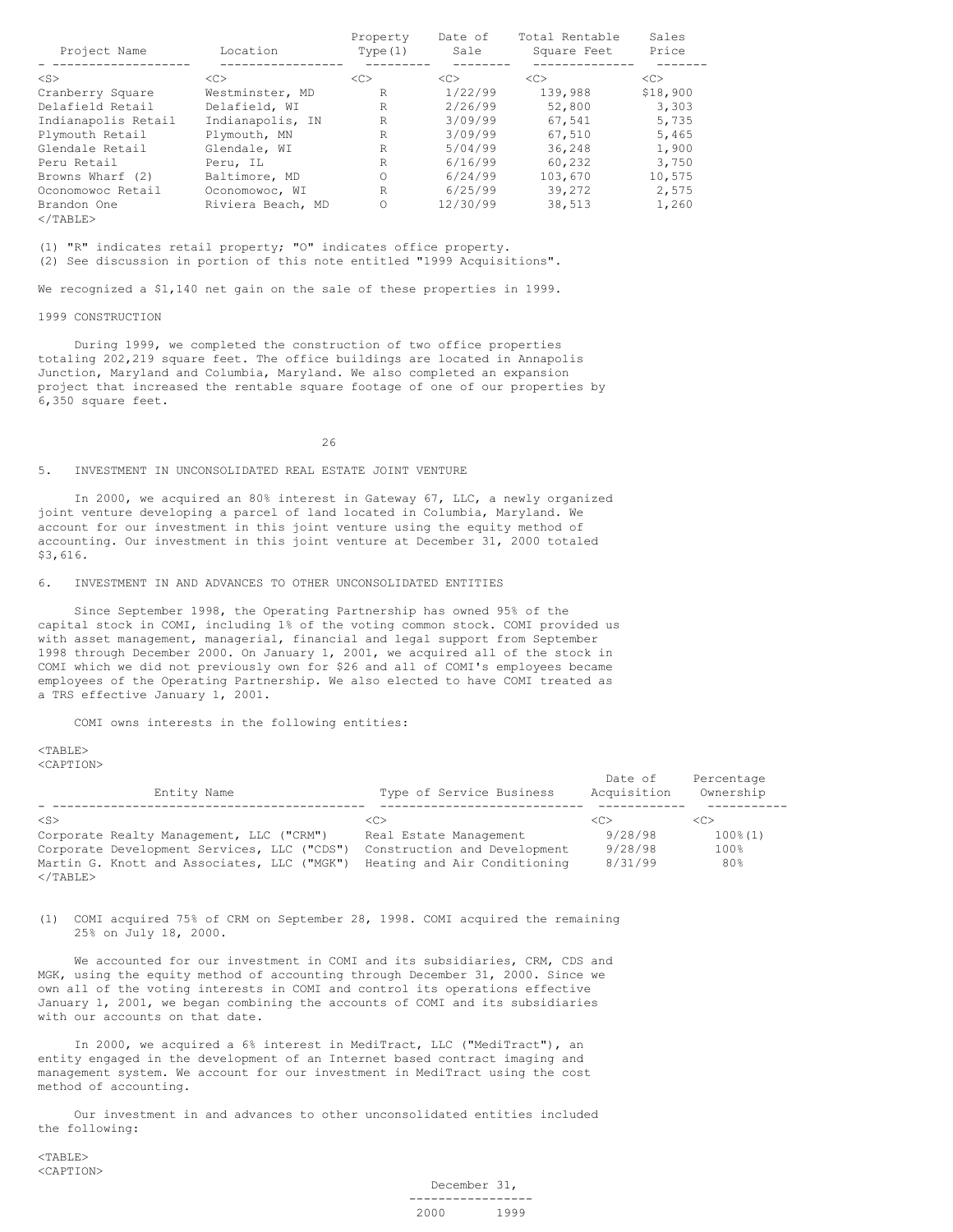| Project Name                        | Location          | Property<br>Type(1) | Date of<br>Sale | Total Rentable<br>Square Feet | Sales<br>Price |  |
|-------------------------------------|-------------------|---------------------|-----------------|-------------------------------|----------------|--|
|                                     |                   |                     |                 |                               |                |  |
| $<$ S $>$                           | <<                | < <sub></sub>       | < <sub></sub>   | <<                            | <<             |  |
| Cranberry Square                    | Westminster, MD   | R                   | 1/22/99         | 139,988                       | \$18,900       |  |
| Delafield Retail                    | Delafield, WI     | R                   | 2/26/99         | 52,800                        | 3,303          |  |
| Indianapolis Retail                 | Indianapolis, IN  | R                   | 3/09/99         | 67.541                        | 5,735          |  |
| Plymouth Retail                     | Plymouth, MN      | R                   | 3/09/99         | 67,510                        | 5,465          |  |
| Glendale Retail                     | Glendale, WI      | R                   | 5/04/99         | 36,248                        | 1,900          |  |
| Peru Retail                         | Peru, IL          | R                   | 6/16/99         | 60,232                        | 3,750          |  |
| Browns Wharf (2)                    | Baltimore, MD     | $\bigcirc$          | 6/24/99         | 103,670                       | 10,575         |  |
| Oconomowoc Retail                   | Oconomowoc, WI    | R                   | 6/25/99         | 39,272                        | 2,575          |  |
| Brandon One<br>$\langle$ /TARLE $>$ | Riviera Beach, MD | Ω                   | 12/30/99        | 38,513                        | 1,260          |  |

(1) "R" indicates retail property; "O" indicates office property. (2) See discussion in portion of this note entitled "1999 Acquisitions".

We recognized a \$1,140 net gain on the sale of these properties in 1999.

### 1999 CONSTRUCTION

During 1999, we completed the construction of two office properties totaling 202,219 square feet. The office buildings are located in Annapolis Junction, Maryland and Columbia, Maryland. We also completed an expansion project that increased the rentable square footage of one of our properties by 6,350 square feet.

26

### 5. INVESTMENT IN UNCONSOLIDATED REAL ESTATE JOINT VENTURE

In 2000, we acquired an 80% interest in Gateway 67, LLC, a newly organized joint venture developing a parcel of land located in Columbia, Maryland. We account for our investment in this joint venture using the equity method of accounting. Our investment in this joint venture at December 31, 2000 totaled \$3,616.

## 6. INVESTMENT IN AND ADVANCES TO OTHER UNCONSOLIDATED ENTITIES

Since September 1998, the Operating Partnership has owned 95% of the capital stock in COMI, including 1% of the voting common stock. COMI provided us with asset management, managerial, financial and legal support from September 1998 through December 2000. On January 1, 2001, we acquired all of the stock in COMI which we did not previously own for \$26 and all of COMI's employees became employees of the Operating Partnership. We also elected to have COMI treated as a TRS effective January 1, 2001.

COMI owns interests in the following entities:

### $<$ TABLE> <CAPTION>

|                   | Entity Name                                 | Type of Service Business     | Date of<br>Acquisition | Percentage<br>Ownership |
|-------------------|---------------------------------------------|------------------------------|------------------------|-------------------------|
| $<$ S $>$         |                                             | <c></c>                      | <c></c>                | <c></c>                 |
|                   | Corporate Realty Management, LLC ("CRM")    | Real Estate Management       | 9/28/98                | $100\frac{6}{1}$        |
|                   | Corporate Development Services, LLC ("CDS") | Construction and Development | 9/28/98                | 100%                    |
|                   | Martin G. Knott and Associates, LLC ("MGK") | Heating and Air Conditioning | 8/31/99                | 80%                     |
| $\langle$ /TABLE> |                                             |                              |                        |                         |

(1) COMI acquired 75% of CRM on September 28, 1998. COMI acquired the remaining 25% on July 18, 2000.

We accounted for our investment in COMI and its subsidiaries, CRM, CDS and MGK, using the equity method of accounting through December 31, 2000. Since we own all of the voting interests in COMI and control its operations effective January 1, 2001, we began combining the accounts of COMI and its subsidiaries with our accounts on that date.

In 2000, we acquired a 6% interest in MediTract, LLC ("MediTract"), an entity engaged in the development of an Internet based contract imaging and management system. We account for our investment in MediTract using the cost method of accounting.

Our investment in and advances to other unconsolidated entities included the following:

 $<$ TABLE> <CAPTION>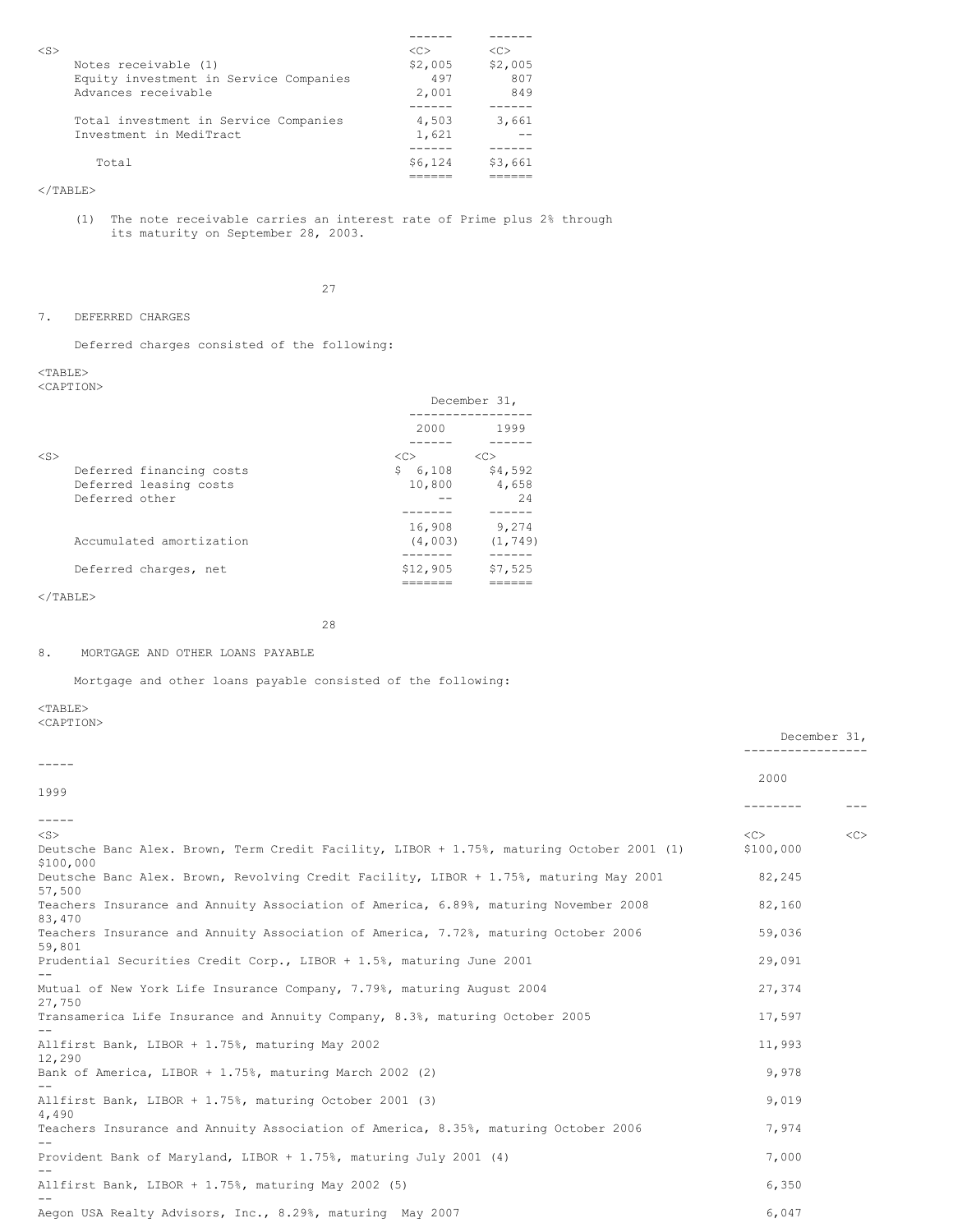| $<$ S>                                 | < <sub></sub> | < <sub></sub> |
|----------------------------------------|---------------|---------------|
| Notes receivable (1)                   | \$2,005       | \$2,005       |
| Equity investment in Service Companies | 497           | 807           |
| Advances receivable                    | 2,001         | 849           |
|                                        |               |               |
| Total investment in Service Companies  | 4,503         | 3,661         |
| Investment in MediTract                | 1,621         |               |
|                                        |               |               |
| Total                                  | \$6,124       | \$3,661       |
|                                        |               |               |

(1) The note receivable carries an interest rate of Prime plus 2% through its maturity on September 28, 2003.

27

## 7. DEFERRED CHARGES

Deferred charges consisted of the following:

# <TABLE>

<CAPTION>

|                                       |                    | December 31,              |
|---------------------------------------|--------------------|---------------------------|
|                                       | 2000               | 1999                      |
|                                       |                    |                           |
| $<$ S $>$<br>Deferred financing costs | <<><br>\$6,108     | < <sub><br/>\$4,592</sub> |
| Deferred leasing costs                | 10,800             | 4,658                     |
| Deferred other                        |                    | 2.4                       |
|                                       | 16,908             | 9,274                     |
| Accumulated amortization              | (4.003)            | (1, 749)                  |
| Deferred charges, net                 | ------<br>\$12,905 | \$7,525                   |
|                                       |                    |                           |
| $\langle$ /TABLE>                     |                    |                           |

28

8. MORTGAGE AND OTHER LOANS PAYABLE

Mortgage and other loans payable consisted of the following:

<TABLE>

<CAPTION>

|                                                                                                        |           | December 31. |  |  |
|--------------------------------------------------------------------------------------------------------|-----------|--------------|--|--|
|                                                                                                        | 2000      |              |  |  |
| 1999                                                                                                   |           |              |  |  |
| $------$                                                                                               |           |              |  |  |
| $<$ S $>$                                                                                              | <<        | <<           |  |  |
| Deutsche Banc Alex. Brown, Term Credit Facility, LIBOR + 1.75%, maturing October 2001 (1)<br>\$100,000 | \$100,000 |              |  |  |
| Deutsche Banc Alex. Brown, Revolving Credit Facility, LIBOR + 1.75%, maturing May 2001<br>57,500       | 82,245    |              |  |  |
| Teachers Insurance and Annuity Association of America, 6.89%, maturing November 2008<br>83,470         | 82,160    |              |  |  |
| Teachers Insurance and Annuity Association of America, 7.72%, maturing October 2006<br>59,801          | 59,036    |              |  |  |
| Prudential Securities Credit Corp., LIBOR + 1.5%, maturing June 2001                                   | 29,091    |              |  |  |
| Mutual of New York Life Insurance Company, 7.79%, maturing August 2004<br>27,750                       | 27,374    |              |  |  |
| Transamerica Life Insurance and Annuity Company, 8.3%, maturing October 2005                           | 17,597    |              |  |  |
| Allfirst Bank, LIBOR + 1.75%, maturing May 2002<br>12,290                                              | 11,993    |              |  |  |
| Bank of America, LIBOR + 1.75%, maturing March 2002 (2)                                                | 9,978     |              |  |  |
| Allfirst Bank, LIBOR + 1.75%, maturing October 2001 (3)<br>4,490                                       | 9,019     |              |  |  |
| Teachers Insurance and Annuity Association of America, 8.35%, maturing October 2006                    | 7,974     |              |  |  |
| Provident Bank of Maryland, LIBOR + 1.75%, maturing July 2001 (4)                                      | 7,000     |              |  |  |
| Allfirst Bank, LIBOR + 1.75%, maturing May 2002 (5)                                                    | 6,350     |              |  |  |
| Aegon USA Realty Advisors, Inc., 8.29%, maturing May 2007                                              | 6,047     |              |  |  |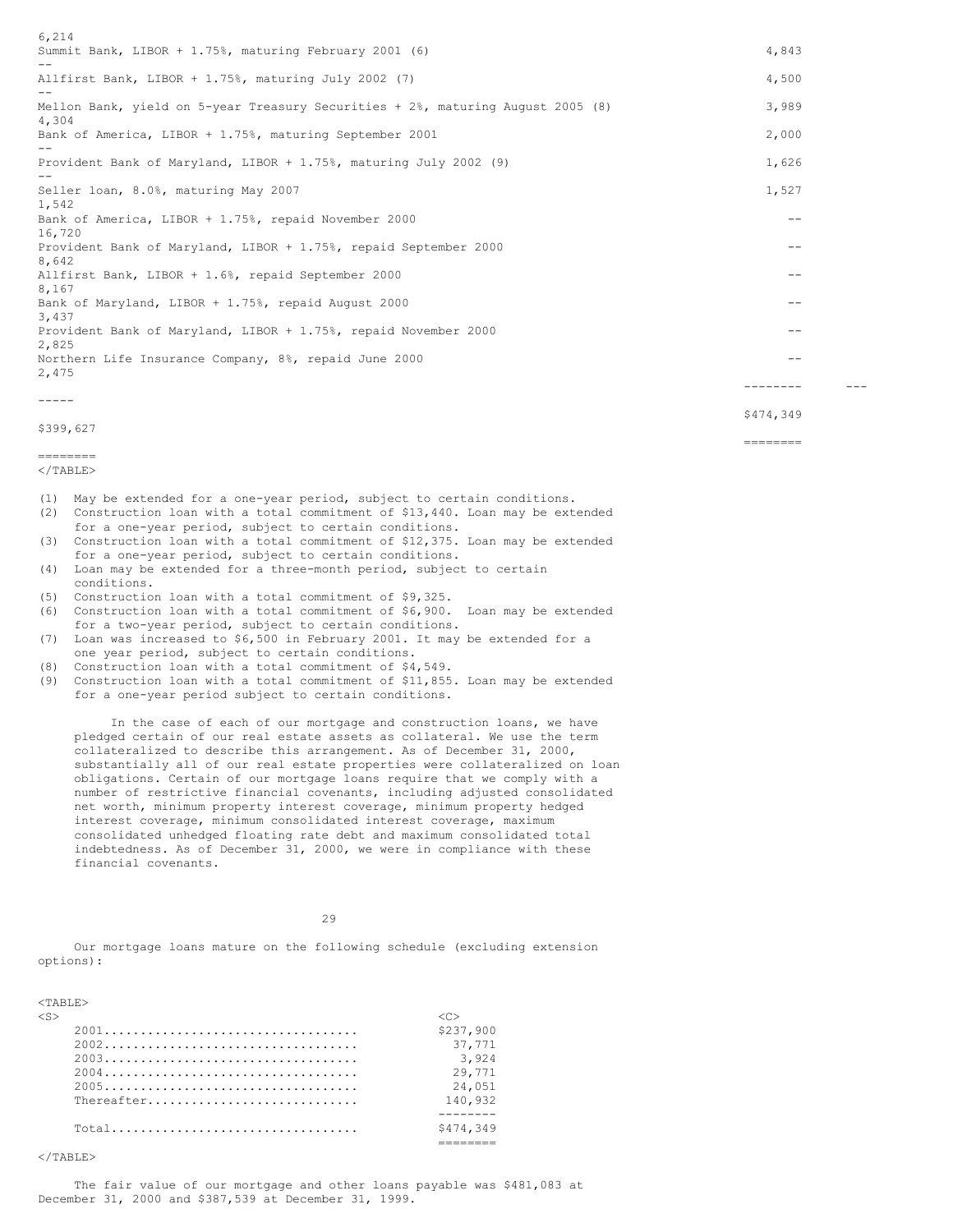| 6,214<br>Summit Bank, LIBOR + 1.75%, maturing February 2001 (6)                          | 4,843     |  |
|------------------------------------------------------------------------------------------|-----------|--|
| Allfirst Bank, LIBOR + 1.75%, maturing July 2002 (7)                                     | 4,500     |  |
| Mellon Bank, yield on 5-year Treasury Securities + 2%, maturing August 2005 (8)<br>4,304 | 3,989     |  |
| Bank of America, LIBOR + 1.75%, maturing September 2001                                  | 2,000     |  |
| Provident Bank of Maryland, LIBOR + 1.75%, maturing July 2002 (9)                        | 1,626     |  |
| Seller loan, 8.0%, maturing May 2007<br>1,542                                            | 1,527     |  |
| Bank of America, LIBOR + 1.75%, repaid November 2000<br>16,720                           | --        |  |
| Provident Bank of Maryland, LIBOR + 1.75%, repaid September 2000<br>8,642                | $ -$      |  |
| Allfirst Bank, LIBOR + 1.6%, repaid September 2000<br>8,167                              | --        |  |
| Bank of Maryland, LIBOR + 1.75%, repaid August 2000<br>3,437                             | --        |  |
| Provident Bank of Maryland, LIBOR + 1.75%, repaid November 2000<br>2.825                 | --        |  |
| Northern Life Insurance Company, 8%, repaid June 2000<br>2,475                           | --        |  |
| $------$                                                                                 |           |  |
| \$399,627                                                                                | \$474,349 |  |
| ========                                                                                 | ========  |  |

- (1) May be extended for a one-year period, subject to certain conditions. (2) Construction loan with a total commitment of \$13,440. Loan may be extended for a one-year period, subject to certain conditions.
- (3) Construction loan with a total commitment of \$12,375. Loan may be extended for a one-year period, subject to certain conditions.
- (4) Loan may be extended for a three-month period, subject to certain conditions.
- (5) Construction loan with a total commitment of \$9,325.
- (6) Construction loan with a total commitment of \$6,900. Loan may be extended for a two-year period, subject to certain conditions.
- (7) Loan was increased to \$6,500 in February 2001. It may be extended for a one year period, subject to certain conditions.
- (8) Construction loan with a total commitment of \$4,549.
- (9) Construction loan with a total commitment of \$11,855. Loan may be extended for a one-year period subject to certain conditions.

In the case of each of our mortgage and construction loans, we have pledged certain of our real estate assets as collateral. We use the term collateralized to describe this arrangement. As of December 31, 2000, substantially all of our real estate properties were collateralized on loan obligations. Certain of our mortgage loans require that we comply with a number of restrictive financial covenants, including adjusted consolidated net worth, minimum property interest coverage, minimum property hedged interest coverage, minimum consolidated interest coverage, maximum consolidated unhedged floating rate debt and maximum consolidated total indebtedness. As of December 31, 2000, we were in compliance with these financial covenants.

29

Our mortgage loans mature on the following schedule (excluding extension options):

| $<$ TABLE $>$ |                     |
|---------------|---------------------|
| $<$ S $>$     | $\langle C \rangle$ |
|               | \$237,900           |
|               | 37,771              |
|               | 3,924               |
|               | 29.771              |
|               | 24,051              |
| Thereafter    | 140,932             |
|               |                     |
|               | \$474.349           |
|               |                     |

 $<$ /TABLE>

The fair value of our mortgage and other loans payable was \$481,083 at December 31, 2000 and \$387,539 at December 31, 1999.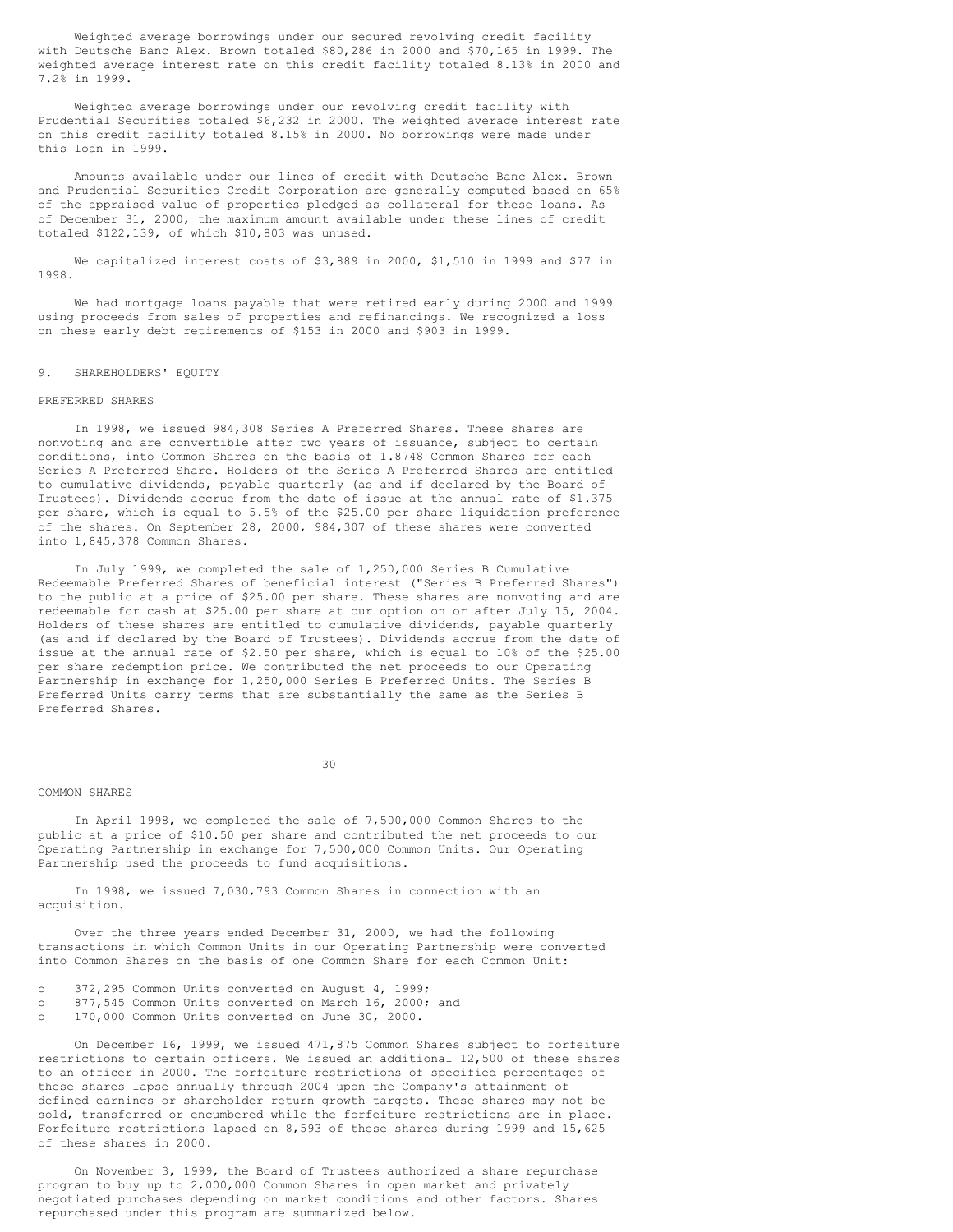Weighted average borrowings under our secured revolving credit facility with Deutsche Banc Alex. Brown totaled \$80,286 in 2000 and \$70,165 in 1999. The weighted average interest rate on this credit facility totaled 8.13% in 2000 and 7.2% in 1999.

Weighted average borrowings under our revolving credit facility with Prudential Securities totaled \$6,232 in 2000. The weighted average interest rate on this credit facility totaled 8.15% in 2000. No borrowings were made under this loan in 1999.

Amounts available under our lines of credit with Deutsche Banc Alex. Brown and Prudential Securities Credit Corporation are generally computed based on 65% of the appraised value of properties pledged as collateral for these loans. As of December 31, 2000, the maximum amount available under these lines of credit totaled \$122,139, of which \$10,803 was unused.

We capitalized interest costs of \$3,889 in 2000, \$1,510 in 1999 and \$77 in 1998.

We had mortgage loans payable that were retired early during 2000 and 1999 using proceeds from sales of properties and refinancings. We recognized a loss on these early debt retirements of \$153 in 2000 and \$903 in 1999.

#### 9. SHAREHOLDERS' EQUITY

#### PREFERRED SHARES

In 1998, we issued 984,308 Series A Preferred Shares. These shares are nonvoting and are convertible after two years of issuance, subject to certain conditions, into Common Shares on the basis of 1.8748 Common Shares for each Series A Preferred Share. Holders of the Series A Preferred Shares are entitled to cumulative dividends, payable quarterly (as and if declared by the Board of Trustees). Dividends accrue from the date of issue at the annual rate of \$1.375 per share, which is equal to 5.5% of the \$25.00 per share liquidation preference of the shares. On September 28, 2000, 984,307 of these shares were converted into 1,845,378 Common Shares.

In July 1999, we completed the sale of 1,250,000 Series B Cumulative Redeemable Preferred Shares of beneficial interest ("Series B Preferred Shares") to the public at a price of \$25.00 per share. These shares are nonvoting and are redeemable for cash at \$25.00 per share at our option on or after July 15, 2004. Holders of these shares are entitled to cumulative dividends, payable quarterly (as and if declared by the Board of Trustees). Dividends accrue from the date of issue at the annual rate of \$2.50 per share, which is equal to 10% of the \$25.00 per share redemption price. We contributed the net proceeds to our Operating Partnership in exchange for 1,250,000 Series B Preferred Units. The Series B Preferred Units carry terms that are substantially the same as the Series B Preferred Shares.

30

### COMMON SHARES

In April 1998, we completed the sale of 7,500,000 Common Shares to the public at a price of \$10.50 per share and contributed the net proceeds to our Operating Partnership in exchange for 7,500,000 Common Units. Our Operating Partnership used the proceeds to fund acquisitions.

In 1998, we issued 7,030,793 Common Shares in connection with an acquisition.

Over the three years ended December 31, 2000, we had the following transactions in which Common Units in our Operating Partnership were converted into Common Shares on the basis of one Common Share for each Common Unit:

o 372,295 Common Units converted on August 4, 1999;

o 877,545 Common Units converted on March 16, 2000; and

o 170,000 Common Units converted on June 30, 2000.

On December 16, 1999, we issued 471,875 Common Shares subject to forfeiture restrictions to certain officers. We issued an additional 12,500 of these shares to an officer in 2000. The forfeiture restrictions of specified percentages of these shares lapse annually through 2004 upon the Company's attainment of defined earnings or shareholder return growth targets. These shares may not be sold, transferred or encumbered while the forfeiture restrictions are in place. Forfeiture restrictions lapsed on 8,593 of these shares during 1999 and 15,625 of these shares in 2000.

On November 3, 1999, the Board of Trustees authorized a share repurchase program to buy up to 2,000,000 Common Shares in open market and privately negotiated purchases depending on market conditions and other factors. Shares repurchased under this program are summarized below.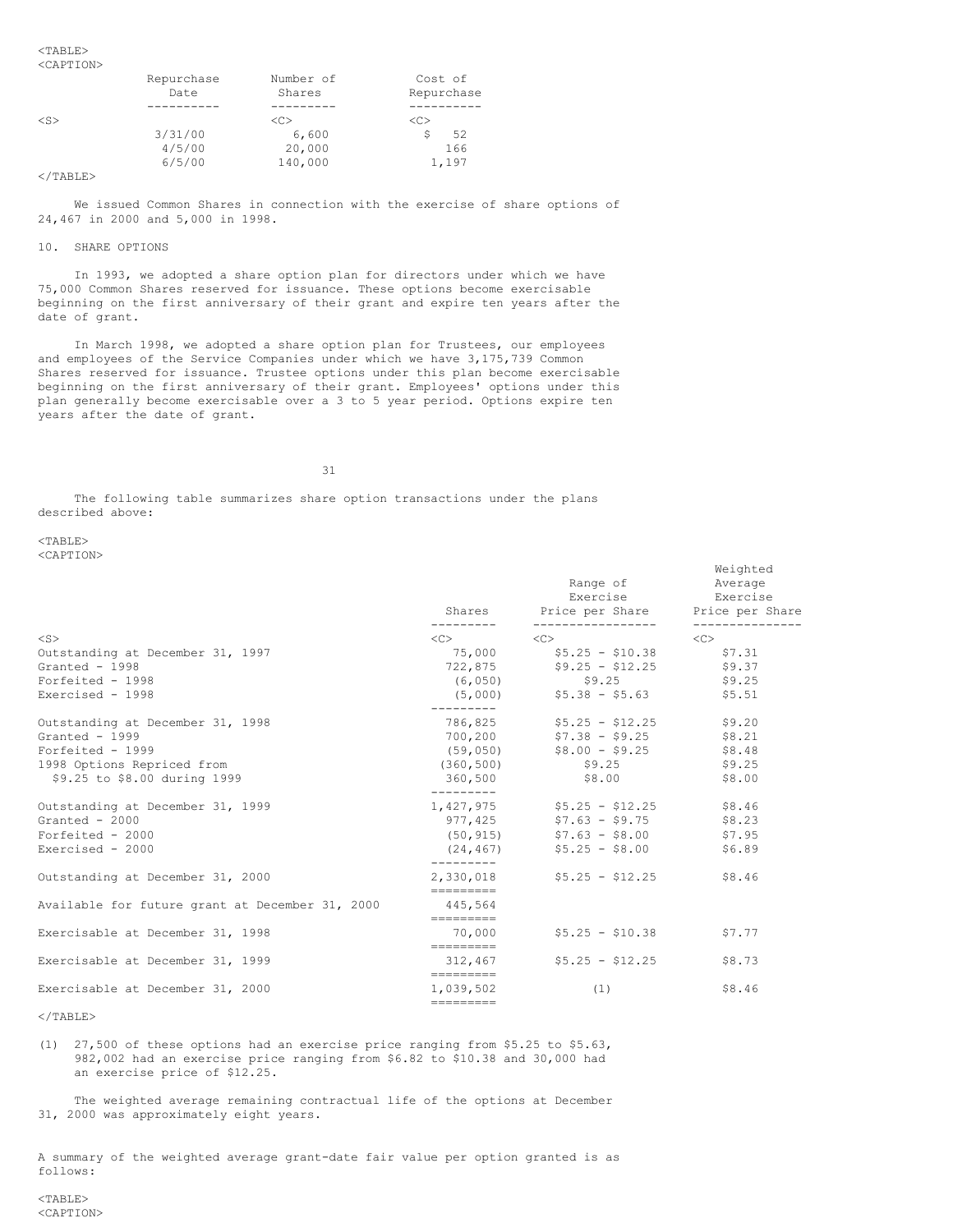$<$ TABLE> <CAPTION>

|           | Repurchase<br>Date | Number of<br>Shares |            |  |  |
|-----------|--------------------|---------------------|------------|--|--|
|           |                    |                     |            |  |  |
| $<$ S $>$ |                    | <c></c>             | $<<$ C $>$ |  |  |
|           | 3/31/00            | 6,600               | 52         |  |  |
|           | 4/5/00             | 20,000              | 166        |  |  |
|           | 6/5/00             | 140,000             | 1,197      |  |  |

 $<$ /TABLE>

We issued Common Shares in connection with the exercise of share options of 24,467 in 2000 and 5,000 in 1998.

## 10. SHARE OPTIONS

In 1993, we adopted a share option plan for directors under which we have 75,000 Common Shares reserved for issuance. These options become exercisable beginning on the first anniversary of their grant and expire ten years after the date of grant.

In March 1998, we adopted a share option plan for Trustees, our employees and employees of the Service Companies under which we have 3,175,739 Common Shares reserved for issuance. Trustee options under this plan become exercisable beginning on the first anniversary of their grant. Employees' options under this plan generally become exercisable over a 3 to 5 year period. Options expire ten years after the date of grant.

31

The following table summarizes share option transactions under the plans described above:

 $<sub>TAPIT.F></sub>$ </sub>

| <caption></caption>                                     |                                   |                                                                          |                                 |
|---------------------------------------------------------|-----------------------------------|--------------------------------------------------------------------------|---------------------------------|
|                                                         | Shares                            | Range of<br>Exercise<br>Price per Share Price per Share                  | Weighted<br>Average<br>Exercise |
| $<$ S $>$                                               | ----------<br>$\langle C \rangle$ | $\langle$ C> $\sim$                                                      | < <c></c>                       |
| Outstanding at December 31, 1997                        |                                   | $75,000$ $$5,25 - $10,38$ $$7,31$                                        |                                 |
| Granted - 1998                                          |                                   | $722,875$ $$9.25 - $12.25$ $$9.37$                                       |                                 |
| Forfeited - 1998                                        |                                   | $(6, 050)$ \$9.25                                                        | \$9.25                          |
| Exercised - 1998                                        |                                   | $(5,000)$ $$5.38 - $5.63$                                                | \$5.51                          |
| Outstanding at December 31, 1998                        | ---------                         | $786,825$ $$5.25 - $12.25$                                               | \$9.20                          |
| Granted - $1999$                                        |                                   | $700,200$ \$7.38 - \$9.25                                                | \$8.21                          |
| Forfeited - 1999                                        |                                   | $(59,050)$ \$8.00 - \$9.25 \$8.48                                        |                                 |
| 1998 Options Repriced from                              |                                   | $(360, 500)$ $\frac{1}{25}$ $\frac{1}{25}$ $\frac{1}{25}$ $\frac{1}{25}$ |                                 |
| \$9.25 to \$8.00 during 1999                            |                                   | $360,500$ \$8.00                                                         | \$8.00                          |
| Outstanding at December 31, 1999                        | ----------                        | $1,427,975$ $$5.25 - $12.25$                                             | \$8.46                          |
| Granted $-2000$                                         |                                   | $977,425$ $$7.63 - $9.75$                                                | \$8.23                          |
| Forfeited - 2000                                        |                                   | $(50, 915)$ $$7.63 - $8.00$                                              | \$7.95                          |
| Exercised - 2000                                        |                                   | $(24, 467)$ $$5.25 - $8.00$                                              | \$6.89                          |
| Outstanding at December 31, 2000                        | ----------                        | $2,330,018$ $$5.25 - $12.25$                                             | \$8.46                          |
|                                                         | =========                         |                                                                          |                                 |
| Available for future grant at December 31, 2000 445,564 |                                   |                                                                          |                                 |
| Exercisable at December 31, 1998                        | =========<br>70.000               | $$5.25 - $10.38$                                                         | \$7.77                          |
| Exercisable at December 31, 1999                        | =========<br>312,467              | $$5.25 - $12.25$                                                         | \$8.73                          |
| Exercisable at December 31, 2000                        | ----------<br>1,039,502           | (1)                                                                      | \$8.46                          |
|                                                         | ----------                        |                                                                          |                                 |
| $\langle$ /TABLE>                                       |                                   |                                                                          |                                 |
|                                                         |                                   |                                                                          |                                 |

(1) 27,500 of these options had an exercise price ranging from \$5.25 to \$5.63, 982,002 had an exercise price ranging from \$6.82 to \$10.38 and 30,000 had an exercise price of \$12.25.

The weighted average remaining contractual life of the options at December 31, 2000 was approximately eight years.

A summary of the weighted average grant-date fair value per option granted is as follows:

<TABLE> <CAPTION>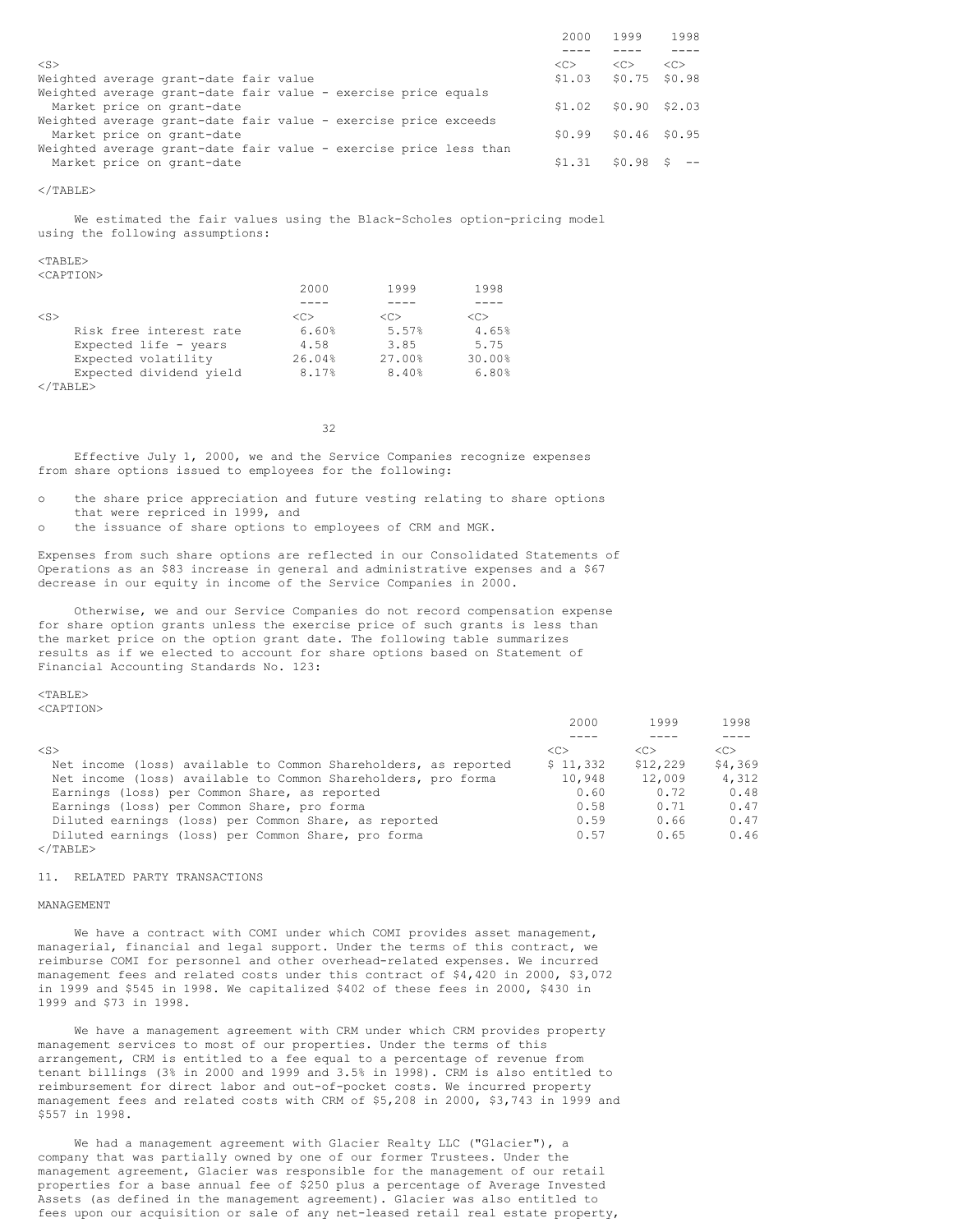|                                                                   | 2000                    | 1999                    | 1998          |
|-------------------------------------------------------------------|-------------------------|-------------------------|---------------|
|                                                                   |                         |                         |               |
| $\langle$ S>                                                      | < <sub></sub>           | $\langle C \rangle$     | < <sub></sub> |
| Weighted average grant-date fair value                            | $$1.03$ $$0.75$ $$0.98$ |                         |               |
| Weighted average grant-date fair value - exercise price equals    |                         |                         |               |
| Market price on grant-date                                        | \$1.02                  | \$0.90 \$2.03           |               |
| Weighted average grant-date fair value - exercise price exceeds   |                         |                         |               |
| Market price on grant-date                                        |                         | $$0.99$ $$0.46$ $$0.95$ |               |
| Weighted average grant-date fair value - exercise price less than |                         |                         |               |
| Market price on grant-date                                        | \$1.31                  | \$0.98                  |               |

 $\langle$ /TABLE>

We estimated the fair values using the Black-Scholes option-pricing model using the following assumptions:

#### $<$ TABLE $>$  $\angle$ CADTIONS

| NUAL LEUIVA             |               |               |        |
|-------------------------|---------------|---------------|--------|
|                         | 2000          | 1999          | 1998   |
|                         |               |               |        |
| $<$ S $>$               | < <sub></sub> | < <sub></sub> | <<     |
| Risk free interest rate | 6.60%         | 5.57%         | 4.65%  |
| Expected life - years   | 4.58          | 3.85          | 5.75   |
| Expected volatility     | 26.04%        | 27.00%        | 30.00% |
| Expected dividend vield | 8.17%         | 8.40%         | 6.80%  |
| 'TABLE>                 |               |               |        |

32

Effective July 1, 2000, we and the Service Companies recognize expenses from share options issued to employees for the following:

- o the share price appreciation and future vesting relating to share options that were repriced in 1999, and
- o the issuance of share options to employees of CRM and MGK.

Expenses from such share options are reflected in our Consolidated Statements of Operations as an \$83 increase in general and administrative expenses and a \$67 decrease in our equity in income of the Service Companies in 2000.

Otherwise, we and our Service Companies do not record compensation expense for share option grants unless the exercise price of such grants is less than the market price on the option grant date. The following table summarizes results as if we elected to account for share options based on Statement of Financial Accounting Standards No. 123:

<TABLE> <CAPTION>

2000 1999 1998 ---- ---- ---- <S> <C> <C> <C> Net income (loss) available to Common Shareholders, as reported  $$ 11,332$   $$12,229$   $$4,369$ Net income (loss) available to Common Shareholders, pro forma 10,948 12,009 4,312<br>Earnings (loss) per Common Share, as reported 0.60 0.72 0.48 Earnings (loss) per Common Share, as reported  $0.60$  0.72<br>
Earnings (loss) per Common Share, pro forma  $0.58$  0.71 Earnings (loss) per Common Share, pro forma  $0.58$  0.71 0.47 0.47 0.47 0.47 0.47 0.47 0.59 0.66 0.47 Diluted earnings (loss) per Common Share, as reported  $0.59$  0.66 0.47<br>Diluted earnings (loss) per Common Share, pro forma  $0.57$  0.65 0.46 Diluted earnings (loss) per Common Share, pro forma  $<$ /TABLE>

11. RELATED PARTY TRANSACTIONS

MANAGEMENT

We have a contract with COMI under which COMI provides asset management, managerial, financial and legal support. Under the terms of this contract, we reimburse COMI for personnel and other overhead-related expenses. We incurred management fees and related costs under this contract of \$4,420 in 2000, \$3,072 in 1999 and \$545 in 1998. We capitalized \$402 of these fees in 2000, \$430 in 1999 and \$73 in 1998.

We have a management agreement with CRM under which CRM provides property management services to most of our properties. Under the terms of this arrangement, CRM is entitled to a fee equal to a percentage of revenue from tenant billings (3% in 2000 and 1999 and 3.5% in 1998). CRM is also entitled to reimbursement for direct labor and out-of-pocket costs. We incurred property management fees and related costs with CRM of \$5,208 in 2000, \$3,743 in 1999 and \$557 in 1998.

We had a management agreement with Glacier Realty LLC ("Glacier"), a company that was partially owned by one of our former Trustees. Under the management agreement, Glacier was responsible for the management of our retail properties for a base annual fee of \$250 plus a percentage of Average Invested Assets (as defined in the management agreement). Glacier was also entitled to fees upon our acquisition or sale of any net-leased retail real estate property,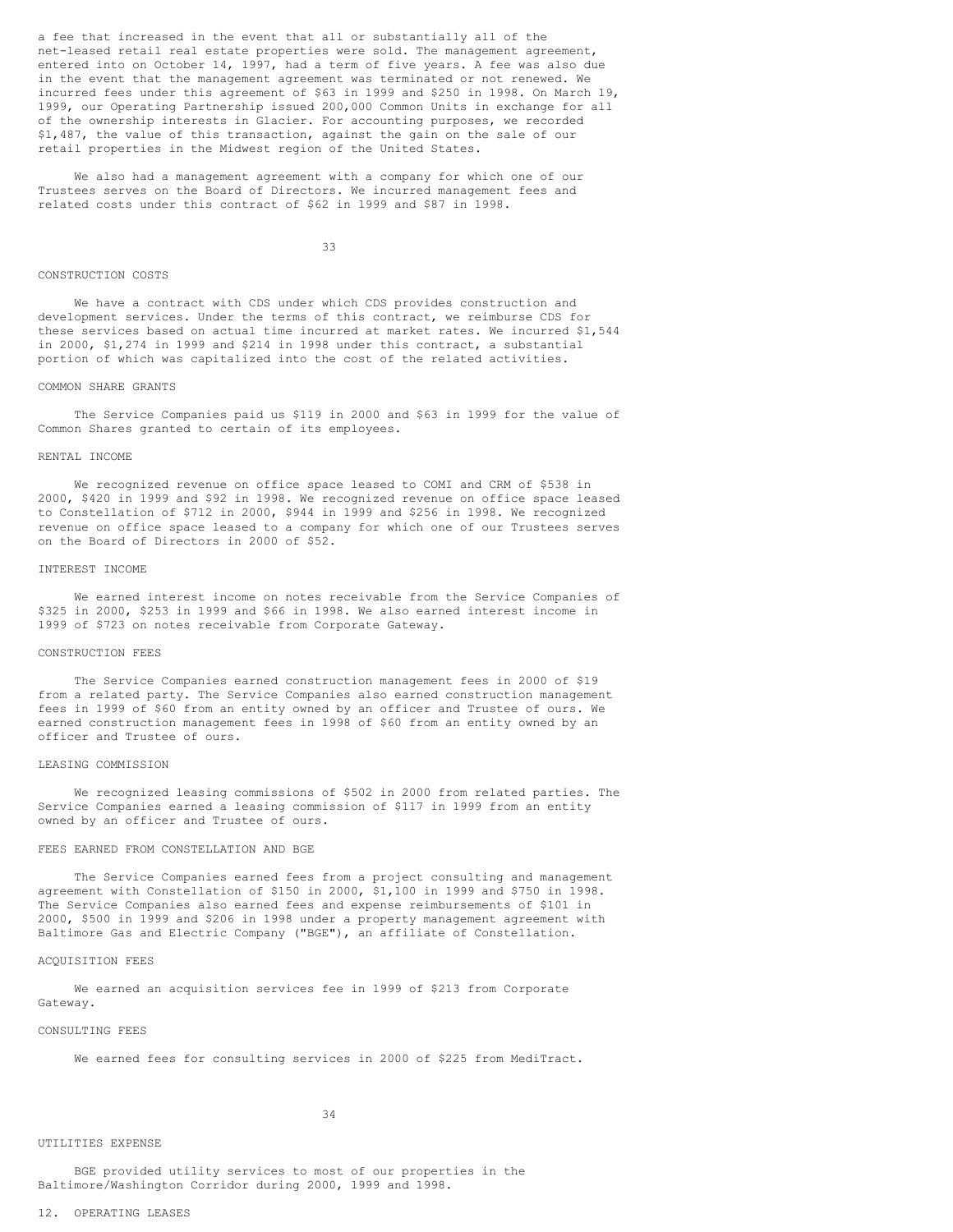a fee that increased in the event that all or substantially all of the net-leased retail real estate properties were sold. The management agreement, entered into on October 14, 1997, had a term of five years. A fee was also due in the event that the management agreement was terminated or not renewed. We incurred fees under this agreement of \$63 in 1999 and \$250 in 1998. On March 19, 1999, our Operating Partnership issued 200,000 Common Units in exchange for all of the ownership interests in Glacier. For accounting purposes, we recorded \$1,487, the value of this transaction, against the gain on the sale of our retail properties in the Midwest region of the United States.

We also had a management agreement with a company for which one of our Trustees serves on the Board of Directors. We incurred management fees and related costs under this contract of \$62 in 1999 and \$87 in 1998.

33

### CONSTRUCTION COSTS

We have a contract with CDS under which CDS provides construction and development services. Under the terms of this contract, we reimburse CDS for these services based on actual time incurred at market rates. We incurred \$1,544 in 2000, \$1,274 in 1999 and \$214 in 1998 under this contract, a substantial portion of which was capitalized into the cost of the related activities.

## COMMON SHARE GRANTS

The Service Companies paid us \$119 in 2000 and \$63 in 1999 for the value of Common Shares granted to certain of its employees.

#### RENTAL INCOME

We recognized revenue on office space leased to COMI and CRM of \$538 in 2000, \$420 in 1999 and \$92 in 1998. We recognized revenue on office space leased to Constellation of \$712 in 2000, \$944 in 1999 and \$256 in 1998. We recognized revenue on office space leased to a company for which one of our Trustees serves on the Board of Directors in 2000 of \$52.

## INTEREST INCOME

We earned interest income on notes receivable from the Service Companies of \$325 in 2000, \$253 in 1999 and \$66 in 1998. We also earned interest income in 1999 of \$723 on notes receivable from Corporate Gateway.

### CONSTRUCTION FEES

The Service Companies earned construction management fees in 2000 of \$19 from a related party. The Service Companies also earned construction management fees in 1999 of \$60 from an entity owned by an officer and Trustee of ours. We earned construction management fees in 1998 of \$60 from an entity owned by an officer and Trustee of ours.

### LEASING COMMISSION

We recognized leasing commissions of \$502 in 2000 from related parties. The Service Companies earned a leasing commission of \$117 in 1999 from an entity owned by an officer and Trustee of ours.

### FEES EARNED FROM CONSTELLATION AND BGE

The Service Companies earned fees from a project consulting and management agreement with Constellation of \$150 in 2000, \$1,100 in 1999 and \$750 in 1998. The Service Companies also earned fees and expense reimbursements of \$101 in 2000, \$500 in 1999 and \$206 in 1998 under a property management agreement with Baltimore Gas and Electric Company ("BGE"), an affiliate of Constellation.

## ACQUISITION FEES

We earned an acquisition services fee in 1999 of \$213 from Corporate Gateway.

### CONSULTING FEES

We earned fees for consulting services in 2000 of \$225 from MediTract.

#### 34

## UTILITIES EXPENSE

BGE provided utility services to most of our properties in the Baltimore/Washington Corridor during 2000, 1999 and 1998.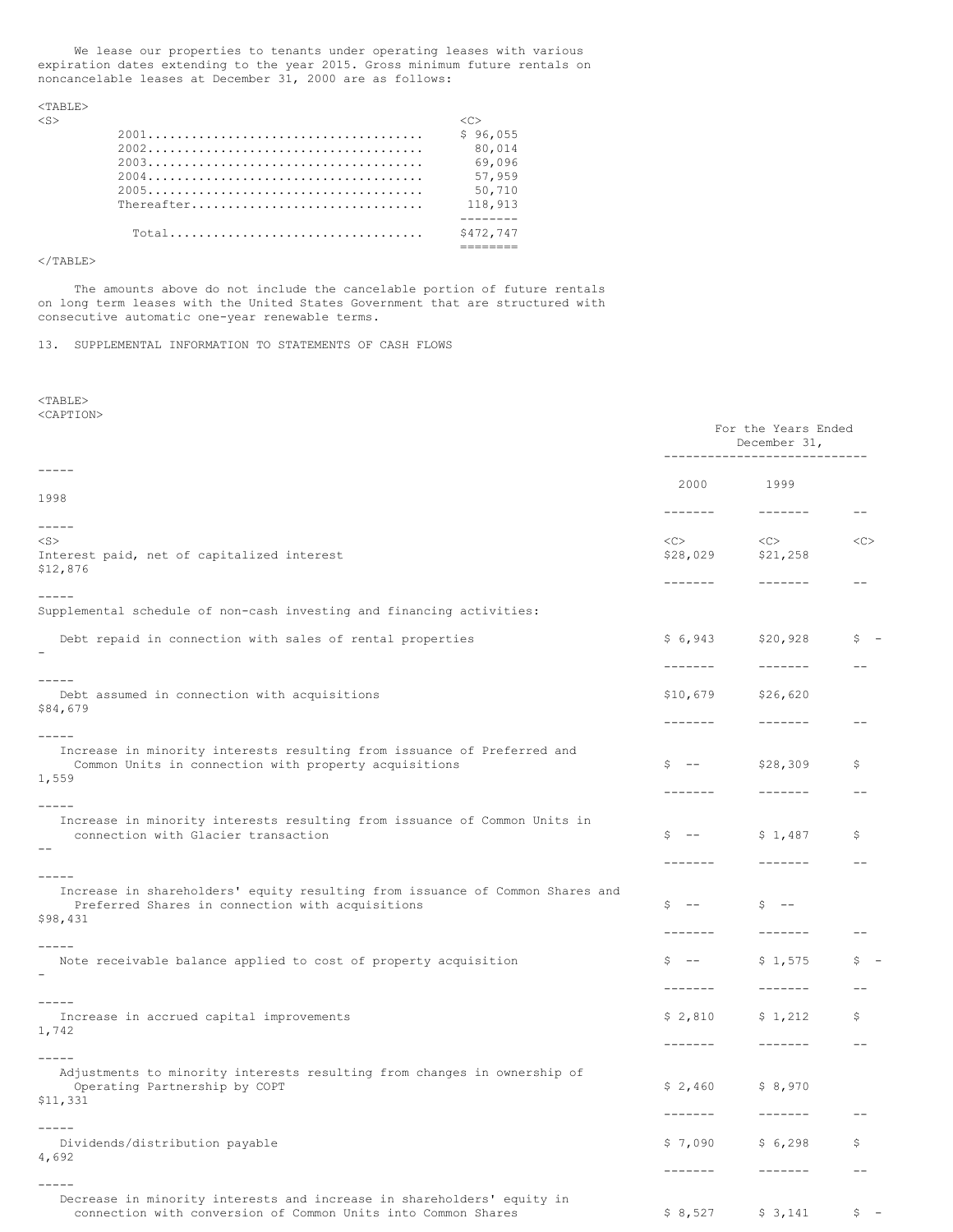We lease our properties to tenants under operating leases with various expiration dates extending to the year 2015. Gross minimum future rentals on noncancelable leases at December 31, 2000 are as follows:

<TABLE>

| 10 | ۰. | I<br>۰. |  |  |
|----|----|---------|--|--|
|    |    |         |  |  |

| $<$ S $>$ |            |           |
|-----------|------------|-----------|
|           |            | \$96,055  |
|           |            | 80,014    |
|           |            | 69,096    |
|           |            | 57,959    |
|           |            | 50,710    |
|           | Thereafter | 118,913   |
|           |            |           |
|           |            | \$472.747 |
|           |            |           |

</TABLE>

The amounts above do not include the cancelable portion of future rentals on long term leases with the United States Government that are structured with consecutive automatic one-year renewable terms.

13. SUPPLEMENTAL INFORMATION TO STATEMENTS OF CASH FLOWS

<TABLE>

<CAPTION>

|                                                                                                                                                              | For the Years Ended<br>December 31,<br>----------------- |                                 |        |  |
|--------------------------------------------------------------------------------------------------------------------------------------------------------------|----------------------------------------------------------|---------------------------------|--------|--|
| -----<br>1998                                                                                                                                                | 2000                                                     | 1999                            |        |  |
|                                                                                                                                                              | -------                                                  | $- - - - - - -$                 | $- -$  |  |
| -----<br>$<$ S $>$<br>Interest paid, net of capitalized interest<br>\$12,876                                                                                 | $<<$ $>$<br>\$28,029                                     | $\langle C \rangle$<br>\$21,258 | $<$ C> |  |
| $- - - - -$                                                                                                                                                  | --------                                                 | -------                         |        |  |
| Supplemental schedule of non-cash investing and financing activities:                                                                                        |                                                          |                                 |        |  |
| Debt repaid in connection with sales of rental properties                                                                                                    | \$6,943                                                  | \$20,928                        | $S -$  |  |
| $- - - - -$                                                                                                                                                  | ---------                                                | $- - - - - - -$                 |        |  |
| Debt assumed in connection with acquisitions<br>\$84,679                                                                                                     | \$10,679                                                 | \$26,620                        |        |  |
| $- - - - -$                                                                                                                                                  | --------                                                 | $- - - - - - -$                 |        |  |
| Increase in minority interests resulting from issuance of Preferred and<br>Common Units in connection with property acquisitions                             | $S = -$                                                  | \$28,309                        | \$     |  |
| 1,559                                                                                                                                                        | -------                                                  | $- - - - - - -$                 |        |  |
| Increase in minority interests resulting from issuance of Common Units in<br>connection with Glacier transaction                                             | $S = -$                                                  | \$1,487                         | Ŝ.     |  |
|                                                                                                                                                              | --------                                                 |                                 | $ -$   |  |
| $- - - - -$<br>Increase in shareholders' equity resulting from issuance of Common Shares and<br>Preferred Shares in connection with acquisitions<br>\$98,431 | $S = -$                                                  | $S$ $-$                         |        |  |
| $- - - -$                                                                                                                                                    | --------                                                 |                                 |        |  |
| Note receivable balance applied to cost of property acquisition                                                                                              | $S = -$                                                  | \$1,575                         | $S =$  |  |
| $- - - - -$                                                                                                                                                  | --------                                                 | --------                        | $- -$  |  |
| Increase in accrued capital improvements<br>1,742                                                                                                            | \$2,810                                                  | \$1,212                         | \$     |  |
|                                                                                                                                                              | --------                                                 | -------                         |        |  |
| Adjustments to minority interests resulting from changes in ownership of<br>Operating Partnership by COPT<br>\$11,331                                        | \$2,460                                                  | \$8,970                         |        |  |
|                                                                                                                                                              | --------                                                 | -------                         | $-$    |  |
| Dividends/distribution payable<br>4,692                                                                                                                      | \$7,090                                                  | \$6,298                         | \$     |  |
|                                                                                                                                                              | --------                                                 | -------                         | $- -$  |  |
| Decrease in minority interests and increase in shareholders' equity in<br>connection with conversion of Common Units into Common Shares                      | \$8,527                                                  | \$3,141                         | \$     |  |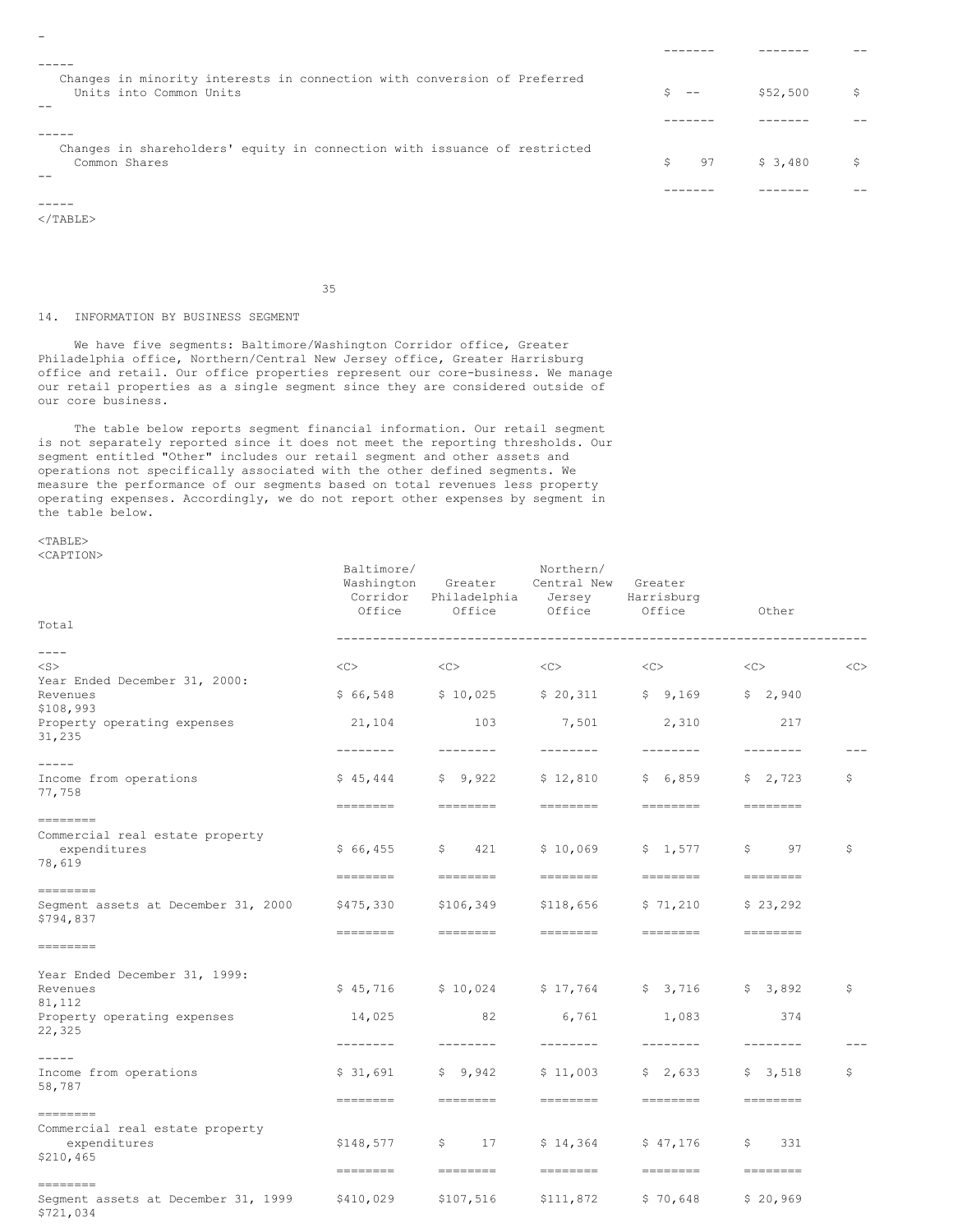| Changes in minority interests in connection with conversion of Preferred<br>Units into Common Units | S<br>$\qquad \qquad -$ |    | \$52,500 |   |
|-----------------------------------------------------------------------------------------------------|------------------------|----|----------|---|
|                                                                                                     |                        |    |          |   |
| Changes in shareholders' equity in connection with issuance of restricted<br>Common Shares          | \$                     | 97 | \$3,480  | S |
|                                                                                                     |                        |    |          |   |

35

# 14. INFORMATION BY BUSINESS SEGMENT

We have five segments: Baltimore/Washington Corridor office, Greater Philadelphia office, Northern/Central New Jersey office, Greater Harrisburg office and retail. Our office properties represent our core-business. We manage our retail properties as a single segment since they are considered outside of our core business.

The table below reports segment financial information. Our retail segment is not separately reported since it does not meet the reporting thresholds. Our segment entitled "Other" includes our retail segment and other assets and operations not specifically associated with the other defined segments. We measure the performance of our segments based on total revenues less property operating expenses. Accordingly, we do not report other expenses by segment in the table below.

 $<$ TABLE> <CAPTION>

|                                                                          | Baltimore/<br>Washington<br>Corridor<br>Office                                                                                                                                                                                                                                                                                                                                                                                                                                                                                                             | Greater<br>Philadelphia<br>Office                                                                                                                                                                                                                                                                                                                                                                                                                                                                                                                          | Northern/<br>Central New<br>Jersey<br>Office                                                                                                                                                                                                                                                                                                                                                                                                                                                                                                               | Greater<br>Harrisburg<br>Office                                                                                                                                                                                                                                                                                                                                                                                                                                                                                                                            | Other        |    |
|--------------------------------------------------------------------------|------------------------------------------------------------------------------------------------------------------------------------------------------------------------------------------------------------------------------------------------------------------------------------------------------------------------------------------------------------------------------------------------------------------------------------------------------------------------------------------------------------------------------------------------------------|------------------------------------------------------------------------------------------------------------------------------------------------------------------------------------------------------------------------------------------------------------------------------------------------------------------------------------------------------------------------------------------------------------------------------------------------------------------------------------------------------------------------------------------------------------|------------------------------------------------------------------------------------------------------------------------------------------------------------------------------------------------------------------------------------------------------------------------------------------------------------------------------------------------------------------------------------------------------------------------------------------------------------------------------------------------------------------------------------------------------------|------------------------------------------------------------------------------------------------------------------------------------------------------------------------------------------------------------------------------------------------------------------------------------------------------------------------------------------------------------------------------------------------------------------------------------------------------------------------------------------------------------------------------------------------------------|--------------|----|
| Total                                                                    |                                                                                                                                                                                                                                                                                                                                                                                                                                                                                                                                                            |                                                                                                                                                                                                                                                                                                                                                                                                                                                                                                                                                            |                                                                                                                                                                                                                                                                                                                                                                                                                                                                                                                                                            |                                                                                                                                                                                                                                                                                                                                                                                                                                                                                                                                                            |              |    |
| ----                                                                     |                                                                                                                                                                                                                                                                                                                                                                                                                                                                                                                                                            |                                                                                                                                                                                                                                                                                                                                                                                                                                                                                                                                                            |                                                                                                                                                                                                                                                                                                                                                                                                                                                                                                                                                            |                                                                                                                                                                                                                                                                                                                                                                                                                                                                                                                                                            |              |    |
| $<$ S $>$<br>Year Ended December 31, 2000:                               | $<<$ $<$ $>$                                                                                                                                                                                                                                                                                                                                                                                                                                                                                                                                               | <<                                                                                                                                                                                                                                                                                                                                                                                                                                                                                                                                                         | <<                                                                                                                                                                                                                                                                                                                                                                                                                                                                                                                                                         | $<<$ $<$ $>$                                                                                                                                                                                                                                                                                                                                                                                                                                                                                                                                               | <<           | << |
| Revenues<br>\$108,993                                                    | \$66,548                                                                                                                                                                                                                                                                                                                                                                                                                                                                                                                                                   | \$10,025                                                                                                                                                                                                                                                                                                                                                                                                                                                                                                                                                   | \$20,311                                                                                                                                                                                                                                                                                                                                                                                                                                                                                                                                                   | \$9,169                                                                                                                                                                                                                                                                                                                                                                                                                                                                                                                                                    | \$2,940      |    |
| Property operating expenses<br>31,235                                    | 21,104                                                                                                                                                                                                                                                                                                                                                                                                                                                                                                                                                     | 103                                                                                                                                                                                                                                                                                                                                                                                                                                                                                                                                                        | 7,501                                                                                                                                                                                                                                                                                                                                                                                                                                                                                                                                                      | 2,310                                                                                                                                                                                                                                                                                                                                                                                                                                                                                                                                                      | 217          |    |
| $- - - - -$                                                              | --------                                                                                                                                                                                                                                                                                                                                                                                                                                                                                                                                                   | --------                                                                                                                                                                                                                                                                                                                                                                                                                                                                                                                                                   | --------                                                                                                                                                                                                                                                                                                                                                                                                                                                                                                                                                   | $- - - - - - - -$                                                                                                                                                                                                                                                                                                                                                                                                                                                                                                                                          |              |    |
| Income from operations<br>77,758                                         | \$45,444                                                                                                                                                                                                                                                                                                                                                                                                                                                                                                                                                   | \$9,922                                                                                                                                                                                                                                                                                                                                                                                                                                                                                                                                                    | \$12,810                                                                                                                                                                                                                                                                                                                                                                                                                                                                                                                                                   | \$6,859                                                                                                                                                                                                                                                                                                                                                                                                                                                                                                                                                    | \$2,723      | \$ |
| ========                                                                 | $=$ ========                                                                                                                                                                                                                                                                                                                                                                                                                                                                                                                                               | ---------                                                                                                                                                                                                                                                                                                                                                                                                                                                                                                                                                  |                                                                                                                                                                                                                                                                                                                                                                                                                                                                                                                                                            | $=$ ========                                                                                                                                                                                                                                                                                                                                                                                                                                                                                                                                               | $=$ ======== |    |
| Commercial real estate property<br>expenditures                          | \$66,455                                                                                                                                                                                                                                                                                                                                                                                                                                                                                                                                                   | \$<br>421                                                                                                                                                                                                                                                                                                                                                                                                                                                                                                                                                  | \$10,069                                                                                                                                                                                                                                                                                                                                                                                                                                                                                                                                                   | \$1,577                                                                                                                                                                                                                                                                                                                                                                                                                                                                                                                                                    | 97<br>S      | \$ |
| 78,619                                                                   |                                                                                                                                                                                                                                                                                                                                                                                                                                                                                                                                                            | $=$ ========                                                                                                                                                                                                                                                                                                                                                                                                                                                                                                                                               | $=$ ========                                                                                                                                                                                                                                                                                                                                                                                                                                                                                                                                               | $=$ ========                                                                                                                                                                                                                                                                                                                                                                                                                                                                                                                                               | $=$ ======== |    |
| ========                                                                 | $=$ $=$ $=$ $=$ $=$ $=$ $=$                                                                                                                                                                                                                                                                                                                                                                                                                                                                                                                                |                                                                                                                                                                                                                                                                                                                                                                                                                                                                                                                                                            |                                                                                                                                                                                                                                                                                                                                                                                                                                                                                                                                                            |                                                                                                                                                                                                                                                                                                                                                                                                                                                                                                                                                            |              |    |
| Seqment assets at December 31, 2000<br>\$794,837                         | \$475,330                                                                                                                                                                                                                                                                                                                                                                                                                                                                                                                                                  | \$106,349                                                                                                                                                                                                                                                                                                                                                                                                                                                                                                                                                  | \$118,656                                                                                                                                                                                                                                                                                                                                                                                                                                                                                                                                                  | \$71,210                                                                                                                                                                                                                                                                                                                                                                                                                                                                                                                                                   | \$23,292     |    |
| ========                                                                 |                                                                                                                                                                                                                                                                                                                                                                                                                                                                                                                                                            | EEEEEEE                                                                                                                                                                                                                                                                                                                                                                                                                                                                                                                                                    | ========                                                                                                                                                                                                                                                                                                                                                                                                                                                                                                                                                   | <b>EEEEEEE</b>                                                                                                                                                                                                                                                                                                                                                                                                                                                                                                                                             | sesesese     |    |
|                                                                          |                                                                                                                                                                                                                                                                                                                                                                                                                                                                                                                                                            |                                                                                                                                                                                                                                                                                                                                                                                                                                                                                                                                                            |                                                                                                                                                                                                                                                                                                                                                                                                                                                                                                                                                            |                                                                                                                                                                                                                                                                                                                                                                                                                                                                                                                                                            |              |    |
| Year Ended December 31, 1999:<br>Revenues<br>81,112                      | \$45,716                                                                                                                                                                                                                                                                                                                                                                                                                                                                                                                                                   | \$10,024                                                                                                                                                                                                                                                                                                                                                                                                                                                                                                                                                   | \$17,764                                                                                                                                                                                                                                                                                                                                                                                                                                                                                                                                                   | \$3,716                                                                                                                                                                                                                                                                                                                                                                                                                                                                                                                                                    | \$3,892      | \$ |
| Property operating expenses<br>22,325                                    | 14,025                                                                                                                                                                                                                                                                                                                                                                                                                                                                                                                                                     | 82                                                                                                                                                                                                                                                                                                                                                                                                                                                                                                                                                         | 6,761                                                                                                                                                                                                                                                                                                                                                                                                                                                                                                                                                      | 1,083                                                                                                                                                                                                                                                                                                                                                                                                                                                                                                                                                      | 374          |    |
|                                                                          | --------                                                                                                                                                                                                                                                                                                                                                                                                                                                                                                                                                   | ---------                                                                                                                                                                                                                                                                                                                                                                                                                                                                                                                                                  | ---------                                                                                                                                                                                                                                                                                                                                                                                                                                                                                                                                                  | $-- - - - - - -$                                                                                                                                                                                                                                                                                                                                                                                                                                                                                                                                           |              |    |
| Income from operations<br>58,787                                         | \$31,691                                                                                                                                                                                                                                                                                                                                                                                                                                                                                                                                                   | \$9,942                                                                                                                                                                                                                                                                                                                                                                                                                                                                                                                                                    | \$11,003                                                                                                                                                                                                                                                                                                                                                                                                                                                                                                                                                   | \$2,633                                                                                                                                                                                                                                                                                                                                                                                                                                                                                                                                                    | \$3,518      | \$ |
|                                                                          | $=$ $=$ $=$ $=$ $=$ $=$ $=$                                                                                                                                                                                                                                                                                                                                                                                                                                                                                                                                |                                                                                                                                                                                                                                                                                                                                                                                                                                                                                                                                                            |                                                                                                                                                                                                                                                                                                                                                                                                                                                                                                                                                            | $=$ $=$ $=$ $=$ $=$ $=$ $=$                                                                                                                                                                                                                                                                                                                                                                                                                                                                                                                                |              |    |
| ========<br>Commercial real estate property<br>expenditures<br>\$210,465 | \$148,577                                                                                                                                                                                                                                                                                                                                                                                                                                                                                                                                                  | Ş.<br>17                                                                                                                                                                                                                                                                                                                                                                                                                                                                                                                                                   | \$14,364                                                                                                                                                                                                                                                                                                                                                                                                                                                                                                                                                   | \$47,176                                                                                                                                                                                                                                                                                                                                                                                                                                                                                                                                                   | 331<br>Ş     |    |
|                                                                          | $\begin{tabular}{ll} \multicolumn{3}{l}{{\color{red}\boldsymbol{=}}} & \multicolumn{3}{l}{\color{blue}\boldsymbol{=}} & \multicolumn{3}{l}{\color{blue}\boldsymbol{=}} & \multicolumn{3}{l}{\color{blue}\boldsymbol{=}} & \multicolumn{3}{l}{\color{blue}\boldsymbol{=}} & \multicolumn{3}{l}{\color{blue}\boldsymbol{=}} & \multicolumn{3}{l}{\color{blue}\boldsymbol{=}} & \multicolumn{3}{l}{\color{blue}\boldsymbol{=}} & \multicolumn{3}{l}{\color{blue}\boldsymbol{=}} & \multicolumn{3}{l}{\color{blue}\boldsymbol{=}} & \multicolumn{3}{l}{\color$ | $\begin{tabular}{ll} \multicolumn{3}{l}{{\color{red}\boldsymbol{=}}} & \multicolumn{3}{l}{\color{blue}\boldsymbol{=}} & \multicolumn{3}{l}{\color{blue}\boldsymbol{=}} & \multicolumn{3}{l}{\color{blue}\boldsymbol{=}} & \multicolumn{3}{l}{\color{blue}\boldsymbol{=}} & \multicolumn{3}{l}{\color{blue}\boldsymbol{=}} & \multicolumn{3}{l}{\color{blue}\boldsymbol{=}} & \multicolumn{3}{l}{\color{blue}\boldsymbol{=}} & \multicolumn{3}{l}{\color{blue}\boldsymbol{=}} & \multicolumn{3}{l}{\color{blue}\boldsymbol{=}} & \multicolumn{3}{l}{\color$ | $\begin{tabular}{ll} \multicolumn{3}{l}{{\color{red}\boldsymbol{=}}} & \multicolumn{3}{l}{\color{blue}\boldsymbol{=}} & \multicolumn{3}{l}{\color{blue}\boldsymbol{=}} & \multicolumn{3}{l}{\color{blue}\boldsymbol{=}} & \multicolumn{3}{l}{\color{blue}\boldsymbol{=}} & \multicolumn{3}{l}{\color{blue}\boldsymbol{=}} & \multicolumn{3}{l}{\color{blue}\boldsymbol{=}} & \multicolumn{3}{l}{\color{blue}\boldsymbol{=}} & \multicolumn{3}{l}{\color{blue}\boldsymbol{=}} & \multicolumn{3}{l}{\color{blue}\boldsymbol{=}} & \multicolumn{3}{l}{\color$ | $\begin{tabular}{ll} \multicolumn{3}{l}{{\color{red}\boldsymbol{=}}} & \multicolumn{3}{l}{\color{blue}\boldsymbol{=}} & \multicolumn{3}{l}{\color{blue}\boldsymbol{=}} & \multicolumn{3}{l}{\color{blue}\boldsymbol{=}} & \multicolumn{3}{l}{\color{blue}\boldsymbol{=}} & \multicolumn{3}{l}{\color{blue}\boldsymbol{=}} & \multicolumn{3}{l}{\color{blue}\boldsymbol{=}} & \multicolumn{3}{l}{\color{blue}\boldsymbol{=}} & \multicolumn{3}{l}{\color{blue}\boldsymbol{=}} & \multicolumn{3}{l}{\color{blue}\boldsymbol{=}} & \multicolumn{3}{l}{\color$ | $=$ ======== |    |
| --------<br>Segment assets at December 31, 1999                          | \$410,029                                                                                                                                                                                                                                                                                                                                                                                                                                                                                                                                                  | \$107,516                                                                                                                                                                                                                                                                                                                                                                                                                                                                                                                                                  | \$111,872                                                                                                                                                                                                                                                                                                                                                                                                                                                                                                                                                  | \$70,648                                                                                                                                                                                                                                                                                                                                                                                                                                                                                                                                                   | \$20,969     |    |

\$721,034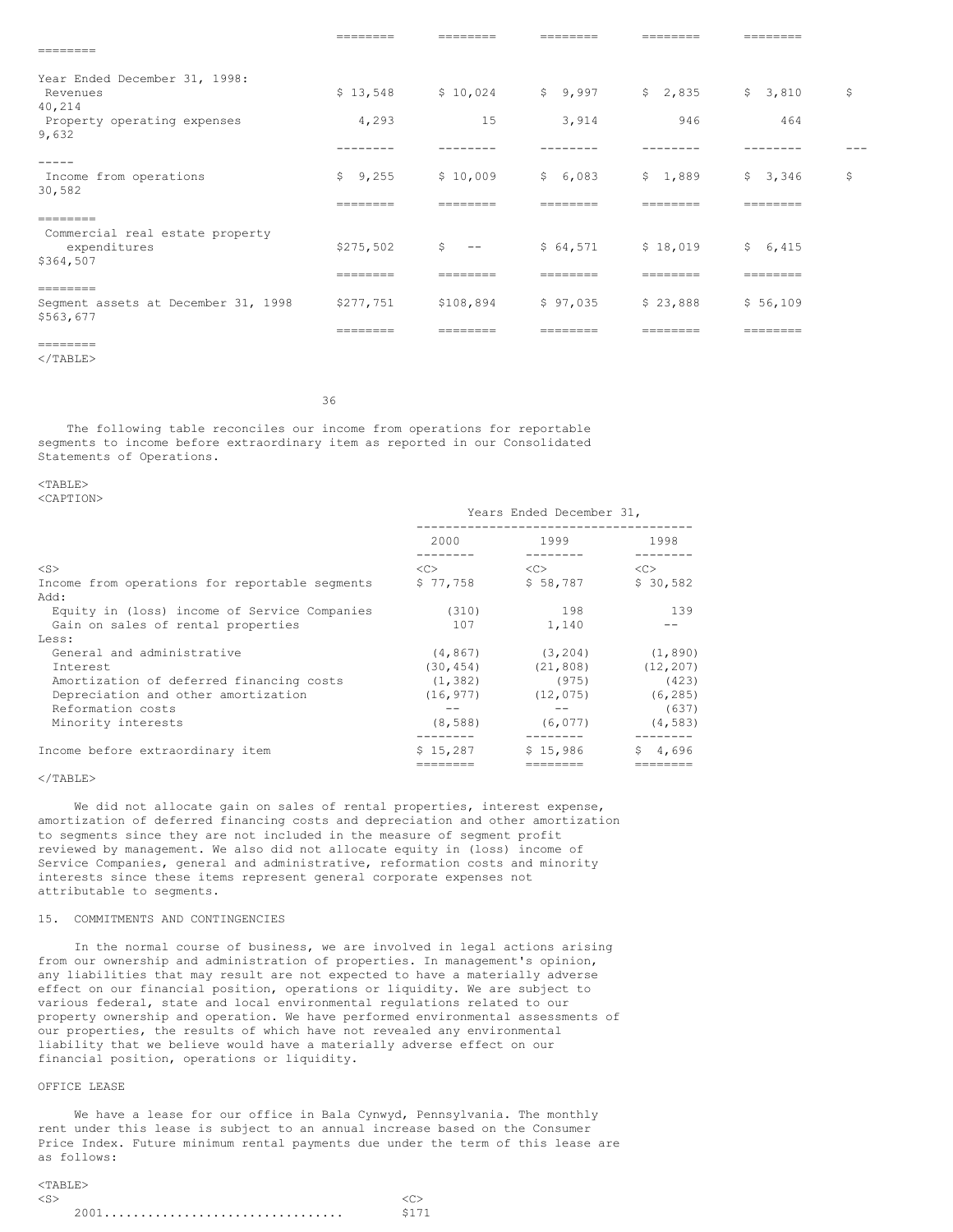|                                                  | ========  |                  | _______           |          | ======== |    |
|--------------------------------------------------|-----------|------------------|-------------------|----------|----------|----|
| ========                                         |           |                  |                   |          |          |    |
| Year Ended December 31, 1998:                    |           |                  |                   |          |          |    |
| Revenues<br>40,214                               | \$13,548  | \$10,024         | $$9,997$ $$2,835$ |          | \$3,810  | \$ |
| Property operating expenses<br>9,632             | 4,293     | 15               | 3,914             | 946      | 464      |    |
|                                                  |           |                  |                   |          |          |    |
| $- - - - -$<br>Income from operations<br>30,582  | \$9,255   | \$10,009         | \$6,083           | \$1,889  | \$3,346  | \$ |
|                                                  | ========  | ========         | ========          | =======  | ======== |    |
| ========<br>Commercial real estate property      |           |                  |                   |          |          |    |
| expenditures<br>\$364,507                        | \$275,502 | $S \leftarrow -$ | \$64,571          | \$18,019 | \$6,415  |    |
|                                                  | ========  | --------         | --------          | -------- | ======== |    |
| ========                                         |           |                  |                   |          |          |    |
| Seqment assets at December 31, 1998<br>\$563,677 | \$277,751 | \$108,894        | \$97,035          | \$23,888 | \$56,109 |    |
|                                                  | =======   | ---------        | ---------         | -------- | ======== |    |

========  $\langle$ /TABLE>

36

The following table reconciles our income from operations for reportable segments to income before extraordinary item as reported in our Consolidated Statements of Operations.

#### <TABLE> <CAPTION>

|                                                | Years Ended December 31, |                       |               |  |
|------------------------------------------------|--------------------------|-----------------------|---------------|--|
|                                                | 2000                     | 1999                  | 1998          |  |
| $<$ S $>$                                      | $<<$ $>$                 | $\langle C \rangle$   | < <sub></sub> |  |
| Income from operations for reportable segments |                          | $$77,758$ $$58,787$   | \$30,582      |  |
| Add:                                           |                          |                       |               |  |
| Equity in (loss) income of Service Companies   | (310)                    | 198                   | 139           |  |
| Gain on sales of rental properties             | 107                      | 1,140                 |               |  |
| Less:                                          |                          |                       |               |  |
| General and administrative                     |                          | $(4, 867)$ $(3, 204)$ | (1, 890)      |  |
| Interest                                       | (30, 454)                | (21, 808)             | (12, 207)     |  |
| Amortization of deferred financing costs       | (1, 382)                 | (975)                 | (423)         |  |
| Depreciation and other amortization            | (16, 977)                | (12, 075)             | (6, 285)      |  |
| Reformation costs                              |                          |                       | (637)         |  |
| Minority interests                             | (8, 588)                 | (6, 077)              | (4, 583)      |  |
| Income before extraordinary item               | \$15,287                 | \$15,986              | \$4,696       |  |
|                                                | =======                  | ========              | =======       |  |

#### $\langle$ /TABLE>

We did not allocate gain on sales of rental properties, interest expense, amortization of deferred financing costs and depreciation and other amortization to segments since they are not included in the measure of segment profit reviewed by management. We also did not allocate equity in (loss) income of Service Companies, general and administrative, reformation costs and minority interests since these items represent general corporate expenses not attributable to segments.

### 15. COMMITMENTS AND CONTINGENCIES

In the normal course of business, we are involved in legal actions arising from our ownership and administration of properties. In management's opinion, any liabilities that may result are not expected to have a materially adverse effect on our financial position, operations or liquidity. We are subject to various federal, state and local environmental regulations related to our property ownership and operation. We have performed environmental assessments of our properties, the results of which have not revealed any environmental liability that we believe would have a materially adverse effect on our financial position, operations or liquidity.

### OFFICE LEASE

We have a lease for our office in Bala Cynwyd, Pennsylvania. The monthly rent under this lease is subject to an annual increase based on the Consumer Price Index. Future minimum rental payments due under the term of this lease are as follows:

| $<$ TARLE $>$ |       |
|---------------|-------|
| $<$ S $>$     |       |
|               | \$171 |
|               |       |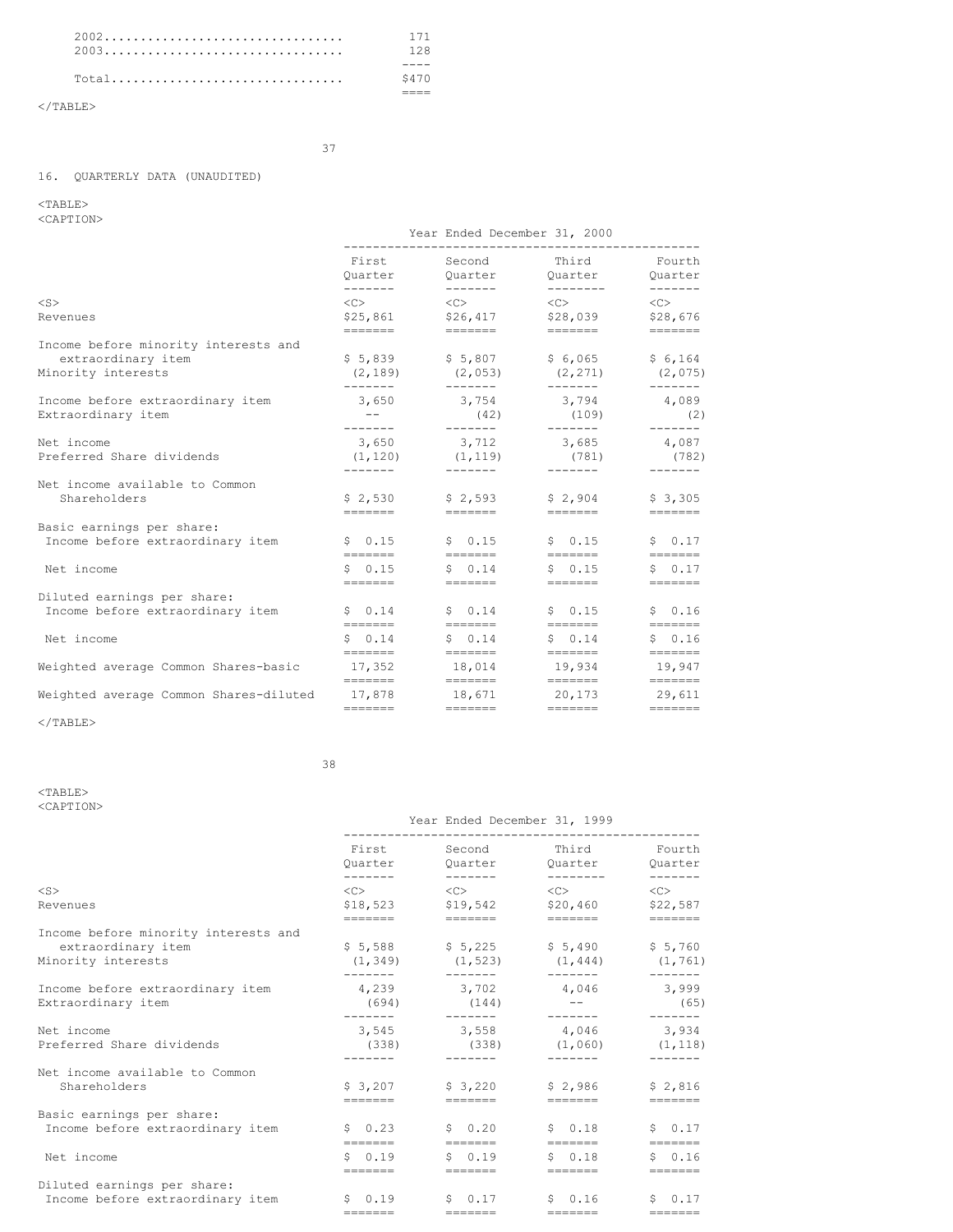| 171   |
|-------|
| 128   |
|       |
| \$470 |
|       |

### 37

## 16. QUARTERLY DATA (UNAUDITED)

# <TABLE>

<CAPTION>

|                                                                                  | Year Ended December 31, 2000        |                                                                                                                                        |                                                                                                                                                                                                                                                                                                                                                                                                                                                                                                                               |                                                                                                                                     |
|----------------------------------------------------------------------------------|-------------------------------------|----------------------------------------------------------------------------------------------------------------------------------------|-------------------------------------------------------------------------------------------------------------------------------------------------------------------------------------------------------------------------------------------------------------------------------------------------------------------------------------------------------------------------------------------------------------------------------------------------------------------------------------------------------------------------------|-------------------------------------------------------------------------------------------------------------------------------------|
|                                                                                  | First<br>Ouarter<br>-------         | Second<br>Ouarter<br>-------                                                                                                           | Third<br>Ouarter<br>---------                                                                                                                                                                                                                                                                                                                                                                                                                                                                                                 | Fourth<br>Ouarter<br>-------                                                                                                        |
| $<$ S $>$                                                                        | $\langle$ C>                        | $\langle C \rangle$                                                                                                                    | $\langle C \rangle$                                                                                                                                                                                                                                                                                                                                                                                                                                                                                                           | $\langle C \rangle$                                                                                                                 |
| Revenues                                                                         | =======                             | \$25,861 \$26,417<br>=======                                                                                                           | \$28,039<br>=======                                                                                                                                                                                                                                                                                                                                                                                                                                                                                                           | \$28,676<br>$\qquad \qquad \blacksquare \blacksquare \blacksquare \blacksquare \blacksquare \blacksquare \blacksquare \blacksquare$ |
| Income before minority interests and<br>extraordinary item<br>Minority interests | \$5,839<br>(2, 189)                 | \$5,807<br>(2, 053)                                                                                                                    | \$6,065<br>(2, 271)                                                                                                                                                                                                                                                                                                                                                                                                                                                                                                           | \$6,164<br>(2, 075)                                                                                                                 |
| Income before extraordinary item<br>Extraordinary item                           | -------<br>3,650<br>$ -$<br>------- | -------<br>3,754<br>(42)<br>--------                                                                                                   | -------<br>3,794<br>(109)<br>-------                                                                                                                                                                                                                                                                                                                                                                                                                                                                                          | -------<br>4,089<br>(2)<br>-------                                                                                                  |
| Net income<br>Preferred Share dividends                                          | 3,650<br>(1, 120)<br>-------        | 3,712<br>(1, 119)<br>--------                                                                                                          | 3,685<br>(781)<br>$- - - - - - -$                                                                                                                                                                                                                                                                                                                                                                                                                                                                                             | 4,087<br>(782)<br>-------                                                                                                           |
| Net income available to Common<br>Shareholders                                   | \$2,530<br>=======                  | \$2,593<br>--------                                                                                                                    | \$2,904<br>=======                                                                                                                                                                                                                                                                                                                                                                                                                                                                                                            | \$3,305                                                                                                                             |
| Basic earnings per share:<br>Income before extraordinary item                    | \$0.15<br>=======                   | \$0.15<br>$=$ $=$ $=$ $=$ $=$ $=$                                                                                                      | \$0.15<br>=======                                                                                                                                                                                                                                                                                                                                                                                                                                                                                                             | \$0.17<br>$=$ $=$ $=$ $=$ $=$ $=$                                                                                                   |
| Net income                                                                       | \$0.15                              | \$0.14                                                                                                                                 | \$0.15                                                                                                                                                                                                                                                                                                                                                                                                                                                                                                                        | \$0.17                                                                                                                              |
| Diluted earnings per share:<br>Income before extraordinary item                  | =======<br>\$0.14                   | $=$ $=$ $=$ $=$ $=$ $=$<br>\$0.14                                                                                                      | =======<br>\$0.15                                                                                                                                                                                                                                                                                                                                                                                                                                                                                                             | =======<br>\$0.16                                                                                                                   |
| Net income                                                                       | -------<br>\$0.14                   | $\qquad \qquad \blacksquare \blacksquare \blacksquare \blacksquare \blacksquare \blacksquare \blacksquare \blacksquare$<br>$5 \t 0.14$ | $\begin{tabular}{ll} \multicolumn{2}{l}{{\color{blue}\textbf{m}}} & \multicolumn{2}{l}{\color{blue}\textbf{m}} & \multicolumn{2}{l}{\color{blue}\textbf{m}} & \multicolumn{2}{l}{\color{blue}\textbf{m}} & \multicolumn{2}{l}{\color{blue}\textbf{m}} & \multicolumn{2}{l}{\color{blue}\textbf{m}} & \multicolumn{2}{l}{\color{blue}\textbf{m}} & \multicolumn{2}{l}{\color{blue}\textbf{m}} & \multicolumn{2}{l}{\color{blue}\textbf{m}} & \multicolumn{2}{l}{\color{blue}\textbf{m}} & \multicolumn{2}{l}{\color$<br>\$0.14 | $\qquad \qquad \blacksquare \blacksquare \blacksquare \blacksquare \blacksquare \blacksquare \blacksquare \blacksquare$<br>\$0.16   |
| Weighted average Common Shares-basic                                             | ________                            | ________<br>17,352 18,014 19,934                                                                                                       | _______                                                                                                                                                                                                                                                                                                                                                                                                                                                                                                                       | $\qquad \qquad \displaystyle =\qquad \qquad \qquad \qquad \displaystyle =\qquad \qquad$<br>19,947                                   |
| Weighted average Common Shares-diluted                                           | 17,878                              | 18,671                                                                                                                                 | =======<br>20,173                                                                                                                                                                                                                                                                                                                                                                                                                                                                                                             | 29,611                                                                                                                              |
|                                                                                  |                                     |                                                                                                                                        |                                                                                                                                                                                                                                                                                                                                                                                                                                                                                                                               | $=$ $=$ $=$ $=$ $=$ $=$                                                                                                             |

 $<$ /TABLE>

<TABLE>

## 38

<CAPTION> Year Ended December 31, 1999 ------------------------------------------------- First Second Third Fourth Quarter Quarter Quarter Quarter ------- ------- -------- ------- <S> <C> <C> <C> <C> Revenues \$18,523 \$19,542 \$20,460 \$22,587 ======= ======= ======= ======= Income before minority interests and extraordinary item <br>  $$ 5,588$   $$ 5,225$   $$ 5,490$   $$ 5,760$ <br>  $$ 1,349$   $$ 1,444$   $$ 1,761$ <br>  $$ 1,761$ <br>  $$ 1,761$ <br>  $$ 1,761$ Minority interests (1,349) (1,523) (1,444) (1,761) ------- ------- ------- ------- Income before extraordinary item  $4,239$   $3,702$   $4,046$   $3,999$ Extraordinary item (694) (694) (144) -- (65) ------- ------- ------- ------- Net income 3,545 3,558 4,046 3,934 Preferred Share dividends (338) (338) (1,060) (1,118) ------- ------- ------- ------- Net income available to Common Shareholders <br>\$ 3,207 \$ 3,220 \$ 2,986 \$ 2,816 ======= ======= ======= ======= Basic earnings per share: Income before extraordinary item  $$ 0.23$   $$ 0.20$   $$ 0.18$   $$ 0.17$ ======= ======= ======= ======= Net income  $\begin{array}{ccccccc} 0.19 & & 0.19 & & 0.18 \\ 0.19 & & 0.19 & & 0.18 \\ 0.19 & & 0.19 & & 0.18 \\ 0 & 0.19 & & 0.18 \\ 0 & 0 & 0 & 0.18 \\ 0 & 0 & 0 & 0.18 \\ 0 & 0 & 0 & 0.18 \\ 0 & 0 & 0 & 0.18 \\ 0 & 0 & 0 & 0.18 \\ 0 & 0 & 0 & 0.18 \\ 0 & 0 & 0 & 0.18 \\ 0 & 0 & 0 & 0.18 \\ 0 & 0 &$  $=$ Diluted earnings per share: Income before extraordinary item  $$ 0.19$   $$ 0.17$   $$ 0.16$   $$ 0.17$ ======= ======= ======= =======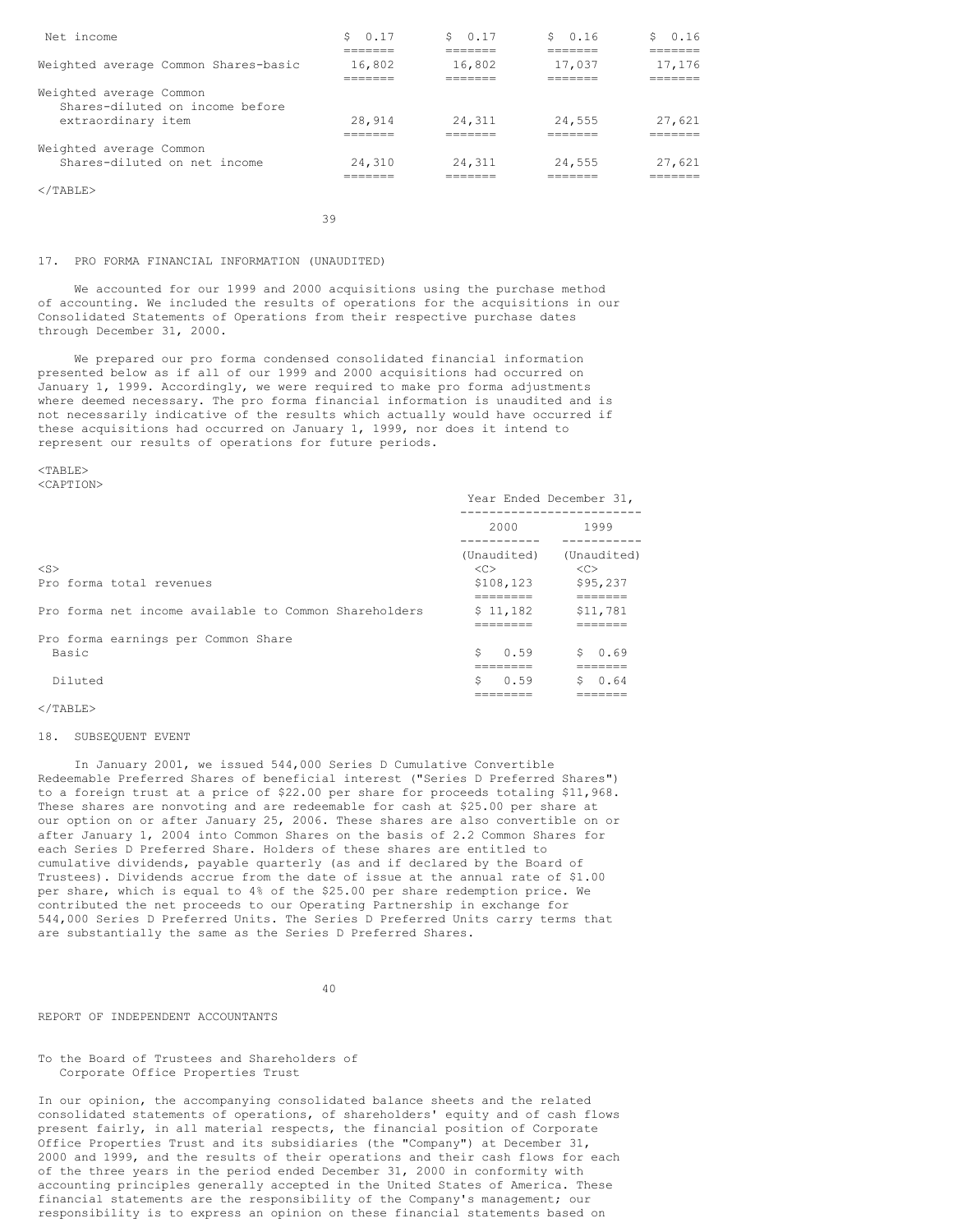| Net income                                                 | $S \t 0.17$<br>_______      | $S = 0.17$<br>_______ | 0.16<br>S.<br>_______ | S.<br>0.16<br>_______ |
|------------------------------------------------------------|-----------------------------|-----------------------|-----------------------|-----------------------|
| Weighted average Common Shares-basic                       | 16,802<br>_______<br>______ | 16,802<br>_______     | 17.037<br>_______     | 17.176<br>_______     |
| Weighted average Common<br>Shares-diluted on income before |                             |                       |                       |                       |
| extraordinary item                                         | 28,914<br>_______           | 24,311<br>_______     | 24,555<br>_______     | 27.621<br>_______     |
| Weighted average Common                                    |                             |                       |                       |                       |
| Shares-diluted on net income                               | 24,310<br>______            | 24,311                | 24,555                | 27.621                |

 $\langle$ /TABLE>

39

### 17. PRO FORMA FINANCIAL INFORMATION (UNAUDITED)

We accounted for our 1999 and 2000 acquisitions using the purchase method of accounting. We included the results of operations for the acquisitions in our Consolidated Statements of Operations from their respective purchase dates through December 31, 2000.

We prepared our pro forma condensed consolidated financial information presented below as if all of our 1999 and 2000 acquisitions had occurred on January 1, 1999. Accordingly, we were required to make pro forma adjustments where deemed necessary. The pro forma financial information is unaudited and is not necessarily indicative of the results which actually would have occurred if these acquisitions had occurred on January 1, 1999, nor does it intend to represent our results of operations for future periods.

## <TABLE>

<CAPTION>

|                                                       | Year Ended December 31,                    |                                           |  |
|-------------------------------------------------------|--------------------------------------------|-------------------------------------------|--|
|                                                       | 2000                                       | 1999                                      |  |
| $<$ S><br>Pro forma total revenues                    | (Unaudited)<br>< <sub><br/>\$108,123</sub> | (Unaudited)<br>< <sub><br/>\$95,237</sub> |  |
| Pro forma net income available to Common Shareholders | \$11.182                                   | \$11,781                                  |  |
| Pro forma earnings per Common Share<br>Basic          | Ŝ.<br>0.59                                 | $S \cap .69$                              |  |
| Diluted                                               | Ŝ<br>0.59                                  | 0.64<br>S.                                |  |

## $\langle$ /TABLE>

### 18. SUBSEQUENT EVENT

In January 2001, we issued 544,000 Series D Cumulative Convertible Redeemable Preferred Shares of beneficial interest ("Series D Preferred Shares") to a foreign trust at a price of \$22.00 per share for proceeds totaling \$11,968. These shares are nonvoting and are redeemable for cash at \$25.00 per share at our option on or after January 25, 2006. These shares are also convertible on or after January 1, 2004 into Common Shares on the basis of 2.2 Common Shares for each Series D Preferred Share. Holders of these shares are entitled to cumulative dividends, payable quarterly (as and if declared by the Board of Trustees). Dividends accrue from the date of issue at the annual rate of \$1.00 per share, which is equal to 4% of the \$25.00 per share redemption price. We contributed the net proceeds to our Operating Partnership in exchange for 544,000 Series D Preferred Units. The Series D Preferred Units carry terms that are substantially the same as the Series D Preferred Shares.

40

## REPORT OF INDEPENDENT ACCOUNTANTS

## To the Board of Trustees and Shareholders of Corporate Office Properties Trust

In our opinion, the accompanying consolidated balance sheets and the related consolidated statements of operations, of shareholders' equity and of cash flows present fairly, in all material respects, the financial position of Corporate Office Properties Trust and its subsidiaries (the "Company") at December 31, 2000 and 1999, and the results of their operations and their cash flows for each of the three years in the period ended December 31, 2000 in conformity with accounting principles generally accepted in the United States of America. These financial statements are the responsibility of the Company's management; our responsibility is to express an opinion on these financial statements based on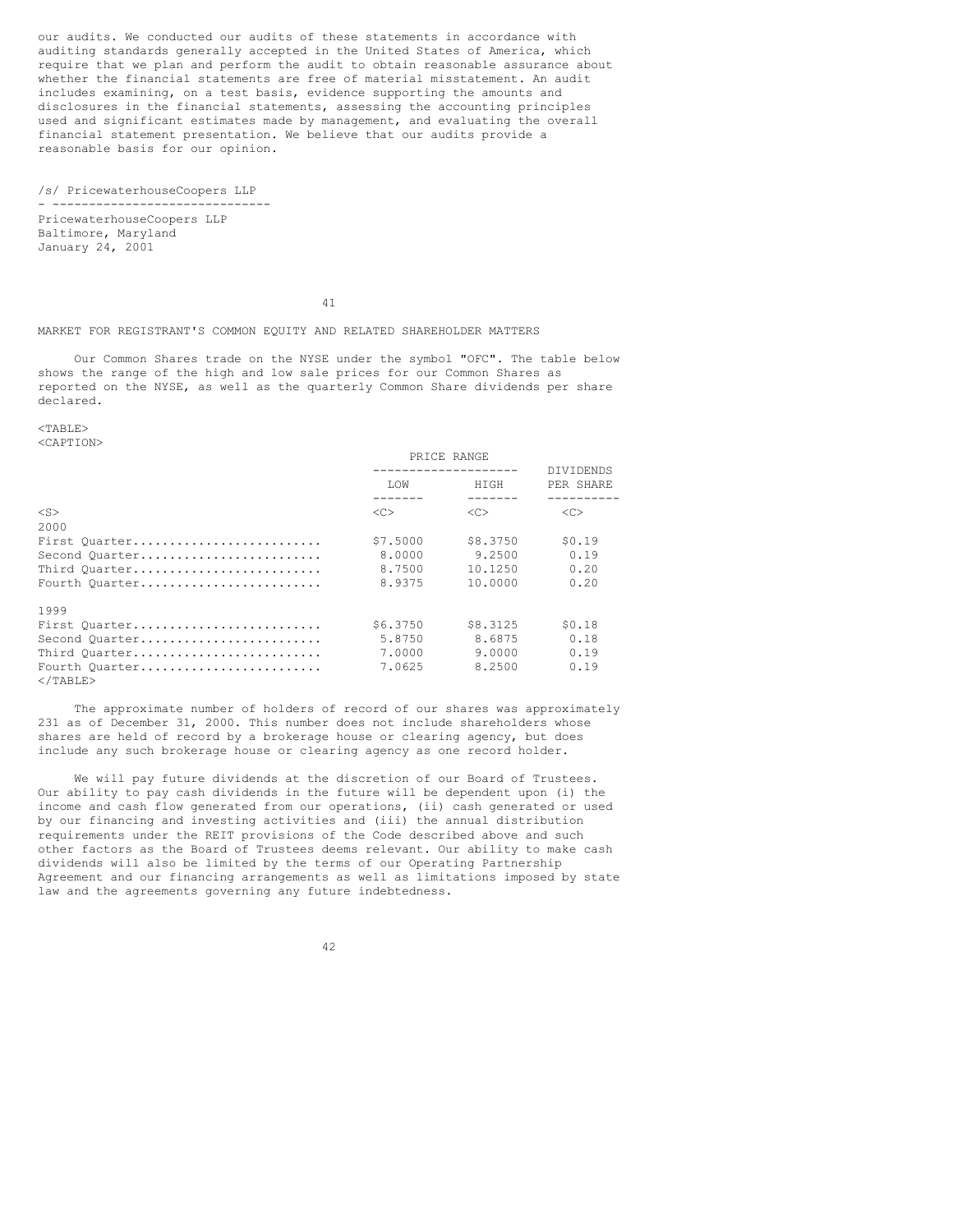our audits. We conducted our audits of these statements in accordance with auditing standards generally accepted in the United States of America, which require that we plan and perform the audit to obtain reasonable assurance about whether the financial statements are free of material misstatement. An audit includes examining, on a test basis, evidence supporting the amounts and disclosures in the financial statements, assessing the accounting principles used and significant estimates made by management, and evaluating the overall financial statement presentation. We believe that our audits provide a reasonable basis for our opinion.

/s/ PricewaterhouseCoopers LLP - ------------------------------ PricewaterhouseCoopers LLP Baltimore, Maryland January 24, 2001

41

## MARKET FOR REGISTRANT'S COMMON EQUITY AND RELATED SHAREHOLDER MATTERS

Our Common Shares trade on the NYSE under the symbol "OFC". The table below shows the range of the high and low sale prices for our Common Shares as reported on the NYSE, as well as the quarterly Common Share dividends per share declared.

 $<$ TABLE> <CAPTION>

|                   | PRICE RANGE |               |               |  |
|-------------------|-------------|---------------|---------------|--|
|                   |             |               | DIVIDENDS     |  |
|                   | <b>NO.T</b> | HTGH          | PER SHARE     |  |
| $<$ S $>$         | <<          | < <sub></sub> | < <sub></sub> |  |
| 2000              |             |               |               |  |
| First Quarter     | \$7,5000    | \$8.3750      | \$0.19        |  |
| Second Quarter    | 8,0000      | 9.2500        | 0.19          |  |
| Third Quarter     | 8.7500      | 10.1250       | 0.20          |  |
| Fourth Quarter    | 8.9375      | 10.0000       | 0.20          |  |
| 1999              |             |               |               |  |
| First Quarter     | \$6.3750    | \$8.3125      | \$0.18        |  |
| Second Quarter    | 5.8750      | 8.6875        | 0.18          |  |
| Third Quarter     | 7.0000      | 9.0000        | 0.19          |  |
| Fourth Quarter    | 7.0625      | 8.2500        | 0.19          |  |
| $\langle$ /TABLE> |             |               |               |  |

The approximate number of holders of record of our shares was approximately 231 as of December 31, 2000. This number does not include shareholders whose shares are held of record by a brokerage house or clearing agency, but does include any such brokerage house or clearing agency as one record holder.

We will pay future dividends at the discretion of our Board of Trustees. Our ability to pay cash dividends in the future will be dependent upon (i) the income and cash flow generated from our operations, (ii) cash generated or used by our financing and investing activities and (iii) the annual distribution requirements under the REIT provisions of the Code described above and such other factors as the Board of Trustees deems relevant. Our ability to make cash dividends will also be limited by the terms of our Operating Partnership Agreement and our financing arrangements as well as limitations imposed by state law and the agreements governing any future indebtedness.

42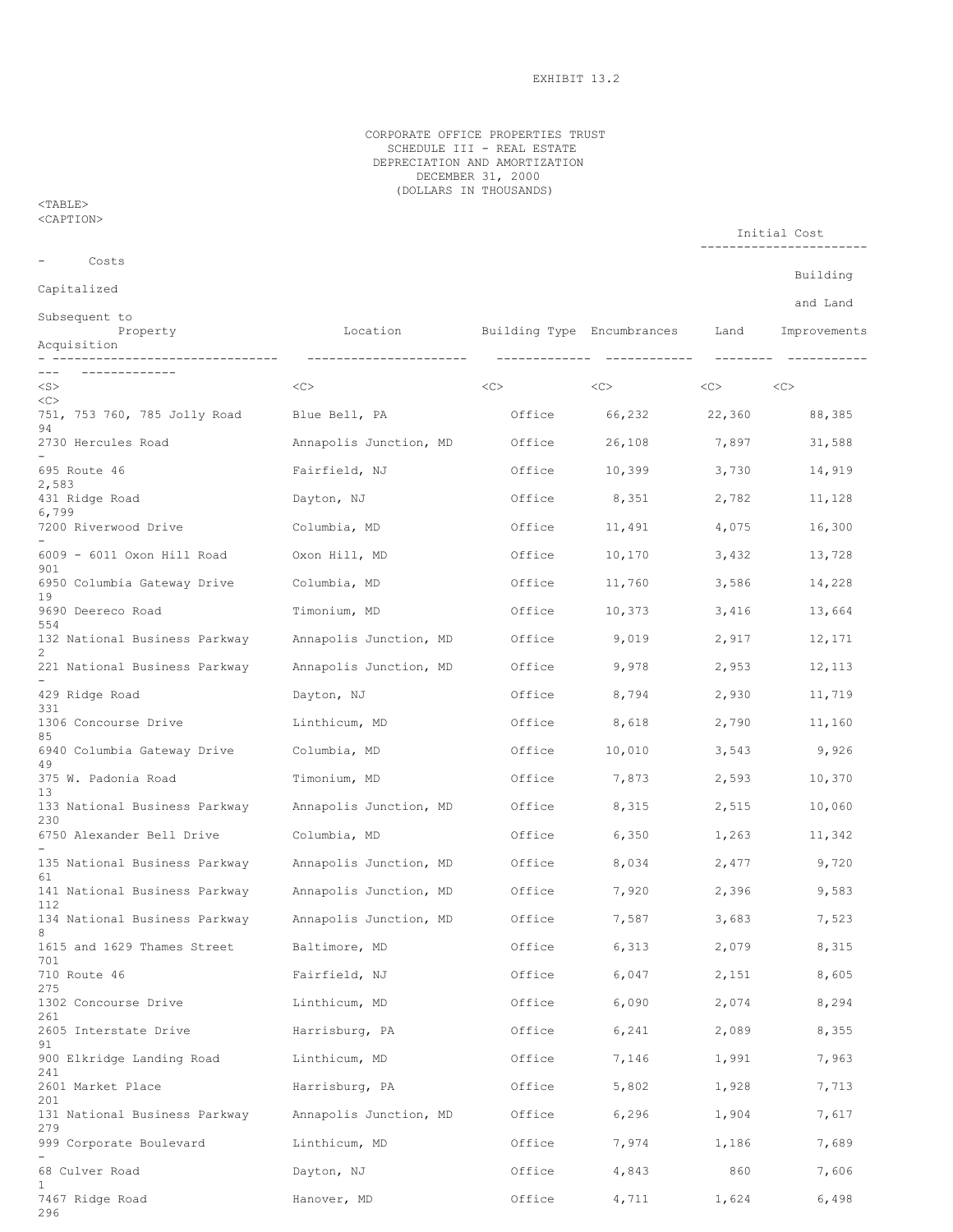CORPORATE OFFICE PROPERTIES TRUST SCHEDULE III - REAL ESTATE DEPRECIATION AND AMORTIZATION DECEMBER 31, 2000 (DOLLARS IN THOUSANDS)

<TABLE>

- Costs

Capitalized

and Land Subsequent to Property Location Building Type Encumbrances Land Improvements Acquisition - ------------------------------- ---------------------- ------------- ------------ -------- ----------- --- ------------- <S> <C> <C> <C> <C> <C>  $\sim$ 751, 753 760, 785 Jolly Road Blue Bell, PA Office 66,232 22,360 88,385 94<br>2730 Hercules Road Annapolis Junction, MD Office 26,108 7,897 31,588 - 695 Route 46 Fairfield, NJ Office 10,399 3,730 14,919 2,583 431 Ridge Road Dayton, NJ Office 8,351 2,782 11,128 6,799 7200 Riverwood Drive Columbia, MD Office 11,491 4,075 16,300 - 6009 - 6011 Oxon Hill Road Oxon Hill, MD Office 10,170 3,432 13,728 901 6950 Columbia Gateway Drive Columbia, MD Office 11,760 3,586 14,228 19 9690 Deereco Road Timonium, MD Office 10,373 3,416 13,664 554 132 National Business Parkway Annapolis Junction, MD Office 9,019 2,917 12,171 2 221 National Business Parkway Annapolis Junction, MD Office 9,978 2,953 12,113 - 429 Ridge Road Dayton, NJ Office 8,794 2,930 11,719 331 1306 Concourse Drive Linthicum, MD Office 8,618 2,790 11,160 85 6940 Columbia Gateway Drive Columbia, MD Office 10,010 3,543 9,926 49 375 W. Padonia Road Timonium, MD Office 7,873 2,593 10,370 13 133 National Business Parkway Annapolis Junction, MD Office 8,315 2,515 10,060 230 6750 Alexander Bell Drive Columbia, MD Office 6,350 1,263 11,342 - 135 National Business Parkway Annapolis Junction, MD Office 8,034 2,477 9,720 61 141 National Business Parkway Annapolis Junction, MD Office 7,920 2,396 9,583 112 134 National Business Parkway Annapolis Junction, MD Office 7,587 3,683 7,523 8 1615 and 1629 Thames Street Baltimore, MD Office 6,313 2,079 8,315 701<br>710 Route 46 710 Route 46 Fairfield, NJ Office 6,047 2,151 8,605 275 1302 Concourse Drive Linthicum, MD Office 6,090 2,074 8,294 2605 Interstate Drive Harrisburg, PA Office 6,241 2,089 8,355 91 900 Elkridge Landing Road Linthicum, MD 0ffice 7,146 1,991 7,963 241 2601 Market Place Harrisburg, PA Office 5,802 1,928 7,713 201 131 National Business Parkway Annapolis Junction, MD Office 6,296 1,904 7,617 279 999 Corporate Boulevard Linthicum, MD 0ffice 7,974 1,186 7,689

68 Culver Road Dayton, NJ Office 4,843 860 7,606

----------------------- Building

Initial Cost

<CAPTION>

-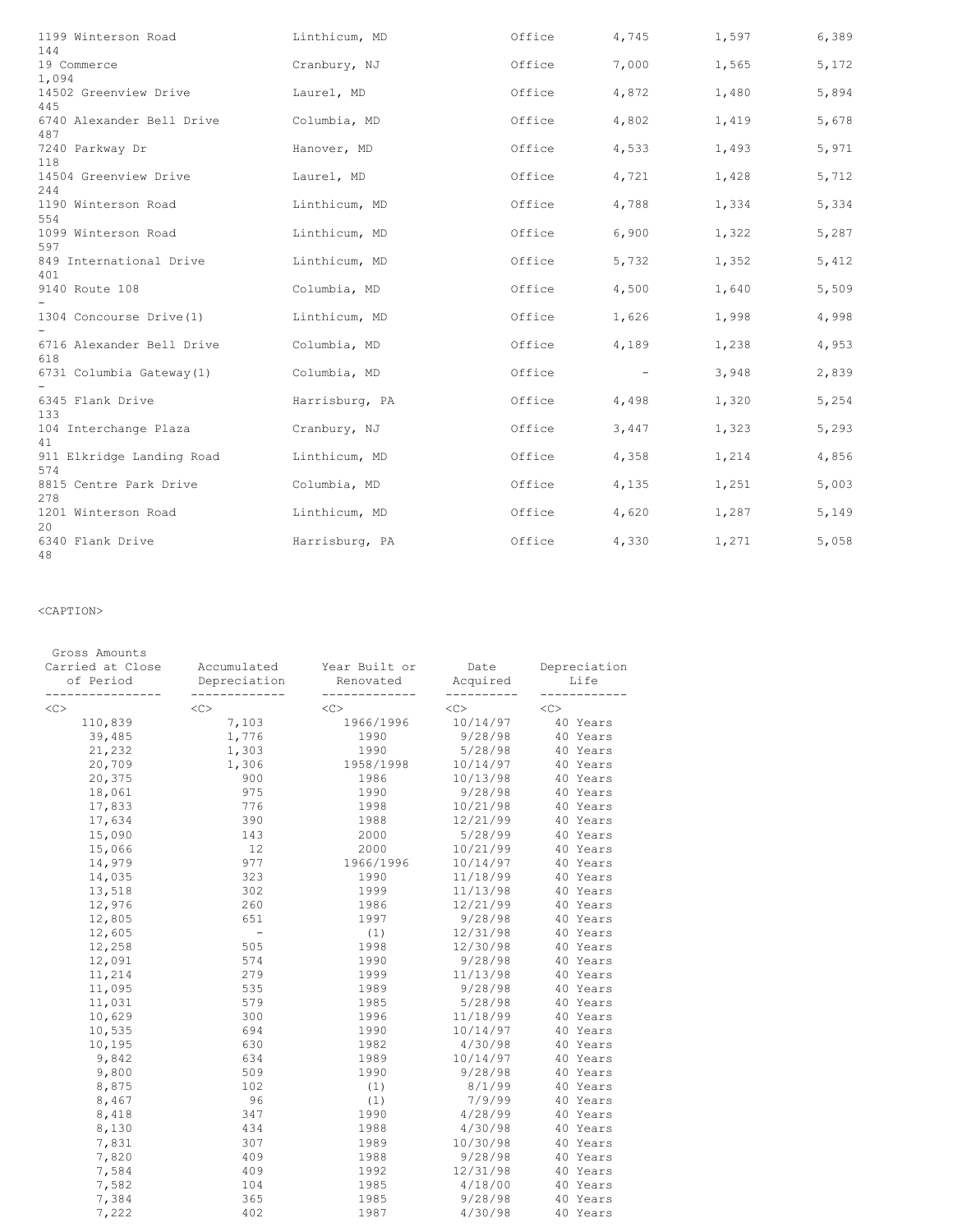| 1199 Winterson Road<br>144       | Linthicum, MD  | Office | 4,745      | 1,597 | 6,389 |
|----------------------------------|----------------|--------|------------|-------|-------|
| 19 Commerce<br>1,094             | Cranbury, NJ   | Office | 7,000      | 1,565 | 5,172 |
| 14502 Greenview Drive<br>445     | Laurel, MD     | Office | 4,872      | 1,480 | 5,894 |
| 6740 Alexander Bell Drive<br>487 | Columbia, MD   | Office | 4,802      | 1,419 | 5,678 |
| 7240 Parkway Dr<br>118           | Hanover, MD    | Office | 4,533      | 1,493 | 5,971 |
| 14504 Greenview Drive<br>244     | Laurel, MD     | Office | 4,721      | 1,428 | 5,712 |
| 1190 Winterson Road<br>554       | Linthicum, MD  | Office | 4,788      | 1,334 | 5,334 |
| 1099 Winterson Road<br>597       | Linthicum, MD  | Office | 6,900      | 1,322 | 5,287 |
| 849 International Drive<br>401   | Linthicum, MD  | Office | 5,732      | 1,352 | 5,412 |
| 9140 Route 108                   | Columbia, MD   | Office | 4,500      | 1,640 | 5,509 |
| 1304 Concourse Drive (1)         | Linthicum, MD  | Office | 1,626      | 1,998 | 4,998 |
| 6716 Alexander Bell Drive<br>618 | Columbia, MD   | Office | 4,189      | 1,238 | 4,953 |
| 6731 Columbia Gateway (1)        | Columbia, MD   | Office | $\sim$ $-$ | 3,948 | 2,839 |
| 6345 Flank Drive<br>133          | Harrisburg, PA | Office | 4,498      | 1,320 | 5,254 |
| 104 Interchange Plaza<br>41      | Cranbury, NJ   | Office | 3,447      | 1,323 | 5,293 |
| 911 Elkridge Landing Road<br>574 | Linthicum, MD  | Office | 4,358      | 1,214 | 4,856 |
| 8815 Centre Park Drive<br>278    | Columbia, MD   | Office | 4,135      | 1,251 | 5,003 |
| 1201 Winterson Road<br>20        | Linthicum, MD  | Office | 4,620      | 1,287 | 5,149 |
| 6340 Flank Drive<br>48           | Harrisburg, PA | Office | 4,330      | 1,271 | 5,058 |

#### <CAPTION>

| Carried at Close<br>Year Built or<br>Depreciation<br>Accumulated<br>Date<br>of Period<br>Depreciation<br>Acquired<br>Life<br>Renovated<br>-------------<br>----------<br>----------<br>$<\infty$<br><<<br><<<br>< <sub><br/>&lt;<sub><br/>10/14/97<br/>110,839<br/>7,103<br/>1966/1996<br/>40 Years<br/>39,485<br/>1,776<br/>9/28/98<br/>1990<br/>40 Years<br/>1,303<br/>21,232<br/>1990<br/>5/28/98<br/>40 Years<br/>20,709<br/>1,306<br/>1958/1998<br/>10/14/97<br/>40 Years<br/>20,375<br/>900<br/>1986<br/>10/13/98<br/>40 Years<br/>975<br/>18,061<br/>1990<br/>9/28/98<br/>40 Years<br/>776<br/>17,833<br/>1998<br/>10/21/98<br/>40 Years<br/>390<br/>17,634<br/>1988<br/>12/21/99<br/>40 Years<br/>15,090<br/>143<br/>2000<br/>5/28/99<br/>40 Years<br/>15,066<br/>12<br/>2000<br/>10/21/99<br/>40 Years<br/>977<br/>1966/1996<br/>14,979<br/>10/14/97<br/>40 Years<br/>14,035<br/>323<br/>1990<br/>11/18/99<br/>40 Years<br/>13,518<br/>1999<br/>11/13/98<br/>302<br/>40 Years<br/>12,976<br/>260<br/>1986<br/>12/21/99<br/>40 Years<br/>12,805<br/>651<br/>1997<br/>9/28/98<br/>40 Years<br/>(1)<br/>12,605<br/><math display="inline">\overline{\phantom{a}}</math><br/>12/31/98<br/>40 Years<br/>12,258<br/>505<br/>1998<br/>12/30/98<br/>40 Years<br/>12,091<br/>574<br/>1990<br/>9/28/98<br/>40 Years<br/>11,214<br/>279<br/>1999<br/>11/13/98<br/>40 Years<br/>11,095<br/>535<br/>1989<br/>9/28/98<br/>40 Years<br/>579<br/>1985<br/>11,031<br/>5/28/98<br/>40 Years<br/>300<br/>1996<br/>10,629<br/>11/18/99<br/>40 Years<br/>10,535<br/>694<br/>1990<br/>10/14/97<br/>40 Years<br/>10,195<br/>630<br/>1982<br/>4/30/98<br/>40 Years<br/>9,842<br/>634<br/>1989<br/>10/14/97<br/>40 Years<br/>509<br/>1990<br/>9,800<br/>9/28/98<br/>40 Years<br/>8,875<br/>102<br/>(1)<br/>8/1/99<br/>40 Years<br/>96<br/>(1)<br/>8,467<br/>7/9/99<br/>40 Years<br/>347<br/>1990<br/>4/28/99<br/>8,418<br/>40 Years<br/>1988<br/>8,130<br/>434<br/>4/30/98<br/>40 Years<br/>1989<br/>7,831<br/>307<br/>10/30/98<br/>40 Years<br/>7,820<br/>409<br/>1988<br/>9/28/98<br/>40 Years<br/>7,584<br/>409<br/>1992<br/>12/31/98<br/>40 Years<br/>7,582<br/>104<br/>1985<br/>4/18/00<br/>40 Years<br/>7,384<br/>365<br/>1985<br/>9/28/98<br/>40 Years</sub></sub> | Gross Amounts |     |      |         |  |
|-----------------------------------------------------------------------------------------------------------------------------------------------------------------------------------------------------------------------------------------------------------------------------------------------------------------------------------------------------------------------------------------------------------------------------------------------------------------------------------------------------------------------------------------------------------------------------------------------------------------------------------------------------------------------------------------------------------------------------------------------------------------------------------------------------------------------------------------------------------------------------------------------------------------------------------------------------------------------------------------------------------------------------------------------------------------------------------------------------------------------------------------------------------------------------------------------------------------------------------------------------------------------------------------------------------------------------------------------------------------------------------------------------------------------------------------------------------------------------------------------------------------------------------------------------------------------------------------------------------------------------------------------------------------------------------------------------------------------------------------------------------------------------------------------------------------------------------------------------------------------------------------------------------------------------------------------------------------------------------------------------------------------------------------------------------------------------------------------------------------------------------------------------------------------------------------------------------------------------------------------------------|---------------|-----|------|---------|--|
|                                                                                                                                                                                                                                                                                                                                                                                                                                                                                                                                                                                                                                                                                                                                                                                                                                                                                                                                                                                                                                                                                                                                                                                                                                                                                                                                                                                                                                                                                                                                                                                                                                                                                                                                                                                                                                                                                                                                                                                                                                                                                                                                                                                                                                                           |               |     |      |         |  |
|                                                                                                                                                                                                                                                                                                                                                                                                                                                                                                                                                                                                                                                                                                                                                                                                                                                                                                                                                                                                                                                                                                                                                                                                                                                                                                                                                                                                                                                                                                                                                                                                                                                                                                                                                                                                                                                                                                                                                                                                                                                                                                                                                                                                                                                           |               |     |      |         |  |
|                                                                                                                                                                                                                                                                                                                                                                                                                                                                                                                                                                                                                                                                                                                                                                                                                                                                                                                                                                                                                                                                                                                                                                                                                                                                                                                                                                                                                                                                                                                                                                                                                                                                                                                                                                                                                                                                                                                                                                                                                                                                                                                                                                                                                                                           |               |     |      |         |  |
|                                                                                                                                                                                                                                                                                                                                                                                                                                                                                                                                                                                                                                                                                                                                                                                                                                                                                                                                                                                                                                                                                                                                                                                                                                                                                                                                                                                                                                                                                                                                                                                                                                                                                                                                                                                                                                                                                                                                                                                                                                                                                                                                                                                                                                                           |               |     |      |         |  |
|                                                                                                                                                                                                                                                                                                                                                                                                                                                                                                                                                                                                                                                                                                                                                                                                                                                                                                                                                                                                                                                                                                                                                                                                                                                                                                                                                                                                                                                                                                                                                                                                                                                                                                                                                                                                                                                                                                                                                                                                                                                                                                                                                                                                                                                           |               |     |      |         |  |
|                                                                                                                                                                                                                                                                                                                                                                                                                                                                                                                                                                                                                                                                                                                                                                                                                                                                                                                                                                                                                                                                                                                                                                                                                                                                                                                                                                                                                                                                                                                                                                                                                                                                                                                                                                                                                                                                                                                                                                                                                                                                                                                                                                                                                                                           |               |     |      |         |  |
|                                                                                                                                                                                                                                                                                                                                                                                                                                                                                                                                                                                                                                                                                                                                                                                                                                                                                                                                                                                                                                                                                                                                                                                                                                                                                                                                                                                                                                                                                                                                                                                                                                                                                                                                                                                                                                                                                                                                                                                                                                                                                                                                                                                                                                                           |               |     |      |         |  |
|                                                                                                                                                                                                                                                                                                                                                                                                                                                                                                                                                                                                                                                                                                                                                                                                                                                                                                                                                                                                                                                                                                                                                                                                                                                                                                                                                                                                                                                                                                                                                                                                                                                                                                                                                                                                                                                                                                                                                                                                                                                                                                                                                                                                                                                           |               |     |      |         |  |
|                                                                                                                                                                                                                                                                                                                                                                                                                                                                                                                                                                                                                                                                                                                                                                                                                                                                                                                                                                                                                                                                                                                                                                                                                                                                                                                                                                                                                                                                                                                                                                                                                                                                                                                                                                                                                                                                                                                                                                                                                                                                                                                                                                                                                                                           |               |     |      |         |  |
|                                                                                                                                                                                                                                                                                                                                                                                                                                                                                                                                                                                                                                                                                                                                                                                                                                                                                                                                                                                                                                                                                                                                                                                                                                                                                                                                                                                                                                                                                                                                                                                                                                                                                                                                                                                                                                                                                                                                                                                                                                                                                                                                                                                                                                                           |               |     |      |         |  |
|                                                                                                                                                                                                                                                                                                                                                                                                                                                                                                                                                                                                                                                                                                                                                                                                                                                                                                                                                                                                                                                                                                                                                                                                                                                                                                                                                                                                                                                                                                                                                                                                                                                                                                                                                                                                                                                                                                                                                                                                                                                                                                                                                                                                                                                           |               |     |      |         |  |
|                                                                                                                                                                                                                                                                                                                                                                                                                                                                                                                                                                                                                                                                                                                                                                                                                                                                                                                                                                                                                                                                                                                                                                                                                                                                                                                                                                                                                                                                                                                                                                                                                                                                                                                                                                                                                                                                                                                                                                                                                                                                                                                                                                                                                                                           |               |     |      |         |  |
|                                                                                                                                                                                                                                                                                                                                                                                                                                                                                                                                                                                                                                                                                                                                                                                                                                                                                                                                                                                                                                                                                                                                                                                                                                                                                                                                                                                                                                                                                                                                                                                                                                                                                                                                                                                                                                                                                                                                                                                                                                                                                                                                                                                                                                                           |               |     |      |         |  |
|                                                                                                                                                                                                                                                                                                                                                                                                                                                                                                                                                                                                                                                                                                                                                                                                                                                                                                                                                                                                                                                                                                                                                                                                                                                                                                                                                                                                                                                                                                                                                                                                                                                                                                                                                                                                                                                                                                                                                                                                                                                                                                                                                                                                                                                           |               |     |      |         |  |
|                                                                                                                                                                                                                                                                                                                                                                                                                                                                                                                                                                                                                                                                                                                                                                                                                                                                                                                                                                                                                                                                                                                                                                                                                                                                                                                                                                                                                                                                                                                                                                                                                                                                                                                                                                                                                                                                                                                                                                                                                                                                                                                                                                                                                                                           |               |     |      |         |  |
|                                                                                                                                                                                                                                                                                                                                                                                                                                                                                                                                                                                                                                                                                                                                                                                                                                                                                                                                                                                                                                                                                                                                                                                                                                                                                                                                                                                                                                                                                                                                                                                                                                                                                                                                                                                                                                                                                                                                                                                                                                                                                                                                                                                                                                                           |               |     |      |         |  |
|                                                                                                                                                                                                                                                                                                                                                                                                                                                                                                                                                                                                                                                                                                                                                                                                                                                                                                                                                                                                                                                                                                                                                                                                                                                                                                                                                                                                                                                                                                                                                                                                                                                                                                                                                                                                                                                                                                                                                                                                                                                                                                                                                                                                                                                           |               |     |      |         |  |
|                                                                                                                                                                                                                                                                                                                                                                                                                                                                                                                                                                                                                                                                                                                                                                                                                                                                                                                                                                                                                                                                                                                                                                                                                                                                                                                                                                                                                                                                                                                                                                                                                                                                                                                                                                                                                                                                                                                                                                                                                                                                                                                                                                                                                                                           |               |     |      |         |  |
|                                                                                                                                                                                                                                                                                                                                                                                                                                                                                                                                                                                                                                                                                                                                                                                                                                                                                                                                                                                                                                                                                                                                                                                                                                                                                                                                                                                                                                                                                                                                                                                                                                                                                                                                                                                                                                                                                                                                                                                                                                                                                                                                                                                                                                                           |               |     |      |         |  |
|                                                                                                                                                                                                                                                                                                                                                                                                                                                                                                                                                                                                                                                                                                                                                                                                                                                                                                                                                                                                                                                                                                                                                                                                                                                                                                                                                                                                                                                                                                                                                                                                                                                                                                                                                                                                                                                                                                                                                                                                                                                                                                                                                                                                                                                           |               |     |      |         |  |
|                                                                                                                                                                                                                                                                                                                                                                                                                                                                                                                                                                                                                                                                                                                                                                                                                                                                                                                                                                                                                                                                                                                                                                                                                                                                                                                                                                                                                                                                                                                                                                                                                                                                                                                                                                                                                                                                                                                                                                                                                                                                                                                                                                                                                                                           |               |     |      |         |  |
|                                                                                                                                                                                                                                                                                                                                                                                                                                                                                                                                                                                                                                                                                                                                                                                                                                                                                                                                                                                                                                                                                                                                                                                                                                                                                                                                                                                                                                                                                                                                                                                                                                                                                                                                                                                                                                                                                                                                                                                                                                                                                                                                                                                                                                                           |               |     |      |         |  |
|                                                                                                                                                                                                                                                                                                                                                                                                                                                                                                                                                                                                                                                                                                                                                                                                                                                                                                                                                                                                                                                                                                                                                                                                                                                                                                                                                                                                                                                                                                                                                                                                                                                                                                                                                                                                                                                                                                                                                                                                                                                                                                                                                                                                                                                           |               |     |      |         |  |
|                                                                                                                                                                                                                                                                                                                                                                                                                                                                                                                                                                                                                                                                                                                                                                                                                                                                                                                                                                                                                                                                                                                                                                                                                                                                                                                                                                                                                                                                                                                                                                                                                                                                                                                                                                                                                                                                                                                                                                                                                                                                                                                                                                                                                                                           |               |     |      |         |  |
|                                                                                                                                                                                                                                                                                                                                                                                                                                                                                                                                                                                                                                                                                                                                                                                                                                                                                                                                                                                                                                                                                                                                                                                                                                                                                                                                                                                                                                                                                                                                                                                                                                                                                                                                                                                                                                                                                                                                                                                                                                                                                                                                                                                                                                                           |               |     |      |         |  |
|                                                                                                                                                                                                                                                                                                                                                                                                                                                                                                                                                                                                                                                                                                                                                                                                                                                                                                                                                                                                                                                                                                                                                                                                                                                                                                                                                                                                                                                                                                                                                                                                                                                                                                                                                                                                                                                                                                                                                                                                                                                                                                                                                                                                                                                           |               |     |      |         |  |
|                                                                                                                                                                                                                                                                                                                                                                                                                                                                                                                                                                                                                                                                                                                                                                                                                                                                                                                                                                                                                                                                                                                                                                                                                                                                                                                                                                                                                                                                                                                                                                                                                                                                                                                                                                                                                                                                                                                                                                                                                                                                                                                                                                                                                                                           |               |     |      |         |  |
|                                                                                                                                                                                                                                                                                                                                                                                                                                                                                                                                                                                                                                                                                                                                                                                                                                                                                                                                                                                                                                                                                                                                                                                                                                                                                                                                                                                                                                                                                                                                                                                                                                                                                                                                                                                                                                                                                                                                                                                                                                                                                                                                                                                                                                                           |               |     |      |         |  |
|                                                                                                                                                                                                                                                                                                                                                                                                                                                                                                                                                                                                                                                                                                                                                                                                                                                                                                                                                                                                                                                                                                                                                                                                                                                                                                                                                                                                                                                                                                                                                                                                                                                                                                                                                                                                                                                                                                                                                                                                                                                                                                                                                                                                                                                           |               |     |      |         |  |
|                                                                                                                                                                                                                                                                                                                                                                                                                                                                                                                                                                                                                                                                                                                                                                                                                                                                                                                                                                                                                                                                                                                                                                                                                                                                                                                                                                                                                                                                                                                                                                                                                                                                                                                                                                                                                                                                                                                                                                                                                                                                                                                                                                                                                                                           |               |     |      |         |  |
|                                                                                                                                                                                                                                                                                                                                                                                                                                                                                                                                                                                                                                                                                                                                                                                                                                                                                                                                                                                                                                                                                                                                                                                                                                                                                                                                                                                                                                                                                                                                                                                                                                                                                                                                                                                                                                                                                                                                                                                                                                                                                                                                                                                                                                                           |               |     |      |         |  |
|                                                                                                                                                                                                                                                                                                                                                                                                                                                                                                                                                                                                                                                                                                                                                                                                                                                                                                                                                                                                                                                                                                                                                                                                                                                                                                                                                                                                                                                                                                                                                                                                                                                                                                                                                                                                                                                                                                                                                                                                                                                                                                                                                                                                                                                           |               |     |      |         |  |
|                                                                                                                                                                                                                                                                                                                                                                                                                                                                                                                                                                                                                                                                                                                                                                                                                                                                                                                                                                                                                                                                                                                                                                                                                                                                                                                                                                                                                                                                                                                                                                                                                                                                                                                                                                                                                                                                                                                                                                                                                                                                                                                                                                                                                                                           |               |     |      |         |  |
|                                                                                                                                                                                                                                                                                                                                                                                                                                                                                                                                                                                                                                                                                                                                                                                                                                                                                                                                                                                                                                                                                                                                                                                                                                                                                                                                                                                                                                                                                                                                                                                                                                                                                                                                                                                                                                                                                                                                                                                                                                                                                                                                                                                                                                                           |               |     |      |         |  |
|                                                                                                                                                                                                                                                                                                                                                                                                                                                                                                                                                                                                                                                                                                                                                                                                                                                                                                                                                                                                                                                                                                                                                                                                                                                                                                                                                                                                                                                                                                                                                                                                                                                                                                                                                                                                                                                                                                                                                                                                                                                                                                                                                                                                                                                           |               |     |      |         |  |
|                                                                                                                                                                                                                                                                                                                                                                                                                                                                                                                                                                                                                                                                                                                                                                                                                                                                                                                                                                                                                                                                                                                                                                                                                                                                                                                                                                                                                                                                                                                                                                                                                                                                                                                                                                                                                                                                                                                                                                                                                                                                                                                                                                                                                                                           |               |     |      |         |  |
|                                                                                                                                                                                                                                                                                                                                                                                                                                                                                                                                                                                                                                                                                                                                                                                                                                                                                                                                                                                                                                                                                                                                                                                                                                                                                                                                                                                                                                                                                                                                                                                                                                                                                                                                                                                                                                                                                                                                                                                                                                                                                                                                                                                                                                                           |               |     |      |         |  |
|                                                                                                                                                                                                                                                                                                                                                                                                                                                                                                                                                                                                                                                                                                                                                                                                                                                                                                                                                                                                                                                                                                                                                                                                                                                                                                                                                                                                                                                                                                                                                                                                                                                                                                                                                                                                                                                                                                                                                                                                                                                                                                                                                                                                                                                           |               |     |      |         |  |
|                                                                                                                                                                                                                                                                                                                                                                                                                                                                                                                                                                                                                                                                                                                                                                                                                                                                                                                                                                                                                                                                                                                                                                                                                                                                                                                                                                                                                                                                                                                                                                                                                                                                                                                                                                                                                                                                                                                                                                                                                                                                                                                                                                                                                                                           |               |     |      |         |  |
| 40 Years                                                                                                                                                                                                                                                                                                                                                                                                                                                                                                                                                                                                                                                                                                                                                                                                                                                                                                                                                                                                                                                                                                                                                                                                                                                                                                                                                                                                                                                                                                                                                                                                                                                                                                                                                                                                                                                                                                                                                                                                                                                                                                                                                                                                                                                  | 7,222         | 402 | 1987 | 4/30/98 |  |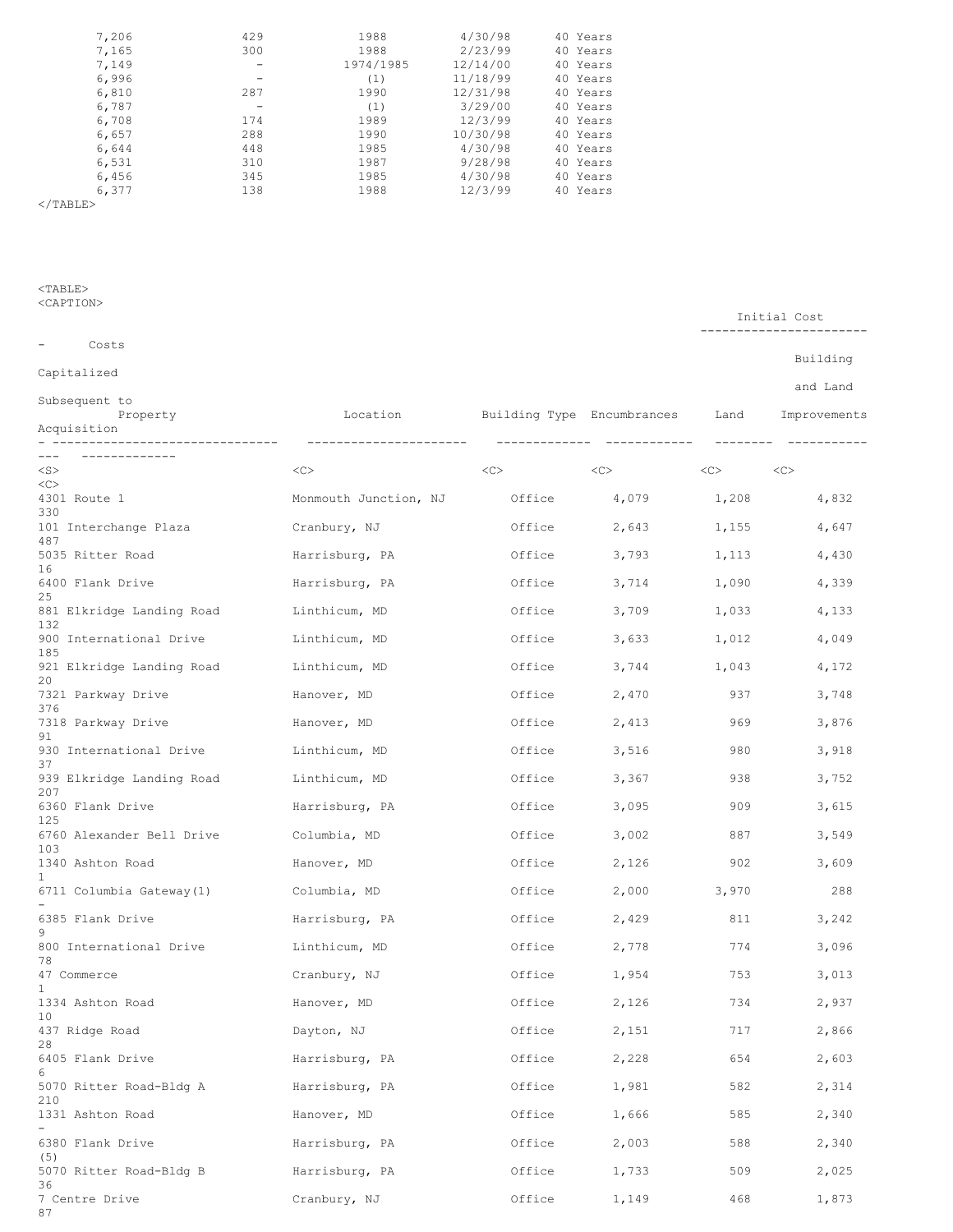| 7,206  | 429                      | 1988      | 4/30/98  | 40 Years |
|--------|--------------------------|-----------|----------|----------|
| 7,165  | 300                      | 1988      | 2/23/99  | 40 Years |
| 7,149  |                          | 1974/1985 | 12/14/00 | 40 Years |
| 6,996  | $\overline{\phantom{0}}$ | (1)       | 11/18/99 | 40 Years |
| 6,810  | 287                      | 1990      | 12/31/98 | 40 Years |
| 6,787  |                          | (1)       | 3/29/00  | 40 Years |
| 6,708  | 174                      | 1989      | 12/3/99  | 40 Years |
| 6,657  | 288                      | 1990      | 10/30/98 | 40 Years |
| 6,644  | 448                      | 1985      | 4/30/98  | 40 Years |
| 6,531  | 310                      | 1987      | 9/28/98  | 40 Years |
| 6,456  | 345                      | 1985      | 4/30/98  | 40 Years |
| 6,377  | 138                      | 1988      | 12/3/99  | 40 Years |
| TABLE> |                          |           |          |          |

 $\lt/$ 

# <TABLE>

<CAPTION>

-

(5)

36

87

|                                                       |                                                               |                                         |                    |                                         | Initial Cost<br>----------------------- |
|-------------------------------------------------------|---------------------------------------------------------------|-----------------------------------------|--------------------|-----------------------------------------|-----------------------------------------|
| $\overline{\phantom{0}}$<br>Costs                     |                                                               |                                         |                    |                                         | Building                                |
| Capitalized                                           |                                                               |                                         |                    |                                         | and Land                                |
| Subsequent to<br>Property                             | Location     Building Type Encumbrances   Land   Improvements |                                         |                    |                                         |                                         |
| Acquisition<br>- --------------------------------     | -----------------------                                       |                                         |                    |                                         |                                         |
| $---$                                                 |                                                               |                                         |                    |                                         |                                         |
| $<$ S $>$<br><<>                                      | <<                                                            | $\langle C \rangle$ $\langle C \rangle$ |                    | $\langle C \rangle$ $\langle C \rangle$ |                                         |
| 4301 Route 1<br>330                                   | Monmouth Junction, NJ                                         |                                         | Office 4,079       | 1,208                                   | 4,832                                   |
| 101 Interchange Plaza<br>487                          | Cranbury, NJ                                                  |                                         | Office 2,643 1,155 |                                         | 4,647                                   |
| 5035 Ritter Road<br>16                                | Harrisburg, PA                                                | Office                                  | 3,793              | 1,113                                   | 4,430                                   |
| 6400 Flank Drive<br>25                                | Harrisburg, PA                                                | Office                                  | 3,714              | 1,090                                   | 4,339                                   |
| 881 Elkridge Landing Road                             | Linthicum, MD                                                 | Office                                  | 3,709              | 1,033                                   | 4,133                                   |
| 132<br>900 International Drive binthicum, MD<br>185   |                                                               | Office                                  | 3,633              | 1,012                                   | 4,049                                   |
| 921 Elkridge Landing Road         Linthicum, MD<br>20 |                                                               | Office                                  | 3,744 1,043        |                                         | 4,172                                   |
| 7321 Parkway Drive<br>376                             | Hanover, MD                                                   | Office                                  | 2,470              | 937                                     | 3,748                                   |
| 7318 Parkway Drive<br>91                              | Hanover, MD                                                   |                                         | Office 2,413       | 969                                     | 3,876                                   |
| 930 International Drive<br>37                         | Linthicum, MD                                                 | Office                                  | 3,516              | 980                                     | 3,918                                   |
| 939 Elkridge Landing Road Linthicum, MD<br>207        |                                                               | Office                                  | 3,367              | 938                                     | 3,752                                   |
| 6360 Flank Drive<br>125                               | Harrisburg, PA                                                | Office                                  | 3,095              | 909                                     | 3,615                                   |
| 6760 Alexander Bell Drive Columbia, MD<br>103         |                                                               | Office                                  | 3,002              | 887                                     | 3,549                                   |
| 1340 Ashton Road                                      | Hanover, MD                                                   | Office                                  | 2,126              | 902                                     | 3,609                                   |
| 6711 Columbia Gateway(1)                              | Columbia, MD                                                  | Office                                  | 2,000              | 3,970                                   | 288                                     |
| 6385 Flank Drive<br>9                                 | Harrisburg, PA                                                | Office                                  | 2,429              | 811                                     | 3,242                                   |
| 800 International Drive<br>78                         | Linthicum, MD                                                 | Office                                  | 2,778              | 774                                     | 3,096                                   |
| 47 Commerce                                           | Cranbury, NJ                                                  | Office                                  | 1,954              | 753                                     | 3,013                                   |
| 1334 Ashton Road                                      | Hanover, MD                                                   | Office                                  | 2,126              | 734                                     | 2,937                                   |
| 10<br>437 Ridge Road                                  | Dayton, NJ                                                    | Office                                  | 2,151              | 717                                     | 2,866                                   |
| 28<br>6405 Flank Drive                                | Harrisburg, PA                                                |                                         | Office $2,228$     | 654                                     | 2,603                                   |
| 6<br>5070 Ritter Road-Bldg A                          | Harrisburg, PA                                                | Office                                  | 1,981              | 582                                     | 2,314                                   |
| 210<br>1331 Ashton Road                               | Hanover, MD                                                   | Office                                  | 1,666              | 585                                     | 2,340                                   |

6380 Flank Drive Harrisburg, PA Office 2,003 588 2,340

5070 Ritter Road-Bldg B Farrisburg, PA Contice 1,733 509 2,025

7 Centre Drive Cranbury, NJ Centre 1,149 468 1,873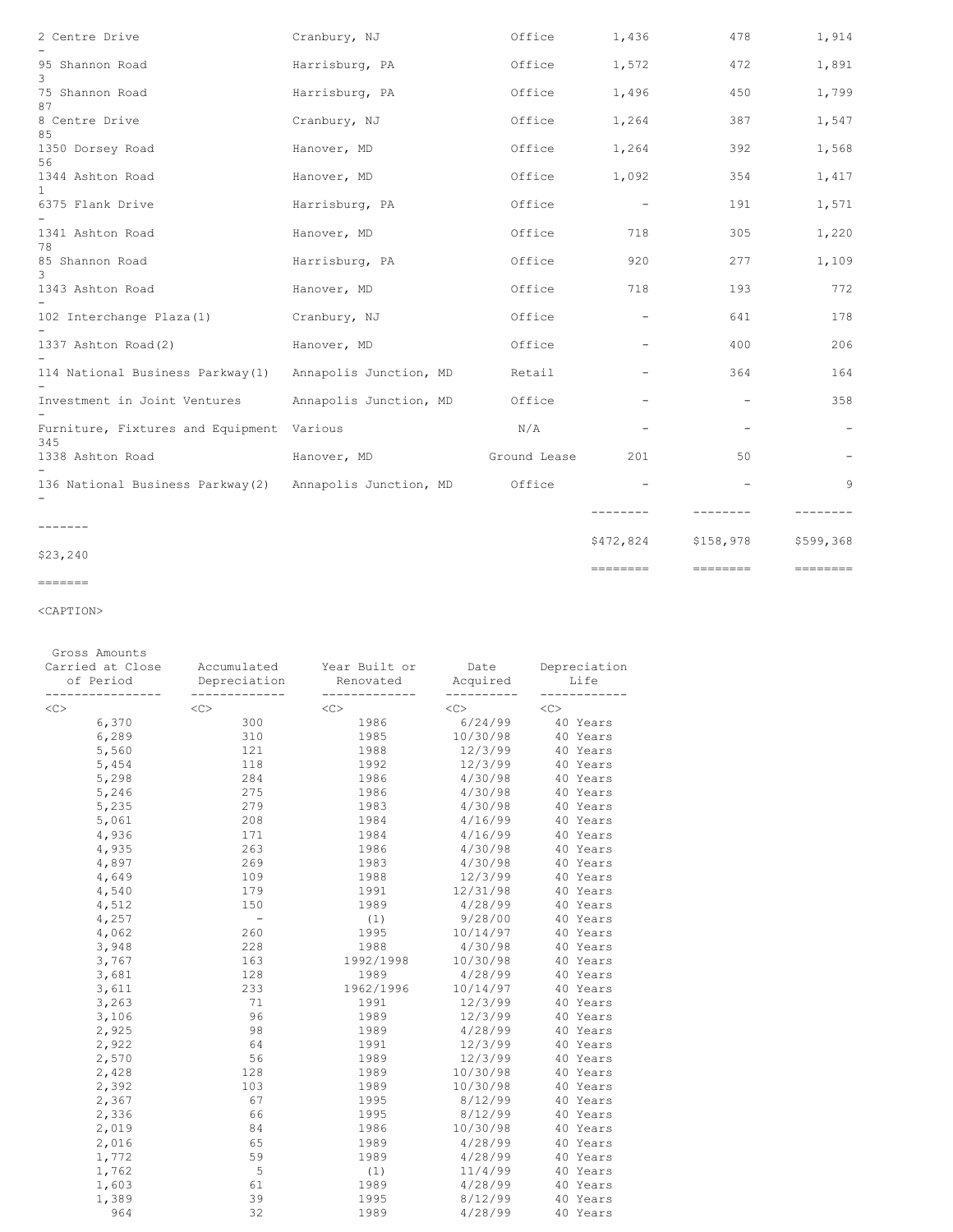| 2 Centre Drive                                          | Cranbury, NJ           | Office       | 1,436                    | 478               | 1,914                    |
|---------------------------------------------------------|------------------------|--------------|--------------------------|-------------------|--------------------------|
| 95 Shannon Road                                         | Harrisburg, PA         | Office       | 1,572                    | 472               | 1,891                    |
| 3<br>75 Shannon Road<br>87                              | Harrisburg, PA         | Office       | 1,496                    | 450               | 1,799                    |
| 8 Centre Drive<br>85                                    | Cranbury, NJ           | Office       | 1,264                    | 387               | 1,547                    |
| 1350 Dorsey Road<br>56                                  | Hanover, MD            | Office       | 1,264                    | 392               | 1,568                    |
| 1344 Ashton Road<br>$\mathbf{1}$                        | Hanover, MD            | Office       | 1,092                    | 354               | 1,417                    |
| 6375 Flank Drive                                        | Harrisburg, PA         | Office       | $\overline{\phantom{a}}$ | 191               | 1,571                    |
| 1341 Ashton Road<br>78                                  | Hanover, MD            | Office       | 718                      | 305               | 1,220                    |
| 85 Shannon Road<br>3                                    | Harrisburg, PA         | Office       | 920                      | 277               | 1,109                    |
| 1343 Ashton Road                                        | Hanover, MD            | Office       | 718                      | 193               | 772                      |
| 102 Interchange Plaza(1)                                | Cranbury, NJ           | Office       | $\overline{\phantom{a}}$ | 641               | 178                      |
| 1337 Ashton Road(2)                                     | Hanover, MD            | Office       | $-$                      | 400               | 206                      |
| 114 National Business Parkway(1) Annapolis Junction, MD |                        | Retail       | $\overline{\phantom{0}}$ | 364               | 164                      |
| Investment in Joint Ventures                            | Annapolis Junction, MD | Office       | $\overline{\phantom{0}}$ | $\qquad \qquad -$ | 358                      |
| Furniture, Fixtures and Equipment Various<br>345        |                        | N/A          |                          |                   | $\overline{\phantom{a}}$ |
| 1338 Ashton Road                                        | Hanover, MD            | Ground Lease | 201                      | 50                |                          |
| 136 National Business Parkway(2) Annapolis Junction, MD |                        | Office       | $\overline{\phantom{a}}$ |                   | 9                        |
| -------                                                 |                        |              |                          |                   |                          |
| \$23,240                                                |                        |              | \$472,824                | \$158,978         | \$599,368                |
|                                                         |                        |              | --------                 | $=$ ========      | $=$ = = = = = = = =      |

- =======
- <CAPTION>

Gross Amounts<br>Carried at Close Carried at Close Accumulated Year Built or Date Depreciation of Period Depreciation Renovated Acquired Life ---------------- ------------- ------------- ---------- ------------  $\langle C \rangle$   $\langle C \rangle$   $\langle C \rangle$   $\langle C \rangle$   $\langle C \rangle$   $\langle C \rangle$   $\langle C \rangle$   $\langle C \rangle$   $\langle C \rangle$   $\langle C \rangle$   $\langle C \rangle$ 6,370 300 1986 6/24/99 40 Years 6,289 310 1985 10/30/98 40 Years 5,560 121 1988 12/3/99 40 Years<br>5,454 118 1992 12/3/99 40 Years 5,454 118 1992 12/3/99 40 Years 5,298 284 1986 4/30/98 40 Years 5,246 275 1986 4/30/98 40 Years 5,235 279 1983 4/30/98 40 Years 5,1984 4/16/99<br>171 1984 4/16/99 4,936 171 1984 4/16/99 40 Years 4,935 263 1986 4/30/98 40 Years<br>4,897 269 1983 4/30/98 40 Years 4,897 269 1983 4/30/98 40 Years 4,649 109 1988 12/3/99 40 Years<br>4,540 179 1991 12/31/98 40 Years  $\begin{array}{cccccccc} 4\,\textcolor{red}{\mathbf{7}}\,540 & & & 179 & & & 1991 & & 12/31/98 \\ 4\,\textcolor{red}{\mathbf{7}}\,512 & & & 150 & & & 1989 & & 4/28/99 \end{array}$ 40 Years 4,257 - (1) 9/28/00 40 Years<br>4,062 260 1995 10/14/97 40 Years 4,062 260 1995 10/14/97<br>3,948 228 1988 4/30/98 3,948 228 1988 4/30/98 40 Years<br>3,767 163 1992/1998 10/30/98 40 Years 3,767 163 1992/1998 10/30/98<br>3,681 128 1989 4/28/99 40 Years 3,611 233 1962/1996 10/14/97 40 Years<br>3,263 71 1991 12/3/99 40 Years 11 1991 12/3/99 40 Years<br>96 1989 12/3/99 40 Years 3,106 96 1989 12/3/99 40 Years<br>2,925 98 1989 4/28/99 40 Years 2,925 98 1989 4/28/99 40 Years 2,922 64 1991 12/3/99<br>2,570 56 1989 12/3/99 2,570 56 1989 12/3/99 40 Years 10/30/98 2,392 103 1989 10/30/98 40 Years<br>2,367 67 1995 8/12/99 40 Years 2,367 67 1995 8/12/99 40 Years 2,336 66 1995 8/12/99 40 Years<br>2,019 84 1986 10/30/98 40 Years 2,019 84 1986 10/30/98<br>2,016 65 1989 4/28/99 2,016 65 1989 4/28/99 40 Years 1,772 59 1989 4/28/99 40 Years 1,762 5 (1)  $11/4/99$  40 Years<br>1,603 61 1989 4/28/99 40 Years 1,603 61 1989 4/28/99 40 Years<br>1,389 39 1995 8/12/99 40 Years 1,389 39 39 1995 8/12/99 40 Years<br>1964 32 1989 4/28/99 40 Years 40 Years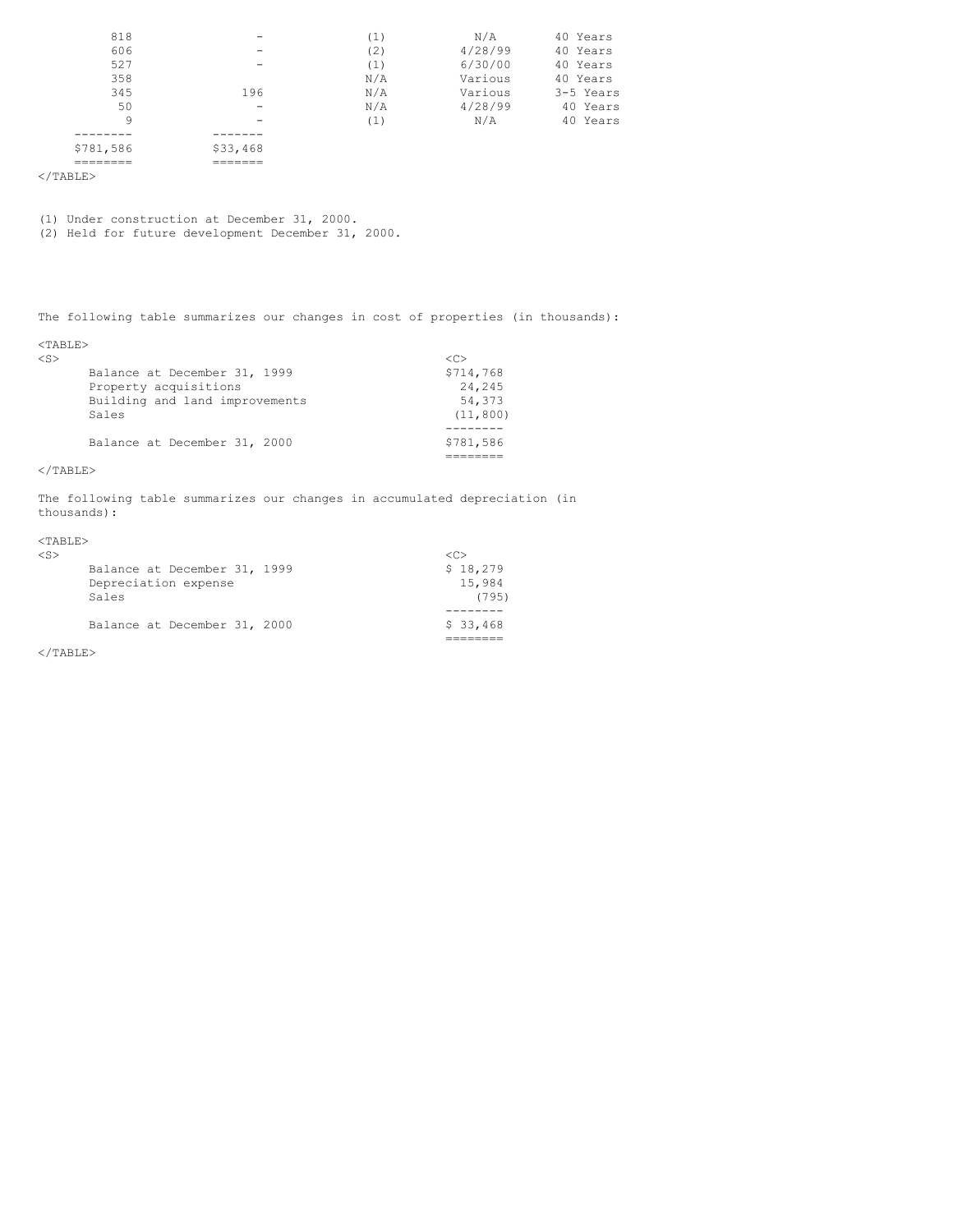| 818       |          | (1) | N/A     | 40 Years  |
|-----------|----------|-----|---------|-----------|
| 606       |          | (2) | 4/28/99 | 40 Years  |
| 527       |          | (1) | 6/30/00 | 40 Years  |
| 358       |          | N/A | Various | 40 Years  |
| 345       | 196      | N/A | Various | 3-5 Years |
| 50        |          | N/A | 4/28/99 | 40 Years  |
| 9         |          | (1) | N/A     | 40 Years  |
|           |          |     |         |           |
| \$781,586 | \$33,468 |     |         |           |

</TABLE>

(1) Under construction at December 31, 2000.

======== =======

(2) Held for future development December 31, 2000.

The following table summarizes our changes in cost of properties (in thousands):

 $<$  TABLE>  $<$  S  $>$ 

| $<$ S $>$ |                                |           |
|-----------|--------------------------------|-----------|
|           | Balance at December 31, 1999   | \$714,768 |
|           | Property acquisitions          | 24,245    |
|           | Building and land improvements | 54,373    |
|           | Sales                          | (11, 800) |
|           |                                |           |
|           | Balance at December 31, 2000   | \$781,586 |
|           |                                |           |
|           |                                |           |

## $<$ /TABLE>

The following table summarizes our changes in accumulated depreciation (in thousands):

| $<$ TABLE $>$                                                 |                             |
|---------------------------------------------------------------|-----------------------------|
| $<$ S $>$                                                     | <冖>                         |
| Balance at December 31, 1999<br>Depreciation expense<br>Sales | \$18.279<br>15,984<br>(795) |
|                                                               |                             |
| Balance at December 31, 2000                                  | \$33,468                    |
|                                                               |                             |

 $<$ /TABLE>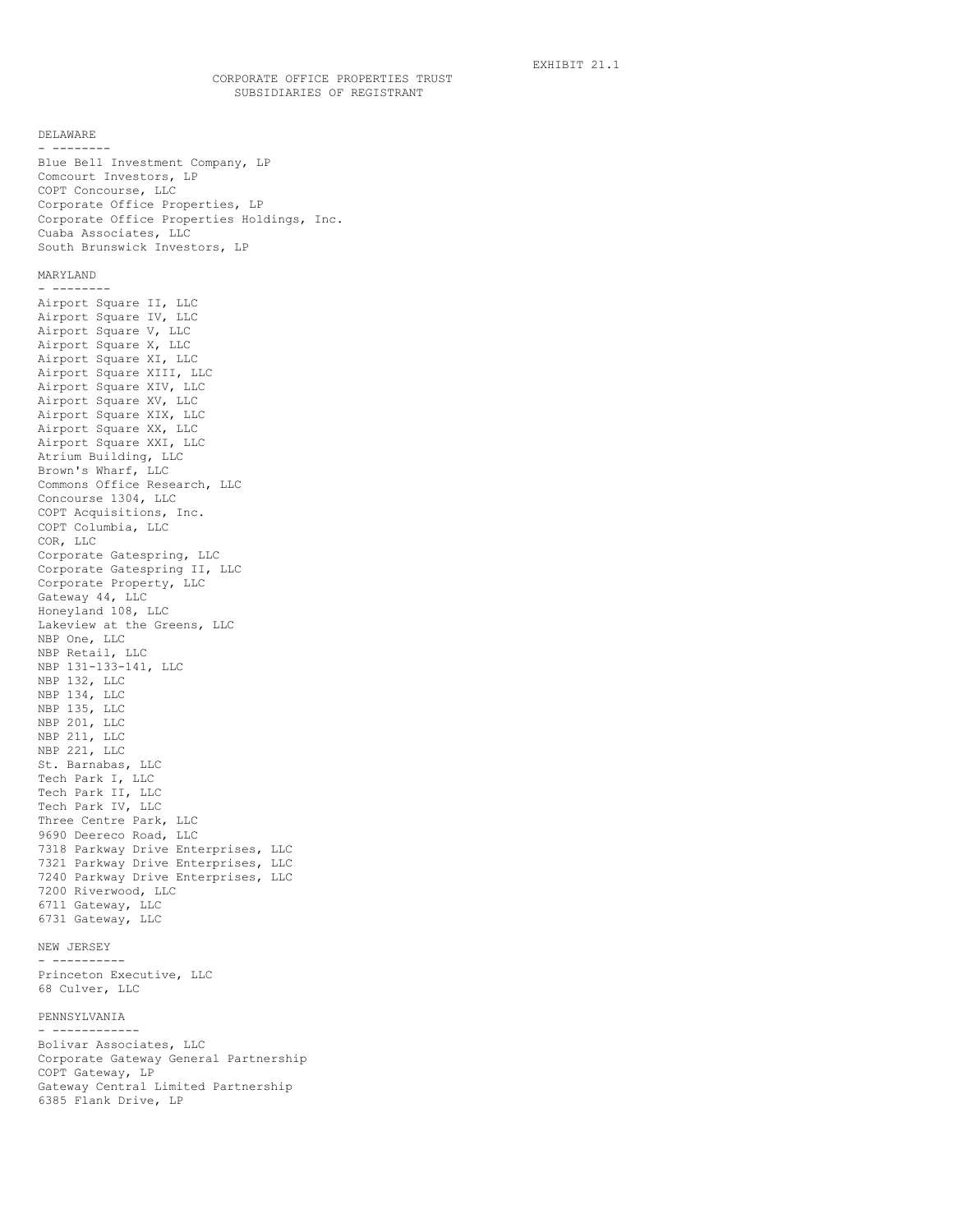DELAWARE - -------- Blue Bell Investment Company, LP Comcourt Investors, LP COPT Concourse, LLC Corporate Office Properties, LP Corporate Office Properties Holdings, Inc. Cuaba Associates, LLC South Brunswick Investors, LP MARYLAND - -------- Airport Square II, LLC Airport Square IV, LLC Airport Square V, LLC Airport Square X, LLC Airport Square XI, LLC Airport Square XIII, LLC Airport Square XIV, LLC Airport Square XV, LLC Airport Square XIX, LLC Airport Square XX, LLC Airport Square XXI, LLC Atrium Building, LLC Brown's Wharf, LLC Commons Office Research, LLC Concourse 1304, LLC COPT Acquisitions, Inc. COPT Columbia, LLC COR, LLC Corporate Gatespring, LLC Corporate Gatespring II, LLC Corporate Property, LLC Gateway 44, LLC Honeyland 108, LLC Lakeview at the Greens, LLC NBP One, LLC NBP Retail, LLC NBP 131-133-141, LLC NBP 132, LLC NBP 134, LLC NBP 135, LLC NBP 201, LLC NBP 211, LLC NBP 221, LLC St. Barnabas, LLC Tech Park I, LLC Tech Park II, LLC Tech Park IV, LLC Three Centre Park, LLC 9690 Deereco Road, LLC 7318 Parkway Drive Enterprises, LLC 7321 Parkway Drive Enterprises, LLC 7240 Parkway Drive Enterprises, LLC 7200 Riverwood, LLC 6711 Gateway, LLC 6731 Gateway, LLC NEW JERSEY - ---------- Princeton Executive, LLC 68 Culver, LLC PENNSYLVANIA - ------------ Bolivar Associates, LLC Corporate Gateway General Partnership COPT Gateway, LP Gateway Central Limited Partnership 6385 Flank Drive, LP